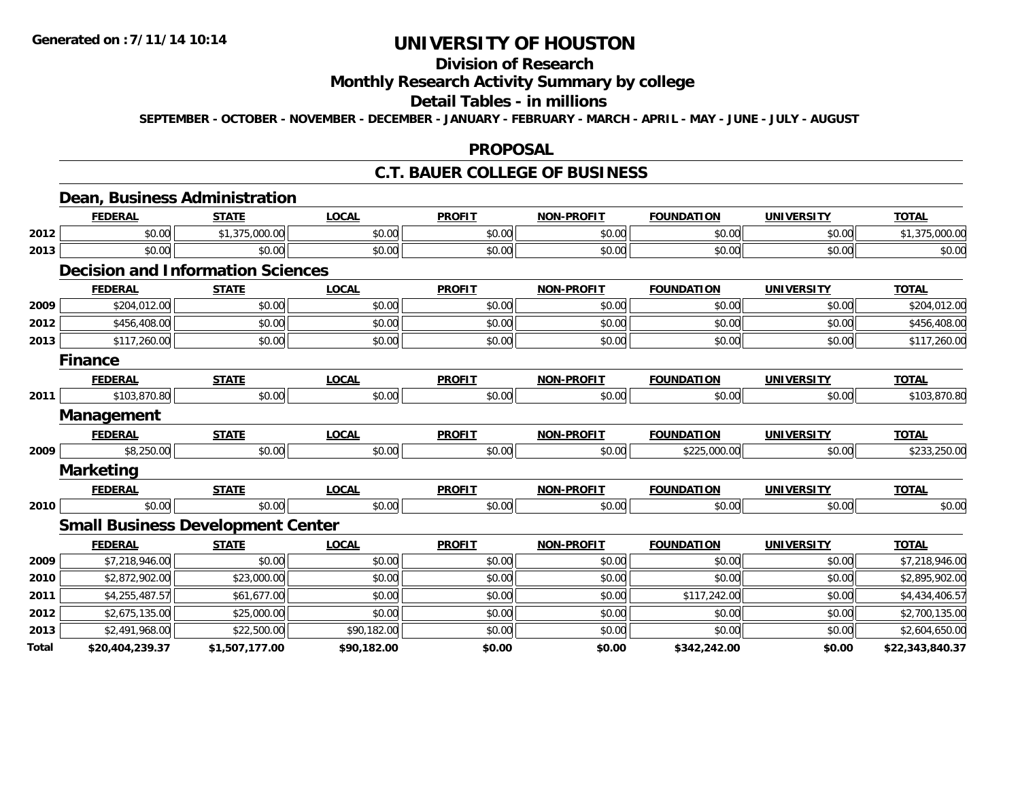## **Division of Research**

### **Monthly Research Activity Summary by college**

#### **Detail Tables - in millions**

**SEPTEMBER - OCTOBER - NOVEMBER - DECEMBER - JANUARY - FEBRUARY - MARCH - APRIL - MAY - JUNE - JULY - AUGUST**

#### **PROPOSAL**

#### **C.T. BAUER COLLEGE OF BUSINESS**

|       | Dean, Business Administration            |                |              |               |                   |                   |                   |                 |
|-------|------------------------------------------|----------------|--------------|---------------|-------------------|-------------------|-------------------|-----------------|
|       | <b>FEDERAL</b>                           | <b>STATE</b>   | <b>LOCAL</b> | <b>PROFIT</b> | <b>NON-PROFIT</b> | <b>FOUNDATION</b> | <b>UNIVERSITY</b> | <b>TOTAL</b>    |
| 2012  | \$0.00                                   | \$1,375,000.00 | \$0.00       | \$0.00        | \$0.00            | \$0.00            | \$0.00            | \$1,375,000.00  |
| 2013  | \$0.00                                   | \$0.00         | \$0.00       | \$0.00        | \$0.00            | \$0.00            | \$0.00            | \$0.00          |
|       | <b>Decision and Information Sciences</b> |                |              |               |                   |                   |                   |                 |
|       | <b>FEDERAL</b>                           | <b>STATE</b>   | <b>LOCAL</b> | <b>PROFIT</b> | <b>NON-PROFIT</b> | <b>FOUNDATION</b> | <b>UNIVERSITY</b> | <b>TOTAL</b>    |
| 2009  | \$204,012.00                             | \$0.00         | \$0.00       | \$0.00        | \$0.00            | \$0.00            | \$0.00            | \$204,012.00    |
| 2012  | \$456,408.00                             | \$0.00         | \$0.00       | \$0.00        | \$0.00            | \$0.00            | \$0.00            | \$456,408.00    |
| 2013  | \$117,260.00                             | \$0.00         | \$0.00       | \$0.00        | \$0.00            | \$0.00            | \$0.00            | \$117,260.00    |
|       | <b>Finance</b>                           |                |              |               |                   |                   |                   |                 |
|       | <b>FEDERAL</b>                           | <b>STATE</b>   | <b>LOCAL</b> | <b>PROFIT</b> | <b>NON-PROFIT</b> | <b>FOUNDATION</b> | <b>UNIVERSITY</b> | <b>TOTAL</b>    |
| 2011  | \$103,870.80                             | \$0.00         | \$0.00       | \$0.00        | \$0.00            | \$0.00            | \$0.00            | \$103,870.80    |
|       | <b>Management</b>                        |                |              |               |                   |                   |                   |                 |
|       | <b>FEDERAL</b>                           | <b>STATE</b>   | <b>LOCAL</b> | <b>PROFIT</b> | <b>NON-PROFIT</b> | <b>FOUNDATION</b> | <b>UNIVERSITY</b> | <b>TOTAL</b>    |
| 2009  | \$8,250.00                               | \$0.00         | \$0.00       | \$0.00        | \$0.00            | \$225,000.00      | \$0.00            | \$233,250.00    |
|       | <b>Marketing</b>                         |                |              |               |                   |                   |                   |                 |
|       | <b>FEDERAL</b>                           | <b>STATE</b>   | <b>LOCAL</b> | <b>PROFIT</b> | <b>NON-PROFIT</b> | <b>FOUNDATION</b> | <b>UNIVERSITY</b> | <b>TOTAL</b>    |
| 2010  | \$0.00                                   | \$0.00         | \$0.00       | \$0.00        | \$0.00            | \$0.00            | \$0.00            | \$0.00          |
|       | <b>Small Business Development Center</b> |                |              |               |                   |                   |                   |                 |
|       | <b>FEDERAL</b>                           | <b>STATE</b>   | <b>LOCAL</b> | <b>PROFIT</b> | <b>NON-PROFIT</b> | <b>FOUNDATION</b> | <b>UNIVERSITY</b> | <b>TOTAL</b>    |
| 2009  | \$7,218,946.00                           | \$0.00         | \$0.00       | \$0.00        | \$0.00            | \$0.00            | \$0.00            | \$7,218,946.00  |
| 2010  | \$2,872,902.00                           | \$23,000.00    | \$0.00       | \$0.00        | \$0.00            | \$0.00            | \$0.00            | \$2,895,902.00  |
| 2011  | \$4,255,487.57                           | \$61,677.00    | \$0.00       | \$0.00        | \$0.00            | \$117,242.00      | \$0.00            | \$4,434,406.57  |
| 2012  | \$2,675,135.00                           | \$25,000.00    | \$0.00       | \$0.00        | \$0.00            | \$0.00            | \$0.00            | \$2,700,135.00  |
| 2013  | \$2,491,968.00                           | \$22,500.00    | \$90,182.00  | \$0.00        | \$0.00            | \$0.00            | \$0.00            | \$2,604,650.00  |
| Total | \$20,404,239.37                          | \$1,507,177.00 | \$90.182.00  | \$0.00        | \$0.00            | \$342,242.00      | \$0.00            | \$22,343,840.37 |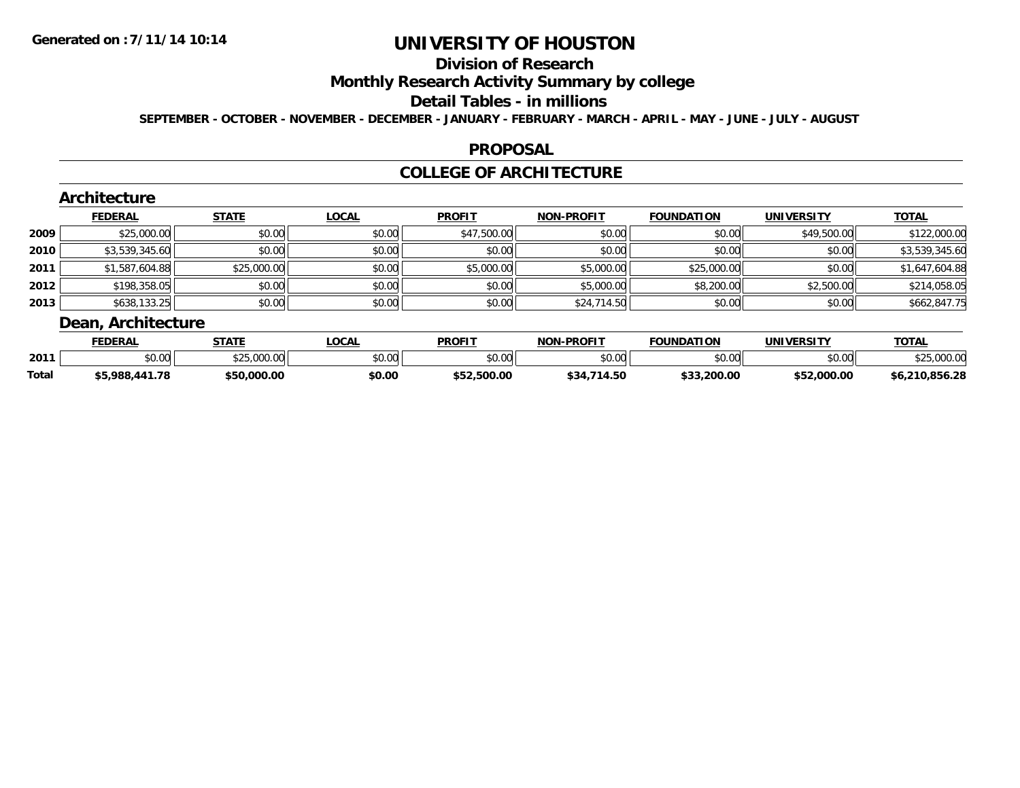## **Division of Research**

## **Monthly Research Activity Summary by college**

#### **Detail Tables - in millions**

**SEPTEMBER - OCTOBER - NOVEMBER - DECEMBER - JANUARY - FEBRUARY - MARCH - APRIL - MAY - JUNE - JULY - AUGUST**

#### **PROPOSAL**

### **COLLEGE OF ARCHITECTURE**

|      | Architecture       |              |              |               |                   |                   |                   |                |  |  |  |
|------|--------------------|--------------|--------------|---------------|-------------------|-------------------|-------------------|----------------|--|--|--|
|      | <b>FEDERAL</b>     | <b>STATE</b> | <b>LOCAL</b> | <b>PROFIT</b> | <b>NON-PROFIT</b> | <b>FOUNDATION</b> | <b>UNIVERSITY</b> | <b>TOTAL</b>   |  |  |  |
| 2009 | \$25,000.00        | \$0.00       | \$0.00       | \$47,500.00   | \$0.00            | \$0.00            | \$49,500.00       | \$122,000.00   |  |  |  |
| 2010 | \$3,539,345.60     | \$0.00       | \$0.00       | \$0.00        | \$0.00            | \$0.00            | \$0.00            | \$3,539,345.60 |  |  |  |
| 2011 | \$1,587,604.88     | \$25,000.00  | \$0.00       | \$5,000.00    | \$5,000.00        | \$25,000.00       | \$0.00            | \$1,647,604.88 |  |  |  |
| 2012 | \$198,358.05       | \$0.00       | \$0.00       | \$0.00        | \$5,000.00        | \$8,200.00        | \$2,500.00        | \$214,058.05   |  |  |  |
| 2013 | \$638,133.25       | \$0.00       | \$0.00       | \$0.00        | \$24,714.50       | \$0.00            | \$0.00            | \$662,847.75   |  |  |  |
|      | Dean, Architecture |              |              |               |                   |                   |                   |                |  |  |  |

|              | <b>FEDERA</b>      | <b>STATE</b>              | <b>.OCAL</b> | <b>PROFIT</b> | -PROFIT<br>NON          | <b>FOUNDATION</b> | UNIVERSITY  | <b>TOTAL</b>     |
|--------------|--------------------|---------------------------|--------------|---------------|-------------------------|-------------------|-------------|------------------|
| 2011         | $\sim$ 00<br>JU.UU | 0 <sup>0</sup><br>323.VVV | \$0.00       | 0000<br>JU.UU | \$0.00                  | ደሰ ሰሰ<br>vv.vv    | \$0.00      |                  |
| <b>Total</b> | 000<br>7öö<br>υ.   | \$50,000.00               | \$0.00       | .500.00       | <b>434</b><br>4.50<br>Φ | \$33,200.00       | \$52,000.00 | .856.28<br>\$6.2 |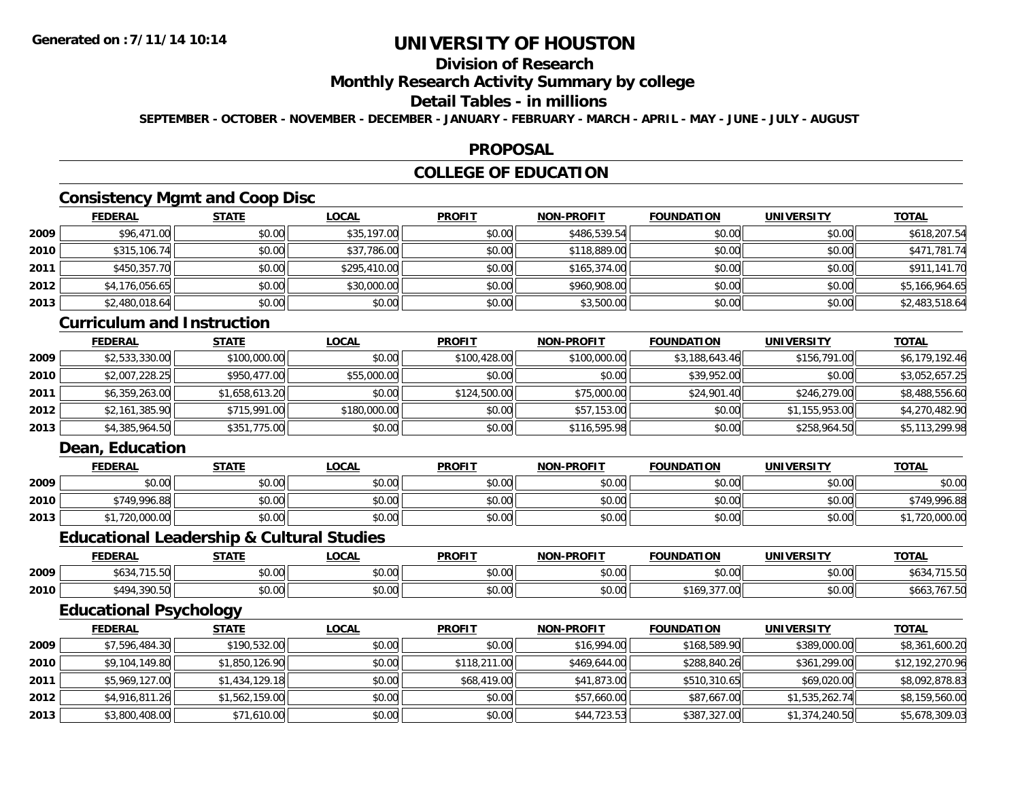## **Division of Research**

### **Monthly Research Activity Summary by college**

### **Detail Tables - in millions**

**SEPTEMBER - OCTOBER - NOVEMBER - DECEMBER - JANUARY - FEBRUARY - MARCH - APRIL - MAY - JUNE - JULY - AUGUST**

#### **PROPOSAL**

## **COLLEGE OF EDUCATION**

## **Consistency Mgmt and Coop Disc**

|      | <b>FEDERAL</b> | <b>STATE</b> | <b>LOCAL</b> | <b>PROFIT</b> | <b>NON-PROFIT</b> | <b>FOUNDATION</b> | <b>UNIVERSITY</b> | <b>TOTAL</b>   |
|------|----------------|--------------|--------------|---------------|-------------------|-------------------|-------------------|----------------|
| 2009 | \$96,471.00    | \$0.00       | \$35,197.00  | \$0.00        | \$486,539.54      | \$0.00            | \$0.00            | \$618,207.54   |
| 2010 | \$315,106.74   | \$0.00       | \$37,786.00  | \$0.00        | \$118,889.00      | \$0.00            | \$0.00            | \$471,781.74   |
| 2011 | \$450,357.70   | \$0.00       | \$295,410.00 | \$0.00        | \$165,374.00      | \$0.00            | \$0.00            | \$911,141.70   |
| 2012 | \$4,176,056.65 | \$0.00       | \$30,000.00  | \$0.00        | \$960,908.00      | \$0.00            | \$0.00            | \$5,166,964.65 |
| 2013 | \$2,480,018.64 | \$0.00       | \$0.00       | \$0.00        | \$3,500.00        | \$0.00            | \$0.00            | \$2,483,518.64 |

#### **Curriculum and Instruction**

|      | <b>FEDERAL</b> | <u>STATE</u>   | <u>LOCAL</u> | <b>PROFIT</b> | <b>NON-PROFIT</b> | <b>FOUNDATION</b> | UNIVERSITY     | <b>TOTAL</b>   |
|------|----------------|----------------|--------------|---------------|-------------------|-------------------|----------------|----------------|
| 2009 | \$2,533,330.00 | \$100,000.00   | \$0.00       | \$100,428,00  | \$100,000.00      | \$3,188,643.46    | \$156,791.00   | \$6,179,192.46 |
| 2010 | \$2,007,228.25 | \$950,477,00   | \$55,000.00  | \$0.00        | \$0.00            | \$39,952.00       | \$0.00         | \$3,052,657.25 |
| 2011 | \$6,359,263.00 | \$1,658,613.20 | \$0.00       | \$124,500.00  | \$75,000.00       | \$24,901.40       | \$246,279,00   | \$8,488,556.60 |
| 2012 | \$2,161,385.90 | \$715,991.00   | \$180,000.00 | \$0.00        | \$57,153.00       | \$0.00            | \$1,155,953.00 | \$4,270,482.90 |
| 2013 | \$4,385,964.50 | \$351,775.00   | \$0.00       | \$0.00        | \$116,595.98      | \$0.00            | \$258,964.50   | \$5,113,299.98 |

### **Dean, Education**

|      | <b>FEDERAL</b> | <b>STATE</b> | <u>LOCAL</u> | <b>PROFIT</b> | <b>NON-PROFIT</b> | <b>FOUNDATION</b> | <b>UNIVERSITY</b> | <b>TOTAL</b> |
|------|----------------|--------------|--------------|---------------|-------------------|-------------------|-------------------|--------------|
| 2009 | \$0.00         | \$0.00       | \$0.00       | \$0.00        | \$0.00            | \$0.00            | \$0.00            | \$0.00       |
| 2010 | \$749.996.88   | \$0.00       | \$0.00       | \$0.00        | \$0.00            | \$0.00            | \$0.00            | *749.996.88  |
| 2013 | 720,000.00     | \$0.00       | \$0.00       | \$0.00        | \$0.00            | \$0.00            | \$0.00            | 1,720,000.00 |

#### **Educational Leadership & Cultural Studies**

|      | <b>FEDERAL</b>              | <b>CTATE</b><br>31AL. | <b>OCAL</b> | <b>PROFIT</b> | <b>NON-PROFIT</b> | <b>FOUNDATION</b>                            | <b>UNIVERSITY</b> | <b>TOTAL</b>   |
|------|-----------------------------|-----------------------|-------------|---------------|-------------------|----------------------------------------------|-------------------|----------------|
| 2009 | 74FFA<br>ሐ / ኅ<br>ახ34<br>. | 0000<br>DU.UU         | \$0.00      | \$0.00        | 40.00<br>PU.UU    | \$0.00                                       | 0000<br>ง∪.∪บ     | ⊍ש             |
| 2010 | \$494,390.50                | 0000<br><b>JU.UU</b>  | \$0.00      | \$0.00        | \$0.00            | $\sim$ $\sim$ $\sim$ $\sim$ $\sim$<br>3109.3 | 0000<br>DU.UG     | ১০০১<br>707.51 |

## **Educational Psychology**

|      | <b>FEDERAL</b> | <b>STATE</b>   | <b>LOCAL</b> | <b>PROFIT</b> | <b>NON-PROFIT</b> | <b>FOUNDATION</b> | <b>UNIVERSITY</b> | <b>TOTAL</b>    |
|------|----------------|----------------|--------------|---------------|-------------------|-------------------|-------------------|-----------------|
| 2009 | \$7,596,484.30 | \$190,532.00   | \$0.00       | \$0.00        | \$16,994.00       | \$168,589.90      | \$389,000.00      | \$8,361,600.20  |
| 2010 | \$9,104,149.80 | \$1,850,126.90 | \$0.00       | \$118,211.00  | \$469,644.00      | \$288,840.26      | \$361,299.00      | \$12,192,270.96 |
| 2011 | \$5,969,127.00 | \$1,434,129.18 | \$0.00       | \$68,419.00   | \$41,873.00       | \$510,310.65      | \$69,020.00       | \$8,092,878.83  |
| 2012 | \$4,916,811.26 | \$1,562,159.00 | \$0.00       | \$0.00        | \$57,660.00       | \$87,667.00       | \$1,535,262.74    | \$8,159,560.00  |
| 2013 | \$3,800,408.00 | \$71,610.00    | \$0.00       | \$0.00        | \$44,723.53       | \$387,327.00      | \$1,374,240.50    | \$5,678,309.03  |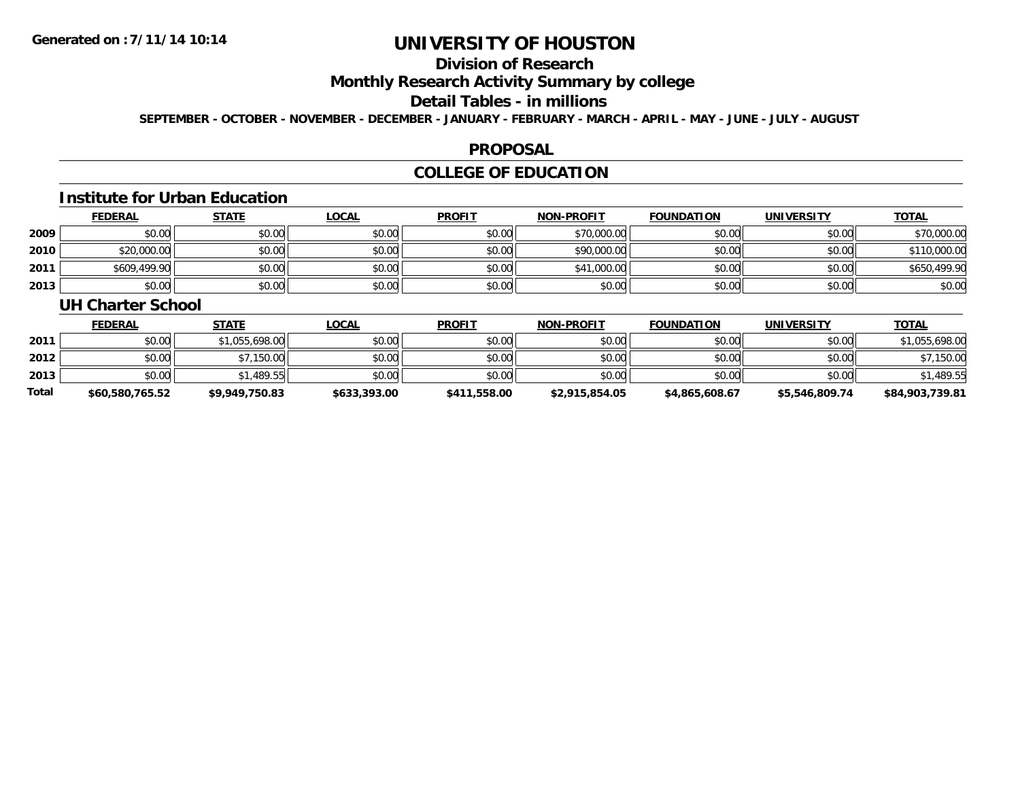## **Division of Research**

### **Monthly Research Activity Summary by college**

#### **Detail Tables - in millions**

**SEPTEMBER - OCTOBER - NOVEMBER - DECEMBER - JANUARY - FEBRUARY - MARCH - APRIL - MAY - JUNE - JULY - AUGUST**

#### **PROPOSAL**

## **COLLEGE OF EDUCATION**

## **Institute for Urban Education**

|      | <b>FEDERAL</b> | <u>STATE</u> | <u>LOCAL</u> | <b>PROFIT</b> | <b>NON-PROFIT</b> | <b>FOUNDATION</b> | <b>UNIVERSITY</b> | <b>TOTAL</b> |
|------|----------------|--------------|--------------|---------------|-------------------|-------------------|-------------------|--------------|
| 2009 | \$0.00         | \$0.00       | \$0.00       | \$0.00        | \$70,000.00       | \$0.00            | \$0.00            | \$70,000.00  |
| 2010 | \$20,000.00    | \$0.00       | \$0.00       | \$0.00        | \$90,000.00       | \$0.00            | \$0.00            | \$110,000.00 |
| 2011 | \$609,499.90   | \$0.00       | \$0.00       | \$0.00        | \$41,000.00       | \$0.00            | \$0.00            | \$650,499.90 |
| 2013 | \$0.00         | \$0.00       | \$0.00       | \$0.00        | \$0.00            | \$0.00            | \$0.00            | \$0.00       |

#### **UH Charter School**

|              | <b>FEDERAL</b>  | <u>STATE</u>   | <u>LOCAL</u> | <b>PROFIT</b> | <b>NON-PROFIT</b> | <b>FOUNDATION</b> | <b>UNIVERSITY</b> | <b>TOTAL</b>    |
|--------------|-----------------|----------------|--------------|---------------|-------------------|-------------------|-------------------|-----------------|
| 2011         | \$0.00          | \$1,055,698.00 | \$0.00       | \$0.00        | \$0.00            | \$0.00            | \$0.00            | \$1,055,698.00  |
| 2012         | \$0.00          | \$7,150.00     | \$0.00       | \$0.00        | \$0.00            | \$0.00            | \$0.00            | \$7,150.00      |
| 2013         | \$0.00          | \$1,489.55     | \$0.00       | \$0.00        | \$0.00            | \$0.00            | \$0.00            | \$1,489.55      |
| <b>Total</b> | \$60,580,765.52 | \$9,949,750.83 | \$633,393.00 | \$411,558.00  | \$2,915,854.05    | \$4,865,608.67    | \$5,546,809.74    | \$84,903,739.81 |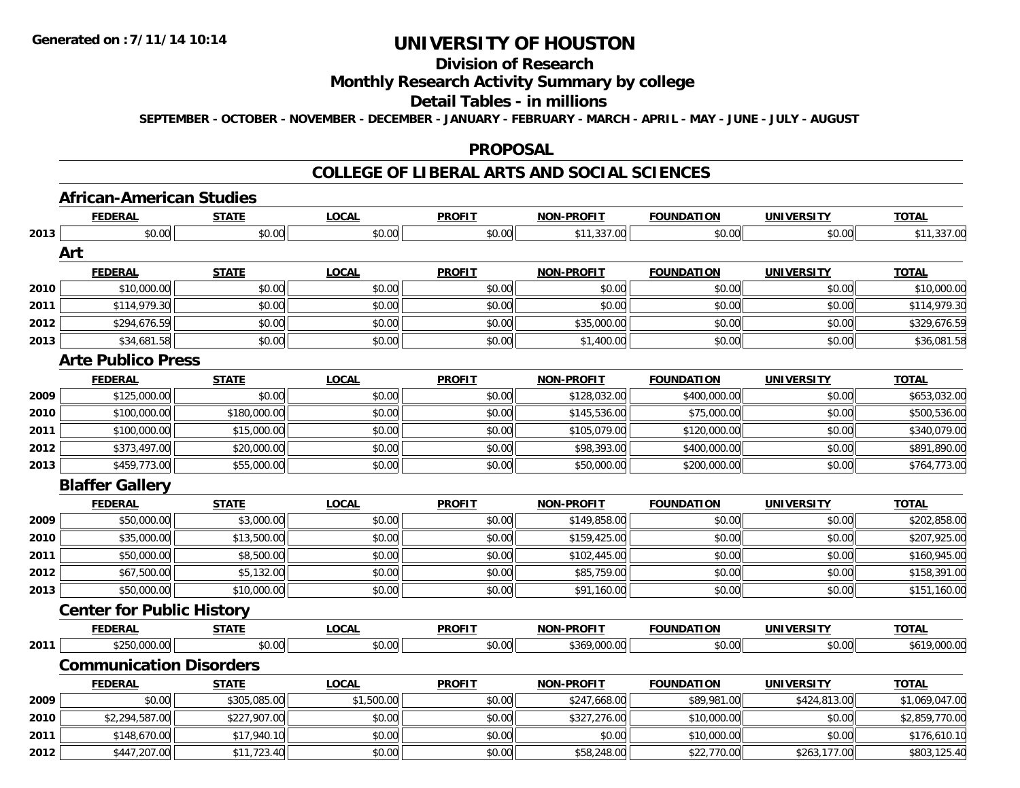## **Division of Research**

### **Monthly Research Activity Summary by college**

#### **Detail Tables - in millions**

**SEPTEMBER - OCTOBER - NOVEMBER - DECEMBER - JANUARY - FEBRUARY - MARCH - APRIL - MAY - JUNE - JULY - AUGUST**

#### **PROPOSAL**

#### **COLLEGE OF LIBERAL ARTS AND SOCIAL SCIENCES**

# **African-American Studies**

|      | <b>FEDERAL</b>                   | <b>STATE</b> | LOCAL        | <b>PROFIT</b> | <b>NON-PROFIT</b> | <b>FOUNDATION</b> | <b>UNIVERSITY</b> | <b>TOTAL</b>   |
|------|----------------------------------|--------------|--------------|---------------|-------------------|-------------------|-------------------|----------------|
| 2013 | \$0.00                           | \$0.00       | \$0.00       | \$0.00        | \$11,337.00       | \$0.00            | \$0.00            | \$11,337.00    |
|      | Art                              |              |              |               |                   |                   |                   |                |
|      | <b>FEDERAL</b>                   | <b>STATE</b> | <b>LOCAL</b> | <b>PROFIT</b> | <b>NON-PROFIT</b> | <b>FOUNDATION</b> | <b>UNIVERSITY</b> | <b>TOTAL</b>   |
| 2010 | \$10,000.00                      | \$0.00       | \$0.00       | \$0.00        | \$0.00            | \$0.00            | \$0.00            | \$10,000.00    |
| 2011 | \$114,979.30                     | \$0.00       | \$0.00       | \$0.00        | \$0.00            | \$0.00            | \$0.00            | \$114,979.30   |
| 2012 | \$294,676.59                     | \$0.00       | \$0.00       | \$0.00        | \$35,000.00       | \$0.00            | \$0.00            | \$329,676.59   |
| 2013 | \$34,681.58                      | \$0.00       | \$0.00       | \$0.00        | \$1,400.00        | \$0.00            | \$0.00            | \$36,081.58    |
|      | <b>Arte Publico Press</b>        |              |              |               |                   |                   |                   |                |
|      | <b>FEDERAL</b>                   | <b>STATE</b> | LOCAL        | <b>PROFIT</b> | <b>NON-PROFIT</b> | <b>FOUNDATION</b> | <b>UNIVERSITY</b> | <b>TOTAL</b>   |
| 2009 | \$125,000.00                     | \$0.00       | \$0.00       | \$0.00        | \$128,032.00      | \$400,000.00      | \$0.00            | \$653,032.00   |
| 2010 | \$100,000.00                     | \$180,000.00 | \$0.00       | \$0.00        | \$145,536.00      | \$75,000.00       | \$0.00            | \$500,536.00   |
| 2011 | \$100,000.00                     | \$15,000.00  | \$0.00       | \$0.00        | \$105,079.00      | \$120,000.00      | \$0.00            | \$340,079.00   |
| 2012 | \$373,497.00                     | \$20,000.00  | \$0.00       | \$0.00        | \$98,393.00       | \$400,000.00      | \$0.00            | \$891,890.00   |
| 2013 | \$459,773.00                     | \$55,000.00  | \$0.00       | \$0.00        | \$50,000.00       | \$200,000.00      | \$0.00            | \$764,773.00   |
|      | <b>Blaffer Gallery</b>           |              |              |               |                   |                   |                   |                |
|      | <b>FEDERAL</b>                   | <b>STATE</b> | <b>LOCAL</b> | <b>PROFIT</b> | <b>NON-PROFIT</b> | <b>FOUNDATION</b> | <b>UNIVERSITY</b> | <b>TOTAL</b>   |
| 2009 | \$50,000.00                      | \$3,000.00   | \$0.00       | \$0.00        | \$149,858.00      | \$0.00            | \$0.00            | \$202,858.00   |
| 2010 | \$35,000.00                      | \$13,500.00  | \$0.00       | \$0.00        | \$159,425.00      | \$0.00            | \$0.00            | \$207,925.00   |
| 2011 | \$50,000.00                      | \$8,500.00   | \$0.00       | \$0.00        | \$102,445.00      | \$0.00            | \$0.00            | \$160,945.00   |
| 2012 | \$67,500.00                      | \$5,132.00   | \$0.00       | \$0.00        | \$85,759.00       | \$0.00            | \$0.00            | \$158,391.00   |
| 2013 | \$50,000.00                      | \$10,000.00  | \$0.00       | \$0.00        | \$91,160.00       | \$0.00            | \$0.00            | \$151,160.00   |
|      | <b>Center for Public History</b> |              |              |               |                   |                   |                   |                |
|      | <b>FEDERAL</b>                   | <b>STATE</b> | <b>LOCAL</b> | <b>PROFIT</b> | <b>NON-PROFIT</b> | <b>FOUNDATION</b> | <b>UNIVERSITY</b> | <b>TOTAL</b>   |
| 2011 | \$250,000.00                     | \$0.00       | \$0.00       | \$0.00        | \$369,000.00      | \$0.00            | \$0.00            | \$619,000.00   |
|      | <b>Communication Disorders</b>   |              |              |               |                   |                   |                   |                |
|      | <b>FEDERAL</b>                   | <b>STATE</b> | <b>LOCAL</b> | <b>PROFIT</b> | <b>NON-PROFIT</b> | <b>FOUNDATION</b> | <b>UNIVERSITY</b> | <b>TOTAL</b>   |
| 2009 | \$0.00                           | \$305,085.00 | \$1,500.00   | \$0.00        | \$247,668.00      | \$89,981.00       | \$424,813.00      | \$1,069,047.00 |
| 2010 | \$2,294,587.00                   | \$227,907.00 | \$0.00       | \$0.00        | \$327,276.00      | \$10,000.00       | \$0.00            | \$2,859,770.00 |
| 2011 | \$148,670.00                     | \$17,940.10  | \$0.00       | \$0.00        | \$0.00            | \$10,000.00       | \$0.00            | \$176,610.10   |
| 2012 | \$447,207.00                     | \$11,723.40  | \$0.00       | \$0.00        | \$58,248.00       | \$22,770.00       | \$263,177.00      | \$803,125.40   |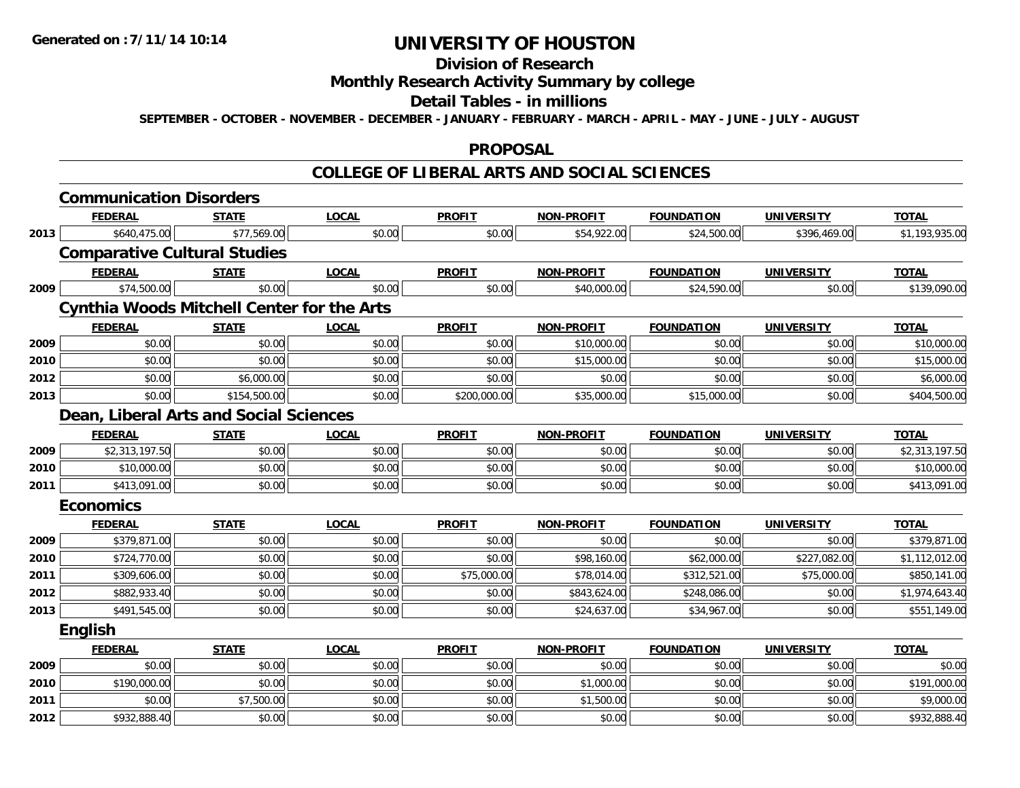## **Division of Research**

### **Monthly Research Activity Summary by college**

#### **Detail Tables - in millions**

**SEPTEMBER - OCTOBER - NOVEMBER - DECEMBER - JANUARY - FEBRUARY - MARCH - APRIL - MAY - JUNE - JULY - AUGUST**

#### **PROPOSAL**

### **COLLEGE OF LIBERAL ARTS AND SOCIAL SCIENCES**

|      | <b>Communication Disorders</b> |                                                   |              |               |                   |                   |                   |                |
|------|--------------------------------|---------------------------------------------------|--------------|---------------|-------------------|-------------------|-------------------|----------------|
|      | <b>FEDERAL</b>                 | <b>STATE</b>                                      | <b>LOCAL</b> | <b>PROFIT</b> | <b>NON-PROFIT</b> | <b>FOUNDATION</b> | <b>UNIVERSITY</b> | <b>TOTAL</b>   |
| 2013 | \$640,475.00                   | \$77,569.00                                       | \$0.00       | \$0.00        | \$54,922.00       | \$24,500.00       | \$396,469.00      | \$1,193,935.00 |
|      |                                | <b>Comparative Cultural Studies</b>               |              |               |                   |                   |                   |                |
|      | <b>FEDERAL</b>                 | <b>STATE</b>                                      | <b>LOCAL</b> | <b>PROFIT</b> | <b>NON-PROFIT</b> | <b>FOUNDATION</b> | <b>UNIVERSITY</b> | <b>TOTAL</b>   |
| 2009 | \$74,500.00                    | \$0.00                                            | \$0.00       | \$0.00        | \$40,000.00       | \$24,590.00       | \$0.00            | \$139,090.00   |
|      |                                | <b>Cynthia Woods Mitchell Center for the Arts</b> |              |               |                   |                   |                   |                |
|      | <b>FEDERAL</b>                 | <b>STATE</b>                                      | <b>LOCAL</b> | <b>PROFIT</b> | <b>NON-PROFIT</b> | <b>FOUNDATION</b> | <b>UNIVERSITY</b> | <b>TOTAL</b>   |
| 2009 | \$0.00                         | \$0.00                                            | \$0.00       | \$0.00        | \$10,000.00       | \$0.00            | \$0.00            | \$10,000.00    |
| 2010 | \$0.00                         | \$0.00                                            | \$0.00       | \$0.00        | \$15,000.00       | \$0.00            | \$0.00            | \$15,000.00    |
| 2012 | \$0.00                         | \$6,000.00                                        | \$0.00       | \$0.00        | \$0.00            | \$0.00            | \$0.00            | \$6,000.00     |
| 2013 | \$0.00                         | \$154,500.00                                      | \$0.00       | \$200,000.00  | \$35,000.00       | \$15,000.00       | \$0.00            | \$404,500.00   |
|      |                                | Dean, Liberal Arts and Social Sciences            |              |               |                   |                   |                   |                |
|      | <b>FEDERAL</b>                 | <b>STATE</b>                                      | <b>LOCAL</b> | <b>PROFIT</b> | <b>NON-PROFIT</b> | <b>FOUNDATION</b> | <b>UNIVERSITY</b> | <b>TOTAL</b>   |
| 2009 | \$2,313,197.50                 | \$0.00                                            | \$0.00       | \$0.00        | \$0.00            | \$0.00            | \$0.00            | \$2,313,197.50 |
| 2010 | \$10,000.00                    | \$0.00                                            | \$0.00       | \$0.00        | \$0.00            | \$0.00            | \$0.00            | \$10,000.00    |
| 2011 | \$413,091.00                   | \$0.00                                            | \$0.00       | \$0.00        | \$0.00            | \$0.00            | \$0.00            | \$413,091.00   |
|      | <b>Economics</b>               |                                                   |              |               |                   |                   |                   |                |
|      | <b>FEDERAL</b>                 | <b>STATE</b>                                      | <b>LOCAL</b> | <b>PROFIT</b> | <b>NON-PROFIT</b> | <b>FOUNDATION</b> | <b>UNIVERSITY</b> | <b>TOTAL</b>   |
| 2009 | \$379,871.00                   | \$0.00                                            | \$0.00       | \$0.00        | \$0.00            | \$0.00            | \$0.00            | \$379,871.00   |
| 2010 | \$724,770.00                   | \$0.00                                            | \$0.00       | \$0.00        | \$98,160.00       | \$62,000.00       | \$227,082.00      | \$1,112,012.00 |
| 2011 | \$309,606.00                   | \$0.00                                            | \$0.00       | \$75,000.00   | \$78,014.00       | \$312,521.00      | \$75,000.00       | \$850,141.00   |
| 2012 | \$882,933.40                   | \$0.00                                            | \$0.00       | \$0.00        | \$843,624.00      | \$248,086.00      | \$0.00            | \$1,974,643.40 |
| 2013 | \$491,545.00                   | \$0.00                                            | \$0.00       | \$0.00        | \$24,637.00       | \$34,967.00       | \$0.00            | \$551,149.00   |
|      | <b>English</b>                 |                                                   |              |               |                   |                   |                   |                |
|      | <b>FEDERAL</b>                 | <b>STATE</b>                                      | <b>LOCAL</b> | <b>PROFIT</b> | <b>NON-PROFIT</b> | <b>FOUNDATION</b> | <b>UNIVERSITY</b> | <b>TOTAL</b>   |
| 2009 | \$0.00                         | \$0.00                                            | \$0.00       | \$0.00        | \$0.00            | \$0.00            | \$0.00            | \$0.00         |
| 2010 | \$190,000.00                   | \$0.00                                            | \$0.00       | \$0.00        | \$1,000.00        | \$0.00            | \$0.00            | \$191,000.00   |
| 2011 | \$0.00                         | \$7,500.00                                        | \$0.00       | \$0.00        | \$1,500.00        | \$0.00            | \$0.00            | \$9,000.00     |
| 2012 | \$932,888.40                   | \$0.00                                            | \$0.00       | \$0.00        | \$0.00            | \$0.00            | \$0.00            | \$932,888.40   |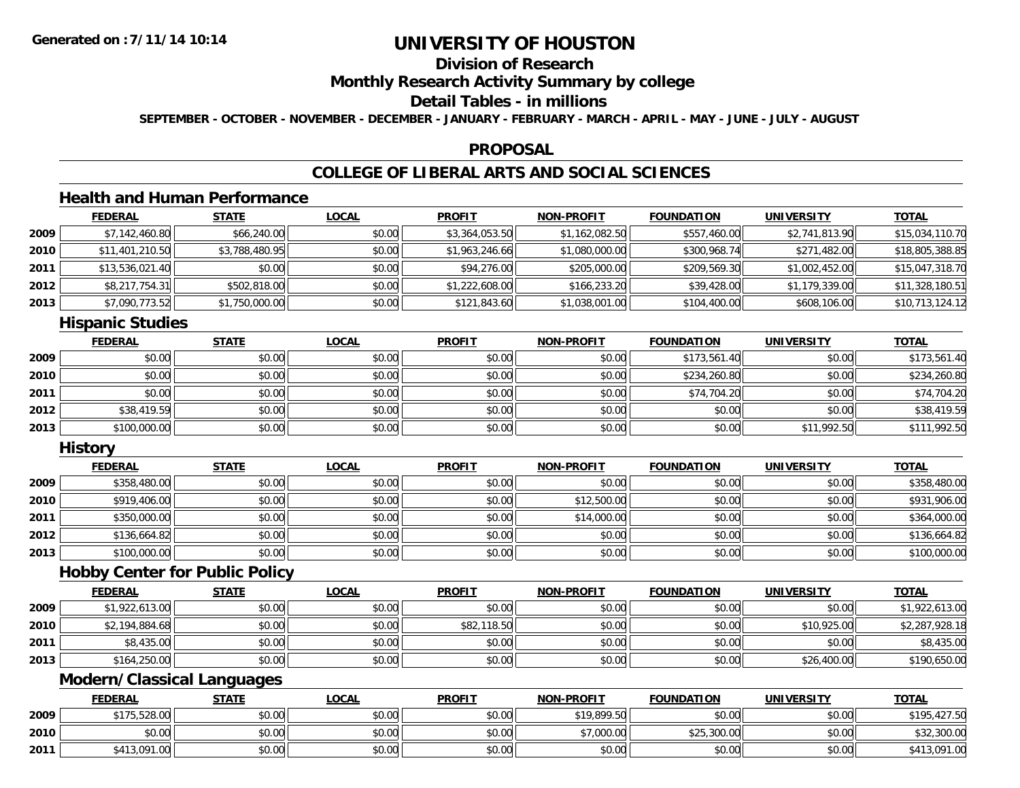## **Division of Research**

### **Monthly Research Activity Summary by college**

## **Detail Tables - in millions**

**SEPTEMBER - OCTOBER - NOVEMBER - DECEMBER - JANUARY - FEBRUARY - MARCH - APRIL - MAY - JUNE - JULY - AUGUST**

#### **PROPOSAL**

## **COLLEGE OF LIBERAL ARTS AND SOCIAL SCIENCES**

## **Health and Human Performance**

|      | <b>FEDERAL</b>  | <u>STATE</u>   | <u>LOCAL</u> | <b>PROFIT</b>  | <b>NON-PROFIT</b> | <b>FOUNDATION</b> | <b>UNIVERSITY</b> | <u>TOTAL</u>    |
|------|-----------------|----------------|--------------|----------------|-------------------|-------------------|-------------------|-----------------|
| 2009 | \$7,142,460.80  | \$66,240.00    | \$0.00       | \$3,364,053.50 | \$1,162,082.50    | \$557,460.00      | \$2,741,813.90    | \$15,034,110.70 |
| 2010 | \$11,401,210.50 | \$3,788,480.95 | \$0.00       | \$1,963,246.66 | \$1,080,000.00    | \$300,968.74      | \$271,482.00      | \$18,805,388.85 |
| 2011 | \$13,536,021.40 | \$0.00         | \$0.00       | \$94,276.00    | \$205,000.00      | \$209,569.30      | \$1,002,452.00    | \$15,047,318.70 |
| 2012 | \$8,217,754.31  | \$502,818.00   | \$0.00       | \$1,222,608.00 | \$166,233.20      | \$39,428.00       | \$1,179,339.00    | \$11,328,180.51 |
| 2013 | \$7,090,773.52  | \$1,750,000.00 | \$0.00       | \$121,843.60   | \$1,038,001.00    | \$104,400.00      | \$608,106.00      | \$10,713,124.12 |

#### **Hispanic Studies**

|      | <u>FEDERAL</u> | <b>STATE</b> | <b>LOCAL</b> | <b>PROFIT</b> | <b>NON-PROFIT</b> | <b>FOUNDATION</b> | <b>UNIVERSITY</b> | <b>TOTAL</b> |
|------|----------------|--------------|--------------|---------------|-------------------|-------------------|-------------------|--------------|
| 2009 | \$0.00         | \$0.00       | \$0.00       | \$0.00        | \$0.00            | \$173,561.40      | \$0.00            | \$173,561.40 |
| 2010 | \$0.00         | \$0.00       | \$0.00       | \$0.00        | \$0.00            | \$234,260.80      | \$0.00            | \$234,260.80 |
| 2011 | \$0.00         | \$0.00       | \$0.00       | \$0.00        | \$0.00            | \$74,704.20       | \$0.00            | \$74,704.20  |
| 2012 | \$38,419.59    | \$0.00       | \$0.00       | \$0.00        | \$0.00            | \$0.00            | \$0.00            | \$38,419.59  |
| 2013 | \$100,000.00   | \$0.00       | \$0.00       | \$0.00        | \$0.00            | \$0.00            | \$11,992.50       | \$111,992.50 |

#### **History**

|      | <b>FEDERAL</b> | <u>STATE</u> | <u>LOCAL</u> | <b>PROFIT</b> | <b>NON-PROFIT</b> | <b>FOUNDATION</b> | <b>UNIVERSITY</b> | <b>TOTAL</b> |
|------|----------------|--------------|--------------|---------------|-------------------|-------------------|-------------------|--------------|
| 2009 | \$358,480.00   | \$0.00       | \$0.00       | \$0.00        | \$0.00            | \$0.00            | \$0.00            | \$358,480.00 |
| 2010 | \$919,406.00   | \$0.00       | \$0.00       | \$0.00        | \$12,500.00       | \$0.00            | \$0.00            | \$931,906.00 |
| 2011 | \$350,000.00   | \$0.00       | \$0.00       | \$0.00        | \$14,000.00       | \$0.00            | \$0.00            | \$364,000.00 |
| 2012 | \$136,664.82   | \$0.00       | \$0.00       | \$0.00        | \$0.00            | \$0.00            | \$0.00            | \$136,664.82 |
| 2013 | \$100,000.00   | \$0.00       | \$0.00       | \$0.00        | \$0.00            | \$0.00            | \$0.00            | \$100,000.00 |

#### **Hobby Center for Public Policy**

|      | <b>FEDERAL</b> | STATE  | <u>LOCAL</u> | <b>PROFIT</b> | <b>NON-PROFIT</b> | <b>FOUNDATION</b> | <b>UNIVERSITY</b> | <b>TOTAL</b>   |
|------|----------------|--------|--------------|---------------|-------------------|-------------------|-------------------|----------------|
| 2009 | \$1,922,613.00 | \$0.00 | \$0.00       | \$0.00        | \$0.00            | \$0.00            | \$0.00            | \$1,922,613.00 |
| 2010 | \$2,194,884.68 | \$0.00 | \$0.00       | \$82,118.50   | \$0.00            | \$0.00            | \$10,925.00       | \$2,287,928.18 |
| 2011 | \$8,435.00     | \$0.00 | \$0.00       | \$0.00        | \$0.00            | \$0.00            | \$0.00            | \$8,435.00     |
| 2013 | \$164,250.00   | \$0.00 | \$0.00       | \$0.00        | \$0.00            | \$0.00            | \$26,400.00       | \$190,650.00   |

## **Modern/Classical Languages**

|      | <u>FEDERAL</u> | <u>STATE</u> | <u>LOCAL</u> | <b>PROFIT</b> | <b>NON-PROFIT</b> | <b>FOUNDATION</b> | <b>UNIVERSITY</b> | <b>TOTAL</b> |
|------|----------------|--------------|--------------|---------------|-------------------|-------------------|-------------------|--------------|
| 2009 | \$175,528.00   | \$0.00       | \$0.00       | \$0.00        | \$19,899.50       | \$0.00            | \$0.00            | \$195,427.50 |
| 2010 | \$0.00         | \$0.00       | \$0.00       | \$0.00        | $*7,000.00$       | \$25,300.00       | \$0.00            | \$32,300.00  |
| 2011 | 13.091.00      | \$0.00       | \$0.00       | \$0.00        | \$0.00            | \$0.00            | \$0.00            | \$413,091.00 |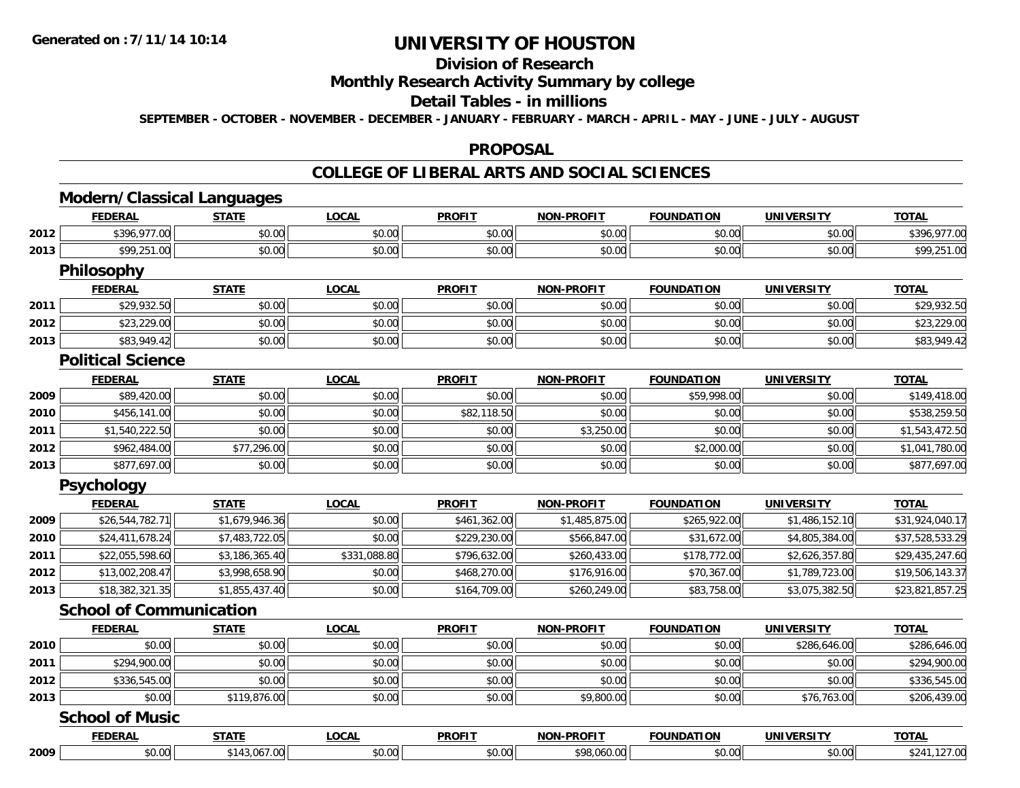## **Division of Research**

### **Monthly Research Activity Summary by college**

#### **Detail Tables - in millions**

**SEPTEMBER - OCTOBER - NOVEMBER - DECEMBER - JANUARY - FEBRUARY - MARCH - APRIL - MAY - JUNE - JULY - AUGUST**

#### **PROPOSAL**

#### **COLLEGE OF LIBERAL ARTS AND SOCIAL SCIENCES**

|      | <b>Modern/Classical Languages</b> |                |              |               |                   |                   |                   |                 |
|------|-----------------------------------|----------------|--------------|---------------|-------------------|-------------------|-------------------|-----------------|
|      | <b>FEDERAL</b>                    | <b>STATE</b>   | <b>LOCAL</b> | <b>PROFIT</b> | <b>NON-PROFIT</b> | <b>FOUNDATION</b> | <b>UNIVERSITY</b> | <b>TOTAL</b>    |
| 2012 | \$396,977.00                      | \$0.00         | \$0.00       | \$0.00        | \$0.00            | \$0.00            | \$0.00            | \$396,977.00    |
| 2013 | \$99,251.00                       | \$0.00         | \$0.00       | \$0.00        | \$0.00            | \$0.00            | \$0.00            | \$99,251.00     |
|      | <b>Philosophy</b>                 |                |              |               |                   |                   |                   |                 |
|      | <b>FEDERAL</b>                    | <b>STATE</b>   | <b>LOCAL</b> | <b>PROFIT</b> | <b>NON-PROFIT</b> | <b>FOUNDATION</b> | <b>UNIVERSITY</b> | <b>TOTAL</b>    |
| 2011 | \$29,932.50                       | \$0.00         | \$0.00       | \$0.00        | \$0.00            | \$0.00            | \$0.00            | \$29,932.50     |
| 2012 | \$23,229.00                       | \$0.00         | \$0.00       | \$0.00        | \$0.00            | \$0.00            | \$0.00            | \$23,229.00     |
| 2013 | \$83,949.42                       | \$0.00         | \$0.00       | \$0.00        | \$0.00            | \$0.00            | \$0.00            | \$83,949.42     |
|      | <b>Political Science</b>          |                |              |               |                   |                   |                   |                 |
|      | <b>FEDERAL</b>                    | <b>STATE</b>   | <b>LOCAL</b> | <b>PROFIT</b> | <b>NON-PROFIT</b> | <b>FOUNDATION</b> | <b>UNIVERSITY</b> | <b>TOTAL</b>    |
| 2009 | \$89,420.00                       | \$0.00         | \$0.00       | \$0.00        | \$0.00            | \$59,998.00       | \$0.00            | \$149,418.00    |
| 2010 | \$456,141.00                      | \$0.00         | \$0.00       | \$82,118.50   | \$0.00            | \$0.00            | \$0.00            | \$538,259.50    |
| 2011 | \$1,540,222.50                    | \$0.00         | \$0.00       | \$0.00        | \$3,250.00        | \$0.00            | \$0.00            | \$1,543,472.50  |
| 2012 | \$962,484.00                      | \$77,296.00    | \$0.00       | \$0.00        | \$0.00            | \$2,000.00        | \$0.00            | \$1,041,780.00  |
| 2013 | \$877,697.00                      | \$0.00         | \$0.00       | \$0.00        | \$0.00            | \$0.00            | \$0.00            | \$877,697.00    |
|      | Psychology                        |                |              |               |                   |                   |                   |                 |
|      | <b>FEDERAL</b>                    | <b>STATE</b>   | <b>LOCAL</b> | <b>PROFIT</b> | <b>NON-PROFIT</b> | <b>FOUNDATION</b> | <b>UNIVERSITY</b> | <b>TOTAL</b>    |
| 2009 | \$26,544,782.71                   | \$1,679,946.36 | \$0.00       | \$461,362.00  | \$1,485,875.00    | \$265,922.00      | \$1,486,152.10    | \$31,924,040.17 |
| 2010 | \$24,411,678.24                   | \$7,483,722.05 | \$0.00       | \$229,230.00  | \$566,847.00      | \$31,672.00       | \$4,805,384.00    | \$37,528,533.29 |
| 2011 | \$22,055,598.60                   | \$3,186,365.40 | \$331,088.80 | \$796,632.00  | \$260,433.00      | \$178,772.00      | \$2,626,357.80    | \$29,435,247.60 |
| 2012 | \$13,002,208.47                   | \$3,998,658.90 | \$0.00       | \$468,270.00  | \$176,916.00      | \$70,367.00       | \$1,789,723.00    | \$19,506,143.37 |
| 2013 | \$18,382,321.35                   | \$1,855,437.40 | \$0.00       | \$164,709.00  | \$260,249.00      | \$83,758.00       | \$3,075,382.50    | \$23,821,857.25 |
|      | <b>School of Communication</b>    |                |              |               |                   |                   |                   |                 |
|      | <b>FEDERAL</b>                    | <b>STATE</b>   | <b>LOCAL</b> | <b>PROFIT</b> | <b>NON-PROFIT</b> | <b>FOUNDATION</b> | <b>UNIVERSITY</b> | <b>TOTAL</b>    |
| 2010 | \$0.00                            | \$0.00         | \$0.00       | \$0.00        | \$0.00            | \$0.00            | \$286,646.00      | \$286,646.00    |
| 2011 | \$294,900.00                      | \$0.00         | \$0.00       | \$0.00        | \$0.00            | \$0.00            | \$0.00            | \$294,900.00    |
| 2012 | \$336,545.00                      | \$0.00         | \$0.00       | \$0.00        | \$0.00            | \$0.00            | \$0.00            | \$336,545.00    |
| 2013 | \$0.00                            | \$119,876.00   | \$0.00       | \$0.00        | \$9,800.00        | \$0.00            | \$76,763.00       | \$206,439.00    |
|      | <b>School of Music</b>            |                |              |               |                   |                   |                   |                 |
|      | <b>FEDERAL</b>                    | <b>STATE</b>   | <b>LOCAL</b> | <b>PROFIT</b> | <b>NON-PROFIT</b> | <b>FOUNDATION</b> | <b>UNIVERSITY</b> | <b>TOTAL</b>    |
| 2009 | \$0.00                            | \$143,067.00   | \$0.00       | \$0.00        | \$98,060.00       | \$0.00            | \$0.00            | \$241,127.00    |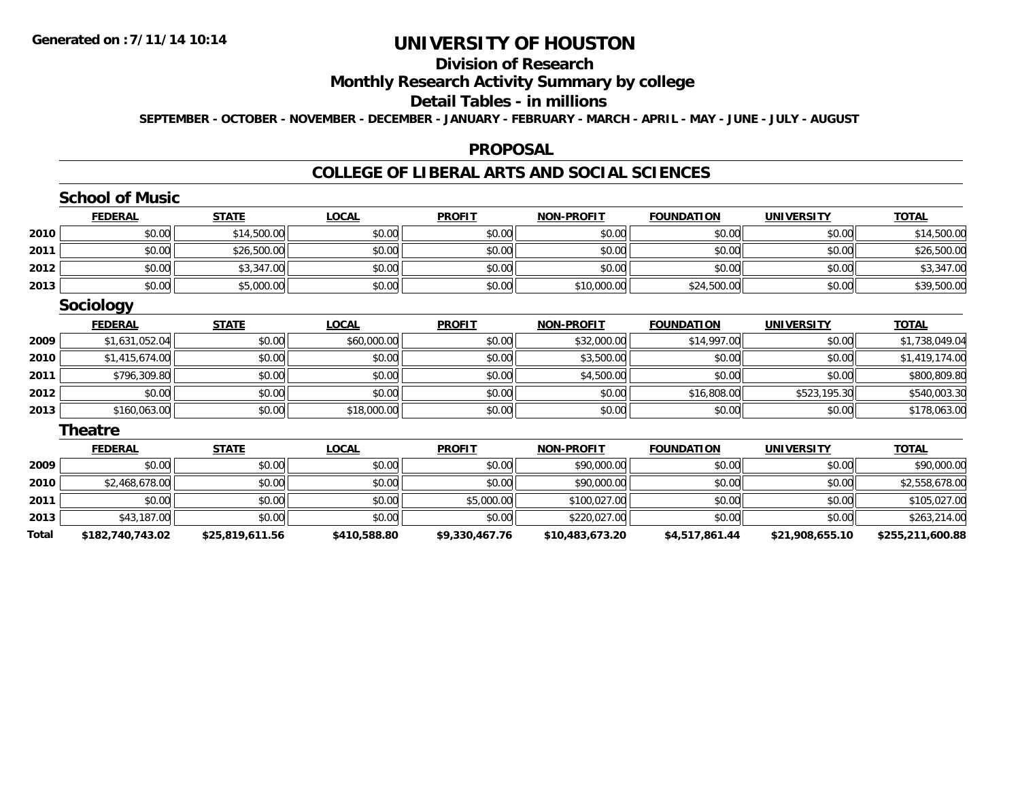## **Division of Research**

## **Monthly Research Activity Summary by college**

#### **Detail Tables - in millions**

**SEPTEMBER - OCTOBER - NOVEMBER - DECEMBER - JANUARY - FEBRUARY - MARCH - APRIL - MAY - JUNE - JULY - AUGUST**

#### **PROPOSAL**

### **COLLEGE OF LIBERAL ARTS AND SOCIAL SCIENCES**

|       | <b>School of Music</b> |                 |              |                |                   |                   |                   |                  |
|-------|------------------------|-----------------|--------------|----------------|-------------------|-------------------|-------------------|------------------|
|       | <b>FEDERAL</b>         | <b>STATE</b>    | <b>LOCAL</b> | <b>PROFIT</b>  | <b>NON-PROFIT</b> | <b>FOUNDATION</b> | <b>UNIVERSITY</b> | <b>TOTAL</b>     |
| 2010  | \$0.00                 | \$14,500.00     | \$0.00       | \$0.00         | \$0.00            | \$0.00            | \$0.00            | \$14,500.00      |
| 2011  | \$0.00                 | \$26,500.00     | \$0.00       | \$0.00         | \$0.00            | \$0.00            | \$0.00            | \$26,500.00      |
| 2012  | \$0.00                 | \$3,347.00      | \$0.00       | \$0.00         | \$0.00            | \$0.00            | \$0.00            | \$3,347.00       |
| 2013  | \$0.00                 | \$5,000.00      | \$0.00       | \$0.00         | \$10,000.00       | \$24,500.00       | \$0.00            | \$39,500.00      |
|       | Sociology              |                 |              |                |                   |                   |                   |                  |
|       | <b>FEDERAL</b>         | <b>STATE</b>    | <b>LOCAL</b> | <b>PROFIT</b>  | <b>NON-PROFIT</b> | <b>FOUNDATION</b> | <b>UNIVERSITY</b> | <b>TOTAL</b>     |
| 2009  | \$1,631,052.04         | \$0.00          | \$60,000.00  | \$0.00         | \$32,000.00       | \$14,997.00       | \$0.00            | \$1,738,049.04   |
| 2010  | \$1,415,674.00         | \$0.00          | \$0.00       | \$0.00         | \$3,500.00        | \$0.00            | \$0.00            | \$1,419,174.00   |
| 2011  | \$796,309.80           | \$0.00          | \$0.00       | \$0.00         | \$4,500.00        | \$0.00            | \$0.00            | \$800,809.80     |
| 2012  | \$0.00                 | \$0.00          | \$0.00       | \$0.00         | \$0.00            | \$16,808.00       | \$523,195.30      | \$540,003.30     |
| 2013  | \$160,063.00           | \$0.00          | \$18,000.00  | \$0.00         | \$0.00            | \$0.00            | \$0.00            | \$178,063.00     |
|       | Theatre                |                 |              |                |                   |                   |                   |                  |
|       | <b>FEDERAL</b>         | <b>STATE</b>    | <b>LOCAL</b> | <b>PROFIT</b>  | <b>NON-PROFIT</b> | <b>FOUNDATION</b> | <b>UNIVERSITY</b> | <b>TOTAL</b>     |
| 2009  | \$0.00                 | \$0.00          | \$0.00       | \$0.00         | \$90,000.00       | \$0.00            | \$0.00            | \$90,000.00      |
| 2010  | \$2,468,678.00         | \$0.00          | \$0.00       | \$0.00         | \$90,000.00       | \$0.00            | \$0.00            | \$2,558,678.00   |
| 2011  | \$0.00                 | \$0.00          | \$0.00       | \$5,000.00     | \$100,027.00      | \$0.00            | \$0.00            | \$105,027.00     |
| 2013  | \$43,187.00            | \$0.00          | \$0.00       | \$0.00         | \$220,027.00      | \$0.00            | \$0.00            | \$263,214.00     |
| Total | \$182,740,743.02       | \$25,819,611.56 | \$410,588.80 | \$9,330,467.76 | \$10,483,673.20   | \$4,517,861.44    | \$21,908,655.10   | \$255,211,600.88 |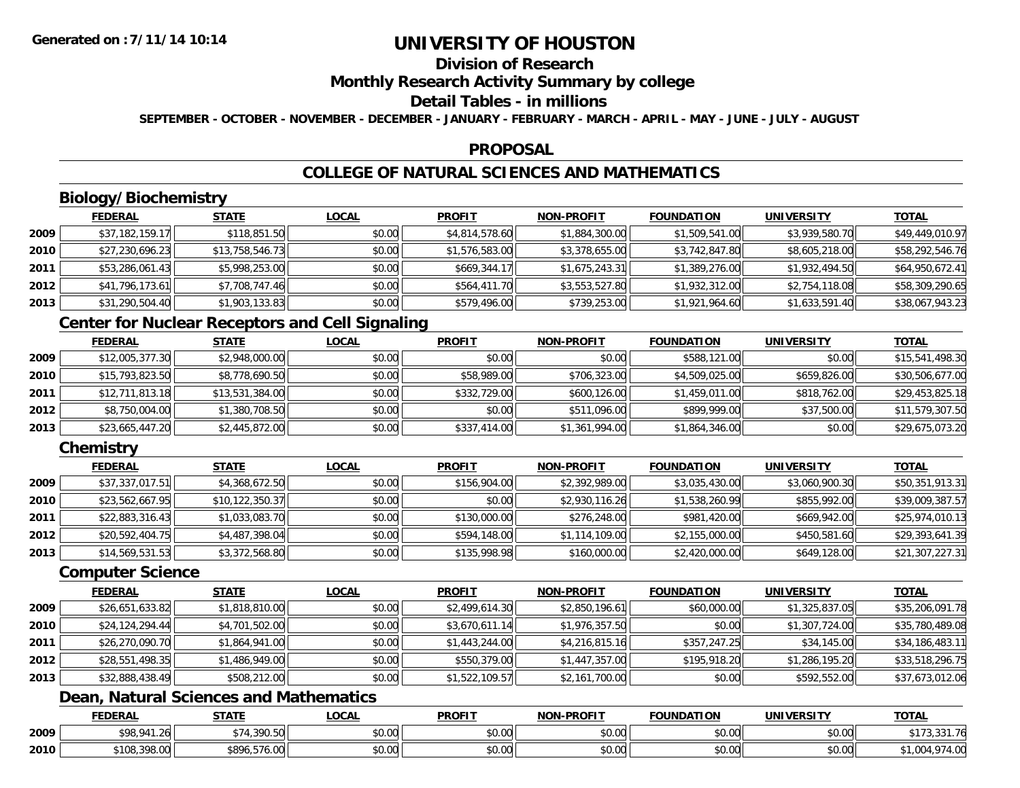## **Division of Research**

### **Monthly Research Activity Summary by college**

### **Detail Tables - in millions**

**SEPTEMBER - OCTOBER - NOVEMBER - DECEMBER - JANUARY - FEBRUARY - MARCH - APRIL - MAY - JUNE - JULY - AUGUST**

#### **PROPOSAL**

## **COLLEGE OF NATURAL SCIENCES AND MATHEMATICS**

## **Biology/Biochemistry**

|      | <b>FEDERAL</b>  | <u>STATE</u>    | <u>LOCAL</u> | <b>PROFIT</b>  | <b>NON-PROFIT</b> | <b>FOUNDATION</b> | <b>UNIVERSITY</b> | <b>TOTAL</b>    |
|------|-----------------|-----------------|--------------|----------------|-------------------|-------------------|-------------------|-----------------|
| 2009 | \$37,182,159.17 | \$118,851.50    | \$0.00       | \$4,814,578.60 | \$1,884,300.00    | \$1,509,541.00    | \$3,939,580.70    | \$49,449,010.97 |
| 2010 | \$27,230,696.23 | \$13,758,546.73 | \$0.00       | \$1,576,583.00 | \$3,378,655.00    | \$3,742,847.80    | \$8,605,218.00    | \$58,292,546.76 |
| 2011 | \$53,286,061.43 | \$5,998,253.00  | \$0.00       | \$669,344.17   | \$1,675,243.31    | \$1,389,276.00    | \$1,932,494.50    | \$64,950,672.41 |
| 2012 | \$41,796,173.61 | \$7,708,747.46  | \$0.00       | \$564,411.70   | \$3,553,527.80    | \$1,932,312.00    | \$2,754,118.08    | \$58,309,290.65 |
| 2013 | \$31,290,504.40 | \$1,903,133.83  | \$0.00       | \$579,496.00   | \$739,253.00      | \$1,921,964.60    | \$1,633,591.40    | \$38,067,943.23 |

## **Center for Nuclear Receptors and Cell Signaling**

|      | <b>FEDERAL</b>  | <u>STATE</u>    | <u>LOCAL</u> | <b>PROFIT</b> | NON-PROFIT     | <b>FOUNDATION</b> | <b>UNIVERSITY</b> | <b>TOTAL</b>    |
|------|-----------------|-----------------|--------------|---------------|----------------|-------------------|-------------------|-----------------|
| 2009 | \$12,005,377.30 | \$2,948,000.00  | \$0.00       | \$0.00        | \$0.00         | \$588,121.00      | \$0.00            | \$15,541,498.30 |
| 2010 | \$15,793,823.50 | \$8,778,690.50  | \$0.00       | \$58,989.00   | \$706,323.00   | \$4,509,025.00    | \$659,826.00      | \$30,506,677.00 |
| 2011 | \$12,711,813.18 | \$13,531,384.00 | \$0.00       | \$332,729.00  | \$600,126.00   | \$1,459,011.00    | \$818,762.00      | \$29,453,825.18 |
| 2012 | \$8,750,004.00  | \$1,380,708.50  | \$0.00       | \$0.00        | \$511,096.00   | \$899,999.00      | \$37,500.00       | \$11,579,307.50 |
| 2013 | \$23,665,447.20 | \$2,445,872.00  | \$0.00       | \$337,414.00  | \$1,361,994.00 | \$1,864,346.00    | \$0.00            | \$29,675,073.20 |

## **Chemistry**

|      | <b>FEDERAL</b>  | <b>STATE</b>      | <b>LOCAL</b> | <b>PROFIT</b> | <b>NON-PROFIT</b> | <b>FOUNDATION</b> | <b>UNIVERSITY</b> | <b>TOTAL</b>    |
|------|-----------------|-------------------|--------------|---------------|-------------------|-------------------|-------------------|-----------------|
| 2009 | \$37,337,017.51 | \$4,368,672.50    | \$0.00       | \$156,904.00  | \$2,392,989.00    | \$3,035,430.00    | \$3,060,900.30    | \$50,351,913.31 |
| 2010 | \$23,562,667.95 | \$10, 122, 350.37 | \$0.00       | \$0.00        | \$2,930,116.26    | \$1,538,260.99    | \$855,992.00      | \$39,009,387.57 |
| 2011 | \$22,883,316.43 | \$1,033,083.70    | \$0.00       | \$130,000.00  | \$276,248.00      | \$981,420.00      | \$669,942.00      | \$25,974,010.13 |
| 2012 | \$20,592,404.75 | \$4,487,398.04    | \$0.00       | \$594,148.00  | \$1,114,109.00    | \$2,155,000.00    | \$450,581.60      | \$29,393,641.39 |
| 2013 | \$14,569,531.53 | \$3,372,568.80    | \$0.00       | \$135,998.98  | \$160,000.00      | \$2,420,000.00    | \$649,128.00      | \$21,307,227.31 |

#### **Computer Science**

|      | <b>FEDERAL</b>  | <b>STATE</b>   | <b>LOCAL</b> | <b>PROFIT</b>  | <b>NON-PROFIT</b> | <b>FOUNDATION</b> | <b>UNIVERSITY</b> | <u>TOTAL</u>    |
|------|-----------------|----------------|--------------|----------------|-------------------|-------------------|-------------------|-----------------|
| 2009 | \$26,651,633.82 | \$1,818,810.00 | \$0.00       | \$2,499,614.30 | \$2,850,196.61    | \$60,000.00       | \$1,325,837.05    | \$35,206,091.78 |
| 2010 | \$24,124,294.44 | \$4,701,502.00 | \$0.00       | \$3,670,611.14 | \$1,976,357.50    | \$0.00            | \$1,307,724.00    | \$35,780,489.08 |
| 2011 | \$26,270,090.70 | \$1,864,941.00 | \$0.00       | \$1,443,244.00 | \$4,216,815.16    | \$357,247.25      | \$34,145.00       | \$34,186,483.11 |
| 2012 | \$28,551,498.35 | \$1,486,949.00 | \$0.00       | \$550,379.00   | \$1,447,357.00    | \$195,918.20      | \$1,286,195.20    | \$33,518,296.75 |
| 2013 | \$32,888,438.49 | \$508,212.00   | \$0.00       | \$1,522,109.57 | \$2,161,700.00    | \$0.00            | \$592,552.00      | \$37,673,012.06 |

## **Dean, Natural Sciences and Mathematics**

|      | <b>FEDERAL</b>                                   | <b>CTATE</b><br>9 I A I I | .OCAL                           | <b>PROFIT</b>                          | <b>.PROFIT</b><br>NION' | וחמד<br>דמחוחו וח-      | UNIVERSITY             | <b>TOTAL</b>             |
|------|--------------------------------------------------|---------------------------|---------------------------------|----------------------------------------|-------------------------|-------------------------|------------------------|--------------------------|
| 2009 | 0000112<br>۰۰ ه. م                               | 200 $ED$                  | $\sim$<br>$\sim$ $\sim$<br>ישיע | ტი იი<br>JU.UU                         | $\sim$ $\sim$<br>PU.UU  | 0 <sub>n</sub><br>vu.vu | $\sim$ $\sim$<br>PO.OO | .                        |
| 2010 | <b>COC ONE</b><br>$\sim$<br>2 U<br>, IU8,398.UUL | \$896.<br>$- -$<br>76.UU  | ሖ ∩<br>$\sim$<br>vu.uu          | $\uparrow$ $\wedge$<br>$\sim$<br>JU.UU | $\sim$ 00<br>JU.UU      | 0.00<br>JU.UU           | 0.001<br>JU.UU         | $\sim$<br>74.UU<br>$U^+$ |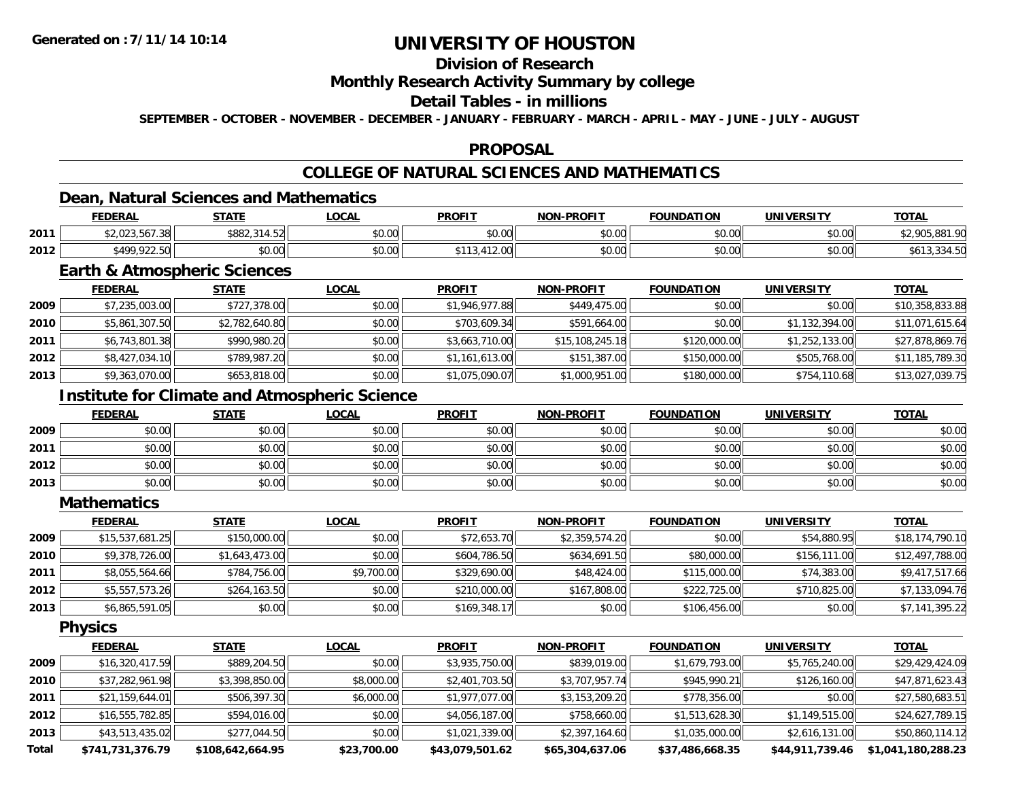## **Division of Research**

### **Monthly Research Activity Summary by college**

### **Detail Tables - in millions**

**SEPTEMBER - OCTOBER - NOVEMBER - DECEMBER - JANUARY - FEBRUARY - MARCH - APRIL - MAY - JUNE - JULY - AUGUST**

### **PROPOSAL**

## **COLLEGE OF NATURAL SCIENCES AND MATHEMATICS**

## **Dean, Natural Sciences and Mathematics**

|      | <b>FEDERAL</b> | <b>STATE</b>             | <b>OCAL</b> | <b>PROFIT</b>                | <b>NON-PROFIT</b> | <b>FOUNDATION</b> | <b>UNIVERSITY</b> | <b>TOTAL</b>              |
|------|----------------|--------------------------|-------------|------------------------------|-------------------|-------------------|-------------------|---------------------------|
| 2011 | \$2.023.567.38 | \$882.3<br>2115<br>14.OZ | \$0.00      | 0000<br>JU.UU                | \$0.00            | \$0.00            | \$0.00            | \$2.905<br>ാറ<br>$\cdots$ |
| 2012 | \$499,922.50   | \$0.00                   | \$0.00      | 11200<br><b>AAA</b><br>12.VV | \$0.00            | \$0.00            | \$0.00            | <b>JULIU.JJ</b> H.JU      |

## **Earth & Atmospheric Sciences**

|      | <b>FEDERAL</b> | <b>STATE</b>   | <b>LOCAL</b> | <b>PROFIT</b>  | <b>NON-PROFIT</b> | <b>FOUNDATION</b> | <b>UNIVERSITY</b> | <u>TOTAL</u>    |
|------|----------------|----------------|--------------|----------------|-------------------|-------------------|-------------------|-----------------|
| 2009 | \$7,235,003.00 | \$727,378.00   | \$0.00       | \$1,946,977.88 | \$449,475.00      | \$0.00            | \$0.00            | \$10,358,833.88 |
| 2010 | \$5,861,307.50 | \$2,782,640.80 | \$0.00       | \$703,609.34   | \$591,664.00      | \$0.00            | \$1,132,394.00    | \$11,071,615.64 |
| 2011 | \$6,743,801.38 | \$990,980.20   | \$0.00       | \$3,663,710.00 | \$15,108,245.18   | \$120,000.00      | \$1,252,133.00    | \$27,878,869.76 |
| 2012 | \$8,427,034.10 | \$789,987.20   | \$0.00       | \$1,161,613.00 | \$151,387.00      | \$150,000.00      | \$505,768.00      | \$11,185,789.30 |
| 2013 | \$9,363,070.00 | \$653,818.00   | \$0.00       | \$1,075,090.07 | \$1,000,951.00    | \$180,000.00      | \$754,110.68      | \$13,027,039.75 |

## **Institute for Climate and Atmospheric Science**

|      | <b>FEDERAL</b> | <b>STATE</b> | <u>LOCAL</u> | <b>PROFIT</b> | <b>NON-PROFIT</b> | <b>FOUNDATION</b> | <b>UNIVERSITY</b> | <u>TOTAL</u> |
|------|----------------|--------------|--------------|---------------|-------------------|-------------------|-------------------|--------------|
| 2009 | \$0.00         | \$0.00       | \$0.00       | \$0.00        | \$0.00            | \$0.00            | \$0.00            | \$0.00       |
| 2011 | \$0.00         | \$0.00       | \$0.00       | \$0.00        | \$0.00            | \$0.00            | \$0.00            | \$0.00       |
| 2012 | \$0.00         | \$0.00       | \$0.00       | \$0.00        | \$0.00            | \$0.00            | \$0.00            | \$0.00       |
| 2013 | \$0.00         | \$0.00       | \$0.00       | \$0.00        | \$0.00            | \$0.00            | \$0.00            | \$0.00       |

#### **Mathematics**

|      | <b>FEDERAL</b>  | <b>STATE</b>   | <b>LOCAL</b> | <b>PROFIT</b> | <b>NON-PROFIT</b> | <b>FOUNDATION</b> | <b>UNIVERSITY</b> | <b>TOTAL</b>    |
|------|-----------------|----------------|--------------|---------------|-------------------|-------------------|-------------------|-----------------|
| 2009 | \$15,537,681.25 | \$150,000.00   | \$0.00       | \$72,653.70   | \$2,359,574.20    | \$0.00            | \$54,880.95       | \$18,174,790.10 |
| 2010 | \$9,378,726.00  | \$1,643,473.00 | \$0.00       | \$604,786.50  | \$634,691.50      | \$80,000.00       | \$156,111.00      | \$12,497,788.00 |
| 2011 | \$8,055,564.66  | \$784,756.00   | \$9,700.00   | \$329,690.00  | \$48,424.00       | \$115,000.00      | \$74,383.00       | \$9,417,517.66  |
| 2012 | \$5,557,573.26  | \$264,163.50   | \$0.00       | \$210,000.00  | \$167,808.00      | \$222,725.00      | \$710,825.00      | \$7,133,094.76  |
| 2013 | \$6,865,591.05  | \$0.00         | \$0.00       | \$169,348.17  | \$0.00            | \$106,456.00      | \$0.00            | \$7,141,395.22  |

**Physics**

|       | <b>FEDERAL</b>   | <b>STATE</b>     | LOCAL       | <b>PROFIT</b>   | <b>NON-PROFIT</b> | <b>FOUNDATION</b> | <b>UNIVERSITY</b> | <u>TOTAL</u>       |
|-------|------------------|------------------|-------------|-----------------|-------------------|-------------------|-------------------|--------------------|
| 2009  | \$16,320,417.59  | \$889,204.50     | \$0.00      | \$3,935,750.00  | \$839,019.00      | \$1,679,793.00    | \$5,765,240.00    | \$29,429,424.09    |
| 2010  | \$37,282,961.98  | \$3,398,850.00   | \$8,000.00  | \$2,401,703.50  | \$3,707,957.74    | \$945,990.21      | \$126,160.00      | \$47,871,623.43    |
| 2011  | \$21,159,644.01  | \$506,397.30     | \$6,000.00  | \$1,977,077.00  | \$3,153,209.20    | \$778,356.00      | \$0.00            | \$27,580,683.51    |
| 2012  | \$16,555,782.85  | \$594,016.00     | \$0.00      | \$4,056,187.00  | \$758,660.00      | \$1,513,628.30    | \$1,149,515.00    | \$24,627,789.15    |
| 2013  | \$43,513,435.02  | \$277,044.50     | \$0.00      | \$1,021,339.00  | \$2,397,164.60    | \$1,035,000.00    | \$2,616,131.00    | \$50,860,114.12    |
| Total | \$741,731,376.79 | \$108,642,664.95 | \$23,700.00 | \$43,079,501.62 | \$65,304,637.06   | \$37,486,668.35   | \$44,911,739.46   | \$1,041,180,288.23 |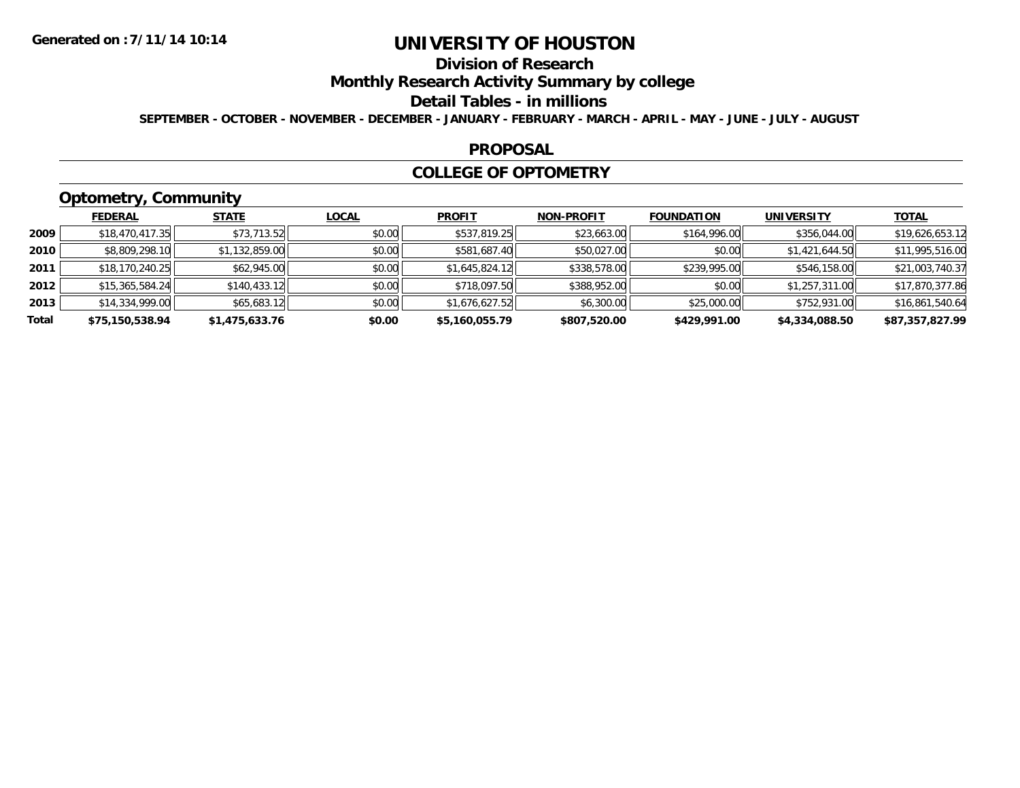## **Division of Research**

### **Monthly Research Activity Summary by college**

#### **Detail Tables - in millions**

**SEPTEMBER - OCTOBER - NOVEMBER - DECEMBER - JANUARY - FEBRUARY - MARCH - APRIL - MAY - JUNE - JULY - AUGUST**

#### **PROPOSAL**

#### **COLLEGE OF OPTOMETRY**

## **Optometry, Community**

|       | ___             |                |              |                |                   |                   |                   |                 |
|-------|-----------------|----------------|--------------|----------------|-------------------|-------------------|-------------------|-----------------|
|       | <b>FEDERAL</b>  | <b>STATE</b>   | <u>LOCAL</u> | <b>PROFIT</b>  | <b>NON-PROFIT</b> | <b>FOUNDATION</b> | <b>UNIVERSITY</b> | <b>TOTAL</b>    |
| 2009  | \$18,470,417.35 | \$73,713.52    | \$0.00       | \$537,819.25   | \$23,663.00       | \$164,996.00      | \$356,044.00      | \$19,626,653.12 |
| 2010  | \$8,809,298.10  | \$1,132,859.00 | \$0.00       | \$581,687.40   | \$50,027.00       | \$0.00            | \$1,421,644.50    | \$11,995,516.00 |
| 2011  | \$18,170,240.25 | \$62,945.00    | \$0.00       | \$1,645,824.12 | \$338,578.00      | \$239,995.00      | \$546,158.00      | \$21,003,740.37 |
| 2012  | \$15,365,584,24 | \$140,433.12   | \$0.00       | \$718,097.50   | \$388,952.00      | \$0.00            | \$1,257,311.00    | \$17,870,377.86 |
| 2013  | \$14,334,999.00 | \$65,683.12    | \$0.00       | \$1,676,627.52 | \$6,300.00        | \$25,000.00       | \$752,931.00      | \$16,861,540.64 |
| Total | \$75,150,538.94 | \$1,475,633.76 | \$0.00       | \$5,160,055.79 | \$807,520.00      | \$429,991.00      | \$4,334,088.50    | \$87,357,827.99 |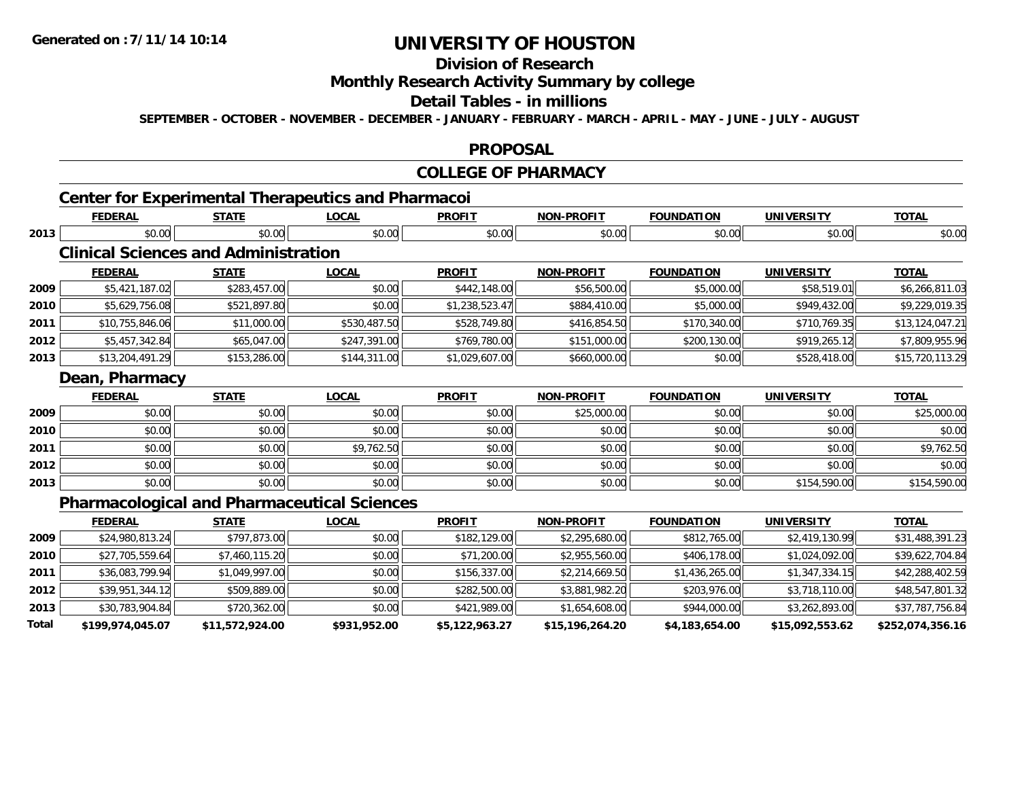## **Division of Research**

### **Monthly Research Activity Summary by college**

#### **Detail Tables - in millions**

**SEPTEMBER - OCTOBER - NOVEMBER - DECEMBER - JANUARY - FEBRUARY - MARCH - APRIL - MAY - JUNE - JULY - AUGUST**

#### **PROPOSAL**

#### **COLLEGE OF PHARMACY**

## **Center for Experimental Therapeutics and Pharmacoi**

|      |                                             |              | <b>LOCAL</b> | <b>PROFIT</b>  | <b>NON-PROFIT</b> | <b>FOUNDATION</b> | <b>UNIVERSITY</b> | <b>TOTAL</b>    |
|------|---------------------------------------------|--------------|--------------|----------------|-------------------|-------------------|-------------------|-----------------|
| 2013 | \$0.00                                      | \$0.00       | \$0.00       | \$0.00         | \$0.00            | \$0.00            | \$0.00            | \$0.00          |
|      | <b>Clinical Sciences and Administration</b> |              |              |                |                   |                   |                   |                 |
|      | <b>FEDERAL</b>                              | <b>STATE</b> | <b>LOCAL</b> | <b>PROFIT</b>  | <b>NON-PROFIT</b> | <b>FOUNDATION</b> | <b>UNIVERSITY</b> | <b>TOTAL</b>    |
| 2009 | \$5,421,187.02                              | \$283,457.00 | \$0.00       | \$442,148.00   | \$56,500.00       | \$5,000.00        | \$58,519.01       | \$6,266,811.03  |
| 2010 | \$5,629,756.08                              | \$521,897.80 | \$0.00       | \$1,238,523.47 | \$884,410.00      | \$5,000.00        | \$949,432.00      | \$9,229,019.35  |
| 2011 | \$10,755,846.06                             | \$11,000.00  | \$530,487.50 | \$528,749.80   | \$416,854.50      | \$170,340.00      | \$710,769.35      | \$13,124,047.21 |
| 2012 | \$5,457,342.84                              | \$65,047.00  | \$247,391.00 | \$769,780.00   | \$151,000.00      | \$200,130.00      | \$919,265.12      | \$7,809,955.96  |
| 2013 | \$13,204,491.29                             | \$153,286.00 | \$144,311.00 | \$1,029,607.00 | \$660,000.00      | \$0.00            | \$528,418.00      | \$15,720,113.29 |
|      | Dean, Pharmacy                              |              |              |                |                   |                   |                   |                 |
|      | <b>FEDERAL</b>                              | <b>STATE</b> | <b>LOCAL</b> | <b>PROFIT</b>  | <b>NON-PROFIT</b> | <b>FOUNDATION</b> | <b>UNIVERSITY</b> | <b>TOTAL</b>    |
| 2009 | \$0.00                                      | \$0.00       | \$0.00       | \$0.00         | \$25,000.00       | \$0.00            | \$0.00            | \$25,000.00     |
| 2010 | \$0.00                                      | \$0.00       | \$0.00       | \$0.00         | \$0.00            | \$0.00            | \$0.00            | \$0.00          |
| 2011 | \$0.00                                      | \$0.00       | \$9,762.50   | \$0.00         | \$0.00            | \$0.00            | \$0.00            | \$9,762.50      |
| 2012 | \$0.00                                      | \$0.00       | \$0.00       | \$0.00         | \$0.00            | \$0.00            | \$0.00            | \$0.00          |
| 2013 | \$0.00                                      | \$0.00       | \$0.00       | \$0.00         | \$0.00            | \$0.00            | \$154,590.00      | \$154,590.00    |

|       | <b>FEDERAL</b>   | <u>STATE</u>    | <b>LOCAL</b> | <b>PROFIT</b>  | <b>NON-PROFIT</b> | <b>FOUNDATION</b> | UNIVERSITY      | <b>TOTAL</b>     |
|-------|------------------|-----------------|--------------|----------------|-------------------|-------------------|-----------------|------------------|
| 2009  | \$24,980,813.24  | \$797,873.00    | \$0.00       | \$182,129.00   | \$2,295,680.00    | \$812,765.00      | \$2,419,130.99  | \$31,488,391.23  |
| 2010  | \$27,705,559.64  | \$7,460,115.20  | \$0.00       | \$71,200.00    | \$2,955,560.00    | \$406,178.00      | \$1,024,092.00  | \$39,622,704.84  |
| 2011  | \$36,083,799.94  | \$1,049,997.00  | \$0.00       | \$156,337.00   | \$2,214,669.50    | \$1,436,265.00    | \$1,347,334.15  | \$42,288,402.59  |
| 2012  | \$39,951,344.12  | \$509,889.00    | \$0.00       | \$282,500.00   | \$3,881,982.20    | \$203,976.00      | \$3,718,110.00  | \$48,547,801.32  |
| 2013  | \$30,783,904.84  | \$720,362.00    | \$0.00       | \$421,989.00   | \$1,654,608.00    | \$944,000.00      | \$3,262,893.00  | \$37,787,756.84  |
| Total | \$199,974,045.07 | \$11,572,924.00 | \$931,952.00 | \$5,122,963.27 | \$15,196,264.20   | \$4,183,654.00    | \$15,092,553.62 | \$252,074,356.16 |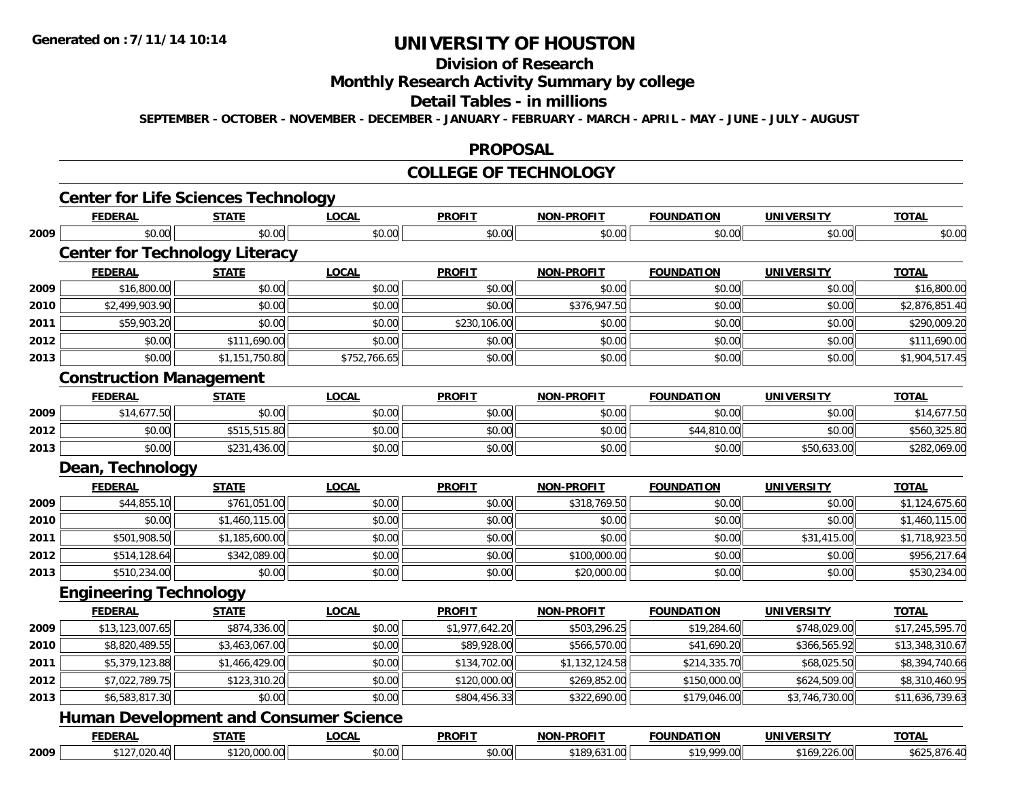## **Division of Research**

### **Monthly Research Activity Summary by college**

#### **Detail Tables - in millions**

**SEPTEMBER - OCTOBER - NOVEMBER - DECEMBER - JANUARY - FEBRUARY - MARCH - APRIL - MAY - JUNE - JULY - AUGUST**

#### **PROPOSAL**

#### **COLLEGE OF TECHNOLOGY**

|      | <b>Center for Life Sciences Technology</b>    |                |              |                |                   |                   |                   |                 |
|------|-----------------------------------------------|----------------|--------------|----------------|-------------------|-------------------|-------------------|-----------------|
|      | <b>FEDERAL</b>                                | <b>STATE</b>   | <b>LOCAL</b> | <b>PROFIT</b>  | <b>NON-PROFIT</b> | <b>FOUNDATION</b> | <b>UNIVERSITY</b> | <b>TOTAL</b>    |
| 2009 | \$0.00                                        | \$0.00         | \$0.00       | \$0.00         | \$0.00            | \$0.00            | \$0.00            | \$0.00          |
|      | <b>Center for Technology Literacy</b>         |                |              |                |                   |                   |                   |                 |
|      | <b>FEDERAL</b>                                | <b>STATE</b>   | <b>LOCAL</b> | <b>PROFIT</b>  | <b>NON-PROFIT</b> | <b>FOUNDATION</b> | <b>UNIVERSITY</b> | <b>TOTAL</b>    |
| 2009 | \$16,800.00                                   | \$0.00         | \$0.00       | \$0.00         | \$0.00            | \$0.00            | \$0.00            | \$16,800.00     |
| 2010 | \$2,499,903.90                                | \$0.00         | \$0.00       | \$0.00         | \$376,947.50      | \$0.00            | \$0.00            | \$2,876,851.40  |
| 2011 | \$59,903.20                                   | \$0.00         | \$0.00       | \$230,106.00   | \$0.00            | \$0.00            | \$0.00            | \$290,009.20    |
| 2012 | \$0.00                                        | \$111,690.00   | \$0.00       | \$0.00         | \$0.00            | \$0.00            | \$0.00            | \$111,690.00    |
| 2013 | \$0.00                                        | \$1,151,750.80 | \$752,766.65 | \$0.00         | \$0.00            | \$0.00            | \$0.00            | \$1,904,517.45  |
|      | <b>Construction Management</b>                |                |              |                |                   |                   |                   |                 |
|      | <b>FEDERAL</b>                                | <b>STATE</b>   | <b>LOCAL</b> | <b>PROFIT</b>  | <b>NON-PROFIT</b> | <b>FOUNDATION</b> | <b>UNIVERSITY</b> | <b>TOTAL</b>    |
| 2009 | \$14,677.50                                   | \$0.00         | \$0.00       | \$0.00         | \$0.00            | \$0.00            | \$0.00            | \$14,677.50     |
| 2012 | \$0.00                                        | \$515,515.80   | \$0.00       | \$0.00         | \$0.00            | \$44,810.00       | \$0.00            | \$560,325.80    |
| 2013 | \$0.00                                        | \$231,436.00   | \$0.00       | \$0.00         | \$0.00            | \$0.00            | \$50,633.00       | \$282,069.00    |
|      | Dean, Technology                              |                |              |                |                   |                   |                   |                 |
|      | <b>FEDERAL</b>                                | <b>STATE</b>   | <b>LOCAL</b> | <b>PROFIT</b>  | <b>NON-PROFIT</b> | <b>FOUNDATION</b> | <b>UNIVERSITY</b> | <b>TOTAL</b>    |
| 2009 | \$44,855.10                                   | \$761,051.00   | \$0.00       | \$0.00         | \$318,769.50      | \$0.00            | \$0.00            | \$1,124,675.60  |
| 2010 | \$0.00                                        | \$1,460,115.00 | \$0.00       | \$0.00         | \$0.00            | \$0.00            | \$0.00            | \$1,460,115.00  |
| 2011 | \$501,908.50                                  | \$1,185,600.00 | \$0.00       | \$0.00         | \$0.00            | \$0.00            | \$31,415.00       | \$1,718,923.50  |
| 2012 | \$514,128.64                                  | \$342,089.00   | \$0.00       | \$0.00         | \$100,000.00      | \$0.00            | \$0.00            | \$956,217.64    |
| 2013 | \$510,234.00                                  | \$0.00         | \$0.00       | \$0.00         | \$20,000.00       | \$0.00            | \$0.00            | \$530,234.00    |
|      | <b>Engineering Technology</b>                 |                |              |                |                   |                   |                   |                 |
|      | <b>FEDERAL</b>                                | <b>STATE</b>   | <b>LOCAL</b> | <b>PROFIT</b>  | <b>NON-PROFIT</b> | <b>FOUNDATION</b> | <b>UNIVERSITY</b> | <b>TOTAL</b>    |
| 2009 | \$13,123,007.65                               | \$874,336.00   | \$0.00       | \$1,977,642.20 | \$503,296.25      | \$19,284.60       | \$748,029.00      | \$17,245,595.70 |
| 2010 | \$8,820,489.55                                | \$3,463,067.00 | \$0.00       | \$89,928.00    | \$566,570.00      | \$41,690.20       | \$366,565.92      | \$13,348,310.67 |
| 2011 | \$5,379,123.88                                | \$1,466,429.00 | \$0.00       | \$134,702.00   | \$1,132,124.58    | \$214,335.70      | \$68,025.50       | \$8,394,740.66  |
| 2012 | \$7,022,789.75                                | \$123,310.20   | \$0.00       | \$120,000.00   | \$269,852.00      | \$150,000.00      | \$624,509.00      | \$8,310,460.95  |
| 2013 | \$6,583,817.30                                | \$0.00         | \$0.00       | \$804,456.33   | \$322,690.00      | \$179,046.00      | \$3,746,730.00    | \$11,636,739.63 |
|      | <b>Human Development and Consumer Science</b> |                |              |                |                   |                   |                   |                 |
|      | <b>FEDERAL</b>                                | <b>STATE</b>   | <b>LOCAL</b> | <b>PROFIT</b>  | <b>NON-PROFIT</b> | <b>FOUNDATION</b> | <b>UNIVERSITY</b> | <b>TOTAL</b>    |
| 2009 | \$127,020.40                                  | \$120,000.00   | \$0.00       | \$0.00         | \$189,631.00      | \$19,999.00       | \$169,226.00      | \$625,876.40    |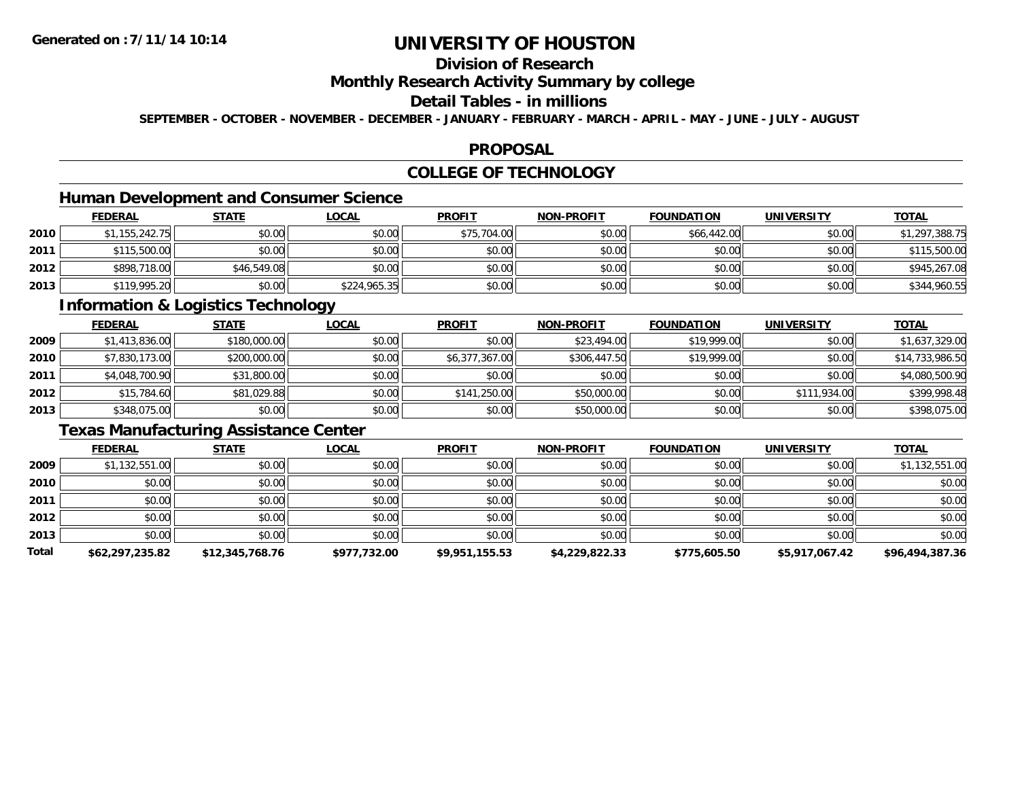## **Division of Research**

### **Monthly Research Activity Summary by college**

### **Detail Tables - in millions**

**SEPTEMBER - OCTOBER - NOVEMBER - DECEMBER - JANUARY - FEBRUARY - MARCH - APRIL - MAY - JUNE - JULY - AUGUST**

#### **PROPOSAL**

## **COLLEGE OF TECHNOLOGY**

## **Human Development and Consumer Science**

|      | <b>FEDERAL</b> | <u>STATE</u> | <u>LOCAL</u> | <b>PROFIT</b> | <b>NON-PROFIT</b> | <b>FOUNDATION</b> | <b>UNIVERSITY</b> | <b>TOTAL</b>   |
|------|----------------|--------------|--------------|---------------|-------------------|-------------------|-------------------|----------------|
| 2010 | \$1,155,242.75 | \$0.00       | \$0.00       | \$75,704.00   | \$0.00            | \$66,442.00       | \$0.00            | \$1,297,388.75 |
| 2011 | \$115,500.00   | \$0.00       | \$0.00       | \$0.00        | \$0.00            | \$0.00            | \$0.00            | \$115,500.00   |
| 2012 | \$898,718.00   | \$46,549.08  | \$0.00       | \$0.00        | \$0.00            | \$0.00            | \$0.00            | \$945,267.08   |
| 2013 | \$119,995.20   | \$0.00       | \$224,965.35 | \$0.00        | \$0.00            | \$0.00            | \$0.00            | \$344,960.55   |

### **Information & Logistics Technology**

|      | <b>FEDERAL</b> | <b>STATE</b> | <u>LOCAL</u> | <b>PROFIT</b>  | <b>NON-PROFIT</b> | <b>FOUNDATION</b> | <b>UNIVERSITY</b> | <b>TOTAL</b>    |
|------|----------------|--------------|--------------|----------------|-------------------|-------------------|-------------------|-----------------|
| 2009 | \$1,413,836.00 | \$180,000.00 | \$0.00       | \$0.00         | \$23,494.00       | \$19,999.00       | \$0.00            | \$1,637,329.00  |
| 2010 | \$7,830,173.00 | \$200,000.00 | \$0.00       | \$6,377,367.00 | \$306,447.50      | \$19,999.00       | \$0.00            | \$14,733,986.50 |
| 2011 | \$4,048,700.90 | \$31,800.00  | \$0.00       | \$0.00         | \$0.00            | \$0.00            | \$0.00            | \$4,080,500.90  |
| 2012 | \$15,784.60    | \$81,029.88  | \$0.00       | \$141,250.00   | \$50,000.00       | \$0.00            | \$111,934.00      | \$399,998.48    |
| 2013 | \$348,075.00   | \$0.00       | \$0.00       | \$0.00         | \$50,000.00       | \$0.00            | \$0.00            | \$398,075.00    |

## **Texas Manufacturing Assistance Center**

|       | <b>FEDERAL</b>  | <b>STATE</b>    | <b>LOCAL</b> | <b>PROFIT</b>  | <b>NON-PROFIT</b> | <b>FOUNDATION</b> | <b>UNIVERSITY</b> | <b>TOTAL</b>    |
|-------|-----------------|-----------------|--------------|----------------|-------------------|-------------------|-------------------|-----------------|
| 2009  | \$1,132,551.00  | \$0.00          | \$0.00       | \$0.00         | \$0.00            | \$0.00            | \$0.00            | \$1,132,551.00  |
| 2010  | \$0.00          | \$0.00          | \$0.00       | \$0.00         | \$0.00            | \$0.00            | \$0.00            | \$0.00          |
| 2011  | \$0.00          | \$0.00          | \$0.00       | \$0.00         | \$0.00            | \$0.00            | \$0.00            | \$0.00          |
| 2012  | \$0.00          | \$0.00          | \$0.00       | \$0.00         | \$0.00            | \$0.00            | \$0.00            | \$0.00          |
| 2013  | \$0.00          | \$0.00          | \$0.00       | \$0.00         | \$0.00            | \$0.00            | \$0.00            | \$0.00          |
| Total | \$62,297,235.82 | \$12,345,768.76 | \$977,732.00 | \$9,951,155.53 | \$4,229,822.33    | \$775,605.50      | \$5,917,067.42    | \$96,494,387.36 |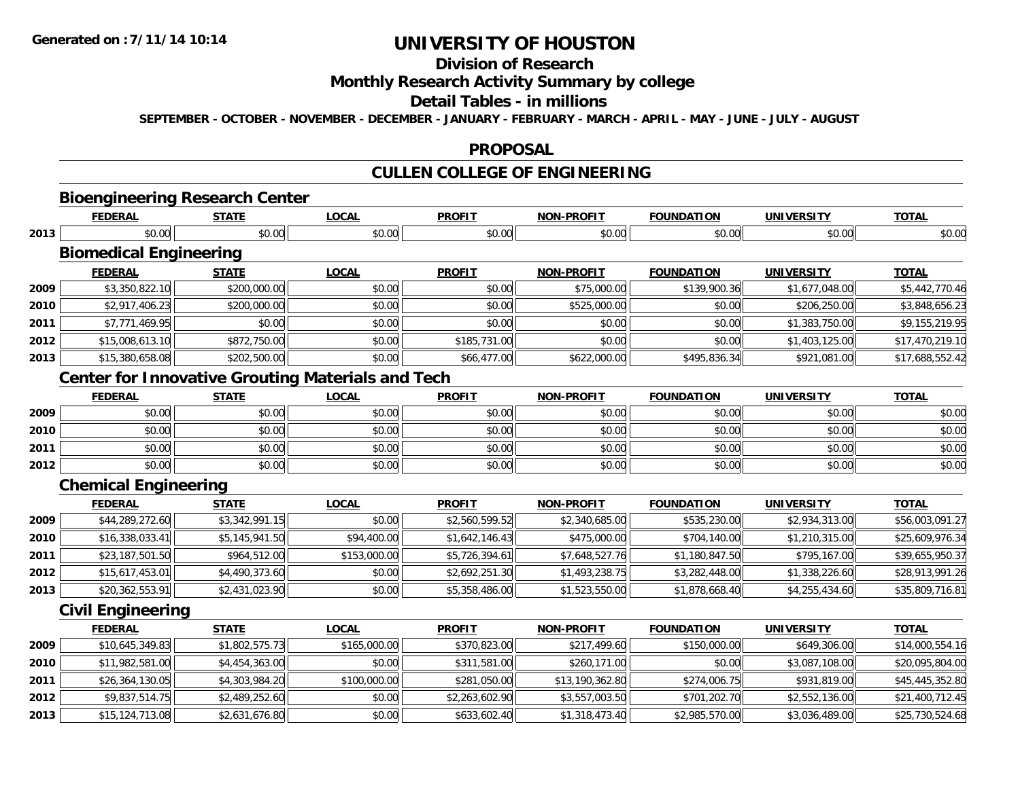## **Division of Research**

### **Monthly Research Activity Summary by college**

### **Detail Tables - in millions**

**SEPTEMBER - OCTOBER - NOVEMBER - DECEMBER - JANUARY - FEBRUARY - MARCH - APRIL - MAY - JUNE - JULY - AUGUST**

#### **PROPOSAL**

## **CULLEN COLLEGE OF ENGINEERING**

**FEDERAL STATE LOCAL PROFIT NON-PROFIT FOUNDATION UNIVERSITY TOTAL**

**TOTAL** 

## **Bioengineering Research Center**

|      | <u>————</u> | ----<br>.      | www.<br>---    | <u> rnvi i</u>    |       |               | <u>UNIVERJII</u> |                 |
|------|-------------|----------------|----------------|-------------------|-------|---------------|------------------|-----------------|
| 2013 | 0.00        | ີດ ດ∕<br>งบ.บบ | $\sim$<br>v.vv | J.00 <sup>1</sup> | pu.uu | ∩ ∩∩<br>,u.uu | וחה ה<br>JU.UU   | $\sim$<br>טט.טע |

## **Biomedical Engineering**

|      | <b>FEDERAL</b>  | <b>STATE</b> | <u>LOCAL</u> | <b>PROFIT</b> | <b>NON-PROFIT</b> | <b>FOUNDATION</b> | <b>UNIVERSITY</b> | <b>TOTAL</b>    |
|------|-----------------|--------------|--------------|---------------|-------------------|-------------------|-------------------|-----------------|
| 2009 | \$3,350,822.10  | \$200,000.00 | \$0.00       | \$0.00        | \$75,000.00       | \$139,900.36      | \$1,677,048.00    | \$5,442,770.46  |
| 2010 | \$2,917,406.23  | \$200,000.00 | \$0.00       | \$0.00        | \$525,000.00      | \$0.00            | \$206,250.00      | \$3,848,656.23  |
| 2011 | \$7,771,469.95  | \$0.00       | \$0.00       | \$0.00        | \$0.00            | \$0.00            | \$1,383,750.00    | \$9,155,219.95  |
| 2012 | \$15,008,613.10 | \$872,750.00 | \$0.00       | \$185,731.00  | \$0.00            | \$0.00            | \$1,403,125.00    | \$17,470,219.10 |
| 2013 | \$15,380,658.08 | \$202,500.00 | \$0.00       | \$66,477.00   | \$622,000.00      | \$495,836.34      | \$921,081.00      | \$17,688,552.42 |

### **Center for Innovative Grouting Materials and Tech**

|      | <b>FEDERAL</b> | <b>STATE</b> | <u>LOCAL</u> | <b>PROFIT</b> | <b>NON-PROFIT</b> | <b>FOUNDATION</b> | <b>UNIVERSITY</b> | <b>TOTAL</b> |
|------|----------------|--------------|--------------|---------------|-------------------|-------------------|-------------------|--------------|
| 2009 | \$0.00         | \$0.00       | \$0.00       | \$0.00        | \$0.00            | \$0.00            | \$0.00            | \$0.00       |
| 2010 | \$0.00         | \$0.00       | \$0.00       | \$0.00        | \$0.00            | \$0.00            | \$0.00            | \$0.00       |
| 2011 | \$0.00         | \$0.00       | \$0.00       | \$0.00        | \$0.00            | \$0.00            | \$0.00            | \$0.00       |
| 2012 | \$0.00         | \$0.00       | \$0.00       | \$0.00        | \$0.00            | \$0.00            | \$0.00            | \$0.00       |

### **Chemical Engineering**

|      | <b>FEDERAL</b>  | <u>STATE</u>   | <u>LOCAL</u> | <b>PROFIT</b>  | <b>NON-PROFIT</b> | <b>FOUNDATION</b> | <b>UNIVERSITY</b> | <b>TOTAL</b>    |
|------|-----------------|----------------|--------------|----------------|-------------------|-------------------|-------------------|-----------------|
| 2009 | \$44,289,272.60 | \$3,342,991.15 | \$0.00       | \$2,560,599.52 | \$2,340,685.00    | \$535,230.00      | \$2,934,313.00    | \$56,003,091.27 |
| 2010 | \$16,338,033.41 | \$5,145,941.50 | \$94,400.00  | \$1,642,146.43 | \$475,000.00      | \$704,140.00      | \$1,210,315.00    | \$25,609,976.34 |
| 2011 | \$23,187,501.50 | \$964,512.00   | \$153,000.00 | \$5,726,394.61 | \$7,648,527.76    | \$1,180,847.50    | \$795,167.00      | \$39,655,950.37 |
| 2012 | \$15,617,453.01 | \$4,490,373.60 | \$0.00       | \$2,692,251.30 | \$1,493,238.75    | \$3,282,448.00    | \$1,338,226.60    | \$28,913,991.26 |
| 2013 | \$20,362,553.91 | \$2,431,023.90 | \$0.00       | \$5,358,486.00 | \$1,523,550.00    | \$1,878,668.40    | \$4,255,434.60    | \$35,809,716.81 |

### **Civil Engineering**

|      | <b>FEDERAL</b>    | <u>STATE</u>   | <u>LOCAL</u> | <b>PROFIT</b>  | <b>NON-PROFIT</b> | <b>FOUNDATION</b> | UNIVERSITY     | <b>TOTAL</b>    |
|------|-------------------|----------------|--------------|----------------|-------------------|-------------------|----------------|-----------------|
| 2009 | \$10,645,349.83   | \$1,802,575.73 | \$165,000,00 | \$370,823,00   | \$217,499.60      | \$150,000.00      | \$649,306.00   | \$14,000,554.16 |
| 2010 | \$11,982,581.00   | \$4,454,363.00 | \$0.00       | \$311,581.00   | \$260,171.00      | \$0.00            | \$3,087,108.00 | \$20,095,804.00 |
| 2011 | \$26,364,130.05   | \$4,303,984.20 | \$100,000.00 | \$281,050.00   | \$13,190,362.80   | \$274,006.75      | \$931,819.00   | \$45,445,352.80 |
| 2012 | \$9,837,514.75    | \$2,489,252.60 | \$0.00       | \$2,263,602.90 | \$3,557,003.50    | \$701,202.70      | \$2,552,136.00 | \$21,400,712.45 |
| 2013 | \$15, 124, 713.08 | \$2,631,676.80 | \$0.00       | \$633,602.40   | \$1,318,473.40    | \$2,985,570.00    | \$3,036,489.00 | \$25,730,524.68 |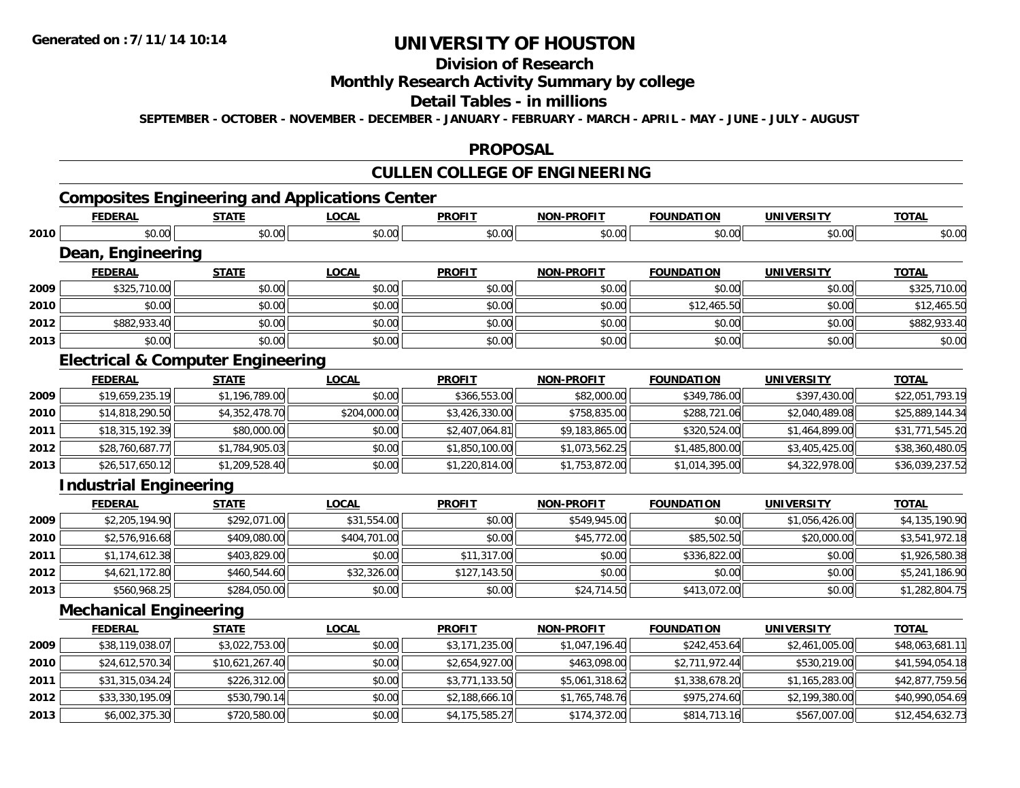## **Division of Research**

### **Monthly Research Activity Summary by college**

### **Detail Tables - in millions**

**SEPTEMBER - OCTOBER - NOVEMBER - DECEMBER - JANUARY - FEBRUARY - MARCH - APRIL - MAY - JUNE - JULY - AUGUST**

#### **PROPOSAL**

## **CULLEN COLLEGE OF ENGINEERING**

## **Composites Engineering and Applications Center**

|      | <b>FEDERAL</b>                               | <b>STATE</b>    | <b>LOCAL</b> | <b>PROFIT</b>  | <b>NON-PROFIT</b> | <b>FOUNDATION</b> | <b>UNIVERSITY</b> | <b>TOTAL</b>    |
|------|----------------------------------------------|-----------------|--------------|----------------|-------------------|-------------------|-------------------|-----------------|
| 2010 | \$0.00                                       | \$0.00          | \$0.00       | \$0.00         | \$0.00            | \$0.00            | \$0.00            | \$0.00          |
|      | Dean, Engineering                            |                 |              |                |                   |                   |                   |                 |
|      | <b>FEDERAL</b>                               | <b>STATE</b>    | <b>LOCAL</b> | <b>PROFIT</b>  | <b>NON-PROFIT</b> | <b>FOUNDATION</b> | <b>UNIVERSITY</b> | <b>TOTAL</b>    |
| 2009 | \$325,710.00                                 | \$0.00          | \$0.00       | \$0.00         | \$0.00            | \$0.00            | \$0.00            | \$325,710.00    |
| 2010 | \$0.00                                       | \$0.00          | \$0.00       | \$0.00         | \$0.00            | \$12,465.50       | \$0.00            | \$12,465.50     |
| 2012 | \$882,933.40                                 | \$0.00          | \$0.00       | \$0.00         | \$0.00            | \$0.00            | \$0.00            | \$882,933.40    |
| 2013 | \$0.00                                       | \$0.00          | \$0.00       | \$0.00         | \$0.00            | \$0.00            | \$0.00            | \$0.00          |
|      | <b>Electrical &amp; Computer Engineering</b> |                 |              |                |                   |                   |                   |                 |
|      | <b>FEDERAL</b>                               | <b>STATE</b>    | <b>LOCAL</b> | <b>PROFIT</b>  | <b>NON-PROFIT</b> | <b>FOUNDATION</b> | <b>UNIVERSITY</b> | <b>TOTAL</b>    |
| 2009 | \$19,659,235.19                              | \$1,196,789.00  | \$0.00       | \$366,553.00   | \$82,000.00       | \$349,786.00      | \$397,430.00      | \$22,051,793.19 |
| 2010 | \$14,818,290.50                              | \$4,352,478.70  | \$204,000.00 | \$3,426,330.00 | \$758,835.00      | \$288,721.06      | \$2,040,489.08    | \$25,889,144.34 |
| 2011 | \$18,315,192.39                              | \$80,000.00     | \$0.00       | \$2,407,064.81 | \$9,183,865.00    | \$320,524.00      | \$1,464,899.00    | \$31,771,545.20 |
| 2012 | \$28,760,687.77                              | \$1,784,905.03  | \$0.00       | \$1,850,100.00 | \$1,073,562.25    | \$1,485,800.00    | \$3,405,425.00    | \$38,360,480.05 |
| 2013 | \$26,517,650.12                              | \$1,209,528.40  | \$0.00       | \$1,220,814.00 | \$1,753,872.00    | \$1,014,395.00    | \$4,322,978.00    | \$36,039,237.52 |
|      | <b>Industrial Engineering</b>                |                 |              |                |                   |                   |                   |                 |
|      | <b>FEDERAL</b>                               | <b>STATE</b>    | <b>LOCAL</b> | <b>PROFIT</b>  | <b>NON-PROFIT</b> | <b>FOUNDATION</b> | <b>UNIVERSITY</b> | <b>TOTAL</b>    |
| 2009 | \$2,205,194.90                               | \$292,071.00    | \$31,554.00  | \$0.00         | \$549,945.00      | \$0.00            | \$1,056,426.00    | \$4,135,190.90  |
| 2010 | \$2,576,916.68                               | \$409,080.00    | \$404,701.00 | \$0.00         | \$45,772.00       | \$85,502.50       | \$20,000.00       | \$3,541,972.18  |
| 2011 | \$1,174,612.38                               | \$403,829.00    | \$0.00       | \$11,317.00    | \$0.00            | \$336,822.00      | \$0.00            | \$1,926,580.38  |
| 2012 | \$4,621,172.80                               | \$460,544.60    | \$32,326.00  | \$127,143.50   | \$0.00            | \$0.00            | \$0.00            | \$5,241,186.90  |
| 2013 | \$560,968.25                                 | \$284,050.00    | \$0.00       | \$0.00         | \$24,714.50       | \$413,072.00      | \$0.00            | \$1,282,804.75  |
|      | <b>Mechanical Engineering</b>                |                 |              |                |                   |                   |                   |                 |
|      | <b>FEDERAL</b>                               | <b>STATE</b>    | <b>LOCAL</b> | <b>PROFIT</b>  | <b>NON-PROFIT</b> | <b>FOUNDATION</b> | <b>UNIVERSITY</b> | <b>TOTAL</b>    |
| 2009 | \$38,119,038.07                              | \$3,022,753.00  | \$0.00       | \$3,171,235.00 | \$1,047,196.40    | \$242,453.64      | \$2,461,005.00    | \$48,063,681.11 |
| 2010 | \$24,612,570.34                              | \$10,621,267.40 | \$0.00       | \$2,654,927.00 | \$463,098.00      | \$2,711,972.44    | \$530,219.00      | \$41,594,054.18 |
| 2011 | \$31,315,034.24                              | \$226,312.00    | \$0.00       | \$3,771,133.50 | \$5,061,318.62    | \$1,338,678.20    | \$1,165,283.00    | \$42,877,759.56 |
| 2012 | \$33,330,195.09                              | \$530,790.14    | \$0.00       | \$2,188,666.10 | \$1,765,748.76    | \$975,274.60      | \$2,199,380.00    | \$40,990,054.69 |
| 2013 | \$6,002,375.30                               | \$720,580.00    | \$0.00       | \$4,175,585.27 | \$174,372.00      | \$814,713.16      | \$567,007.00      | \$12,454,632.73 |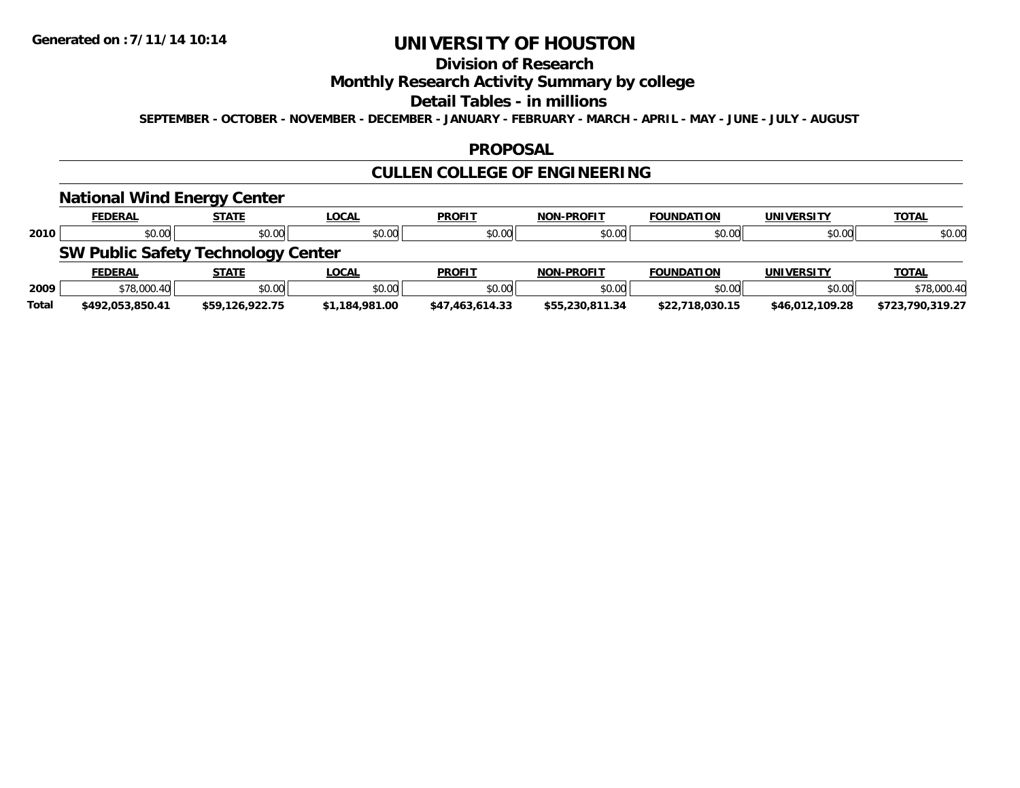## **Division of Research**

### **Monthly Research Activity Summary by college**

#### **Detail Tables - in millions**

**SEPTEMBER - OCTOBER - NOVEMBER - DECEMBER - JANUARY - FEBRUARY - MARCH - APRIL - MAY - JUNE - JULY - AUGUST**

### **PROPOSAL**

## **CULLEN COLLEGE OF ENGINEERING**

### **National Wind Energy Center**

|      | <b>FEDERAL</b>                            | <b>STATE</b> | <u>LOCAL</u> | <b>PROFIT</b> | <b>NON-PROFIT</b> | <b>FOUNDATION</b> | UNIVERSITY        | <b>TOTAL</b> |
|------|-------------------------------------------|--------------|--------------|---------------|-------------------|-------------------|-------------------|--------------|
| 2010 | \$0.00                                    | \$0.00       | \$0.00       | \$0.00        | \$0.00            | \$0.00            | \$0.00            | \$0.00       |
|      | <b>SW Public Safety Technology Center</b> |              |              |               |                   |                   |                   |              |
|      | <b>FEDERAL</b>                            | <b>STATE</b> | <u>LOCAL</u> | <b>PROFIT</b> |                   | <b>FOUNDATION</b> | <b>UNIVERSITY</b> | <b>TOTAL</b> |
|      |                                           |              |              |               | <b>NON-PROFIT</b> |                   |                   |              |
| 2009 | \$78,000.40                               | \$0.00       | \$0.00       | \$0.00        | \$0.00            | \$0.00            | \$0.00            | \$78,000.40  |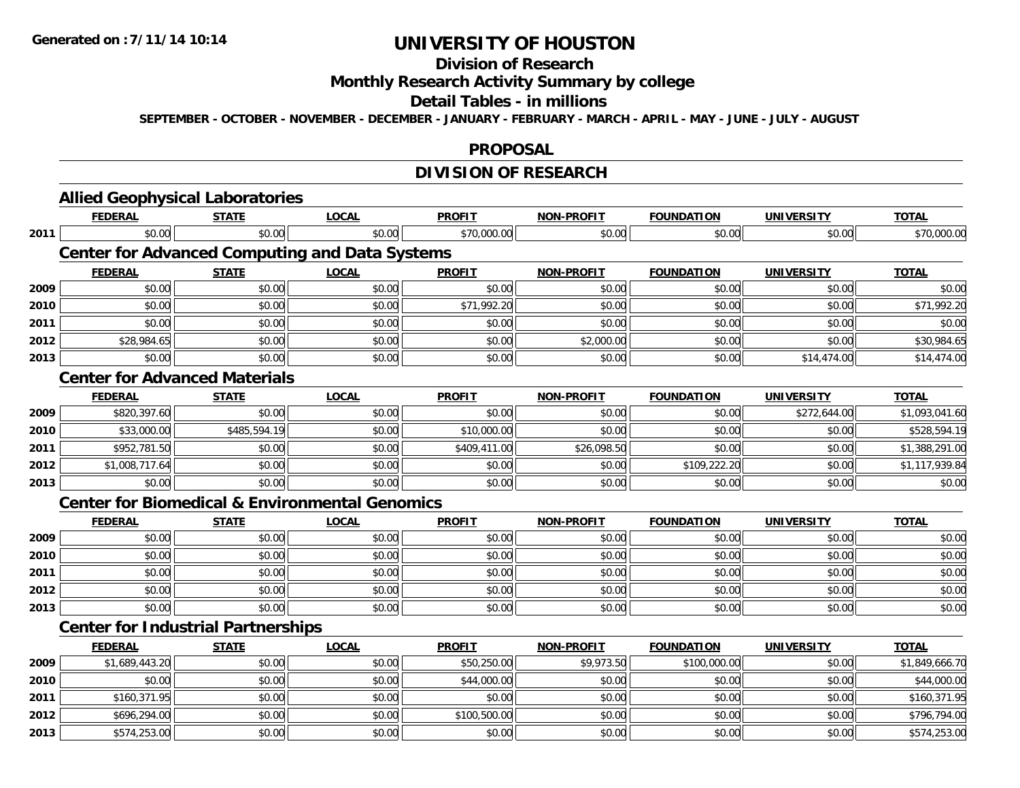## **Division of Research**

### **Monthly Research Activity Summary by college**

#### **Detail Tables - in millions**

**SEPTEMBER - OCTOBER - NOVEMBER - DECEMBER - JANUARY - FEBRUARY - MARCH - APRIL - MAY - JUNE - JULY - AUGUST**

#### **PROPOSAL**

## **DIVISION OF RESEARCH**

|      | <b>Allied Geophysical Laboratories</b>                    |              |              |               |                   |                   |                   |                |
|------|-----------------------------------------------------------|--------------|--------------|---------------|-------------------|-------------------|-------------------|----------------|
|      | <b>FEDERAL</b>                                            | <b>STATE</b> | <b>LOCAL</b> | <b>PROFIT</b> | <b>NON-PROFIT</b> | <b>FOUNDATION</b> | <b>UNIVERSITY</b> | <b>TOTAL</b>   |
| 2011 | \$0.00                                                    | \$0.00       | \$0.00       | \$70,000.00   | \$0.00            | \$0.00            | \$0.00            | \$70,000.00    |
|      | <b>Center for Advanced Computing and Data Systems</b>     |              |              |               |                   |                   |                   |                |
|      | <b>FEDERAL</b>                                            | <b>STATE</b> | <b>LOCAL</b> | <b>PROFIT</b> | <b>NON-PROFIT</b> | <b>FOUNDATION</b> | <b>UNIVERSITY</b> | <b>TOTAL</b>   |
| 2009 | \$0.00                                                    | \$0.00       | \$0.00       | \$0.00        | \$0.00            | \$0.00            | \$0.00            | \$0.00         |
| 2010 | \$0.00                                                    | \$0.00       | \$0.00       | \$71,992.20   | \$0.00            | \$0.00            | \$0.00            | \$71,992.20    |
| 2011 | \$0.00                                                    | \$0.00       | \$0.00       | \$0.00        | \$0.00            | \$0.00            | \$0.00            | \$0.00         |
| 2012 | \$28,984.65                                               | \$0.00       | \$0.00       | \$0.00        | \$2,000.00        | \$0.00            | \$0.00            | \$30,984.65    |
| 2013 | \$0.00                                                    | \$0.00       | \$0.00       | \$0.00        | \$0.00            | \$0.00            | \$14,474.00       | \$14,474.00    |
|      | <b>Center for Advanced Materials</b>                      |              |              |               |                   |                   |                   |                |
|      | <b>FEDERAL</b>                                            | <b>STATE</b> | <b>LOCAL</b> | <b>PROFIT</b> | <b>NON-PROFIT</b> | <b>FOUNDATION</b> | <b>UNIVERSITY</b> | <b>TOTAL</b>   |
| 2009 | \$820,397.60                                              | \$0.00       | \$0.00       | \$0.00        | \$0.00            | \$0.00            | \$272,644.00      | \$1,093,041.60 |
| 2010 | \$33,000.00                                               | \$485,594.19 | \$0.00       | \$10,000.00   | \$0.00            | \$0.00            | \$0.00            | \$528,594.19   |
| 2011 | \$952,781.50                                              | \$0.00       | \$0.00       | \$409,411.00  | \$26,098.50       | \$0.00            | \$0.00            | \$1,388,291.00 |
| 2012 | \$1,008,717.64                                            | \$0.00       | \$0.00       | \$0.00        | \$0.00            | \$109,222.20      | \$0.00            | \$1,117,939.84 |
| 2013 | \$0.00                                                    | \$0.00       | \$0.00       | \$0.00        | \$0.00            | \$0.00            | \$0.00            | \$0.00         |
|      | <b>Center for Biomedical &amp; Environmental Genomics</b> |              |              |               |                   |                   |                   |                |
|      | <b>FEDERAL</b>                                            | <b>STATE</b> | <b>LOCAL</b> | <b>PROFIT</b> | <b>NON-PROFIT</b> | <b>FOUNDATION</b> | <b>UNIVERSITY</b> | <b>TOTAL</b>   |
| 2009 | \$0.00                                                    | \$0.00       | \$0.00       | \$0.00        | \$0.00            | \$0.00            | \$0.00            | \$0.00         |
| 2010 | \$0.00                                                    | \$0.00       | \$0.00       | \$0.00        | \$0.00            | \$0.00            | \$0.00            | \$0.00         |
| 2011 | \$0.00                                                    | \$0.00       | \$0.00       | \$0.00        | \$0.00            | \$0.00            | \$0.00            | \$0.00         |
| 2012 | \$0.00                                                    | \$0.00       | \$0.00       | \$0.00        | \$0.00            | \$0.00            | \$0.00            | \$0.00         |
| 2013 | \$0.00                                                    | \$0.00       | \$0.00       | \$0.00        | \$0.00            | \$0.00            | \$0.00            | \$0.00         |
|      | <b>Center for Industrial Partnerships</b>                 |              |              |               |                   |                   |                   |                |
|      | <b>FEDERAL</b>                                            | <b>STATE</b> | <b>LOCAL</b> | <b>PROFIT</b> | <b>NON-PROFIT</b> | <b>FOUNDATION</b> | <b>UNIVERSITY</b> | <b>TOTAL</b>   |
| 2009 | \$1,689,443.20                                            | \$0.00       | \$0.00       | \$50,250.00   | \$9,973.50        | \$100,000.00      | \$0.00            | \$1,849,666.70 |
| 2010 | \$0.00                                                    | \$0.00       | \$0.00       | \$44,000.00   | \$0.00            | \$0.00            | \$0.00            | \$44,000.00    |
| 2011 | \$160,371.95                                              | \$0.00       | \$0.00       | \$0.00        | \$0.00            | \$0.00            | \$0.00            | \$160,371.95   |
| 2012 | \$696,294.00                                              | \$0.00       | \$0.00       | \$100,500.00  | \$0.00            | \$0.00            | \$0.00            | \$796,794.00   |
| 2013 | \$574,253.00                                              | \$0.00       | \$0.00       | \$0.00        | \$0.00            | \$0.00            | \$0.00            | \$574,253.00   |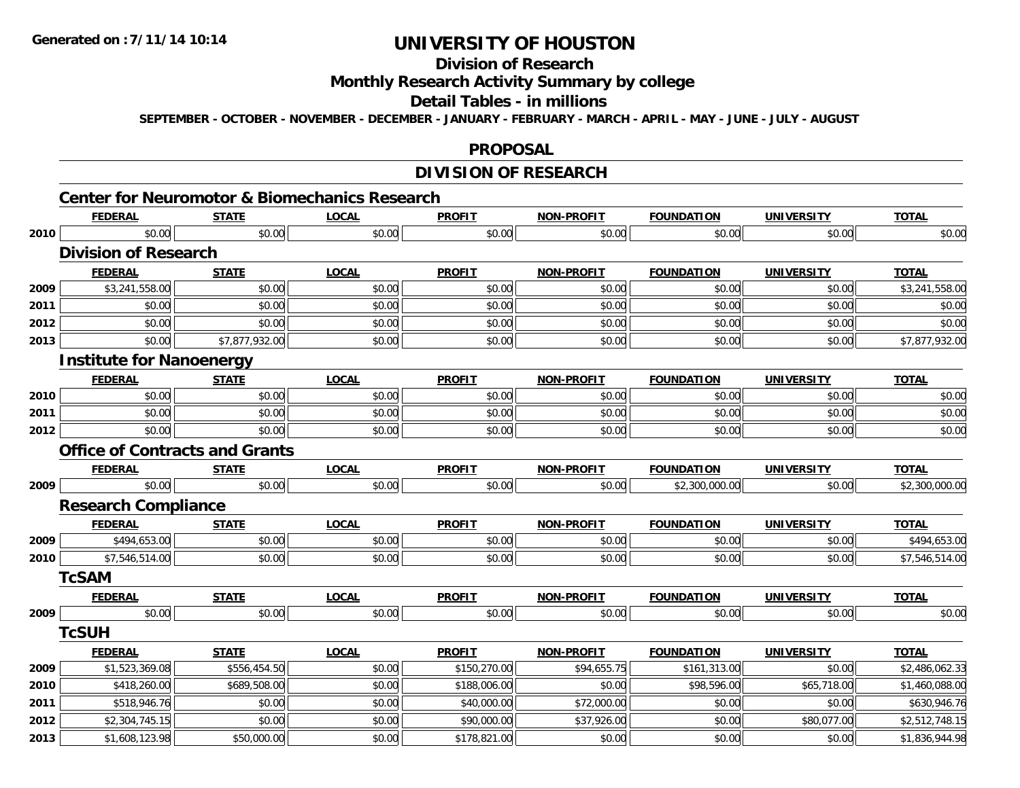**2013**

## **UNIVERSITY OF HOUSTON**

## **Division of Research**

## **Monthly Research Activity Summary by college**

#### **Detail Tables - in millions**

**SEPTEMBER - OCTOBER - NOVEMBER - DECEMBER - JANUARY - FEBRUARY - MARCH - APRIL - MAY - JUNE - JULY - AUGUST**

#### **PROPOSAL**

### **DIVISION OF RESEARCH**

|      |                                 | <b>Center for Neuromotor &amp; Biomechanics Research</b> |              |               |                   |                   |                   |                |
|------|---------------------------------|----------------------------------------------------------|--------------|---------------|-------------------|-------------------|-------------------|----------------|
|      | <b>FEDERAL</b>                  | <b>STATE</b>                                             | <b>LOCAL</b> | <b>PROFIT</b> | <b>NON-PROFIT</b> | <b>FOUNDATION</b> | <b>UNIVERSITY</b> | <b>TOTAL</b>   |
| 2010 | \$0.00                          | \$0.00                                                   | \$0.00       | \$0.00        | \$0.00            | \$0.00            | \$0.00            | \$0.00         |
|      | <b>Division of Research</b>     |                                                          |              |               |                   |                   |                   |                |
|      | <b>FEDERAL</b>                  | <b>STATE</b>                                             | <b>LOCAL</b> | <b>PROFIT</b> | <b>NON-PROFIT</b> | <b>FOUNDATION</b> | <b>UNIVERSITY</b> | <b>TOTAL</b>   |
| 2009 | \$3,241,558.00                  | \$0.00                                                   | \$0.00       | \$0.00        | \$0.00            | \$0.00            | \$0.00            | \$3,241,558.00 |
| 2011 | \$0.00                          | \$0.00                                                   | \$0.00       | \$0.00        | \$0.00            | \$0.00            | \$0.00            | \$0.00         |
| 2012 | \$0.00                          | \$0.00                                                   | \$0.00       | \$0.00        | \$0.00            | \$0.00            | \$0.00            | \$0.00         |
| 2013 | \$0.00                          | \$7,877,932.00                                           | \$0.00       | \$0.00        | \$0.00            | \$0.00            | \$0.00            | \$7,877,932.00 |
|      | <b>Institute for Nanoenergy</b> |                                                          |              |               |                   |                   |                   |                |
|      | <b>FEDERAL</b>                  | <b>STATE</b>                                             | <b>LOCAL</b> | <b>PROFIT</b> | <b>NON-PROFIT</b> | <b>FOUNDATION</b> | <b>UNIVERSITY</b> | <b>TOTAL</b>   |
| 2010 | \$0.00                          | \$0.00                                                   | \$0.00       | \$0.00        | \$0.00            | \$0.00            | \$0.00            | \$0.00         |
| 2011 | \$0.00                          | \$0.00                                                   | \$0.00       | \$0.00        | \$0.00            | \$0.00            | \$0.00            | \$0.00         |
| 2012 | \$0.00                          | \$0.00                                                   | \$0.00       | \$0.00        | \$0.00            | \$0.00            | \$0.00            | \$0.00         |
|      |                                 | <b>Office of Contracts and Grants</b>                    |              |               |                   |                   |                   |                |
|      | <b>FEDERAL</b>                  | <b>STATE</b>                                             | <b>LOCAL</b> | <b>PROFIT</b> | NON-PROFIT        | <b>FOUNDATION</b> | <b>UNIVERSITY</b> | <b>TOTAL</b>   |
| 2009 | \$0.00                          | \$0.00                                                   | \$0.00       | \$0.00        | \$0.00            | \$2,300,000.00    | \$0.00            | \$2,300,000.00 |
|      | <b>Research Compliance</b>      |                                                          |              |               |                   |                   |                   |                |
|      | <b>FEDERAL</b>                  | <b>STATE</b>                                             | <b>LOCAL</b> | <b>PROFIT</b> | NON-PROFIT        | <b>FOUNDATION</b> | <b>UNIVERSITY</b> | <b>TOTAL</b>   |
| 2009 | \$494,653.00                    | \$0.00                                                   | \$0.00       | \$0.00        | \$0.00            | \$0.00            | \$0.00            | \$494,653.00   |
| 2010 | \$7,546,514.00                  | \$0.00                                                   | \$0.00       | \$0.00        | \$0.00            | \$0.00            | \$0.00            | \$7,546,514.00 |
|      | <b>TcSAM</b>                    |                                                          |              |               |                   |                   |                   |                |
|      | <b>FEDERAL</b>                  | <b>STATE</b>                                             | <b>LOCAL</b> | <b>PROFIT</b> | <b>NON-PROFIT</b> | <b>FOUNDATION</b> | <b>UNIVERSITY</b> | <b>TOTAL</b>   |
| 2009 | \$0.00                          | \$0.00                                                   | \$0.00       | \$0.00        | \$0.00            | \$0.00            | \$0.00            | \$0.00         |
|      | <b>TcSUH</b>                    |                                                          |              |               |                   |                   |                   |                |
|      | <b>FEDERAL</b>                  | <b>STATE</b>                                             | <b>LOCAL</b> | <b>PROFIT</b> | <b>NON-PROFIT</b> | <b>FOUNDATION</b> | <b>UNIVERSITY</b> | <b>TOTAL</b>   |
| 2009 | \$1,523,369.08                  | \$556,454.50                                             | \$0.00       | \$150,270.00  | \$94,655.75       | \$161,313.00      | \$0.00            | \$2,486,062.33 |
| 2010 | \$418,260.00                    | \$689,508.00                                             | \$0.00       | \$188,006.00  | \$0.00            | \$98,596.00       | \$65,718.00       | \$1,460,088.00 |
| 2011 | \$518,946.76                    | \$0.00                                                   | \$0.00       | \$40,000.00   | \$72,000.00       | \$0.00            | \$0.00            | \$630,946.76   |
| 2012 | \$2,304,745.15                  | \$0.00                                                   | \$0.00       | \$90,000.00   | \$37,926.00       | \$0.00            | \$80,077.00       | \$2,512,748.15 |

 $\textbf{3} \mid \textbf{3} \mid \textbf{4} \mid \textbf{5} \mid \textbf{5} \mid \textbf{6} \mid \textbf{7} \mid \textbf{7} \mid \textbf{8} \mid \textbf{7} \mid \textbf{7} \mid \textbf{8} \mid \textbf{8} \mid \textbf{9} \mid \textbf{1} \mid \textbf{1} \mid \textbf{1} \mid \textbf{1} \mid \textbf{1} \mid \textbf{1} \mid \textbf{1} \mid \textbf{1} \mid \textbf{1} \mid \textbf{1} \mid \textbf{1} \mid \textbf{1} \mid \textbf{1} \mid \textbf{1$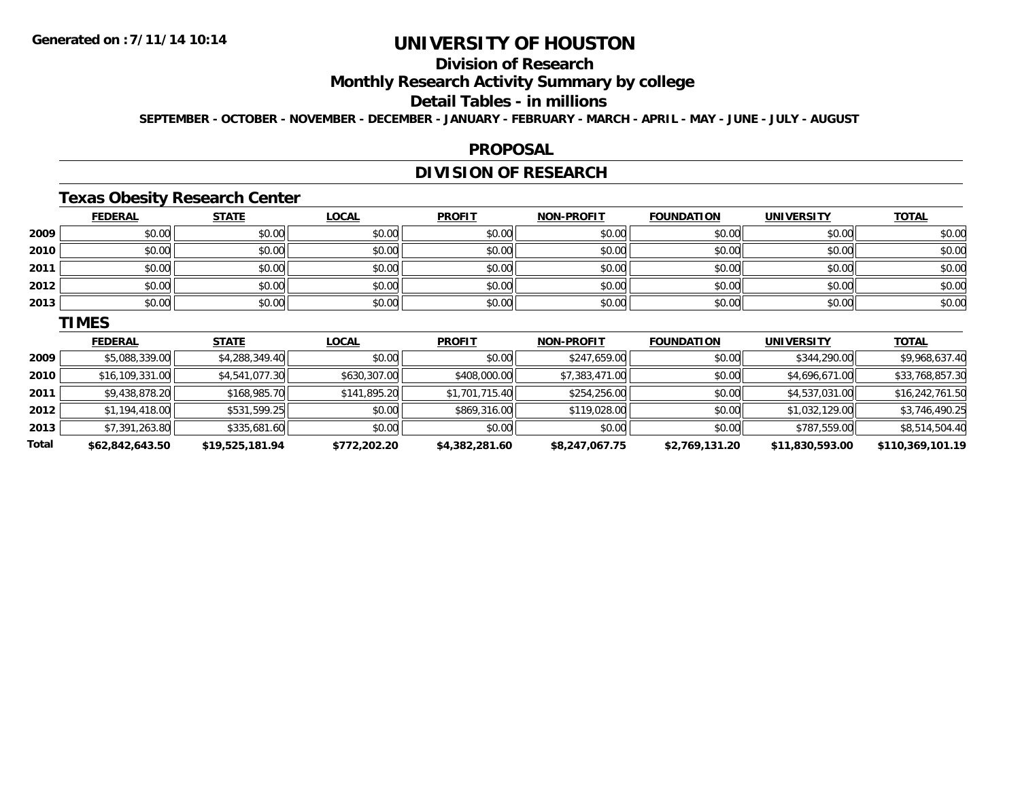**2011**

**2012**

**2013**

**Total**

## **UNIVERSITY OF HOUSTON**

## **Division of Research**

#### **Monthly Research Activity Summary by college**

### **Detail Tables - in millions**

**SEPTEMBER - OCTOBER - NOVEMBER - DECEMBER - JANUARY - FEBRUARY - MARCH - APRIL - MAY - JUNE - JULY - AUGUST**

#### **PROPOSAL**

## **DIVISION OF RESEARCH**

### **Texas Obesity Research Center**

|      | <b>FEDERAL</b>  | <b>STATE</b>   | <b>LOCAL</b> | <b>PROFIT</b> | <b>NON-PROFIT</b> | <b>FOUNDATION</b> | <b>UNIVERSITY</b> | <b>TOTAL</b>    |
|------|-----------------|----------------|--------------|---------------|-------------------|-------------------|-------------------|-----------------|
| 2009 | \$0.00          | \$0.00         | \$0.00       | \$0.00        | \$0.00            | \$0.00            | \$0.00            | \$0.00          |
| 2010 | \$0.00          | \$0.00         | \$0.00       | \$0.00        | \$0.00            | \$0.00            | \$0.00            | \$0.00          |
| 2011 | \$0.00          | \$0.00         | \$0.00       | \$0.00        | \$0.00            | \$0.00            | \$0.00            | \$0.00          |
| 2012 | \$0.00          | \$0.00         | \$0.00       | \$0.00        | \$0.00            | \$0.00            | \$0.00            | \$0.00          |
| 2013 | \$0.00          | \$0.00         | \$0.00       | \$0.00        | \$0.00            | \$0.00            | \$0.00            | \$0.00          |
|      | <b>TIMES</b>    |                |              |               |                   |                   |                   |                 |
|      | <b>FEDERAL</b>  | <b>STATE</b>   | <b>LOCAL</b> | <b>PROFIT</b> | <b>NON-PROFIT</b> | <b>FOUNDATION</b> | <b>UNIVERSITY</b> | <u>TOTAL</u>    |
| 2009 | \$5,088,339.00  | \$4,288,349.40 | \$0.00       | \$0.00        | \$247,659.00      | \$0.00            | \$344,290.00      | \$9,968,637.40  |
| 2010 | \$16,109,331.00 | \$4,541,077.30 | \$630,307.00 | \$408,000.00  | \$7,383,471.00    | \$0.00            | \$4,696,671.00    | \$33,768,857.30 |

\$9,438,878.20 \$168,985.70 \$141,895.20 \$1,701,715.40 \$254,256.00 \$0.00 \$4,537,031.00 \$16,242,761.50

 $\texttt{2} \mid \texttt{31,194,418.00}|\texttt{418.00}| \texttt{43,746,490.25}|\texttt{531,599.25}|\texttt{530.00}|\texttt{530.00}|\texttt{530.00}| \texttt{530.00}| \texttt{530.00}| \texttt{530.00}| \texttt{530.00}| \texttt{530.00}| \texttt{530.00}| \texttt{530.00}| \texttt{530.00}| \texttt{530.00}| \texttt{530.00}| \texttt{530.$ 

 $\textbf{3} \mid \textbf{3} \mid \textbf{3} \mid \textbf{3} \mid \textbf{3} \mid \textbf{4} \mid \textbf{5} \mid \textbf{5} \mid \textbf{5} \mid \textbf{6} \mid \textbf{7} \mid \textbf{5} \mid \textbf{6} \mid \textbf{7} \mid \textbf{7} \mid \textbf{8} \mid \textbf{7} \mid \textbf{8} \mid \textbf{7} \mid \textbf{8} \mid \textbf{8} \mid \textbf{7} \mid \textbf{8} \mid \textbf{7} \mid \textbf{8} \mid \textbf{8} \mid \textbf{7} \mid \textbf{$ 

**\$62,842,643.50 \$19,525,181.94 \$772,202.20 \$4,382,281.60 \$8,247,067.75 \$2,769,131.20 \$11,830,593.00 \$110,369,101.19**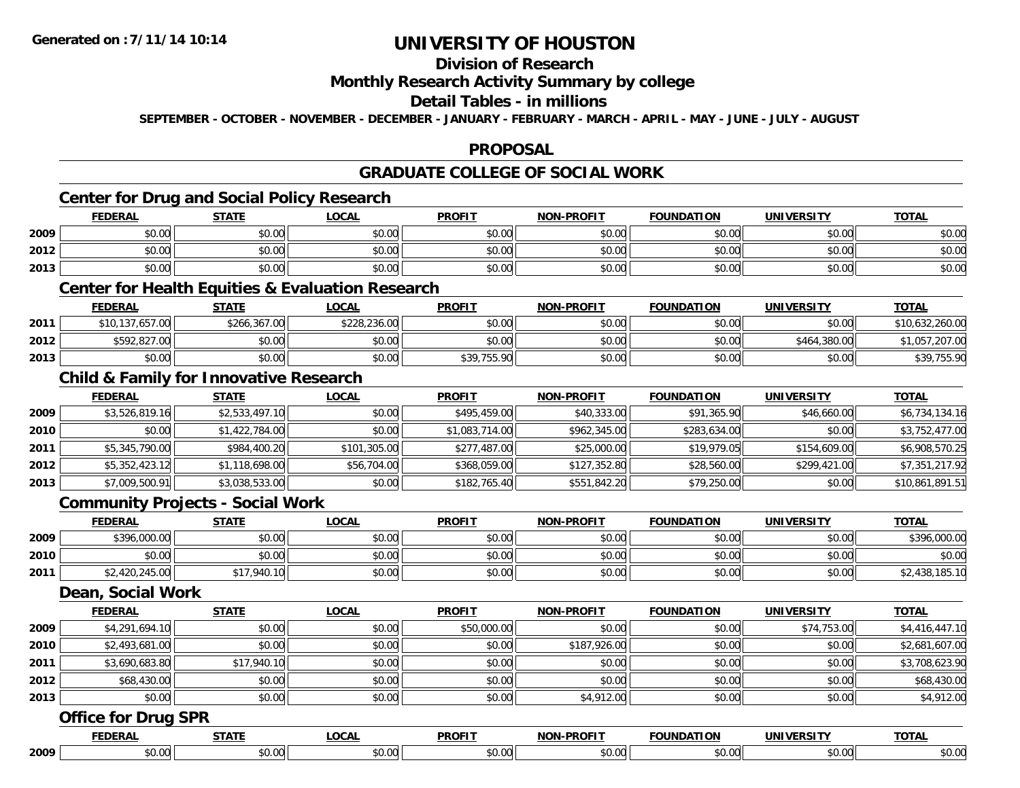## **Division of Research**

#### **Monthly Research Activity Summary by college**

### **Detail Tables - in millions**

**SEPTEMBER - OCTOBER - NOVEMBER - DECEMBER - JANUARY - FEBRUARY - MARCH - APRIL - MAY - JUNE - JULY - AUGUST**

### **PROPOSAL**

### **GRADUATE COLLEGE OF SOCIAL WORK**

## **Center for Drug and Social Policy Research**

|      | <b>FEDERAL</b>                              | <b>STATE</b>                               | <b>_OCAL</b>     | <b>PROFIT</b> | <b>NON-PROFIT</b> | <b>FOUNDATION</b> | <b>UNIVERSITY</b><br>— кэг | <b>TOTAL</b> |
|------|---------------------------------------------|--------------------------------------------|------------------|---------------|-------------------|-------------------|----------------------------|--------------|
| 2009 | $\mathfrak{c}\cap\mathfrak{a}\cap$<br>,u.uu | $\mathfrak{c}\cap\mathfrak{a}\cap$<br>JU.U | \$0.00           | \$0.00        | \$0.00            | 40.00<br>JU.UU    | \$0.00                     | \$0.00       |
| 2012 | 0000<br>,u.uu                               | ሖ へ<br>$\Omega$<br>JU.UU                   | ሶስ ሰስ<br>ະນາດ. ປ | \$0.00        | \$0.00            | ልስ ሰሰ<br>JU.UU    | \$0.00                     | \$0.00       |
| 2013 | \$0.00                                      | 40.00<br>DU.UU                             | \$0.00           | \$0.00        | \$0.00            | \$0.00            | \$0.00                     | \$0.00       |

### **Center for Health Equities & Evaluation Research**

|      | <b>FEDERAL</b>  | <u>STATE</u> | <u>LOCAL</u> | <b>PROFIT</b> | <b>NON-PROFIT</b> | <b>FOUNDATION</b> | <b>UNIVERSITY</b> | <b>TOTAL</b>    |
|------|-----------------|--------------|--------------|---------------|-------------------|-------------------|-------------------|-----------------|
| 2011 | \$10,137,657.00 | \$266,367,00 | \$228,236.00 | \$0.00        | \$0.00            | \$0.00            | \$0.00            | \$10,632,260.00 |
| 2012 | \$592,827.00    | \$0.00       | \$0.00       | \$0.00        | \$0.00            | \$0.00            | \$464,380.00      | \$1,057,207.00  |
| 2013 | \$0.00          | \$0.00       | \$0.00       | \$39,755.90   | \$0.00            | \$0.00            | \$0.00            | \$39,755.90     |

### **Child & Family for Innovative Research**

|      | <b>FEDERAL</b> | <u>STATE</u>   | <b>LOCAL</b> | <b>PROFIT</b>  | <b>NON-PROFIT</b> | <b>FOUNDATION</b> | <b>UNIVERSITY</b> | <b>TOTAL</b>    |
|------|----------------|----------------|--------------|----------------|-------------------|-------------------|-------------------|-----------------|
| 2009 | \$3,526,819.16 | \$2,533,497.10 | \$0.00       | \$495,459.00   | \$40,333.00       | \$91,365.90       | \$46,660.00       | \$6,734,134.16  |
| 2010 | \$0.00         | \$1,422,784.00 | \$0.00       | \$1,083,714.00 | \$962,345.00      | \$283,634.00      | \$0.00            | \$3,752,477.00  |
| 2011 | \$5,345,790.00 | \$984,400.20   | \$101,305.00 | \$277,487.00   | \$25,000.00       | \$19,979.05       | \$154,609.00      | \$6,908,570.25  |
| 2012 | \$5,352,423.12 | \$1,118,698.00 | \$56,704.00  | \$368,059.00   | \$127,352.80      | \$28,560.00       | \$299,421.00      | \$7,351,217.92  |
| 2013 | \$7,009,500.91 | \$3,038,533.00 | \$0.00       | \$182,765.40   | \$551,842.20      | \$79,250.00       | \$0.00            | \$10,861,891.51 |

#### **Community Projects - Social Work**

|      | <b>FEDERAL</b> | <b>STATE</b> | <u>LOCAL</u> | <b>PROFIT</b> | <b>NON-PROFIT</b> | <b>FOUNDATION</b> | <b>UNIVERSITY</b> | <b>TOTAL</b>   |
|------|----------------|--------------|--------------|---------------|-------------------|-------------------|-------------------|----------------|
| 2009 | \$396,000.00   | \$0.00       | \$0.00       | \$0.00        | \$0.00            | \$0.00            | \$0.00            | \$396,000.00   |
| 2010 | \$0.00         | \$0.00       | \$0.00       | \$0.00        | \$0.00            | \$0.00            | \$0.00            | \$0.00         |
| 2011 | \$2,420,245.00 | \$17,940.10  | \$0.00       | \$0.00        | \$0.00            | \$0.00            | \$0.00            | \$2,438,185.10 |

#### **Dean, Social Work**

|      | <b>FEDERAL</b> | <b>STATE</b> | LOCAL  | <b>PROFIT</b> | <b>NON-PROFIT</b> | <b>FOUNDATION</b> | <b>UNIVERSITY</b> | <b>TOTAL</b>   |
|------|----------------|--------------|--------|---------------|-------------------|-------------------|-------------------|----------------|
| 2009 | \$4,291,694.10 | \$0.00       | \$0.00 | \$50,000.00   | \$0.00            | \$0.00            | \$74,753.00       | \$4,416,447.10 |
| 2010 | \$2,493,681.00 | \$0.00       | \$0.00 | \$0.00        | \$187,926.00      | \$0.00            | \$0.00            | \$2,681,607.00 |
| 2011 | \$3,690,683.80 | \$17,940.10  | \$0.00 | \$0.00        | \$0.00            | \$0.00            | \$0.00            | \$3,708,623.90 |
| 2012 | \$68,430.00    | \$0.00       | \$0.00 | \$0.00        | \$0.00            | \$0.00            | \$0.00            | \$68,430.00    |
| 2013 | \$0.00         | \$0.00       | \$0.00 | \$0.00        | \$4,912.00        | \$0.00            | \$0.00            | \$4,912.00     |

#### **Office for Drug SPR**

|      |        | ----- | - - - -<br>$\mathbf{u}$ | ------ |  |      | ---- |
|------|--------|-------|-------------------------|--------|--|------|------|
| 2009 | $\sim$ |       | $\cdot$ $\circ$         | $\sim$ |  | ,,,, |      |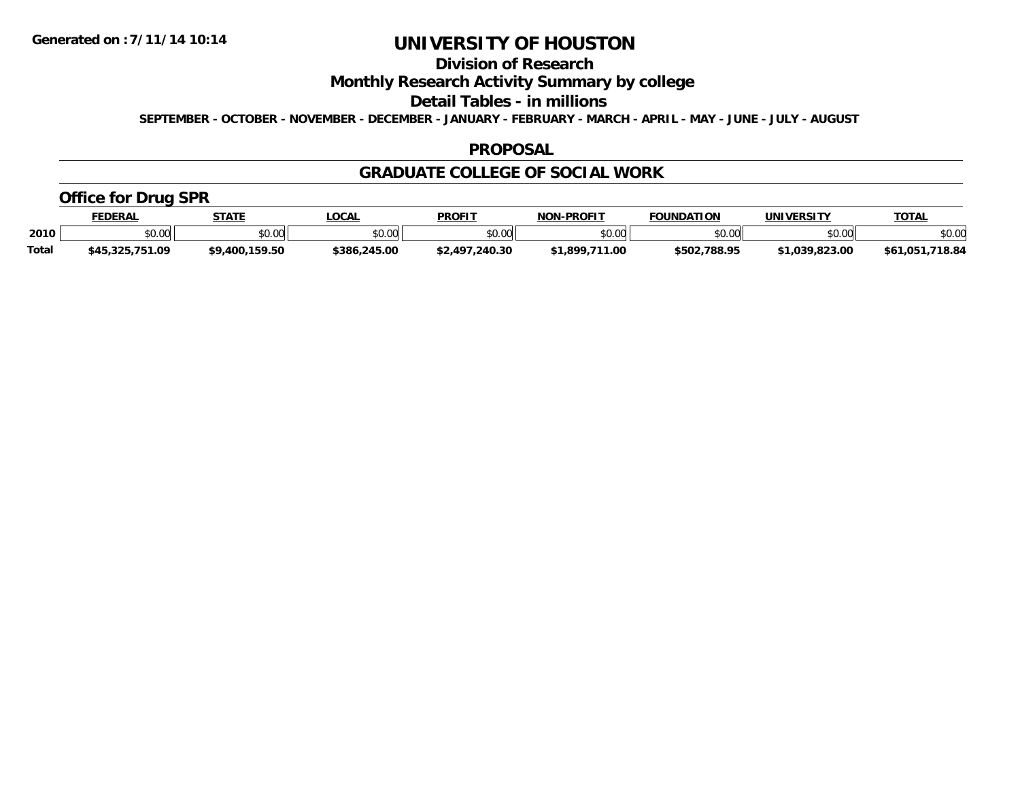## **Division of Research**

### **Monthly Research Activity Summary by college**

#### **Detail Tables - in millions**

**SEPTEMBER - OCTOBER - NOVEMBER - DECEMBER - JANUARY - FEBRUARY - MARCH - APRIL - MAY - JUNE - JULY - AUGUST**

#### **PROPOSAL**

#### **GRADUATE COLLEGE OF SOCIAL WORK**

### **Office for Drug SPR**

|              | <b>FEDERAL</b>  | <b>STATE</b>         | _OCAL        | <b>PROFIT</b>  | <b>NON-PROFIT</b>   | <b>FOUNDATION</b> | UNIVERSITY     | <u>TOTAL</u>       |
|--------------|-----------------|----------------------|--------------|----------------|---------------------|-------------------|----------------|--------------------|
| 2010         | \$0.00          | 0.00<br><b>JU.UU</b> | \$0.00       | \$0.00         | ልስ ሰሰ<br>JU.UU      | \$0.00            | \$0.00         | \$0.00             |
| <b>Total</b> | \$45,325,751.09 | \$9,400.159.50       | \$386,245.00 | \$2,497,240.30 | .711.00<br>1.899. ٢ | \$502,788.95      | \$1.039.823.00 | 718.84<br>\$61,051 |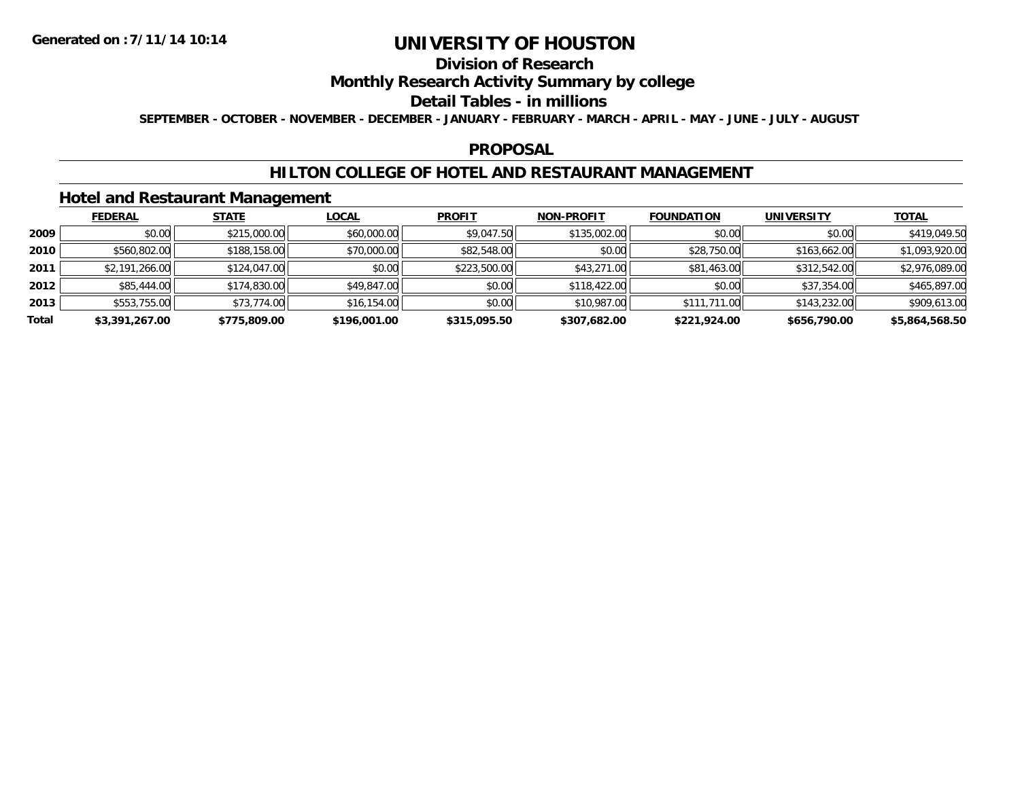### **Division of Research**

### **Monthly Research Activity Summary by college**

#### **Detail Tables - in millions**

**SEPTEMBER - OCTOBER - NOVEMBER - DECEMBER - JANUARY - FEBRUARY - MARCH - APRIL - MAY - JUNE - JULY - AUGUST**

#### **PROPOSAL**

### **HILTON COLLEGE OF HOTEL AND RESTAURANT MANAGEMENT**

### **Hotel and Restaurant Management**

|       | <b>FEDERAL</b> | <b>STATE</b> | <u>LOCAL</u> | <b>PROFIT</b> | <b>NON-PROFIT</b> | <b>FOUNDATION</b> | <b>UNIVERSITY</b> | <b>TOTAL</b>   |
|-------|----------------|--------------|--------------|---------------|-------------------|-------------------|-------------------|----------------|
| 2009  | \$0.00         | \$215,000.00 | \$60,000.00  | \$9,047.50    | \$135,002.00      | \$0.00            | \$0.00            | \$419,049.50   |
| 2010  | \$560,802.00   | \$188,158.00 | \$70,000.00  | \$82,548.00   | \$0.00            | \$28,750.00       | \$163,662.00      | \$1,093,920.00 |
| 2011  | \$2,191,266.00 | \$124,047.00 | \$0.00       | \$223,500.00  | \$43,271.00       | \$81,463.00       | \$312,542.00      | \$2,976,089.00 |
| 2012  | \$85,444.00    | \$174,830.00 | \$49,847.00  | \$0.00        | \$118,422.00      | \$0.00            | \$37,354.00       | \$465,897.00   |
| 2013  | \$553,755.00   | \$73,774.00  | \$16,154.00  | \$0.00        | \$10,987.00       | \$111,711.00      | \$143,232.00      | \$909,613.00   |
| Total | \$3,391,267.00 | \$775,809.00 | \$196,001.00 | \$315,095.50  | \$307,682.00      | \$221,924.00      | \$656,790.00      | \$5,864,568.50 |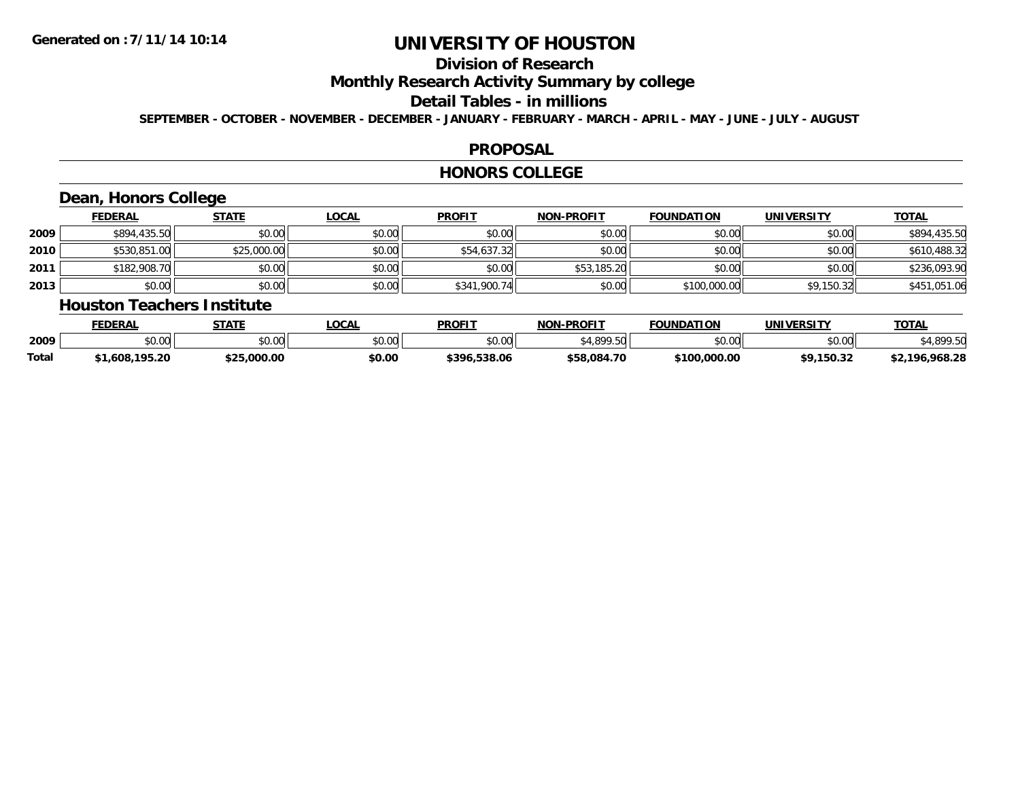## **Division of Research**

### **Monthly Research Activity Summary by college**

#### **Detail Tables - in millions**

**SEPTEMBER - OCTOBER - NOVEMBER - DECEMBER - JANUARY - FEBRUARY - MARCH - APRIL - MAY - JUNE - JULY - AUGUST**

#### **PROPOSAL**

#### **HONORS COLLEGE**

## **Dean, Honors College**

|      | <b>FEDERAL</b> | <b>STATE</b> | <u>LOCAL</u> | <b>PROFIT</b> | <b>NON-PROFIT</b> | <b>FOUNDATION</b> | <b>UNIVERSITY</b> | <b>TOTAL</b> |
|------|----------------|--------------|--------------|---------------|-------------------|-------------------|-------------------|--------------|
| 2009 | \$894,435.50   | \$0.00       | \$0.00       | \$0.00        | \$0.00            | \$0.00            | \$0.00            | \$894,435.50 |
| 2010 | \$530,851.00   | \$25,000.00  | \$0.00       | \$54,637.32   | \$0.00            | \$0.00            | \$0.00            | \$610,488.32 |
| 2011 | \$182,908.70   | \$0.00       | \$0.00       | \$0.00        | \$53,185.20       | \$0.00            | \$0.00            | \$236,093.90 |
| 2013 | \$0.00         | \$0.00       | \$0.00       | \$341,900.74  | \$0.00            | \$100,000.00      | \$9,150.32        | \$451,051.06 |

#### **Houston Teachers Institute**

|       | <b>FEDERAL</b>     | STATE       | <b>_OCAL</b> | <b>PROFIT</b>    | <b>J-PROFIT</b><br>NON- | <b>FOUNDATION</b> | UNIVERSITY | <b>TOTAL</b>        |
|-------|--------------------|-------------|--------------|------------------|-------------------------|-------------------|------------|---------------------|
| 2009  | $\sim$ 00<br>vu.uu | \$0.00      | \$0.00       | \$0.00           | 0.10000<br>.5U          | \$0.00            | \$0.00     | 000E                |
| Total | .,608,195.20       | \$25.000.00 | \$0.00       | .538.06<br>\$396 | \$58,084.70             | \$100,000.00      | \$9.150.32 | ,968.28<br>$+2.106$ |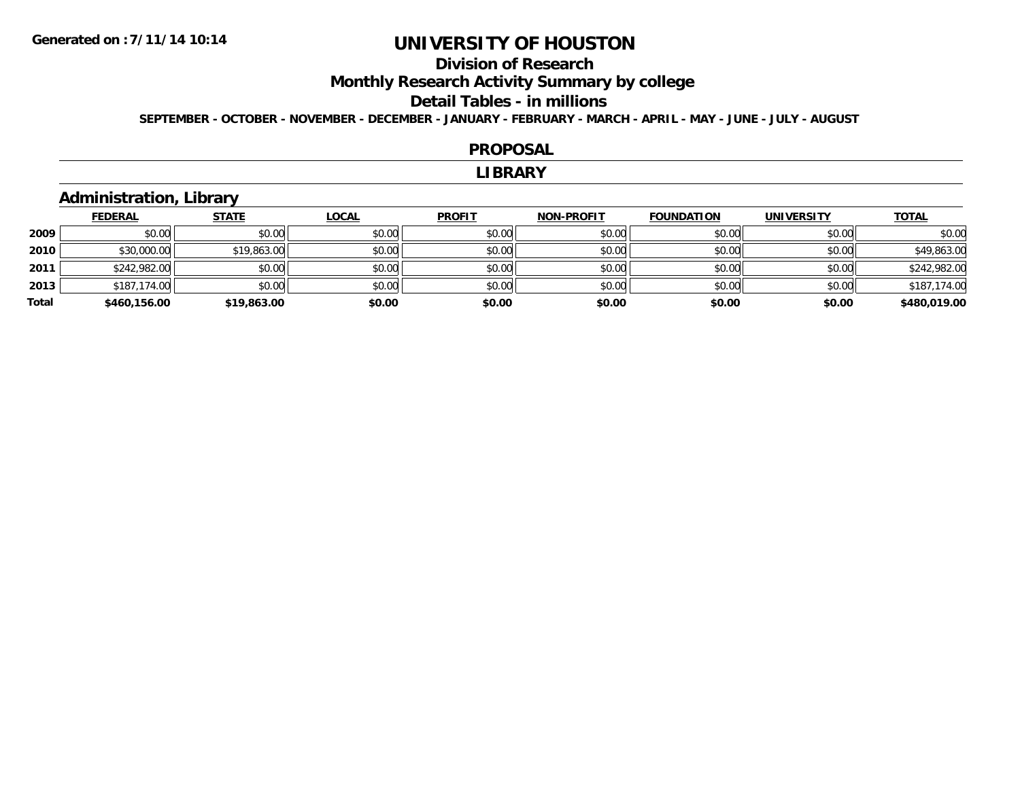## **Division of Research**

**Monthly Research Activity Summary by college**

#### **Detail Tables - in millions**

**SEPTEMBER - OCTOBER - NOVEMBER - DECEMBER - JANUARY - FEBRUARY - MARCH - APRIL - MAY - JUNE - JULY - AUGUST**

#### **PROPOSAL**

#### **LIBRARY**

### **Administration, Library**

|       | <b>FEDERAL</b> | <b>STATE</b> | <b>LOCAL</b> | <b>PROFIT</b> | <b>NON-PROFIT</b> | <b>FOUNDATION</b> | <b>UNIVERSITY</b> | <b>TOTAL</b> |
|-------|----------------|--------------|--------------|---------------|-------------------|-------------------|-------------------|--------------|
| 2009  | \$0.00         | \$0.00       | \$0.00       | \$0.00        | \$0.00            | \$0.00            | \$0.00            | \$0.00       |
| 2010  | \$30,000.00    | \$19,863.00  | \$0.00       | \$0.00        | \$0.00            | \$0.00            | \$0.00            | \$49,863.00  |
| 2011  | \$242,982.00   | \$0.00       | \$0.00       | \$0.00        | \$0.00            | \$0.00            | \$0.00            | \$242,982.00 |
| 2013  | \$187,174.00   | \$0.00       | \$0.00       | \$0.00        | \$0.00            | \$0.00            | \$0.00            | \$187,174.00 |
| Total | \$460,156.00   | \$19,863.00  | \$0.00       | \$0.00        | \$0.00            | \$0.00            | \$0.00            | \$480,019.00 |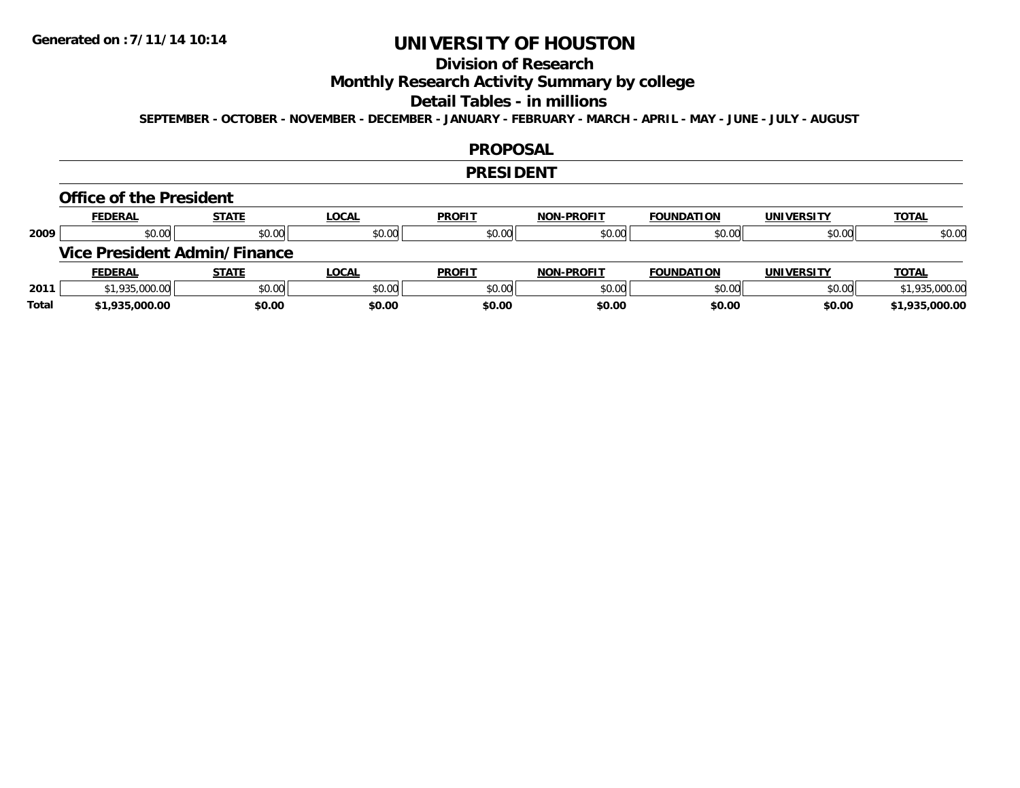## **Division of Research**

**Monthly Research Activity Summary by college**

#### **Detail Tables - in millions**

**SEPTEMBER - OCTOBER - NOVEMBER - DECEMBER - JANUARY - FEBRUARY - MARCH - APRIL - MAY - JUNE - JULY - AUGUST**

#### **PROPOSAL**

#### **PRESIDENT**

#### **Office of the President**

|      | <b>FEDERAL</b>                      | <b>STATE</b> | <u>LOCAL</u> | <b>PROFIT</b> | <b>NON-PROFIT</b> | <b>FOUNDATION</b> | <b>UNIVERSITY</b> | <b>TOTAL</b>   |
|------|-------------------------------------|--------------|--------------|---------------|-------------------|-------------------|-------------------|----------------|
| 2009 | \$0.00                              | \$0.00       | \$0.00       | \$0.00        | \$0.00            | \$0.00            | \$0.00            | \$0.00         |
|      | <b>Vice President Admin/Finance</b> |              |              |               |                   |                   |                   |                |
|      |                                     |              |              |               |                   |                   |                   |                |
|      | <b>FEDERAL</b>                      | <u>STATE</u> | <u>LOCAL</u> | <b>PROFIT</b> | <b>NON-PROFIT</b> | <b>FOUNDATION</b> | <b>UNIVERSITY</b> | <b>TOTAL</b>   |
| 2011 | \$1,935,000.00                      | \$0.00       | \$0.00       | \$0.00        | \$0.00            | \$0.00            | \$0.00            | \$1,935,000.00 |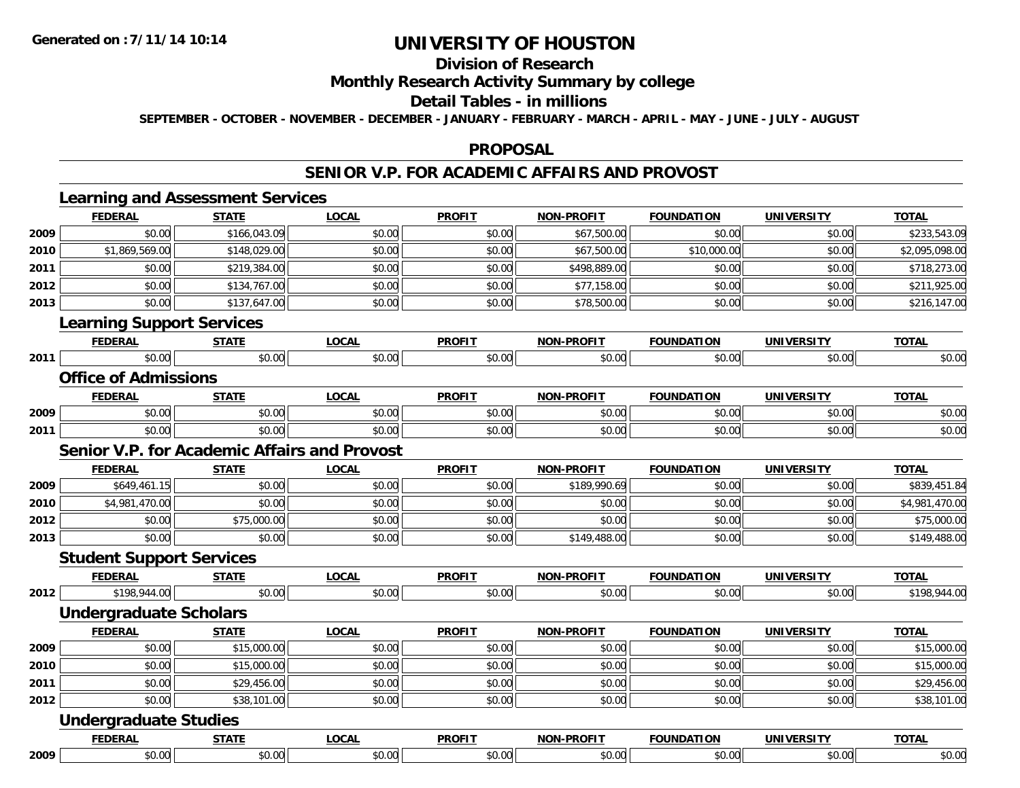## **Division of Research**

### **Monthly Research Activity Summary by college**

#### **Detail Tables - in millions**

**SEPTEMBER - OCTOBER - NOVEMBER - DECEMBER - JANUARY - FEBRUARY - MARCH - APRIL - MAY - JUNE - JULY - AUGUST**

#### **PROPOSAL**

#### **SENIOR V.P. FOR ACADEMIC AFFAIRS AND PROVOST**

|      | <b>FEDERAL</b>                               | <b>STATE</b> | <b>LOCAL</b> | <b>PROFIT</b> | <b>NON-PROFIT</b> | <b>FOUNDATION</b> | <b>UNIVERSITY</b> | <b>TOTAL</b>   |
|------|----------------------------------------------|--------------|--------------|---------------|-------------------|-------------------|-------------------|----------------|
| 2009 | \$0.00                                       | \$166,043.09 | \$0.00       | \$0.00        | \$67,500.00       | \$0.00            | \$0.00            | \$233,543.09   |
| 2010 | \$1,869,569.00                               | \$148,029.00 | \$0.00       | \$0.00        | \$67,500.00       | \$10,000.00       | \$0.00            | \$2,095,098.00 |
| 2011 | \$0.00                                       | \$219,384.00 | \$0.00       | \$0.00        | \$498,889.00      | \$0.00            | \$0.00            | \$718,273.00   |
| 2012 | \$0.00                                       | \$134,767.00 | \$0.00       | \$0.00        | \$77,158.00       | \$0.00            | \$0.00            | \$211,925.00   |
| 2013 | \$0.00                                       | \$137,647.00 | \$0.00       | \$0.00        | \$78,500.00       | \$0.00            | \$0.00            | \$216,147.00   |
|      | <b>Learning Support Services</b>             |              |              |               |                   |                   |                   |                |
|      | <b>FEDERAL</b>                               | <b>STATE</b> | <b>LOCAL</b> | <b>PROFIT</b> | <b>NON-PROFIT</b> | <b>FOUNDATION</b> | <b>UNIVERSITY</b> | <b>TOTAL</b>   |
| 2011 | \$0.00                                       | \$0.00       | \$0.00       | \$0.00        | \$0.00            | \$0.00            | \$0.00            | \$0.00         |
|      | <b>Office of Admissions</b>                  |              |              |               |                   |                   |                   |                |
|      | <b>FEDERAL</b>                               | <b>STATE</b> | <b>LOCAL</b> | <b>PROFIT</b> | <b>NON-PROFIT</b> | <b>FOUNDATION</b> | <b>UNIVERSITY</b> | <b>TOTAL</b>   |
| 2009 | \$0.00                                       | \$0.00       | \$0.00       | \$0.00        | \$0.00            | \$0.00            | \$0.00            | \$0.00         |
| 2011 | \$0.00                                       | \$0.00       | \$0.00       | \$0.00        | \$0.00            | \$0.00            | \$0.00            | \$0.00         |
|      | Senior V.P. for Academic Affairs and Provost |              |              |               |                   |                   |                   |                |
|      | <b>FEDERAL</b>                               | <b>STATE</b> | <b>LOCAL</b> | <b>PROFIT</b> | <b>NON-PROFIT</b> | <b>FOUNDATION</b> | <b>UNIVERSITY</b> | <b>TOTAL</b>   |
| 2009 | \$649,461.15                                 | \$0.00       | \$0.00       | \$0.00        | \$189,990.69      | \$0.00            | \$0.00            | \$839,451.84   |
| 2010 | \$4,981,470.00                               | \$0.00       | \$0.00       | \$0.00        | \$0.00            | \$0.00            | \$0.00            | \$4,981,470.00 |
| 2012 | \$0.00                                       | \$75,000.00  | \$0.00       | \$0.00        | \$0.00            | \$0.00            | \$0.00            | \$75,000.00    |
| 2013 | \$0.00                                       | \$0.00       | \$0.00       | \$0.00        | \$149,488.00      | \$0.00            | \$0.00            | \$149,488.00   |
|      | <b>Student Support Services</b>              |              |              |               |                   |                   |                   |                |
|      | <b>FEDERAL</b>                               | <b>STATE</b> | <b>LOCAL</b> | <b>PROFIT</b> | <b>NON-PROFIT</b> | <b>FOUNDATION</b> | <b>UNIVERSITY</b> | <b>TOTAL</b>   |
| 2012 | \$198,944.00                                 | \$0.00       | \$0.00       | \$0.00        | \$0.00            | \$0.00            | \$0.00            | \$198,944.00   |
|      | <b>Undergraduate Scholars</b>                |              |              |               |                   |                   |                   |                |
|      | <b>FEDERAL</b>                               | <b>STATE</b> | <b>LOCAL</b> | <b>PROFIT</b> | <b>NON-PROFIT</b> | <b>FOUNDATION</b> | <b>UNIVERSITY</b> | <b>TOTAL</b>   |
| 2009 | \$0.00                                       | \$15,000.00  | \$0.00       | \$0.00        | \$0.00            | \$0.00            | \$0.00            | \$15,000.00    |
| 2010 | \$0.00                                       | \$15,000.00  | \$0.00       | \$0.00        | \$0.00            | \$0.00            | \$0.00            | \$15,000.00    |
| 2011 | \$0.00                                       | \$29,456.00  | \$0.00       | \$0.00        | \$0.00            | \$0.00            | \$0.00            | \$29,456.00    |
| 2012 | \$0.00                                       | \$38,101.00  | \$0.00       | \$0.00        | \$0.00            | \$0.00            | \$0.00            | \$38,101.00    |
|      | <b>Undergraduate Studies</b>                 |              |              |               |                   |                   |                   |                |
|      | <b>FEDERAL</b>                               | <b>STATE</b> | <b>LOCAL</b> | <b>PROFIT</b> | <b>NON-PROFIT</b> | <b>FOUNDATION</b> | <b>UNIVERSITY</b> | <b>TOTAL</b>   |
| 2009 | \$0.00                                       | \$0.00       | \$0.00       | \$0.00        | \$0.00            | \$0.00            | \$0.00            | \$0.00         |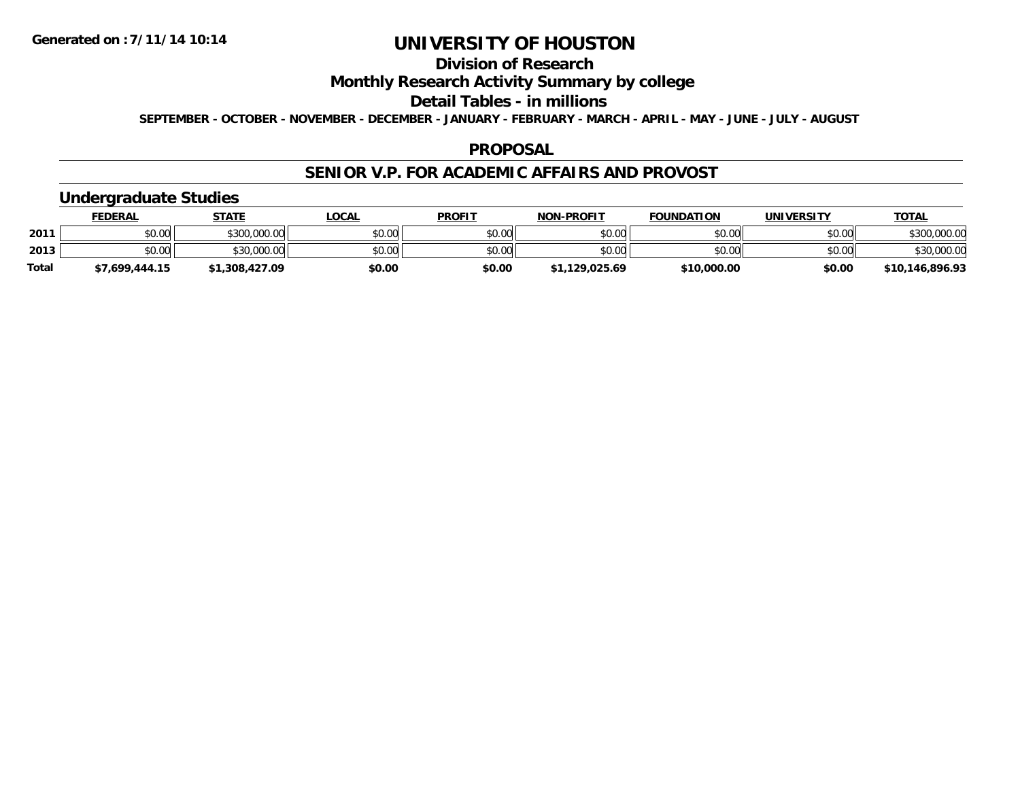## **Division of Research**

### **Monthly Research Activity Summary by college**

#### **Detail Tables - in millions**

**SEPTEMBER - OCTOBER - NOVEMBER - DECEMBER - JANUARY - FEBRUARY - MARCH - APRIL - MAY - JUNE - JULY - AUGUST**

#### **PROPOSAL**

### **SENIOR V.P. FOR ACADEMIC AFFAIRS AND PROVOST**

### **Undergraduate Studies**

|              | <u>FEDERAL</u> | <b>STATE</b> | <u>LOCAL</u> | <b>PROFIT</b> | <b>NON-PROFIT</b> | <b>FOUNDATION</b> | UNIVERSITY | <b>TOTAL</b>    |
|--------------|----------------|--------------|--------------|---------------|-------------------|-------------------|------------|-----------------|
| 2011         | \$0.00         | \$300,000.00 | \$0.00       | \$0.00        | \$0.00            | \$0.00            | \$0.00     | \$300,000.00    |
| 2013         | \$0.00         | \$30,000.00  | \$0.00       | \$0.00        | \$0.00            | \$0.00            | \$0.00     | \$30,000.00     |
| <b>Total</b> | \$7.699.444.15 | .308.427.09  | \$0.00       | \$0.00        | \$1,129,025.69    | \$10,000.00       | \$0.00     | \$10,146,896.93 |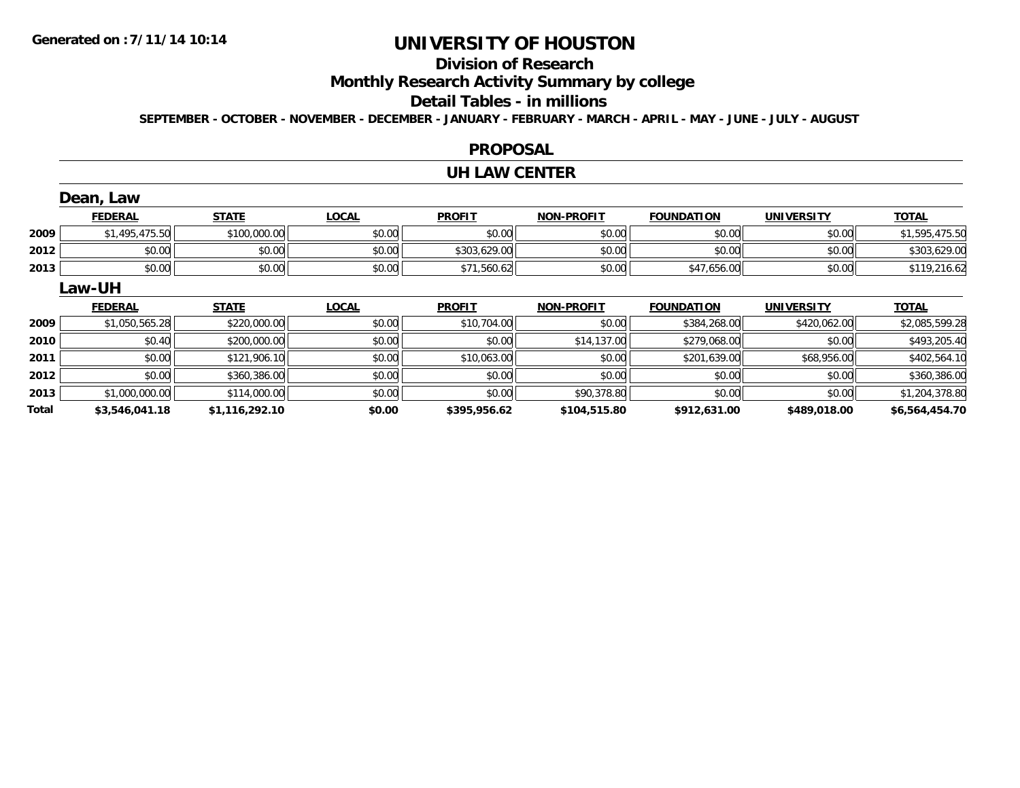## **Division of Research**

**Monthly Research Activity Summary by college**

#### **Detail Tables - in millions**

**SEPTEMBER - OCTOBER - NOVEMBER - DECEMBER - JANUARY - FEBRUARY - MARCH - APRIL - MAY - JUNE - JULY - AUGUST**

#### **PROPOSAL**

#### **UH LAW CENTER**

|       | Dean, Law      |                |              |               |                   |                   |                   |                |
|-------|----------------|----------------|--------------|---------------|-------------------|-------------------|-------------------|----------------|
|       | <b>FEDERAL</b> | <b>STATE</b>   | <b>LOCAL</b> | <b>PROFIT</b> | <b>NON-PROFIT</b> | <b>FOUNDATION</b> | <b>UNIVERSITY</b> | <b>TOTAL</b>   |
| 2009  | \$1,495,475.50 | \$100,000.00   | \$0.00       | \$0.00        | \$0.00            | \$0.00            | \$0.00            | \$1,595,475.50 |
| 2012  | \$0.00         | \$0.00         | \$0.00       | \$303,629.00  | \$0.00            | \$0.00            | \$0.00            | \$303,629.00   |
| 2013  | \$0.00         | \$0.00         | \$0.00       | \$71,560.62   | \$0.00            | \$47,656.00       | \$0.00            | \$119,216.62   |
|       | <b>Law-UH</b>  |                |              |               |                   |                   |                   |                |
|       | <b>FEDERAL</b> | <b>STATE</b>   | <b>LOCAL</b> | <b>PROFIT</b> | <b>NON-PROFIT</b> | <b>FOUNDATION</b> | UNIVERSITY        | <b>TOTAL</b>   |
| 2009  | \$1,050,565.28 | \$220,000.00   | \$0.00       | \$10,704.00   | \$0.00            | \$384,268.00      | \$420,062.00      | \$2,085,599.28 |
| 2010  | \$0.40         | \$200,000.00   | \$0.00       | \$0.00        | \$14,137.00       | \$279,068.00      | \$0.00            | \$493,205.40   |
| 2011  | \$0.00         | \$121,906.10   | \$0.00       | \$10,063.00   | \$0.00            | \$201,639.00      | \$68,956.00       | \$402,564.10   |
| 2012  | \$0.00         | \$360,386.00   | \$0.00       | \$0.00        | \$0.00            | \$0.00            | \$0.00            | \$360,386.00   |
| 2013  | \$1,000,000.00 | \$114,000.00   | \$0.00       | \$0.00        | \$90,378.80       | \$0.00            | \$0.00            | \$1,204,378.80 |
| Total | \$3,546,041.18 | \$1,116,292.10 | \$0.00       | \$395,956.62  | \$104,515.80      | \$912,631.00      | \$489,018.00      | \$6,564,454.70 |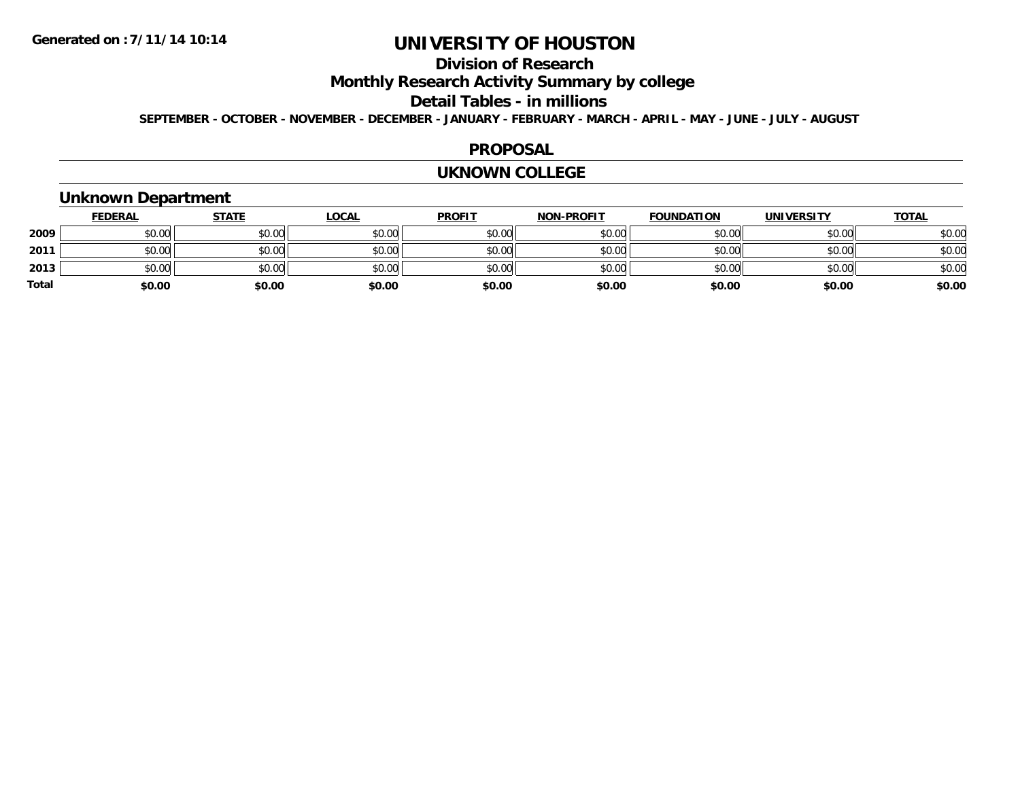## **Division of Research**

**Monthly Research Activity Summary by college**

#### **Detail Tables - in millions**

**SEPTEMBER - OCTOBER - NOVEMBER - DECEMBER - JANUARY - FEBRUARY - MARCH - APRIL - MAY - JUNE - JULY - AUGUST**

#### **PROPOSAL**

#### **UKNOWN COLLEGE**

### **Unknown Department**

|       | <b>FEDERAL</b> | <b>STATE</b> | <b>LOCAL</b> | <b>PROFIT</b> | <b>NON-PROFIT</b> | <b>FOUNDATION</b> | <b>UNIVERSITY</b> | <b>TOTAL</b> |
|-------|----------------|--------------|--------------|---------------|-------------------|-------------------|-------------------|--------------|
| 2009  | \$0.00         | \$0.00       | \$0.00       | \$0.00        | \$0.00            | \$0.00            | \$0.00            | \$0.00       |
| 2011  | \$0.00         | \$0.00       | \$0.00       | \$0.00        | \$0.00            | \$0.00            | \$0.00            | \$0.00       |
| 2013  | \$0.00         | \$0.00       | \$0.00       | \$0.00        | \$0.00            | \$0.00            | \$0.00            | \$0.00       |
| Total | \$0.00         | \$0.00       | \$0.00       | \$0.00        | \$0.00            | \$0.00            | \$0.00            | \$0.00       |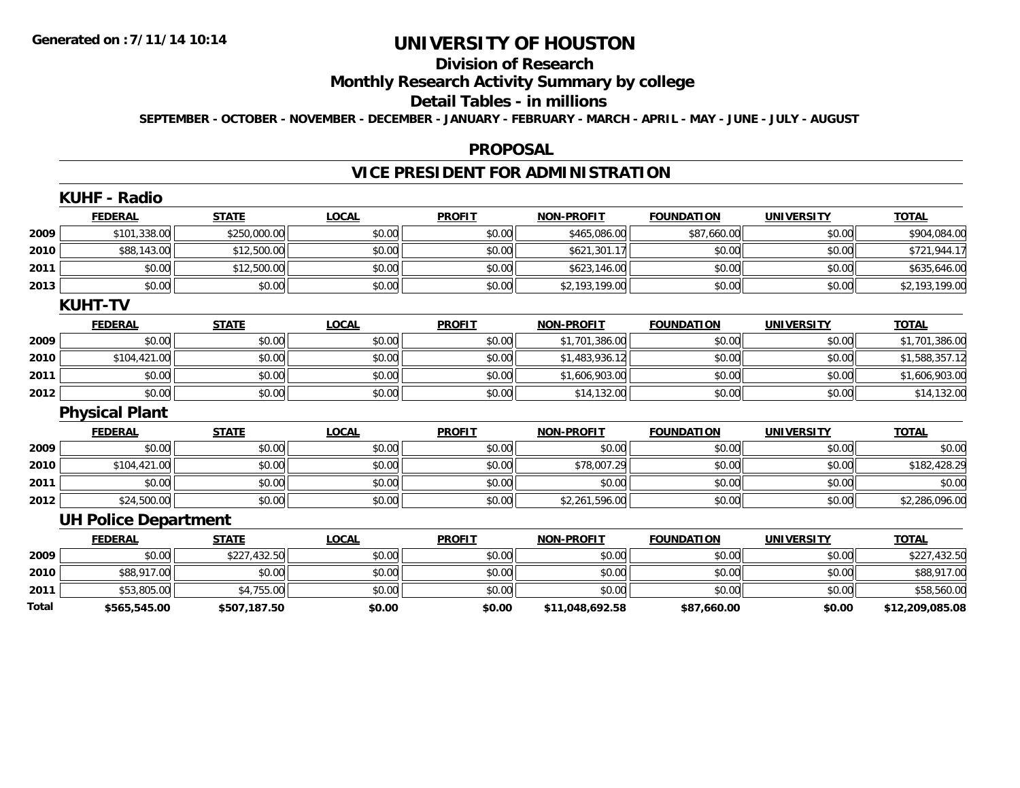## **Division of Research**

## **Monthly Research Activity Summary by college**

#### **Detail Tables - in millions**

**SEPTEMBER - OCTOBER - NOVEMBER - DECEMBER - JANUARY - FEBRUARY - MARCH - APRIL - MAY - JUNE - JULY - AUGUST**

#### **PROPOSAL**

## **VICE PRESIDENT FOR ADMINISTRATION**

|       | NUNF - RAUIU                |              |              |               |                   |                   |                   |                 |
|-------|-----------------------------|--------------|--------------|---------------|-------------------|-------------------|-------------------|-----------------|
|       | <b>FEDERAL</b>              | <b>STATE</b> | <b>LOCAL</b> | <b>PROFIT</b> | <b>NON-PROFIT</b> | <b>FOUNDATION</b> | <b>UNIVERSITY</b> | <b>TOTAL</b>    |
| 2009  | \$101,338.00                | \$250,000.00 | \$0.00       | \$0.00        | \$465,086.00      | \$87,660.00       | \$0.00            | \$904,084.00    |
| 2010  | \$88,143.00                 | \$12,500.00  | \$0.00       | \$0.00        | \$621,301.17      | \$0.00            | \$0.00            | \$721,944.17    |
| 2011  | \$0.00                      | \$12,500.00  | \$0.00       | \$0.00        | \$623,146.00      | \$0.00            | \$0.00            | \$635,646.00    |
| 2013  | \$0.00                      | \$0.00       | \$0.00       | \$0.00        | \$2,193,199.00    | \$0.00            | \$0.00            | \$2,193,199.00  |
|       | <b>KUHT-TV</b>              |              |              |               |                   |                   |                   |                 |
|       | <b>FEDERAL</b>              | <b>STATE</b> | <b>LOCAL</b> | <b>PROFIT</b> | <b>NON-PROFIT</b> | <b>FOUNDATION</b> | <b>UNIVERSITY</b> | <b>TOTAL</b>    |
| 2009  | \$0.00                      | \$0.00       | \$0.00       | \$0.00        | \$1,701,386.00    | \$0.00            | \$0.00            | \$1,701,386.00  |
| 2010  | \$104,421.00                | \$0.00       | \$0.00       | \$0.00        | \$1,483,936.12    | \$0.00            | \$0.00            | \$1,588,357.12  |
| 2011  | \$0.00                      | \$0.00       | \$0.00       | \$0.00        | \$1,606,903.00    | \$0.00            | \$0.00            | \$1,606,903.00  |
| 2012  | \$0.00                      | \$0.00       | \$0.00       | \$0.00        | \$14,132.00       | \$0.00            | \$0.00            | \$14,132.00     |
|       | <b>Physical Plant</b>       |              |              |               |                   |                   |                   |                 |
|       | <b>FEDERAL</b>              | <b>STATE</b> | <b>LOCAL</b> | <b>PROFIT</b> | <b>NON-PROFIT</b> | <b>FOUNDATION</b> | <b>UNIVERSITY</b> | <b>TOTAL</b>    |
| 2009  | \$0.00                      | \$0.00       | \$0.00       | \$0.00        | \$0.00            | \$0.00            | \$0.00            | \$0.00          |
| 2010  | \$104,421.00                | \$0.00       | \$0.00       | \$0.00        | \$78,007.29       | \$0.00            | \$0.00            | \$182,428.29    |
| 2011  | \$0.00                      | \$0.00       | \$0.00       | \$0.00        | \$0.00            | \$0.00            | \$0.00            | \$0.00          |
| 2012  | \$24,500.00                 | \$0.00       | \$0.00       | \$0.00        | \$2,261,596.00    | \$0.00            | \$0.00            | \$2,286,096.00  |
|       | <b>UH Police Department</b> |              |              |               |                   |                   |                   |                 |
|       | <b>FEDERAL</b>              | <b>STATE</b> | <b>LOCAL</b> | <b>PROFIT</b> | <b>NON-PROFIT</b> | <b>FOUNDATION</b> | <b>UNIVERSITY</b> | <b>TOTAL</b>    |
| 2009  | \$0.00                      | \$227,432.50 | \$0.00       | \$0.00        | \$0.00            | \$0.00            | \$0.00            | \$227,432.50    |
| 2010  | \$88,917.00                 | \$0.00       | \$0.00       | \$0.00        | \$0.00            | \$0.00            | \$0.00            | \$88,917.00     |
| 2011  | \$53,805.00                 | \$4,755.00   | \$0.00       | \$0.00        | \$0.00            | \$0.00            | \$0.00            | \$58,560.00     |
| Total | \$565,545.00                | \$507,187.50 | \$0.00       | \$0.00        | \$11,048,692.58   | \$87,660.00       | \$0.00            | \$12,209,085.08 |

### **KUHF - Radio**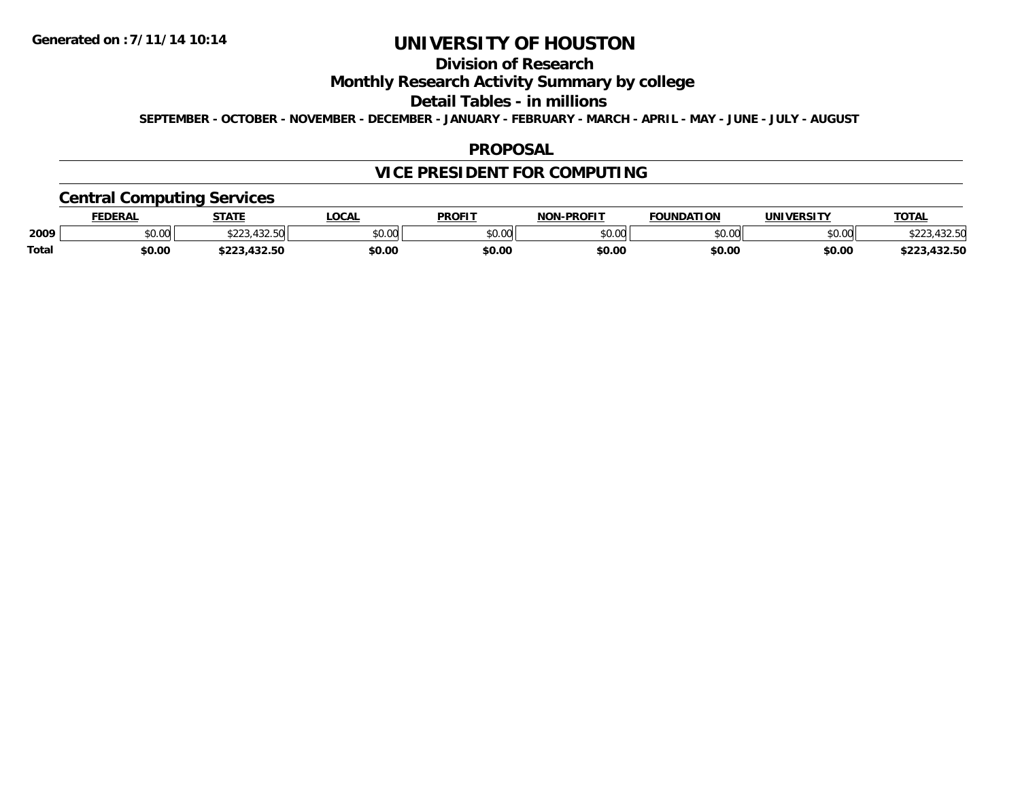## **Division of Research**

### **Monthly Research Activity Summary by college**

#### **Detail Tables - in millions**

**SEPTEMBER - OCTOBER - NOVEMBER - DECEMBER - JANUARY - FEBRUARY - MARCH - APRIL - MAY - JUNE - JULY - AUGUST**

#### **PROPOSAL**

## **VICE PRESIDENT FOR COMPUTING**

### **Central Computing Services**

|       | <b>FEDERAL</b> | <b>STATE</b>                   | .OCAL  | <b>PROFIT</b> | <b>NON-PROFIT</b> | <b>FOUNDATION</b> | <b>UNIVERSITY</b> | <b>TOTAL</b>                   |
|-------|----------------|--------------------------------|--------|---------------|-------------------|-------------------|-------------------|--------------------------------|
| 2009  | \$0.00         | 100E<br>ふへへへ<br>7 <i>34.39</i> | \$0.00 | \$0.00        | 0000<br>PO.OO     | \$0.00            | \$0.00            | $\land \land \land$<br>,432.OU |
| Total | \$0.00         | 122 50<br>,452.56              | \$0.00 | \$0.00        | \$0.00            | \$0.00            | \$0.00            | ,432.50<br>ホへへへ                |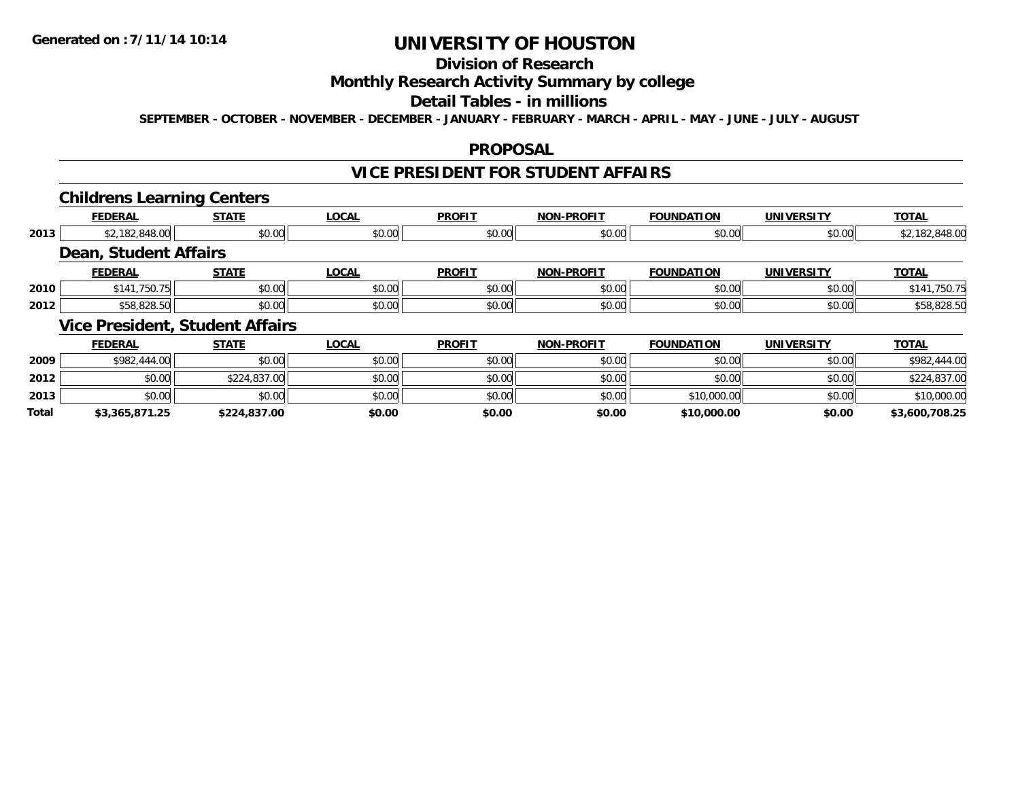**Total**

## **UNIVERSITY OF HOUSTON**

## **Division of Research**

### **Monthly Research Activity Summary by college**

#### **Detail Tables - in millions**

**SEPTEMBER - OCTOBER - NOVEMBER - DECEMBER - JANUARY - FEBRUARY - MARCH - APRIL - MAY - JUNE - JULY - AUGUST**

#### **PROPOSAL**

## **VICE PRESIDENT FOR STUDENT AFFAIRS**

#### **Childrens Learning Centers**

|                | --           |                                                                |                                        |                   |                                                |                   |                                                               |
|----------------|--------------|----------------------------------------------------------------|----------------------------------------|-------------------|------------------------------------------------|-------------------|---------------------------------------------------------------|
| <b>FEDERAL</b> | <b>STATE</b> | <b>LOCAL</b>                                                   | <b>PROFIT</b>                          | <b>NON-PROFIT</b> | <b>FOUNDATION</b>                              | <b>UNIVERSITY</b> | <b>TOTAL</b>                                                  |
|                | \$0.00       | \$0.00                                                         |                                        | \$0.00            |                                                | \$0.00            | \$2,182,848.00                                                |
|                |              |                                                                |                                        |                   |                                                |                   |                                                               |
| <b>FEDERAL</b> | <b>STATE</b> | <b>LOCAL</b>                                                   | <b>PROFIT</b>                          | <b>NON-PROFIT</b> | <b>FOUNDATION</b>                              | <b>UNIVERSITY</b> | <b>TOTAL</b>                                                  |
| \$141,750.75   | \$0.00       | \$0.00                                                         | \$0.00                                 | \$0.00            |                                                | \$0.00            | \$141,750.75                                                  |
| \$58,828.50    | \$0.00       | \$0.00                                                         |                                        | \$0.00            |                                                | \$0.00            | \$58,828.50                                                   |
|                |              |                                                                |                                        |                   |                                                |                   |                                                               |
| <b>FEDERAL</b> | <b>STATE</b> | <b>LOCAL</b>                                                   | <b>PROFIT</b>                          | <b>NON-PROFIT</b> | <b>FOUNDATION</b>                              | <b>UNIVERSITY</b> | <b>TOTAL</b>                                                  |
| \$982,444.00   | \$0.00       | \$0.00                                                         |                                        | \$0.00            |                                                | \$0.00            | \$982,444.00                                                  |
| \$0.00         |              | \$0.00                                                         |                                        | \$0.00            |                                                | \$0.00            | \$224,837.00                                                  |
| \$0.00         | \$0.00       | \$0.00                                                         |                                        | \$0.00            |                                                | \$0.00            | \$10,000.00                                                   |
|                |              | \$2,182,848.00<br><b>Dean, Student Affairs</b><br>\$224,837.00 | <b>Vice President, Student Affairs</b> |                   | \$0.00<br>\$0.00<br>\$0.00<br>\$0.00<br>\$0.00 |                   | \$0.00<br>\$0.00<br>\$0.00<br>\$0.00<br>\$0.00<br>\$10,000.00 |

**\$3,365,871.25 \$224,837.00 \$0.00 \$0.00 \$0.00 \$10,000.00 \$0.00 \$3,600,708.25**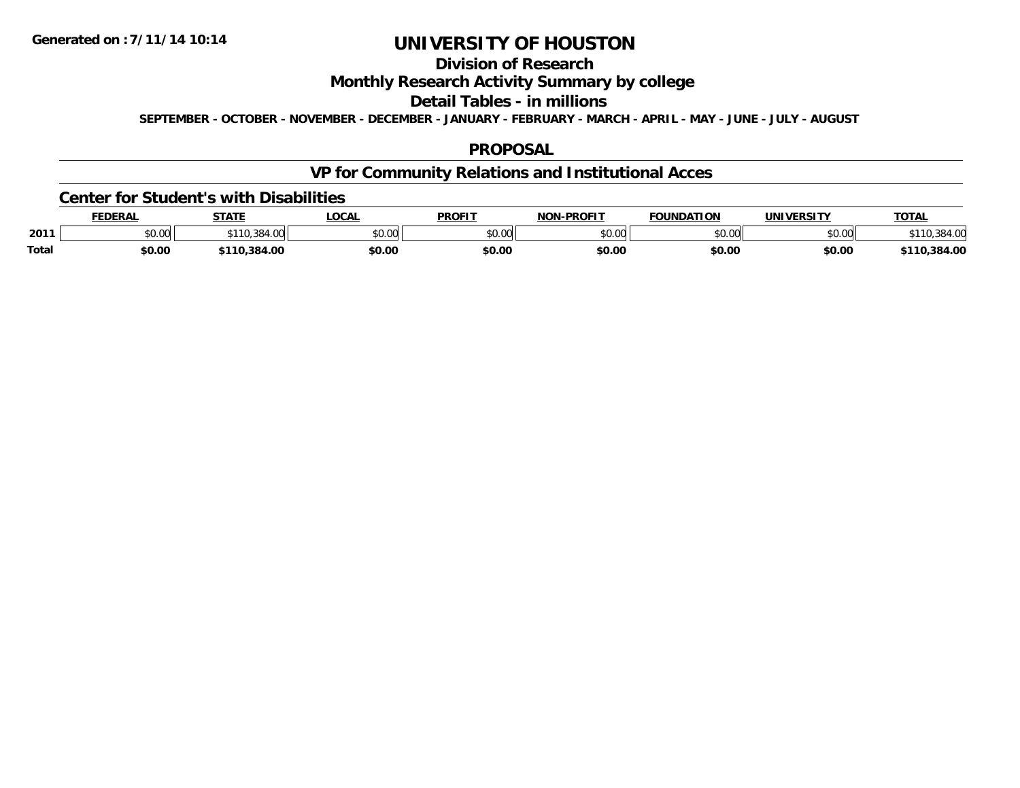## **Division of Research**

### **Monthly Research Activity Summary by college**

#### **Detail Tables - in millions**

**SEPTEMBER - OCTOBER - NOVEMBER - DECEMBER - JANUARY - FEBRUARY - MARCH - APRIL - MAY - JUNE - JULY - AUGUST**

### **PROPOSAL**

## **VP for Community Relations and Institutional Acces**

#### **Center for Student's with Disabilities**

|       | <b>FEDERAL</b> | <b>CTATE</b><br>5 I A I | <b>LOCA</b>       | <b>PROFIT</b> | <b>-PROFIT</b><br>חרות | <b>FOUNDATION</b> | <b>IINIVEDSITV</b> | <b>TOTAL</b>     |
|-------|----------------|-------------------------|-------------------|---------------|------------------------|-------------------|--------------------|------------------|
| 2011  | \$0.00         | 04.VV                   | $\sim$ 00<br>ט.טע | \$0.00        | nn nn<br>pu.uu         | ሶስ ሰሰ<br>JU.UU    | \$0.00             |                  |
| Total | \$0.00         | 110.384.00              | \$0.00            | \$0.00        | \$0.00                 | \$0.00            | \$0.00             | .384.00<br>\$110 |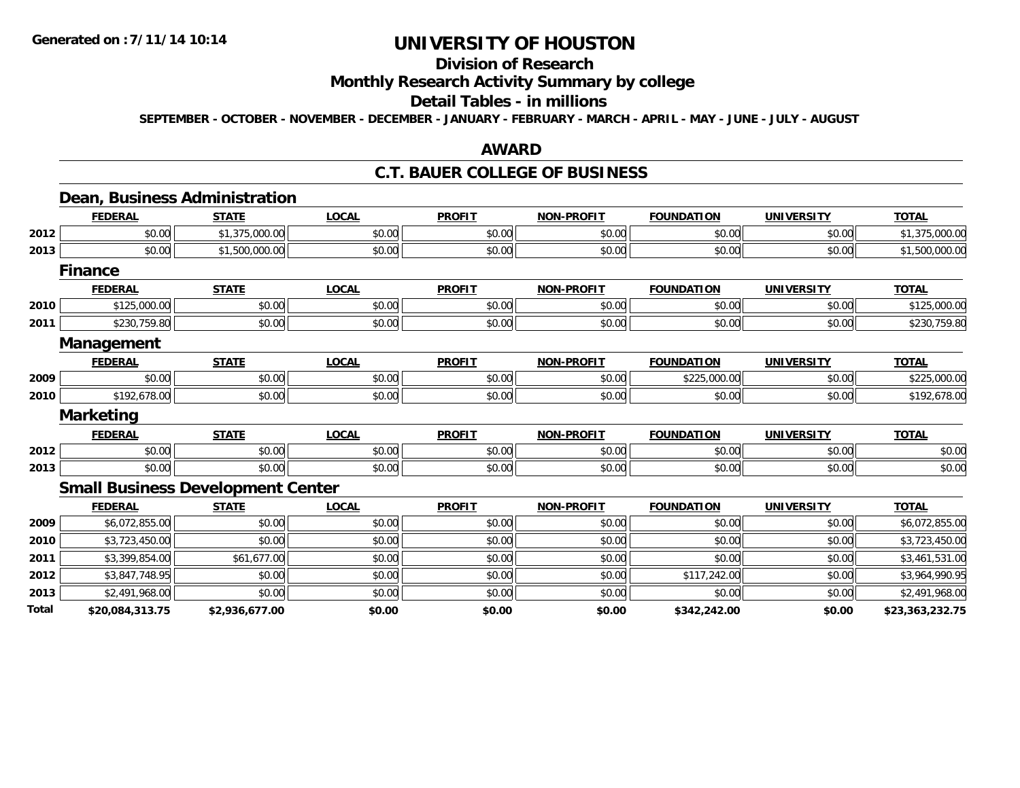### **Division of Research**

#### **Monthly Research Activity Summary by college**

### **Detail Tables - in millions**

**SEPTEMBER - OCTOBER - NOVEMBER - DECEMBER - JANUARY - FEBRUARY - MARCH - APRIL - MAY - JUNE - JULY - AUGUST**

#### **AWARD**

### **C.T. BAUER COLLEGE OF BUSINESS**

#### **Dean, Business Administration FEDERAL STATE LOCAL PROFIT NON-PROFIT FOUNDATION UNIVERSITY TOTALTOTAL 2012**2 | \$0.00|| \$1,375,000.00|| \$0.00|| \$0.00|| \$0.00|| \$0.00|| \$1,375,000.00 **2013** $\textbf{3} \mid \textbf{3} \mid \textbf{5} \mid \textbf{5} \mid \textbf{6} \mid \textbf{6} \mid \textbf{7} \mid \textbf{8} \mid \textbf{6} \mid \textbf{7} \mid \textbf{8} \mid \textbf{8} \mid \textbf{8} \mid \textbf{8} \mid \textbf{9} \mid \textbf{1} \mid \textbf{9} \mid \textbf{1} \mid \textbf{1} \mid \textbf{1} \mid \textbf{1} \mid \textbf{1} \mid \textbf{1} \mid \textbf{1} \mid \textbf{1} \mid \textbf{1} \mid \textbf{1} \mid \textbf{$ **FinanceFEDERAL STATE LOCAL PROFIT NON-PROFIT FOUNDATION UNIVERSITY TOTALTOTAL 2010** $\textsf{[0]} \quad \textsf{[0]} \quad \textsf{[0]} \quad \textsf{[0]} \quad \textsf{[0]} \quad \textsf{[0]} \quad \textsf{[0]} \quad \textsf{[0]} \quad \textsf{[0]} \quad \textsf{[0]} \quad \textsf{[0]} \quad \textsf{[0]} \quad \textsf{[0]} \quad \textsf{[0]} \quad \textsf{[0]} \quad \textsf{[0]} \quad \textsf{[0]} \quad \textsf{[0]} \quad \textsf{[0]} \quad \textsf{[0]} \quad \textsf{[0]} \quad \textsf{[0]} \quad \textsf{[0]} \quad \textsf{[0]} \quad \textsf{$ **2011**1 \$230,759.80 \$0.00 \$0.00 \$0.00 \$0.00 \$0.00 \$0.00 \$0.00 \$0.00 \$0.00 \$0.00 \$0.00 \$0.00 \$230,759.80 **Management FEDERAL STATE LOCAL PROFIT NON-PROFIT FOUNDATION UNIVERSITY TOTALTOTAL 2009** \$0.00 \$0.00 \$0.00 \$0.00 \$0.00 \$225,000.00 \$0.00 \$225,000.00 **2010** \$192,678.00 \$0.00 \$0.00 \$0.00 \$0.00 \$0.00 \$0.00 \$192,678.00 **Marketing FEDERAL STATE LOCAL PROFIT NON-PROFIT FOUNDATION UNIVERSITY TOTAL2012**2 | \$0.00 \$0.00 \$0.00 \$0.00 \$0.00 \$0.00 \$0.00 \$0.00 \$0.00 \$0.00 \$0.00 \$0.00 \$0.00 \$0.00 \$0.00 \$0.00 \$0.00 **2013**3 \$0.00 | \$0.00 | \$0.00 | \$0.00 | \$0.00 | \$0.00 | \$0.00 | \$0 **Small Business Development Center FEDERAL STATE LOCAL PROFIT NON-PROFIT FOUNDATION UNIVERSITY TOTAL2009** \$6,072,855.00 \$0.00 \$0.00 \$0.00 \$0.00 \$0.00 \$0.00 \$6,072,855.00 **2010**0 \$3,723,450.00 \$0.00 \$0.00 \$0.00 \$0.00 \$0.00 \$0.00 \$0.00 \$0.00 \$0.00 \$0.00 \$0.00 \$0.00 \$3,723,450.00 **2011** \$3,399,854.00 \$61,677.00 \$0.00 \$0.00 \$0.00 \$0.00 \$0.00 \$3,461,531.00 **2012**2 | \$3,847,748.95|| \$0.00| \$0.00|| \$0.00|| \$0.00|| \$0.00|| \$117,242.00|| \$0.00|| \$3,964,990.95 **2013**3 \$2,491,968.00 \$0.00 \$0.00 \$0.00 \$0.00 \$0.00 \$0.00 \$0.00 \$0.00 \$0.00 \$0.00 \$0.00 \$0.00 \$2,491,968.00 **Total\$20,084,313.75 \$2,936,677.00 \$0.00 \$0.00 \$0.00 \$342,242.00 \$0.00 \$23,363,232.75**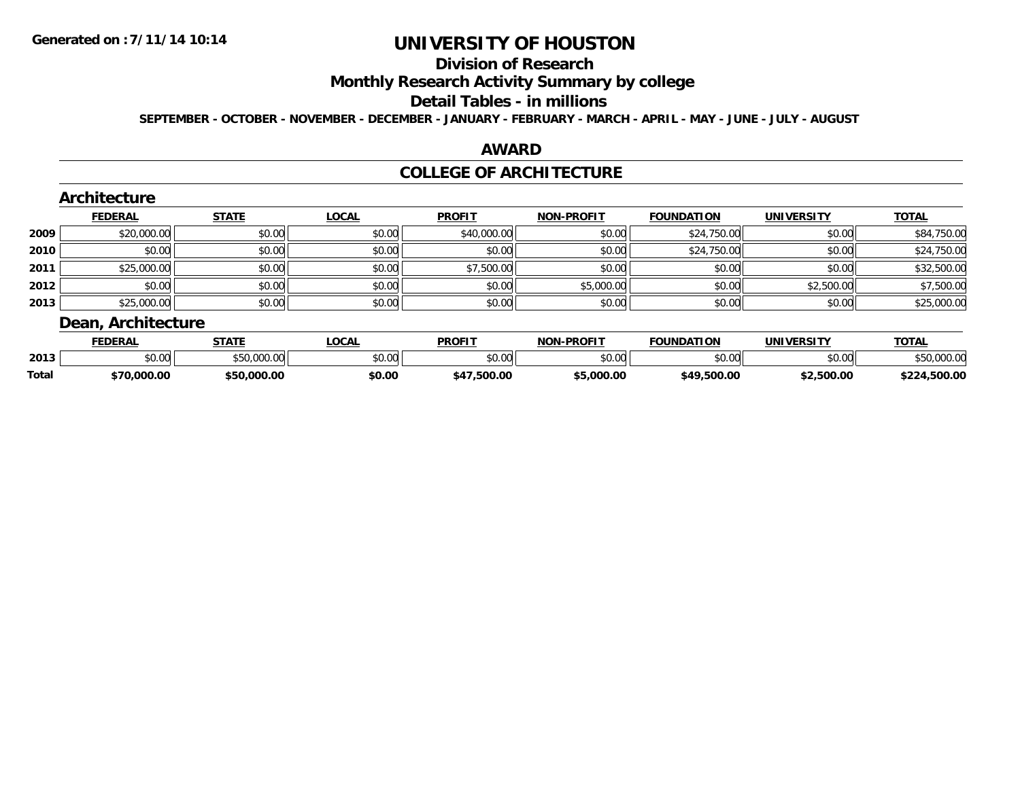# **Division of Research**

### **Monthly Research Activity Summary by college**

#### **Detail Tables - in millions**

**SEPTEMBER - OCTOBER - NOVEMBER - DECEMBER - JANUARY - FEBRUARY - MARCH - APRIL - MAY - JUNE - JULY - AUGUST**

### **AWARD**

#### **COLLEGE OF ARCHITECTURE**

|      | Architecture       |              |              |               |                   |                   |                   |              |
|------|--------------------|--------------|--------------|---------------|-------------------|-------------------|-------------------|--------------|
|      | <b>FEDERAL</b>     | <b>STATE</b> | <b>LOCAL</b> | <b>PROFIT</b> | <b>NON-PROFIT</b> | <b>FOUNDATION</b> | <b>UNIVERSITY</b> | <b>TOTAL</b> |
| 2009 | \$20,000.00        | \$0.00       | \$0.00       | \$40,000.00   | \$0.00            | \$24,750.00       | \$0.00            | \$84,750.00  |
| 2010 | \$0.00             | \$0.00       | \$0.00       | \$0.00        | \$0.00            | \$24,750.00       | \$0.00            | \$24,750.00  |
| 2011 | \$25,000.00        | \$0.00       | \$0.00       | \$7,500.00    | \$0.00            | \$0.00            | \$0.00            | \$32,500.00  |
| 2012 | \$0.00             | \$0.00       | \$0.00       | \$0.00        | \$5,000.00        | \$0.00            | \$2,500.00        | \$7,500.00   |
| 2013 | \$25,000.00        | \$0.00       | \$0.00       | \$0.00        | \$0.00            | \$0.00            | \$0.00            | \$25,000.00  |
|      | Dean, Architecture |              |              |               |                   |                   |                   |              |

|              | <b>FEDERAL</b> | STATE       | LOCAL         | <b>PROFIT</b>  | <b>NON-PROFIT</b> | <b>FOUNDATION</b> | UNIVERSITY | <b>TOTAL</b>    |
|--------------|----------------|-------------|---------------|----------------|-------------------|-------------------|------------|-----------------|
| 2013         | \$0.00         | \$50,000.00 | 4000<br>JU.UU | \$0.00         | ልስ ሀህ<br>DU.UU    | \$0.00            | \$0.00     | \$50,000.00     |
| <b>Total</b> | \$70,000.00    | \$50.000.00 | \$0.00        | .500.00<br>54- | 5.000.00          | \$49.500.00       | \$2.500.00 | .500.00<br>キウウオ |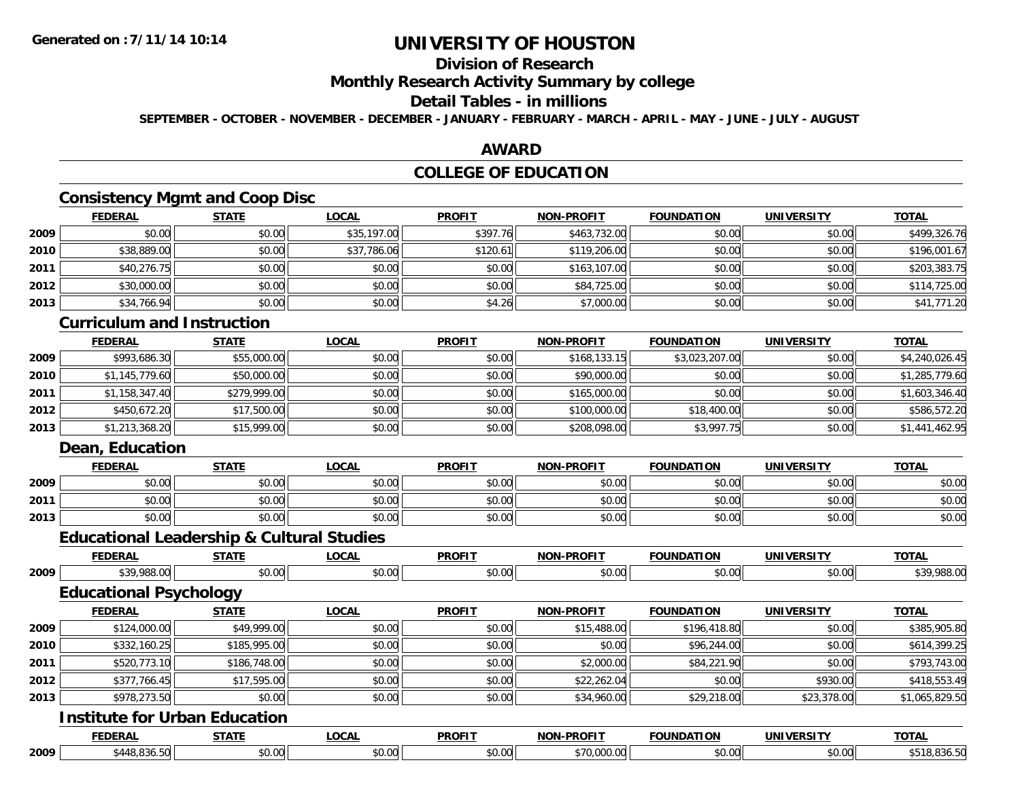### **Division of Research**

### **Monthly Research Activity Summary by college**

### **Detail Tables - in millions**

**SEPTEMBER - OCTOBER - NOVEMBER - DECEMBER - JANUARY - FEBRUARY - MARCH - APRIL - MAY - JUNE - JULY - AUGUST**

#### **AWARD**

### **COLLEGE OF EDUCATION**

### **Consistency Mgmt and Coop Disc**

|      | <b>FEDERAL</b> | <b>STATE</b> | <u>LOCAL</u> | <b>PROFIT</b> | <b>NON-PROFIT</b> | <b>FOUNDATION</b> | <b>UNIVERSITY</b> | <b>TOTAL</b> |
|------|----------------|--------------|--------------|---------------|-------------------|-------------------|-------------------|--------------|
| 2009 | \$0.00         | \$0.00       | \$35,197.00  | \$397.76      | \$463,732.00      | \$0.00            | \$0.00            | \$499,326.76 |
| 2010 | \$38,889.00    | \$0.00       | \$37,786.06  | \$120.61      | \$119,206.00      | \$0.00            | \$0.00            | \$196,001.67 |
| 2011 | \$40,276.75    | \$0.00       | \$0.00       | \$0.00        | \$163,107.00      | \$0.00            | \$0.00            | \$203,383.75 |
| 2012 | \$30,000.00    | \$0.00       | \$0.00       | \$0.00        | \$84,725.00       | \$0.00            | \$0.00            | \$114,725.00 |
| 2013 | \$34,766.94    | \$0.00       | \$0.00       | \$4.26        | \$7,000.00        | \$0.00            | \$0.00            | \$41,771.20  |

#### **Curriculum and Instruction**

|      | <b>FEDERAL</b> | <b>STATE</b> | <u>LOCAL</u> | <b>PROFIT</b> | <b>NON-PROFIT</b> | <b>FOUNDATION</b> | <b>UNIVERSITY</b> | <b>TOTAL</b>   |
|------|----------------|--------------|--------------|---------------|-------------------|-------------------|-------------------|----------------|
| 2009 | \$993,686.30   | \$55,000.00  | \$0.00       | \$0.00        | \$168,133.15      | \$3,023,207.00    | \$0.00            | \$4,240,026.45 |
| 2010 | \$1,145,779.60 | \$50,000.00  | \$0.00       | \$0.00        | \$90,000.00       | \$0.00            | \$0.00            | \$1,285,779.60 |
| 2011 | \$1,158,347.40 | \$279,999.00 | \$0.00       | \$0.00        | \$165,000.00      | \$0.00            | \$0.00            | \$1,603,346.40 |
| 2012 | \$450,672.20   | \$17,500.00  | \$0.00       | \$0.00        | \$100,000.00      | \$18,400.00       | \$0.00            | \$586,572.20   |
| 2013 | \$1,213,368.20 | \$15,999.00  | \$0.00       | \$0.00        | \$208,098.00      | \$3,997.75        | \$0.00            | \$1,441,462.95 |

### **Dean, Education**

|      | <b>FEDERAL</b>         | <b>CTATE</b>            | .OCAL                | <b>PROFIT</b>             | <b>-PROFIT</b><br><b>NON</b> | <b>FOLINDATION</b>       | <b>INIVERSITY</b>       | <b>TOTA.</b> |
|------|------------------------|-------------------------|----------------------|---------------------------|------------------------------|--------------------------|-------------------------|--------------|
| 2009 | ÷0.<br>₽U.UU           | 0 <sub>n</sub><br>JU.UU | 0000<br>PO.OO        | $\sim$ $\sim$<br>$-40.06$ | 0000<br>JU.UL                | $n \cap \Omega$<br>DU.UU | $n \cap \neg$<br>⊸∪.∪u⊧ | \$0.00       |
| 2011 | ₽U.UU                  | 0000<br>JU.UU           | 0000<br>PO.OO        | $\sim$ $\sim$<br>JU.UU    | 0000<br>JU.UL                | 0000<br>U.UU             | 0.001<br>DU.UG          | \$0.00       |
| 2013 | $\sim$<br><b>PU.UU</b> | 0000<br>JU.UU           | 0000<br><b>DU.UU</b> | $\sim$ $\sim$<br>JU.UU    | \$0.00                       | \$0.00                   | \$0.00                  | \$0.00       |

|      |                                      | <b>Educational Leadership &amp; Cultural Studies</b> |              |               |                   |                   |                   |                |
|------|--------------------------------------|------------------------------------------------------|--------------|---------------|-------------------|-------------------|-------------------|----------------|
|      | <b>FEDERAL</b>                       | <b>STATE</b>                                         | <b>LOCAL</b> | <b>PROFIT</b> | <b>NON-PROFIT</b> | <b>FOUNDATION</b> | <b>UNIVERSITY</b> | <b>TOTAL</b>   |
| 2009 | \$39,988.00                          | \$0.00                                               | \$0.00       | \$0.00        | \$0.00            | \$0.00            | \$0.00            | \$39,988.00    |
|      | <b>Educational Psychology</b>        |                                                      |              |               |                   |                   |                   |                |
|      | <b>FEDERAL</b>                       | <b>STATE</b>                                         | <b>LOCAL</b> | <b>PROFIT</b> | <b>NON-PROFIT</b> | <b>FOUNDATION</b> | <b>UNIVERSITY</b> | <b>TOTAL</b>   |
| 2009 | \$124,000.00                         | \$49,999.00                                          | \$0.00       | \$0.00        | \$15,488.00       | \$196,418.80      | \$0.00            | \$385,905.80   |
| 2010 | \$332,160.25                         | \$185,995.00                                         | \$0.00       | \$0.00        | \$0.00            | \$96,244.00       | \$0.00            | \$614,399.25   |
| 2011 | \$520,773.10                         | \$186,748.00                                         | \$0.00       | \$0.00        | \$2,000.00        | \$84,221.90       | \$0.00            | \$793,743.00   |
| 2012 | \$377,766.45                         | \$17,595.00                                          | \$0.00       | \$0.00        | \$22,262.04       | \$0.00            | \$930.00          | \$418,553.49   |
| 2013 | \$978,273.50                         | \$0.00                                               | \$0.00       | \$0.00        | \$34,960.00       | \$29,218.00       | \$23,378.00       | \$1,065,829.50 |
|      | <b>Institute for Urban Education</b> |                                                      |              |               |                   |                   |                   |                |
|      | <b>FEDERAL</b>                       | <b>STATE</b>                                         | <b>LOCAL</b> | <b>PROFIT</b> | <b>NON-PROFIT</b> | <b>FOUNDATION</b> | <b>UNIVERSITY</b> | <b>TOTAL</b>   |

**2009**\$448,836.50 \$0.00 \$0.00 \$0.00 \$70,000.00 \$0.00 \$0.00 \$518,836.50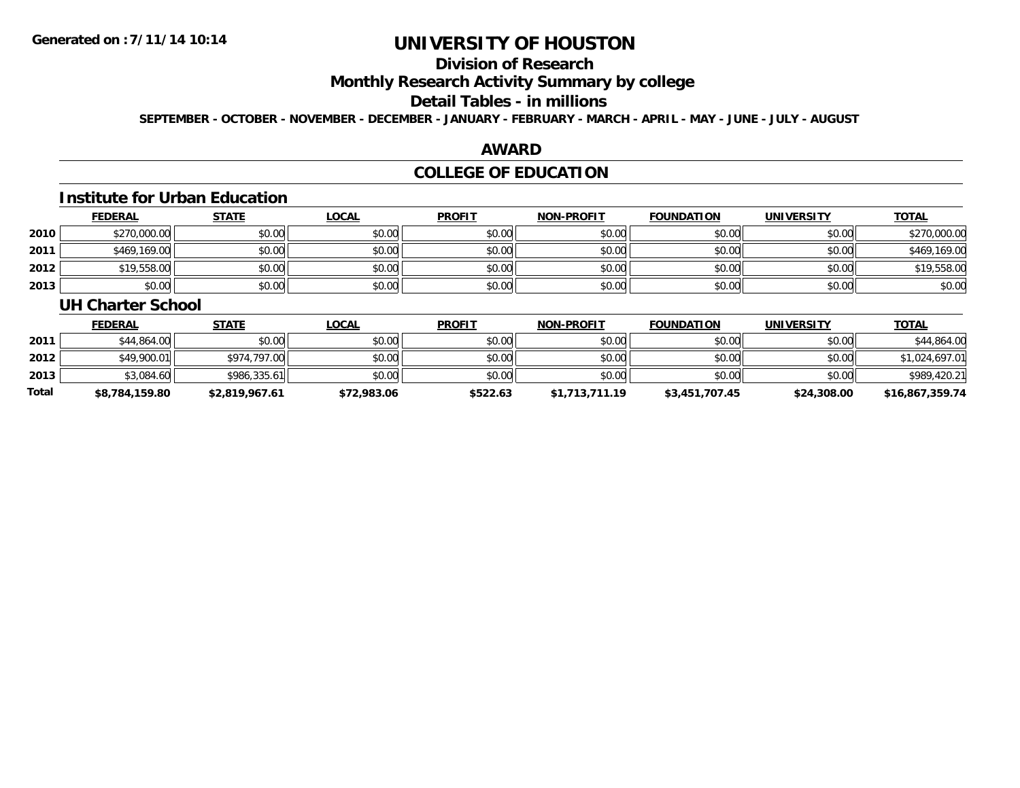# **Division of Research**

### **Monthly Research Activity Summary by college**

#### **Detail Tables - in millions**

**SEPTEMBER - OCTOBER - NOVEMBER - DECEMBER - JANUARY - FEBRUARY - MARCH - APRIL - MAY - JUNE - JULY - AUGUST**

#### **AWARD**

### **COLLEGE OF EDUCATION**

### **Institute for Urban Education**

|      | <b>FEDERAL</b> | <u>STATE</u> | <u>LOCAL</u> | <b>PROFIT</b> | <b>NON-PROFIT</b> | FOUNDATION | <b>UNIVERSITY</b> | <b>TOTAL</b> |
|------|----------------|--------------|--------------|---------------|-------------------|------------|-------------------|--------------|
| 2010 | \$270,000.00   | \$0.00       | \$0.00       | \$0.00        | \$0.00            | \$0.00     | \$0.00            | \$270,000.00 |
| 2011 | \$469,169.00   | \$0.00       | \$0.00       | \$0.00        | \$0.00            | \$0.00     | \$0.00            | \$469,169.00 |
| 2012 | \$19,558.00    | \$0.00       | \$0.00       | \$0.00        | \$0.00            | \$0.00     | \$0.00            | \$19,558.00  |
| 2013 | \$0.00         | \$0.00       | \$0.00       | \$0.00        | \$0.00            | \$0.00     | \$0.00            | \$0.00       |

#### **UH Charter School**

|              | <b>FEDERAL</b> | <b>STATE</b>   | <u>LOCAL</u> | <b>PROFIT</b> | <b>NON-PROFIT</b> | <b>FOUNDATION</b> | <b>UNIVERSITY</b> | <b>TOTAL</b>    |
|--------------|----------------|----------------|--------------|---------------|-------------------|-------------------|-------------------|-----------------|
| 2011         | \$44,864,00    | \$0.00         | \$0.00       | \$0.00        | \$0.00            | \$0.00            | \$0.00            | \$44,864.00     |
| 2012         | \$49,900.01    | \$974,797.00   | \$0.00       | \$0.00        | \$0.00            | \$0.00            | \$0.00            | \$1,024,697.01  |
| 2013         | \$3,084.60     | \$986,335.61   | \$0.00       | \$0.00        | \$0.00            | \$0.00            | \$0.00            | \$989,420.21    |
| <b>Total</b> | \$8,784,159.80 | \$2.819.967.61 | \$72,983.06  | \$522.63      | \$1,713,711.19    | \$3,451,707.45    | \$24,308.00       | \$16,867,359.74 |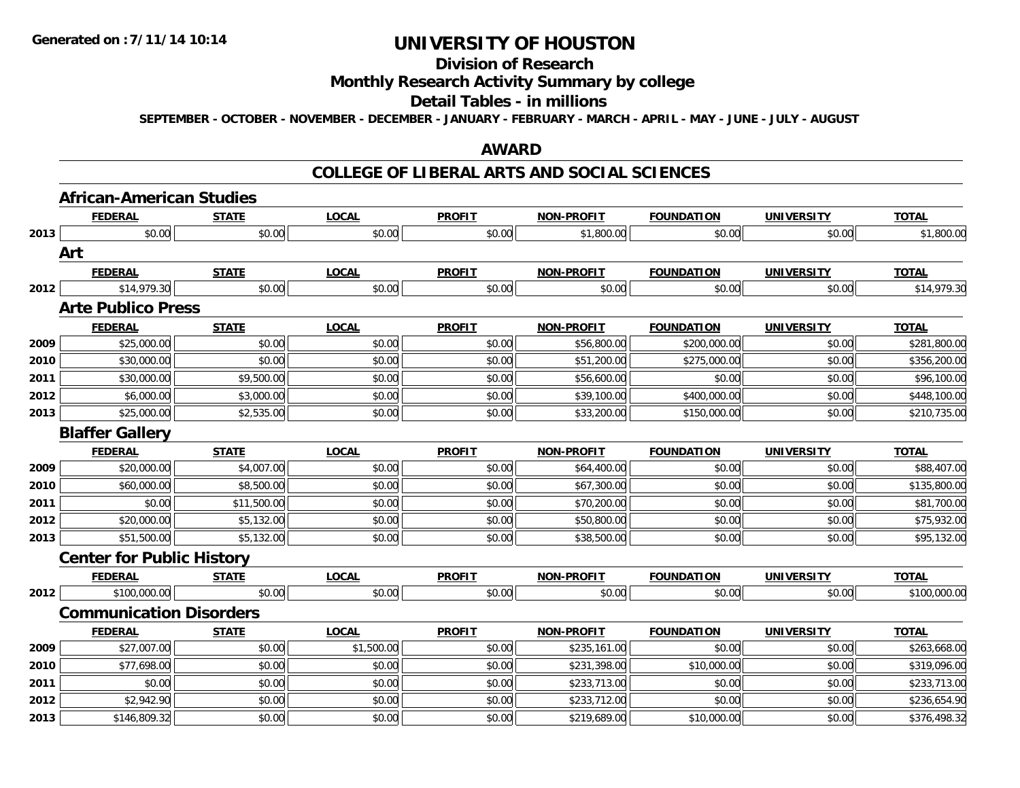#### **Division of Research**

### **Monthly Research Activity Summary by college**

#### **Detail Tables - in millions**

**SEPTEMBER - OCTOBER - NOVEMBER - DECEMBER - JANUARY - FEBRUARY - MARCH - APRIL - MAY - JUNE - JULY - AUGUST**

#### **AWARD**

#### **COLLEGE OF LIBERAL ARTS AND SOCIAL SCIENCES**

|      | <b>African-American Studies</b>  |              |              |               |                   |                   |                   |              |
|------|----------------------------------|--------------|--------------|---------------|-------------------|-------------------|-------------------|--------------|
|      | <b>FEDERAL</b>                   | <b>STATE</b> | <b>LOCAL</b> | <b>PROFIT</b> | <b>NON-PROFIT</b> | <b>FOUNDATION</b> | <b>UNIVERSITY</b> | <b>TOTAL</b> |
| 2013 | \$0.00                           | \$0.00       | \$0.00       | \$0.00        | \$1,800.00        | \$0.00            | \$0.00            | \$1,800.00   |
|      | Art                              |              |              |               |                   |                   |                   |              |
|      | <b>FEDERAL</b>                   | <b>STATE</b> | <b>LOCAL</b> | <b>PROFIT</b> | <b>NON-PROFIT</b> | <b>FOUNDATION</b> | <b>UNIVERSITY</b> | <b>TOTAL</b> |
| 2012 | \$14,979.30                      | \$0.00       | \$0.00       | \$0.00        | \$0.00            | \$0.00            | \$0.00            | \$14,979.30  |
|      | <b>Arte Publico Press</b>        |              |              |               |                   |                   |                   |              |
|      | <b>FEDERAL</b>                   | <b>STATE</b> | <b>LOCAL</b> | <b>PROFIT</b> | <b>NON-PROFIT</b> | <b>FOUNDATION</b> | <b>UNIVERSITY</b> | <b>TOTAL</b> |
| 2009 | \$25,000.00                      | \$0.00       | \$0.00       | \$0.00        | \$56,800.00       | \$200,000.00      | \$0.00            | \$281,800.00 |
| 2010 | \$30,000.00                      | \$0.00       | \$0.00       | \$0.00        | \$51,200.00       | \$275,000.00      | \$0.00            | \$356,200.00 |
| 2011 | \$30,000.00                      | \$9,500.00   | \$0.00       | \$0.00        | \$56,600.00       | \$0.00            | \$0.00            | \$96,100.00  |
| 2012 | \$6,000.00                       | \$3,000.00   | \$0.00       | \$0.00        | \$39,100.00       | \$400,000.00      | \$0.00            | \$448,100.00 |
| 2013 | \$25,000.00                      | \$2,535.00   | \$0.00       | \$0.00        | \$33,200.00       | \$150,000.00      | \$0.00            | \$210,735.00 |
|      | <b>Blaffer Gallery</b>           |              |              |               |                   |                   |                   |              |
|      | <b>FEDERAL</b>                   | <b>STATE</b> | <b>LOCAL</b> | <b>PROFIT</b> | <b>NON-PROFIT</b> | <b>FOUNDATION</b> | <b>UNIVERSITY</b> | <b>TOTAL</b> |
| 2009 | \$20,000.00                      | \$4,007.00   | \$0.00       | \$0.00        | \$64,400.00       | \$0.00            | \$0.00            | \$88,407.00  |
| 2010 | \$60,000.00                      | \$8,500.00   | \$0.00       | \$0.00        | \$67,300.00       | \$0.00            | \$0.00            | \$135,800.00 |
| 2011 | \$0.00                           | \$11,500.00  | \$0.00       | \$0.00        | \$70,200.00       | \$0.00            | \$0.00            | \$81,700.00  |
| 2012 | \$20,000.00                      | \$5,132.00   | \$0.00       | \$0.00        | \$50,800.00       | \$0.00            | \$0.00            | \$75,932.00  |
| 2013 | \$51,500.00                      | \$5,132.00   | \$0.00       | \$0.00        | \$38,500.00       | \$0.00            | \$0.00            | \$95,132.00  |
|      | <b>Center for Public History</b> |              |              |               |                   |                   |                   |              |
|      | <b>FEDERAL</b>                   | <b>STATE</b> | <b>LOCAL</b> | <b>PROFIT</b> | <b>NON-PROFIT</b> | <b>FOUNDATION</b> | <b>UNIVERSITY</b> | <b>TOTAL</b> |
| 2012 | \$100,000.00                     | \$0.00       | \$0.00       | \$0.00        | \$0.00            | \$0.00            | \$0.00            | \$100,000.00 |
|      | <b>Communication Disorders</b>   |              |              |               |                   |                   |                   |              |
|      | <b>FEDERAL</b>                   | <b>STATE</b> | <b>LOCAL</b> | <b>PROFIT</b> | <b>NON-PROFIT</b> | <b>FOUNDATION</b> | <b>UNIVERSITY</b> | <b>TOTAL</b> |
| 2009 | \$27,007.00                      | \$0.00       | \$1,500.00   | \$0.00        | \$235,161.00      | \$0.00            | \$0.00            | \$263,668.00 |
| 2010 | \$77,698.00                      | \$0.00       | \$0.00       | \$0.00        | \$231,398.00      | \$10,000.00       | \$0.00            | \$319,096.00 |
| 2011 | \$0.00                           | \$0.00       | \$0.00       | \$0.00        | \$233,713.00      | \$0.00            | \$0.00            | \$233,713.00 |
| 2012 | \$2,942.90                       | \$0.00       | \$0.00       | \$0.00        | \$233,712.00      | \$0.00            | \$0.00            | \$236,654.90 |
| 2013 | \$146,809.32                     | \$0.00       | \$0.00       | \$0.00        | \$219,689.00      | \$10,000.00       | \$0.00            | \$376,498.32 |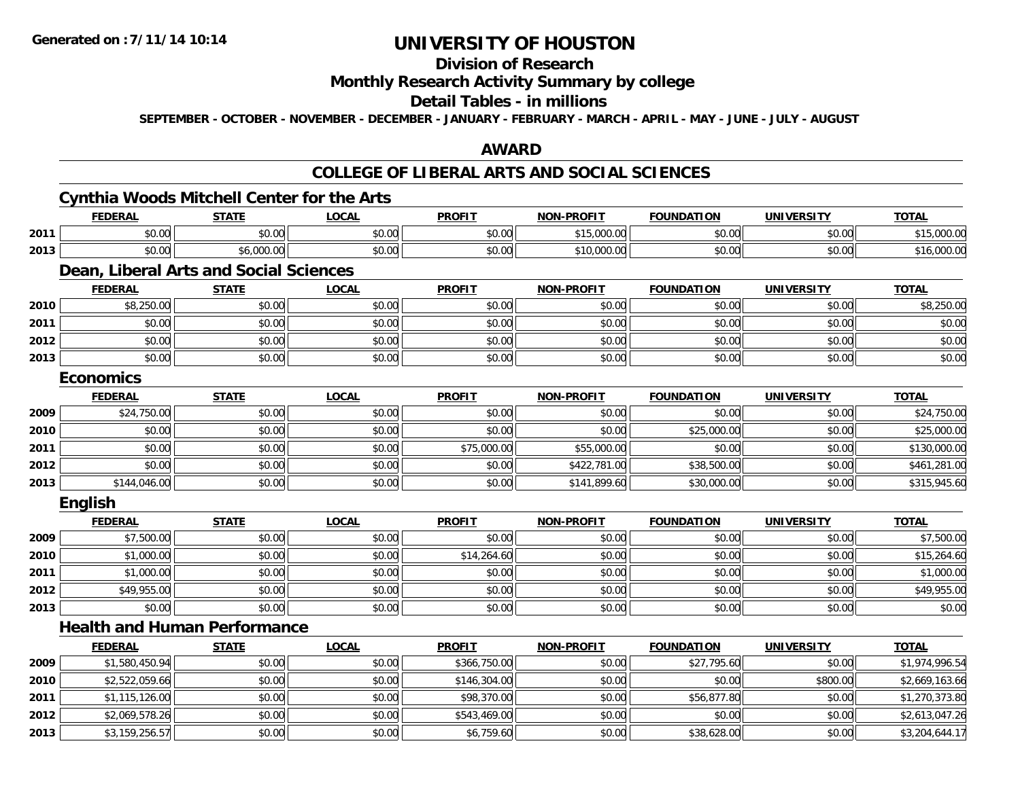**2012**

**2013**

# **UNIVERSITY OF HOUSTON**

### **Division of Research**

### **Monthly Research Activity Summary by college**

### **Detail Tables - in millions**

**SEPTEMBER - OCTOBER - NOVEMBER - DECEMBER - JANUARY - FEBRUARY - MARCH - APRIL - MAY - JUNE - JULY - AUGUST**

#### **AWARD**

### **COLLEGE OF LIBERAL ARTS AND SOCIAL SCIENCES**

# **Cynthia Woods Mitchell Center for the Arts**

|      | <b>FEDERAL</b>                         | <b>STATE</b> | <b>LOCAL</b> | <b>PROFIT</b> | <b>NON-PROFIT</b> | <b>FOUNDATION</b> | <b>UNIVERSITY</b> | <b>TOTAL</b>   |
|------|----------------------------------------|--------------|--------------|---------------|-------------------|-------------------|-------------------|----------------|
| 2011 | \$0.00                                 | \$0.00       | \$0.00       | \$0.00        | \$15,000.00       | \$0.00            | \$0.00            | \$15,000.00    |
| 2013 | \$0.00                                 | \$6,000.00   | \$0.00       | \$0.00        | \$10,000.00       | \$0.00            | \$0.00            | \$16,000.00    |
|      | Dean, Liberal Arts and Social Sciences |              |              |               |                   |                   |                   |                |
|      | <b>FEDERAL</b>                         | <b>STATE</b> | <b>LOCAL</b> | <b>PROFIT</b> | <b>NON-PROFIT</b> | <b>FOUNDATION</b> | <b>UNIVERSITY</b> | <b>TOTAL</b>   |
| 2010 | \$8,250.00                             | \$0.00       | \$0.00       | \$0.00        | \$0.00            | \$0.00            | \$0.00            | \$8,250.00     |
| 2011 | \$0.00                                 | \$0.00       | \$0.00       | \$0.00        | \$0.00            | \$0.00            | \$0.00            | \$0.00         |
| 2012 | \$0.00                                 | \$0.00       | \$0.00       | \$0.00        | \$0.00            | \$0.00            | \$0.00            | \$0.00         |
| 2013 | \$0.00                                 | \$0.00       | \$0.00       | \$0.00        | \$0.00            | \$0.00            | \$0.00            | \$0.00         |
|      | <b>Economics</b>                       |              |              |               |                   |                   |                   |                |
|      | <b>FEDERAL</b>                         | <b>STATE</b> | <b>LOCAL</b> | <b>PROFIT</b> | <b>NON-PROFIT</b> | <b>FOUNDATION</b> | <b>UNIVERSITY</b> | <b>TOTAL</b>   |
| 2009 | \$24,750.00                            | \$0.00       | \$0.00       | \$0.00        | \$0.00            | \$0.00            | \$0.00            | \$24,750.00    |
| 2010 | \$0.00                                 | \$0.00       | \$0.00       | \$0.00        | \$0.00            | \$25,000.00       | \$0.00            | \$25,000.00    |
| 2011 | \$0.00                                 | \$0.00       | \$0.00       | \$75,000.00   | \$55,000.00       | \$0.00            | \$0.00            | \$130,000.00   |
| 2012 | \$0.00                                 | \$0.00       | \$0.00       | \$0.00        | \$422,781.00      | \$38,500.00       | \$0.00            | \$461,281.00   |
| 2013 | \$144,046.00                           | \$0.00       | \$0.00       | \$0.00        | \$141,899.60      | \$30,000.00       | \$0.00            | \$315,945.60   |
|      | English                                |              |              |               |                   |                   |                   |                |
|      | <b>FEDERAL</b>                         | <b>STATE</b> | <b>LOCAL</b> | <b>PROFIT</b> | <b>NON-PROFIT</b> | <b>FOUNDATION</b> | <b>UNIVERSITY</b> | <b>TOTAL</b>   |
| 2009 | \$7,500.00                             | \$0.00       | \$0.00       | \$0.00        | \$0.00            | \$0.00            | \$0.00            | \$7,500.00     |
| 2010 | \$1,000.00                             | \$0.00       | \$0.00       | \$14,264.60   | \$0.00            | \$0.00            | \$0.00            | \$15,264.60    |
| 2011 | \$1,000.00                             | \$0.00       | \$0.00       | \$0.00        | \$0.00            | \$0.00            | \$0.00            | \$1,000.00     |
| 2012 | \$49,955.00                            | \$0.00       | \$0.00       | \$0.00        | \$0.00            | \$0.00            | \$0.00            | \$49,955.00    |
| 2013 | \$0.00                                 | \$0.00       | \$0.00       | \$0.00        | \$0.00            | \$0.00            | \$0.00            | \$0.00         |
|      | <b>Health and Human Performance</b>    |              |              |               |                   |                   |                   |                |
|      | <b>FEDERAL</b>                         | <b>STATE</b> | <b>LOCAL</b> | <b>PROFIT</b> | <b>NON-PROFIT</b> | <b>FOUNDATION</b> | <b>UNIVERSITY</b> | <b>TOTAL</b>   |
| 2009 | \$1,580,450.94                         | \$0.00       | \$0.00       | \$366,750.00  | \$0.00            | \$27,795.60       | \$0.00            | \$1,974,996.54 |
| 2010 | \$2,522,059.66                         | \$0.00       | \$0.00       | \$146,304.00  | \$0.00            | \$0.00            | \$800.00          | \$2,669,163.66 |
| 2011 | \$1,115,126.00                         | \$0.00       | \$0.00       | \$98,370.00   | \$0.00            | \$56,877.80       | \$0.00            | \$1,270,373.80 |

\$2,069,578.26 \$0.00 \$0.00 \$543,469.00 \$0.00 \$0.00 \$0.00 \$2,613,047.26

\$3,159,256.57 \$0.00 \$0.00 \$6,759.60 \$0.00 \$38,628.00 \$0.00 \$3,204,644.17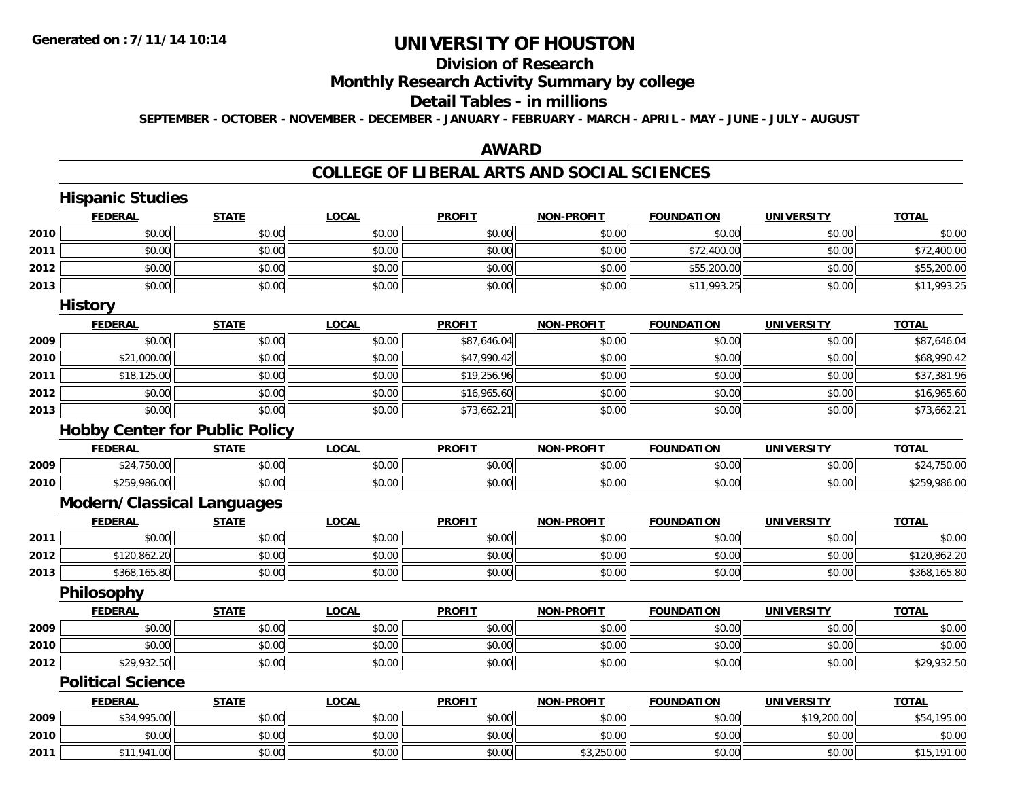# **Division of Research**

### **Monthly Research Activity Summary by college**

#### **Detail Tables - in millions**

**SEPTEMBER - OCTOBER - NOVEMBER - DECEMBER - JANUARY - FEBRUARY - MARCH - APRIL - MAY - JUNE - JULY - AUGUST**

#### **AWARD**

#### **COLLEGE OF LIBERAL ARTS AND SOCIAL SCIENCES**

|      | <b>Hispanic Studies</b>           |                                       |              |               |                   |                   |                   |              |
|------|-----------------------------------|---------------------------------------|--------------|---------------|-------------------|-------------------|-------------------|--------------|
|      | <b>FEDERAL</b>                    | <b>STATE</b>                          | <b>LOCAL</b> | <b>PROFIT</b> | <b>NON-PROFIT</b> | <b>FOUNDATION</b> | <b>UNIVERSITY</b> | <b>TOTAL</b> |
| 2010 | \$0.00                            | \$0.00                                | \$0.00       | \$0.00        | \$0.00            | \$0.00            | \$0.00            | \$0.00       |
| 2011 | \$0.00                            | \$0.00                                | \$0.00       | \$0.00        | \$0.00            | \$72,400.00       | \$0.00            | \$72,400.00  |
| 2012 | \$0.00                            | \$0.00                                | \$0.00       | \$0.00        | \$0.00            | \$55,200.00       | \$0.00            | \$55,200.00  |
| 2013 | \$0.00                            | \$0.00                                | \$0.00       | \$0.00        | \$0.00            | \$11,993.25       | \$0.00            | \$11,993.25  |
|      | <b>History</b>                    |                                       |              |               |                   |                   |                   |              |
|      | <b>FEDERAL</b>                    | <b>STATE</b>                          | <b>LOCAL</b> | <b>PROFIT</b> | <b>NON-PROFIT</b> | <b>FOUNDATION</b> | <b>UNIVERSITY</b> | <b>TOTAL</b> |
| 2009 | \$0.00                            | \$0.00                                | \$0.00       | \$87,646.04   | \$0.00            | \$0.00            | \$0.00            | \$87,646.04  |
| 2010 | \$21,000.00                       | \$0.00                                | \$0.00       | \$47,990.42   | \$0.00            | \$0.00            | \$0.00            | \$68,990.42  |
| 2011 | \$18,125.00                       | \$0.00                                | \$0.00       | \$19,256.96   | \$0.00            | \$0.00            | \$0.00            | \$37,381.96  |
| 2012 | \$0.00                            | \$0.00                                | \$0.00       | \$16,965.60   | \$0.00            | \$0.00            | \$0.00            | \$16,965.60  |
| 2013 | \$0.00                            | \$0.00                                | \$0.00       | \$73,662.21   | \$0.00            | \$0.00            | \$0.00            | \$73,662.21  |
|      |                                   | <b>Hobby Center for Public Policy</b> |              |               |                   |                   |                   |              |
|      | <b>FEDERAL</b>                    | <b>STATE</b>                          | <b>LOCAL</b> | <b>PROFIT</b> | <b>NON-PROFIT</b> | <b>FOUNDATION</b> | <b>UNIVERSITY</b> | <b>TOTAL</b> |
| 2009 | \$24,750.00                       | \$0.00                                | \$0.00       | \$0.00        | \$0.00            | \$0.00            | \$0.00            | \$24,750.00  |
| 2010 | \$259,986.00                      | \$0.00                                | \$0.00       | \$0.00        | \$0.00            | \$0.00            | \$0.00            | \$259,986.00 |
|      | <b>Modern/Classical Languages</b> |                                       |              |               |                   |                   |                   |              |
|      | <b>FEDERAL</b>                    | <b>STATE</b>                          | <b>LOCAL</b> | <b>PROFIT</b> | <b>NON-PROFIT</b> | <b>FOUNDATION</b> | <b>UNIVERSITY</b> | <b>TOTAL</b> |
| 2011 | \$0.00                            | \$0.00                                | \$0.00       | \$0.00        | \$0.00            | \$0.00            | \$0.00            | \$0.00       |
| 2012 | \$120,862.20                      | \$0.00                                | \$0.00       | \$0.00        | \$0.00            | \$0.00            | \$0.00            | \$120,862.20 |
| 2013 | \$368,165.80                      | \$0.00                                | \$0.00       | \$0.00        | \$0.00            | \$0.00            | \$0.00            | \$368,165.80 |
|      | Philosophy                        |                                       |              |               |                   |                   |                   |              |
|      | <b>FEDERAL</b>                    | <b>STATE</b>                          | <b>LOCAL</b> | <b>PROFIT</b> | <b>NON-PROFIT</b> | <b>FOUNDATION</b> | <b>UNIVERSITY</b> | <b>TOTAL</b> |
| 2009 | \$0.00                            | \$0.00                                | \$0.00       | \$0.00        | \$0.00            | \$0.00            | \$0.00            | \$0.00       |
| 2010 | \$0.00                            | \$0.00                                | \$0.00       | \$0.00        | \$0.00            | \$0.00            | \$0.00            | \$0.00       |
| 2012 | \$29,932.50                       | \$0.00                                | \$0.00       | \$0.00        | \$0.00            | \$0.00            | \$0.00            | \$29,932.50  |
|      | <b>Political Science</b>          |                                       |              |               |                   |                   |                   |              |
|      | <b>FEDERAL</b>                    | <b>STATE</b>                          | <b>LOCAL</b> | <b>PROFIT</b> | <b>NON-PROFIT</b> | <b>FOUNDATION</b> | <b>UNIVERSITY</b> | <b>TOTAL</b> |
| 2009 | \$34,995.00                       | \$0.00                                | \$0.00       | \$0.00        | \$0.00            | \$0.00            | \$19,200.00       | \$54,195.00  |
| 2010 | \$0.00                            | \$0.00                                | \$0.00       | \$0.00        | \$0.00            | \$0.00            | \$0.00            | \$0.00       |
| 2011 | \$11,941.00                       | \$0.00                                | \$0.00       | \$0.00        | \$3,250.00        | \$0.00            | \$0.00            | \$15,191.00  |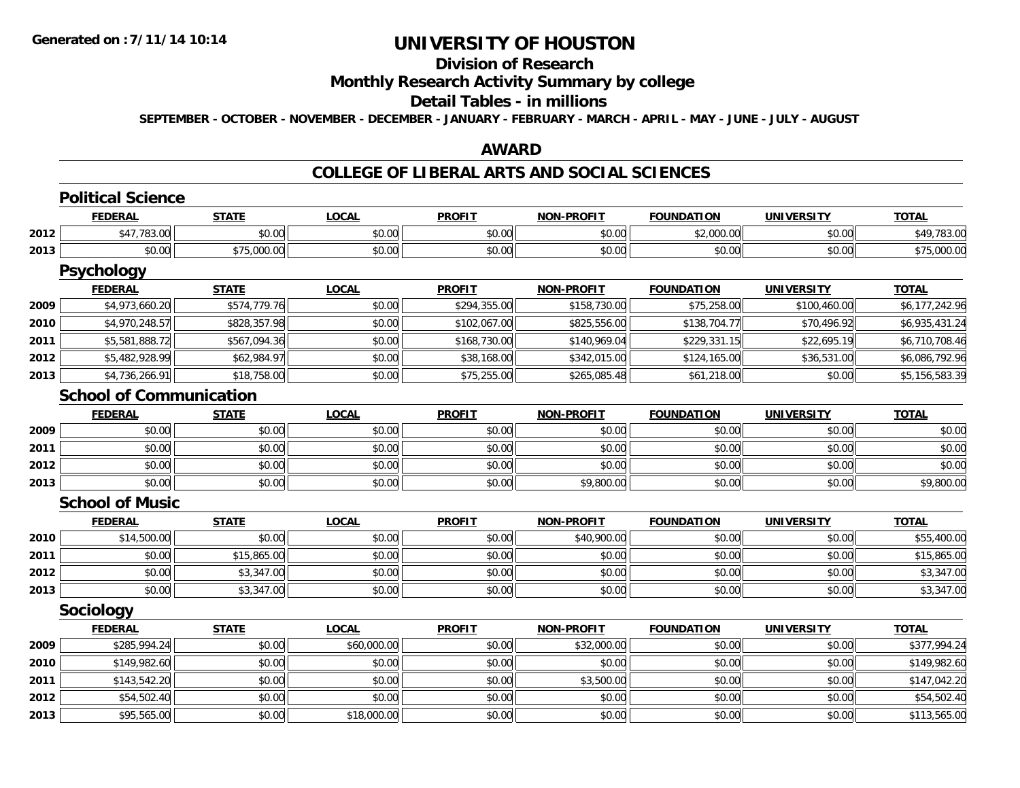# **UNIVERSITY OF HOUSTON**

# **Division of Research**

### **Monthly Research Activity Summary by college**

#### **Detail Tables - in millions**

**SEPTEMBER - OCTOBER - NOVEMBER - DECEMBER - JANUARY - FEBRUARY - MARCH - APRIL - MAY - JUNE - JULY - AUGUST**

### **AWARD**

# **COLLEGE OF LIBERAL ARTS AND SOCIAL SCIENCES**

|      | <b>Political Science</b>       |              |              |               |                   |                   |                   |                |  |  |
|------|--------------------------------|--------------|--------------|---------------|-------------------|-------------------|-------------------|----------------|--|--|
|      | <b>FEDERAL</b>                 | <b>STATE</b> | <b>LOCAL</b> | <b>PROFIT</b> | <b>NON-PROFIT</b> | <b>FOUNDATION</b> | <b>UNIVERSITY</b> | <b>TOTAL</b>   |  |  |
| 2012 | \$47,783.00                    | \$0.00       | \$0.00       | \$0.00        | \$0.00            | \$2,000.00        | \$0.00            | \$49,783.00    |  |  |
| 2013 | \$0.00                         | \$75,000.00  | \$0.00       | \$0.00        | \$0.00            | \$0.00            | \$0.00            | \$75,000.00    |  |  |
|      | Psychology                     |              |              |               |                   |                   |                   |                |  |  |
|      | <b>FEDERAL</b>                 | <b>STATE</b> | <b>LOCAL</b> | <b>PROFIT</b> | <b>NON-PROFIT</b> | <b>FOUNDATION</b> | <b>UNIVERSITY</b> | <b>TOTAL</b>   |  |  |
| 2009 | \$4,973,660.20                 | \$574,779.76 | \$0.00       | \$294,355.00  | \$158,730.00      | \$75,258.00       | \$100,460.00      | \$6,177,242.96 |  |  |
| 2010 | \$4,970,248.57                 | \$828,357.98 | \$0.00       | \$102,067.00  | \$825,556.00      | \$138,704.77      | \$70,496.92       | \$6,935,431.24 |  |  |
| 2011 | \$5,581,888.72                 | \$567,094.36 | \$0.00       | \$168,730.00  | \$140,969.04      | \$229,331.15      | \$22,695.19       | \$6,710,708.46 |  |  |
| 2012 | \$5,482,928.99                 | \$62,984.97  | \$0.00       | \$38,168.00   | \$342,015.00      | \$124,165.00      | \$36,531.00       | \$6,086,792.96 |  |  |
| 2013 | \$4,736,266.91                 | \$18,758.00  | \$0.00       | \$75,255.00   | \$265,085.48      | \$61,218.00       | \$0.00            | \$5,156,583.39 |  |  |
|      | <b>School of Communication</b> |              |              |               |                   |                   |                   |                |  |  |
|      | <b>FEDERAL</b>                 | <b>STATE</b> | <b>LOCAL</b> | <b>PROFIT</b> | <b>NON-PROFIT</b> | <b>FOUNDATION</b> | <b>UNIVERSITY</b> | <b>TOTAL</b>   |  |  |
| 2009 | \$0.00                         | \$0.00       | \$0.00       | \$0.00        | \$0.00            | \$0.00            | \$0.00            | \$0.00         |  |  |
| 2011 | \$0.00                         | \$0.00       | \$0.00       | \$0.00        | \$0.00            | \$0.00            | \$0.00            | \$0.00         |  |  |
| 2012 | \$0.00                         | \$0.00       | \$0.00       | \$0.00        | \$0.00            | \$0.00            | \$0.00            | \$0.00         |  |  |
| 2013 | \$0.00                         | \$0.00       | \$0.00       | \$0.00        | \$9,800.00        | \$0.00            | \$0.00            | \$9,800.00     |  |  |
|      | <b>School of Music</b>         |              |              |               |                   |                   |                   |                |  |  |
|      | <b>FEDERAL</b>                 | <b>STATE</b> | <b>LOCAL</b> | <b>PROFIT</b> | <b>NON-PROFIT</b> | <b>FOUNDATION</b> | <b>UNIVERSITY</b> | <b>TOTAL</b>   |  |  |
| 2010 | \$14,500.00                    | \$0.00       | \$0.00       | \$0.00        | \$40,900.00       | \$0.00            | \$0.00            | \$55,400.00    |  |  |
| 2011 | \$0.00                         | \$15,865.00  | \$0.00       | \$0.00        | \$0.00            | \$0.00            | \$0.00            | \$15,865.00    |  |  |
| 2012 | \$0.00                         | \$3,347.00   | \$0.00       | \$0.00        | \$0.00            | \$0.00            | \$0.00            | \$3,347.00     |  |  |
| 2013 | \$0.00                         | \$3,347.00   | \$0.00       | \$0.00        | \$0.00            | \$0.00            | \$0.00            | \$3,347.00     |  |  |
|      | <b>Sociology</b>               |              |              |               |                   |                   |                   |                |  |  |
|      | <b>FEDERAL</b>                 | <b>STATE</b> | <b>LOCAL</b> | <b>PROFIT</b> | <b>NON-PROFIT</b> | <b>FOUNDATION</b> | <b>UNIVERSITY</b> | <b>TOTAL</b>   |  |  |
| 2009 | \$285,994.24                   | \$0.00       | \$60,000.00  | \$0.00        | \$32,000.00       | \$0.00            | \$0.00            | \$377,994.24   |  |  |
| 2010 | \$149,982.60                   | \$0.00       | \$0.00       | \$0.00        | \$0.00            | \$0.00            | \$0.00            | \$149,982.60   |  |  |
| 2011 | \$143,542.20                   | \$0.00       | \$0.00       | \$0.00        | \$3,500.00        | \$0.00            | \$0.00            | \$147,042.20   |  |  |
| 2012 | \$54,502.40                    | \$0.00       | \$0.00       | \$0.00        | \$0.00            | \$0.00            | \$0.00            | \$54,502.40    |  |  |
| 2013 | \$95,565.00                    | \$0.00       | \$18,000.00  | \$0.00        | \$0.00            | \$0.00            | \$0.00            | \$113,565.00   |  |  |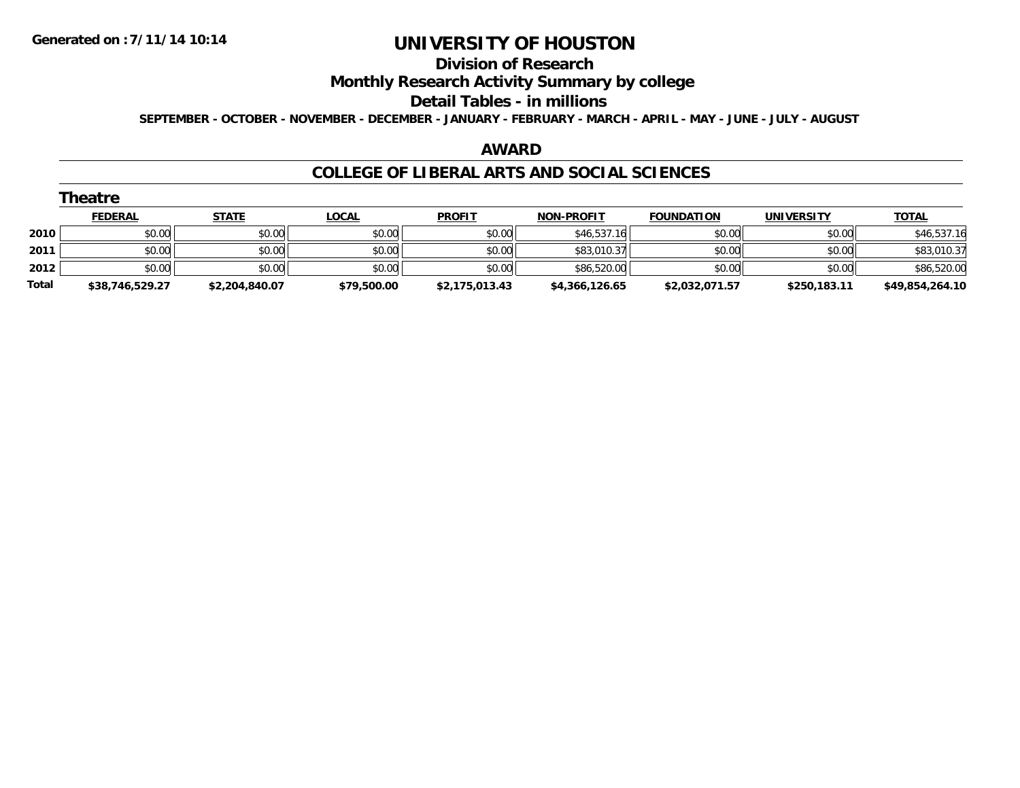#### **Division of Research**

### **Monthly Research Activity Summary by college**

#### **Detail Tables - in millions**

**SEPTEMBER - OCTOBER - NOVEMBER - DECEMBER - JANUARY - FEBRUARY - MARCH - APRIL - MAY - JUNE - JULY - AUGUST**

#### **AWARD**

#### **COLLEGE OF LIBERAL ARTS AND SOCIAL SCIENCES**

|       | Theatre         |                |              |                |                   |                   |                   |                 |
|-------|-----------------|----------------|--------------|----------------|-------------------|-------------------|-------------------|-----------------|
|       | <b>FEDERAL</b>  | <b>STATE</b>   | <u>LOCAL</u> | <b>PROFIT</b>  | <b>NON-PROFIT</b> | <b>FOUNDATION</b> | <b>UNIVERSITY</b> | <b>TOTAL</b>    |
| 2010  | \$0.00          | \$0.00         | \$0.00       | \$0.00         | \$46,537.16       | \$0.00            | \$0.00            | \$46,537.16     |
| 2011  | \$0.00          | \$0.00         | \$0.00       | \$0.00         | \$83,010.37       | \$0.00            | \$0.00            | \$83,010.37     |
| 2012  | \$0.00          | \$0.00         | \$0.00       | \$0.00         | \$86,520.00       | \$0.00            | \$0.00            | \$86,520.00     |
| Total | \$38,746,529.27 | \$2,204,840.07 | \$79,500.00  | \$2,175,013.43 | \$4,366,126.65    | \$2,032,071.57    | \$250,183.11      | \$49,854,264.10 |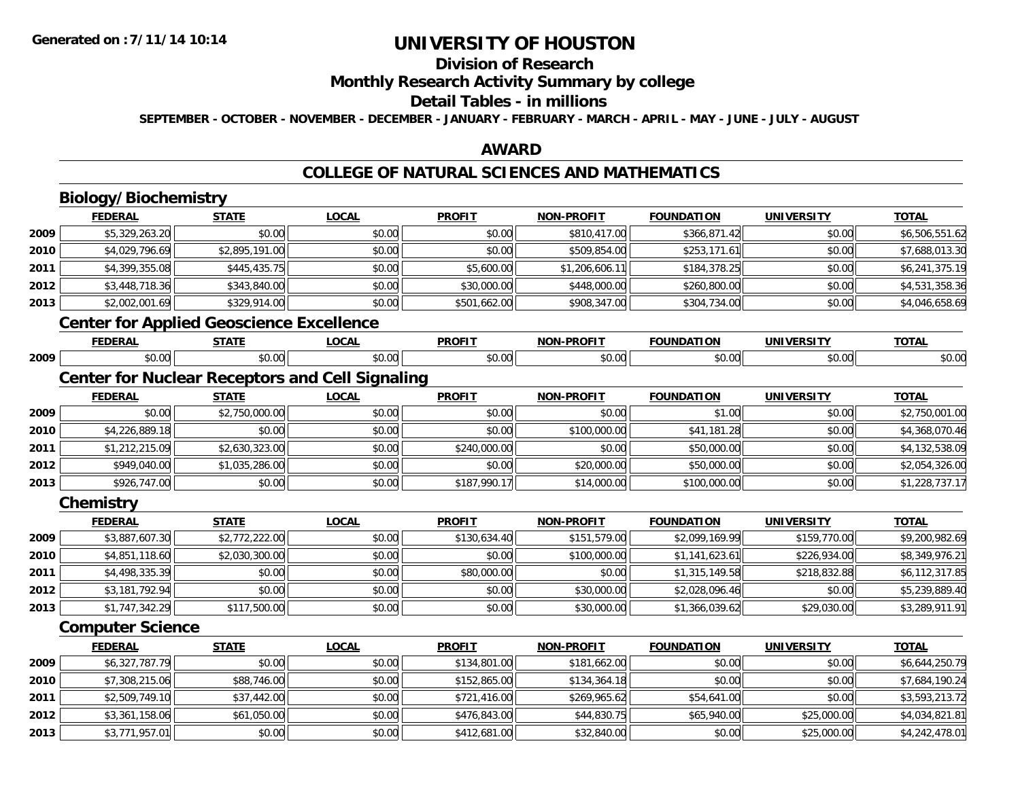### **Division of Research**

### **Monthly Research Activity Summary by college**

#### **Detail Tables - in millions**

**SEPTEMBER - OCTOBER - NOVEMBER - DECEMBER - JANUARY - FEBRUARY - MARCH - APRIL - MAY - JUNE - JULY - AUGUST**

### **AWARD**

### **COLLEGE OF NATURAL SCIENCES AND MATHEMATICS**

# **Biology/Biochemistry**

**2012**

**2013**

|      | <b>FEDERAL</b>                                  | <b>STATE</b>   | <b>LOCAL</b>                                           | <b>PROFIT</b> | <b>NON-PROFIT</b> | <b>FOUNDATION</b> | <b>UNIVERSITY</b> | <b>TOTAL</b>   |
|------|-------------------------------------------------|----------------|--------------------------------------------------------|---------------|-------------------|-------------------|-------------------|----------------|
| 2009 | \$5,329,263.20                                  | \$0.00         | \$0.00                                                 | \$0.00        | \$810,417.00      | \$366,871.42      | \$0.00            | \$6,506,551.62 |
| 2010 | \$4,029,796.69                                  | \$2,895,191.00 | \$0.00                                                 | \$0.00        | \$509,854.00      | \$253,171.61      | \$0.00            | \$7,688,013.30 |
| 2011 | \$4,399,355.08                                  | \$445,435.75   | \$0.00                                                 | \$5,600.00    | \$1,206,606.11    | \$184,378.25      | \$0.00            | \$6,241,375.19 |
| 2012 | \$3,448,718.36                                  | \$343,840.00   | \$0.00                                                 | \$30,000.00   | \$448,000.00      | \$260,800.00      | \$0.00            | \$4,531,358.36 |
| 2013 | \$2,002,001.69                                  | \$329,914.00   | \$0.00                                                 | \$501,662.00  | \$908,347.00      | \$304,734.00      | \$0.00            | \$4,046,658.69 |
|      | <b>Center for Applied Geoscience Excellence</b> |                |                                                        |               |                   |                   |                   |                |
|      | <b>FEDERAL</b>                                  | <b>STATE</b>   | LOCAL                                                  | <b>PROFIT</b> | <b>NON-PROFIT</b> | <b>FOUNDATION</b> | <b>UNIVERSITY</b> | <b>TOTAL</b>   |
| 2009 | \$0.00                                          | \$0.00         | \$0.00                                                 | \$0.00        | \$0.00            | \$0.00            | \$0.00            | \$0.00         |
|      |                                                 |                | <b>Center for Nuclear Receptors and Cell Signaling</b> |               |                   |                   |                   |                |
|      | <b>FEDERAL</b>                                  | <b>STATE</b>   | <b>LOCAL</b>                                           | <b>PROFIT</b> | <b>NON-PROFIT</b> | <b>FOUNDATION</b> | <b>UNIVERSITY</b> | <b>TOTAL</b>   |
| 2009 | \$0.00                                          | \$2,750,000.00 | \$0.00                                                 | \$0.00        | \$0.00            | \$1.00            | \$0.00            | \$2,750,001.00 |
| 2010 | \$4,226,889.18                                  | \$0.00         | \$0.00                                                 | \$0.00        | \$100,000.00      | \$41,181.28       | \$0.00            | \$4,368,070.46 |
| 2011 | \$1,212,215.09                                  | \$2,630,323.00 | \$0.00                                                 | \$240,000.00  | \$0.00            | \$50,000.00       | \$0.00            | \$4,132,538.09 |
| 2012 | \$949,040.00                                    | \$1,035,286.00 | \$0.00                                                 | \$0.00        | \$20,000.00       | \$50,000.00       | \$0.00            | \$2,054,326.00 |
| 2013 | \$926,747.00                                    | \$0.00         | \$0.00                                                 | \$187,990.17  | \$14,000.00       | \$100,000.00      | \$0.00            | \$1,228,737.17 |
|      | Chemistry                                       |                |                                                        |               |                   |                   |                   |                |
|      | <b>FEDERAL</b>                                  | <b>STATE</b>   | <b>LOCAL</b>                                           | <b>PROFIT</b> | <b>NON-PROFIT</b> | <b>FOUNDATION</b> | <b>UNIVERSITY</b> | <b>TOTAL</b>   |
| 2009 | \$3,887,607.30                                  | \$2,772,222.00 | \$0.00                                                 | \$130,634.40  | \$151,579.00      | \$2,099,169.99    | \$159,770.00      | \$9,200,982.69 |
| 2010 | \$4,851,118.60                                  | \$2,030,300.00 | \$0.00                                                 | \$0.00        | \$100,000.00      | \$1,141,623.61    | \$226,934.00      | \$8,349,976.21 |
| 2011 | \$4,498,335.39                                  | \$0.00         | \$0.00                                                 | \$80,000.00   | \$0.00            | \$1,315,149.58    | \$218,832.88      | \$6,112,317.85 |
| 2012 | \$3,181,792.94                                  | \$0.00         | \$0.00                                                 | \$0.00        | \$30,000.00       | \$2,028,096.46    | \$0.00            | \$5,239,889.40 |
| 2013 | \$1,747,342.29                                  | \$117,500.00   | \$0.00                                                 | \$0.00        | \$30,000.00       | \$1,366,039.62    | \$29,030.00       | \$3,289,911.91 |
|      | <b>Computer Science</b>                         |                |                                                        |               |                   |                   |                   |                |
|      | <b>FEDERAL</b>                                  | <b>STATE</b>   | <b>LOCAL</b>                                           | <b>PROFIT</b> | <b>NON-PROFIT</b> | <b>FOUNDATION</b> | <b>UNIVERSITY</b> | <b>TOTAL</b>   |
| 2009 | \$6,327,787.79                                  | \$0.00         | \$0.00                                                 | \$134,801.00  | \$181,662.00      | \$0.00            | \$0.00            | \$6,644,250.79 |
| 2010 | \$7,308,215.06                                  | \$88,746.00    | \$0.00                                                 | \$152,865.00  | \$134,364.18      | \$0.00            | \$0.00            | \$7,684,190.24 |
| 2011 | \$2,509,749.10                                  | \$37,442.00    | \$0.00                                                 | \$721,416.00  | \$269,965.62      | \$54,641.00       | \$0.00            | \$3,593,213.72 |

2 \$3,361,158.06|| \$61,050.00|| \$0.00|| \$476,843.00|| \$44,830.75|| \$65,940.00|| \$25,000.00|| \$4,034,821.81

\$3,771,957.01 \$0.00 \$0.00 \$412,681.00 \$32,840.00 \$0.00 \$25,000.00 \$4,242,478.01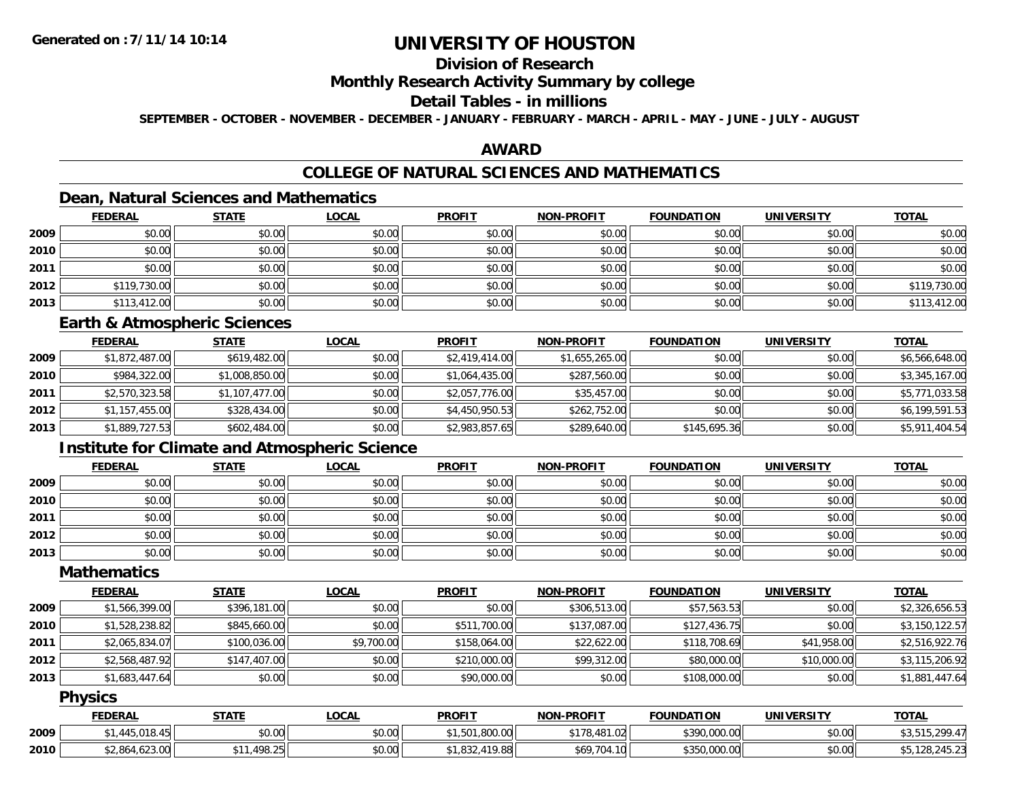### **Division of Research**

#### **Monthly Research Activity Summary by college**

### **Detail Tables - in millions**

**SEPTEMBER - OCTOBER - NOVEMBER - DECEMBER - JANUARY - FEBRUARY - MARCH - APRIL - MAY - JUNE - JULY - AUGUST**

### **AWARD**

# **COLLEGE OF NATURAL SCIENCES AND MATHEMATICS**

### **Dean, Natural Sciences and Mathematics**

|      | <b>FEDERAL</b> | <b>STATE</b> | <b>LOCAL</b> | <b>PROFIT</b> | <b>NON-PROFIT</b> | <b>FOUNDATION</b> | <b>UNIVERSITY</b> | <b>TOTAL</b> |
|------|----------------|--------------|--------------|---------------|-------------------|-------------------|-------------------|--------------|
| 2009 | \$0.00         | \$0.00       | \$0.00       | \$0.00        | \$0.00            | \$0.00            | \$0.00            | \$0.00       |
| 2010 | \$0.00         | \$0.00       | \$0.00       | \$0.00        | \$0.00            | \$0.00            | \$0.00            | \$0.00       |
| 2011 | \$0.00         | \$0.00       | \$0.00       | \$0.00        | \$0.00            | \$0.00            | \$0.00            | \$0.00       |
| 2012 | \$119,730.00   | \$0.00       | \$0.00       | \$0.00        | \$0.00            | \$0.00            | \$0.00            | \$119,730.00 |
| 2013 | \$113,412.00   | \$0.00       | \$0.00       | \$0.00        | \$0.00            | \$0.00            | \$0.00            | \$113,412.00 |

#### **Earth & Atmospheric Sciences**

|      | <b>FEDERAL</b> | <b>STATE</b>   | <b>LOCAL</b> | <b>PROFIT</b>  | <b>NON-PROFIT</b> | <b>FOUNDATION</b> | <b>UNIVERSITY</b> | <b>TOTAL</b>   |
|------|----------------|----------------|--------------|----------------|-------------------|-------------------|-------------------|----------------|
| 2009 | \$1,872,487.00 | \$619,482.00   | \$0.00       | \$2,419,414.00 | \$1,655,265.00    | \$0.00            | \$0.00            | \$6,566,648.00 |
| 2010 | \$984,322.00   | \$1,008,850.00 | \$0.00       | \$1,064,435.00 | \$287,560.00      | \$0.00            | \$0.00            | \$3,345,167.00 |
| 2011 | \$2,570,323.58 | \$1,107,477.00 | \$0.00       | \$2,057,776.00 | \$35,457.00       | \$0.00            | \$0.00            | \$5,771,033.58 |
| 2012 | \$1,157,455.00 | \$328,434.00   | \$0.00       | \$4,450,950.53 | \$262,752.00      | \$0.00            | \$0.00            | \$6,199,591.53 |
| 2013 | \$1,889,727.53 | \$602,484.00   | \$0.00       | \$2,983,857.65 | \$289,640.00      | \$145,695.36      | \$0.00            | \$5,911,404.54 |

### **Institute for Climate and Atmospheric Science**

|      | <b>FEDERAL</b> | <b>STATE</b> | <b>LOCAL</b> | <b>PROFIT</b> | <b>NON-PROFIT</b> | <b>FOUNDATION</b> | <b>UNIVERSITY</b> | <b>TOTAL</b> |
|------|----------------|--------------|--------------|---------------|-------------------|-------------------|-------------------|--------------|
| 2009 | \$0.00         | \$0.00       | \$0.00       | \$0.00        | \$0.00            | \$0.00            | \$0.00            | \$0.00       |
| 2010 | \$0.00         | \$0.00       | \$0.00       | \$0.00        | \$0.00            | \$0.00            | \$0.00            | \$0.00       |
| 2011 | \$0.00         | \$0.00       | \$0.00       | \$0.00        | \$0.00            | \$0.00            | \$0.00            | \$0.00       |
| 2012 | \$0.00         | \$0.00       | \$0.00       | \$0.00        | \$0.00            | \$0.00            | \$0.00            | \$0.00       |
| 2013 | \$0.00         | \$0.00       | \$0.00       | \$0.00        | \$0.00            | \$0.00            | \$0.00            | \$0.00       |

### **Mathematics**

|      | <b>FEDERAL</b> | <b>STATE</b> | <b>LOCAL</b> | <b>PROFIT</b> | <b>NON-PROFIT</b> | <b>FOUNDATION</b> | <b>UNIVERSITY</b> | <b>TOTAL</b>   |
|------|----------------|--------------|--------------|---------------|-------------------|-------------------|-------------------|----------------|
| 2009 | \$1,566,399.00 | \$396,181.00 | \$0.00       | \$0.00        | \$306,513.00      | \$57,563.53       | \$0.00            | \$2,326,656.53 |
| 2010 | \$1,528,238.82 | \$845,660.00 | \$0.00       | \$511,700.00  | \$137,087.00      | \$127,436.75      | \$0.00            | \$3,150,122.57 |
| 2011 | \$2,065,834.07 | \$100,036.00 | \$9,700.00   | \$158,064.00  | \$22,622.00       | \$118,708.69      | \$41,958.00       | \$2,516,922.76 |
| 2012 | \$2,568,487.92 | \$147,407.00 | \$0.00       | \$210,000.00  | \$99,312.00       | \$80,000.00       | \$10,000.00       | \$3,115,206.92 |
| 2013 | \$1,683,447.64 | \$0.00       | \$0.00       | \$90,000.00   | \$0.00            | \$108,000.00      | \$0.00            | \$1,881,447.64 |

#### **Physics**

|      | <b>FEDERAL</b>                 | STATE                  | _OCAL  | <b>PROFIT</b>                  | <b>NON-PROFIT</b>       | <b>FOUNDATION</b>       | <b>UNIVERSITY</b> | <b>TOTAL</b> |
|------|--------------------------------|------------------------|--------|--------------------------------|-------------------------|-------------------------|-------------------|--------------|
| 2009 | 010                            | 0000<br>JU.UU          | \$0.00 | 1.800.00                       | $+1-$<br>178.481<br>.02 | \$390,000.00            | \$0.00            | 200 47       |
| 2010 | 1.0000<br>$*2.86n$<br>1.023.UU | 198.25<br>AAA<br>10.2J | \$0.00 | 11000<br>$\sim$<br>שו<br>Y.OOI | \$69,704.10<br>. .      | 0.000.00<br><b>4350</b> | \$0.00            |              |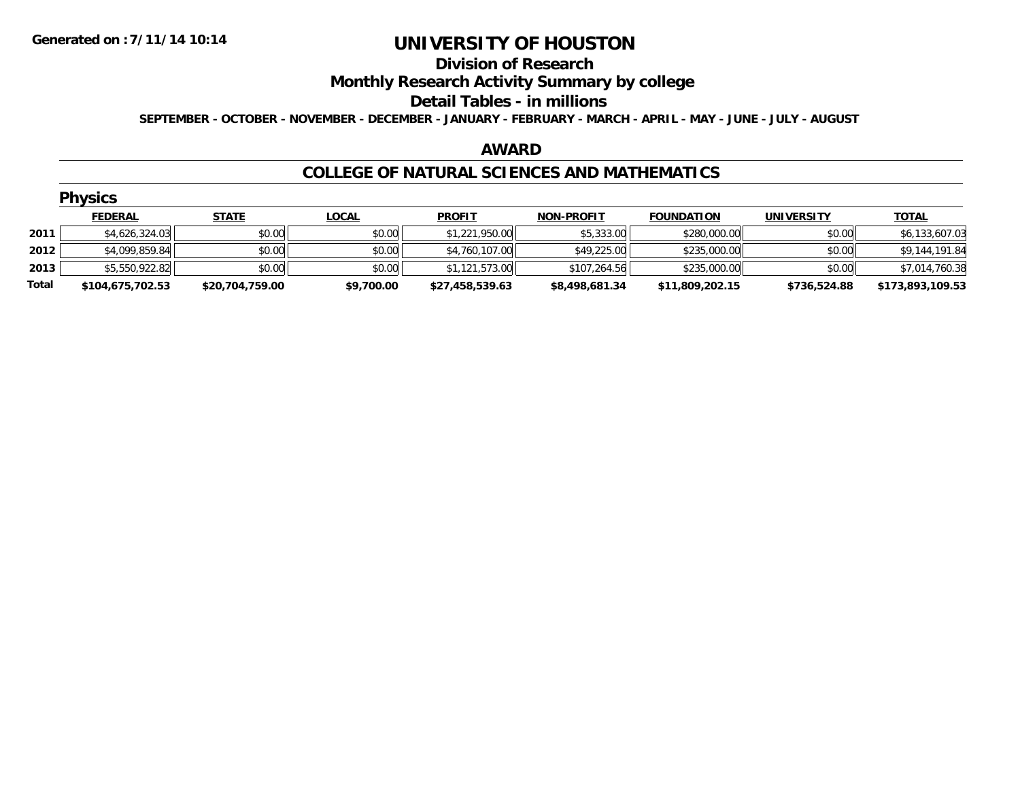#### **Division of Research**

### **Monthly Research Activity Summary by college**

#### **Detail Tables - in millions**

**SEPTEMBER - OCTOBER - NOVEMBER - DECEMBER - JANUARY - FEBRUARY - MARCH - APRIL - MAY - JUNE - JULY - AUGUST**

#### **AWARD**

#### **COLLEGE OF NATURAL SCIENCES AND MATHEMATICS**

|       | <b>Physics</b>   |                 |              |                 |                   |                   |                   |                  |
|-------|------------------|-----------------|--------------|-----------------|-------------------|-------------------|-------------------|------------------|
|       | <b>FEDERAL</b>   | <b>STATE</b>    | <b>LOCAL</b> | <b>PROFIT</b>   | <b>NON-PROFIT</b> | <b>FOUNDATION</b> | <b>UNIVERSITY</b> | <b>TOTAL</b>     |
| 2011  | \$4,626,324.03   | \$0.00          | \$0.00       | \$1,221,950.00  | \$5,333.00        | \$280,000.00      | \$0.00            | \$6,133,607.03   |
| 2012  | \$4,099,859.84   | \$0.00          | \$0.00       | \$4,760,107.00  | \$49,225.00       | \$235,000.00      | \$0.00            | \$9,144,191.84   |
| 2013  | \$5,550,922.82   | \$0.00          | \$0.00       | \$1,121,573.00  | \$107,264.56      | \$235,000.00      | \$0.00            | \$7,014,760.38   |
| Total | \$104,675,702.53 | \$20,704,759.00 | \$9,700.00   | \$27,458,539.63 | \$8,498,681.34    | \$11,809,202.15   | \$736,524.88      | \$173,893,109.53 |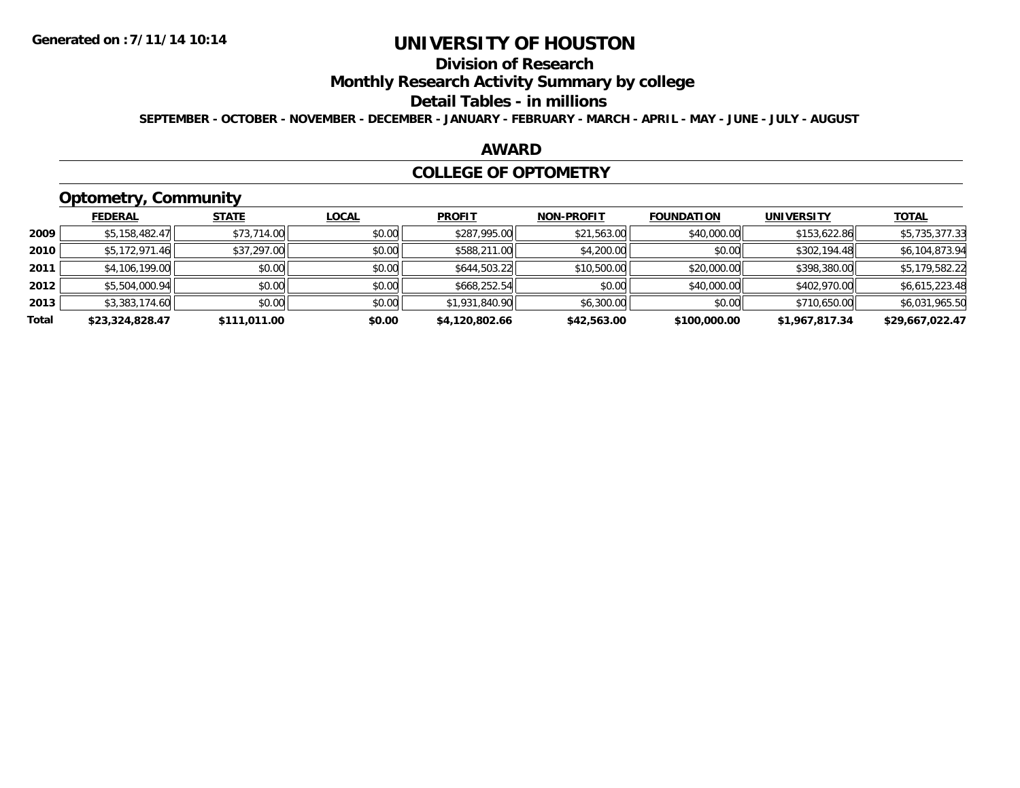# **Division of Research**

### **Monthly Research Activity Summary by college**

#### **Detail Tables - in millions**

**SEPTEMBER - OCTOBER - NOVEMBER - DECEMBER - JANUARY - FEBRUARY - MARCH - APRIL - MAY - JUNE - JULY - AUGUST**

#### **AWARD**

#### **COLLEGE OF OPTOMETRY**

# **Optometry, Community**

|       | .               |              |              |                |                   |                   |                   |                 |
|-------|-----------------|--------------|--------------|----------------|-------------------|-------------------|-------------------|-----------------|
|       | <b>FEDERAL</b>  | <b>STATE</b> | <u>LOCAL</u> | <b>PROFIT</b>  | <b>NON-PROFIT</b> | <b>FOUNDATION</b> | <b>UNIVERSITY</b> | <b>TOTAL</b>    |
| 2009  | \$5,158,482.47  | \$73,714.00  | \$0.00       | \$287,995.00   | \$21,563.00       | \$40,000.00       | \$153,622.86      | \$5,735,377.33  |
| 2010  | \$5,172,971.46  | \$37,297.00  | \$0.00       | \$588,211.00   | \$4,200.00        | \$0.00            | \$302,194.48      | \$6,104,873.94  |
| 2011  | \$4,106,199.00  | \$0.00       | \$0.00       | \$644,503.22   | \$10,500.00       | \$20,000.00       | \$398,380.00      | \$5,179,582.22  |
| 2012  | \$5,504,000.94  | \$0.00       | \$0.00       | \$668,252.54   | \$0.00            | \$40,000.00       | \$402,970.00      | \$6,615,223.48  |
| 2013  | \$3,383,174.60  | \$0.00       | \$0.00       | \$1,931,840.90 | \$6,300.00        | \$0.00            | \$710,650.00      | \$6,031,965.50  |
| Total | \$23,324,828.47 | \$111,011.00 | \$0.00       | \$4,120,802.66 | \$42,563.00       | \$100,000.00      | \$1,967,817.34    | \$29,667,022.47 |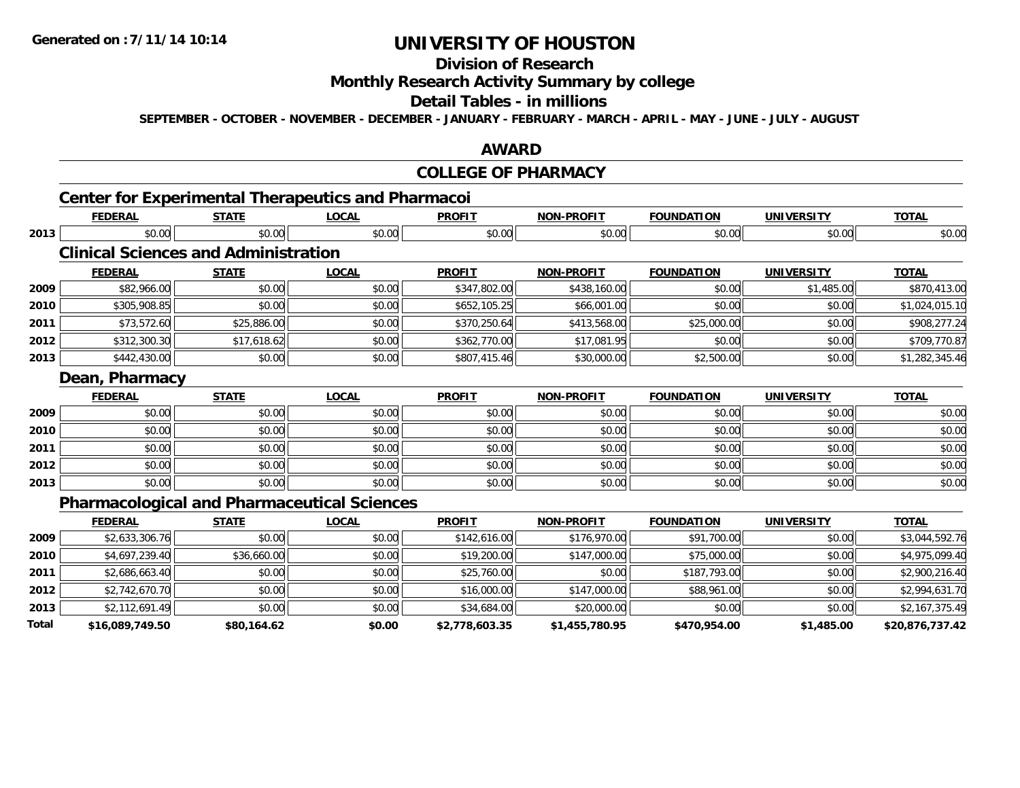# **Division of Research**

### **Monthly Research Activity Summary by college**

#### **Detail Tables - in millions**

**SEPTEMBER - OCTOBER - NOVEMBER - DECEMBER - JANUARY - FEBRUARY - MARCH - APRIL - MAY - JUNE - JULY - AUGUST**

#### **AWARD**

#### **COLLEGE OF PHARMACY**

# **Center for Experimental Therapeutics and Pharmacoi**

|      | <b>FEDERAL</b>                                     | <b>STATE</b> | <b>LOCAL</b> | <b>PROFIT</b> | <b>NON-PROFIT</b> | <b>FOUNDATION</b> | <b>UNIVERSITY</b> | <b>TOTAL</b>   |
|------|----------------------------------------------------|--------------|--------------|---------------|-------------------|-------------------|-------------------|----------------|
| 2013 | \$0.00                                             | \$0.00       | \$0.00       | \$0.00        | \$0.00            | \$0.00            | \$0.00            | \$0.00         |
|      | <b>Clinical Sciences and Administration</b>        |              |              |               |                   |                   |                   |                |
|      | <b>FEDERAL</b>                                     | <b>STATE</b> | <b>LOCAL</b> | <b>PROFIT</b> | <b>NON-PROFIT</b> | <b>FOUNDATION</b> | <b>UNIVERSITY</b> | <b>TOTAL</b>   |
| 2009 | \$82,966.00                                        | \$0.00       | \$0.00       | \$347,802.00  | \$438,160.00      | \$0.00            | \$1,485.00        | \$870,413.00   |
| 2010 | \$305,908.85                                       | \$0.00       | \$0.00       | \$652,105.25  | \$66,001.00       | \$0.00            | \$0.00            | \$1,024,015.10 |
| 2011 | \$73,572.60                                        | \$25,886.00  | \$0.00       | \$370,250.64  | \$413,568.00      | \$25,000.00       | \$0.00            | \$908,277.24   |
| 2012 | \$312,300.30                                       | \$17,618.62  | \$0.00       | \$362,770.00  | \$17,081.95       | \$0.00            | \$0.00            | \$709,770.87   |
| 2013 | \$442,430.00                                       | \$0.00       | \$0.00       | \$807,415.46  | \$30,000.00       | \$2,500.00        | \$0.00            | \$1,282,345.46 |
|      | Dean, Pharmacy                                     |              |              |               |                   |                   |                   |                |
|      | <b>FEDERAL</b>                                     | <b>STATE</b> | <b>LOCAL</b> | <b>PROFIT</b> | <b>NON-PROFIT</b> | <b>FOUNDATION</b> | <b>UNIVERSITY</b> | <b>TOTAL</b>   |
| 2009 | \$0.00                                             | \$0.00       | \$0.00       | \$0.00        | \$0.00            | \$0.00            | \$0.00            | \$0.00         |
| 2010 | \$0.00                                             | \$0.00       | \$0.00       | \$0.00        | \$0.00            | \$0.00            | \$0.00            | \$0.00         |
| 2011 | \$0.00                                             | \$0.00       | \$0.00       | \$0.00        | \$0.00            | \$0.00            | \$0.00            | \$0.00         |
| 2012 | \$0.00                                             | \$0.00       | \$0.00       | \$0.00        | \$0.00            | \$0.00            | \$0.00            | \$0.00         |
| 2013 | \$0.00                                             | \$0.00       | \$0.00       | \$0.00        | \$0.00            | \$0.00            | \$0.00            | \$0.00         |
|      | <b>Pharmacological and Pharmaceutical Sciences</b> |              |              |               |                   |                   |                   |                |

#### **Pharmacological and Pharmaceutical Sciences**

|       | <b>FEDERAL</b>  | <b>STATE</b> | <u>LOCAL</u> | <b>PROFIT</b>  | <b>NON-PROFIT</b> | <b>FOUNDATION</b> | <b>UNIVERSITY</b> | <b>TOTAL</b>    |
|-------|-----------------|--------------|--------------|----------------|-------------------|-------------------|-------------------|-----------------|
| 2009  | \$2,633,306.76  | \$0.00       | \$0.00       | \$142,616.00   | \$176,970.00      | \$91,700.00       | \$0.00            | \$3,044,592.76  |
| 2010  | \$4,697,239.40  | \$36,660.00  | \$0.00       | \$19,200.00    | \$147,000.00      | \$75,000.00       | \$0.00            | \$4,975,099.40  |
| 2011  | \$2,686,663.40  | \$0.00       | \$0.00       | \$25,760.00    | \$0.00            | \$187.793.00      | \$0.00            | \$2,900,216.40  |
| 2012  | \$2,742,670.70  | \$0.00       | \$0.00       | \$16,000.00    | \$147,000.00      | \$88,961.00       | \$0.00            | \$2,994,631.70  |
| 2013  | \$2,112,691.49  | \$0.00       | \$0.00       | \$34,684.00    | \$20,000.00       | \$0.00            | \$0.00            | \$2,167,375.49  |
| Total | \$16,089,749.50 | \$80,164.62  | \$0.00       | \$2,778,603.35 | \$1,455,780.95    | \$470,954.00      | \$1,485.00        | \$20,876,737.42 |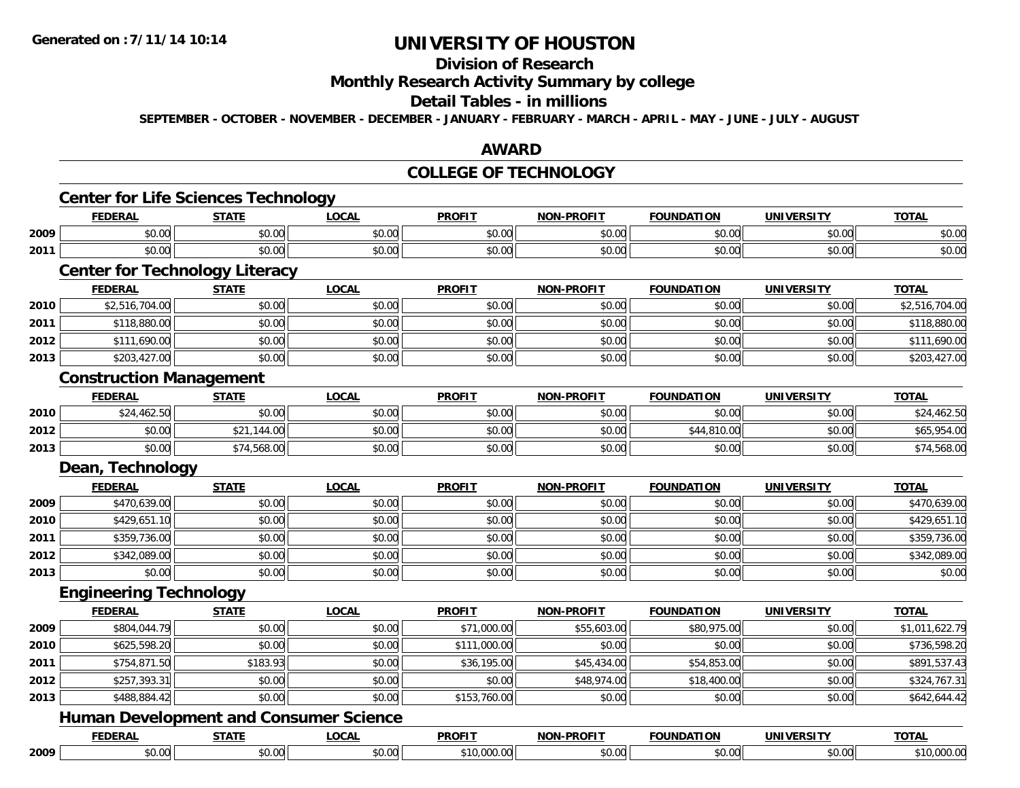# **Division of Research**

### **Monthly Research Activity Summary by college**

#### **Detail Tables - in millions**

**SEPTEMBER - OCTOBER - NOVEMBER - DECEMBER - JANUARY - FEBRUARY - MARCH - APRIL - MAY - JUNE - JULY - AUGUST**

#### **AWARD**

#### **COLLEGE OF TECHNOLOGY**

|      | <b>FEDERAL</b>                 | <b>STATE</b>                                  | <b>LOCAL</b> | <b>PROFIT</b> | <b>NON-PROFIT</b> | <b>FOUNDATION</b> | <b>UNIVERSITY</b> | <b>TOTAL</b>   |
|------|--------------------------------|-----------------------------------------------|--------------|---------------|-------------------|-------------------|-------------------|----------------|
| 2009 | \$0.00                         | \$0.00                                        | \$0.00       | \$0.00        | \$0.00            | \$0.00            | \$0.00            | \$0.00         |
| 2011 | \$0.00                         | \$0.00                                        | \$0.00       | \$0.00        | \$0.00            | \$0.00            | \$0.00            | \$0.00         |
|      |                                | <b>Center for Technology Literacy</b>         |              |               |                   |                   |                   |                |
|      | <b>FEDERAL</b>                 | <b>STATE</b>                                  | <b>LOCAL</b> | <b>PROFIT</b> | <b>NON-PROFIT</b> | <b>FOUNDATION</b> | <b>UNIVERSITY</b> | <b>TOTAL</b>   |
| 2010 | \$2,516,704.00                 | \$0.00                                        | \$0.00       | \$0.00        | \$0.00            | \$0.00            | \$0.00            | \$2,516,704.00 |
| 2011 | \$118,880.00                   | \$0.00                                        | \$0.00       | \$0.00        | \$0.00            | \$0.00            | \$0.00            | \$118,880.00   |
| 2012 | \$111,690.00                   | \$0.00                                        | \$0.00       | \$0.00        | \$0.00            | \$0.00            | \$0.00            | \$111,690.00   |
| 2013 | \$203,427.00                   | \$0.00                                        | \$0.00       | \$0.00        | \$0.00            | \$0.00            | \$0.00            | \$203,427.00   |
|      | <b>Construction Management</b> |                                               |              |               |                   |                   |                   |                |
|      | <b>FEDERAL</b>                 | <b>STATE</b>                                  | <b>LOCAL</b> | <b>PROFIT</b> | <b>NON-PROFIT</b> | <b>FOUNDATION</b> | <b>UNIVERSITY</b> | <b>TOTAL</b>   |
| 2010 | \$24,462.50                    | \$0.00                                        | \$0.00       | \$0.00        | \$0.00            | \$0.00            | \$0.00            | \$24,462.50    |
| 2012 | \$0.00                         | \$21,144.00                                   | \$0.00       | \$0.00        | \$0.00            | \$44,810.00       | \$0.00            | \$65,954.00    |
| 2013 | \$0.00                         | \$74,568.00                                   | \$0.00       | \$0.00        | \$0.00            | \$0.00            | \$0.00            | \$74,568.00    |
|      | Dean, Technology               |                                               |              |               |                   |                   |                   |                |
|      | <b>FEDERAL</b>                 | <b>STATE</b>                                  | <b>LOCAL</b> | <b>PROFIT</b> | <b>NON-PROFIT</b> | <b>FOUNDATION</b> | <b>UNIVERSITY</b> | <b>TOTAL</b>   |
| 2009 | \$470,639.00                   | \$0.00                                        | \$0.00       | \$0.00        | \$0.00            | \$0.00            | \$0.00            | \$470,639.00   |
| 2010 | \$429,651.10                   | \$0.00                                        | \$0.00       | \$0.00        | \$0.00            | \$0.00            | \$0.00            | \$429,651.10   |
| 2011 | \$359,736.00                   | \$0.00                                        | \$0.00       | \$0.00        | \$0.00            | \$0.00            | \$0.00            | \$359,736.00   |
| 2012 | \$342,089.00                   | \$0.00                                        | \$0.00       | \$0.00        | \$0.00            | \$0.00            | \$0.00            | \$342,089.00   |
| 2013 | \$0.00                         | \$0.00                                        | \$0.00       | \$0.00        | \$0.00            | \$0.00            | \$0.00            | \$0.00         |
|      | <b>Engineering Technology</b>  |                                               |              |               |                   |                   |                   |                |
|      | <b>FEDERAL</b>                 | <b>STATE</b>                                  | <b>LOCAL</b> | <b>PROFIT</b> | <b>NON-PROFIT</b> | <b>FOUNDATION</b> | <b>UNIVERSITY</b> | <b>TOTAL</b>   |
| 2009 | \$804,044.79                   | \$0.00                                        | \$0.00       | \$71,000.00   | \$55,603.00       | \$80,975.00       | \$0.00            | \$1,011,622.79 |
| 2010 | \$625,598.20                   | \$0.00                                        | \$0.00       | \$111,000.00  | \$0.00            | \$0.00            | \$0.00            | \$736,598.20   |
| 2011 | \$754,871.50                   | \$183.93                                      | \$0.00       | \$36,195.00   | \$45,434.00       | \$54,853.00       | \$0.00            | \$891,537.43   |
| 2012 | \$257,393.31                   | \$0.00                                        | \$0.00       | \$0.00        | \$48,974.00       | \$18,400.00       | \$0.00            | \$324,767.31   |
| 2013 | \$488,884.42                   | \$0.00                                        | \$0.00       | \$153,760.00  | \$0.00            | \$0.00            | \$0.00            | \$642,644.42   |
|      |                                | <b>Human Development and Consumer Science</b> |              |               |                   |                   |                   |                |
|      |                                |                                               |              |               |                   |                   |                   |                |
|      | <b>FEDERAL</b>                 | <b>STATE</b>                                  | <b>LOCAL</b> | <b>PROFIT</b> | NON-PROFIT        | <b>FOUNDATION</b> | <b>UNIVERSITY</b> | <b>TOTAL</b>   |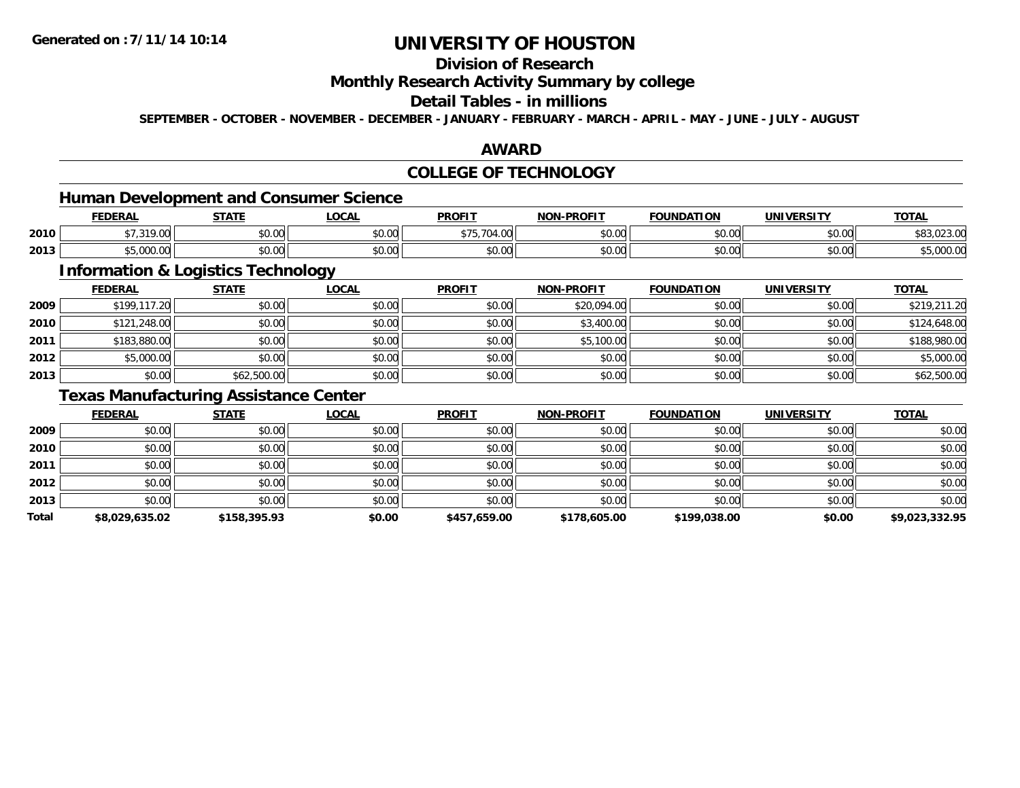### **Division of Research**

#### **Monthly Research Activity Summary by college**

### **Detail Tables - in millions**

**SEPTEMBER - OCTOBER - NOVEMBER - DECEMBER - JANUARY - FEBRUARY - MARCH - APRIL - MAY - JUNE - JULY - AUGUST**

#### **AWARD**

### **COLLEGE OF TECHNOLOGY**

# **Human Development and Consumer Science**

|      | EENEDA<br>ERF                      | <b>CTATE</b>       | 00 <sub>n</sub><br>UUAI | <b>PROFIT</b>          | NON-PROFIT    | <b>FOUNDATION</b> | <b>UNIVERSITY</b> | <b>TOTAL</b> |
|------|------------------------------------|--------------------|-------------------------|------------------------|---------------|-------------------|-------------------|--------------|
| 2010 | $\sim$ $\sim$<br>` ^^<br>, , , , , | $\sim$ 00<br>JU.UU | 0.00<br>pu.uu           | 70.<br>ەر ب            | 0000<br>JU.UU | \$0.00            | \$0.00            | ,,,,,,,,,,,  |
| 2013 | 0.0000<br>.                        | ሶስ ስስ<br>DU.UU     | 0000<br>pu.uu           | $\sim$ $\sim$<br>vv.vv | 0000<br>PO.OO | \$0.00            | \$0.00            | ,UUU.UV      |

<u> 1989 - Johann Stoff, deutscher Stoffen und der Stoffen und der Stoffen und der Stoffen und der Stoffen und der</u>

### **Information & Logistics Technology**

|      | <b>FEDERAL</b> | <b>STATE</b> | <b>LOCAL</b> | <b>PROFIT</b> | <b>NON-PROFIT</b> | <b>FOUNDATION</b> | <b>UNIVERSITY</b> | <b>TOTAL</b> |
|------|----------------|--------------|--------------|---------------|-------------------|-------------------|-------------------|--------------|
| 2009 | \$199,117.20   | \$0.00       | \$0.00       | \$0.00        | \$20,094.00       | \$0.00            | \$0.00            | \$219,211.20 |
| 2010 | \$121,248.00   | \$0.00       | \$0.00       | \$0.00        | \$3,400.00        | \$0.00            | \$0.00            | \$124,648.00 |
| 2011 | \$183,880.00   | \$0.00       | \$0.00       | \$0.00        | \$5,100.00        | \$0.00            | \$0.00            | \$188,980.00 |
| 2012 | \$5,000.00     | \$0.00       | \$0.00       | \$0.00        | \$0.00            | \$0.00            | \$0.00            | \$5,000.00   |
| 2013 | \$0.00         | \$62,500.00  | \$0.00       | \$0.00        | \$0.00            | \$0.00            | \$0.00            | \$62,500.00  |

### **Texas Manufacturing Assistance Center**

|       | <b>FEDERAL</b> | <b>STATE</b> | <b>LOCAL</b> | <b>PROFIT</b> | <b>NON-PROFIT</b> | <b>FOUNDATION</b> | <b>UNIVERSITY</b> | <b>TOTAL</b>   |
|-------|----------------|--------------|--------------|---------------|-------------------|-------------------|-------------------|----------------|
| 2009  | \$0.00         | \$0.00       | \$0.00       | \$0.00        | \$0.00            | \$0.00            | \$0.00            | \$0.00         |
| 2010  | \$0.00         | \$0.00       | \$0.00       | \$0.00        | \$0.00            | \$0.00            | \$0.00            | \$0.00         |
| 2011  | \$0.00         | \$0.00       | \$0.00       | \$0.00        | \$0.00            | \$0.00            | \$0.00            | \$0.00         |
| 2012  | \$0.00         | \$0.00       | \$0.00       | \$0.00        | \$0.00            | \$0.00            | \$0.00            | \$0.00         |
| 2013  | \$0.00         | \$0.00       | \$0.00       | \$0.00        | \$0.00            | \$0.00            | \$0.00            | \$0.00         |
| Total | \$8,029,635.02 | \$158,395.93 | \$0.00       | \$457,659.00  | \$178,605.00      | \$199,038.00      | \$0.00            | \$9,023,332.95 |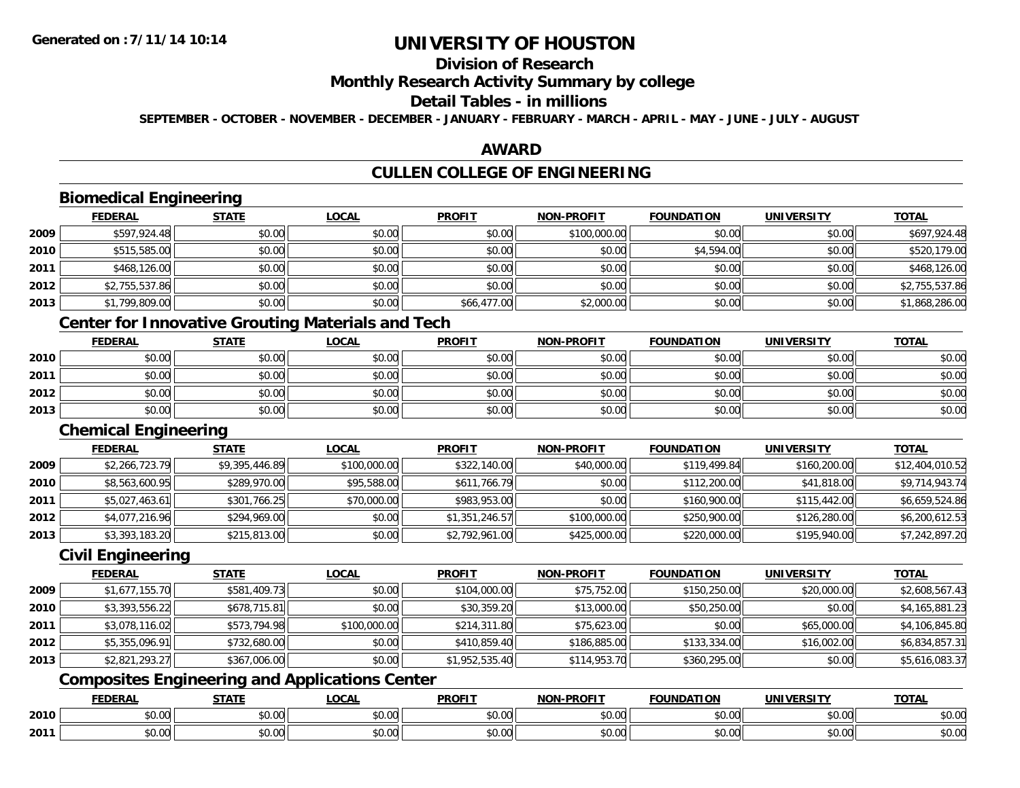### **Division of Research**

#### **Monthly Research Activity Summary by college**

### **Detail Tables - in millions**

**SEPTEMBER - OCTOBER - NOVEMBER - DECEMBER - JANUARY - FEBRUARY - MARCH - APRIL - MAY - JUNE - JULY - AUGUST**

### **AWARD**

### **CULLEN COLLEGE OF ENGINEERING**

# **Biomedical Engineering**

|      | <b>FEDERAL</b> | <b>STATE</b> | <u>LOCAL</u> | <b>PROFIT</b> | <b>NON-PROFIT</b> | <b>FOUNDATION</b> | <b>UNIVERSITY</b> | <b>TOTAL</b>   |
|------|----------------|--------------|--------------|---------------|-------------------|-------------------|-------------------|----------------|
| 2009 | \$597,924.48   | \$0.00       | \$0.00       | \$0.00        | \$100,000.00      | \$0.00            | \$0.00            | \$697,924.48   |
| 2010 | \$515,585.00   | \$0.00       | \$0.00       | \$0.00        | \$0.00            | \$4,594.00        | \$0.00            | \$520,179.00   |
| 2011 | \$468,126.00   | \$0.00       | \$0.00       | \$0.00        | \$0.00            | \$0.00            | \$0.00            | \$468,126.00   |
| 2012 | \$2,755,537.86 | \$0.00       | \$0.00       | \$0.00        | \$0.00            | \$0.00            | \$0.00            | \$2,755,537.86 |
| 2013 | \$1,799,809.00 | \$0.00       | \$0.00       | \$66,477.00   | \$2,000.00        | \$0.00            | \$0.00            | \$1,868,286.00 |

### **Center for Innovative Grouting Materials and Tech**

|      | <b>FEDERAL</b> | <b>STATE</b> | <u>LOCAL</u> | <b>PROFIT</b> | <b>NON-PROFIT</b> | <b>FOUNDATION</b> | <b>UNIVERSITY</b> | <b>TOTAL</b> |
|------|----------------|--------------|--------------|---------------|-------------------|-------------------|-------------------|--------------|
| 2010 | \$0.00         | \$0.00       | \$0.00       | \$0.00        | \$0.00            | \$0.00            | \$0.00            | \$0.00       |
| 2011 | \$0.00         | \$0.00       | \$0.00       | \$0.00        | \$0.00            | \$0.00            | \$0.00            | \$0.00       |
| 2012 | \$0.00         | \$0.00       | \$0.00       | \$0.00        | \$0.00            | \$0.00            | \$0.00            | \$0.00       |
| 2013 | \$0.00         | \$0.00       | \$0.00       | \$0.00        | \$0.00            | \$0.00            | \$0.00            | \$0.00       |

#### **Chemical Engineering**

|      | <b>FEDERAL</b> | <b>STATE</b>   | <b>LOCAL</b> | <b>PROFIT</b>  | <b>NON-PROFIT</b> | <b>FOUNDATION</b> | UNIVERSITY   | <b>TOTAL</b>    |
|------|----------------|----------------|--------------|----------------|-------------------|-------------------|--------------|-----------------|
| 2009 | \$2,266,723.79 | \$9,395,446.89 | \$100,000.00 | \$322,140.00   | \$40,000.00       | \$119,499.84      | \$160,200.00 | \$12,404,010.52 |
| 2010 | \$8,563,600.95 | \$289,970.00   | \$95,588.00  | \$611,766.79   | \$0.00            | \$112,200.00      | \$41,818.00  | \$9,714,943.74  |
| 2011 | \$5,027,463.61 | \$301,766.25   | \$70,000.00  | \$983,953.00   | \$0.00            | \$160,900.00      | \$115,442.00 | \$6,659,524.86  |
| 2012 | \$4,077,216.96 | \$294,969.00   | \$0.00       | \$1,351,246.57 | \$100,000.00      | \$250,900.00      | \$126,280.00 | \$6,200,612.53  |
| 2013 | \$3,393,183.20 | \$215,813.00   | \$0.00       | \$2,792,961.00 | \$425,000.00      | \$220,000.00      | \$195,940.00 | \$7,242,897.20  |

#### **Civil Engineering**

|      | <b>FEDERAL</b> | <b>STATE</b> | <b>LOCAL</b> | <b>PROFIT</b>  | <b>NON-PROFIT</b> | <b>FOUNDATION</b> | <b>UNIVERSITY</b> | <b>TOTAL</b>   |
|------|----------------|--------------|--------------|----------------|-------------------|-------------------|-------------------|----------------|
| 2009 | \$1,677,155.70 | \$581,409.73 | \$0.00       | \$104,000.00   | \$75,752.00       | \$150,250.00      | \$20,000.00       | \$2,608,567.43 |
| 2010 | \$3,393,556.22 | \$678,715.81 | \$0.00       | \$30,359.20    | \$13,000.00       | \$50,250.00       | \$0.00            | \$4,165,881.23 |
| 2011 | \$3,078,116.02 | \$573,794.98 | \$100,000.00 | \$214,311.80   | \$75,623.00       | \$0.00            | \$65,000.00       | \$4,106,845.80 |
| 2012 | \$5,355,096.91 | \$732,680.00 | \$0.00       | \$410,859.40   | \$186,885,00      | \$133,334.00      | \$16,002.00       | \$6,834,857.31 |
| 2013 | \$2,821,293.27 | \$367,006.00 | \$0.00       | \$1,952,535.40 | \$114,953.70      | \$360,295.00      | \$0.00            | \$5,616,083.37 |

### **Composites Engineering and Applications Center**

|      | EEDEDA<br>LDLINAI     | 27.77                  | $\bigcap_{n=1}^{\infty}$<br>.UUA. | <b>PROFIT</b> | <b>PROFIT</b><br><b>AIOR</b> | <b>FOUNDATION</b> | IINIVEDSIT             | <b>TOTAL</b> |
|------|-----------------------|------------------------|-----------------------------------|---------------|------------------------------|-------------------|------------------------|--------------|
| 2010 | $\sim$ $\sim$<br>וטט. | $\sim$<br>ት ヘ<br>vv.vv | $\sim$ $\sim$<br>vv.vv            | 0000<br>JU.UU | 0.00<br>JU.UU                | 0000<br>JU.UU     | $\sim$ $\sim$<br>vo.oo | JU.UU        |
| 2011 | $\sim$ 00<br>PU.UU    | ტი იი<br>JU.UU         | 0000<br>vu.vu                     | \$0.00        | 0.00<br><b>PU.UU</b>         | 400<br>JU.UU      | 0.00<br>vu.vu          | <b>JU.UU</b> |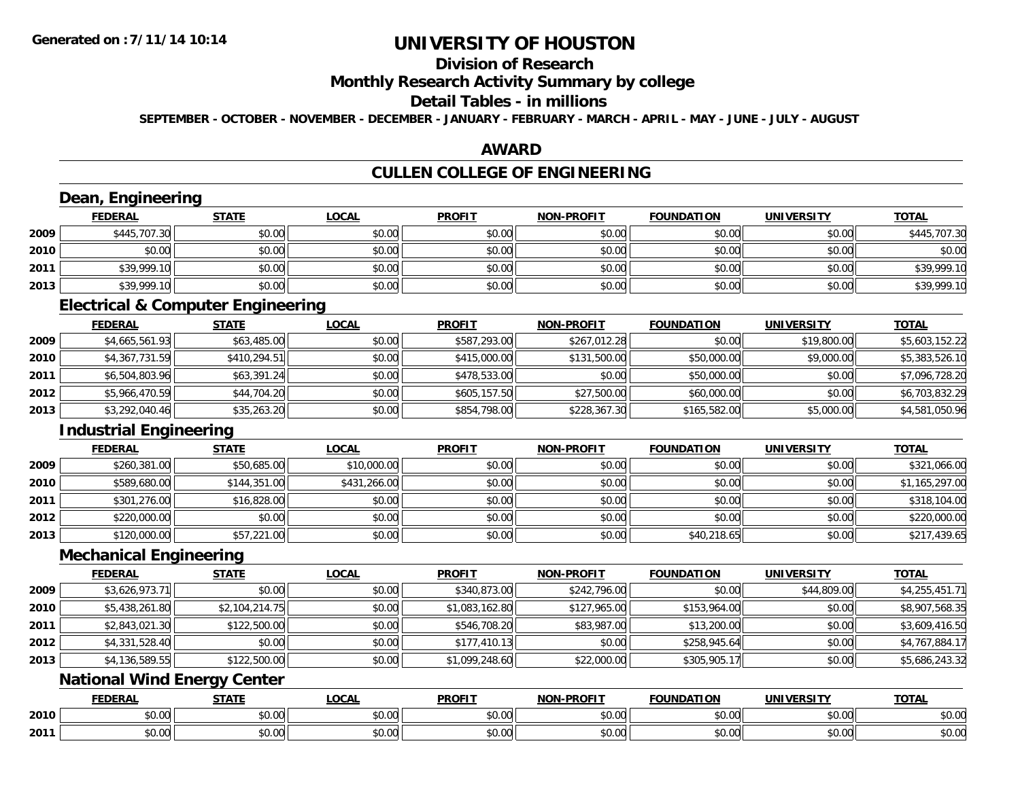# **Division of Research**

### **Monthly Research Activity Summary by college**

#### **Detail Tables - in millions**

**SEPTEMBER - OCTOBER - NOVEMBER - DECEMBER - JANUARY - FEBRUARY - MARCH - APRIL - MAY - JUNE - JULY - AUGUST**

#### **AWARD**

### **CULLEN COLLEGE OF ENGINEERING**

|      | Dean, Engineering                            |                |              |                |                   |                   |                   |                |
|------|----------------------------------------------|----------------|--------------|----------------|-------------------|-------------------|-------------------|----------------|
|      | <b>FEDERAL</b>                               | <b>STATE</b>   | <b>LOCAL</b> | <b>PROFIT</b>  | <b>NON-PROFIT</b> | <b>FOUNDATION</b> | <b>UNIVERSITY</b> | <b>TOTAL</b>   |
| 2009 | \$445,707.30                                 | \$0.00         | \$0.00       | \$0.00         | \$0.00            | \$0.00            | \$0.00            | \$445,707.30   |
| 2010 | \$0.00                                       | \$0.00         | \$0.00       | \$0.00         | \$0.00            | \$0.00            | \$0.00            | \$0.00         |
| 2011 | \$39,999.10                                  | \$0.00         | \$0.00       | \$0.00         | \$0.00            | \$0.00            | \$0.00            | \$39,999.10    |
| 2013 | \$39,999.10                                  | \$0.00         | \$0.00       | \$0.00         | \$0.00            | \$0.00            | \$0.00            | \$39,999.10    |
|      | <b>Electrical &amp; Computer Engineering</b> |                |              |                |                   |                   |                   |                |
|      | <b>FEDERAL</b>                               | <b>STATE</b>   | <b>LOCAL</b> | <b>PROFIT</b>  | <b>NON-PROFIT</b> | <b>FOUNDATION</b> | <b>UNIVERSITY</b> | <b>TOTAL</b>   |
| 2009 | \$4,665,561.93                               | \$63,485.00    | \$0.00       | \$587,293.00   | \$267,012.28      | \$0.00            | \$19,800.00       | \$5,603,152.22 |
| 2010 | \$4,367,731.59                               | \$410,294.51   | \$0.00       | \$415,000.00   | \$131,500.00      | \$50,000.00       | \$9,000.00        | \$5,383,526.10 |
| 2011 | \$6,504,803.96                               | \$63,391.24    | \$0.00       | \$478,533.00   | \$0.00            | \$50,000.00       | \$0.00            | \$7,096,728.20 |
| 2012 | \$5,966,470.59                               | \$44,704.20    | \$0.00       | \$605,157.50   | \$27,500.00       | \$60,000.00       | \$0.00            | \$6,703,832.29 |
| 2013 | \$3,292,040.46                               | \$35,263.20    | \$0.00       | \$854,798.00   | \$228,367.30      | \$165,582.00      | \$5,000.00        | \$4,581,050.96 |
|      | <b>Industrial Engineering</b>                |                |              |                |                   |                   |                   |                |
|      | <b>FEDERAL</b>                               | <b>STATE</b>   | <b>LOCAL</b> | <b>PROFIT</b>  | <b>NON-PROFIT</b> | <b>FOUNDATION</b> | <b>UNIVERSITY</b> | <b>TOTAL</b>   |
| 2009 | \$260,381.00                                 | \$50,685.00    | \$10,000.00  | \$0.00         | \$0.00            | \$0.00            | \$0.00            | \$321,066.00   |
| 2010 | \$589,680.00                                 | \$144,351.00   | \$431,266.00 | \$0.00         | \$0.00            | \$0.00            | \$0.00            | \$1,165,297.00 |
| 2011 | \$301,276.00                                 | \$16,828.00    | \$0.00       | \$0.00         | \$0.00            | \$0.00            | \$0.00            | \$318,104.00   |
| 2012 | \$220,000.00                                 | \$0.00         | \$0.00       | \$0.00         | \$0.00            | \$0.00            | \$0.00            | \$220,000.00   |
| 2013 | \$120,000.00                                 | \$57,221.00    | \$0.00       | \$0.00         | \$0.00            | \$40,218.65       | \$0.00            | \$217,439.65   |
|      | <b>Mechanical Engineering</b>                |                |              |                |                   |                   |                   |                |
|      | <b>FEDERAL</b>                               | <b>STATE</b>   | <b>LOCAL</b> | <b>PROFIT</b>  | <b>NON-PROFIT</b> | <b>FOUNDATION</b> | <b>UNIVERSITY</b> | <b>TOTAL</b>   |
| 2009 | \$3,626,973.71                               | \$0.00         | \$0.00       | \$340,873.00   | \$242,796.00      | \$0.00            | \$44,809.00       | \$4,255,451.71 |
| 2010 | \$5,438,261.80                               | \$2,104,214.75 | \$0.00       | \$1,083,162.80 | \$127,965.00      | \$153,964.00      | \$0.00            | \$8,907,568.35 |
| 2011 | \$2,843,021.30                               | \$122,500.00   | \$0.00       | \$546,708.20   | \$83,987.00       | \$13,200.00       | \$0.00            | \$3,609,416.50 |
| 2012 | \$4,331,528.40                               | \$0.00         | \$0.00       | \$177,410.13   | \$0.00            | \$258,945.64      | \$0.00            | \$4,767,884.17 |
| 2013 | \$4,136,589.55                               | \$122,500.00   | \$0.00       | \$1,099,248.60 | \$22,000.00       | \$305,905.17      | \$0.00            | \$5,686,243.32 |
|      | <b>National Wind Energy Center</b>           |                |              |                |                   |                   |                   |                |
|      | <b>FEDERAL</b>                               | <b>STATE</b>   | <b>LOCAL</b> | <b>PROFIT</b>  | <b>NON-PROFIT</b> | <b>FOUNDATION</b> | <b>UNIVERSITY</b> | <b>TOTAL</b>   |
| 2010 | \$0.00                                       | \$0.00         | \$0.00       | \$0.00         | \$0.00            | \$0.00            | \$0.00            | \$0.00         |
| 2011 | \$0.00                                       | \$0.00         | \$0.00       | \$0.00         | \$0.00            | \$0.00            | \$0.00            | \$0.00         |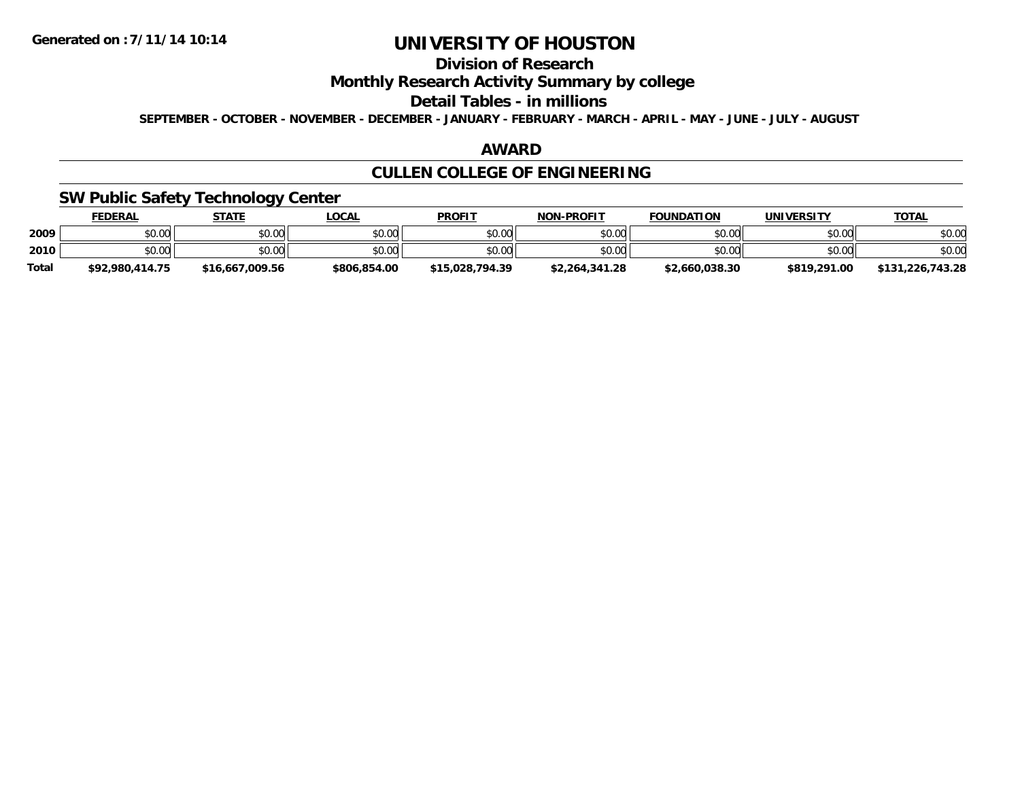### **Division of Research**

**Monthly Research Activity Summary by college**

#### **Detail Tables - in millions**

**SEPTEMBER - OCTOBER - NOVEMBER - DECEMBER - JANUARY - FEBRUARY - MARCH - APRIL - MAY - JUNE - JULY - AUGUST**

#### **AWARD**

# **CULLEN COLLEGE OF ENGINEERING**

### **SW Public Safety Technology Center**

|              | <b>FEDERAL</b>  | <b>STATE</b>    | <u>LOCAL</u> | <b>PROFIT</b>   | <b>NON-PROFIT</b> | <b>FOUNDATION</b> | <b>UNIVERSITY</b> | <u>TOTAL</u>     |
|--------------|-----------------|-----------------|--------------|-----------------|-------------------|-------------------|-------------------|------------------|
| 2009         | \$0.00          | \$0.00          | \$0.00       | \$0.00          | \$0.00            | \$0.00            | \$0.00            | \$0.00           |
| 2010         | \$0.00          | \$0.00          | \$0.00       | \$0.00          | \$0.00            | \$0.00            | \$0.00            | \$0.00           |
| <b>Total</b> | \$92.980.414.75 | \$16,667,009.56 | \$806,854.00 | \$15,028,794.39 | \$2,264,341.28    | \$2,660,038.30    | \$819,291.00      | \$131,226,743.28 |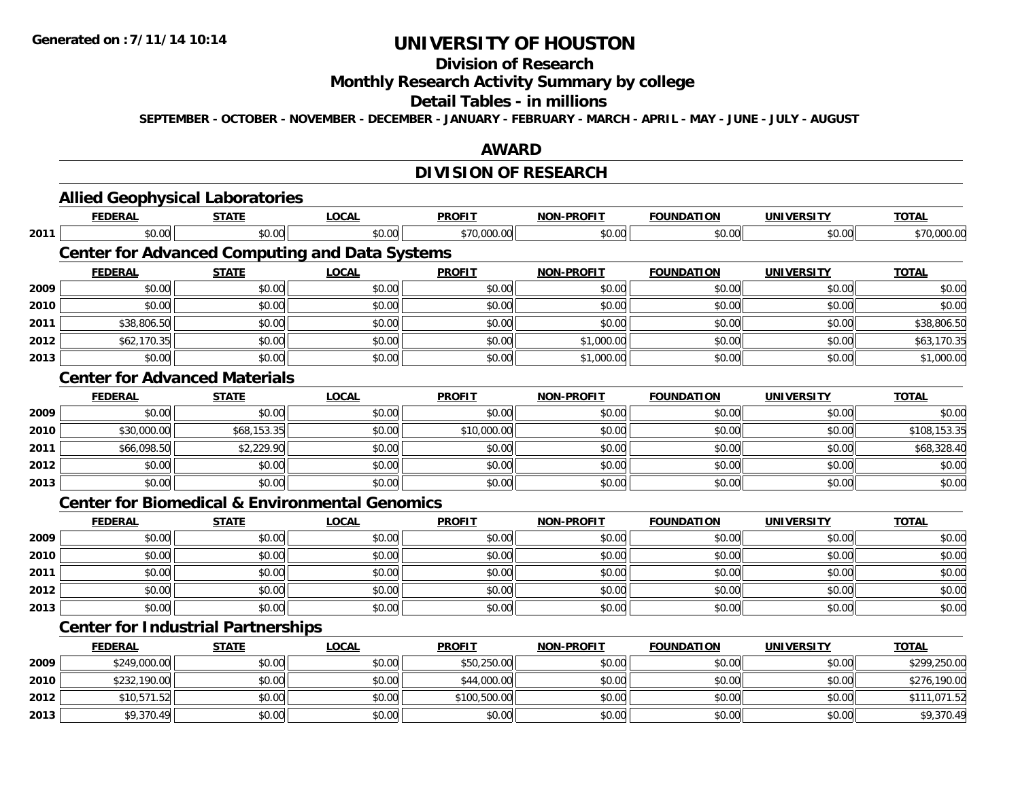**2013**

# **UNIVERSITY OF HOUSTON**

# **Division of Research**

**Monthly Research Activity Summary by college**

#### **Detail Tables - in millions**

**SEPTEMBER - OCTOBER - NOVEMBER - DECEMBER - JANUARY - FEBRUARY - MARCH - APRIL - MAY - JUNE - JULY - AUGUST**

### **AWARD**

# **DIVISION OF RESEARCH**

|      | <b>FEDERAL</b>                            | <b>STATE</b> | <b>LOCAL</b>                                              | <b>PROFIT</b> | <b>NON-PROFIT</b> | <b>FOUNDATION</b> | <b>UNIVERSITY</b> | <b>TOTAL</b> |
|------|-------------------------------------------|--------------|-----------------------------------------------------------|---------------|-------------------|-------------------|-------------------|--------------|
| 2011 | \$0.00                                    | \$0.00       | \$0.00                                                    | \$70,000.00   | \$0.00            | \$0.00            | \$0.00            | \$70,000.00  |
|      |                                           |              | <b>Center for Advanced Computing and Data Systems</b>     |               |                   |                   |                   |              |
|      | <b>FEDERAL</b>                            | <b>STATE</b> | <b>LOCAL</b>                                              | <b>PROFIT</b> | <b>NON-PROFIT</b> | <b>FOUNDATION</b> | <b>UNIVERSITY</b> | <b>TOTAL</b> |
| 2009 | \$0.00                                    | \$0.00       | \$0.00                                                    | \$0.00        | \$0.00            | \$0.00            | \$0.00            | \$0.00       |
| 2010 | \$0.00                                    | \$0.00       | \$0.00                                                    | \$0.00        | \$0.00            | \$0.00            | \$0.00            | \$0.00       |
| 2011 | \$38,806.50                               | \$0.00       | \$0.00                                                    | \$0.00        | \$0.00            | \$0.00            | \$0.00            | \$38,806.50  |
| 2012 | \$62,170.35                               | \$0.00       | \$0.00                                                    | \$0.00        | \$1,000.00        | \$0.00            | \$0.00            | \$63,170.35  |
| 2013 | \$0.00                                    | \$0.00       | \$0.00                                                    | \$0.00        | \$1,000.00        | \$0.00            | \$0.00            | \$1,000.00   |
|      | <b>Center for Advanced Materials</b>      |              |                                                           |               |                   |                   |                   |              |
|      | <b>FEDERAL</b>                            | <b>STATE</b> | <b>LOCAL</b>                                              | <b>PROFIT</b> | <b>NON-PROFIT</b> | <b>FOUNDATION</b> | <b>UNIVERSITY</b> | <b>TOTAL</b> |
| 2009 | \$0.00                                    | \$0.00       | \$0.00                                                    | \$0.00        | \$0.00            | \$0.00            | \$0.00            | \$0.00       |
| 2010 | \$30,000.00                               | \$68,153.35  | \$0.00                                                    | \$10,000.00   | \$0.00            | \$0.00            | \$0.00            | \$108,153.35 |
| 2011 | \$66,098.50                               | \$2,229.90   | \$0.00                                                    | \$0.00        | \$0.00            | \$0.00            | \$0.00            | \$68,328.40  |
| 2012 | \$0.00                                    | \$0.00       | \$0.00                                                    | \$0.00        | \$0.00            | \$0.00            | \$0.00            | \$0.00       |
| 2013 | \$0.00                                    | \$0.00       | \$0.00                                                    | \$0.00        | \$0.00            | \$0.00            | \$0.00            | \$0.00       |
|      |                                           |              | <b>Center for Biomedical &amp; Environmental Genomics</b> |               |                   |                   |                   |              |
|      | <b>FEDERAL</b>                            | <b>STATE</b> | <b>LOCAL</b>                                              | <b>PROFIT</b> | <b>NON-PROFIT</b> | <b>FOUNDATION</b> | <b>UNIVERSITY</b> | <b>TOTAL</b> |
| 2009 | \$0.00                                    | \$0.00       | \$0.00                                                    | \$0.00        | \$0.00            | \$0.00            | \$0.00            | \$0.00       |
| 2010 | \$0.00                                    | \$0.00       | \$0.00                                                    | \$0.00        | \$0.00            | \$0.00            | \$0.00            | \$0.00       |
| 2011 | \$0.00                                    | \$0.00       | \$0.00                                                    | \$0.00        | \$0.00            | \$0.00            | \$0.00            | \$0.00       |
| 2012 | \$0.00                                    | \$0.00       | \$0.00                                                    | \$0.00        | \$0.00            | \$0.00            | \$0.00            | \$0.00       |
| 2013 | \$0.00                                    | \$0.00       | \$0.00                                                    | \$0.00        | \$0.00            | \$0.00            | \$0.00            | \$0.00       |
|      | <b>Center for Industrial Partnerships</b> |              |                                                           |               |                   |                   |                   |              |
|      | <b>FEDERAL</b>                            | <b>STATE</b> | <b>LOCAL</b>                                              | <b>PROFIT</b> | <b>NON-PROFIT</b> | <b>FOUNDATION</b> | <b>UNIVERSITY</b> | <b>TOTAL</b> |
| 2009 | \$249,000.00                              | \$0.00       | \$0.00                                                    | \$50,250.00   | \$0.00            | \$0.00            | \$0.00            | \$299,250.00 |
| 2010 | \$232,190.00                              | \$0.00       | \$0.00                                                    | \$44,000.00   | \$0.00            | \$0.00            | \$0.00            | \$276,190.00 |
| 2012 | \$10,571.52                               | \$0.00       | \$0.00                                                    | \$100,500.00  | \$0.00            | \$0.00            | \$0.00            | \$111,071.52 |

\$9,370.49 \$0.00 \$0.00 \$0.00 \$0.00 \$0.00 \$0.00 \$9,370.49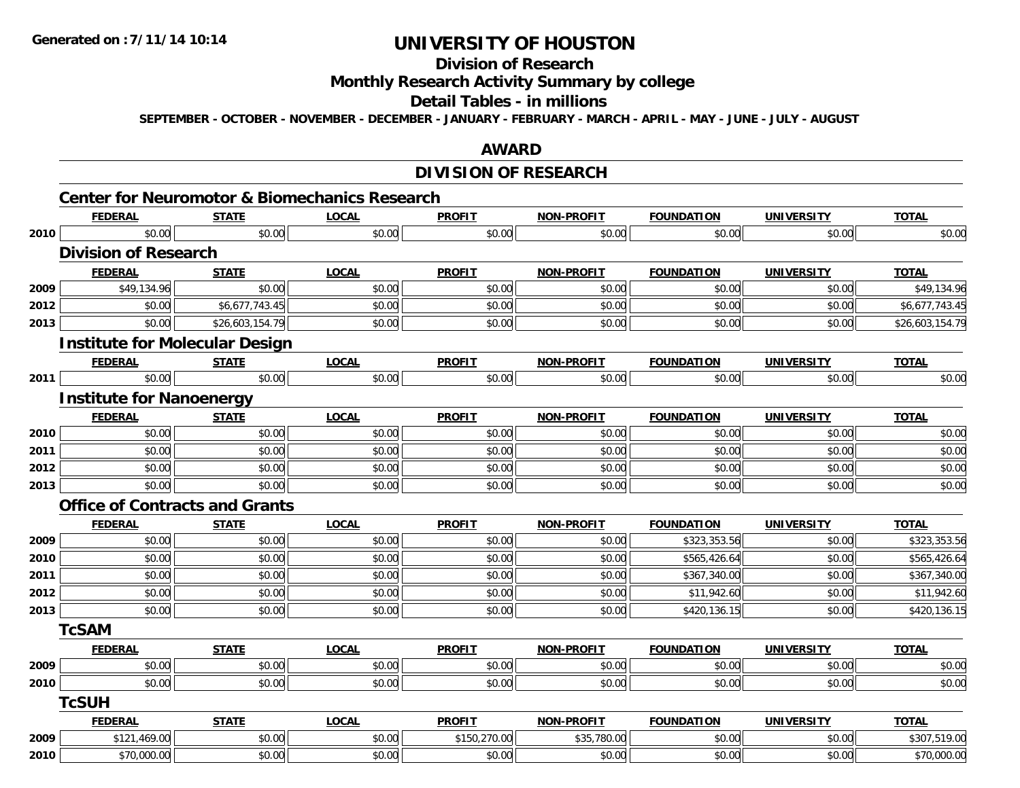# **Division of Research**

### **Monthly Research Activity Summary by college**

#### **Detail Tables - in millions**

**SEPTEMBER - OCTOBER - NOVEMBER - DECEMBER - JANUARY - FEBRUARY - MARCH - APRIL - MAY - JUNE - JULY - AUGUST**

### **AWARD**

### **DIVISION OF RESEARCH**

|      |                                       | <b>Center for Neuromotor &amp; Biomechanics Research</b> |              |               |                   |                   |                   |                 |
|------|---------------------------------------|----------------------------------------------------------|--------------|---------------|-------------------|-------------------|-------------------|-----------------|
|      | <b>FEDERAL</b>                        | <b>STATE</b>                                             | <b>LOCAL</b> | <b>PROFIT</b> | <b>NON-PROFIT</b> | <b>FOUNDATION</b> | <b>UNIVERSITY</b> | <b>TOTAL</b>    |
| 2010 | \$0.00<br><b>Division of Research</b> | \$0.00                                                   | \$0.00       | \$0.00        | \$0.00            | \$0.00            | \$0.00            | \$0.00          |
|      | <b>FEDERAL</b>                        | <b>STATE</b>                                             | <b>LOCAL</b> | <b>PROFIT</b> | <b>NON-PROFIT</b> | <b>FOUNDATION</b> | <b>UNIVERSITY</b> | <b>TOTAL</b>    |
| 2009 | \$49,134.96                           | \$0.00                                                   | \$0.00       | \$0.00        | \$0.00            | \$0.00            | \$0.00            | \$49,134.96     |
| 2012 | \$0.00                                | \$6,677,743.45                                           | \$0.00       | \$0.00        | \$0.00            | \$0.00            | \$0.00            | \$6,677,743.45  |
| 2013 | \$0.00                                | \$26,603,154.79                                          | \$0.00       | \$0.00        | \$0.00            | \$0.00            | \$0.00            | \$26,603,154.79 |
|      |                                       | <b>Institute for Molecular Design</b>                    |              |               |                   |                   |                   |                 |
|      | <b>FEDERAL</b>                        | <b>STATE</b>                                             | <b>LOCAL</b> | <b>PROFIT</b> | <b>NON-PROFIT</b> | <b>FOUNDATION</b> | <b>UNIVERSITY</b> | <b>TOTAL</b>    |
| 2011 | \$0.00                                | \$0.00                                                   | \$0.00       | \$0.00        | \$0.00            | \$0.00            | \$0.00            | \$0.00          |
|      | <b>Institute for Nanoenergy</b>       |                                                          |              |               |                   |                   |                   |                 |
|      | <b>FEDERAL</b>                        | <b>STATE</b>                                             | <b>LOCAL</b> | <b>PROFIT</b> | <b>NON-PROFIT</b> | <b>FOUNDATION</b> | <b>UNIVERSITY</b> | <b>TOTAL</b>    |
| 2010 | \$0.00                                | \$0.00                                                   | \$0.00       | \$0.00        | \$0.00            | \$0.00            | \$0.00            | \$0.00          |
| 2011 | \$0.00                                | \$0.00                                                   | \$0.00       | \$0.00        | \$0.00            | \$0.00            | \$0.00            | \$0.00          |
| 2012 | \$0.00                                | \$0.00                                                   | \$0.00       | \$0.00        | \$0.00            | \$0.00            | \$0.00            | \$0.00          |
| 2013 | \$0.00                                | \$0.00                                                   | \$0.00       | \$0.00        | \$0.00            | \$0.00            | \$0.00            | \$0.00          |
|      |                                       | <b>Office of Contracts and Grants</b>                    |              |               |                   |                   |                   |                 |
|      | <b>FEDERAL</b>                        | <b>STATE</b>                                             | <b>LOCAL</b> | <b>PROFIT</b> | <b>NON-PROFIT</b> | <b>FOUNDATION</b> | <b>UNIVERSITY</b> | <b>TOTAL</b>    |
| 2009 | \$0.00                                | \$0.00                                                   | \$0.00       | \$0.00        | \$0.00            | \$323,353.56      | \$0.00            | \$323,353.56    |
| 2010 | \$0.00                                | \$0.00                                                   | \$0.00       | \$0.00        | \$0.00            | \$565,426.64      | \$0.00            | \$565,426.64    |
| 2011 | \$0.00                                | \$0.00                                                   | \$0.00       | \$0.00        | \$0.00            | \$367,340.00      | \$0.00            | \$367,340.00    |
| 2012 | \$0.00                                | \$0.00                                                   | \$0.00       | \$0.00        | \$0.00            | \$11,942.60       | \$0.00            | \$11,942.60     |
| 2013 | \$0.00                                | \$0.00                                                   | \$0.00       | \$0.00        | \$0.00            | \$420,136.15      | \$0.00            | \$420,136.15    |
|      | <b>TcSAM</b>                          |                                                          |              |               |                   |                   |                   |                 |
|      | <b>FEDERAL</b>                        | <b>STATE</b>                                             | <b>LOCAL</b> | <b>PROFIT</b> | <b>NON-PROFIT</b> | <b>FOUNDATION</b> | <b>UNIVERSITY</b> | <b>TOTAL</b>    |
| 2009 | \$0.00                                | \$0.00                                                   | \$0.00       | \$0.00        | \$0.00            | \$0.00            | \$0.00            | \$0.00          |
| 2010 | \$0.00                                | \$0.00                                                   | \$0.00       | \$0.00        | \$0.00            | \$0.00            | \$0.00            | \$0.00          |
|      | <b>TcSUH</b>                          |                                                          |              |               |                   |                   |                   |                 |
|      | <b>FEDERAL</b>                        | <b>STATE</b>                                             | <b>LOCAL</b> | <b>PROFIT</b> | <b>NON-PROFIT</b> | <b>FOUNDATION</b> | <b>UNIVERSITY</b> | <b>TOTAL</b>    |
| 2009 | \$121,469.00                          | \$0.00                                                   | \$0.00       | \$150,270.00  | \$35,780.00       | \$0.00            | \$0.00            | \$307,519.00    |
| 2010 | \$70,000.00                           | \$0.00                                                   | \$0.00       | \$0.00        | \$0.00            | \$0.00            | \$0.00            | \$70,000.00     |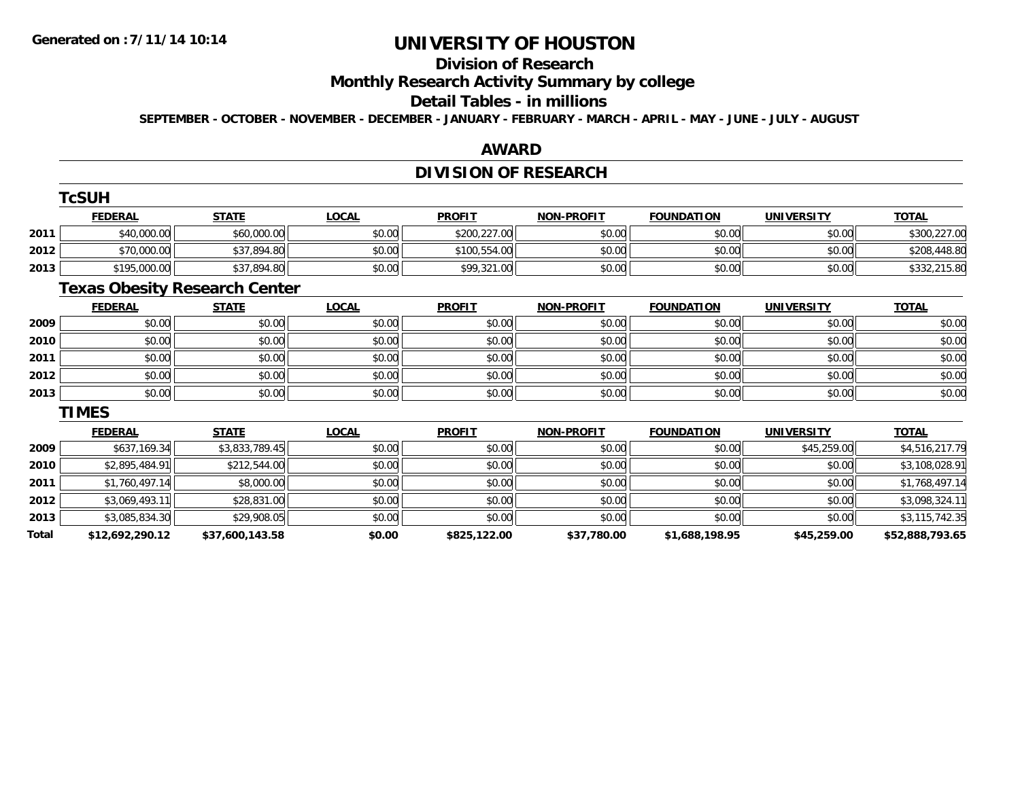**Total**

# **UNIVERSITY OF HOUSTON**

# **Division of Research**

**Monthly Research Activity Summary by college**

#### **Detail Tables - in millions**

**SEPTEMBER - OCTOBER - NOVEMBER - DECEMBER - JANUARY - FEBRUARY - MARCH - APRIL - MAY - JUNE - JULY - AUGUST**

### **AWARD**

### **DIVISION OF RESEARCH**

|      | <b>TcSUH</b>   |                                      |              |               |                   |                   |                   |                |
|------|----------------|--------------------------------------|--------------|---------------|-------------------|-------------------|-------------------|----------------|
|      | <b>FEDERAL</b> | <b>STATE</b>                         | <b>LOCAL</b> | <b>PROFIT</b> | <b>NON-PROFIT</b> | <b>FOUNDATION</b> | <b>UNIVERSITY</b> | <b>TOTAL</b>   |
| 2011 | \$40,000.00    | \$60,000.00                          | \$0.00       | \$200,227.00  | \$0.00            | \$0.00            | \$0.00            | \$300,227.00   |
| 2012 | \$70,000.00    | \$37,894.80                          | \$0.00       | \$100,554.00  | \$0.00            | \$0.00            | \$0.00            | \$208,448.80   |
| 2013 | \$195,000.00   | \$37,894.80                          | \$0.00       | \$99,321.00   | \$0.00            | \$0.00            | \$0.00            | \$332,215.80   |
|      |                | <b>Texas Obesity Research Center</b> |              |               |                   |                   |                   |                |
|      | <b>FEDERAL</b> | <b>STATE</b>                         | <b>LOCAL</b> | <b>PROFIT</b> | <b>NON-PROFIT</b> | <b>FOUNDATION</b> | <b>UNIVERSITY</b> | <b>TOTAL</b>   |
| 2009 | \$0.00         | \$0.00                               | \$0.00       | \$0.00        | \$0.00            | \$0.00            | \$0.00            | \$0.00         |
| 2010 | \$0.00         | \$0.00                               | \$0.00       | \$0.00        | \$0.00            | \$0.00            | \$0.00            | \$0.00         |
| 2011 | \$0.00         | \$0.00                               | \$0.00       | \$0.00        | \$0.00            | \$0.00            | \$0.00            | \$0.00         |
| 2012 | \$0.00         | \$0.00                               | \$0.00       | \$0.00        | \$0.00            | \$0.00            | \$0.00            | \$0.00         |
| 2013 | \$0.00         | \$0.00                               | \$0.00       | \$0.00        | \$0.00            | \$0.00            | \$0.00            | \$0.00         |
|      | <b>TIMES</b>   |                                      |              |               |                   |                   |                   |                |
|      | <b>FEDERAL</b> | <b>STATE</b>                         | <b>LOCAL</b> | <b>PROFIT</b> | <b>NON-PROFIT</b> | <b>FOUNDATION</b> | <b>UNIVERSITY</b> | <b>TOTAL</b>   |
| 2009 | \$637,169.34   | \$3,833,789.45                       | \$0.00       | \$0.00        | \$0.00            | \$0.00            | \$45,259.00       | \$4,516,217.79 |
| 2010 | \$2,895,484.91 | \$212,544.00                         | \$0.00       | \$0.00        | \$0.00            | \$0.00            | \$0.00            | \$3,108,028.91 |
| 2011 | \$1,760,497.14 | \$8,000.00                           | \$0.00       | \$0.00        | \$0.00            | \$0.00            | \$0.00            | \$1,768,497.14 |
| 2012 | \$3,069,493.11 | \$28,831.00                          | \$0.00       | \$0.00        | \$0.00            | \$0.00            | \$0.00            | \$3,098,324.11 |
| 2013 | \$3,085,834.30 | \$29,908.05                          | \$0.00       | \$0.00        | \$0.00            | \$0.00            | \$0.00            | \$3,115,742.35 |

**\$12,692,290.12 \$37,600,143.58 \$0.00 \$825,122.00 \$37,780.00 \$1,688,198.95 \$45,259.00 \$52,888,793.65**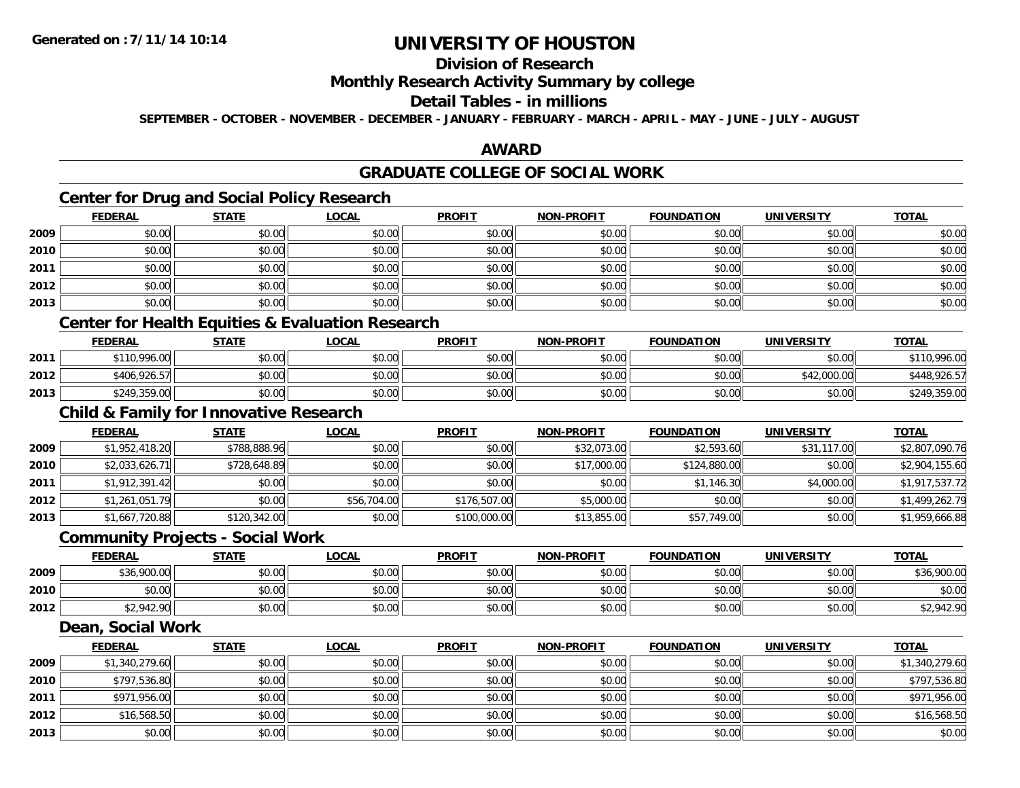### **Division of Research**

#### **Monthly Research Activity Summary by college**

### **Detail Tables - in millions**

**SEPTEMBER - OCTOBER - NOVEMBER - DECEMBER - JANUARY - FEBRUARY - MARCH - APRIL - MAY - JUNE - JULY - AUGUST**

#### **AWARD**

### **GRADUATE COLLEGE OF SOCIAL WORK**

### **Center for Drug and Social Policy Research**

|      | <b>FEDERAL</b> | <b>STATE</b> | <b>LOCAL</b> | <b>PROFIT</b> | <b>NON-PROFIT</b> | <b>FOUNDATION</b> | <b>UNIVERSITY</b> | <b>TOTAL</b> |
|------|----------------|--------------|--------------|---------------|-------------------|-------------------|-------------------|--------------|
| 2009 | \$0.00         | \$0.00       | \$0.00       | \$0.00        | \$0.00            | \$0.00            | \$0.00            | \$0.00       |
| 2010 | \$0.00         | \$0.00       | \$0.00       | \$0.00        | \$0.00            | \$0.00            | \$0.00            | \$0.00       |
| 2011 | \$0.00         | \$0.00       | \$0.00       | \$0.00        | \$0.00            | \$0.00            | \$0.00            | \$0.00       |
| 2012 | \$0.00         | \$0.00       | \$0.00       | \$0.00        | \$0.00            | \$0.00            | \$0.00            | \$0.00       |
| 2013 | \$0.00         | \$0.00       | \$0.00       | \$0.00        | \$0.00            | \$0.00            | \$0.00            | \$0.00       |

### **Center for Health Equities & Evaluation Research**

|      | <b>FEDERAL</b> | <b>STATE</b> | <u>LOCAL</u> | <b>PROFIT</b> | <b>NON-PROFIT</b> | <b>FOUNDATION</b> | UNIVERSITY  | T <u>OTAL</u> |
|------|----------------|--------------|--------------|---------------|-------------------|-------------------|-------------|---------------|
| 2011 | \$110,996.00   | \$0.00       | \$0.00       | \$0.00        | \$0.00            | \$0.00            | \$0.00      | \$110,996.00  |
| 2012 | \$406,926.57   | \$0.00       | \$0.00       | \$0.00        | \$0.00            | \$0.00            | \$42,000.00 | \$448,926.57  |
| 2013 | \$249,359.00   | \$0.00       | \$0.00       | \$0.00        | \$0.00            | \$0.00            | \$0.00      | \$249,359.00  |

### **Child & Family for Innovative Research**

|      | <b>FEDERAL</b> | <b>STATE</b> | <b>LOCAL</b> | <b>PROFIT</b> | <b>NON-PROFIT</b> | <b>FOUNDATION</b> | <b>UNIVERSITY</b> | <b>TOTAL</b>   |
|------|----------------|--------------|--------------|---------------|-------------------|-------------------|-------------------|----------------|
| 2009 | \$1,952,418.20 | \$788,888.96 | \$0.00       | \$0.00        | \$32,073.00       | \$2,593.60        | \$31,117.00       | \$2,807,090.76 |
| 2010 | \$2,033,626.71 | \$728,648.89 | \$0.00       | \$0.00        | \$17,000.00       | \$124,880.00      | \$0.00            | \$2,904,155.60 |
| 2011 | \$1,912,391.42 | \$0.00       | \$0.00       | \$0.00        | \$0.00            | \$1,146.30        | \$4,000.00        | \$1,917,537.72 |
| 2012 | \$1,261,051.79 | \$0.00       | \$56,704.00  | \$176,507.00  | \$5,000.00        | \$0.00            | \$0.00            | \$1,499,262.79 |
| 2013 | \$1,667,720.88 | \$120,342.00 | \$0.00       | \$100,000.00  | \$13,855.00       | \$57,749.00       | \$0.00            | \$1,959,666.88 |

#### **Community Projects - Social Work**

|      | <b>FEDERAL</b> | <b>STATE</b> | <u>LOCAL</u> | <b>PROFIT</b> | <b>NON-PROFIT</b> | <b>FOUNDATION</b> | <b>UNIVERSITY</b> | <b>TOTAL</b> |
|------|----------------|--------------|--------------|---------------|-------------------|-------------------|-------------------|--------------|
| 2009 | \$36,900.00    | \$0.00       | \$0.00       | \$0.00        | \$0.00            | \$0.00            | \$0.00            | \$36,900.00  |
| 2010 | \$0.00         | \$0.00       | \$0.00       | \$0.00        | \$0.00            | \$0.00            | \$0.00            | \$0.00       |
| 2012 | \$2,942.90     | \$0.00       | \$0.00       | \$0.00        | \$0.00            | \$0.00            | \$0.00            | \$2,942.90   |

#### **Dean, Social Work**

|      | <b>FEDERAL</b> | <b>STATE</b> | <u>LOCAL</u> | <b>PROFIT</b> | <b>NON-PROFIT</b> | <b>FOUNDATION</b> | <b>UNIVERSITY</b> | <b>TOTAL</b>   |
|------|----------------|--------------|--------------|---------------|-------------------|-------------------|-------------------|----------------|
| 2009 | \$1,340,279.60 | \$0.00       | \$0.00       | \$0.00        | \$0.00            | \$0.00            | \$0.00            | \$1,340,279.60 |
| 2010 | \$797,536.80   | \$0.00       | \$0.00       | \$0.00        | \$0.00            | \$0.00            | \$0.00            | \$797,536.80   |
| 2011 | \$971,956.00   | \$0.00       | \$0.00       | \$0.00        | \$0.00            | \$0.00            | \$0.00            | \$971,956.00   |
| 2012 | \$16,568.50    | \$0.00       | \$0.00       | \$0.00        | \$0.00            | \$0.00            | \$0.00            | \$16,568.50    |
| 2013 | \$0.00         | \$0.00       | \$0.00       | \$0.00        | \$0.00            | \$0.00            | \$0.00            | \$0.00         |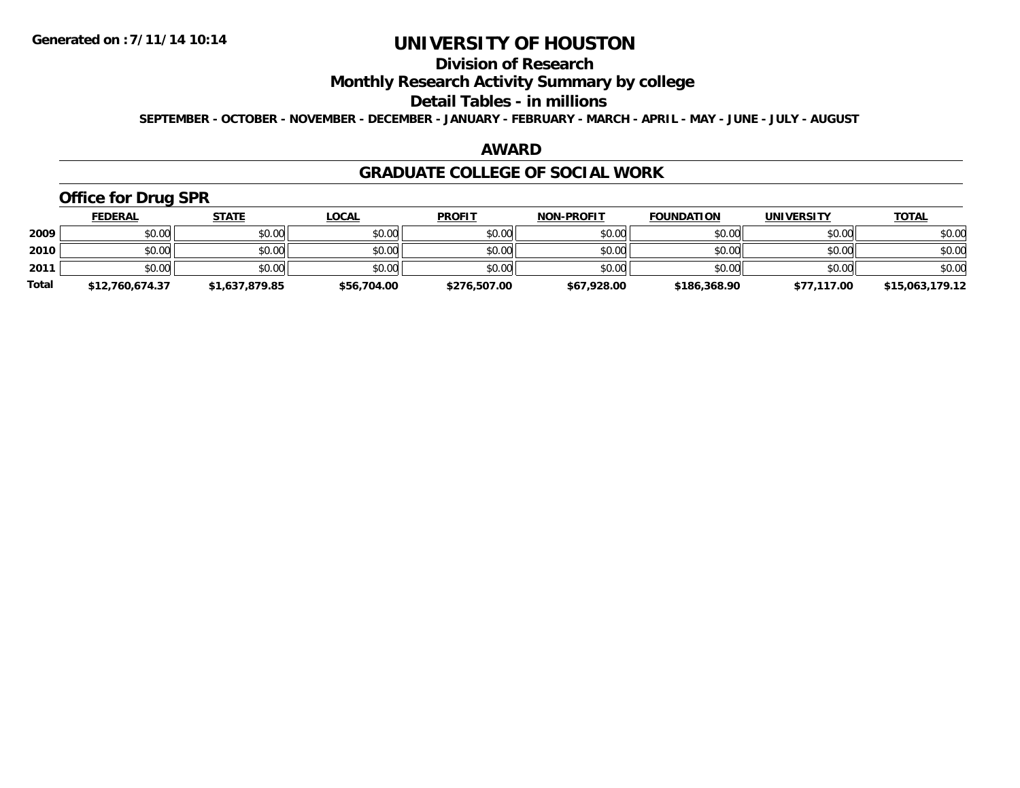### **Division of Research**

### **Monthly Research Activity Summary by college**

#### **Detail Tables - in millions**

**SEPTEMBER - OCTOBER - NOVEMBER - DECEMBER - JANUARY - FEBRUARY - MARCH - APRIL - MAY - JUNE - JULY - AUGUST**

#### **AWARD**

#### **GRADUATE COLLEGE OF SOCIAL WORK**

### **Office for Drug SPR**

|              | <b>FEDERAL</b>  | <b>STATE</b>   | <u>LOCAL</u> | <b>PROFIT</b> | <b>NON-PROFIT</b> | <b>FOUNDATION</b> | <b>UNIVERSITY</b> | <b>TOTAL</b>    |
|--------------|-----------------|----------------|--------------|---------------|-------------------|-------------------|-------------------|-----------------|
| 2009         | \$0.00          | \$0.00         | \$0.00       | \$0.00        | \$0.00            | \$0.00            | \$0.00            | \$0.00          |
| 2010         | \$0.00          | \$0.00         | \$0.00       | \$0.00        | \$0.00            | \$0.00            | \$0.00            | \$0.00          |
| 2011         | \$0.00          | \$0.00         | \$0.00       | \$0.00        | \$0.00            | \$0.00            | \$0.00            | \$0.00          |
| <b>Total</b> | \$12,760,674.37 | \$1,637,879.85 | \$56,704.00  | \$276,507.00  | \$67,928.00       | \$186,368.90      | \$77,117.00       | \$15,063,179.12 |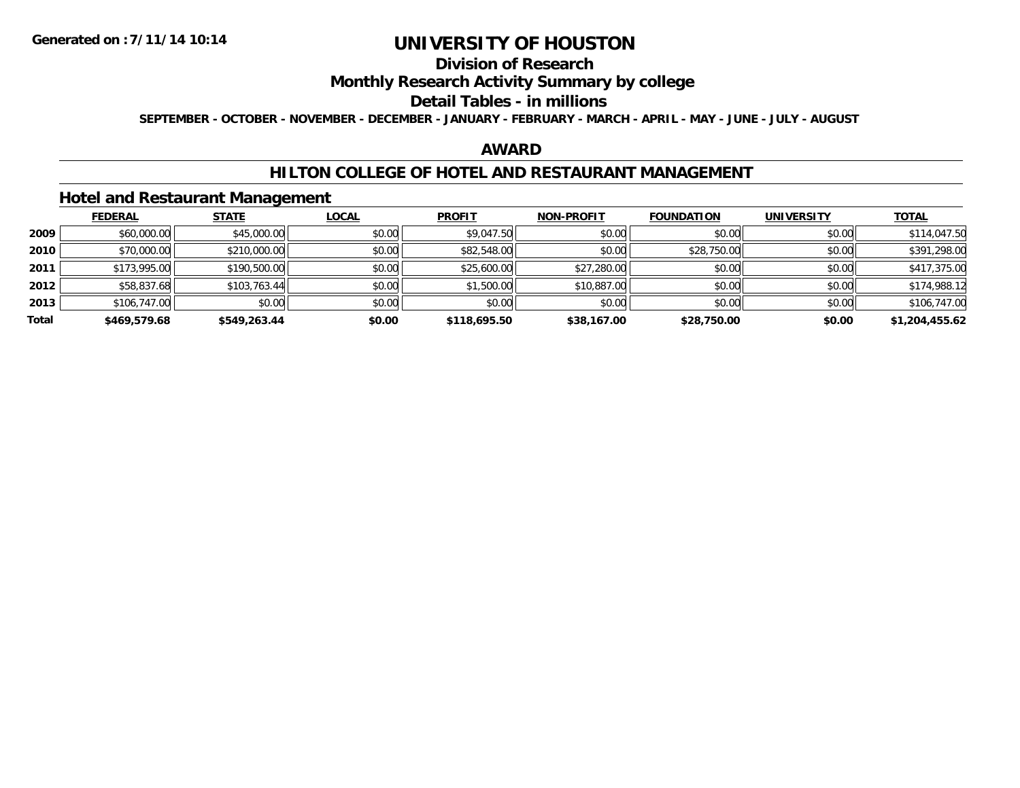### **Division of Research**

### **Monthly Research Activity Summary by college**

#### **Detail Tables - in millions**

**SEPTEMBER - OCTOBER - NOVEMBER - DECEMBER - JANUARY - FEBRUARY - MARCH - APRIL - MAY - JUNE - JULY - AUGUST**

#### **AWARD**

#### **HILTON COLLEGE OF HOTEL AND RESTAURANT MANAGEMENT**

#### **Hotel and Restaurant Management**

|       | <b>FEDERAL</b> | <b>STATE</b> | <b>LOCAL</b> | <b>PROFIT</b> | <b>NON-PROFIT</b> | <b>FOUNDATION</b> | <b>UNIVERSITY</b> | <b>TOTAL</b>   |
|-------|----------------|--------------|--------------|---------------|-------------------|-------------------|-------------------|----------------|
| 2009  | \$60,000.00    | \$45,000.00  | \$0.00       | \$9,047.50    | \$0.00            | \$0.00            | \$0.00            | \$114,047.50   |
| 2010  | \$70,000.00    | \$210,000.00 | \$0.00       | \$82,548.00   | \$0.00            | \$28,750.00       | \$0.00            | \$391,298.00   |
| 2011  | \$173,995.00   | \$190,500.00 | \$0.00       | \$25,600.00   | \$27,280.00       | \$0.00            | \$0.00            | \$417,375.00   |
| 2012  | \$58,837.68    | \$103,763.44 | \$0.00       | \$1,500.00    | \$10,887.00       | \$0.00            | \$0.00            | \$174,988.12   |
| 2013  | \$106,747.00   | \$0.00       | \$0.00       | \$0.00        | \$0.00            | \$0.00            | \$0.00            | \$106,747.00   |
| Total | \$469,579.68   | \$549,263.44 | \$0.00       | \$118,695.50  | \$38,167.00       | \$28,750.00       | \$0.00            | \$1,204,455.62 |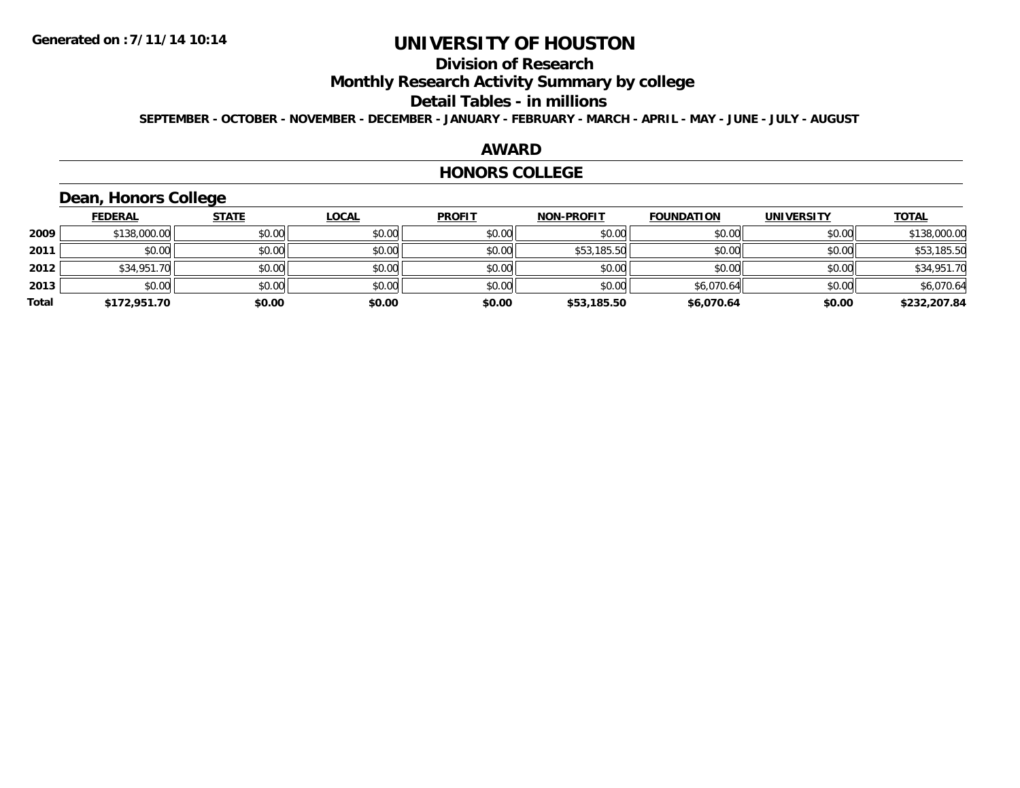### **Division of Research**

**Monthly Research Activity Summary by college**

#### **Detail Tables - in millions**

**SEPTEMBER - OCTOBER - NOVEMBER - DECEMBER - JANUARY - FEBRUARY - MARCH - APRIL - MAY - JUNE - JULY - AUGUST**

#### **AWARD**

#### **HONORS COLLEGE**

### **Dean, Honors College**

|       | <b>FEDERAL</b> | <b>STATE</b> | <u>LOCAL</u> | <b>PROFIT</b> | <b>NON-PROFIT</b> | <b>FOUNDATION</b> | <b>UNIVERSITY</b> | <b>TOTAL</b> |
|-------|----------------|--------------|--------------|---------------|-------------------|-------------------|-------------------|--------------|
| 2009  | \$138,000.00   | \$0.00       | \$0.00       | \$0.00        | \$0.00            | \$0.00            | \$0.00            | \$138,000.00 |
| 2011  | \$0.00         | \$0.00       | \$0.00       | \$0.00        | \$53,185.50       | \$0.00            | \$0.00            | \$53,185.50  |
| 2012  | \$34,951.70    | \$0.00       | \$0.00       | \$0.00        | \$0.00            | \$0.00            | \$0.00            | \$34,951.70  |
| 2013  | \$0.00         | \$0.00       | \$0.00       | \$0.00        | \$0.00            | \$6,070.64        | \$0.00            | \$6,070.64   |
| Total | \$172,951.70   | \$0.00       | \$0.00       | \$0.00        | \$53,185.50       | \$6,070.64        | \$0.00            | \$232,207.84 |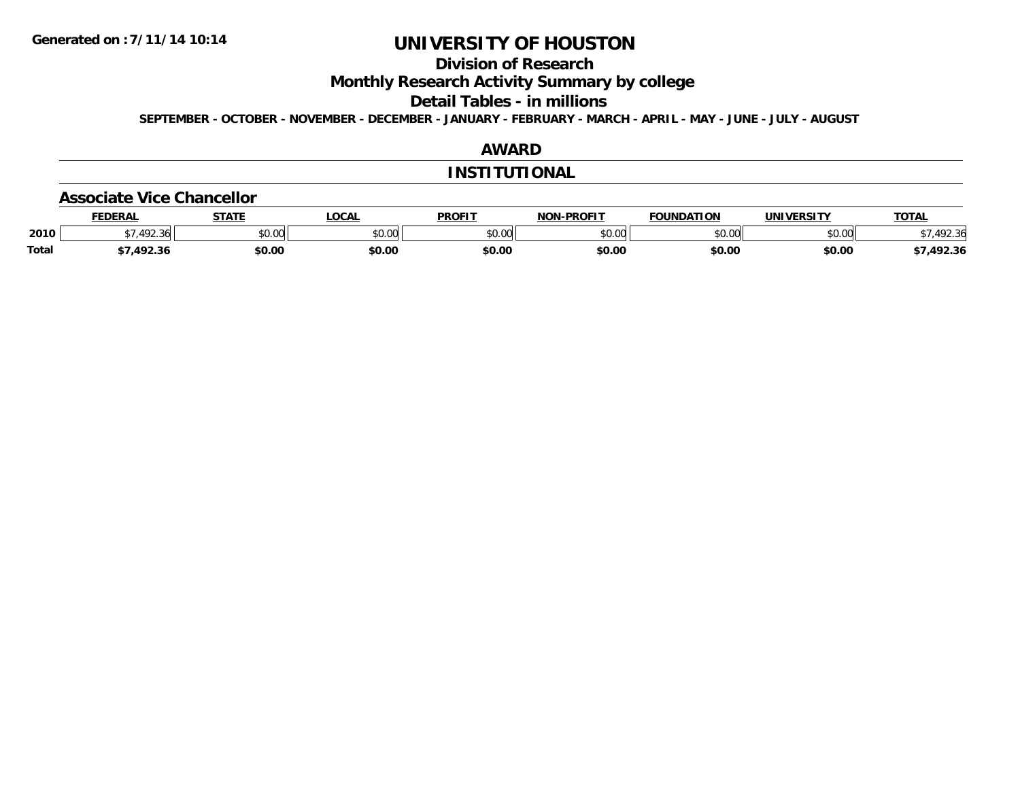### **Division of Research**

**Monthly Research Activity Summary by college**

**Detail Tables - in millions**

**SEPTEMBER - OCTOBER - NOVEMBER - DECEMBER - JANUARY - FEBRUARY - MARCH - APRIL - MAY - JUNE - JULY - AUGUST**

### **AWARD**

#### **INSTITUTIONAL**

#### **Associate Vice Chancellor**

|              | <b>EDERAL</b> | <b>CTATE</b> | <b>OCAL</b> | <b>PROFIT</b> | -PROFIT<br>NON-I | FOUNDATION   | <b>UNIVERSITY</b> | <b>TOTA</b>                  |
|--------------|---------------|--------------|-------------|---------------|------------------|--------------|-------------------|------------------------------|
| 2010         | 72.30         | \$0.00       | JU.UU       | \$0.00        | ልስ ስስ<br>JU.UU   | 0000<br>ט.טע | 0.001<br>PU.UU    | $\mathcal{L}$<br>.92.30<br>՝ |
| <b>Total</b> | 1022<br>92.30 | \$0.00       | \$0.00      | \$0.00        | \$0.00           | \$0.00       | \$0.00            | 492.36                       |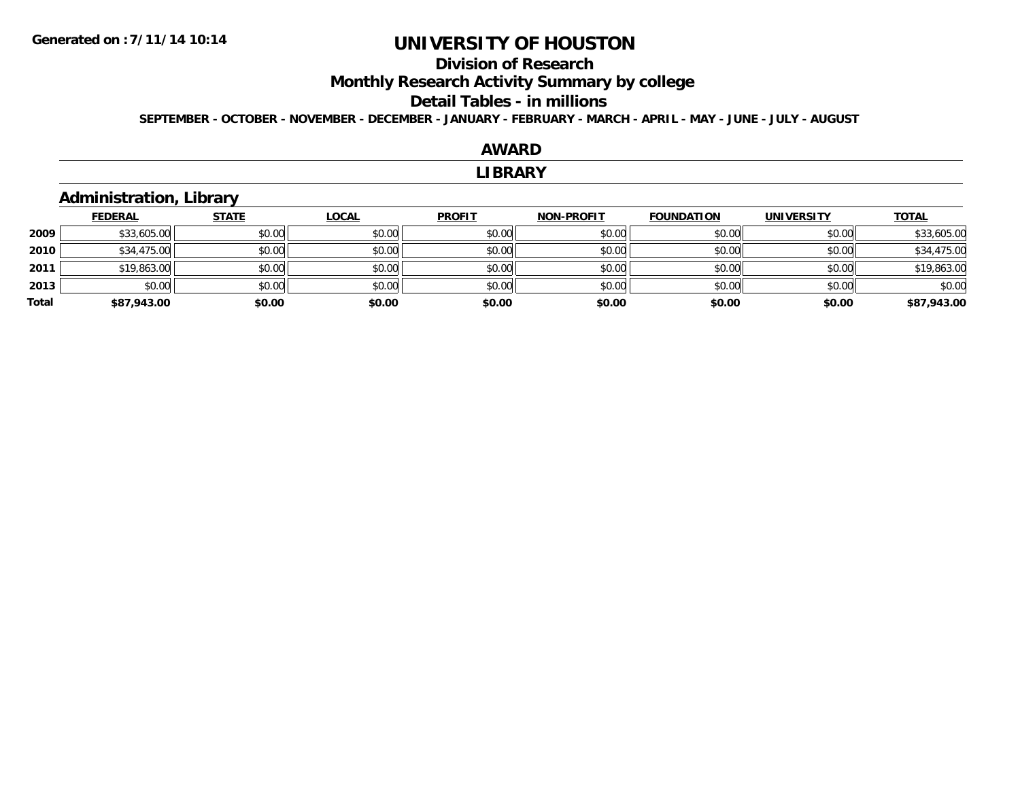**2009**

**2010**

**2011**

**2013**

**Total**

# **UNIVERSITY OF HOUSTON**

#### **Division of Research**

**Monthly Research Activity Summary by college**

### **Detail Tables - in millions**

**SEPTEMBER - OCTOBER - NOVEMBER - DECEMBER - JANUARY - FEBRUARY - MARCH - APRIL - MAY - JUNE - JULY - AUGUST**

#### **AWARDLIBRARY Administration, Library FEDERAL STATE LOCAL PROFIT NON-PROFIT FOUNDATION UNIVERSITY TOTALTOTAL**  $\textbf{9} \quad \textbf{\textcolor{blue}{83.5}} \quad \textbf{\textcolor{blue}{53.5}} \quad \textbf{\textcolor{blue}{50.00}} \quad \textbf{\textcolor{blue}{50.00}} \quad \textbf{\textcolor{blue}{50.00}} \quad \textbf{\textcolor{blue}{50.00}} \quad \textbf{\textcolor{blue}{50.00}} \quad \textbf{\textcolor{blue}{50.00}} \quad \textbf{\textcolor{blue}{50.00}} \quad \textbf{\textcolor{blue}{50.00}} \quad \textbf{\textcolor{blue}{50.00}} \quad \textbf{\textcolor{blue}{50.00}} \quad \textbf{\textcolor{blue}{5$  $\textsf{[0]} \quad \textsf{[0]} \quad \textsf{[0]} \quad \textsf{[0]} \quad \textsf{[0]} \quad \textsf{[0]} \quad \textsf{[0]} \quad \textsf{[0]} \quad \textsf{[0]} \quad \textsf{[0]} \quad \textsf{[0]} \quad \textsf{[0]} \quad \textsf{[0]} \quad \textsf{[0]} \quad \textsf{[0]} \quad \textsf{[0]} \quad \textsf{[0]} \quad \textsf{[0]} \quad \textsf{[0]} \quad \textsf{[0]} \quad \textsf{[0]} \quad \textsf{[0]} \quad \textsf{[0]} \quad \textsf{[0]} \quad \textsf{$ 1 \$19,863.00 \$0.00 \$0.00 \$0.00 \$0.00 \$0.00 \$0.00 \$0.00 \$0.00 \$0.00 \$0.00 \$0.00 \$19,863.00 \$19,863.00 \$0.00 \$0.00 \$0.00 \$0.00 \$0.00 \$0.00 \$0.00 \$0.00

**\$87,943.00 \$0.00 \$0.00 \$0.00 \$0.00 \$0.00 \$0.00 \$87,943.00**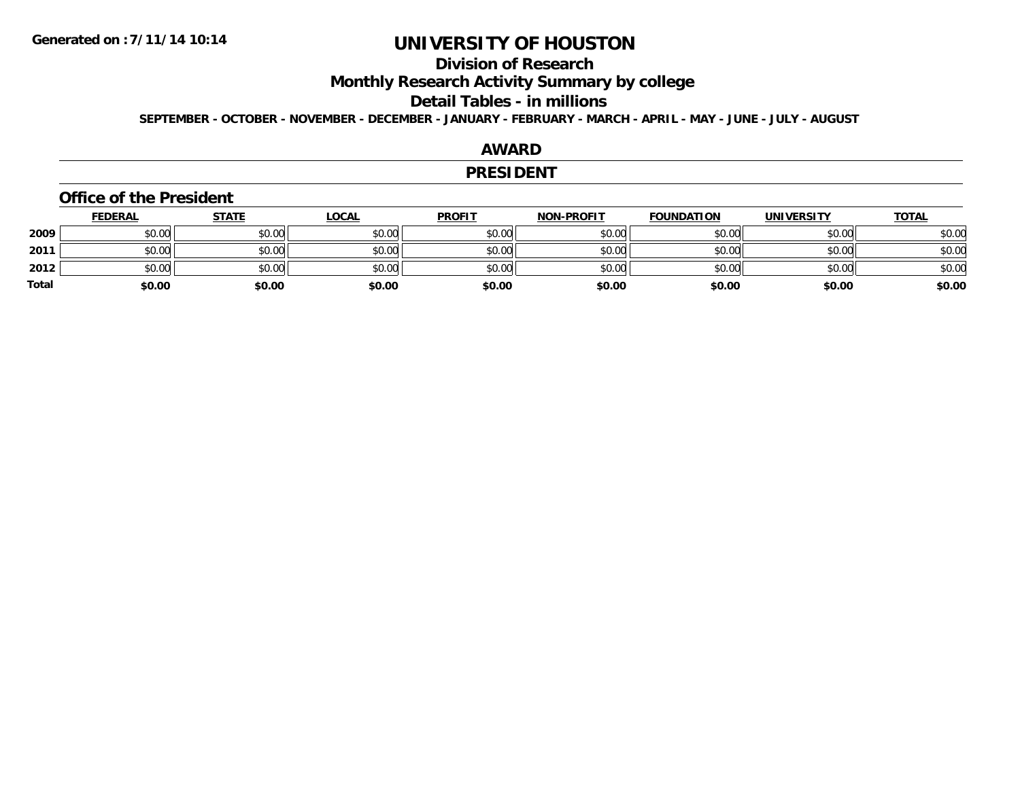### **Division of Research**

**Monthly Research Activity Summary by college**

#### **Detail Tables - in millions**

**SEPTEMBER - OCTOBER - NOVEMBER - DECEMBER - JANUARY - FEBRUARY - MARCH - APRIL - MAY - JUNE - JULY - AUGUST**

#### **AWARD**

#### **PRESIDENT**

#### **Office of the President**

|       | <u>FEDERAL</u> | <u>STATE</u> | <u>LOCAL</u> | <b>PROFIT</b> | <b>NON-PROFIT</b> | <b>FOUNDATION</b> | <b>UNIVERSITY</b> | <b>TOTAL</b> |
|-------|----------------|--------------|--------------|---------------|-------------------|-------------------|-------------------|--------------|
| 2009  | \$0.00         | \$0.00       | \$0.00       | \$0.00        | \$0.00            | \$0.00            | \$0.00            | \$0.00       |
| 2011  | \$0.00         | \$0.00       | \$0.00       | \$0.00        | \$0.00            | \$0.00            | \$0.00            | \$0.00       |
| 2012  | \$0.00         | \$0.00       | \$0.00       | \$0.00        | \$0.00            | \$0.00            | \$0.00            | \$0.00       |
| Total | \$0.00         | \$0.00       | \$0.00       | \$0.00        | \$0.00            | \$0.00            | \$0.00            | \$0.00       |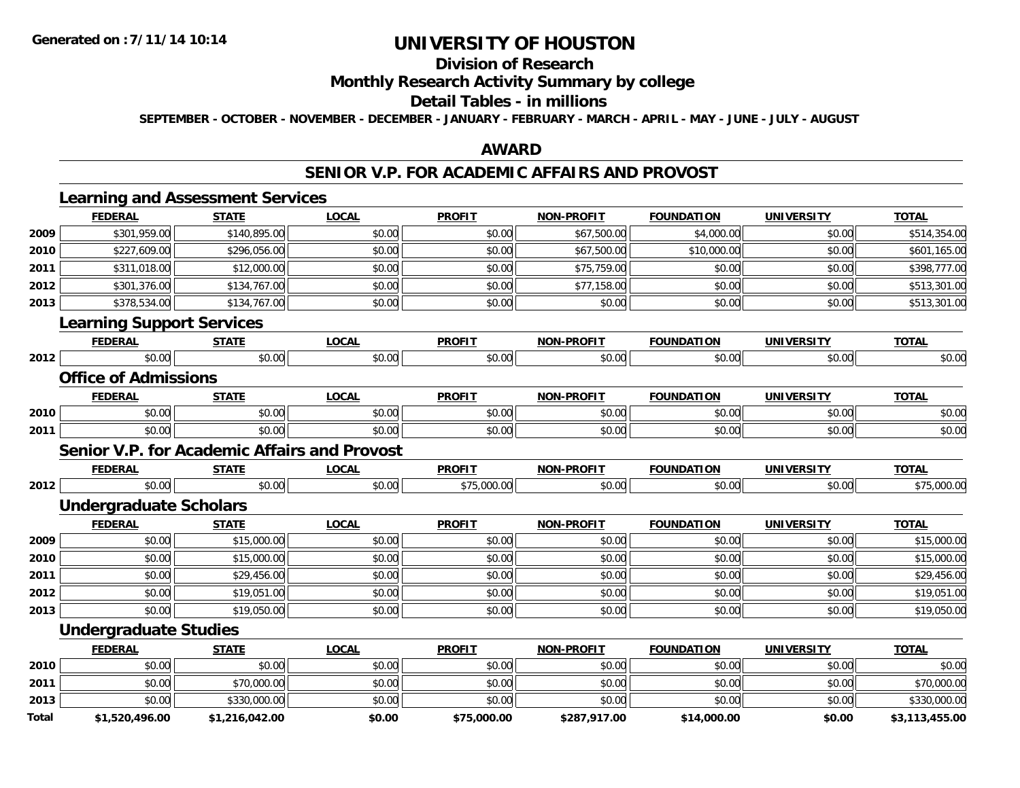### **Division of Research**

### **Monthly Research Activity Summary by college**

#### **Detail Tables - in millions**

**SEPTEMBER - OCTOBER - NOVEMBER - DECEMBER - JANUARY - FEBRUARY - MARCH - APRIL - MAY - JUNE - JULY - AUGUST**

#### **AWARD**

#### **SENIOR V.P. FOR ACADEMIC AFFAIRS AND PROVOST**

|              | <b>Learning and Assessment Services</b>             |                |              |               |                   |                   |                   |                |
|--------------|-----------------------------------------------------|----------------|--------------|---------------|-------------------|-------------------|-------------------|----------------|
|              | <b>FEDERAL</b>                                      | <b>STATE</b>   | <b>LOCAL</b> | <b>PROFIT</b> | <b>NON-PROFIT</b> | <b>FOUNDATION</b> | <b>UNIVERSITY</b> | <b>TOTAL</b>   |
| 2009         | \$301,959.00                                        | \$140,895.00   | \$0.00       | \$0.00        | \$67,500.00       | \$4,000.00        | \$0.00            | \$514,354.00   |
| 2010         | \$227,609.00                                        | \$296.056.00   | \$0.00       | \$0.00        | \$67,500.00       | \$10,000.00       | \$0.00            | \$601,165.00   |
| 2011         | \$311,018.00                                        | \$12,000.00    | \$0.00       | \$0.00        | \$75,759.00       | \$0.00            | \$0.00            | \$398,777.00   |
| 2012         | \$301,376.00                                        | \$134,767.00   | \$0.00       | \$0.00        | \$77,158.00       | \$0.00            | \$0.00            | \$513,301.00   |
| 2013         | \$378,534.00                                        | \$134,767.00   | \$0.00       | \$0.00        | \$0.00            | \$0.00            | \$0.00            | \$513,301.00   |
|              | <b>Learning Support Services</b>                    |                |              |               |                   |                   |                   |                |
|              | <b>FEDERAL</b>                                      | <b>STATE</b>   | <b>LOCAL</b> | <b>PROFIT</b> | <b>NON-PROFIT</b> | <b>FOUNDATION</b> | <b>UNIVERSITY</b> | <b>TOTAL</b>   |
| 2012         | \$0.00                                              | \$0.00         | \$0.00       | \$0.00        | \$0.00            | \$0.00            | \$0.00            | \$0.00         |
|              | <b>Office of Admissions</b>                         |                |              |               |                   |                   |                   |                |
|              | <b>FEDERAL</b>                                      | <b>STATE</b>   | <b>LOCAL</b> | <b>PROFIT</b> | <b>NON-PROFIT</b> | <b>FOUNDATION</b> | <b>UNIVERSITY</b> | <b>TOTAL</b>   |
| 2010         | \$0.00                                              | \$0.00         | \$0.00       | \$0.00        | \$0.00            | \$0.00            | \$0.00            | \$0.00         |
| 2011         | \$0.00                                              | \$0.00         | \$0.00       | \$0.00        | \$0.00            | \$0.00            | \$0.00            | \$0.00         |
|              | <b>Senior V.P. for Academic Affairs and Provost</b> |                |              |               |                   |                   |                   |                |
|              | <b>FEDERAL</b>                                      | <b>STATE</b>   | <b>LOCAL</b> | <b>PROFIT</b> | <b>NON-PROFIT</b> | <b>FOUNDATION</b> | <b>UNIVERSITY</b> | <b>TOTAL</b>   |
| 2012         | \$0.00                                              | \$0.00         | \$0.00       | \$75,000.00   | \$0.00            | \$0.00            | \$0.00            | \$75,000.00    |
|              | <b>Undergraduate Scholars</b>                       |                |              |               |                   |                   |                   |                |
|              | <b>FEDERAL</b>                                      | <b>STATE</b>   | <b>LOCAL</b> | <b>PROFIT</b> | <b>NON-PROFIT</b> | <b>FOUNDATION</b> | <b>UNIVERSITY</b> | <b>TOTAL</b>   |
| 2009         | \$0.00                                              | \$15,000.00    | \$0.00       | \$0.00        | \$0.00            | \$0.00            | \$0.00            | \$15,000.00    |
| 2010         | \$0.00                                              | \$15,000.00    | \$0.00       | \$0.00        | \$0.00            | \$0.00            | \$0.00            | \$15,000.00    |
| 2011         | \$0.00                                              | \$29,456.00    | \$0.00       | \$0.00        | \$0.00            | \$0.00            | \$0.00            | \$29,456.00    |
| 2012         | \$0.00                                              | \$19,051.00    | \$0.00       | \$0.00        | \$0.00            | \$0.00            | \$0.00            | \$19,051.00    |
| 2013         | \$0.00                                              | \$19,050.00    | \$0.00       | \$0.00        | \$0.00            | \$0.00            | \$0.00            | \$19,050.00    |
|              | <b>Undergraduate Studies</b>                        |                |              |               |                   |                   |                   |                |
|              | <b>FEDERAL</b>                                      | <b>STATE</b>   | <b>LOCAL</b> | <b>PROFIT</b> | <b>NON-PROFIT</b> | <b>FOUNDATION</b> | <b>UNIVERSITY</b> | <b>TOTAL</b>   |
| 2010         | \$0.00                                              | \$0.00         | \$0.00       | \$0.00        | \$0.00            | \$0.00            | \$0.00            | \$0.00         |
| 2011         | \$0.00                                              | \$70,000.00    | \$0.00       | \$0.00        | \$0.00            | \$0.00            | \$0.00            | \$70,000.00    |
| 2013         | \$0.00                                              | \$330,000.00   | \$0.00       | \$0.00        | \$0.00            | \$0.00            | \$0.00            | \$330,000.00   |
| <b>Total</b> | \$1.520.496.00                                      | \$1.216.042.00 | \$0.00       | \$75,000.00   | \$287.917.00      | \$14,000.00       | \$0.00            | \$3.113.455.00 |

**\$1,520,496.00 \$1,216,042.00 \$0.00 \$75,000.00 \$287,917.00 \$14,000.00 \$0.00 \$3,113,455.00**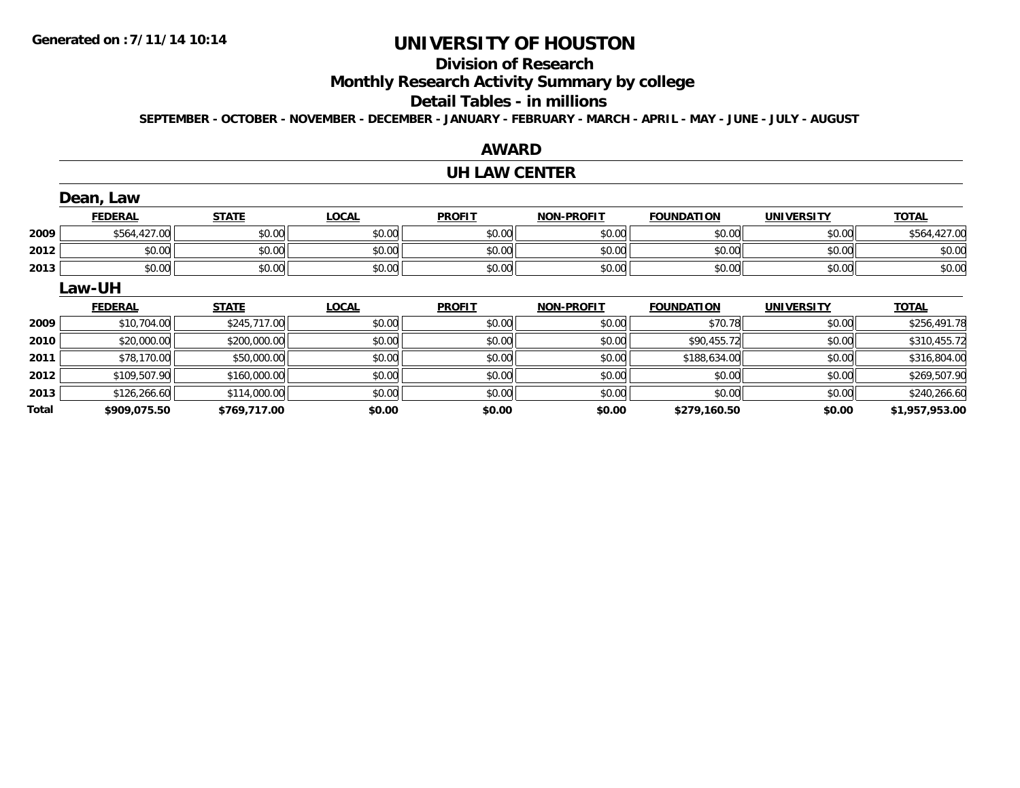### **Division of Research**

**Monthly Research Activity Summary by college**

#### **Detail Tables - in millions**

**SEPTEMBER - OCTOBER - NOVEMBER - DECEMBER - JANUARY - FEBRUARY - MARCH - APRIL - MAY - JUNE - JULY - AUGUST**

# **AWARD**

#### **UH LAW CENTER**

|       | Dean, Law      |              |              |               |                   |                   |                   |                |
|-------|----------------|--------------|--------------|---------------|-------------------|-------------------|-------------------|----------------|
|       | <b>FEDERAL</b> | <b>STATE</b> | <b>LOCAL</b> | <b>PROFIT</b> | <b>NON-PROFIT</b> | <b>FOUNDATION</b> | <b>UNIVERSITY</b> | <b>TOTAL</b>   |
| 2009  | \$564,427.00   | \$0.00       | \$0.00       | \$0.00        | \$0.00            | \$0.00            | \$0.00            | \$564,427.00   |
| 2012  | \$0.00         | \$0.00       | \$0.00       | \$0.00        | \$0.00            | \$0.00            | \$0.00            | \$0.00         |
| 2013  | \$0.00         | \$0.00       | \$0.00       | \$0.00        | \$0.00            | \$0.00            | \$0.00            | \$0.00         |
|       | Law-UH         |              |              |               |                   |                   |                   |                |
|       | <b>FEDERAL</b> | <b>STATE</b> | <b>LOCAL</b> | <b>PROFIT</b> | <b>NON-PROFIT</b> | <b>FOUNDATION</b> | <b>UNIVERSITY</b> | <b>TOTAL</b>   |
| 2009  | \$10,704.00    | \$245,717.00 | \$0.00       | \$0.00        | \$0.00            | \$70.78           | \$0.00            | \$256,491.78   |
| 2010  | \$20,000.00    | \$200,000.00 | \$0.00       | \$0.00        | \$0.00            | \$90,455.72       | \$0.00            | \$310,455.72   |
| 2011  | \$78,170.00    | \$50,000.00  | \$0.00       | \$0.00        | \$0.00            | \$188,634.00      | \$0.00            | \$316,804.00   |
| 2012  | \$109,507.90   | \$160,000.00 | \$0.00       | \$0.00        | \$0.00            | \$0.00            | \$0.00            | \$269,507.90   |
| 2013  | \$126,266.60   | \$114,000.00 | \$0.00       | \$0.00        | \$0.00            | \$0.00            | \$0.00            | \$240,266.60   |
| Total | \$909,075.50   | \$769,717.00 | \$0.00       | \$0.00        | \$0.00            | \$279,160.50      | \$0.00            | \$1,957,953.00 |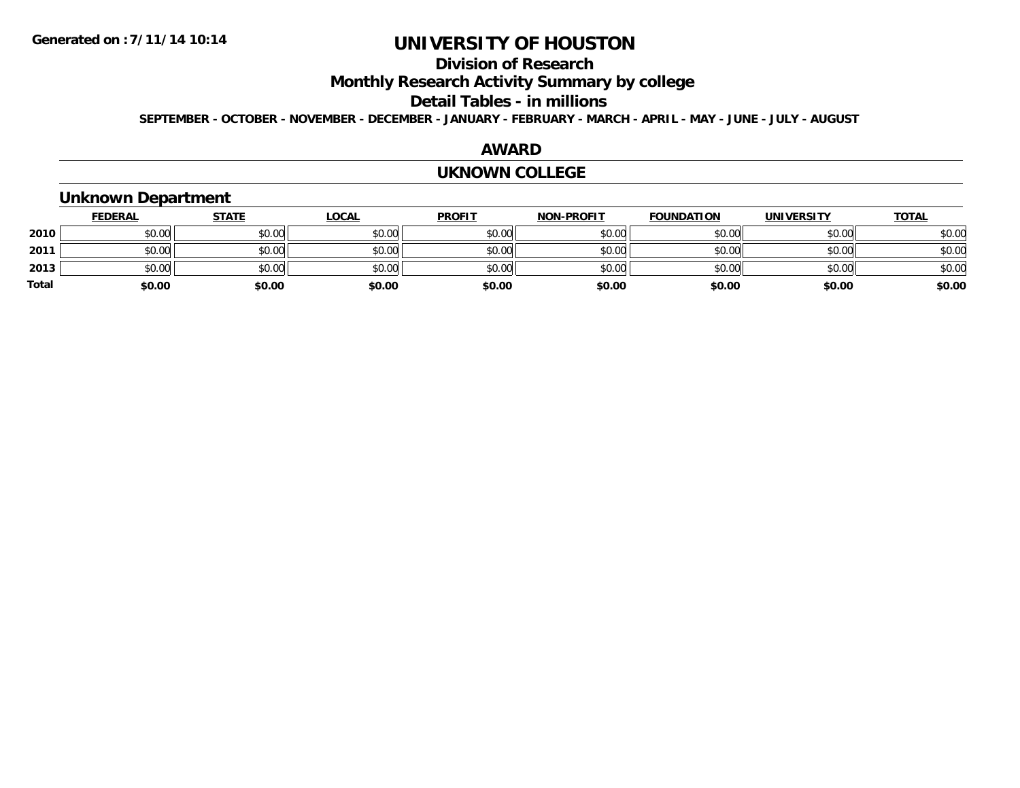### **Division of Research**

**Monthly Research Activity Summary by college**

#### **Detail Tables - in millions**

**SEPTEMBER - OCTOBER - NOVEMBER - DECEMBER - JANUARY - FEBRUARY - MARCH - APRIL - MAY - JUNE - JULY - AUGUST**

#### **AWARD**

#### **UKNOWN COLLEGE**

#### **Unknown Department**

|       | <b>FEDERAL</b> | <b>STATE</b> | <b>LOCAL</b> | <b>PROFIT</b> | <b>NON-PROFIT</b> | <b>FOUNDATION</b> | <b>UNIVERSITY</b> | <b>TOTAL</b> |
|-------|----------------|--------------|--------------|---------------|-------------------|-------------------|-------------------|--------------|
| 2010  | \$0.00         | \$0.00       | \$0.00       | \$0.00        | \$0.00            | \$0.00            | \$0.00            | \$0.00       |
| 2011  | \$0.00         | \$0.00       | \$0.00       | \$0.00        | \$0.00            | \$0.00            | \$0.00            | \$0.00       |
| 2013  | \$0.00         | \$0.00       | \$0.00       | \$0.00        | \$0.00            | \$0.00            | \$0.00            | \$0.00       |
| Total | \$0.00         | \$0.00       | \$0.00       | \$0.00        | \$0.00            | \$0.00            | \$0.00            | \$0.00       |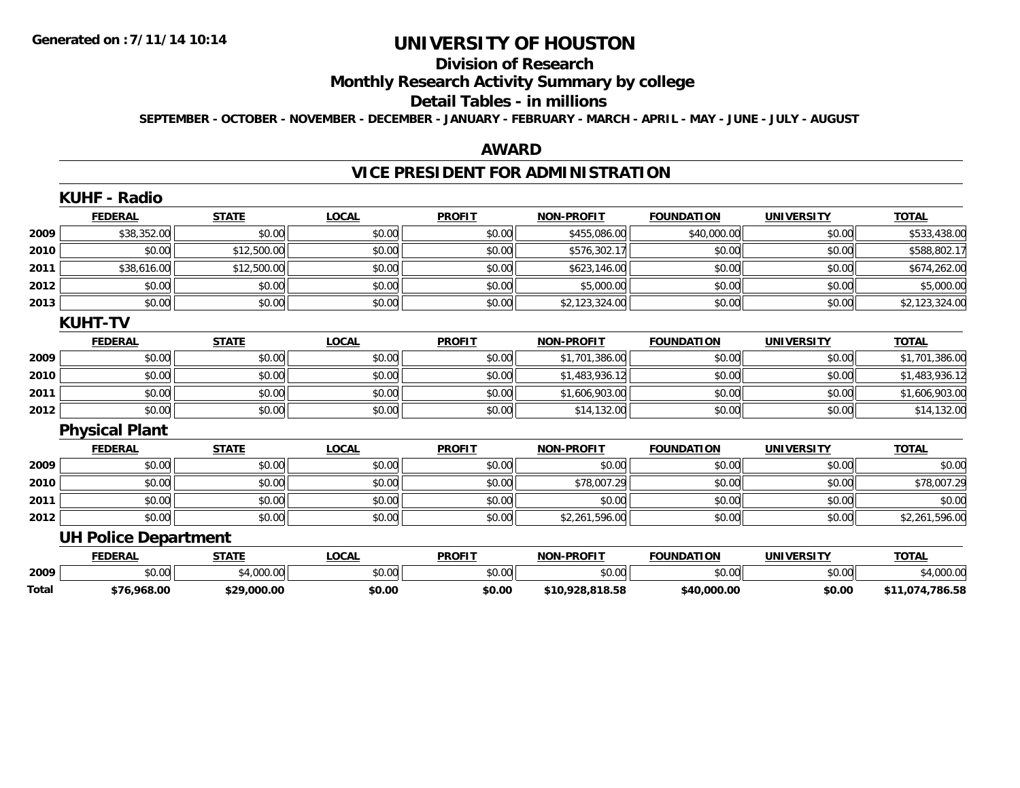#### **Division of Research**

# **Monthly Research Activity Summary by college**

#### **Detail Tables - in millions**

**SEPTEMBER - OCTOBER - NOVEMBER - DECEMBER - JANUARY - FEBRUARY - MARCH - APRIL - MAY - JUNE - JULY - AUGUST**

#### **AWARD**

# **VICE PRESIDENT FOR ADMINISTRATION**

|       | KUHF - Radio                |              |              |               |                   |                   |                   |                 |
|-------|-----------------------------|--------------|--------------|---------------|-------------------|-------------------|-------------------|-----------------|
|       | <b>FEDERAL</b>              | <b>STATE</b> | <b>LOCAL</b> | <b>PROFIT</b> | <b>NON-PROFIT</b> | <b>FOUNDATION</b> | <b>UNIVERSITY</b> | <b>TOTAL</b>    |
| 2009  | \$38,352.00                 | \$0.00       | \$0.00       | \$0.00        | \$455,086.00      | \$40,000.00       | \$0.00            | \$533,438.00    |
| 2010  | \$0.00                      | \$12,500.00  | \$0.00       | \$0.00        | \$576,302.17      | \$0.00            | \$0.00            | \$588,802.17    |
| 2011  | \$38,616.00                 | \$12,500.00  | \$0.00       | \$0.00        | \$623,146.00      | \$0.00            | \$0.00            | \$674,262.00    |
| 2012  | \$0.00                      | \$0.00       | \$0.00       | \$0.00        | \$5,000.00        | \$0.00            | \$0.00            | \$5,000.00      |
| 2013  | \$0.00                      | \$0.00       | \$0.00       | \$0.00        | \$2,123,324.00    | \$0.00            | \$0.00            | \$2,123,324.00  |
|       | <b>KUHT-TV</b>              |              |              |               |                   |                   |                   |                 |
|       | <b>FEDERAL</b>              | <b>STATE</b> | <b>LOCAL</b> | <b>PROFIT</b> | <b>NON-PROFIT</b> | <b>FOUNDATION</b> | <b>UNIVERSITY</b> | <b>TOTAL</b>    |
| 2009  | \$0.00                      | \$0.00       | \$0.00       | \$0.00        | \$1,701,386.00    | \$0.00            | \$0.00            | \$1,701,386.00  |
| 2010  | \$0.00                      | \$0.00       | \$0.00       | \$0.00        | \$1,483,936.12    | \$0.00            | \$0.00            | \$1,483,936.12  |
| 2011  | \$0.00                      | \$0.00       | \$0.00       | \$0.00        | \$1,606,903.00    | \$0.00            | \$0.00            | \$1,606,903.00  |
| 2012  | \$0.00                      | \$0.00       | \$0.00       | \$0.00        | \$14,132.00       | \$0.00            | \$0.00            | \$14,132.00     |
|       | <b>Physical Plant</b>       |              |              |               |                   |                   |                   |                 |
|       | <b>FEDERAL</b>              | <b>STATE</b> | <b>LOCAL</b> | <b>PROFIT</b> | <b>NON-PROFIT</b> | <b>FOUNDATION</b> | <b>UNIVERSITY</b> | <b>TOTAL</b>    |
| 2009  | \$0.00                      | \$0.00       | \$0.00       | \$0.00        | \$0.00            | \$0.00            | \$0.00            | \$0.00          |
| 2010  | \$0.00                      | \$0.00       | \$0.00       | \$0.00        | \$78,007.29       | \$0.00            | \$0.00            | \$78,007.29     |
| 2011  | \$0.00                      | \$0.00       | \$0.00       | \$0.00        | \$0.00            | \$0.00            | \$0.00            | \$0.00          |
| 2012  | \$0.00                      | \$0.00       | \$0.00       | \$0.00        | \$2,261,596.00    | \$0.00            | \$0.00            | \$2,261,596.00  |
|       | <b>UH Police Department</b> |              |              |               |                   |                   |                   |                 |
|       | <b>FEDERAL</b>              | <b>STATE</b> | <b>LOCAL</b> | <b>PROFIT</b> | <b>NON-PROFIT</b> | <b>FOUNDATION</b> | <b>UNIVERSITY</b> | <b>TOTAL</b>    |
| 2009  | \$0.00                      | \$4,000.00   | \$0.00       | \$0.00        | \$0.00            | \$0.00            | \$0.00            | \$4,000.00      |
| Total | \$76,968.00                 | \$29,000.00  | \$0.00       | \$0.00        | \$10,928,818.58   | \$40,000.00       | \$0.00            | \$11,074,786.58 |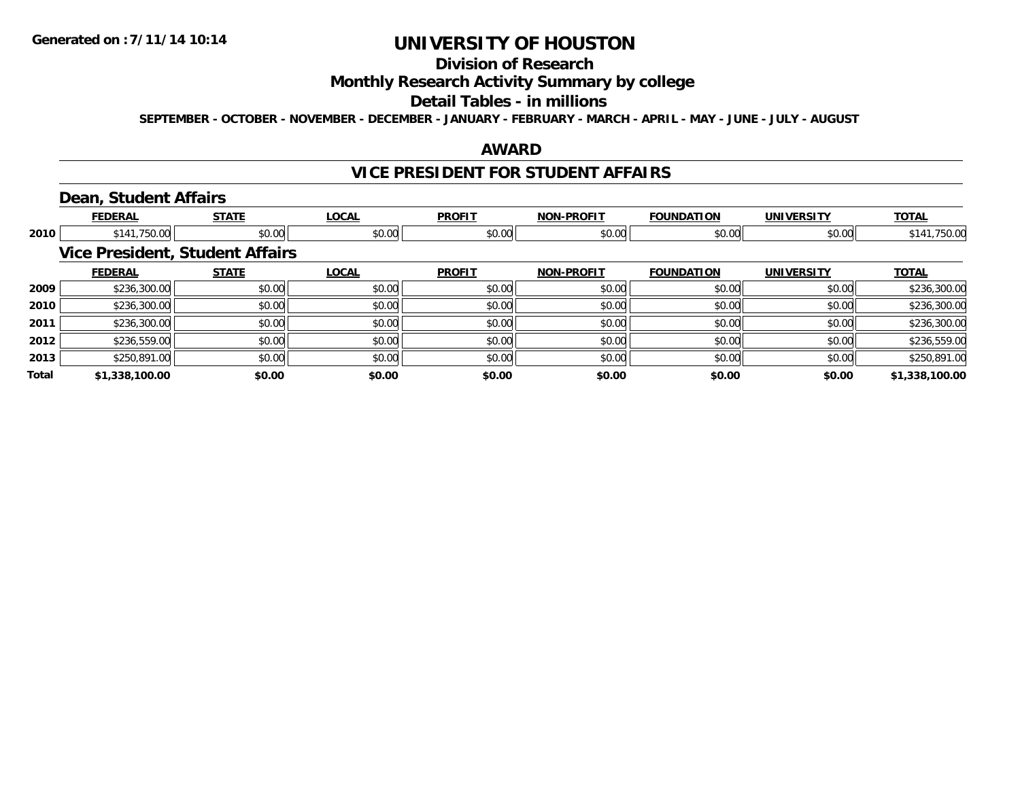# **Division of Research**

### **Monthly Research Activity Summary by college**

#### **Detail Tables - in millions**

**SEPTEMBER - OCTOBER - NOVEMBER - DECEMBER - JANUARY - FEBRUARY - MARCH - APRIL - MAY - JUNE - JULY - AUGUST**

#### **AWARD**

#### **VICE PRESIDENT FOR STUDENT AFFAIRS**

### **Dean, Student Affairs**

|       | <b>FEDERAL</b> | <b>STATE</b>                           | <b>LOCAL</b> | <b>PROFIT</b> | <b>NON-PROFIT</b> | <b>FOUNDATION</b> | <b>UNIVERSITY</b> | <b>TOTAL</b>   |
|-------|----------------|----------------------------------------|--------------|---------------|-------------------|-------------------|-------------------|----------------|
| 2010  | \$141,750.00   | \$0.00                                 | \$0.00       | \$0.00        | \$0.00            | \$0.00            | \$0.00            | \$141,750.00   |
|       |                | <b>Vice President, Student Affairs</b> |              |               |                   |                   |                   |                |
|       | <b>FEDERAL</b> | <b>STATE</b>                           | <b>LOCAL</b> | <b>PROFIT</b> | <b>NON-PROFIT</b> | <b>FOUNDATION</b> | <b>UNIVERSITY</b> | <b>TOTAL</b>   |
| 2009  | \$236,300.00   | \$0.00                                 | \$0.00       | \$0.00        | \$0.00            | \$0.00            | \$0.00            | \$236,300.00   |
| 2010  | \$236,300.00   | \$0.00                                 | \$0.00       | \$0.00        | \$0.00            | \$0.00            | \$0.00            | \$236,300.00   |
| 2011  | \$236,300.00   | \$0.00                                 | \$0.00       | \$0.00        | \$0.00            | \$0.00            | \$0.00            | \$236,300.00   |
| 2012  | \$236,559.00   | \$0.00                                 | \$0.00       | \$0.00        | \$0.00            | \$0.00            | \$0.00            | \$236,559.00   |
| 2013  | \$250,891.00   | \$0.00                                 | \$0.00       | \$0.00        | \$0.00            | \$0.00            | \$0.00            | \$250,891.00   |
| Total | \$1,338,100.00 | \$0.00                                 | \$0.00       | \$0.00        | \$0.00            | \$0.00            | \$0.00            | \$1,338,100.00 |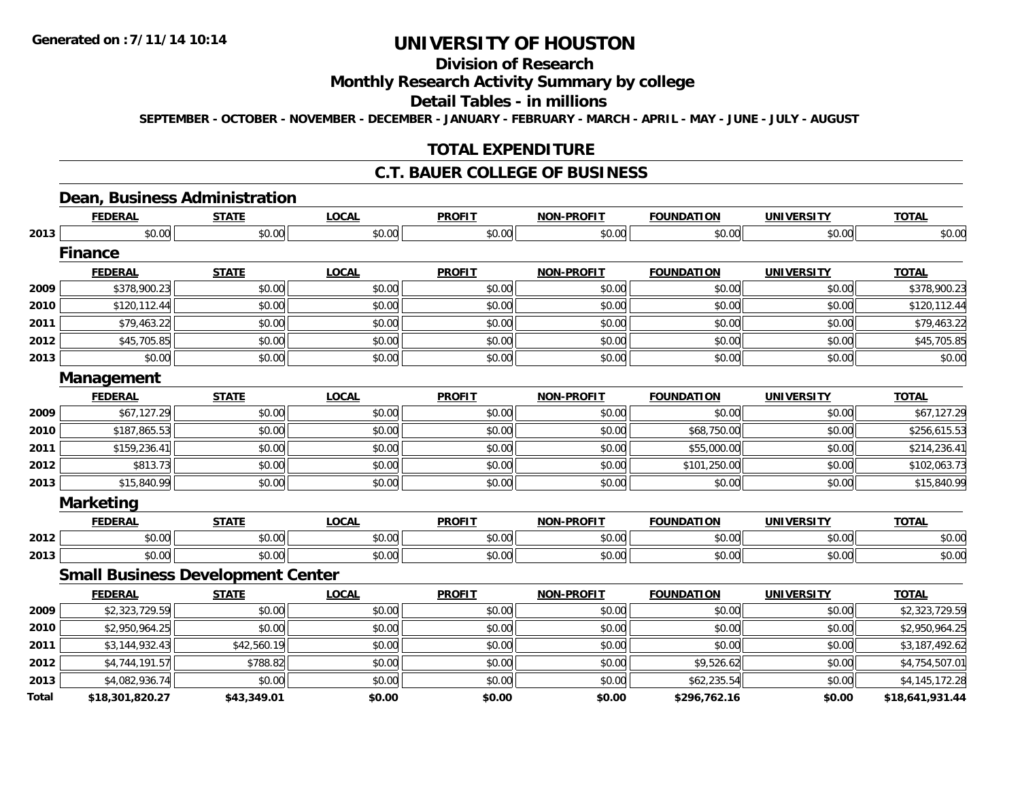# **Division of Research**

### **Monthly Research Activity Summary by college**

#### **Detail Tables - in millions**

**SEPTEMBER - OCTOBER - NOVEMBER - DECEMBER - JANUARY - FEBRUARY - MARCH - APRIL - MAY - JUNE - JULY - AUGUST**

### **TOTAL EXPENDITURE**

#### **C.T. BAUER COLLEGE OF BUSINESS**

#### **Dean, Business Administration**

|              | <b>FEDERAL</b>   | <b>STATE</b>                             | <b>LOCAL</b> | <b>PROFIT</b> | <b>NON-PROFIT</b> | <b>FOUNDATION</b> | <b>UNIVERSITY</b> | <b>TOTAL</b>    |
|--------------|------------------|------------------------------------------|--------------|---------------|-------------------|-------------------|-------------------|-----------------|
| 2013         | \$0.00           | \$0.00                                   | \$0.00       | \$0.00        | \$0.00            | \$0.00            | \$0.00            | \$0.00          |
|              | <b>Finance</b>   |                                          |              |               |                   |                   |                   |                 |
|              | <b>FEDERAL</b>   | <b>STATE</b>                             | <b>LOCAL</b> | <b>PROFIT</b> | <b>NON-PROFIT</b> | <b>FOUNDATION</b> | <b>UNIVERSITY</b> | <b>TOTAL</b>    |
| 2009         | \$378,900.23     | \$0.00                                   | \$0.00       | \$0.00        | \$0.00            | \$0.00            | \$0.00            | \$378,900.23    |
| 2010         | \$120,112.44     | \$0.00                                   | \$0.00       | \$0.00        | \$0.00            | \$0.00            | \$0.00            | \$120,112.44    |
| 2011         | \$79,463.22      | \$0.00                                   | \$0.00       | \$0.00        | \$0.00            | \$0.00            | \$0.00            | \$79,463.22     |
| 2012         | \$45,705.85      | \$0.00                                   | \$0.00       | \$0.00        | \$0.00            | \$0.00            | \$0.00            | \$45,705.85     |
| 2013         | \$0.00           | \$0.00                                   | \$0.00       | \$0.00        | \$0.00            | \$0.00            | \$0.00            | \$0.00          |
|              | Management       |                                          |              |               |                   |                   |                   |                 |
|              | <b>FEDERAL</b>   | <b>STATE</b>                             | <b>LOCAL</b> | <b>PROFIT</b> | <b>NON-PROFIT</b> | <b>FOUNDATION</b> | <b>UNIVERSITY</b> | <b>TOTAL</b>    |
| 2009         | \$67,127.29      | \$0.00                                   | \$0.00       | \$0.00        | \$0.00            | \$0.00            | \$0.00            | \$67,127.29     |
| 2010         | \$187,865.53     | \$0.00                                   | \$0.00       | \$0.00        | \$0.00            | \$68,750.00       | \$0.00            | \$256,615.53    |
| 2011         | \$159,236.41     | \$0.00                                   | \$0.00       | \$0.00        | \$0.00            | \$55,000.00       | \$0.00            | \$214,236.41    |
| 2012         | \$813.73         | \$0.00                                   | \$0.00       | \$0.00        | \$0.00            | \$101,250.00      | \$0.00            | \$102,063.73    |
| 2013         | \$15,840.99      | \$0.00                                   | \$0.00       | \$0.00        | \$0.00            | \$0.00            | \$0.00            | \$15,840.99     |
|              | <b>Marketing</b> |                                          |              |               |                   |                   |                   |                 |
|              | <b>FEDERAL</b>   | <b>STATE</b>                             | <b>LOCAL</b> | <b>PROFIT</b> | <b>NON-PROFIT</b> | <b>FOUNDATION</b> | <b>UNIVERSITY</b> | <b>TOTAL</b>    |
| 2012         | \$0.00           | \$0.00                                   | \$0.00       | \$0.00        | \$0.00            | \$0.00            | \$0.00            | \$0.00          |
| 2013         | \$0.00           | \$0.00                                   | \$0.00       | \$0.00        | \$0.00            | \$0.00            | \$0.00            | \$0.00          |
|              |                  | <b>Small Business Development Center</b> |              |               |                   |                   |                   |                 |
|              | <b>FEDERAL</b>   | <b>STATE</b>                             | <b>LOCAL</b> | <b>PROFIT</b> | <b>NON-PROFIT</b> | <b>FOUNDATION</b> | <b>UNIVERSITY</b> | <b>TOTAL</b>    |
| 2009         | \$2,323,729.59   | \$0.00                                   | \$0.00       | \$0.00        | \$0.00            | \$0.00            | \$0.00            | \$2,323,729.59  |
| 2010         | \$2,950,964.25   | \$0.00                                   | \$0.00       | \$0.00        | \$0.00            | \$0.00            | \$0.00            | \$2,950,964.25  |
| 2011         | \$3,144,932.43   | \$42,560.19                              | \$0.00       | \$0.00        | \$0.00            | \$0.00            | \$0.00            | \$3,187,492.62  |
| 2012         | \$4,744,191.57   | \$788.82                                 | \$0.00       | \$0.00        | \$0.00            | \$9,526.62        | \$0.00            | \$4,754,507.01  |
| 2013         | \$4,082,936.74   | \$0.00                                   | \$0.00       | \$0.00        | \$0.00            | \$62,235.54       | \$0.00            | \$4,145,172.28  |
| <b>Total</b> | \$18,301,820.27  | \$43,349.01                              | \$0.00       | \$0.00        | \$0.00            | \$296,762.16      | \$0.00            | \$18,641,931.44 |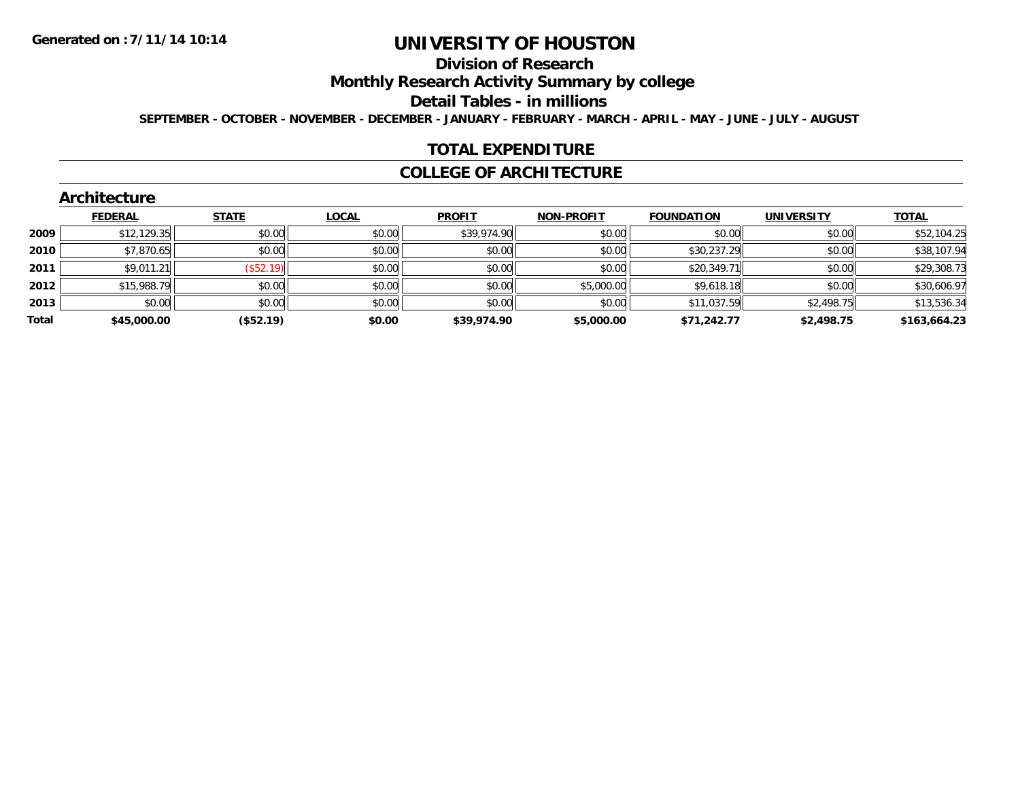#### **Division of Research**

**Monthly Research Activity Summary by college**

**Detail Tables - in millions**

**SEPTEMBER - OCTOBER - NOVEMBER - DECEMBER - JANUARY - FEBRUARY - MARCH - APRIL - MAY - JUNE - JULY - AUGUST**

#### **TOTAL EXPENDITURE**

#### **COLLEGE OF ARCHITECTURE**

|       | <b>FEDERAL</b> | <b>STATE</b> | <b>LOCAL</b> | <b>PROFIT</b> | <b>NON-PROFIT</b> | <b>FOUNDATION</b> | <b>UNIVERSITY</b> | <b>TOTAL</b> |
|-------|----------------|--------------|--------------|---------------|-------------------|-------------------|-------------------|--------------|
| 2009  | \$12,129.35    | \$0.00       | \$0.00       | \$39,974.90   | \$0.00            | \$0.00            | \$0.00            | \$52,104.25  |
| 2010  | \$7,870.65     | \$0.00       | \$0.00       | \$0.00        | \$0.00            | \$30,237.29       | \$0.00            | \$38,107.94  |
| 2011  | \$9,011.21     | $($ \$52.19) | \$0.00       | \$0.00        | \$0.00            | \$20,349.71       | \$0.00            | \$29,308.73  |
| 2012  | \$15,988.79    | \$0.00       | \$0.00       | \$0.00        | \$5,000.00        | \$9,618.18        | \$0.00            | \$30,606.97  |
| 2013  | \$0.00         | \$0.00       | \$0.00       | \$0.00        | \$0.00            | \$11,037.59       | \$2,498.75        | \$13,536.34  |
| Total | \$45,000.00    | (\$52.19)    | \$0.00       | \$39,974.90   | \$5,000.00        | \$71,242.77       | \$2,498.75        | \$163,664.23 |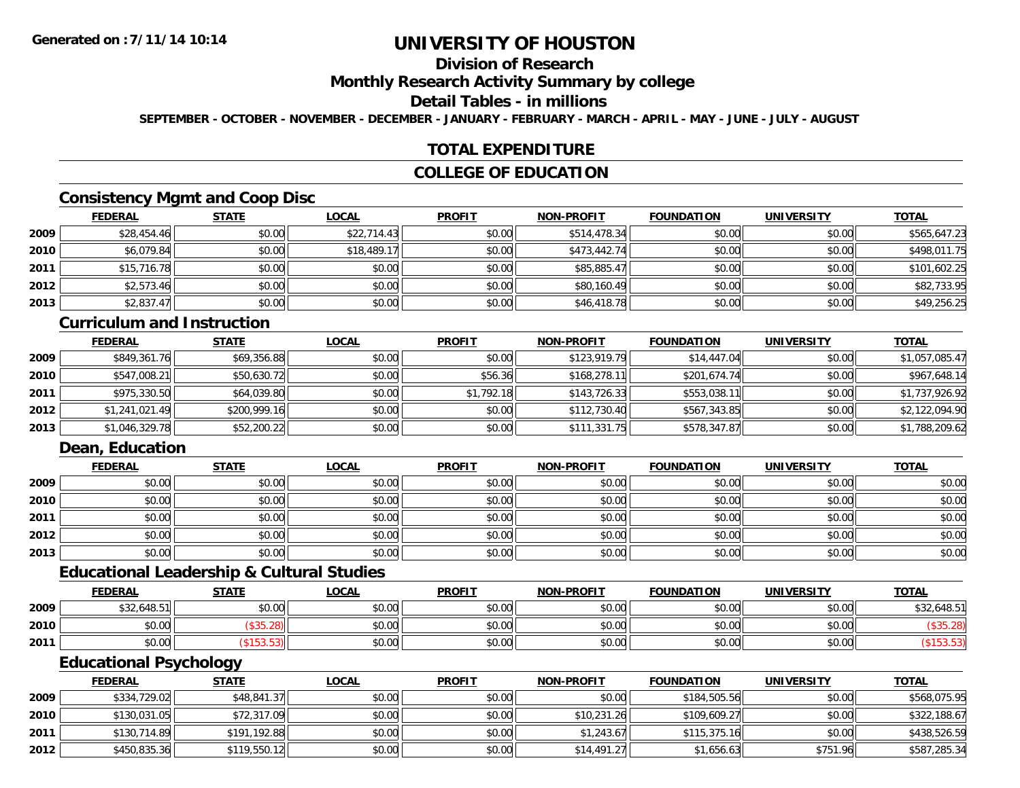### **Division of Research**

#### **Monthly Research Activity Summary by college**

#### **Detail Tables - in millions**

**SEPTEMBER - OCTOBER - NOVEMBER - DECEMBER - JANUARY - FEBRUARY - MARCH - APRIL - MAY - JUNE - JULY - AUGUST**

#### **TOTAL EXPENDITURE**

#### **COLLEGE OF EDUCATION**

### **Consistency Mgmt and Coop Disc**

|        | <b>FEDERAL</b> | <b>STATE</b> | <u>LOCAL</u> | <b>PROFIT</b> | <b>NON-PROFIT</b> | <b>FOUNDATION</b> | <b>UNIVERSITY</b> | <b>TOTAL</b> |
|--------|----------------|--------------|--------------|---------------|-------------------|-------------------|-------------------|--------------|
| 2009   | \$28,454.46    | \$0.00       | \$22,714.43  | \$0.00        | \$514,478.34      | \$0.00            | \$0.00            | \$565,647.23 |
| ا 2010 | \$6,079.84     | \$0.00       | \$18,489.17  | \$0.00        | \$473,442.74      | \$0.00            | \$0.00            | \$498,011.75 |
| 2011   | \$15,716.78    | \$0.00       | \$0.00       | \$0.00        | \$85,885.47       | \$0.00            | \$0.00            | \$101,602.25 |
| 2012   | \$2,573.46     | \$0.00       | \$0.00       | \$0.00        | \$80,160.49       | \$0.00            | \$0.00            | \$82,733.95  |
| 2013   | \$2,837.47     | \$0.00       | \$0.00       | \$0.00        | \$46,418.78       | \$0.00            | \$0.00            | \$49,256.25  |

### **Curriculum and Instruction**

|      | <b>FEDERAL</b> | <b>STATE</b> | <b>LOCAL</b> | <b>PROFIT</b> | <b>NON-PROFIT</b> | <b>FOUNDATION</b> | <b>UNIVERSITY</b> | <b>TOTAL</b>   |
|------|----------------|--------------|--------------|---------------|-------------------|-------------------|-------------------|----------------|
| 2009 | \$849,361.76   | \$69,356.88  | \$0.00       | \$0.00        | \$123,919.79      | \$14,447.04       | \$0.00            | \$1,057,085.47 |
| 2010 | \$547,008.21   | \$50,630.72  | \$0.00       | \$56.36       | \$168.278.11      | \$201,674.74      | \$0.00            | \$967,648.14   |
| 2011 | \$975,330.50   | \$64,039.80  | \$0.00       | \$1,792.18    | \$143,726.33      | \$553,038.11      | \$0.00            | \$1,737,926.92 |
| 2012 | \$1,241,021.49 | \$200,999.16 | \$0.00       | \$0.00        | \$112,730.40      | \$567,343.85      | \$0.00            | \$2,122,094.90 |
| 2013 | \$1,046,329.78 | \$52,200.22  | \$0.00       | \$0.00        | \$111,331.75      | \$578,347.87      | \$0.00            | \$1,788,209.62 |

### **Dean, Education**

|      | <b>FEDERAL</b> | <b>STATE</b> | <u>LOCAL</u> | <b>PROFIT</b> | <b>NON-PROFIT</b> | <b>FOUNDATION</b> | <b>UNIVERSITY</b> | <b>TOTAL</b> |
|------|----------------|--------------|--------------|---------------|-------------------|-------------------|-------------------|--------------|
| 2009 | \$0.00         | \$0.00       | \$0.00       | \$0.00        | \$0.00            | \$0.00            | \$0.00            | \$0.00       |
| 2010 | \$0.00         | \$0.00       | \$0.00       | \$0.00        | \$0.00            | \$0.00            | \$0.00            | \$0.00       |
| 2011 | \$0.00         | \$0.00       | \$0.00       | \$0.00        | \$0.00            | \$0.00            | \$0.00            | \$0.00       |
| 2012 | \$0.00         | \$0.00       | \$0.00       | \$0.00        | \$0.00            | \$0.00            | \$0.00            | \$0.00       |
| 2013 | \$0.00         | \$0.00       | \$0.00       | \$0.00        | \$0.00            | \$0.00            | \$0.00            | \$0.00       |

#### **Educational Leadership & Cultural Studies**

|      | <b>FEDERAL</b>             | <b>STATE</b> | <b>LOCAL</b> | <b>PROFIT</b> | <b>NON-PROFIT</b> | <b>FOUNDATION</b> | <b>UNIVERSITY</b> | <u>TOTAL</u> |
|------|----------------------------|--------------|--------------|---------------|-------------------|-------------------|-------------------|--------------|
| 2009 | \$32,648.51<br>ሖሳሳ         | \$0.00       | \$0.00       | \$0.00        | \$0.00            | \$0.00            | \$0.00            | \$32,648.51  |
| 2010 | $*$ $\cap$ $\cap$<br>JU.UU |              | \$0.00       | \$0.00        | \$0.00            | \$0.00            | \$0.00            |              |
| 2011 | $*$ $\cap$ $\cap$<br>DU.UU |              | \$0.00       | \$0.00        | \$0.00            | \$0.00            | \$0.00            |              |

### **Educational Psychology**

|      | <b>FEDERAL</b> | <u>STATE</u> | <u>LOCAL</u> | <b>PROFIT</b> | <b>NON-PROFIT</b> | <b>FOUNDATION</b> | UNIVERSITY | <b>TOTAL</b> |
|------|----------------|--------------|--------------|---------------|-------------------|-------------------|------------|--------------|
| 2009 | \$334,729.02   | \$48,841.37  | \$0.00       | \$0.00        | \$0.00            | \$184,505.56      | \$0.00     | \$568,075.95 |
| 2010 | \$130,031.05   | \$72,317.09  | \$0.00       | \$0.00        | \$10,231.26       | \$109,609.27      | \$0.00     | \$322,188.67 |
| 2011 | \$130,714.89   | \$191,192.88 | \$0.00       | \$0.00        | \$1,243.67        | \$115,375.16      | \$0.00     | \$438,526.59 |
| 2012 | \$450,835.36   | \$119,550.12 | \$0.00       | \$0.00        | \$14.491.27       | \$1,656.63        | \$751.96   | \$587,285.34 |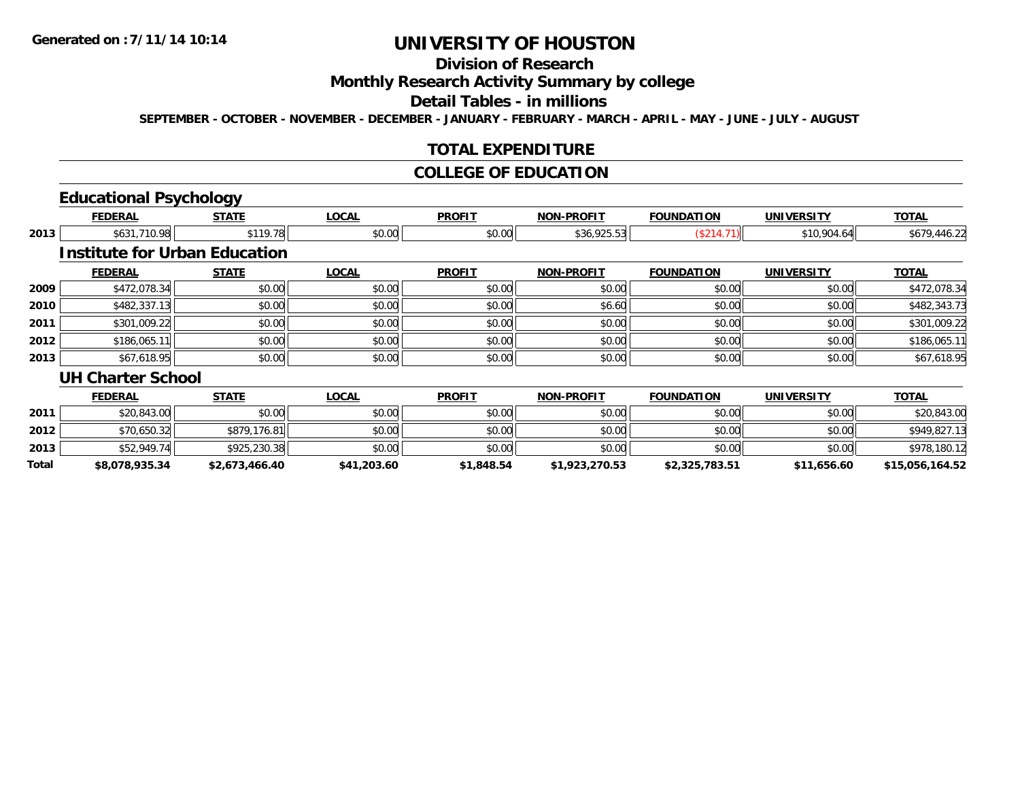### **Division of Research**

### **Monthly Research Activity Summary by college**

#### **Detail Tables - in millions**

**SEPTEMBER - OCTOBER - NOVEMBER - DECEMBER - JANUARY - FEBRUARY - MARCH - APRIL - MAY - JUNE - JULY - AUGUST**

#### **TOTAL EXPENDITURE**

#### **COLLEGE OF EDUCATION**

## **Educational Psychology**

|              | <b>FEDERAL</b>                       | <b>STATE</b>   | <b>LOCAL</b> | <b>PROFIT</b> | <b>NON-PROFIT</b> | <b>FOUNDATION</b> | <b>UNIVERSITY</b> | <b>TOTAL</b>    |
|--------------|--------------------------------------|----------------|--------------|---------------|-------------------|-------------------|-------------------|-----------------|
| 2013         | \$631,710.98                         | \$119.78       | \$0.00       | \$0.00        | \$36,925.53       | (S214.71)         | \$10,904.64       | \$679,446.22    |
|              | <b>Institute for Urban Education</b> |                |              |               |                   |                   |                   |                 |
|              | <b>FEDERAL</b>                       | <b>STATE</b>   | <b>LOCAL</b> | <b>PROFIT</b> | <b>NON-PROFIT</b> | <b>FOUNDATION</b> | <b>UNIVERSITY</b> | <b>TOTAL</b>    |
| 2009         | \$472,078.34                         | \$0.00         | \$0.00       | \$0.00        | \$0.00            | \$0.00            | \$0.00            | \$472,078.34    |
| 2010         | \$482,337.13                         | \$0.00         | \$0.00       | \$0.00        | \$6.60            | \$0.00            | \$0.00            | \$482,343.73    |
| 2011         | \$301,009.22                         | \$0.00         | \$0.00       | \$0.00        | \$0.00            | \$0.00            | \$0.00            | \$301,009.22    |
| 2012         | \$186,065.11                         | \$0.00         | \$0.00       | \$0.00        | \$0.00            | \$0.00            | \$0.00            | \$186,065.11    |
| 2013         | \$67,618.95                          | \$0.00         | \$0.00       | \$0.00        | \$0.00            | \$0.00            | \$0.00            | \$67,618.95     |
|              | <b>UH Charter School</b>             |                |              |               |                   |                   |                   |                 |
|              | <b>FEDERAL</b>                       | <b>STATE</b>   | <b>LOCAL</b> | <b>PROFIT</b> | <b>NON-PROFIT</b> | <b>FOUNDATION</b> | <b>UNIVERSITY</b> | <b>TOTAL</b>    |
| 2011         | \$20,843.00                          | \$0.00         | \$0.00       | \$0.00        | \$0.00            | \$0.00            | \$0.00            | \$20,843.00     |
| 2012         | \$70,650.32                          | \$879,176.81   | \$0.00       | \$0.00        | \$0.00            | \$0.00            | \$0.00            | \$949,827.13    |
| 2013         | \$52,949.74                          | \$925,230.38   | \$0.00       | \$0.00        | \$0.00            | \$0.00            | \$0.00            | \$978,180.12    |
| <b>Total</b> | \$8,078,935.34                       | \$2.673.466.40 | \$41,203.60  | \$1.848.54    | \$1,923,270.53    | \$2.325.783.51    | \$11.656.60       | \$15.056.164.52 |

**\$8,078,935.34 \$2,673,466.40 \$41,203.60 \$1,848.54 \$1,923,270.53 \$2,325,783.51 \$11,656.60 \$15,056,164.52**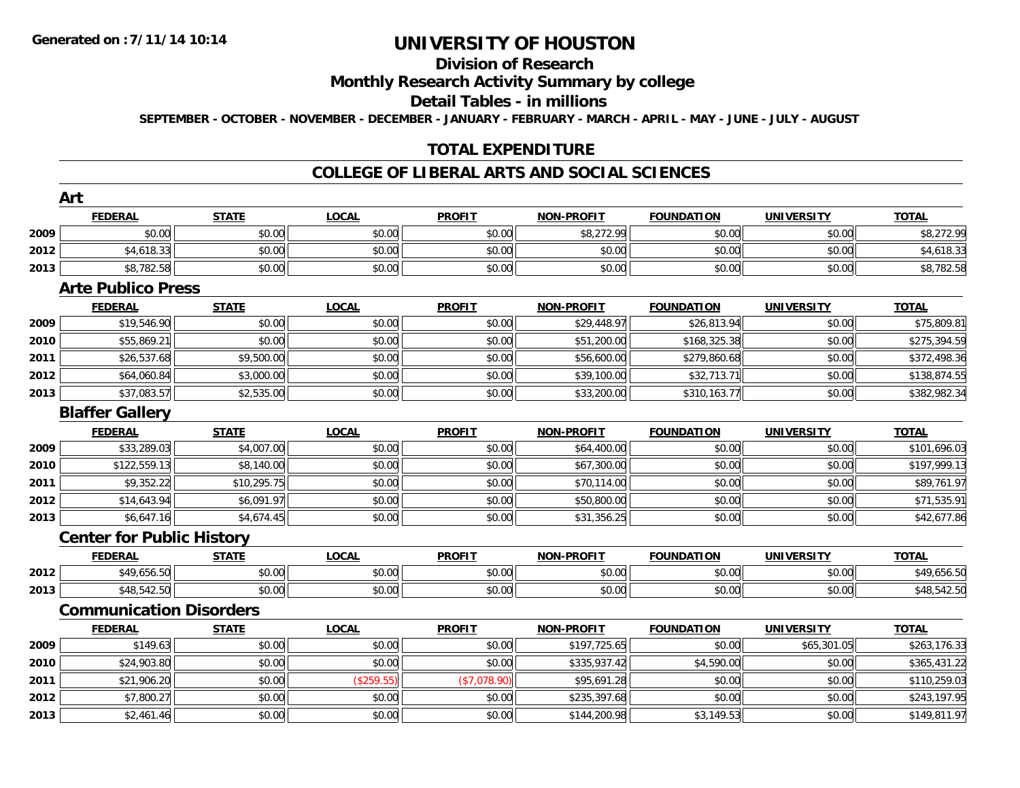# **Division of Research**

### **Monthly Research Activity Summary by college**

#### **Detail Tables - in millions**

**SEPTEMBER - OCTOBER - NOVEMBER - DECEMBER - JANUARY - FEBRUARY - MARCH - APRIL - MAY - JUNE - JULY - AUGUST**

### **TOTAL EXPENDITURE**

#### **COLLEGE OF LIBERAL ARTS AND SOCIAL SCIENCES**

|      | Art                              |              |              |               |                   |                   |                   |              |
|------|----------------------------------|--------------|--------------|---------------|-------------------|-------------------|-------------------|--------------|
|      | <b>FEDERAL</b>                   | <b>STATE</b> | <b>LOCAL</b> | <b>PROFIT</b> | <b>NON-PROFIT</b> | <b>FOUNDATION</b> | <b>UNIVERSITY</b> | <b>TOTAL</b> |
| 2009 | \$0.00                           | \$0.00       | \$0.00       | \$0.00        | \$8,272.99        | \$0.00            | \$0.00            | \$8,272.99   |
| 2012 | \$4,618.33                       | \$0.00       | \$0.00       | \$0.00        | \$0.00            | \$0.00            | \$0.00            | \$4,618.33   |
| 2013 | \$8,782.58                       | \$0.00       | \$0.00       | \$0.00        | \$0.00            | \$0.00            | \$0.00            | \$8,782.58   |
|      | <b>Arte Publico Press</b>        |              |              |               |                   |                   |                   |              |
|      | <b>FEDERAL</b>                   | <b>STATE</b> | <b>LOCAL</b> | <b>PROFIT</b> | <b>NON-PROFIT</b> | <b>FOUNDATION</b> | <b>UNIVERSITY</b> | <b>TOTAL</b> |
| 2009 | \$19,546.90                      | \$0.00       | \$0.00       | \$0.00        | \$29,448.97       | \$26,813.94       | \$0.00            | \$75,809.81  |
| 2010 | \$55,869.21                      | \$0.00       | \$0.00       | \$0.00        | \$51,200.00       | \$168,325.38      | \$0.00            | \$275,394.59 |
| 2011 | \$26,537.68                      | \$9,500.00   | \$0.00       | \$0.00        | \$56,600.00       | \$279,860.68      | \$0.00            | \$372,498.36 |
| 2012 | \$64,060.84                      | \$3,000.00   | \$0.00       | \$0.00        | \$39,100.00       | \$32,713.71       | \$0.00            | \$138,874.55 |
| 2013 | \$37,083.57                      | \$2,535.00   | \$0.00       | \$0.00        | \$33,200.00       | \$310,163.77      | \$0.00            | \$382,982.34 |
|      | <b>Blaffer Gallery</b>           |              |              |               |                   |                   |                   |              |
|      | <b>FEDERAL</b>                   | <b>STATE</b> | <b>LOCAL</b> | <b>PROFIT</b> | <b>NON-PROFIT</b> | <b>FOUNDATION</b> | <b>UNIVERSITY</b> | <b>TOTAL</b> |
| 2009 | \$33,289.03                      | \$4,007.00   | \$0.00       | \$0.00        | \$64,400.00       | \$0.00            | \$0.00            | \$101,696.03 |
| 2010 | \$122,559.13                     | \$8,140.00   | \$0.00       | \$0.00        | \$67,300.00       | \$0.00            | \$0.00            | \$197,999.13 |
| 2011 | \$9,352.22                       | \$10,295.75  | \$0.00       | \$0.00        | \$70,114.00       | \$0.00            | \$0.00            | \$89,761.97  |
| 2012 | \$14,643.94                      | \$6,091.97   | \$0.00       | \$0.00        | \$50,800.00       | \$0.00            | \$0.00            | \$71,535.91  |
| 2013 | \$6,647.16                       | \$4,674.45   | \$0.00       | \$0.00        | \$31,356.25       | \$0.00            | \$0.00            | \$42,677.86  |
|      | <b>Center for Public History</b> |              |              |               |                   |                   |                   |              |
|      | <b>FEDERAL</b>                   | <b>STATE</b> | <b>LOCAL</b> | <b>PROFIT</b> | <b>NON-PROFIT</b> | <b>FOUNDATION</b> | <b>UNIVERSITY</b> | <b>TOTAL</b> |
| 2012 | \$49,656.50                      | \$0.00       | \$0.00       | \$0.00        | \$0.00            | \$0.00            | \$0.00            | \$49,656.50  |
| 2013 | \$48,542.50                      | \$0.00       | \$0.00       | \$0.00        | \$0.00            | \$0.00            | \$0.00            | \$48,542.50  |
|      | <b>Communication Disorders</b>   |              |              |               |                   |                   |                   |              |
|      | <b>FEDERAL</b>                   | <b>STATE</b> | <b>LOCAL</b> | <b>PROFIT</b> | <b>NON-PROFIT</b> | <b>FOUNDATION</b> | <b>UNIVERSITY</b> | <b>TOTAL</b> |
| 2009 | \$149.63                         | \$0.00       | \$0.00       | \$0.00        | \$197,725.65      | \$0.00            | \$65,301.05       | \$263,176.33 |
| 2010 | \$24,903.80                      | \$0.00       | \$0.00       | \$0.00        | \$335,937.42      | \$4,590.00        | \$0.00            | \$365,431.22 |
| 2011 | \$21,906.20                      | \$0.00       | (\$259.55)   | (\$7,078.90)  | \$95,691.28       | \$0.00            | \$0.00            | \$110,259.03 |
| 2012 | \$7,800.27                       | \$0.00       | \$0.00       | \$0.00        | \$235,397.68      | \$0.00            | \$0.00            | \$243,197.95 |
| 2013 | \$2,461.46                       | \$0.00       | \$0.00       | \$0.00        | \$144,200.98      | \$3,149.53        | \$0.00            | \$149,811.97 |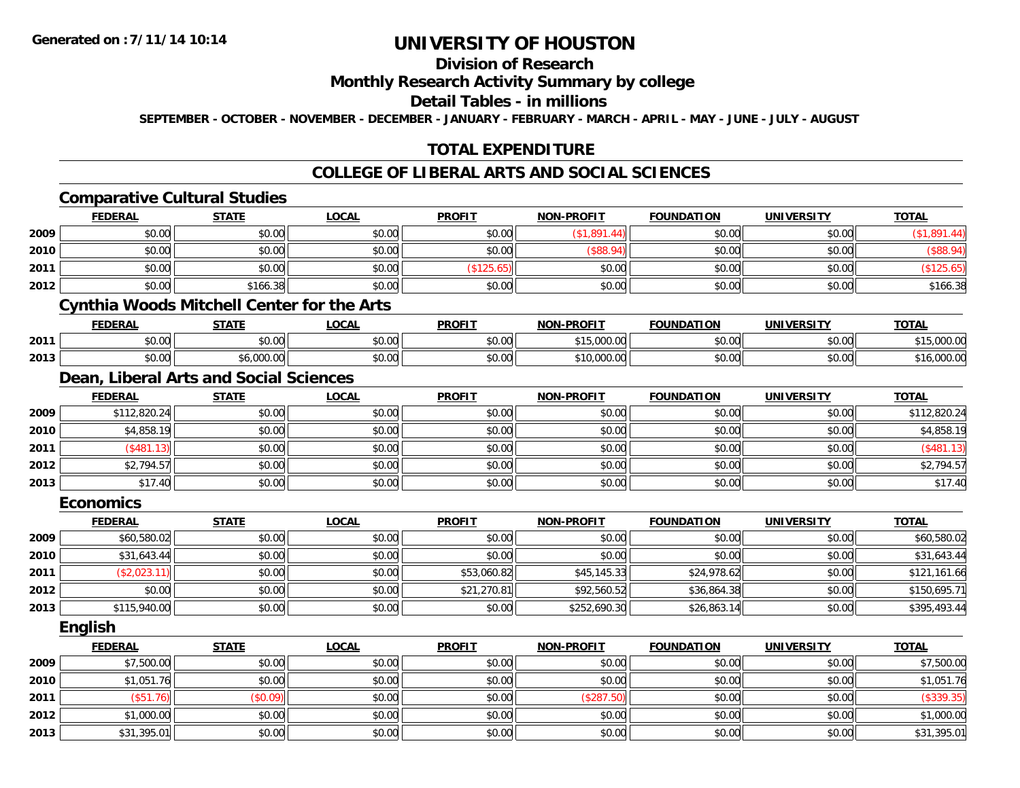## **Division of Research**

#### **Monthly Research Activity Summary by college**

#### **Detail Tables - in millions**

**SEPTEMBER - OCTOBER - NOVEMBER - DECEMBER - JANUARY - FEBRUARY - MARCH - APRIL - MAY - JUNE - JULY - AUGUST**

### **TOTAL EXPENDITURE**

#### **COLLEGE OF LIBERAL ARTS AND SOCIAL SCIENCES**

|      |                  | <b>Comparative Cultural Studies</b>               |              |               |                   |                   |                   |              |
|------|------------------|---------------------------------------------------|--------------|---------------|-------------------|-------------------|-------------------|--------------|
|      | <b>FEDERAL</b>   | <b>STATE</b>                                      | <b>LOCAL</b> | <b>PROFIT</b> | <b>NON-PROFIT</b> | <b>FOUNDATION</b> | <b>UNIVERSITY</b> | <b>TOTAL</b> |
| 2009 | \$0.00           | \$0.00                                            | \$0.00       | \$0.00        | (\$1,891.44)      | \$0.00            | \$0.00            | (\$1,891.44) |
| 2010 | \$0.00           | \$0.00                                            | \$0.00       | \$0.00        | (\$88.94)         | \$0.00            | \$0.00            | (\$88.94)    |
| 2011 | \$0.00           | \$0.00                                            | \$0.00       | (\$125.65)    | \$0.00            | \$0.00            | \$0.00            | (\$125.65)   |
| 2012 | \$0.00           | \$166.38                                          | \$0.00       | \$0.00        | \$0.00            | \$0.00            | \$0.00            | \$166.38     |
|      |                  | <b>Cynthia Woods Mitchell Center for the Arts</b> |              |               |                   |                   |                   |              |
|      | <b>FEDERAL</b>   | <b>STATE</b>                                      | <b>LOCAL</b> | <b>PROFIT</b> | <b>NON-PROFIT</b> | <b>FOUNDATION</b> | <b>UNIVERSITY</b> | <b>TOTAL</b> |
| 2011 | \$0.00           | \$0.00                                            | \$0.00       | \$0.00        | \$15,000.00       | \$0.00            | \$0.00            | \$15,000.00  |
| 2013 | \$0.00           | \$6,000.00                                        | \$0.00       | \$0.00        | \$10,000.00       | \$0.00            | \$0.00            | \$16,000.00  |
|      |                  | Dean, Liberal Arts and Social Sciences            |              |               |                   |                   |                   |              |
|      | <b>FEDERAL</b>   | <b>STATE</b>                                      | <b>LOCAL</b> | <b>PROFIT</b> | <b>NON-PROFIT</b> | <b>FOUNDATION</b> | <b>UNIVERSITY</b> | <b>TOTAL</b> |
| 2009 | \$112,820.24     | \$0.00                                            | \$0.00       | \$0.00        | \$0.00            | \$0.00            | \$0.00            | \$112,820.24 |
| 2010 | \$4,858.19       | \$0.00                                            | \$0.00       | \$0.00        | \$0.00            | \$0.00            | \$0.00            | \$4,858.19   |
| 2011 | (\$481.13)       | \$0.00                                            | \$0.00       | \$0.00        | \$0.00            | \$0.00            | \$0.00            | (\$481.13)   |
| 2012 | \$2,794.57       | \$0.00                                            | \$0.00       | \$0.00        | \$0.00            | \$0.00            | \$0.00            | \$2,794.57   |
| 2013 | \$17.40          | \$0.00                                            | \$0.00       | \$0.00        | \$0.00            | \$0.00            | \$0.00            | \$17.40      |
|      | <b>Economics</b> |                                                   |              |               |                   |                   |                   |              |
|      | <b>FEDERAL</b>   | <b>STATE</b>                                      | <b>LOCAL</b> | <b>PROFIT</b> | <b>NON-PROFIT</b> | <b>FOUNDATION</b> | <b>UNIVERSITY</b> | <b>TOTAL</b> |
| 2009 | \$60,580.02      | \$0.00                                            | \$0.00       | \$0.00        | \$0.00            | \$0.00            | \$0.00            | \$60,580.02  |
| 2010 | \$31,643.44      | \$0.00                                            | \$0.00       | \$0.00        | \$0.00            | \$0.00            | \$0.00            | \$31,643.44  |
| 2011 | (\$2,023.11)     | \$0.00                                            | \$0.00       | \$53,060.82   | \$45,145.33       | \$24,978.62       | \$0.00            | \$121,161.66 |
| 2012 | \$0.00           | \$0.00                                            | \$0.00       | \$21,270.81   | \$92,560.52       | \$36,864.38       | \$0.00            | \$150,695.71 |
| 2013 | \$115,940.00     | \$0.00                                            | \$0.00       | \$0.00        | \$252,690.30      | \$26,863.14       | \$0.00            | \$395,493.44 |
|      | English          |                                                   |              |               |                   |                   |                   |              |
|      | <b>FEDERAL</b>   | <b>STATE</b>                                      | <b>LOCAL</b> | <b>PROFIT</b> | <b>NON-PROFIT</b> | <b>FOUNDATION</b> | <b>UNIVERSITY</b> | <b>TOTAL</b> |
| 2009 | \$7,500.00       | \$0.00                                            | \$0.00       | \$0.00        | \$0.00            | \$0.00            | \$0.00            | \$7,500.00   |
| 2010 | \$1,051.76       | \$0.00                                            | \$0.00       | \$0.00        | \$0.00            | \$0.00            | \$0.00            | \$1,051.76   |
| 2011 | (\$51.76)        | (\$0.09)                                          | \$0.00       | \$0.00        | (\$287.50)        | \$0.00            | \$0.00            | (\$339.35)   |
| 2012 | \$1,000.00       | \$0.00                                            | \$0.00       | \$0.00        | \$0.00            | \$0.00            | \$0.00            | \$1,000.00   |
| 2013 | \$31,395.01      | \$0.00                                            | \$0.00       | \$0.00        | \$0.00            | \$0.00            | \$0.00            | \$31,395.01  |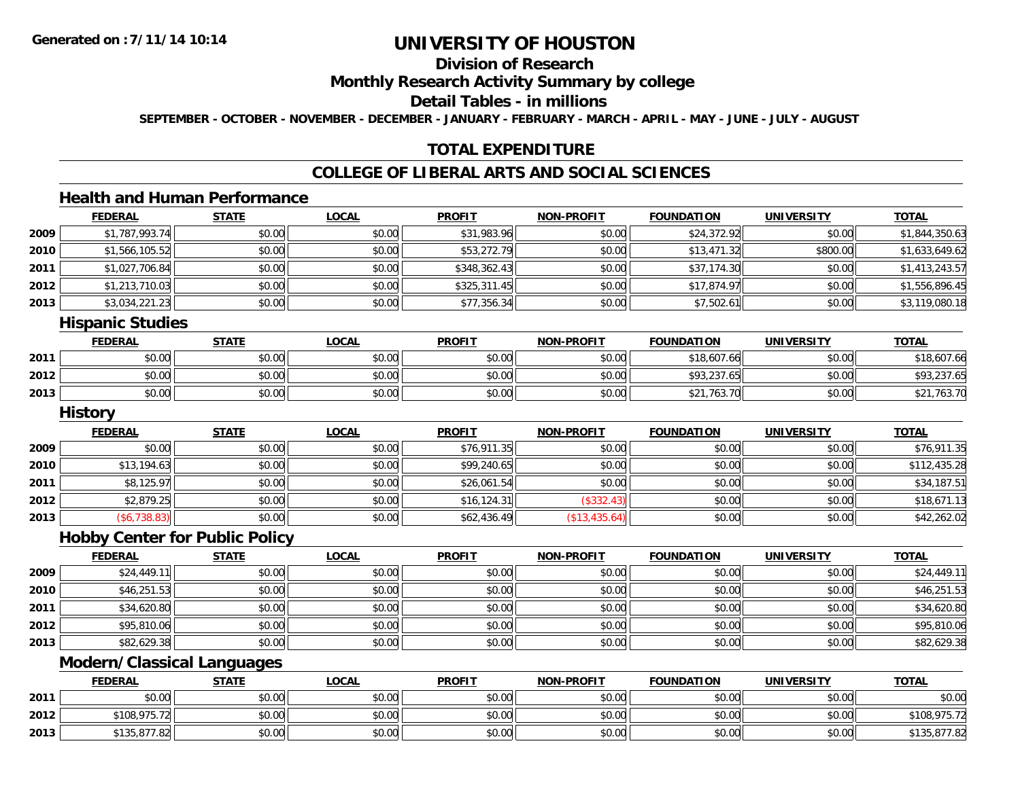## **Division of Research**

#### **Monthly Research Activity Summary by college**

#### **Detail Tables - in millions**

**SEPTEMBER - OCTOBER - NOVEMBER - DECEMBER - JANUARY - FEBRUARY - MARCH - APRIL - MAY - JUNE - JULY - AUGUST**

### **TOTAL EXPENDITURE**

### **COLLEGE OF LIBERAL ARTS AND SOCIAL SCIENCES**

### **Health and Human Performance**

|        | <b>FEDERAL</b> | <b>STATE</b> | <b>LOCAL</b> | <b>PROFIT</b> | <b>NON-PROFIT</b> | <b>FOUNDATION</b> | <b>UNIVERSITY</b> | <b>TOTAL</b>   |
|--------|----------------|--------------|--------------|---------------|-------------------|-------------------|-------------------|----------------|
| 2009   | \$1,787,993.74 | \$0.00       | \$0.00       | \$31,983.96   | \$0.00            | \$24,372.92       | \$0.00            | \$1,844,350.63 |
| ا 2010 | \$1,566,105.52 | \$0.00       | \$0.00       | \$53,272.79   | \$0.00            | \$13,471.32       | \$800.00          | \$1,633,649.62 |
| 2011   | \$1,027,706.84 | \$0.00       | \$0.00       | \$348,362.43  | \$0.00            | \$37,174.30       | \$0.00            | \$1,413,243.57 |
| 2012   | \$1,213,710.03 | \$0.00       | \$0.00       | \$325,311.45  | \$0.00            | \$17,874.97       | \$0.00            | \$1,556,896.45 |
| 2013   | \$3,034,221.23 | \$0.00       | \$0.00       | \$77,356.34   | \$0.00            | \$7,502.61        | \$0.00            | \$3,119,080.18 |
|        |                |              |              |               |                   |                   |                   |                |

#### **Hispanic Studies**

|      | <b>FEDERAL</b> | <b>STATE</b> | <u>LOCAL</u> | <b>PROFIT</b> | <b>NON-PROFIT</b> | <b>FOUNDATION</b> | UNIVERSITY | <b>TOTAL</b> |
|------|----------------|--------------|--------------|---------------|-------------------|-------------------|------------|--------------|
| 2011 | \$0.00         | \$0.00       | \$0.00       | \$0.00        | \$0.00            | \$18,607.66       | \$0.00     | \$18,607.66  |
| 2012 | \$0.00         | \$0.00       | \$0.00       | \$0.00        | \$0.00            | \$93,237.65       | \$0.00     | \$93,237.65  |
| 2013 | \$0.00         | \$0.00       | \$0.00       | \$0.00        | \$0.00            | .763.70           | \$0.00     | 763.70       |

#### **History**

|      | <b>FEDERAL</b> | <u>STATE</u> | <b>LOCAL</b> | <b>PROFIT</b> | <b>NON-PROFIT</b> | <b>FOUNDATION</b> | <b>UNIVERSITY</b> | <b>TOTAL</b> |
|------|----------------|--------------|--------------|---------------|-------------------|-------------------|-------------------|--------------|
| 2009 | \$0.00         | \$0.00       | \$0.00       | \$76,911.35   | \$0.00            | \$0.00            | \$0.00            | \$76,911.35  |
| 2010 | \$13,194.63    | \$0.00       | \$0.00       | \$99,240.65   | \$0.00            | \$0.00            | \$0.00            | \$112,435.28 |
| 2011 | \$8,125.97     | \$0.00       | \$0.00       | \$26,061.54   | \$0.00            | \$0.00            | \$0.00            | \$34,187.51  |
| 2012 | \$2,879.25     | \$0.00       | \$0.00       | \$16, 124.31  | (\$332.43)        | \$0.00            | \$0.00            | \$18,671.13  |
| 2013 | (\$6,738.83)   | \$0.00       | \$0.00       | \$62,436.49   | (\$13,435.64)     | \$0.00            | \$0.00            | \$42,262.02  |

#### **Hobby Center for Public Policy**

|      | <b>FEDERAL</b> | <b>STATE</b> | <b>LOCAL</b> | <b>PROFIT</b> | NON-PROFIT | <b>FOUNDATION</b> | <b>UNIVERSITY</b> | <b>TOTAL</b> |
|------|----------------|--------------|--------------|---------------|------------|-------------------|-------------------|--------------|
| 2009 | \$24,449.11    | \$0.00       | \$0.00       | \$0.00        | \$0.00     | \$0.00            | \$0.00            | \$24,449.11  |
| 2010 | \$46,251.53    | \$0.00       | \$0.00       | \$0.00        | \$0.00     | \$0.00            | \$0.00            | \$46,251.53  |
| 2011 | \$34,620.80    | \$0.00       | \$0.00       | \$0.00        | \$0.00     | \$0.00            | \$0.00            | \$34,620.80  |
| 2012 | \$95,810.06    | \$0.00       | \$0.00       | \$0.00        | \$0.00     | \$0.00            | \$0.00            | \$95,810.06  |
| 2013 | \$82,629.38    | \$0.00       | \$0.00       | \$0.00        | \$0.00     | \$0.00            | \$0.00            | \$82,629.38  |

### **Modern/Classical Languages**

|      | <b>FEDERAL</b>                                           | <b>STATE</b> | <b>LOCAL</b> | <b>PROFIT</b> | <b>NON-PROFIT</b> | <b>FOUNDATION</b> | UNIVERSITY | <b>TOTAL</b>          |
|------|----------------------------------------------------------|--------------|--------------|---------------|-------------------|-------------------|------------|-----------------------|
| 2011 | \$0.00                                                   | \$0.00       | \$0.00       | \$0.00        | \$0.00            | \$0.00            | \$0.00     | \$0.00                |
| 2012 | \$108,975.72<br>15.12                                    | \$0.00       | \$0.00       | \$0.00        | \$0.00            | \$0.00            | \$0.00     | \$108,975.72          |
| 2013 | $-07700$<br>$\bullet \bullet \bullet$<br>135.871<br>1.82 | \$0.00       | \$0.00       | \$0.00        | \$0.00            | \$0.00            | \$0.00     | רמ דדם<br>35.877.84 ا |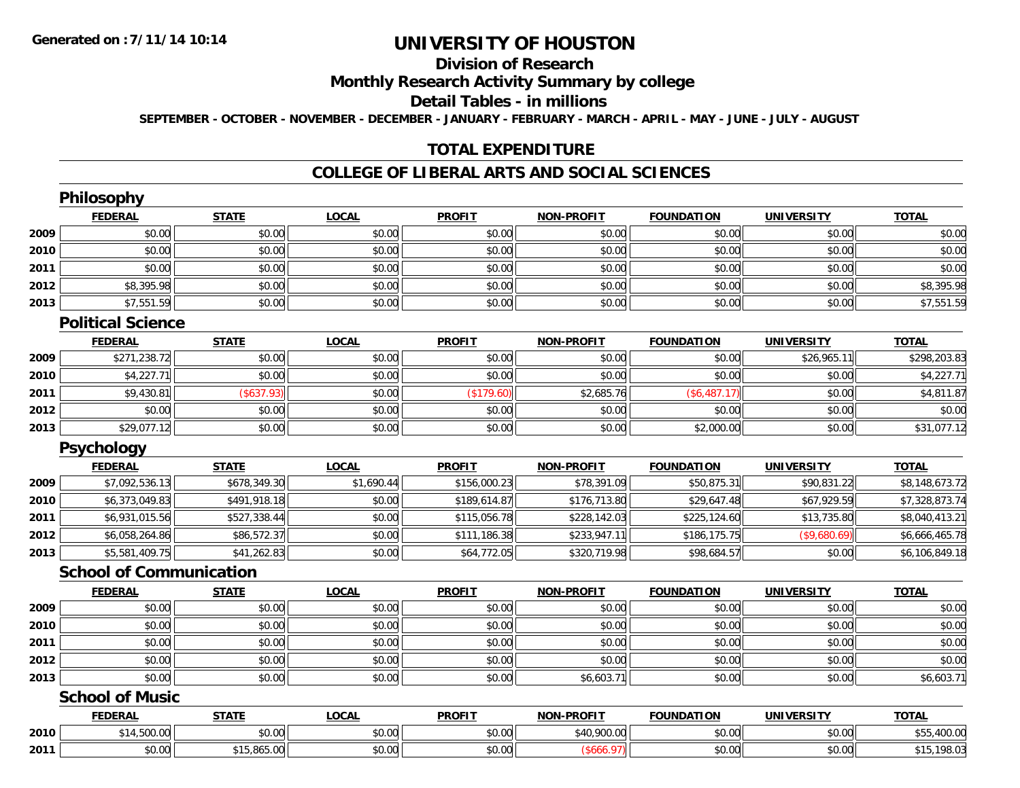## **Division of Research**

### **Monthly Research Activity Summary by college**

#### **Detail Tables - in millions**

**SEPTEMBER - OCTOBER - NOVEMBER - DECEMBER - JANUARY - FEBRUARY - MARCH - APRIL - MAY - JUNE - JULY - AUGUST**

### **TOTAL EXPENDITURE**

#### **COLLEGE OF LIBERAL ARTS AND SOCIAL SCIENCES**

|      | <b>Philosophy</b>              |              |              |               |                   |                   |                   |                |
|------|--------------------------------|--------------|--------------|---------------|-------------------|-------------------|-------------------|----------------|
|      | <b>FEDERAL</b>                 | <b>STATE</b> | <b>LOCAL</b> | <b>PROFIT</b> | <b>NON-PROFIT</b> | <b>FOUNDATION</b> | <b>UNIVERSITY</b> | <b>TOTAL</b>   |
| 2009 | \$0.00                         | \$0.00       | \$0.00       | \$0.00        | \$0.00            | \$0.00            | \$0.00            | \$0.00         |
| 2010 | \$0.00                         | \$0.00       | \$0.00       | \$0.00        | \$0.00            | \$0.00            | \$0.00            | \$0.00         |
| 2011 | \$0.00                         | \$0.00       | \$0.00       | \$0.00        | \$0.00            | \$0.00            | \$0.00            | \$0.00         |
| 2012 | \$8,395.98                     | \$0.00       | \$0.00       | \$0.00        | \$0.00            | \$0.00            | \$0.00            | \$8,395.98     |
| 2013 | \$7,551.59                     | \$0.00       | \$0.00       | \$0.00        | \$0.00            | \$0.00            | \$0.00            | \$7,551.59     |
|      | <b>Political Science</b>       |              |              |               |                   |                   |                   |                |
|      | <b>FEDERAL</b>                 | <b>STATE</b> | <b>LOCAL</b> | <b>PROFIT</b> | <b>NON-PROFIT</b> | <b>FOUNDATION</b> | <b>UNIVERSITY</b> | <b>TOTAL</b>   |
| 2009 | \$271,238.72                   | \$0.00       | \$0.00       | \$0.00        | \$0.00            | \$0.00            | \$26,965.11       | \$298,203.83   |
| 2010 | \$4,227.71                     | \$0.00       | \$0.00       | \$0.00        | \$0.00            | \$0.00            | \$0.00            | \$4,227.71     |
| 2011 | \$9,430.81                     | (\$637.93)   | \$0.00       | (\$179.60)    | \$2,685.76        | (\$6,487.17)      | \$0.00            | \$4,811.87     |
| 2012 | \$0.00                         | \$0.00       | \$0.00       | \$0.00        | \$0.00            | \$0.00            | \$0.00            | \$0.00         |
| 2013 | \$29,077.12                    | \$0.00       | \$0.00       | \$0.00        | \$0.00            | \$2,000.00        | \$0.00            | \$31,077.12    |
|      | Psychology                     |              |              |               |                   |                   |                   |                |
|      | <b>FEDERAL</b>                 | <b>STATE</b> | <b>LOCAL</b> | <b>PROFIT</b> | <b>NON-PROFIT</b> | <b>FOUNDATION</b> | <b>UNIVERSITY</b> | <b>TOTAL</b>   |
| 2009 | \$7,092,536.13                 | \$678,349.30 | \$1,690.44   | \$156,000.23  | \$78,391.09       | \$50,875.31       | \$90,831.22       | \$8,148,673.72 |
| 2010 | \$6,373,049.83                 | \$491,918.18 | \$0.00       | \$189,614.87  | \$176,713.80      | \$29,647.48       | \$67,929.59       | \$7,328,873.74 |
| 2011 | \$6,931,015.56                 | \$527,338.44 | \$0.00       | \$115,056.78  | \$228,142.03      | \$225,124.60      | \$13,735.80       | \$8,040,413.21 |
| 2012 | \$6,058,264.86                 | \$86,572.37  | \$0.00       | \$111,186.38  | \$233,947.11      | \$186,175.75      | (\$9,680.69)      | \$6,666,465.78 |
| 2013 | \$5,581,409.75                 | \$41,262.83  | \$0.00       | \$64,772.05   | \$320,719.98      | \$98,684.57       | \$0.00            | \$6,106,849.18 |
|      | <b>School of Communication</b> |              |              |               |                   |                   |                   |                |
|      | <b>FEDERAL</b>                 | <b>STATE</b> | <b>LOCAL</b> | <b>PROFIT</b> | <b>NON-PROFIT</b> | <b>FOUNDATION</b> | <b>UNIVERSITY</b> | <b>TOTAL</b>   |
| 2009 | \$0.00                         | \$0.00       | \$0.00       | \$0.00        | \$0.00            | \$0.00            | \$0.00            | \$0.00         |
| 2010 | \$0.00                         | \$0.00       | \$0.00       | \$0.00        | \$0.00            | \$0.00            | \$0.00            | \$0.00         |
| 2011 | \$0.00                         | \$0.00       | \$0.00       | \$0.00        | \$0.00            | \$0.00            | \$0.00            | \$0.00         |
| 2012 | \$0.00                         | \$0.00       | \$0.00       | \$0.00        | \$0.00            | \$0.00            | \$0.00            | \$0.00         |
| 2013 | \$0.00                         | \$0.00       | \$0.00       | \$0.00        | \$6,603.71        | \$0.00            | \$0.00            | \$6,603.71     |
|      | <b>School of Music</b>         |              |              |               |                   |                   |                   |                |
|      | <b>FEDERAL</b>                 | <b>STATE</b> | <b>LOCAL</b> | <b>PROFIT</b> | <b>NON-PROFIT</b> | <b>FOUNDATION</b> | <b>UNIVERSITY</b> | <b>TOTAL</b>   |
| 2010 | \$14,500.00                    | \$0.00       | \$0.00       | \$0.00        | \$40,900.00       | \$0.00            | \$0.00            | \$55,400.00    |
| 2011 | \$0.00                         | \$15,865.00  | \$0.00       | \$0.00        | $($ \$666.97)     | \$0.00            | \$0.00            | \$15,198.03    |

 $\texttt{[1]} \quad \texttt{[1]} \quad \texttt{[1]} \quad \texttt{[1]} \quad \texttt{[1]} \quad \texttt{[1]} \quad \texttt{[1]} \quad \texttt{[1]} \quad \texttt{[1]} \quad \texttt{[1]} \quad \texttt{[1]} \quad \texttt{[1]} \quad \texttt{[1]} \quad \texttt{[1]} \quad \texttt{[1]} \quad \texttt{[1]} \quad \texttt{[1]} \quad \texttt{[1]} \quad \texttt{[1]} \quad \texttt{[1]} \quad \texttt{[1]} \quad \texttt{[1]} \quad \texttt{[1]} \quad \texttt{[1]} \quad \texttt{$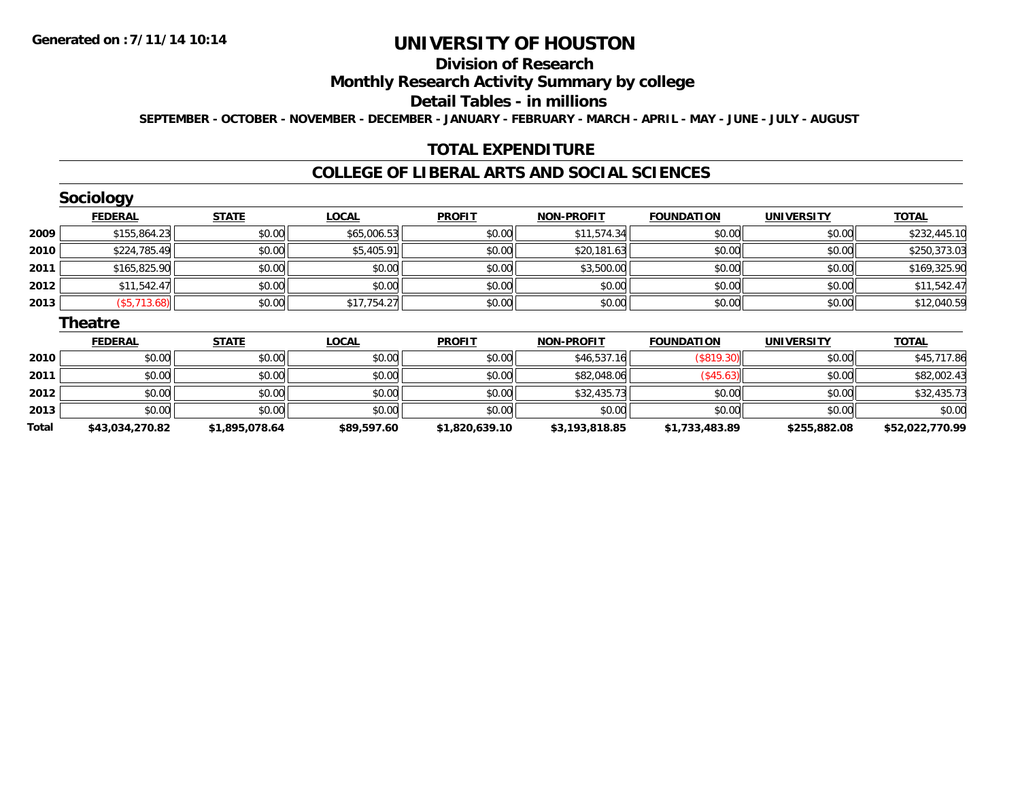**2012**

**2013**

**Total**

# **UNIVERSITY OF HOUSTON**

### **Division of Research**

#### **Monthly Research Activity Summary by college**

#### **Detail Tables - in millions**

**SEPTEMBER - OCTOBER - NOVEMBER - DECEMBER - JANUARY - FEBRUARY - MARCH - APRIL - MAY - JUNE - JULY - AUGUST**

### **TOTAL EXPENDITURE**

#### **COLLEGE OF LIBERAL ARTS AND SOCIAL SCIENCES**

|      | <b>Sociology</b> |              |              |               |                   |                   |                   |              |
|------|------------------|--------------|--------------|---------------|-------------------|-------------------|-------------------|--------------|
|      | <b>FEDERAL</b>   | <b>STATE</b> | <b>LOCAL</b> | <b>PROFIT</b> | <b>NON-PROFIT</b> | <b>FOUNDATION</b> | <b>UNIVERSITY</b> | <b>TOTAL</b> |
| 2009 | \$155,864.23     | \$0.00       | \$65,006.53  | \$0.00        | \$11,574.34       | \$0.00            | \$0.00            | \$232,445.10 |
| 2010 | \$224,785.49     | \$0.00       | \$5,405.91   | \$0.00        | \$20,181.63       | \$0.00            | \$0.00            | \$250,373.03 |
| 2011 | \$165,825.90     | \$0.00       | \$0.00       | \$0.00        | \$3,500.00        | \$0.00            | \$0.00            | \$169,325.90 |
| 2012 | \$11,542.47      | \$0.00       | \$0.00       | \$0.00        | \$0.00            | \$0.00            | \$0.00            | \$11,542.47  |
| 2013 | (\$5,713.68)     | \$0.00       | \$17,754.27  | \$0.00        | \$0.00            | \$0.00            | \$0.00            | \$12,040.59  |
|      | <b>Theatre</b>   |              |              |               |                   |                   |                   |              |
|      | <b>FEDERAL</b>   | <b>STATE</b> | <b>LOCAL</b> | <b>PROFIT</b> | <b>NON-PROFIT</b> | <b>FOUNDATION</b> | <b>UNIVERSITY</b> | <b>TOTAL</b> |
| 2010 | \$0.00           | \$0.00       | \$0.00       | \$0.00        | \$46,537.16       | (\$819.30)        | \$0.00            | \$45,717.86  |
| 2011 | \$0.00           | \$0.00       | \$0.00       | \$0.00        | \$82,048.06       | $($ \$45.63) $ $  | \$0.00            | \$82,002.43  |

 $\bm{2} \parallel 30.00 \parallel 40.00 \parallel 50.00 \parallel 50.00 \parallel 50.00 \parallel 50.00 \parallel 50.00 \parallel 50.00 \parallel 50.00 \parallel 50.00 \parallel 50.00 \parallel 50.00 \parallel 50.00 \parallel 50.00 \parallel 50.00 \parallel 50.00 \parallel 50.00 \parallel 50.00 \parallel 50.00 \parallel 50.00 \parallel 50.00 \parallel 50.00 \parallel 50.00 \parallel 50.00 \parallel 50.00 \parallel 50.00 \parallel 50.0$ 

\$0.00 \$0.00 \$0.00 \$0.00 \$0.00 \$0.00 \$0.00 \$0.00

**\$43,034,270.82 \$1,895,078.64 \$89,597.60 \$1,820,639.10 \$3,193,818.85 \$1,733,483.89 \$255,882.08 \$52,022,770.99**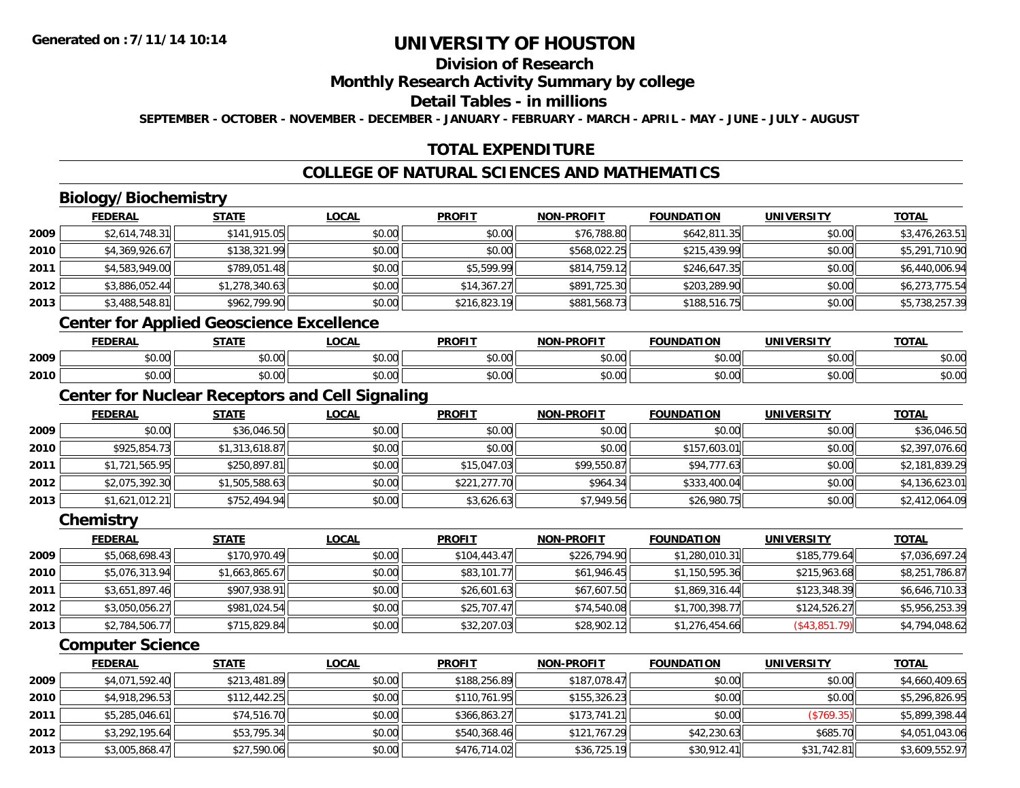## **Division of Research**

#### **Monthly Research Activity Summary by college**

#### **Detail Tables - in millions**

**SEPTEMBER - OCTOBER - NOVEMBER - DECEMBER - JANUARY - FEBRUARY - MARCH - APRIL - MAY - JUNE - JULY - AUGUST**

### **TOTAL EXPENDITURE**

### **COLLEGE OF NATURAL SCIENCES AND MATHEMATICS**

## **Biology/Biochemistry**

|        | <b>FEDERAL</b> | <b>STATE</b>   | <b>LOCAL</b> | <b>PROFIT</b> | <b>NON-PROFIT</b> | <b>FOUNDATION</b> | <b>UNIVERSITY</b> | <b>TOTAL</b>   |
|--------|----------------|----------------|--------------|---------------|-------------------|-------------------|-------------------|----------------|
| 2009   | \$2,614,748.31 | \$141,915.05   | \$0.00       | \$0.00        | \$76,788.80       | \$642,811.35      | \$0.00            | \$3,476,263.51 |
| ا 2010 | \$4,369,926.67 | \$138,321.99   | \$0.00       | \$0.00        | \$568,022.25      | \$215,439.99      | \$0.00            | \$5,291,710.90 |
| 2011   | \$4,583,949.00 | \$789,051.48   | \$0.00       | \$5,599.99    | \$814,759.12      | \$246,647.35      | \$0.00            | \$6,440,006.94 |
| 2012   | \$3,886,052.44 | \$1,278,340.63 | \$0.00       | \$14,367.27   | \$891,725.30      | \$203,289.90      | \$0.00            | \$6,273,775.54 |
| 2013   | \$3,488,548.81 | \$962,799.90   | \$0.00       | \$216,823.19  | \$881,568.73      | \$188,516.75      | \$0.00            | \$5,738,257.39 |
|        |                | .              |              |               |                   |                   |                   |                |

#### **Center for Applied Geoscience Excellence**

|      | EENEDAI<br>ERA  | <b>STATE</b>  | 00 <sub>n</sub><br>uum | <b>PROFIT</b> | <b>DDOCIT</b><br>81 A B | ີ∩UNDA ∟<br>.      | <b>INIE</b>            | <b>TOTA</b>            |
|------|-----------------|---------------|------------------------|---------------|-------------------------|--------------------|------------------------|------------------------|
| 2009 | $\sim$<br>₽U.UU | 0000<br>pu.uu | 40.00                  | 0000<br>vv.vv | 0000<br>JU.UUL          | $\sim$ 00<br>₽U.UU | $\sim$ $\sim$<br>vv.vv | $\sim$ $\sim$<br>ง∪.∪บ |
| 2010 | 0.00<br>DU. UU  | 0000<br>DU.UU | $\sim$ $\sim$<br>vu.vu | 0000<br>JU.UU | \$0.00                  | $\sim$<br>טט.טע    | $\sim$ $\sim$<br>vu.vu | $\sim$<br>ง∪.∪บ        |

### **Center for Nuclear Receptors and Cell Signaling**

|      | <b>FEDERAL</b> | <b>STATE</b>   | <b>LOCAL</b> | <b>PROFIT</b> | <b>NON-PROFIT</b> | <b>FOUNDATION</b> | <b>UNIVERSITY</b> | <b>TOTAL</b>   |
|------|----------------|----------------|--------------|---------------|-------------------|-------------------|-------------------|----------------|
| 2009 | \$0.00         | \$36,046.50    | \$0.00       | \$0.00        | \$0.00            | \$0.00            | \$0.00            | \$36,046.50    |
| 2010 | \$925,854.73   | \$1,313,618.87 | \$0.00       | \$0.00        | \$0.00            | \$157,603.01      | \$0.00            | \$2,397,076.60 |
| 2011 | \$1,721,565.95 | \$250,897.81   | \$0.00       | \$15,047.03   | \$99,550.87       | \$94,777.63       | \$0.00            | \$2,181,839.29 |
| 2012 | \$2,075,392.30 | \$1,505,588.63 | \$0.00       | \$221,277.70  | \$964.34          | \$333,400.04      | \$0.00            | \$4,136,623.01 |
| 2013 | \$1,621,012.21 | \$752,494.94   | \$0.00       | \$3,626.63    | \$7,949.56        | \$26,980.75       | \$0.00            | \$2,412,064.09 |

#### **Chemistry**

|      | <b>FEDERAL</b> | <u>STATE</u>   | <b>LOCAL</b> | <b>PROFIT</b> | <b>NON-PROFIT</b> | <b>FOUNDATION</b> | <b>UNIVERSITY</b> | <u>TOTAL</u>   |
|------|----------------|----------------|--------------|---------------|-------------------|-------------------|-------------------|----------------|
| 2009 | \$5,068,698.43 | \$170,970.49   | \$0.00       | \$104.443.47  | \$226,794.90      | \$1,280,010.31    | \$185,779.64      | \$7,036,697.24 |
| 2010 | \$5,076,313.94 | \$1,663,865.67 | \$0.00       | \$83,101.77   | \$61,946.45       | \$1,150,595.36    | \$215,963,68      | \$8,251,786.87 |
| 2011 | \$3,651,897.46 | \$907.938.91   | \$0.00       | \$26,601.63   | \$67,607.50       | \$1,869,316.44    | \$123,348,39      | \$6,646,710.33 |
| 2012 | \$3,050,056.27 | \$981,024.54   | \$0.00       | \$25,707.47   | \$74,540.08       | \$1,700,398.77    | \$124,526.27      | \$5,956,253.39 |
| 2013 | \$2,784,506.77 | \$715,829.84   | \$0.00       | \$32,207.03   | \$28,902.12       | \$1,276,454.66    | (S43,851.79)      | \$4,794,048.62 |

### **Computer Science**

|      | <b>FEDERAL</b> | <u>STATE</u> | <b>LOCAL</b> | <b>PROFIT</b> | <b>NON-PROFIT</b> | <b>FOUNDATION</b> | <b>UNIVERSITY</b> | <b>TOTAL</b>   |
|------|----------------|--------------|--------------|---------------|-------------------|-------------------|-------------------|----------------|
| 2009 | \$4,071,592.40 | \$213,481.89 | \$0.00       | \$188,256.89  | \$187,078.47      | \$0.00            | \$0.00            | \$4,660,409.65 |
| 2010 | \$4,918,296.53 | \$112,442.25 | \$0.00       | \$110,761.95  | \$155,326.23      | \$0.00            | \$0.00            | \$5,296,826.95 |
| 2011 | \$5,285,046.61 | \$74,516.70  | \$0.00       | \$366,863.27  | \$173,741.21      | \$0.00            | (S769.35)         | \$5,899,398.44 |
| 2012 | \$3,292,195.64 | \$53,795.34  | \$0.00       | \$540,368.46  | \$121,767.29      | \$42,230.63       | \$685.70          | \$4,051,043.06 |
| 2013 | \$3,005,868.47 | \$27,590.06  | \$0.00       | \$476,714.02  | \$36,725.19       | \$30,912.41       | \$31,742.81       | \$3,609,552.97 |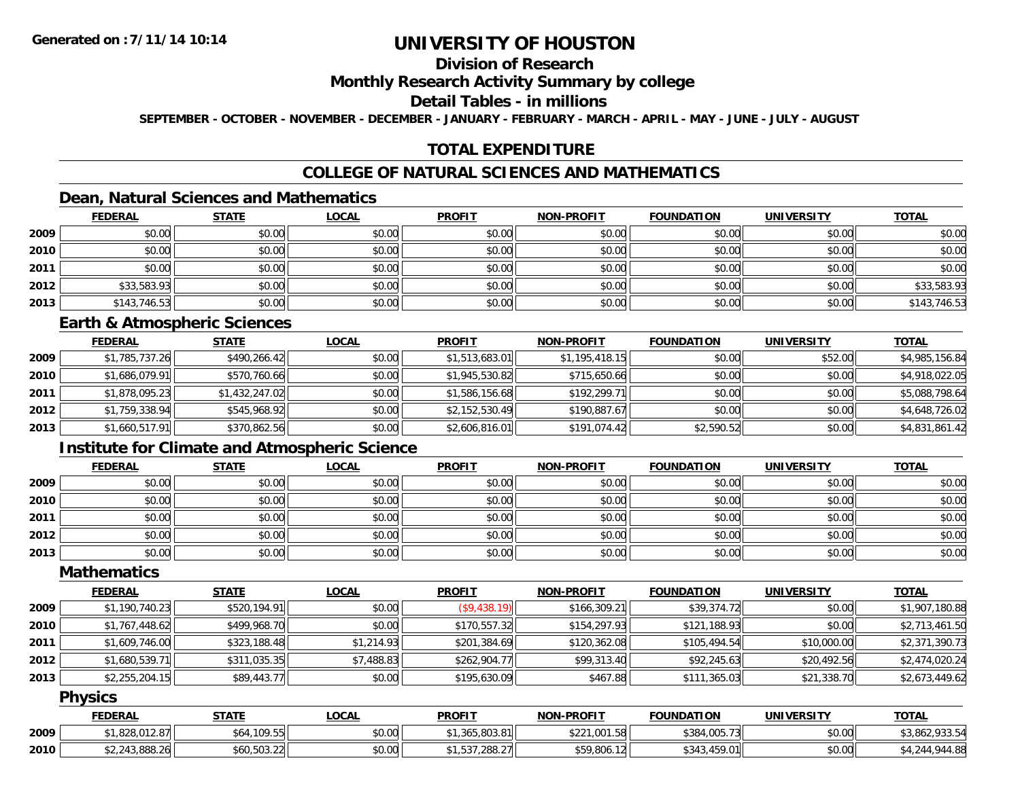## **Division of Research**

#### **Monthly Research Activity Summary by college**

#### **Detail Tables - in millions**

**SEPTEMBER - OCTOBER - NOVEMBER - DECEMBER - JANUARY - FEBRUARY - MARCH - APRIL - MAY - JUNE - JULY - AUGUST**

## **TOTAL EXPENDITURE**

## **COLLEGE OF NATURAL SCIENCES AND MATHEMATICS**

## **Dean, Natural Sciences and Mathematics**

|      | <b>FEDERAL</b> | <b>STATE</b> | <b>LOCAL</b> | <b>PROFIT</b> | NON-PROFIT | <b>FOUNDATION</b> | <b>UNIVERSITY</b> | <b>TOTAL</b> |
|------|----------------|--------------|--------------|---------------|------------|-------------------|-------------------|--------------|
| 2009 | \$0.00         | \$0.00       | \$0.00       | \$0.00        | \$0.00     | \$0.00            | \$0.00            | \$0.00       |
| 2010 | \$0.00         | \$0.00       | \$0.00       | \$0.00        | \$0.00     | \$0.00            | \$0.00            | \$0.00       |
| 2011 | \$0.00         | \$0.00       | \$0.00       | \$0.00        | \$0.00     | \$0.00            | \$0.00            | \$0.00       |
| 2012 | \$33,583.93    | \$0.00       | \$0.00       | \$0.00        | \$0.00     | \$0.00            | \$0.00            | \$33,583.93  |
| 2013 | \$143,746.53   | \$0.00       | \$0.00       | \$0.00        | \$0.00     | \$0.00            | \$0.00            | \$143,746.53 |

#### **Earth & Atmospheric Sciences**

|      | <b>FEDERAL</b> | <b>STATE</b>   | <b>LOCAL</b> | <b>PROFIT</b>  | <b>NON-PROFIT</b> | <b>FOUNDATION</b> | UNIVERSITY | <b>TOTAL</b>   |
|------|----------------|----------------|--------------|----------------|-------------------|-------------------|------------|----------------|
| 2009 | \$1,785,737.26 | \$490,266.42   | \$0.00       | \$1,513,683.01 | \$1,195,418.15    | \$0.00            | \$52.00    | \$4,985,156.84 |
| 2010 | \$1,686,079.91 | \$570,760.66   | \$0.00       | \$1,945,530.82 | \$715,650.66      | \$0.00            | \$0.00     | \$4,918,022.05 |
| 2011 | \$1,878,095.23 | \$1,432,247.02 | \$0.00       | \$1,586,156.68 | \$192,299.71      | \$0.00            | \$0.00     | \$5,088,798.64 |
| 2012 | \$1,759,338.94 | \$545,968.92   | \$0.00       | \$2,152,530.49 | \$190,887.67      | \$0.00            | \$0.00     | \$4,648,726.02 |
| 2013 | \$1,660,517.91 | \$370,862.56   | \$0.00       | \$2,606,816.01 | \$191,074.42      | \$2,590.52        | \$0.00     | \$4,831,861.42 |

## **Institute for Climate and Atmospheric Science**

|      | <b>FEDERAL</b> | <b>STATE</b> | <b>LOCAL</b> | <b>PROFIT</b> | <b>NON-PROFIT</b> | <b>FOUNDATION</b> | <b>UNIVERSITY</b> | <b>TOTAL</b> |
|------|----------------|--------------|--------------|---------------|-------------------|-------------------|-------------------|--------------|
| 2009 | \$0.00         | \$0.00       | \$0.00       | \$0.00        | \$0.00            | \$0.00            | \$0.00            | \$0.00       |
| 2010 | \$0.00         | \$0.00       | \$0.00       | \$0.00        | \$0.00            | \$0.00            | \$0.00            | \$0.00       |
| 2011 | \$0.00         | \$0.00       | \$0.00       | \$0.00        | \$0.00            | \$0.00            | \$0.00            | \$0.00       |
| 2012 | \$0.00         | \$0.00       | \$0.00       | \$0.00        | \$0.00            | \$0.00            | \$0.00            | \$0.00       |
| 2013 | \$0.00         | \$0.00       | \$0.00       | \$0.00        | \$0.00            | \$0.00            | \$0.00            | \$0.00       |

### **Mathematics**

|      | <b>FEDERAL</b> | <b>STATE</b> | <b>LOCAL</b> | <b>PROFIT</b> | <b>NON-PROFIT</b> | <b>FOUNDATION</b> | <b>UNIVERSITY</b> | <b>TOTAL</b>   |
|------|----------------|--------------|--------------|---------------|-------------------|-------------------|-------------------|----------------|
| 2009 | \$1,190,740.23 | \$520,194.91 | \$0.00       | (\$9,438.19)  | \$166,309.21      | \$39,374.72       | \$0.00            | \$1,907,180.88 |
| 2010 | \$1,767,448.62 | \$499,968.70 | \$0.00       | \$170,557.32  | \$154,297.93      | \$121,188.93      | \$0.00            | \$2,713,461.50 |
| 2011 | \$1,609,746.00 | \$323,188.48 | \$1,214.93   | \$201,384.69  | \$120,362.08      | \$105,494.54      | \$10,000.00       | \$2,371,390.73 |
| 2012 | \$1,680,539.71 | \$311,035.35 | \$7,488.83   | \$262,904.77  | \$99,313.40       | \$92,245.63       | \$20,492.56       | \$2,474,020.24 |
| 2013 | \$2,255,204.15 | \$89,443.77  | \$0.00       | \$195,630.09  | \$467.88          | \$111,365.03      | \$21,338.70       | \$2,673,449.62 |

### **Physics**

|      | <b>FEDERAL</b>            | <b>STATE</b> | LOCAL  | <b>PROFIT</b>                       | <b>NON-PROFIT</b> | <b>FOUNDATION</b> | <b>UNIVERSITY</b> | <b>TOTAL</b>   |
|------|---------------------------|--------------|--------|-------------------------------------|-------------------|-------------------|-------------------|----------------|
| 2009 | \$1,828,012.87            | \$64,109.55  | \$0.00 | $-1.365.803.81$                     | \$221,001.58      | \$384,005.73      | \$0.00            | \$3,862,933.54 |
| 2010 | 0.00000<br>\$2,243,888.20 | \$60,503.22  | \$0.00 | ודר ססר דר־<br>. .288. <i>z</i> / 1 | \$59,806.12       | 459.01<br>\$343   | \$0.00            | 944.88         |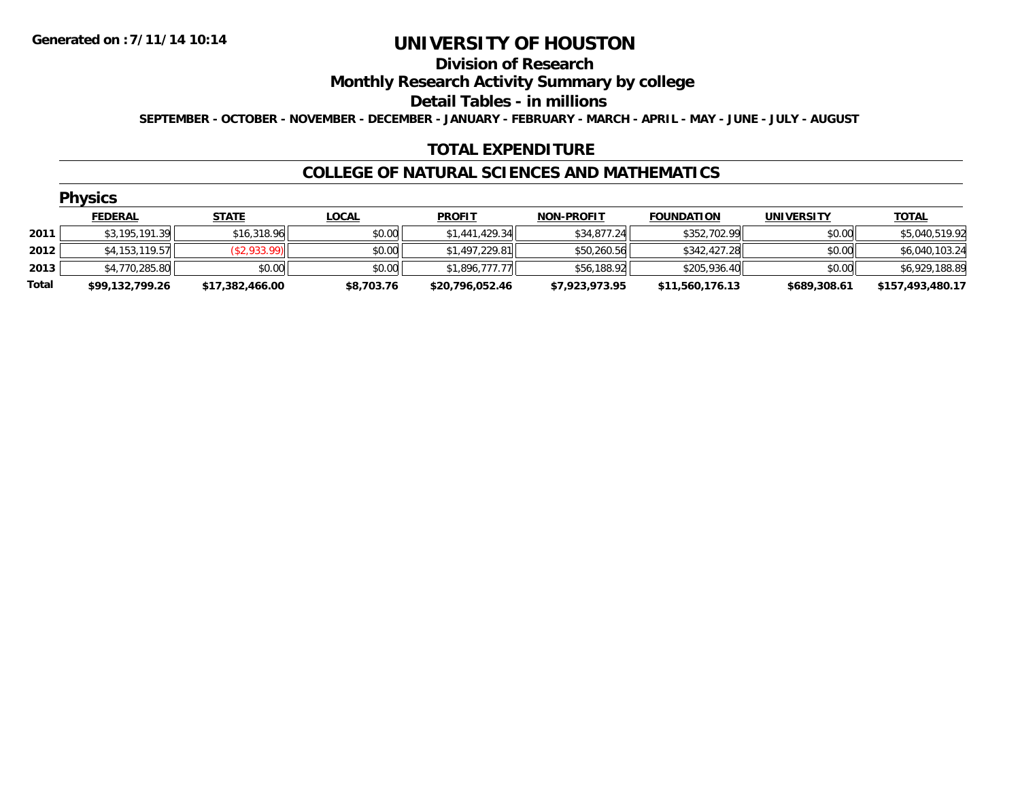#### **Division of Research**

**Monthly Research Activity Summary by college**

**Detail Tables - in millions**

**SEPTEMBER - OCTOBER - NOVEMBER - DECEMBER - JANUARY - FEBRUARY - MARCH - APRIL - MAY - JUNE - JULY - AUGUST**

### **TOTAL EXPENDITURE**

#### **COLLEGE OF NATURAL SCIENCES AND MATHEMATICS**

| V<br>. . | /S.<br>د.<br>r. |  |
|----------|-----------------|--|
|          |                 |  |

|       | ____            |                 |              |                 |                   |                   |                   |                  |
|-------|-----------------|-----------------|--------------|-----------------|-------------------|-------------------|-------------------|------------------|
|       | <b>FEDERAL</b>  | <u>STATE</u>    | <u>LOCAL</u> | <b>PROFIT</b>   | <b>NON-PROFIT</b> | <b>FOUNDATION</b> | <b>UNIVERSITY</b> | <u>TOTAL</u>     |
| 2011  | \$3,195,191.39  | \$16,318.96     | \$0.00       | \$1,441,429.34  | \$34,877.24       | \$352,702.99      | \$0.00            | \$5,040,519.92   |
| 2012  | \$4,153,119.57  | (\$2,933.99)    | \$0.00       | \$1,497,229.81  | \$50,260.56       | \$342,427.28      | \$0.00            | \$6,040,103.24   |
| 2013  | \$4,770,285.80  | \$0.00          | \$0.00       | \$1.896.777.77  | \$56,188.92       | \$205,936.40      | \$0.00            | \$6,929,188.89   |
| Total | \$99,132,799.26 | \$17,382,466.00 | \$8,703.76   | \$20,796,052.46 | \$7,923,973.95    | \$11,560,176.13   | \$689,308.61      | \$157,493,480.17 |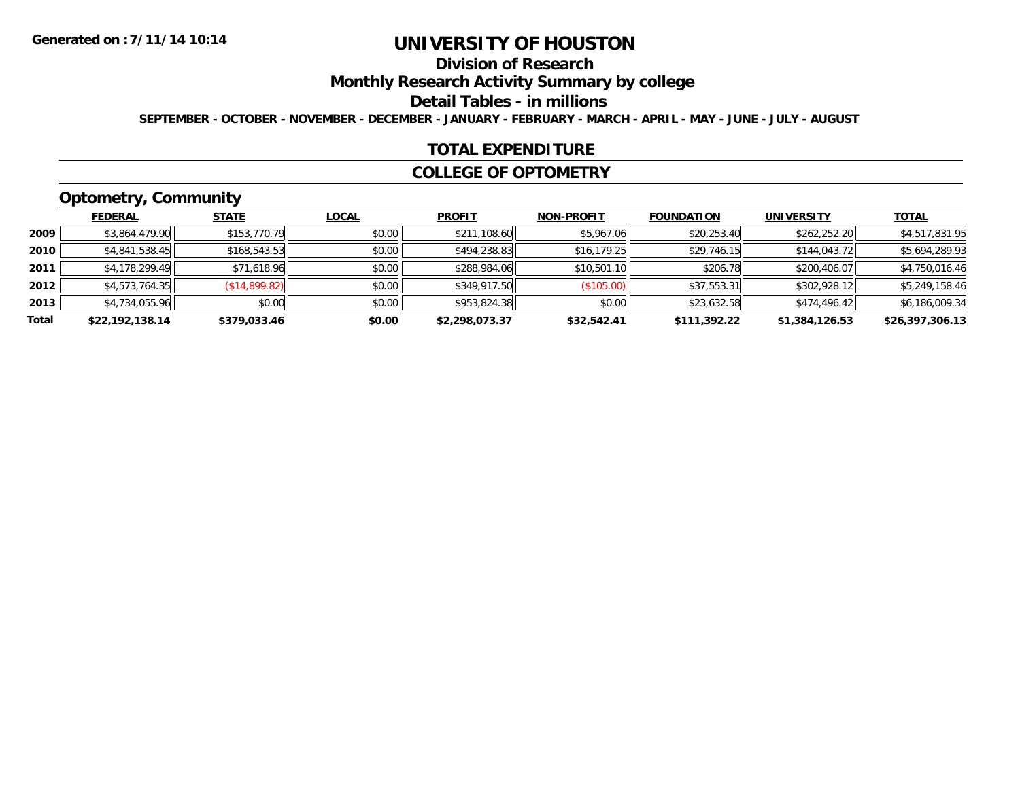## **Division of Research**

**Monthly Research Activity Summary by college**

**Detail Tables - in millions**

**SEPTEMBER - OCTOBER - NOVEMBER - DECEMBER - JANUARY - FEBRUARY - MARCH - APRIL - MAY - JUNE - JULY - AUGUST**

#### **TOTAL EXPENDITURE**

#### **COLLEGE OF OPTOMETRY**

## **Optometry, Community**

|       | .               |               |              |                |                   |                   |                   |                 |
|-------|-----------------|---------------|--------------|----------------|-------------------|-------------------|-------------------|-----------------|
|       | <b>FEDERAL</b>  | <b>STATE</b>  | <b>LOCAL</b> | <b>PROFIT</b>  | <b>NON-PROFIT</b> | <b>FOUNDATION</b> | <b>UNIVERSITY</b> | <u>TOTAL</u>    |
| 2009  | \$3,864,479.90  | \$153,770.79  | \$0.00       | \$211,108.60   | \$5,967.06        | \$20,253.40       | \$262,252.20      | \$4,517,831.95  |
| 2010  | \$4,841,538.45  | \$168,543.53  | \$0.00       | \$494,238.83   | \$16, 179.25      | \$29,746.15       | \$144,043.72      | \$5,694,289.93  |
| 2011  | \$4,178,299.49  | \$71,618.96   | \$0.00       | \$288,984.06   | \$10,501.10       | \$206.78          | \$200,406.07      | \$4,750,016.46  |
| 2012  | \$4,573,764.35  | (\$14,899.82) | \$0.00       | \$349,917.50   | (\$105.00)        | \$37,553.31       | \$302,928.12      | \$5,249,158.46  |
| 2013  | \$4,734,055.96  | \$0.00        | \$0.00       | \$953,824.38   | \$0.00            | \$23,632.58       | \$474,496.42      | \$6,186,009.34  |
| Total | \$22,192,138.14 | \$379,033.46  | \$0.00       | \$2,298,073.37 | \$32,542.41       | \$111,392.22      | \$1,384,126.53    | \$26,397,306.13 |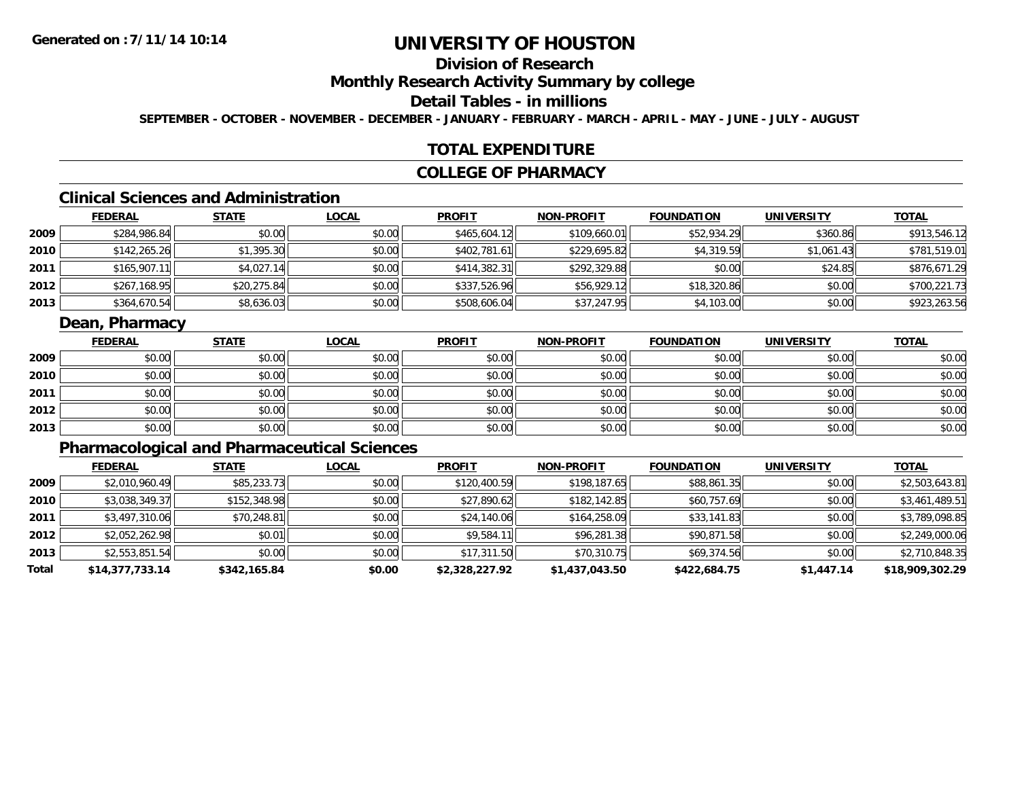## **Division of Research**

### **Monthly Research Activity Summary by college**

## **Detail Tables - in millions**

**SEPTEMBER - OCTOBER - NOVEMBER - DECEMBER - JANUARY - FEBRUARY - MARCH - APRIL - MAY - JUNE - JULY - AUGUST**

### **TOTAL EXPENDITURE**

#### **COLLEGE OF PHARMACY**

## **Clinical Sciences and Administration**

|      | <b>FEDERAL</b> | <u>STATE</u> | <b>LOCAL</b> | <b>PROFIT</b> | <b>NON-PROFIT</b> | <b>FOUNDATION</b> | <b>UNIVERSITY</b> | <b>TOTAL</b> |
|------|----------------|--------------|--------------|---------------|-------------------|-------------------|-------------------|--------------|
| 2009 | \$284,986.84   | \$0.00       | \$0.00       | \$465,604.12  | \$109,660.01      | \$52,934.29       | \$360.86          | \$913,546.12 |
| 2010 | \$142,265.26   | \$1,395.30   | \$0.00       | \$402,781.61  | \$229,695.82      | \$4,319.59        | \$1,061.43        | \$781,519.01 |
| 2011 | \$165,907.1    | \$4,027.14   | \$0.00       | \$414,382.31  | \$292,329.88      | \$0.00            | \$24.85           | \$876.671.29 |
| 2012 | \$267,168.95   | \$20,275.84  | \$0.00       | \$337,526.96  | \$56,929.12       | \$18,320.86       | \$0.00            | \$700,221.73 |
| 2013 | \$364,670.54   | \$8,636.03   | \$0.00       | \$508,606.04  | \$37,247.95       | \$4,103.00        | \$0.00            | \$923,263.56 |

### **Dean, Pharmacy**

|      | <u>FEDERAL</u> | <b>STATE</b> | <u>LOCAL</u> | <b>PROFIT</b> | <b>NON-PROFIT</b> | <b>FOUNDATION</b> | <b>UNIVERSITY</b> | <b>TOTAL</b> |
|------|----------------|--------------|--------------|---------------|-------------------|-------------------|-------------------|--------------|
| 2009 | \$0.00         | \$0.00       | \$0.00       | \$0.00        | \$0.00            | \$0.00            | \$0.00            | \$0.00       |
| 2010 | \$0.00         | \$0.00       | \$0.00       | \$0.00        | \$0.00            | \$0.00            | \$0.00            | \$0.00       |
| 2011 | \$0.00         | \$0.00       | \$0.00       | \$0.00        | \$0.00            | \$0.00            | \$0.00            | \$0.00       |
| 2012 | \$0.00         | \$0.00       | \$0.00       | \$0.00        | \$0.00            | \$0.00            | \$0.00            | \$0.00       |
| 2013 | \$0.00         | \$0.00       | \$0.00       | \$0.00        | \$0.00            | \$0.00            | \$0.00            | \$0.00       |

## **Pharmacological and Pharmaceutical Sciences**

|       | <b>FEDERAL</b>  | <b>STATE</b> | <b>LOCAL</b> | <b>PROFIT</b>  | <b>NON-PROFIT</b> | <b>FOUNDATION</b> | <b>UNIVERSITY</b> | <u>TOTAL</u>    |
|-------|-----------------|--------------|--------------|----------------|-------------------|-------------------|-------------------|-----------------|
| 2009  | \$2,010,960.49  | \$85,233.73  | \$0.00       | \$120,400.59   | \$198,187.65      | \$88,861.35       | \$0.00            | \$2,503,643.81  |
| 2010  | \$3,038,349.37  | \$152,348.98 | \$0.00       | \$27,890.62    | \$182,142.85      | \$60,757.69       | \$0.00            | \$3,461,489.51  |
| 2011  | \$3,497,310.06  | \$70,248.81  | \$0.00       | \$24,140.06    | \$164,258.09      | \$33,141.83       | \$0.00            | \$3,789,098.85  |
| 2012  | \$2,052,262.98  | \$0.01       | \$0.00       | \$9,584.11     | \$96,281.38       | \$90,871.58       | \$0.00            | \$2,249,000.06  |
| 2013  | \$2,553,851.54  | \$0.00       | \$0.00       | \$17,311.50    | \$70,310.75       | \$69,374.56       | \$0.00            | \$2,710,848.35  |
| Total | \$14,377,733.14 | \$342,165.84 | \$0.00       | \$2,328,227.92 | \$1,437,043.50    | \$422,684.75      | \$1,447.14        | \$18,909,302.29 |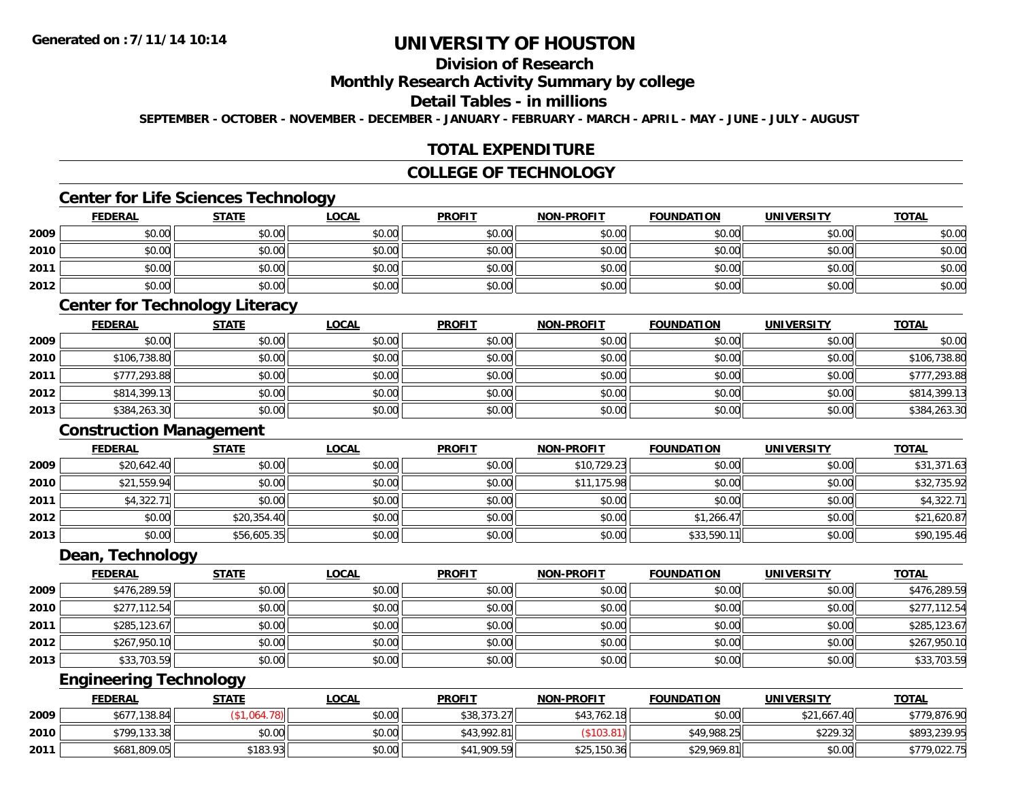## **Division of Research**

#### **Monthly Research Activity Summary by college**

#### **Detail Tables - in millions**

**SEPTEMBER - OCTOBER - NOVEMBER - DECEMBER - JANUARY - FEBRUARY - MARCH - APRIL - MAY - JUNE - JULY - AUGUST**

### **TOTAL EXPENDITURE**

### **COLLEGE OF TECHNOLOGY**

### **Center for Life Sciences Technology**

|      | <b>FEDERAL</b> | <b>STATE</b> | <u>LOCAL</u> | <b>PROFIT</b> | <b>NON-PROFIT</b> | <b>FOUNDATION</b> | <b>UNIVERSITY</b> | <b>TOTAL</b> |
|------|----------------|--------------|--------------|---------------|-------------------|-------------------|-------------------|--------------|
| 2009 | \$0.00         | \$0.00       | \$0.00       | \$0.00        | \$0.00            | \$0.00            | \$0.00            | \$0.00       |
| 2010 | \$0.00         | \$0.00       | \$0.00       | \$0.00        | \$0.00            | \$0.00            | \$0.00            | \$0.00       |
| 2011 | \$0.00         | \$0.00       | \$0.00       | \$0.00        | \$0.00            | \$0.00            | \$0.00            | \$0.00       |
| 2012 | \$0.00         | \$0.00       | \$0.00       | \$0.00        | \$0.00            | \$0.00            | \$0.00            | \$0.00       |

### **Center for Technology Literacy**

|      | <u>FEDERAL</u> | <b>STATE</b> | <b>LOCAL</b> | <b>PROFIT</b> | <b>NON-PROFIT</b> | <b>FOUNDATION</b> | <b>UNIVERSITY</b> | <b>TOTAL</b> |
|------|----------------|--------------|--------------|---------------|-------------------|-------------------|-------------------|--------------|
| 2009 | \$0.00         | \$0.00       | \$0.00       | \$0.00        | \$0.00            | \$0.00            | \$0.00            | \$0.00       |
| 2010 | \$106,738.80   | \$0.00       | \$0.00       | \$0.00        | \$0.00            | \$0.00            | \$0.00            | \$106,738.80 |
| 2011 | \$777,293.88   | \$0.00       | \$0.00       | \$0.00        | \$0.00            | \$0.00            | \$0.00            | \$777,293.88 |
| 2012 | \$814,399.13   | \$0.00       | \$0.00       | \$0.00        | \$0.00            | \$0.00            | \$0.00            | \$814,399.13 |
| 2013 | \$384,263.30   | \$0.00       | \$0.00       | \$0.00        | \$0.00            | \$0.00            | \$0.00            | \$384,263.30 |

#### **Construction Management**

|      | <b>FEDERAL</b> | <b>STATE</b> | <b>LOCAL</b> | <b>PROFIT</b> | <b>NON-PROFIT</b> | <b>FOUNDATION</b> | <b>UNIVERSITY</b> | <b>TOTAL</b> |
|------|----------------|--------------|--------------|---------------|-------------------|-------------------|-------------------|--------------|
| 2009 | \$20,642.40    | \$0.00       | \$0.00       | \$0.00        | \$10,729.23       | \$0.00            | \$0.00            | \$31,371.63  |
| 2010 | \$21,559.94    | \$0.00       | \$0.00       | \$0.00        | ,175.98<br>\$11   | \$0.00            | \$0.00            | \$32,735.92  |
| 2011 | \$4,322.71     | \$0.00       | \$0.00       | \$0.00        | \$0.00            | \$0.00            | \$0.00            | \$4,322.71   |
| 2012 | \$0.00         | \$20,354.40  | \$0.00       | \$0.00        | \$0.00            | \$1,266.47        | \$0.00            | \$21,620.87  |
| 2013 | \$0.00         | \$56,605.35  | \$0.00       | \$0.00        | \$0.00            | \$33,590.11       | \$0.00            | \$90,195.46  |

#### **Dean, Technology**

|      | <b>FEDERAL</b> | <b>STATE</b> | <b>LOCAL</b> | <b>PROFIT</b> | <b>NON-PROFIT</b> | <b>FOUNDATION</b> | <b>UNIVERSITY</b> | <b>TOTAL</b> |
|------|----------------|--------------|--------------|---------------|-------------------|-------------------|-------------------|--------------|
| 2009 | \$476,289.59   | \$0.00       | \$0.00       | \$0.00        | \$0.00            | \$0.00            | \$0.00            | \$476,289.59 |
| 2010 | \$277,112.54   | \$0.00       | \$0.00       | \$0.00        | \$0.00            | \$0.00            | \$0.00            | \$277,112.54 |
| 2011 | \$285,123.67   | \$0.00       | \$0.00       | \$0.00        | \$0.00            | \$0.00            | \$0.00            | \$285,123.67 |
| 2012 | \$267,950.10   | \$0.00       | \$0.00       | \$0.00        | \$0.00            | \$0.00            | \$0.00            | \$267,950.10 |
| 2013 | \$33,703.59    | \$0.00       | \$0.00       | \$0.00        | \$0.00            | \$0.00            | \$0.00            | \$33,703.59  |

## **Engineering Technology**

|      | <b>FEDERAL</b> | <u>STATE</u> | <u>LOCAL</u> | <b>PROFIT</b> | <b>NON-PROFIT</b> | <b>FOUNDATION</b> | <b>UNIVERSITY</b> | <b>TOTAL</b> |
|------|----------------|--------------|--------------|---------------|-------------------|-------------------|-------------------|--------------|
| 2009 | \$677,138.84   |              | \$0.00       | \$38,373.27   | \$43,762.18       | \$0.00            | \$21,667.40       | \$779,876.90 |
| 2010 | \$799,133.38   | \$0.00       | \$0.00       | \$43,992.81   | \$103.            | \$49,988.25       | \$229.32          | \$893,239.95 |
| 2011 | \$681,809.05   | \$183.93     | \$0.00       | \$41,909.59   | \$25,150.36       | \$29,969.81       | \$0.00            | \$779,022.75 |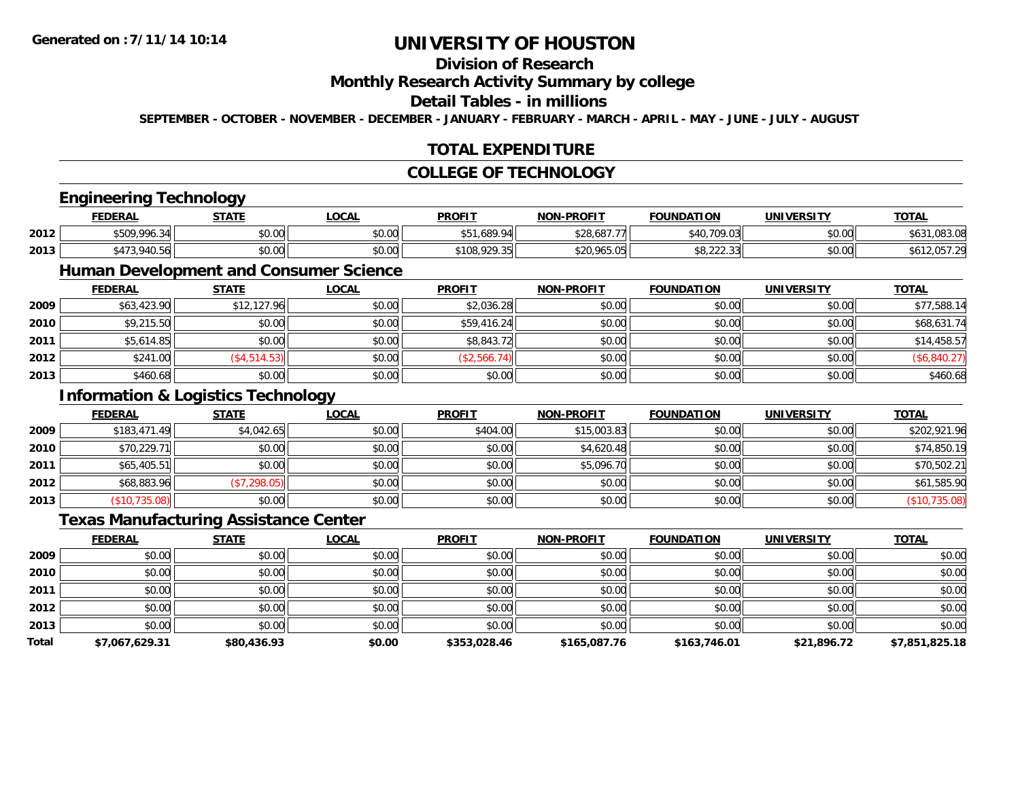## **Division of Research**

#### **Monthly Research Activity Summary by college**

#### **Detail Tables - in millions**

**SEPTEMBER - OCTOBER - NOVEMBER - DECEMBER - JANUARY - FEBRUARY - MARCH - APRIL - MAY - JUNE - JULY - AUGUST**

### **TOTAL EXPENDITURE**

### **COLLEGE OF TECHNOLOGY**

# **Engineering Technology**

|      | <b>FEDERAL</b>        | <b>STATE</b>   | <b>OCAL</b>          | <b>PROFIT</b> | -PROFIT<br>NON      | <b>FOUNDATION</b>          | <b>UNIVERSITY</b> | <b>TOTAL</b>            |
|------|-----------------------|----------------|----------------------|---------------|---------------------|----------------------------|-------------------|-------------------------|
| 2012 | \$509.996<br>$\Omega$ | ደስ ሰስ<br>JU.UU | 0.00<br>pu.uu        | .689.94       | \$28.687            | $0.10 - 700$               | 0000<br>\$U.UU    | $\sim$<br>70.J.VC<br>⊍ש |
| 2013 | A7<br>010<br>◡.◡◡     | 0000<br>JU.UU  | 0.00<br><b>DU.UU</b> | റാറാ<br>A     | 0.0001<br>DU.505.US | $\sim$<br>$v \cup LLL$ .JJ | \$0.00            |                         |

## **Human Development and Consumer Science**

|      | <b>FEDERAL</b> | <b>STATE</b> | <b>LOCAL</b> | <b>PROFIT</b> | NON-PROFIT | <b>FOUNDATION</b> | <b>UNIVERSITY</b> | <b>TOTAL</b> |
|------|----------------|--------------|--------------|---------------|------------|-------------------|-------------------|--------------|
| 2009 | \$63,423.90    | \$12,127.96  | \$0.00       | \$2,036.28    | \$0.00     | \$0.00            | \$0.00            | \$77,588.14  |
| 2010 | \$9,215.50     | \$0.00       | \$0.00       | \$59,416.24   | \$0.00     | \$0.00            | \$0.00            | \$68,631.74  |
| 2011 | \$5,614.85     | \$0.00       | \$0.00       | \$8,843.72    | \$0.00     | \$0.00            | \$0.00            | \$14,458.57  |
| 2012 | \$241.00       | (\$4,514.53) | \$0.00       | (\$2,566.74)  | \$0.00     | \$0.00            | \$0.00            | \$6,840.27)  |
| 2013 | \$460.68       | \$0.00       | \$0.00       | \$0.00        | \$0.00     | \$0.00            | \$0.00            | \$460.68     |

## **Information & Logistics Technology**

|      | <b>FEDERAL</b> | <b>STATE</b> | <u>LOCAL</u> | <b>PROFIT</b> | <b>NON-PROFIT</b> | <b>FOUNDATION</b> | <b>UNIVERSITY</b> | <b>TOTAL</b>  |
|------|----------------|--------------|--------------|---------------|-------------------|-------------------|-------------------|---------------|
| 2009 | \$183,471.49   | \$4,042.65   | \$0.00       | \$404.00      | \$15,003.83       | \$0.00            | \$0.00            | \$202,921.96  |
| 2010 | \$70,229.71    | \$0.00       | \$0.00       | \$0.00        | \$4,620.48        | \$0.00            | \$0.00            | \$74,850.19   |
| 2011 | \$65,405.51    | \$0.00       | \$0.00       | \$0.00        | \$5,096.70        | \$0.00            | \$0.00            | \$70,502.21   |
| 2012 | \$68,883.96    | (\$7,298.05) | \$0.00       | \$0.00        | \$0.00            | \$0.00            | \$0.00            | \$61,585.90   |
| 2013 | (\$10,735.08)  | \$0.00       | \$0.00       | \$0.00        | \$0.00            | \$0.00            | \$0.00            | (\$10,735.08) |

### **Texas Manufacturing Assistance Center**

|       | <b>FEDERAL</b> | <b>STATE</b> | <b>LOCAL</b> | <b>PROFIT</b> | <b>NON-PROFIT</b> | <b>FOUNDATION</b> | <b>UNIVERSITY</b> | <b>TOTAL</b>   |
|-------|----------------|--------------|--------------|---------------|-------------------|-------------------|-------------------|----------------|
| 2009  | \$0.00         | \$0.00       | \$0.00       | \$0.00        | \$0.00            | \$0.00            | \$0.00            | \$0.00         |
| 2010  | \$0.00         | \$0.00       | \$0.00       | \$0.00        | \$0.00            | \$0.00            | \$0.00            | \$0.00         |
| 2011  | \$0.00         | \$0.00       | \$0.00       | \$0.00        | \$0.00            | \$0.00            | \$0.00            | \$0.00         |
| 2012  | \$0.00         | \$0.00       | \$0.00       | \$0.00        | \$0.00            | \$0.00            | \$0.00            | \$0.00         |
| 2013  | \$0.00         | \$0.00       | \$0.00       | \$0.00        | \$0.00            | \$0.00            | \$0.00            | \$0.00         |
| Total | \$7,067,629.31 | \$80,436.93  | \$0.00       | \$353,028.46  | \$165,087.76      | \$163,746.01      | \$21,896.72       | \$7,851,825.18 |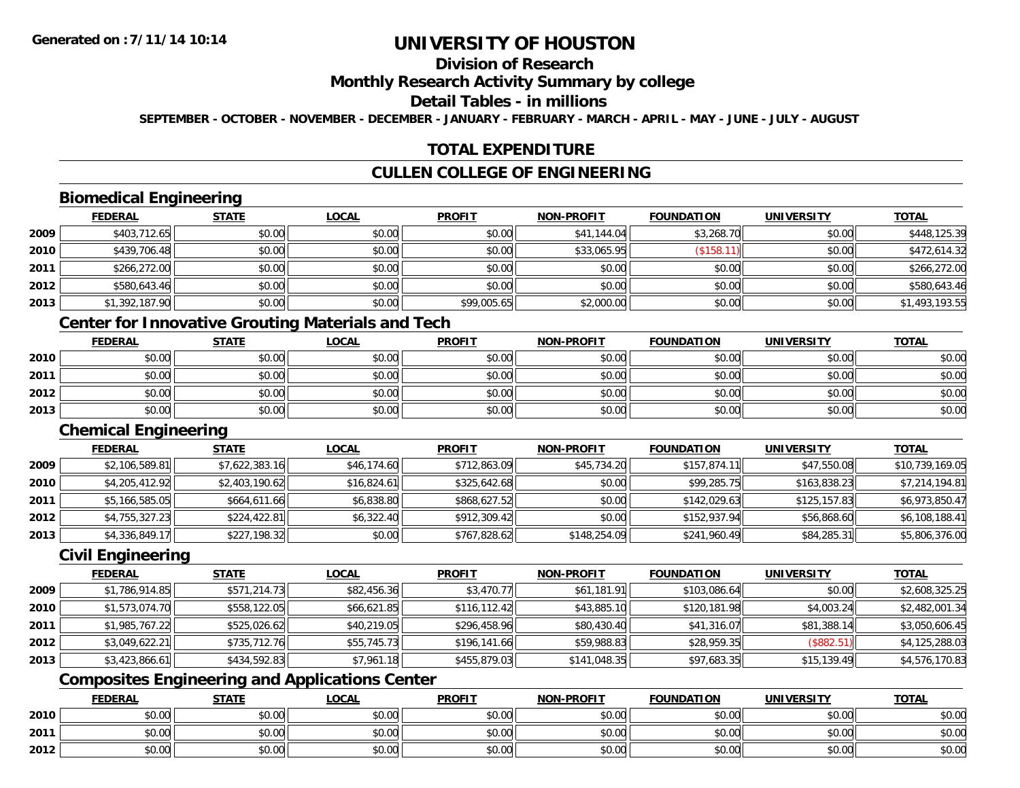## **Division of Research**

#### **Monthly Research Activity Summary by college**

#### **Detail Tables - in millions**

**SEPTEMBER - OCTOBER - NOVEMBER - DECEMBER - JANUARY - FEBRUARY - MARCH - APRIL - MAY - JUNE - JULY - AUGUST**

### **TOTAL EXPENDITURE**

### **CULLEN COLLEGE OF ENGINEERING**

### **Biomedical Engineering**

|      | <b>FEDERAL</b> | <b>STATE</b> | <u>LOCAL</u> | <b>PROFIT</b> | <b>NON-PROFIT</b> | <b>FOUNDATION</b> | <b>UNIVERSITY</b> | <b>TOTAL</b>   |
|------|----------------|--------------|--------------|---------------|-------------------|-------------------|-------------------|----------------|
| 2009 | \$403,712.65   | \$0.00       | \$0.00       | \$0.00        | \$41,144.04       | \$3,268.70        | \$0.00            | \$448,125.39   |
| 2010 | \$439,706.48   | \$0.00       | \$0.00       | \$0.00        | \$33,065.95       | (\$158.11         | \$0.00            | \$472,614.32   |
| 2011 | \$266,272.00   | \$0.00       | \$0.00       | \$0.00        | \$0.00            | \$0.00            | \$0.00            | \$266,272.00   |
| 2012 | \$580,643.46   | \$0.00       | \$0.00       | \$0.00        | \$0.00            | \$0.00            | \$0.00            | \$580,643.46   |
| 2013 | \$1,392,187.90 | \$0.00       | \$0.00       | \$99,005.65   | \$2,000.00        | \$0.00            | \$0.00            | \$1,493,193.55 |

### **Center for Innovative Grouting Materials and Tech**

|      | <u>FEDERAL</u> | <b>STATE</b> | <u>LOCAL</u> | <b>PROFIT</b> | <b>NON-PROFIT</b> | <b>FOUNDATION</b> | <b>UNIVERSITY</b> | <b>TOTAL</b> |
|------|----------------|--------------|--------------|---------------|-------------------|-------------------|-------------------|--------------|
| 2010 | \$0.00         | \$0.00       | \$0.00       | \$0.00        | \$0.00            | \$0.00            | \$0.00            | \$0.00       |
| 2011 | \$0.00         | \$0.00       | \$0.00       | \$0.00        | \$0.00            | \$0.00            | \$0.00            | \$0.00       |
| 2012 | \$0.00         | \$0.00       | \$0.00       | \$0.00        | \$0.00            | \$0.00            | \$0.00            | \$0.00       |
| 2013 | \$0.00         | \$0.00       | \$0.00       | \$0.00        | \$0.00            | \$0.00            | \$0.00            | \$0.00       |

#### **Chemical Engineering**

|      | <b>FEDERAL</b> | <b>STATE</b>   | <b>LOCAL</b> | <b>PROFIT</b> | <b>NON-PROFIT</b> | <b>FOUNDATION</b> | UNIVERSITY   | <b>TOTAL</b>    |
|------|----------------|----------------|--------------|---------------|-------------------|-------------------|--------------|-----------------|
| 2009 | \$2,106,589.81 | \$7,622,383.16 | \$46,174.60  | \$712,863.09  | \$45,734.20       | \$157,874.11      | \$47,550.08  | \$10,739,169.05 |
| 2010 | \$4,205,412.92 | \$2,403,190.62 | \$16,824.61  | \$325,642.68  | \$0.00            | \$99,285.75       | \$163,838.23 | \$7,214,194.81  |
| 2011 | \$5,166,585.05 | \$664,611.66   | \$6,838.80   | \$868,627.52  | \$0.00            | \$142,029.63      | \$125,157.83 | \$6,973,850.47  |
| 2012 | \$4,755,327.23 | \$224,422.81   | \$6,322.40   | \$912,309.42  | \$0.00            | \$152,937.94      | \$56,868.60  | \$6,108,188.41  |
| 2013 | \$4,336,849.17 | \$227,198.32   | \$0.00       | \$767,828.62  | \$148,254.09      | \$241,960.49      | \$84,285.31  | \$5,806,376.00  |

### **Civil Engineering**

|      | <b>FEDERAL</b> | <b>STATE</b> | <u>LOCAL</u> | <b>PROFIT</b> | <b>NON-PROFIT</b> | <b>FOUNDATION</b> | <b>UNIVERSITY</b> | <b>TOTAL</b>   |
|------|----------------|--------------|--------------|---------------|-------------------|-------------------|-------------------|----------------|
| 2009 | \$1,786,914.85 | \$571,214.73 | \$82,456.36  | \$3,470.77    | \$61,181.91       | \$103,086.64      | \$0.00            | \$2,608,325.25 |
| 2010 | \$1,573,074.70 | \$558,122.05 | \$66,621.85  | \$116.112.42  | \$43,885.10       | \$120,181.98      | \$4,003.24        | \$2,482,001.34 |
| 2011 | \$1,985,767.22 | \$525,026.62 | \$40.219.05  | \$296,458.96  | \$80,430.40       | \$41,316.07       | \$81,388.14       | \$3,050,606.45 |
| 2012 | \$3,049,622.21 | \$735,712.76 | \$55,745.73  | \$196,141.66  | \$59,988.83       | \$28,959.35       | (\$882.51)        | \$4,125,288.03 |
| 2013 | \$3,423,866.61 | \$434,592.83 | \$7,961.18   | \$455,879.03  | \$141,048.35      | \$97,683.35       | \$15,139.49       | \$4,576,170.83 |

## **Composites Engineering and Applications Center**

|      | <b>FEDERAL</b> | <b>STATE</b>   | <u>LOCAL</u> | <b>PROFIT</b> | <b>NON-PROFIT</b> | <b>FOUNDATION</b> | <b>UNIVERSITY</b> | <b>TOTAL</b> |
|------|----------------|----------------|--------------|---------------|-------------------|-------------------|-------------------|--------------|
| 2010 | \$0.00         | 40.00<br>JU.UU | \$0.00       | \$0.00        | \$0.00            | \$0.00            | \$0.00            | \$0.00       |
| 2011 | \$0.00         | \$0.00         | \$0.00       | \$0.00        | \$0.00            | \$0.00            | \$0.00            | \$0.00       |
| 2012 | \$0.00         | 40.00<br>DU.UU | \$0.00       | \$0.00        | \$0.00            | \$0.00            | \$0.00            | \$0.00       |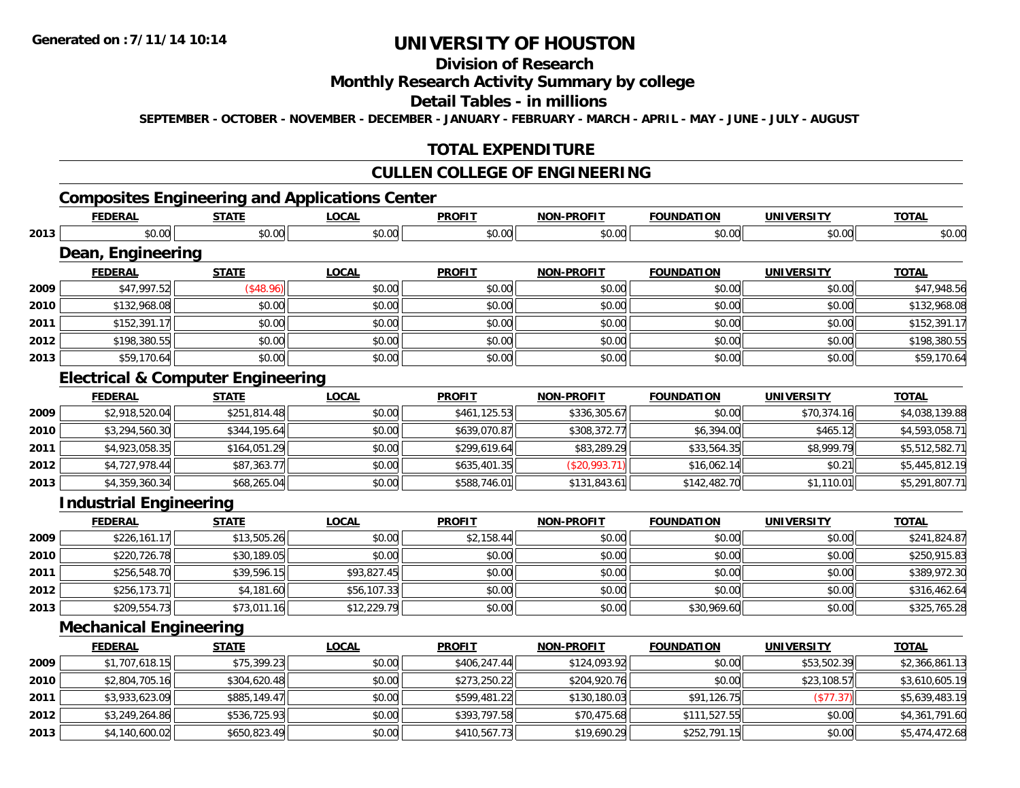**2013**

# **UNIVERSITY OF HOUSTON**

## **Division of Research**

### **Monthly Research Activity Summary by college**

#### **Detail Tables - in millions**

**SEPTEMBER - OCTOBER - NOVEMBER - DECEMBER - JANUARY - FEBRUARY - MARCH - APRIL - MAY - JUNE - JULY - AUGUST**

### **TOTAL EXPENDITURE**

### **CULLEN COLLEGE OF ENGINEERING**

## **Composites Engineering and Applications Center**

|      | <b>FEDERAL</b>                               | <b>STATE</b> | <b>LOCAL</b> | <b>PROFIT</b> | <b>NON-PROFIT</b> | <b>FOUNDATION</b> | <b>UNIVERSITY</b> | <b>TOTAL</b>   |
|------|----------------------------------------------|--------------|--------------|---------------|-------------------|-------------------|-------------------|----------------|
| 2013 | \$0.00                                       | \$0.00       | \$0.00       | \$0.00        | \$0.00            | \$0.00            | \$0.00            | \$0.00         |
|      | Dean, Engineering                            |              |              |               |                   |                   |                   |                |
|      | <b>FEDERAL</b>                               | <b>STATE</b> | <b>LOCAL</b> | <b>PROFIT</b> | <b>NON-PROFIT</b> | <b>FOUNDATION</b> | <b>UNIVERSITY</b> | <b>TOTAL</b>   |
| 2009 | \$47,997.52                                  | (\$48.96)    | \$0.00       | \$0.00        | \$0.00            | \$0.00            | \$0.00            | \$47,948.56    |
| 2010 | \$132,968.08                                 | \$0.00       | \$0.00       | \$0.00        | \$0.00            | \$0.00            | \$0.00            | \$132,968.08   |
| 2011 | \$152,391.17                                 | \$0.00       | \$0.00       | \$0.00        | \$0.00            | \$0.00            | \$0.00            | \$152,391.17   |
| 2012 | \$198,380.55                                 | \$0.00       | \$0.00       | \$0.00        | \$0.00            | \$0.00            | \$0.00            | \$198,380.55   |
| 2013 | \$59,170.64                                  | \$0.00       | \$0.00       | \$0.00        | \$0.00            | \$0.00            | \$0.00            | \$59,170.64    |
|      | <b>Electrical &amp; Computer Engineering</b> |              |              |               |                   |                   |                   |                |
|      | <b>FEDERAL</b>                               | <b>STATE</b> | <b>LOCAL</b> | <b>PROFIT</b> | <b>NON-PROFIT</b> | <b>FOUNDATION</b> | <b>UNIVERSITY</b> | <b>TOTAL</b>   |
| 2009 | \$2,918,520.04                               | \$251,814.48 | \$0.00       | \$461,125.53  | \$336,305.67      | \$0.00            | \$70,374.16       | \$4,038,139.88 |
| 2010 | \$3,294,560.30                               | \$344,195.64 | \$0.00       | \$639,070.87  | \$308,372.77      | \$6,394.00        | \$465.12          | \$4,593,058.71 |
| 2011 | \$4,923,058.35                               | \$164,051.29 | \$0.00       | \$299,619.64  | \$83,289.29       | \$33,564.35       | \$8,999.79        | \$5,512,582.71 |
| 2012 | \$4,727,978.44                               | \$87,363.77  | \$0.00       | \$635,401.35  | (\$20,993.71)     | \$16,062.14       | \$0.21            | \$5,445,812.19 |
| 2013 | \$4,359,360.34                               | \$68,265.04  | \$0.00       | \$588,746.01  | \$131,843.61      | \$142,482.70      | \$1,110.01        | \$5,291,807.71 |
|      | <b>Industrial Engineering</b>                |              |              |               |                   |                   |                   |                |
|      | <b>FEDERAL</b>                               | <b>STATE</b> | <b>LOCAL</b> | <b>PROFIT</b> | <b>NON-PROFIT</b> | <b>FOUNDATION</b> | <b>UNIVERSITY</b> | <b>TOTAL</b>   |
| 2009 | \$226,161.17                                 | \$13,505.26  | \$0.00       | \$2,158.44    | \$0.00            | \$0.00            | \$0.00            | \$241,824.87   |
| 2010 | \$220,726.78                                 | \$30,189.05  | \$0.00       | \$0.00        | \$0.00            | \$0.00            | \$0.00            | \$250,915.83   |
| 2011 | \$256,548.70                                 | \$39,596.15  | \$93,827.45  | \$0.00        | \$0.00            | \$0.00            | \$0.00            | \$389,972.30   |
| 2012 | \$256,173.71                                 | \$4,181.60   | \$56,107.33  | \$0.00        | \$0.00            | \$0.00            | \$0.00            | \$316,462.64   |
| 2013 | \$209,554.73                                 | \$73,011.16  | \$12,229.79  | \$0.00        | \$0.00            | \$30,969.60       | \$0.00            | \$325,765.28   |
|      | <b>Mechanical Engineering</b>                |              |              |               |                   |                   |                   |                |
|      | <b>FEDERAL</b>                               | <b>STATE</b> | <b>LOCAL</b> | <b>PROFIT</b> | <b>NON-PROFIT</b> | <b>FOUNDATION</b> | <b>UNIVERSITY</b> | <b>TOTAL</b>   |
| 2009 | \$1,707,618.15                               | \$75,399.23  | \$0.00       | \$406,247.44  | \$124,093.92      | \$0.00            | \$53,502.39       | \$2,366,861.13 |
| 2010 | \$2,804,705.16                               | \$304,620.48 | \$0.00       | \$273,250.22  | \$204,920.76      | \$0.00            | \$23,108.57       | \$3,610,605.19 |
| 2011 | \$3,933,623.09                               | \$885,149.47 | \$0.00       | \$599,481.22  | \$130,180.03      | \$91,126.75       | (\$77.37)         | \$5,639,483.19 |
| 2012 | \$3,249,264.86                               | \$536,725.93 | \$0.00       | \$393,797.58  | \$70,475.68       | \$111,527.55      | \$0.00            | \$4,361,791.60 |

3 \$4,140,600.02|| \$650,823.49|| \$0.00|| \$410,567.73|| \$19,690.29|| \$252,791.15|| \$0.00|| \$5,474,472.68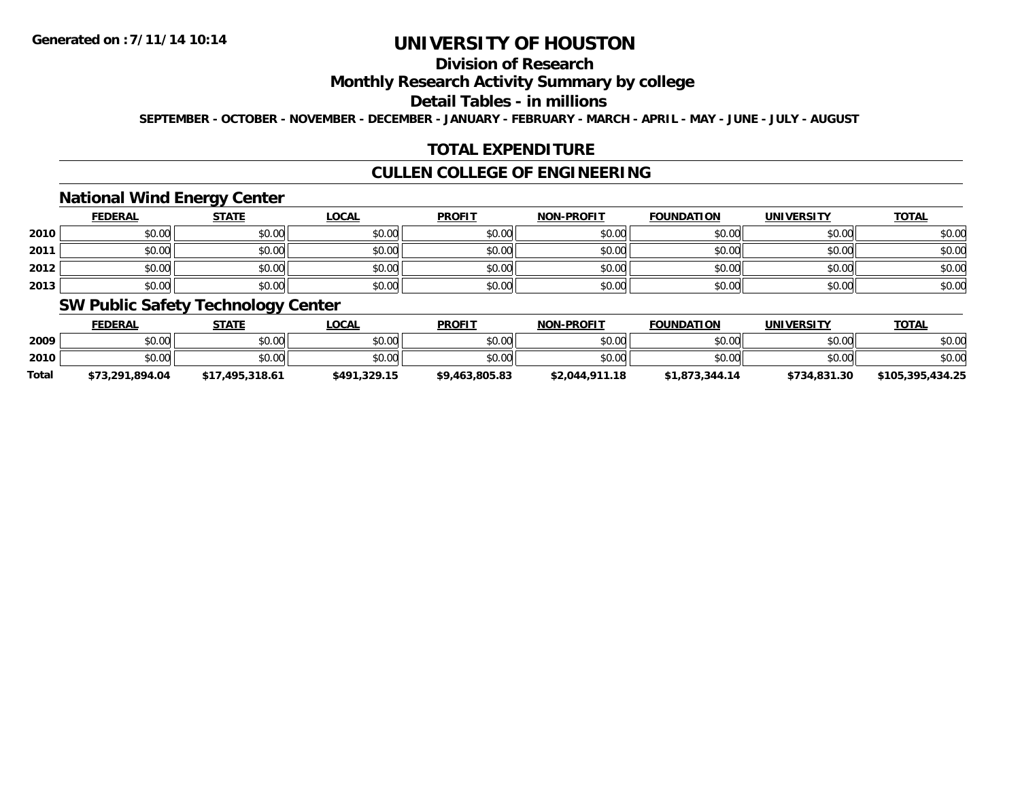## **Division of Research**

### **Monthly Research Activity Summary by college**

#### **Detail Tables - in millions**

**SEPTEMBER - OCTOBER - NOVEMBER - DECEMBER - JANUARY - FEBRUARY - MARCH - APRIL - MAY - JUNE - JULY - AUGUST**

### **TOTAL EXPENDITURE**

### **CULLEN COLLEGE OF ENGINEERING**

### **National Wind Energy Center**

|      | <b>FEDERAL</b> | <b>STATE</b> | <u>LOCAL</u> | <b>PROFIT</b> | <b>NON-PROFIT</b> | <b>FOUNDATION</b> | <b>UNIVERSITY</b> | <b>TOTAL</b> |
|------|----------------|--------------|--------------|---------------|-------------------|-------------------|-------------------|--------------|
| 2010 | \$0.00         | \$0.00       | \$0.00       | \$0.00        | \$0.00            | \$0.00            | \$0.00            | \$0.00       |
| 2011 | \$0.00         | \$0.00       | \$0.00       | \$0.00        | \$0.00            | \$0.00            | \$0.00            | \$0.00       |
| 2012 | \$0.00         | \$0.00       | \$0.00       | \$0.00        | \$0.00            | \$0.00            | \$0.00            | \$0.00       |
| 2013 | \$0.00         | \$0.00       | \$0.00       | \$0.00        | \$0.00            | \$0.00            | \$0.00            | \$0.00       |

### **SW Public Safety Technology Center**

|              | <b>FEDERAL</b>  | <u>STATE</u>    | <b>LOCAL</b> | <b>PROFIT</b>  | <b>NON-PROFIT</b> | <b>FOUNDATION</b> | <b>UNIVERSITY</b> | <b>TOTAL</b>     |
|--------------|-----------------|-----------------|--------------|----------------|-------------------|-------------------|-------------------|------------------|
| 2009         | \$0.00          | \$0.00          | \$0.00       | \$0.00         | \$0.00            | \$0.00            | \$0.00            | \$0.00           |
| 2010         | \$0.00          | \$0.00          | \$0.00       | \$0.00         | \$0.00            | \$0.00            | \$0.00            | \$0.00           |
| <b>Total</b> | \$73,291,894.04 | \$17.495.318.61 | \$491,329.15 | \$9,463,805.83 | \$2.044.911.18    | \$1,873,344.14    | \$734,831.30      | \$105,395,434.25 |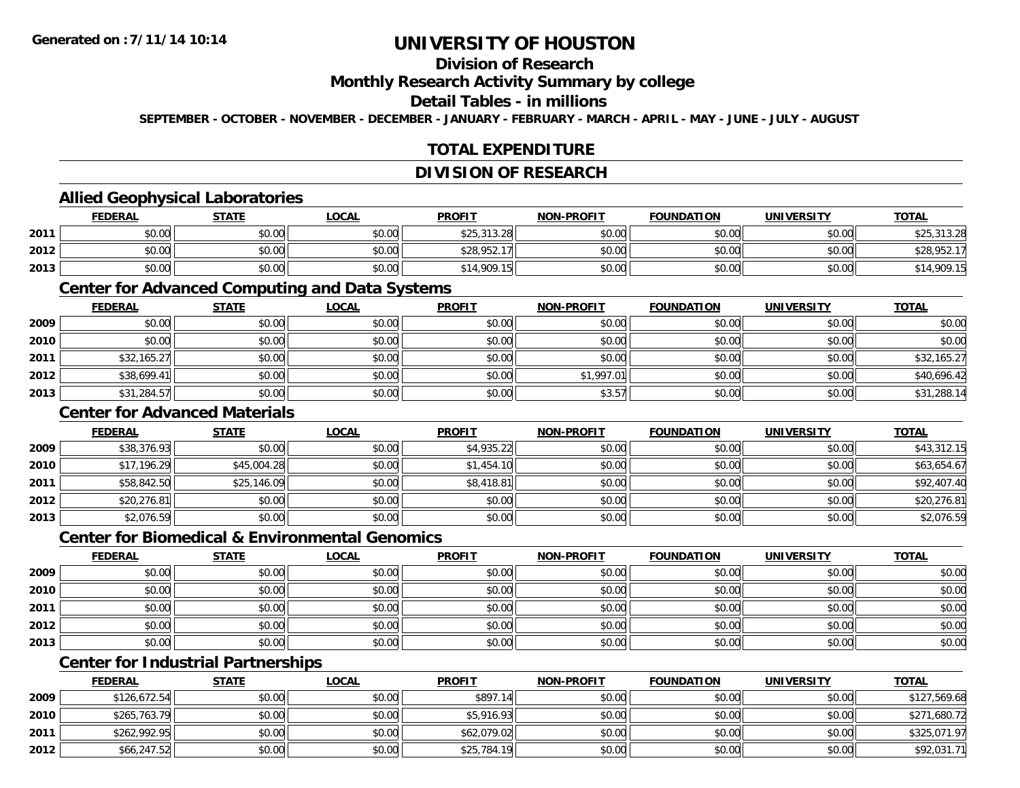## **Division of Research**

#### **Monthly Research Activity Summary by college**

#### **Detail Tables - in millions**

**SEPTEMBER - OCTOBER - NOVEMBER - DECEMBER - JANUARY - FEBRUARY - MARCH - APRIL - MAY - JUNE - JULY - AUGUST**

### **TOTAL EXPENDITURE**

#### **DIVISION OF RESEARCH**

### **Allied Geophysical Laboratories**

|      | <b>FEDERAL</b> | <b>STATE</b>   | <u>LOCAL</u> | <b>PROFIT</b>              | <b>NON-PROFIT</b> | <b>FOUNDATION</b> | <b>UNIVERSITY</b> | <b>TOTAL</b>                    |
|------|----------------|----------------|--------------|----------------------------|-------------------|-------------------|-------------------|---------------------------------|
| 2011 | \$0.00         | ≮N UU<br>JU.UU | \$0.00       | \$25.312.28<br>\$25.313.28 | \$0.00            | \$0.00            | \$0.00            | 313.28<br>$\bigwedge_{i=1}^{n}$ |
| 2012 | \$0.00         | 0000<br>งบ.บบ  | \$0.00       | \$28,952.17                | \$0.00            | \$0.00            | \$0.00            | \$28,952.17                     |
| 2013 | \$0.00         | \$0.00         | \$0.00       | \$14,909.15                | \$0.00            | \$0.00            | \$0.00            | \$14,909.15                     |

#### **Center for Advanced Computing and Data Systems**

|      | <u>FEDERAL</u> | <b>STATE</b> | <u>LOCAL</u> | <b>PROFIT</b> | <b>NON-PROFIT</b> | <b>FOUNDATION</b> | <b>UNIVERSITY</b> | <b>TOTAL</b> |
|------|----------------|--------------|--------------|---------------|-------------------|-------------------|-------------------|--------------|
| 2009 | \$0.00         | \$0.00       | \$0.00       | \$0.00        | \$0.00            | \$0.00            | \$0.00            | \$0.00       |
| 2010 | \$0.00         | \$0.00       | \$0.00       | \$0.00        | \$0.00            | \$0.00            | \$0.00            | \$0.00       |
| 2011 | \$32,165.27    | \$0.00       | \$0.00       | \$0.00        | \$0.00            | \$0.00            | \$0.00            | \$32,165.27  |
| 2012 | \$38,699.41    | \$0.00       | \$0.00       | \$0.00        | \$1,997.01        | \$0.00            | \$0.00            | \$40,696.42  |
| 2013 | \$31,284.57    | \$0.00       | \$0.00       | \$0.00        | \$3.57            | \$0.00            | \$0.00            | \$31,288.14  |

### **Center for Advanced Materials**

|      | <b>FEDERAL</b> | <u>STATE</u> | <u>LOCAL</u> | <b>PROFIT</b> | <b>NON-PROFIT</b> | <b>FOUNDATION</b> | <b>UNIVERSITY</b> | <b>TOTAL</b> |
|------|----------------|--------------|--------------|---------------|-------------------|-------------------|-------------------|--------------|
| 2009 | \$38,376.93    | \$0.00       | \$0.00       | \$4,935.22    | \$0.00            | \$0.00            | \$0.00            | \$43,312.15  |
| 2010 | \$17,196.29    | \$45,004.28  | \$0.00       | \$1,454.10    | \$0.00            | \$0.00            | \$0.00            | \$63,654.67  |
| 2011 | \$58,842.50    | \$25,146.09  | \$0.00       | \$8,418.81    | \$0.00            | \$0.00            | \$0.00            | \$92,407.40  |
| 2012 | \$20,276.81    | \$0.00       | \$0.00       | \$0.00        | \$0.00            | \$0.00            | \$0.00            | \$20,276.81  |
| 2013 | \$2,076.59     | \$0.00       | \$0.00       | \$0.00        | \$0.00            | \$0.00            | \$0.00            | \$2,076.59   |

#### **Center for Biomedical & Environmental Genomics**

|      | <u>FEDERAL</u> | <b>STATE</b> | <b>LOCAL</b> | <b>PROFIT</b> | NON-PROFIT | <b>FOUNDATION</b> | <b>UNIVERSITY</b> | <b>TOTAL</b> |
|------|----------------|--------------|--------------|---------------|------------|-------------------|-------------------|--------------|
| 2009 | \$0.00         | \$0.00       | \$0.00       | \$0.00        | \$0.00     | \$0.00            | \$0.00            | \$0.00       |
| 2010 | \$0.00         | \$0.00       | \$0.00       | \$0.00        | \$0.00     | \$0.00            | \$0.00            | \$0.00       |
| 2011 | \$0.00         | \$0.00       | \$0.00       | \$0.00        | \$0.00     | \$0.00            | \$0.00            | \$0.00       |
| 2012 | \$0.00         | \$0.00       | \$0.00       | \$0.00        | \$0.00     | \$0.00            | \$0.00            | \$0.00       |
| 2013 | \$0.00         | \$0.00       | \$0.00       | \$0.00        | \$0.00     | \$0.00            | \$0.00            | \$0.00       |

## **Center for Industrial Partnerships**

|      | <u>FEDERAL</u> | <b>STATE</b> | <b>LOCAL</b> | <b>PROFIT</b> | <b>NON-PROFIT</b> | <b>FOUNDATION</b> | <b>UNIVERSITY</b> | <b>TOTAL</b> |
|------|----------------|--------------|--------------|---------------|-------------------|-------------------|-------------------|--------------|
| 2009 | \$126,672.54   | \$0.00       | \$0.00       | \$897.14      | \$0.00            | \$0.00            | \$0.00            | \$127,569.68 |
| 2010 | \$265,763.79   | \$0.00       | \$0.00       | \$5,916.93    | \$0.00            | \$0.00            | \$0.00            | \$271,680.72 |
| 2011 | \$262,992.95   | \$0.00       | \$0.00       | \$62,079.02   | \$0.00            | \$0.00            | \$0.00            | \$325,071.97 |
| 2012 | \$66,247.52    | \$0.00       | \$0.00       | \$25,784.19   | \$0.00            | \$0.00            | \$0.00            | \$92,031.71  |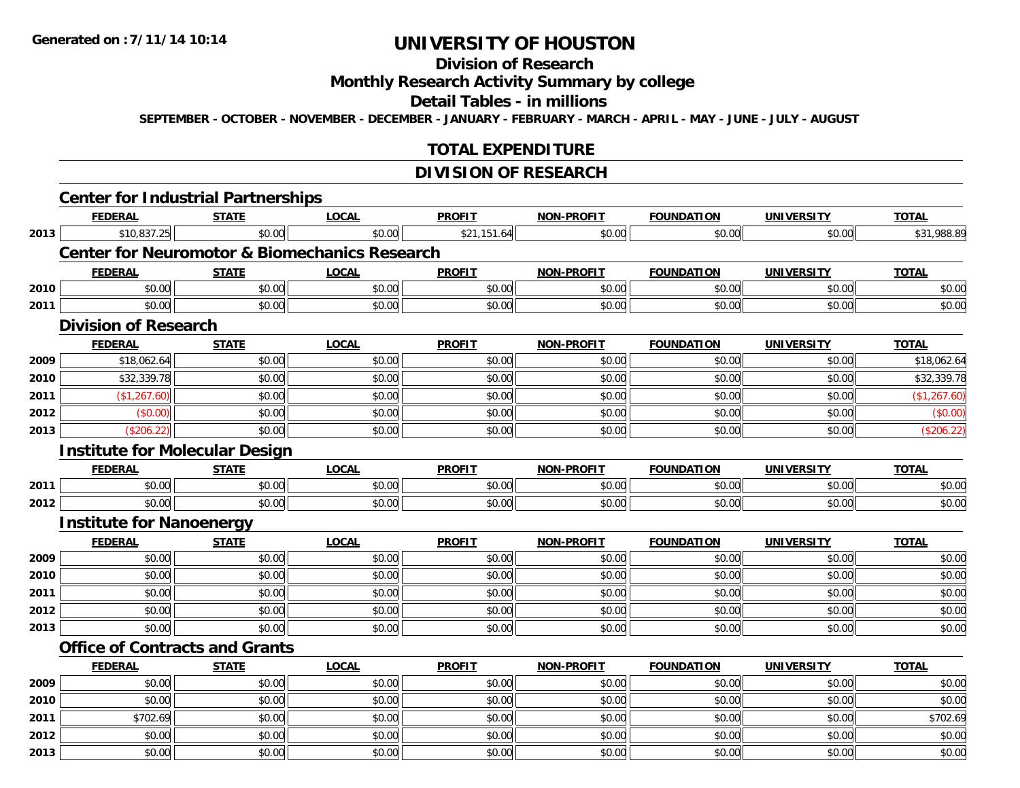**2012**

**2013**

# **UNIVERSITY OF HOUSTON**

## **Division of Research**

### **Monthly Research Activity Summary by college**

#### **Detail Tables - in millions**

**SEPTEMBER - OCTOBER - NOVEMBER - DECEMBER - JANUARY - FEBRUARY - MARCH - APRIL - MAY - JUNE - JULY - AUGUST**

### **TOTAL EXPENDITURE**

### **DIVISION OF RESEARCH**

| <b>FEDERAL</b> | <b>STATE</b> | <b>LOCAL</b>                                                   | <b>PROFIT</b>                                                                                                               | <b>NON-PROFIT</b>                                        | <b>FOUNDATION</b> | <b>UNIVERSITY</b> | <b>TOTAL</b> |
|----------------|--------------|----------------------------------------------------------------|-----------------------------------------------------------------------------------------------------------------------------|----------------------------------------------------------|-------------------|-------------------|--------------|
| \$10,837.25    | \$0.00       | \$0.00                                                         | \$21,151.64                                                                                                                 | \$0.00                                                   | \$0.00            | \$0.00            | \$31,988.89  |
|                |              |                                                                |                                                                                                                             |                                                          |                   |                   |              |
| <b>FEDERAL</b> | <b>STATE</b> | <b>LOCAL</b>                                                   | <b>PROFIT</b>                                                                                                               | NON-PROFIT                                               | <b>FOUNDATION</b> | <b>UNIVERSITY</b> | <b>TOTAL</b> |
| \$0.00         | \$0.00       | \$0.00                                                         | \$0.00                                                                                                                      | \$0.00                                                   | \$0.00            | \$0.00            | \$0.00       |
| \$0.00         | \$0.00       | \$0.00                                                         | \$0.00                                                                                                                      | \$0.00                                                   | \$0.00            | \$0.00            | \$0.00       |
|                |              |                                                                |                                                                                                                             |                                                          |                   |                   |              |
| <b>FEDERAL</b> | <b>STATE</b> | <b>LOCAL</b>                                                   | <b>PROFIT</b>                                                                                                               | NON-PROFIT                                               | <b>FOUNDATION</b> | <b>UNIVERSITY</b> | <b>TOTAL</b> |
| \$18,062.64    | \$0.00       | \$0.00                                                         | \$0.00                                                                                                                      | \$0.00                                                   | \$0.00            | \$0.00            | \$18,062.64  |
| \$32,339.78    | \$0.00       | \$0.00                                                         | \$0.00                                                                                                                      | \$0.00                                                   | \$0.00            | \$0.00            | \$32,339.78  |
| (\$1,267.60)   | \$0.00       | \$0.00                                                         | \$0.00                                                                                                                      | \$0.00                                                   | \$0.00            | \$0.00            | (\$1,267.60) |
| (\$0.00)       | \$0.00       | \$0.00                                                         | \$0.00                                                                                                                      | \$0.00                                                   | \$0.00            | \$0.00            | (\$0.00)     |
| (\$206.22)     | \$0.00       | \$0.00                                                         | \$0.00                                                                                                                      | \$0.00                                                   | \$0.00            | \$0.00            | (\$206.22)   |
|                |              |                                                                |                                                                                                                             |                                                          |                   |                   |              |
| <b>FEDERAL</b> | <b>STATE</b> | <b>LOCAL</b>                                                   | <b>PROFIT</b>                                                                                                               | <b>NON-PROFIT</b>                                        | <b>FOUNDATION</b> | <b>UNIVERSITY</b> | <b>TOTAL</b> |
|                | \$0.00       | \$0.00                                                         | \$0.00                                                                                                                      | \$0.00                                                   | \$0.00            | \$0.00            | \$0.00       |
| \$0.00         | \$0.00       | \$0.00                                                         | \$0.00                                                                                                                      | \$0.00                                                   | \$0.00            | \$0.00            | \$0.00       |
|                |              |                                                                |                                                                                                                             |                                                          |                   |                   |              |
| <b>FEDERAL</b> | <b>STATE</b> | <b>LOCAL</b>                                                   | <b>PROFIT</b>                                                                                                               | <b>NON-PROFIT</b>                                        | <b>FOUNDATION</b> | <b>UNIVERSITY</b> | <b>TOTAL</b> |
| \$0.00         | \$0.00       | \$0.00                                                         | \$0.00                                                                                                                      | \$0.00                                                   | \$0.00            | \$0.00            | \$0.00       |
| \$0.00         | \$0.00       | \$0.00                                                         | \$0.00                                                                                                                      | \$0.00                                                   | \$0.00            | \$0.00            | \$0.00       |
| \$0.00         | \$0.00       | \$0.00                                                         | \$0.00                                                                                                                      | \$0.00                                                   | \$0.00            | \$0.00            | \$0.00       |
| \$0.00         | \$0.00       | \$0.00                                                         | \$0.00                                                                                                                      | \$0.00                                                   | \$0.00            | \$0.00            | \$0.00       |
| \$0.00         | \$0.00       | \$0.00                                                         | \$0.00                                                                                                                      | \$0.00                                                   | \$0.00            | \$0.00            | \$0.00       |
|                |              |                                                                |                                                                                                                             |                                                          |                   |                   |              |
| <b>FEDERAL</b> | <b>STATE</b> | <b>LOCAL</b>                                                   | <b>PROFIT</b>                                                                                                               | <b>NON-PROFIT</b>                                        | <b>FOUNDATION</b> | <b>UNIVERSITY</b> | <b>TOTAL</b> |
| \$0.00         | \$0.00       | \$0.00                                                         | \$0.00                                                                                                                      | \$0.00                                                   | \$0.00            | \$0.00            | \$0.00       |
| \$0.00         | \$0.00       | \$0.00                                                         | \$0.00                                                                                                                      | \$0.00                                                   | \$0.00            | \$0.00            | \$0.00       |
| \$702.69       | \$0.00       | \$0.00                                                         | \$0.00                                                                                                                      | \$0.00                                                   | \$0.00            | \$0.00            | \$702.69     |
|                | \$0.00       | <b>Division of Research</b><br><b>Institute for Nanoenergy</b> | <b>Center for Industrial Partnerships</b><br><b>Institute for Molecular Design</b><br><b>Office of Contracts and Grants</b> | <b>Center for Neuromotor &amp; Biomechanics Research</b> |                   |                   |              |

2 | \$0.00 \$0.00 \$0.00 \$0.00 \$0.00 \$0.00 \$0.00 \$0.00 \$0.00 \$0.00 \$0.00 \$0.00 \$0.00 \$0.00 \$0.00 \$0.00 \$0.00

\$0.00 \$0.00 \$0.00 \$0.00 \$0.00 \$0.00 \$0.00 \$0.00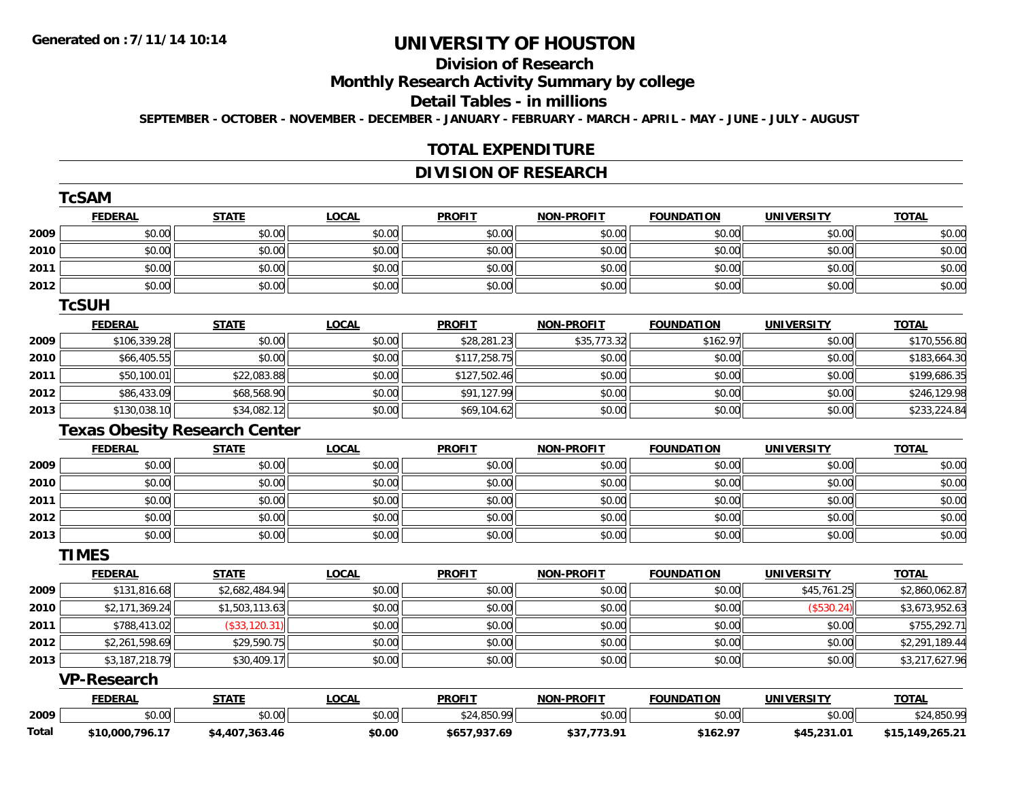# **Division of Research**

**Monthly Research Activity Summary by college**

#### **Detail Tables - in millions**

**SEPTEMBER - OCTOBER - NOVEMBER - DECEMBER - JANUARY - FEBRUARY - MARCH - APRIL - MAY - JUNE - JULY - AUGUST**

#### **TOTAL EXPENDITURE**

### **DIVISION OF RESEARCH**

|       | <b>TcSAM</b>       |                                      |              |               |                   |                   |                   |                 |
|-------|--------------------|--------------------------------------|--------------|---------------|-------------------|-------------------|-------------------|-----------------|
|       | <b>FEDERAL</b>     | <b>STATE</b>                         | <b>LOCAL</b> | <b>PROFIT</b> | <b>NON-PROFIT</b> | <b>FOUNDATION</b> | <b>UNIVERSITY</b> | <b>TOTAL</b>    |
| 2009  | \$0.00             | \$0.00                               | \$0.00       | \$0.00        | \$0.00            | \$0.00            | \$0.00            | \$0.00          |
| 2010  | \$0.00             | \$0.00                               | \$0.00       | \$0.00        | \$0.00            | \$0.00            | \$0.00            | \$0.00          |
| 2011  | \$0.00             | \$0.00                               | \$0.00       | \$0.00        | \$0.00            | \$0.00            | \$0.00            | \$0.00          |
| 2012  | \$0.00             | \$0.00                               | \$0.00       | \$0.00        | \$0.00            | \$0.00            | \$0.00            | \$0.00          |
|       | <b>TcSUH</b>       |                                      |              |               |                   |                   |                   |                 |
|       | <b>FEDERAL</b>     | <b>STATE</b>                         | <b>LOCAL</b> | <b>PROFIT</b> | <b>NON-PROFIT</b> | <b>FOUNDATION</b> | <b>UNIVERSITY</b> | <b>TOTAL</b>    |
| 2009  | \$106,339.28       | \$0.00                               | \$0.00       | \$28,281.23   | \$35,773.32       | \$162.97          | \$0.00            | \$170,556.80    |
| 2010  | \$66,405.55        | \$0.00                               | \$0.00       | \$117,258.75  | \$0.00            | \$0.00            | \$0.00            | \$183,664.30    |
| 2011  | \$50,100.01        | \$22,083.88                          | \$0.00       | \$127,502.46  | \$0.00            | \$0.00            | \$0.00            | \$199,686.35    |
| 2012  | \$86,433.09        | \$68,568.90                          | \$0.00       | \$91,127.99   | \$0.00            | \$0.00            | \$0.00            | \$246,129.98    |
| 2013  | \$130,038.10       | \$34,082.12                          | \$0.00       | \$69,104.62   | \$0.00            | \$0.00            | \$0.00            | \$233,224.84    |
|       |                    | <b>Texas Obesity Research Center</b> |              |               |                   |                   |                   |                 |
|       | <b>FEDERAL</b>     | <b>STATE</b>                         | <b>LOCAL</b> | <b>PROFIT</b> | <b>NON-PROFIT</b> | <b>FOUNDATION</b> | <b>UNIVERSITY</b> | <b>TOTAL</b>    |
| 2009  | \$0.00             | \$0.00                               | \$0.00       | \$0.00        | \$0.00            | \$0.00            | \$0.00            | \$0.00          |
| 2010  | \$0.00             | \$0.00                               | \$0.00       | \$0.00        | \$0.00            | \$0.00            | \$0.00            | \$0.00          |
| 2011  | \$0.00             | \$0.00                               | \$0.00       | \$0.00        | \$0.00            | \$0.00            | \$0.00            | \$0.00          |
| 2012  | \$0.00             | \$0.00                               | \$0.00       | \$0.00        | \$0.00            | \$0.00            | \$0.00            | \$0.00          |
| 2013  | \$0.00             | \$0.00                               | \$0.00       | \$0.00        | \$0.00            | \$0.00            | \$0.00            | \$0.00          |
|       | <b>TIMES</b>       |                                      |              |               |                   |                   |                   |                 |
|       | <b>FEDERAL</b>     | <b>STATE</b>                         | <b>LOCAL</b> | <b>PROFIT</b> | <b>NON-PROFIT</b> | <b>FOUNDATION</b> | <b>UNIVERSITY</b> | <b>TOTAL</b>    |
| 2009  | \$131,816.68       | \$2,682,484.94                       | \$0.00       | \$0.00        | \$0.00            | \$0.00            | \$45,761.25       | \$2,860,062.87  |
| 2010  | \$2,171,369.24     | \$1,503,113.63                       | \$0.00       | \$0.00        | \$0.00            | \$0.00            | (\$530.24)        | \$3,673,952.63  |
| 2011  | \$788,413.02       | (\$33,120.31)                        | \$0.00       | \$0.00        | \$0.00            | \$0.00            | \$0.00            | \$755,292.71    |
| 2012  | \$2,261,598.69     | \$29,590.75                          | \$0.00       | \$0.00        | \$0.00            | \$0.00            | \$0.00            | \$2,291,189.44  |
| 2013  | \$3,187,218.79     | \$30,409.17                          | \$0.00       | \$0.00        | \$0.00            | \$0.00            | \$0.00            | \$3,217,627.96  |
|       | <b>VP-Research</b> |                                      |              |               |                   |                   |                   |                 |
|       | <b>FEDERAL</b>     | <b>STATE</b>                         | <b>LOCAL</b> | <b>PROFIT</b> | <b>NON-PROFIT</b> | <b>FOUNDATION</b> | <b>UNIVERSITY</b> | <b>TOTAL</b>    |
| 2009  | \$0.00             | \$0.00                               | \$0.00       | \$24,850.99   | \$0.00            | \$0.00            | \$0.00            | \$24,850.99     |
| Total | \$10,000,796.17    | \$4,407,363.46                       | \$0.00       | \$657,937.69  | \$37,773.91       | \$162.97          | \$45,231.01       | \$15,149,265.21 |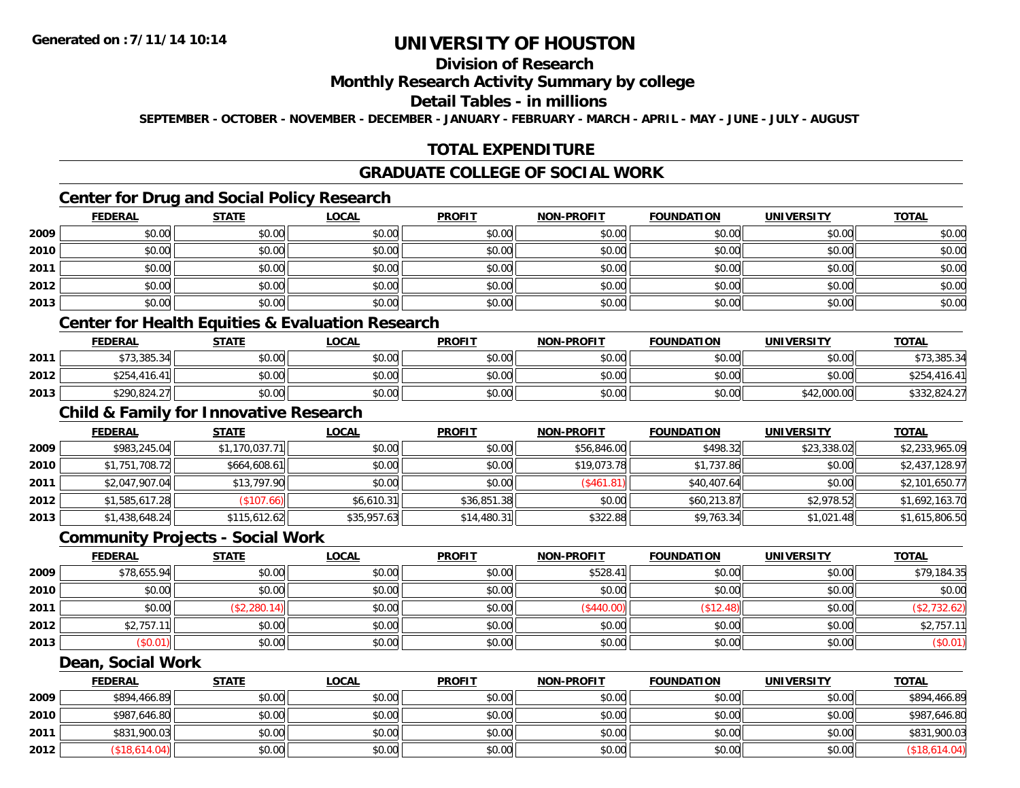## **Division of Research**

#### **Monthly Research Activity Summary by college**

#### **Detail Tables - in millions**

**SEPTEMBER - OCTOBER - NOVEMBER - DECEMBER - JANUARY - FEBRUARY - MARCH - APRIL - MAY - JUNE - JULY - AUGUST**

### **TOTAL EXPENDITURE**

#### **GRADUATE COLLEGE OF SOCIAL WORK**

### **Center for Drug and Social Policy Research**

|      | <b>FEDERAL</b> | <b>STATE</b> | <u>LOCAL</u> | <b>PROFIT</b> | <b>NON-PROFIT</b> | <b>FOUNDATION</b> | <b>UNIVERSITY</b> | <u>TOTAL</u> |
|------|----------------|--------------|--------------|---------------|-------------------|-------------------|-------------------|--------------|
| 2009 | \$0.00         | \$0.00       | \$0.00       | \$0.00        | \$0.00            | \$0.00            | \$0.00            | \$0.00       |
| 2010 | \$0.00         | \$0.00       | \$0.00       | \$0.00        | \$0.00            | \$0.00            | \$0.00            | \$0.00       |
| 2011 | \$0.00         | \$0.00       | \$0.00       | \$0.00        | \$0.00            | \$0.00            | \$0.00            | \$0.00       |
| 2012 | \$0.00         | \$0.00       | \$0.00       | \$0.00        | \$0.00            | \$0.00            | \$0.00            | \$0.00       |
| 2013 | \$0.00         | \$0.00       | \$0.00       | \$0.00        | \$0.00            | \$0.00            | \$0.00            | \$0.00       |

### **Center for Health Equities & Evaluation Research**

|      | <b>FEDERAL</b>       | <b>STATE</b> | <u>LOCAL</u> | <b>PROFIT</b> | <b>NON-PROFIT</b> | <b>FOUNDATION</b> | UNIVERSITY  | <b>TOTAL</b> |
|------|----------------------|--------------|--------------|---------------|-------------------|-------------------|-------------|--------------|
| 2011 | \$73,385.34          | \$0.00       | \$0.00       | \$0.00        | \$0.00            | \$0.00            | \$0.00      | \$73,385.34  |
| 2012 | \$254,416.4<br>$-41$ | \$0.00       | \$0.00       | \$0.00        | \$0.00            | \$0.00            | \$0.00      | .416.41      |
| 2013 | \$290,824.27         | \$0.00       | \$0.00       | \$0.00        | \$0.00            | \$0.00            | \$42,000.00 | \$332,824.27 |

## **Child & Family for Innovative Research**

|      | <b>FEDERAL</b> | <u>STATE</u>   | <b>LOCAL</b> | <b>PROFIT</b> | <b>NON-PROFIT</b> | <b>FOUNDATION</b> | <b>UNIVERSITY</b> | <b>TOTAL</b>   |
|------|----------------|----------------|--------------|---------------|-------------------|-------------------|-------------------|----------------|
| 2009 | \$983,245.04   | \$1,170,037.71 | \$0.00       | \$0.00        | \$56,846.00       | \$498.32          | \$23,338.02       | \$2,233,965.09 |
| 2010 | \$1,751,708.72 | \$664,608.61   | \$0.00       | \$0.00        | \$19,073.78       | \$1,737.86        | \$0.00            | \$2,437,128.97 |
| 2011 | \$2,047,907.04 | \$13,797.90    | \$0.00       | \$0.00        | (\$461.81)        | \$40,407.64       | \$0.00            | \$2,101,650.77 |
| 2012 | \$1,585,617.28 | (\$107.66)     | \$6,610.31   | \$36,851.38   | \$0.00            | \$60,213.87       | \$2,978.52        | \$1,692,163.70 |
| 2013 | \$1,438,648.24 | \$115,612.62   | \$35,957.63  | \$14,480.31   | \$322.88          | \$9,763.34        | \$1,021.48        | \$1,615,806.50 |

#### **Community Projects - Social Work**

|      | <b>FEDERAL</b> | <b>STATE</b> | <b>LOCAL</b> | <b>PROFIT</b> | <b>NON-PROFIT</b> | <b>FOUNDATION</b> | <b>UNIVERSITY</b> | <b>TOTAL</b> |
|------|----------------|--------------|--------------|---------------|-------------------|-------------------|-------------------|--------------|
| 2009 | \$78,655.94    | \$0.00       | \$0.00       | \$0.00        | \$528.41          | \$0.00            | \$0.00            | \$79,184.35  |
| 2010 | \$0.00         | \$0.00       | \$0.00       | \$0.00        | \$0.00            | \$0.00            | \$0.00            | \$0.00       |
| 2011 | \$0.00         | (\$2,280.14) | \$0.00       | \$0.00        | \$440.00          | \$12.4            | \$0.00            | (\$2,732.62) |
| 2012 | \$2,757.1      | \$0.00       | \$0.00       | \$0.00        | \$0.00            | \$0.00            | \$0.00            | \$2,757.11   |
| 2013 | \$0.01         | \$0.00       | \$0.00       | \$0.00        | \$0.00            | \$0.00            | \$0.00            | $(\$0.01)$   |

#### **Dean, Social Work**

|      | <b>FEDERAL</b> | <b>STATE</b> | <u>LOCAL</u> | <b>PROFIT</b> | <b>NON-PROFIT</b> | <b>FOUNDATION</b> | <b>UNIVERSITY</b> | <b>TOTAL</b>  |
|------|----------------|--------------|--------------|---------------|-------------------|-------------------|-------------------|---------------|
| 2009 | \$894,466.89   | \$0.00       | \$0.00       | \$0.00        | \$0.00            | \$0.00            | \$0.00            | \$894,466.89  |
| 2010 | \$987,646.80   | \$0.00       | \$0.00       | \$0.00        | \$0.00            | \$0.00            | \$0.00            | \$987,646.80  |
| 2011 | \$831,900.03   | \$0.00       | \$0.00       | \$0.00        | \$0.00            | \$0.00            | \$0.00            | \$831,900.03  |
| 2012 | (\$18,614.04)  | \$0.00       | \$0.00       | \$0.00        | \$0.00            | \$0.00            | \$0.00            | (\$18,614.04) |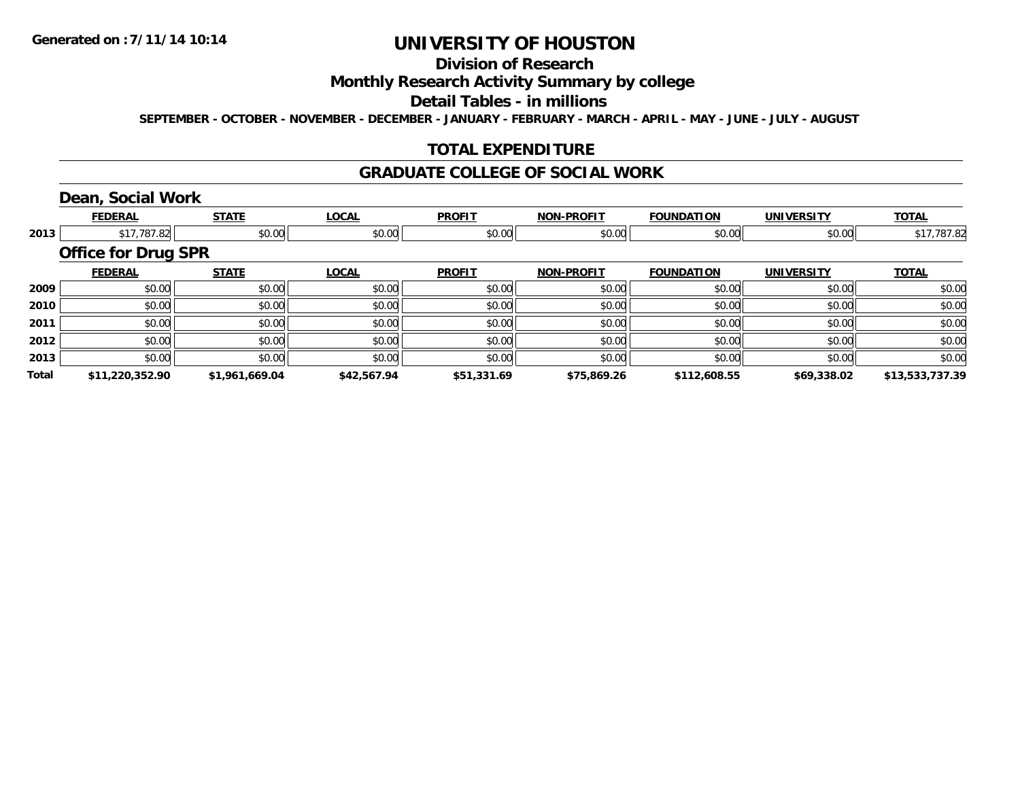## **Division of Research**

### **Monthly Research Activity Summary by college**

#### **Detail Tables - in millions**

**SEPTEMBER - OCTOBER - NOVEMBER - DECEMBER - JANUARY - FEBRUARY - MARCH - APRIL - MAY - JUNE - JULY - AUGUST**

### **TOTAL EXPENDITURE**

#### **GRADUATE COLLEGE OF SOCIAL WORK**

### **Dean, Social Work**

|       | <b>FEDERAL</b>             | <b>STATE</b>   | <b>LOCAL</b> | <b>PROFIT</b> | <b>NON-PROFIT</b> | <b>FOUNDATION</b> | <b>UNIVERSITY</b> | <b>TOTAL</b>    |
|-------|----------------------------|----------------|--------------|---------------|-------------------|-------------------|-------------------|-----------------|
| 2013  | \$17,787.82                | \$0.00         | \$0.00       | \$0.00        | \$0.00            | \$0.00            | \$0.00            | \$17,787.82     |
|       | <b>Office for Drug SPR</b> |                |              |               |                   |                   |                   |                 |
|       | <b>FEDERAL</b>             | <b>STATE</b>   | <b>LOCAL</b> | <b>PROFIT</b> | <b>NON-PROFIT</b> | <b>FOUNDATION</b> | <b>UNIVERSITY</b> | <b>TOTAL</b>    |
| 2009  | \$0.00                     | \$0.00         | \$0.00       | \$0.00        | \$0.00            | \$0.00            | \$0.00            | \$0.00          |
| 2010  | \$0.00                     | \$0.00         | \$0.00       | \$0.00        | \$0.00            | \$0.00            | \$0.00            | \$0.00          |
| 2011  | \$0.00                     | \$0.00         | \$0.00       | \$0.00        | \$0.00            | \$0.00            | \$0.00            | \$0.00          |
| 2012  | \$0.00                     | \$0.00         | \$0.00       | \$0.00        | \$0.00            | \$0.00            | \$0.00            | \$0.00          |
| 2013  | \$0.00                     | \$0.00         | \$0.00       | \$0.00        | \$0.00            | \$0.00            | \$0.00            | \$0.00          |
| Total | \$11,220,352.90            | \$1,961,669.04 | \$42,567.94  | \$51,331.69   | \$75,869.26       | \$112,608.55      | \$69,338.02       | \$13,533,737.39 |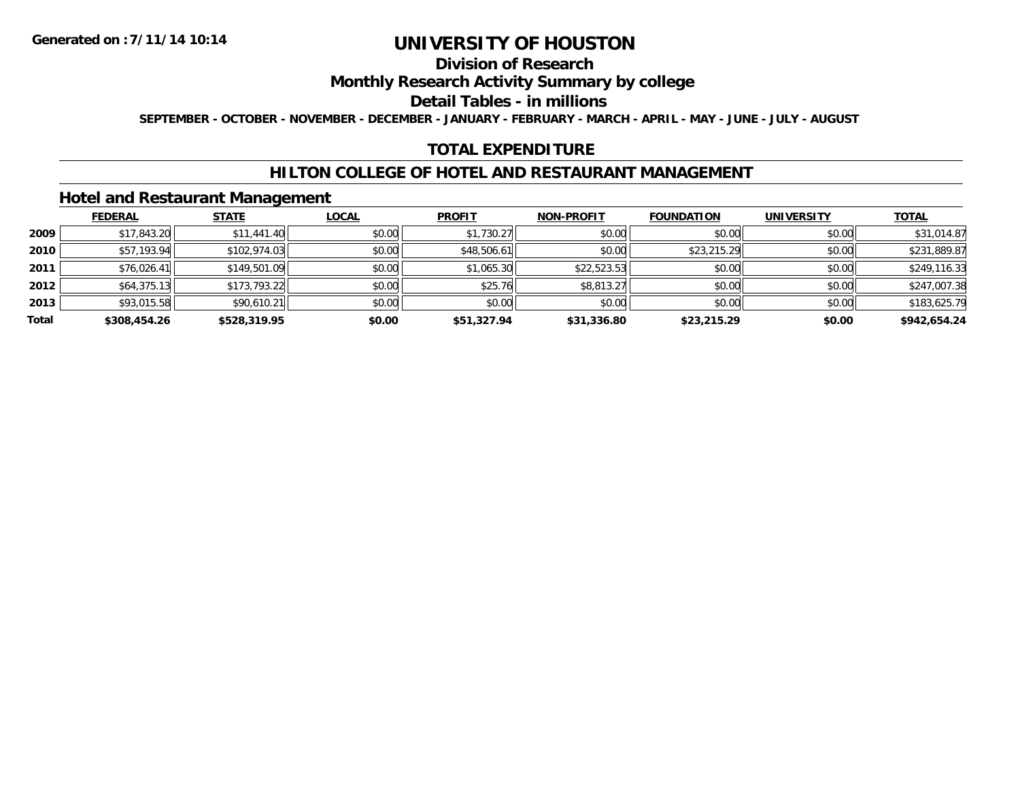### **Division of Research**

### **Monthly Research Activity Summary by college**

#### **Detail Tables - in millions**

**SEPTEMBER - OCTOBER - NOVEMBER - DECEMBER - JANUARY - FEBRUARY - MARCH - APRIL - MAY - JUNE - JULY - AUGUST**

#### **TOTAL EXPENDITURE**

#### **HILTON COLLEGE OF HOTEL AND RESTAURANT MANAGEMENT**

#### **Hotel and Restaurant Management**

|       | <b>FEDERAL</b> | <b>STATE</b> | <b>LOCAL</b> | <b>PROFIT</b> | <b>NON-PROFIT</b> | <b>FOUNDATION</b> | <b>UNIVERSITY</b> | <b>TOTAL</b> |
|-------|----------------|--------------|--------------|---------------|-------------------|-------------------|-------------------|--------------|
| 2009  | \$17,843.20    | \$11,441.40  | \$0.00       | \$1,730.27    | \$0.00            | \$0.00            | \$0.00            | \$31,014.87  |
| 2010  | \$57,193.94    | \$102,974.03 | \$0.00       | \$48,506.61   | \$0.00            | \$23,215.29       | \$0.00            | \$231,889.87 |
| 2011  | \$76,026.41    | \$149,501.09 | \$0.00       | \$1,065.30    | \$22,523.53       | \$0.00            | \$0.00            | \$249,116.33 |
| 2012  | \$64,375.13    | \$173,793.22 | \$0.00       | \$25.76       | \$8,813.27        | \$0.00            | \$0.00            | \$247,007.38 |
| 2013  | \$93,015.58    | \$90,610.21  | \$0.00       | \$0.00        | \$0.00            | \$0.00            | \$0.00            | \$183,625.79 |
| Total | \$308,454.26   | \$528,319.95 | \$0.00       | \$51,327.94   | \$31,336.80       | \$23,215.29       | \$0.00            | \$942,654.24 |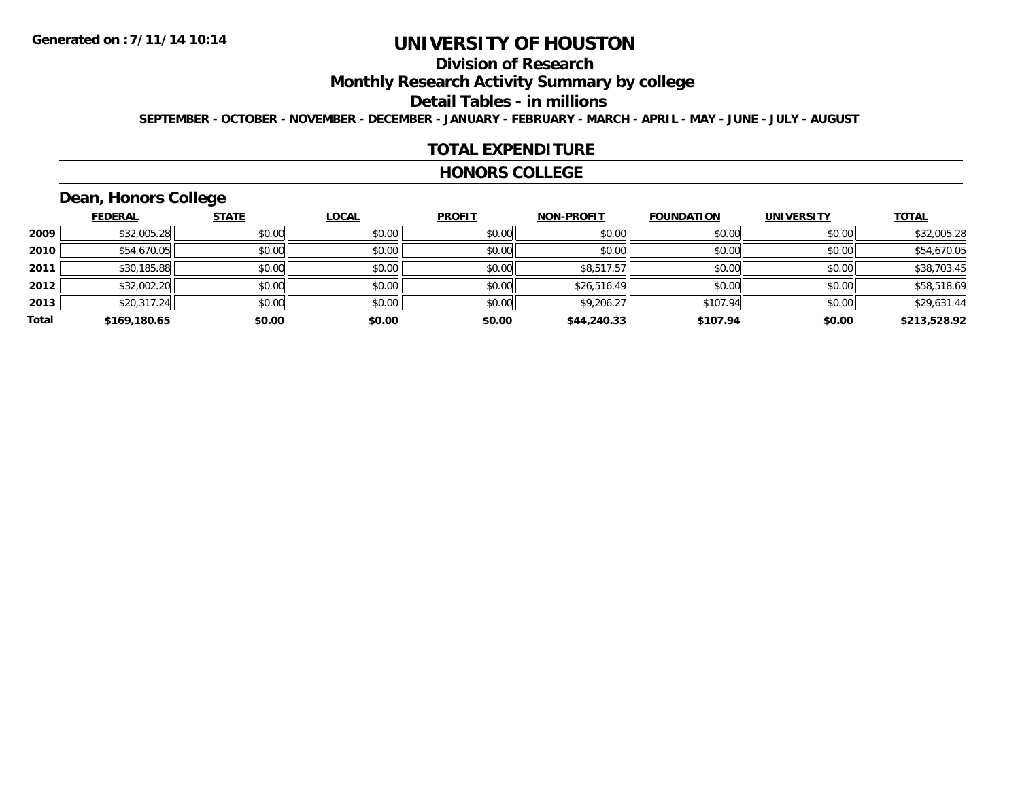## **Division of Research**

**Monthly Research Activity Summary by college**

#### **Detail Tables - in millions**

**SEPTEMBER - OCTOBER - NOVEMBER - DECEMBER - JANUARY - FEBRUARY - MARCH - APRIL - MAY - JUNE - JULY - AUGUST**

#### **TOTAL EXPENDITURE**

#### **HONORS COLLEGE**

## **Dean, Honors College**

|       |                | __           |              |               |                   |                   |                   |              |
|-------|----------------|--------------|--------------|---------------|-------------------|-------------------|-------------------|--------------|
|       | <b>FEDERAL</b> | <b>STATE</b> | <u>LOCAL</u> | <b>PROFIT</b> | <b>NON-PROFIT</b> | <b>FOUNDATION</b> | <b>UNIVERSITY</b> | <b>TOTAL</b> |
| 2009  | \$32,005.28    | \$0.00       | \$0.00       | \$0.00        | \$0.00            | \$0.00            | \$0.00            | \$32,005.28  |
| 2010  | \$54,670.05    | \$0.00       | \$0.00       | \$0.00        | \$0.00            | \$0.00            | \$0.00            | \$54,670.05  |
| 2011  | \$30,185.88    | \$0.00       | \$0.00       | \$0.00        | \$8,517.57        | \$0.00            | \$0.00            | \$38,703.45  |
| 2012  | \$32,002.20    | \$0.00       | \$0.00       | \$0.00        | \$26,516.49       | \$0.00            | \$0.00            | \$58,518.69  |
| 2013  | \$20,317.24    | \$0.00       | \$0.00       | \$0.00        | \$9,206.27        | \$107.94          | \$0.00            | \$29,631.44  |
| Total | \$169,180.65   | \$0.00       | \$0.00       | \$0.00        | \$44,240.33       | \$107.94          | \$0.00            | \$213,528.92 |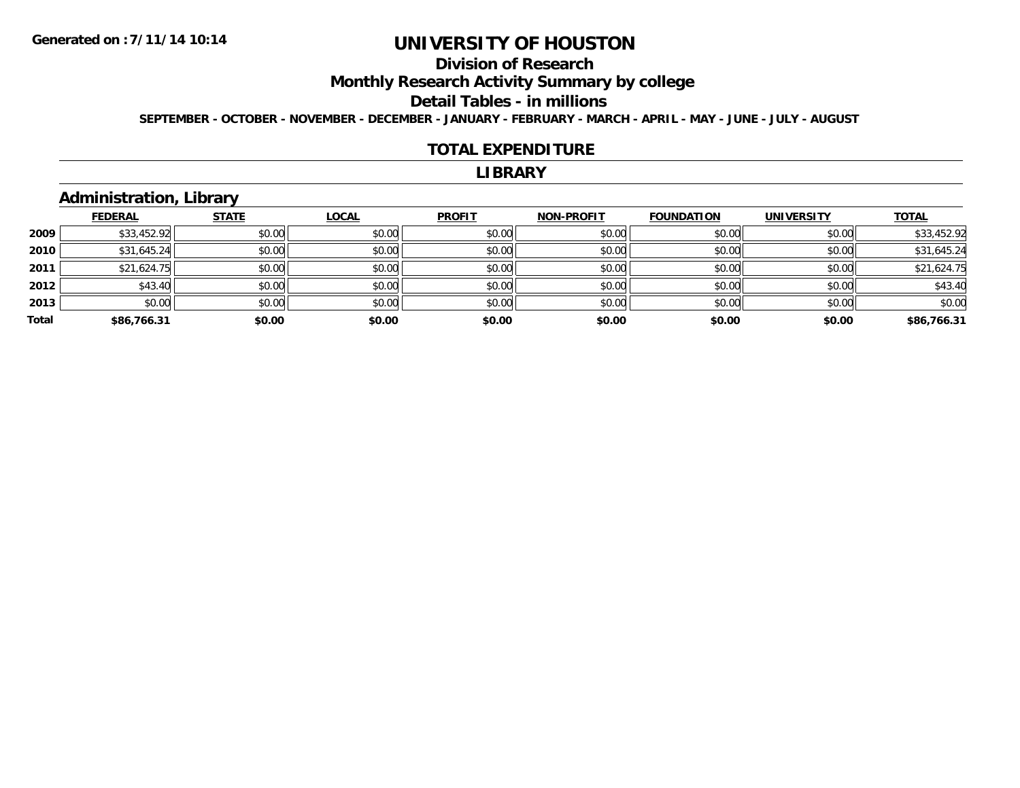## **Division of Research**

**Monthly Research Activity Summary by college**

#### **Detail Tables - in millions**

**SEPTEMBER - OCTOBER - NOVEMBER - DECEMBER - JANUARY - FEBRUARY - MARCH - APRIL - MAY - JUNE - JULY - AUGUST**

#### **TOTAL EXPENDITURE**

#### **LIBRARY**

## **Administration, Library**

|       | <b>FEDERAL</b> | <b>STATE</b> | <b>LOCAL</b> | <b>PROFIT</b> | <b>NON-PROFIT</b> | <b>FOUNDATION</b> | <b>UNIVERSITY</b> | <b>TOTAL</b> |
|-------|----------------|--------------|--------------|---------------|-------------------|-------------------|-------------------|--------------|
| 2009  | \$33,452.92    | \$0.00       | \$0.00       | \$0.00        | \$0.00            | \$0.00            | \$0.00            | \$33,452.92  |
| 2010  | \$31,645.24    | \$0.00       | \$0.00       | \$0.00        | \$0.00            | \$0.00            | \$0.00            | \$31,645.24  |
| 2011  | \$21,624.75    | \$0.00       | \$0.00       | \$0.00        | \$0.00            | \$0.00            | \$0.00            | \$21,624.75  |
| 2012  | \$43.40        | \$0.00       | \$0.00       | \$0.00        | \$0.00            | \$0.00            | \$0.00            | \$43.40      |
| 2013  | \$0.00         | \$0.00       | \$0.00       | \$0.00        | \$0.00            | \$0.00            | \$0.00            | \$0.00       |
| Total | \$86,766.31    | \$0.00       | \$0.00       | \$0.00        | \$0.00            | \$0.00            | \$0.00            | \$86,766.31  |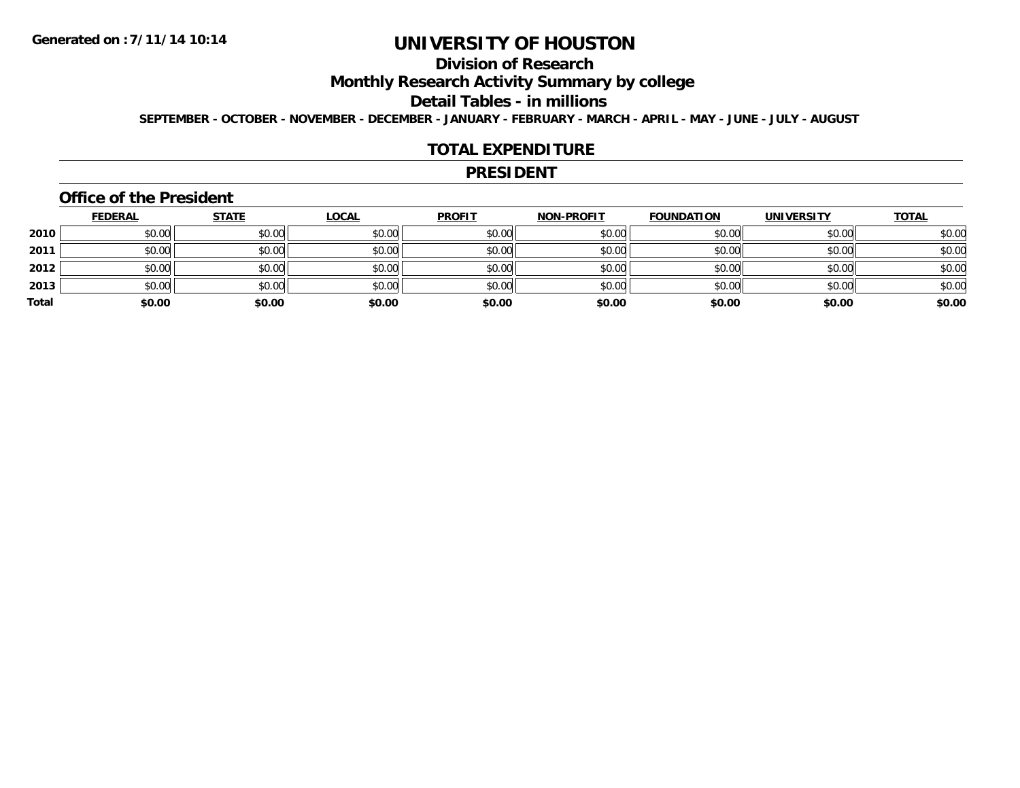## **Division of Research**

**Monthly Research Activity Summary by college**

#### **Detail Tables - in millions**

**SEPTEMBER - OCTOBER - NOVEMBER - DECEMBER - JANUARY - FEBRUARY - MARCH - APRIL - MAY - JUNE - JULY - AUGUST**

#### **TOTAL EXPENDITURE**

#### **PRESIDENT**

#### **Office of the President**

|       | <u>FEDERAL</u> | <b>STATE</b> | <b>LOCAL</b> | <b>PROFIT</b> | <b>NON-PROFIT</b> | <b>FOUNDATION</b> | <b>UNIVERSITY</b> | <b>TOTAL</b> |
|-------|----------------|--------------|--------------|---------------|-------------------|-------------------|-------------------|--------------|
| 2010  | \$0.00         | \$0.00       | \$0.00       | \$0.00        | \$0.00            | \$0.00            | \$0.00            | \$0.00       |
| 2011  | \$0.00         | \$0.00       | \$0.00       | \$0.00        | \$0.00            | \$0.00            | \$0.00            | \$0.00       |
| 2012  | \$0.00         | \$0.00       | \$0.00       | \$0.00        | \$0.00            | \$0.00            | \$0.00            | \$0.00       |
| 2013  | \$0.00         | \$0.00       | \$0.00       | \$0.00        | \$0.00            | \$0.00            | \$0.00            | \$0.00       |
| Total | \$0.00         | \$0.00       | \$0.00       | \$0.00        | \$0.00            | \$0.00            | \$0.00            | \$0.00       |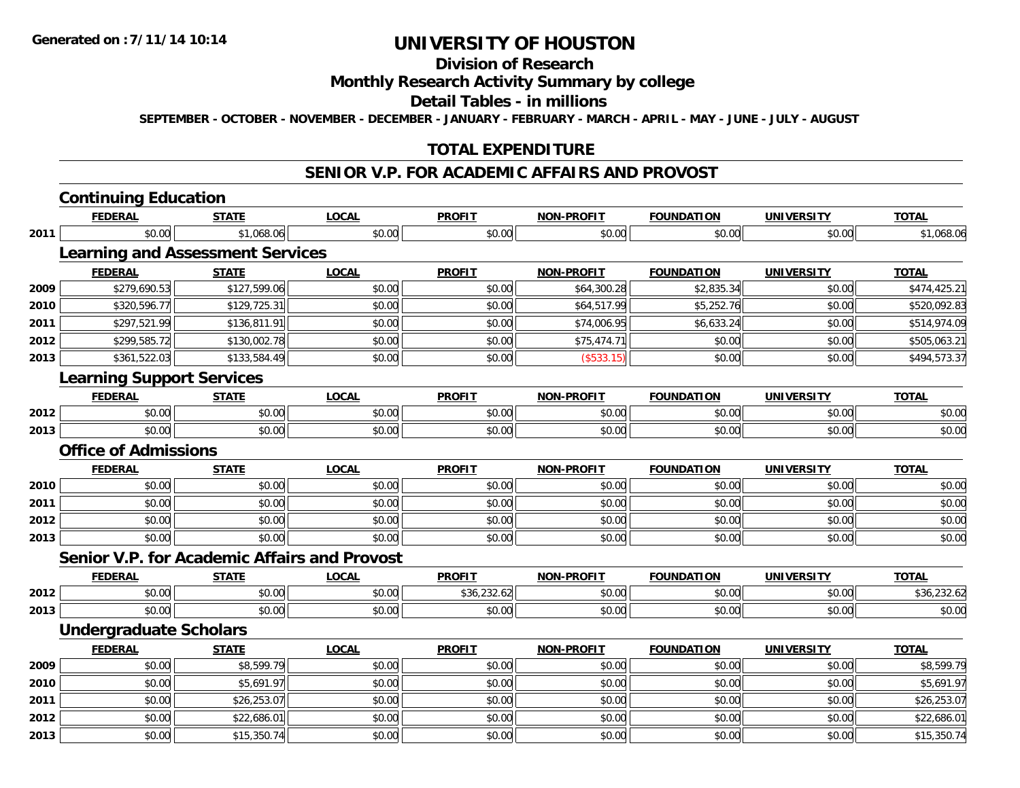**2013**

# **UNIVERSITY OF HOUSTON**

### **Division of Research**

#### **Monthly Research Activity Summary by college**

#### **Detail Tables - in millions**

**SEPTEMBER - OCTOBER - NOVEMBER - DECEMBER - JANUARY - FEBRUARY - MARCH - APRIL - MAY - JUNE - JULY - AUGUST**

### **TOTAL EXPENDITURE**

### **SENIOR V.P. FOR ACADEMIC AFFAIRS AND PROVOST**

|      | <b>Continuing Education</b>                  |              |              |               |                   |                   |                   |              |
|------|----------------------------------------------|--------------|--------------|---------------|-------------------|-------------------|-------------------|--------------|
|      | <b>FEDERAL</b>                               | <b>STATE</b> | <b>LOCAL</b> | <b>PROFIT</b> | <b>NON-PROFIT</b> | <b>FOUNDATION</b> | <b>UNIVERSITY</b> | <b>TOTAL</b> |
| 2011 | \$0.00                                       | \$1,068.06   | \$0.00       | \$0.00        | \$0.00            | \$0.00            | \$0.00            | \$1,068.06   |
|      | <b>Learning and Assessment Services</b>      |              |              |               |                   |                   |                   |              |
|      | <b>FEDERAL</b>                               | <b>STATE</b> | <b>LOCAL</b> | <b>PROFIT</b> | NON-PROFIT        | <b>FOUNDATION</b> | <b>UNIVERSITY</b> | <b>TOTAL</b> |
| 2009 | \$279,690.53                                 | \$127,599.06 | \$0.00       | \$0.00        | \$64,300.28       | \$2,835.34        | \$0.00            | \$474,425.21 |
| 2010 | \$320,596.77                                 | \$129,725.31 | \$0.00       | \$0.00        | \$64,517.99       | \$5,252.76        | \$0.00            | \$520,092.83 |
| 2011 | \$297,521.99                                 | \$136,811.91 | \$0.00       | \$0.00        | \$74,006.95       | \$6,633.24        | \$0.00            | \$514,974.09 |
| 2012 | \$299,585.72                                 | \$130,002.78 | \$0.00       | \$0.00        | \$75,474.71       | \$0.00            | \$0.00            | \$505,063.21 |
| 2013 | \$361,522.03                                 | \$133,584.49 | \$0.00       | \$0.00        | (\$533.15)        | \$0.00            | \$0.00            | \$494,573.37 |
|      | <b>Learning Support Services</b>             |              |              |               |                   |                   |                   |              |
|      | <b>FEDERAL</b>                               | <b>STATE</b> | <b>LOCAL</b> | <b>PROFIT</b> | <b>NON-PROFIT</b> | <b>FOUNDATION</b> | <b>UNIVERSITY</b> | <b>TOTAL</b> |
| 2012 | \$0.00                                       | \$0.00       | \$0.00       | \$0.00        | \$0.00            | \$0.00            | \$0.00            | \$0.00       |
| 2013 | \$0.00                                       | \$0.00       | \$0.00       | \$0.00        | \$0.00            | \$0.00            | \$0.00            | \$0.00       |
|      | <b>Office of Admissions</b>                  |              |              |               |                   |                   |                   |              |
|      | <b>FEDERAL</b>                               | <b>STATE</b> | <b>LOCAL</b> | <b>PROFIT</b> | <b>NON-PROFIT</b> | <b>FOUNDATION</b> | <b>UNIVERSITY</b> | <b>TOTAL</b> |
| 2010 | \$0.00                                       | \$0.00       | \$0.00       | \$0.00        | \$0.00            | \$0.00            | \$0.00            | \$0.00       |
| 2011 | \$0.00                                       | \$0.00       | \$0.00       | \$0.00        | \$0.00            | \$0.00            | \$0.00            | \$0.00       |
| 2012 | \$0.00                                       | \$0.00       | \$0.00       | \$0.00        | \$0.00            | \$0.00            | \$0.00            | \$0.00       |
| 2013 | \$0.00                                       | \$0.00       | \$0.00       | \$0.00        | \$0.00            | \$0.00            | \$0.00            | \$0.00       |
|      | Senior V.P. for Academic Affairs and Provost |              |              |               |                   |                   |                   |              |
|      | <b>FEDERAL</b>                               | <b>STATE</b> | <b>LOCAL</b> | <b>PROFIT</b> | <b>NON-PROFIT</b> | <b>FOUNDATION</b> | <b>UNIVERSITY</b> | <b>TOTAL</b> |
| 2012 | \$0.00                                       | \$0.00       | \$0.00       | \$36,232.62   | \$0.00            | \$0.00            | \$0.00            | \$36,232.62  |
| 2013 | \$0.00                                       | \$0.00       | \$0.00       | \$0.00        | \$0.00            | \$0.00            | \$0.00            | \$0.00       |
|      | <b>Undergraduate Scholars</b>                |              |              |               |                   |                   |                   |              |
|      | <b>FEDERAL</b>                               | <b>STATE</b> | <b>LOCAL</b> | <b>PROFIT</b> | <b>NON-PROFIT</b> | <b>FOUNDATION</b> | <b>UNIVERSITY</b> | <b>TOTAL</b> |
| 2009 | \$0.00                                       | \$8,599.79   | \$0.00       | \$0.00        | \$0.00            | \$0.00            | \$0.00            | \$8,599.79   |
| 2010 | \$0.00                                       | \$5,691.97   | \$0.00       | \$0.00        | \$0.00            | \$0.00            | \$0.00            | \$5,691.97   |
| 2011 | \$0.00                                       | \$26,253.07  | \$0.00       | \$0.00        | \$0.00            | \$0.00            | \$0.00            | \$26,253.07  |
| 2012 | \$0.00                                       | \$22,686.01  | \$0.00       | \$0.00        | \$0.00            | \$0.00            | \$0.00            | \$22,686.01  |

\$0.00 \$15,350.74 \$0.00 \$0.00 \$0.00 \$0.00 \$0.00 \$15,350.74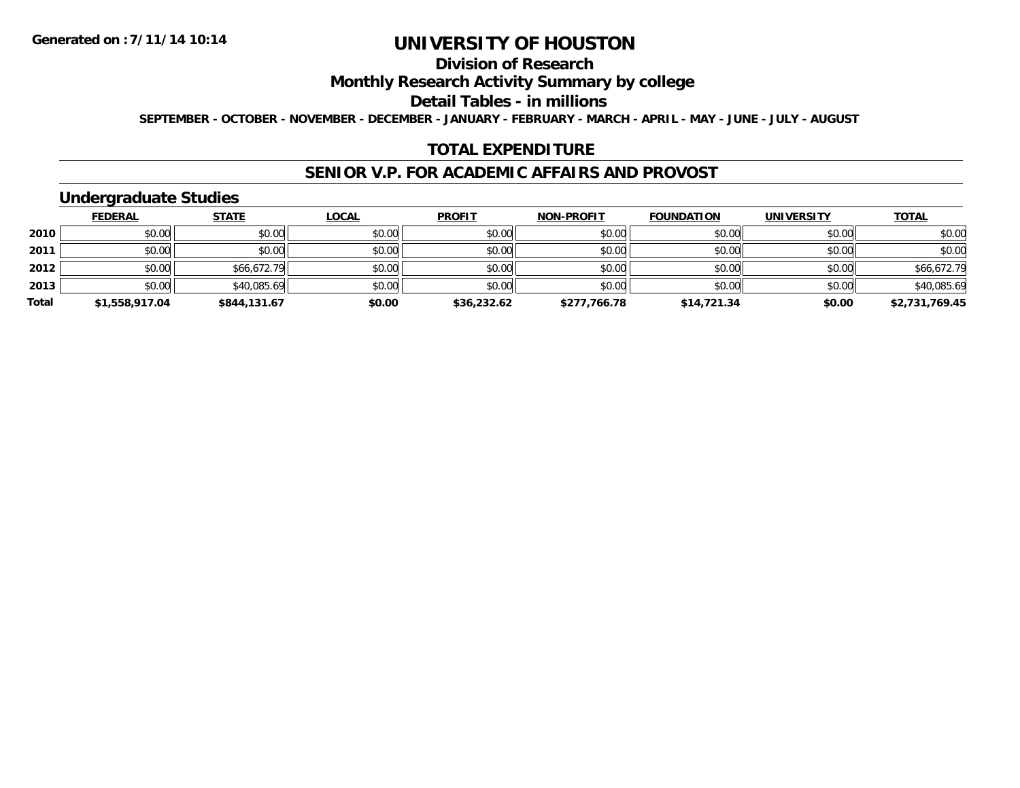## **Division of Research**

### **Monthly Research Activity Summary by college**

#### **Detail Tables - in millions**

**SEPTEMBER - OCTOBER - NOVEMBER - DECEMBER - JANUARY - FEBRUARY - MARCH - APRIL - MAY - JUNE - JULY - AUGUST**

#### **TOTAL EXPENDITURE**

#### **SENIOR V.P. FOR ACADEMIC AFFAIRS AND PROVOST**

### **Undergraduate Studies**

|       | <u>FEDERAL</u> | <b>STATE</b> | <u>LOCAL</u> | <b>PROFIT</b> | <b>NON-PROFIT</b> | <b>FOUNDATION</b> | <b>UNIVERSITY</b> | <b>TOTAL</b>   |
|-------|----------------|--------------|--------------|---------------|-------------------|-------------------|-------------------|----------------|
| 2010  | \$0.00         | \$0.00       | \$0.00       | \$0.00        | \$0.00            | \$0.00            | \$0.00            | \$0.00         |
| 2011  | \$0.00         | \$0.00       | \$0.00       | \$0.00        | \$0.00            | \$0.00            | \$0.00            | \$0.00         |
| 2012  | \$0.00         | \$66,672.79  | \$0.00       | \$0.00        | \$0.00            | \$0.00            | \$0.00            | \$66,672.79    |
| 2013  | \$0.00         | \$40,085.69  | \$0.00       | \$0.00        | \$0.00            | \$0.00            | \$0.00            | \$40,085.69    |
| Total | \$1,558,917.04 | \$844,131.67 | \$0.00       | \$36,232.62   | \$277,766.78      | \$14,721.34       | \$0.00            | \$2,731,769.45 |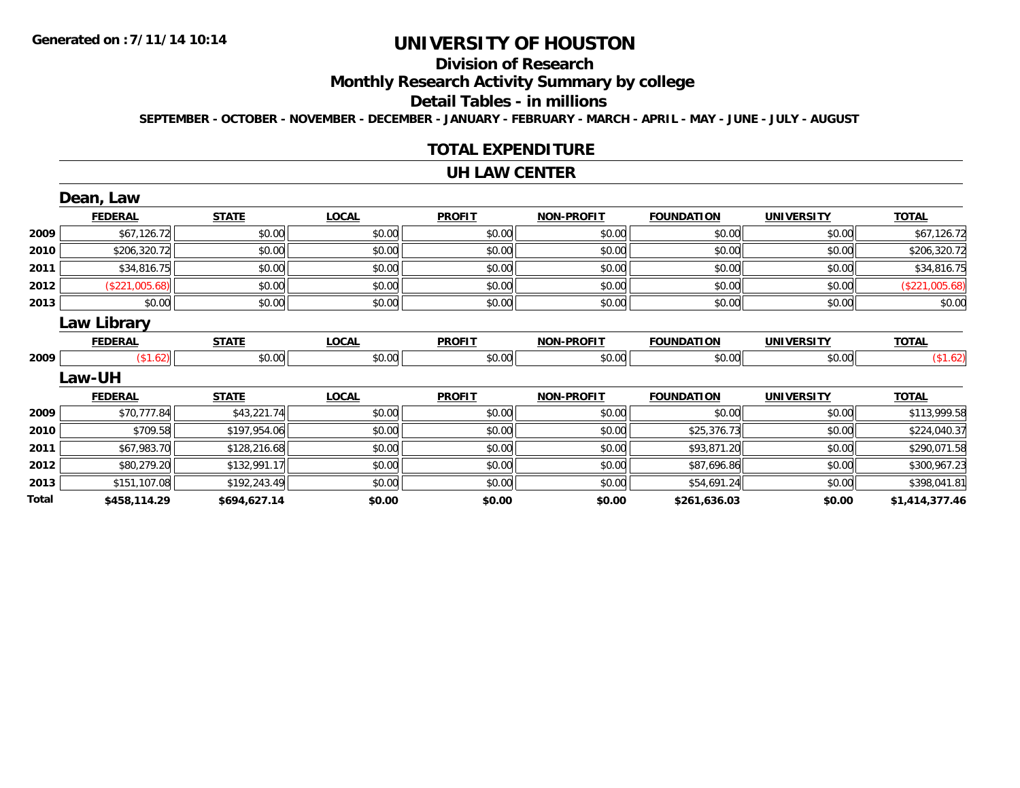## **Division of Research**

**Monthly Research Activity Summary by college**

#### **Detail Tables - in millions**

**SEPTEMBER - OCTOBER - NOVEMBER - DECEMBER - JANUARY - FEBRUARY - MARCH - APRIL - MAY - JUNE - JULY - AUGUST**

#### **TOTAL EXPENDITURE**

#### **UH LAW CENTER**

|       | Dean, Law          |              |              |               |                   |                   |                   |                |
|-------|--------------------|--------------|--------------|---------------|-------------------|-------------------|-------------------|----------------|
|       | <b>FEDERAL</b>     | <b>STATE</b> | <b>LOCAL</b> | <b>PROFIT</b> | <b>NON-PROFIT</b> | <b>FOUNDATION</b> | <b>UNIVERSITY</b> | <b>TOTAL</b>   |
| 2009  | \$67,126.72        | \$0.00       | \$0.00       | \$0.00        | \$0.00            | \$0.00            | \$0.00            | \$67,126.72    |
| 2010  | \$206,320.72       | \$0.00       | \$0.00       | \$0.00        | \$0.00            | \$0.00            | \$0.00            | \$206,320.72   |
| 2011  | \$34,816.75        | \$0.00       | \$0.00       | \$0.00        | \$0.00            | \$0.00            | \$0.00            | \$34,816.75    |
| 2012  | (\$221,005.68)     | \$0.00       | \$0.00       | \$0.00        | \$0.00            | \$0.00            | \$0.00            | (\$221,005.68) |
| 2013  | \$0.00             | \$0.00       | \$0.00       | \$0.00        | \$0.00            | \$0.00            | \$0.00            | \$0.00         |
|       | <b>Law Library</b> |              |              |               |                   |                   |                   |                |
|       | <b>FEDERAL</b>     | <b>STATE</b> | <b>LOCAL</b> | <b>PROFIT</b> | <b>NON-PROFIT</b> | <b>FOUNDATION</b> | <b>UNIVERSITY</b> | <b>TOTAL</b>   |
| 2009  | \$1.62]            | \$0.00       | \$0.00       | \$0.00        | \$0.00            | \$0.00            | \$0.00            | (\$1.62)       |
|       | Law-UH             |              |              |               |                   |                   |                   |                |
|       | <b>FEDERAL</b>     | <b>STATE</b> | <b>LOCAL</b> | <b>PROFIT</b> | <b>NON-PROFIT</b> | <b>FOUNDATION</b> | <b>UNIVERSITY</b> | <b>TOTAL</b>   |
| 2009  | \$70,777.84        | \$43,221.74  | \$0.00       | \$0.00        | \$0.00            | \$0.00            | \$0.00            | \$113,999.58   |
| 2010  | \$709.58           | \$197,954.06 | \$0.00       | \$0.00        | \$0.00            | \$25,376.73       | \$0.00            | \$224,040.37   |
| 2011  | \$67,983.70        | \$128,216.68 | \$0.00       | \$0.00        | \$0.00            | \$93,871.20       | \$0.00            | \$290,071.58   |
| 2012  | \$80,279.20        | \$132,991.17 | \$0.00       | \$0.00        | \$0.00            | \$87,696.86       | \$0.00            | \$300,967.23   |
| 2013  | \$151,107.08       | \$192,243.49 | \$0.00       | \$0.00        | \$0.00            | \$54,691.24       | \$0.00            | \$398,041.81   |
| Total | \$458,114.29       | \$694,627.14 | \$0.00       | \$0.00        | \$0.00            | \$261,636.03      | \$0.00            | \$1,414,377.46 |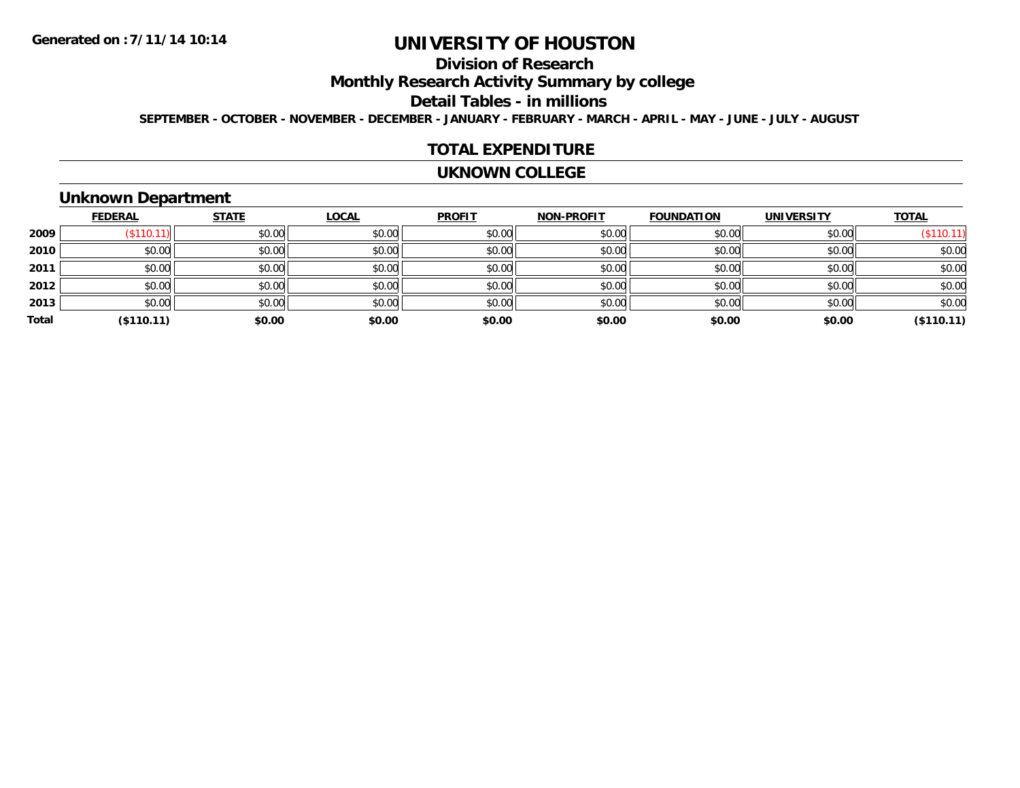## **Division of Research**

**Monthly Research Activity Summary by college**

#### **Detail Tables - in millions**

**SEPTEMBER - OCTOBER - NOVEMBER - DECEMBER - JANUARY - FEBRUARY - MARCH - APRIL - MAY - JUNE - JULY - AUGUST**

#### **TOTAL EXPENDITURE**

#### **UKNOWN COLLEGE**

### **Unknown Department**

|       | <b>FEDERAL</b> | <b>STATE</b> | <b>LOCAL</b> | <b>PROFIT</b> | <b>NON-PROFIT</b> | <b>FOUNDATION</b> | <b>UNIVERSITY</b> | <b>TOTAL</b> |
|-------|----------------|--------------|--------------|---------------|-------------------|-------------------|-------------------|--------------|
| 2009  | (\$110.11)     | \$0.00       | \$0.00       | \$0.00        | \$0.00            | \$0.00            | \$0.00            | (\$110.11)   |
| 2010  | \$0.00         | \$0.00       | \$0.00       | \$0.00        | \$0.00            | \$0.00            | \$0.00            | \$0.00       |
| 2011  | \$0.00         | \$0.00       | \$0.00       | \$0.00        | \$0.00            | \$0.00            | \$0.00            | \$0.00       |
| 2012  | \$0.00         | \$0.00       | \$0.00       | \$0.00        | \$0.00            | \$0.00            | \$0.00            | \$0.00       |
| 2013  | \$0.00         | \$0.00       | \$0.00       | \$0.00        | \$0.00            | \$0.00            | \$0.00            | \$0.00       |
| Total | (\$110.11)     | \$0.00       | \$0.00       | \$0.00        | \$0.00            | \$0.00            | \$0.00            | (\$110.11)   |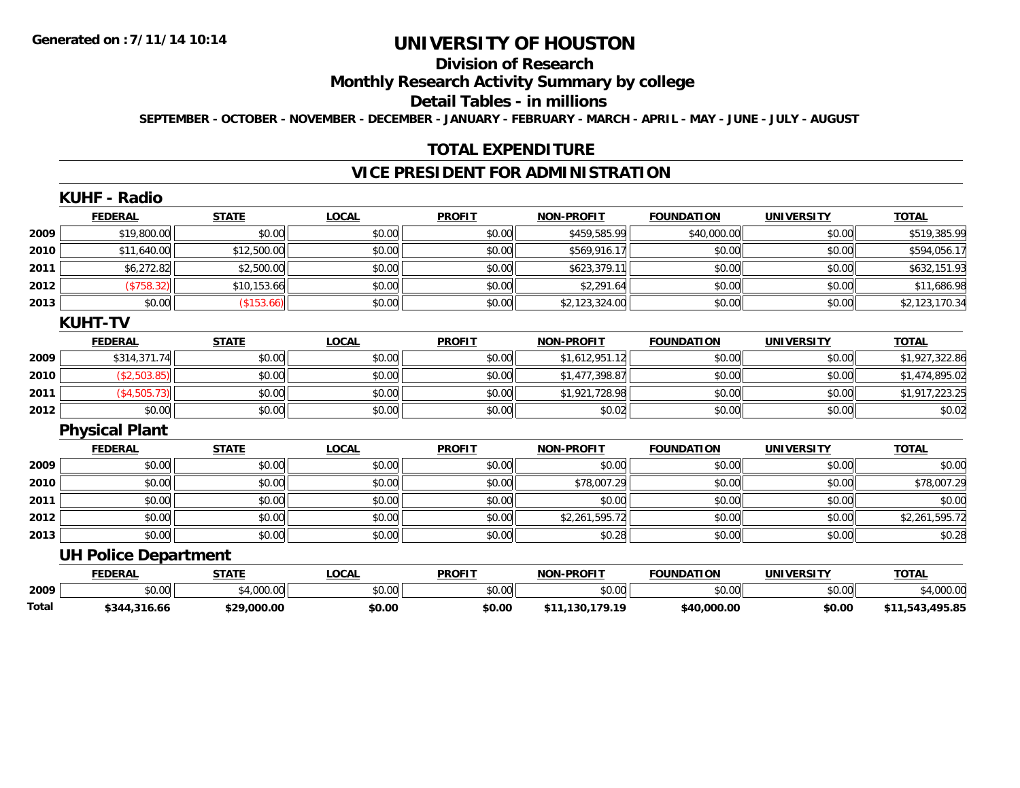# **Division of Research**

## **Monthly Research Activity Summary by college**

#### **Detail Tables - in millions**

**SEPTEMBER - OCTOBER - NOVEMBER - DECEMBER - JANUARY - FEBRUARY - MARCH - APRIL - MAY - JUNE - JULY - AUGUST**

### **TOTAL EXPENDITURE**

### **VICE PRESIDENT FOR ADMINISTRATION**

|       | KUHF - Radio                |              |              |               |                   |                   |                   |                 |
|-------|-----------------------------|--------------|--------------|---------------|-------------------|-------------------|-------------------|-----------------|
|       | <b>FEDERAL</b>              | <b>STATE</b> | <b>LOCAL</b> | <b>PROFIT</b> | <b>NON-PROFIT</b> | <b>FOUNDATION</b> | <b>UNIVERSITY</b> | <b>TOTAL</b>    |
| 2009  | \$19,800.00                 | \$0.00       | \$0.00       | \$0.00        | \$459,585.99      | \$40,000.00       | \$0.00            | \$519,385.99    |
| 2010  | \$11,640.00                 | \$12,500.00  | \$0.00       | \$0.00        | \$569,916.17      | \$0.00            | \$0.00            | \$594,056.17    |
| 2011  | \$6,272.82                  | \$2,500.00   | \$0.00       | \$0.00        | \$623,379.11      | \$0.00            | \$0.00            | \$632,151.93    |
| 2012  | (\$758.32)                  | \$10,153.66  | \$0.00       | \$0.00        | \$2,291.64        | \$0.00            | \$0.00            | \$11,686.98     |
| 2013  | \$0.00                      | (\$153.66)   | \$0.00       | \$0.00        | \$2,123,324.00    | \$0.00            | \$0.00            | \$2,123,170.34  |
|       | <b>KUHT-TV</b>              |              |              |               |                   |                   |                   |                 |
|       | <b>FEDERAL</b>              | <b>STATE</b> | <b>LOCAL</b> | <b>PROFIT</b> | <b>NON-PROFIT</b> | <b>FOUNDATION</b> | <b>UNIVERSITY</b> | <b>TOTAL</b>    |
| 2009  | \$314,371.74                | \$0.00       | \$0.00       | \$0.00        | \$1,612,951.12    | \$0.00            | \$0.00            | \$1,927,322.86  |
| 2010  | (\$2,503.85)                | \$0.00       | \$0.00       | \$0.00        | \$1,477,398.87    | \$0.00            | \$0.00            | \$1,474,895.02  |
| 2011  | (\$4,505.73)                | \$0.00       | \$0.00       | \$0.00        | \$1,921,728.98    | \$0.00            | \$0.00            | \$1,917,223.25  |
| 2012  | \$0.00                      | \$0.00       | \$0.00       | \$0.00        | \$0.02            | \$0.00            | \$0.00            | \$0.02          |
|       | <b>Physical Plant</b>       |              |              |               |                   |                   |                   |                 |
|       | <b>FEDERAL</b>              | <b>STATE</b> | <b>LOCAL</b> | <b>PROFIT</b> | <b>NON-PROFIT</b> | <b>FOUNDATION</b> | <b>UNIVERSITY</b> | <b>TOTAL</b>    |
| 2009  | \$0.00                      | \$0.00       | \$0.00       | \$0.00        | \$0.00            | \$0.00            | \$0.00            | \$0.00          |
| 2010  | \$0.00                      | \$0.00       | \$0.00       | \$0.00        | \$78,007.29       | \$0.00            | \$0.00            | \$78,007.29     |
| 2011  | \$0.00                      | \$0.00       | \$0.00       | \$0.00        | \$0.00            | \$0.00            | \$0.00            | \$0.00          |
| 2012  | \$0.00                      | \$0.00       | \$0.00       | \$0.00        | \$2,261,595.72    | \$0.00            | \$0.00            | \$2,261,595.72  |
| 2013  | \$0.00                      | \$0.00       | \$0.00       | \$0.00        | \$0.28            | \$0.00            | \$0.00            | \$0.28          |
|       | <b>UH Police Department</b> |              |              |               |                   |                   |                   |                 |
|       | <b>FEDERAL</b>              | <b>STATE</b> | <b>LOCAL</b> | <b>PROFIT</b> | <b>NON-PROFIT</b> | <b>FOUNDATION</b> | <b>UNIVERSITY</b> | <b>TOTAL</b>    |
| 2009  | \$0.00                      | \$4,000.00   | \$0.00       | \$0.00        | \$0.00            | \$0.00            | \$0.00            | \$4,000.00      |
| Total | \$344,316.66                | \$29,000.00  | \$0.00       | \$0.00        | \$11,130,179.19   | \$40,000.00       | \$0.00            | \$11,543,495.85 |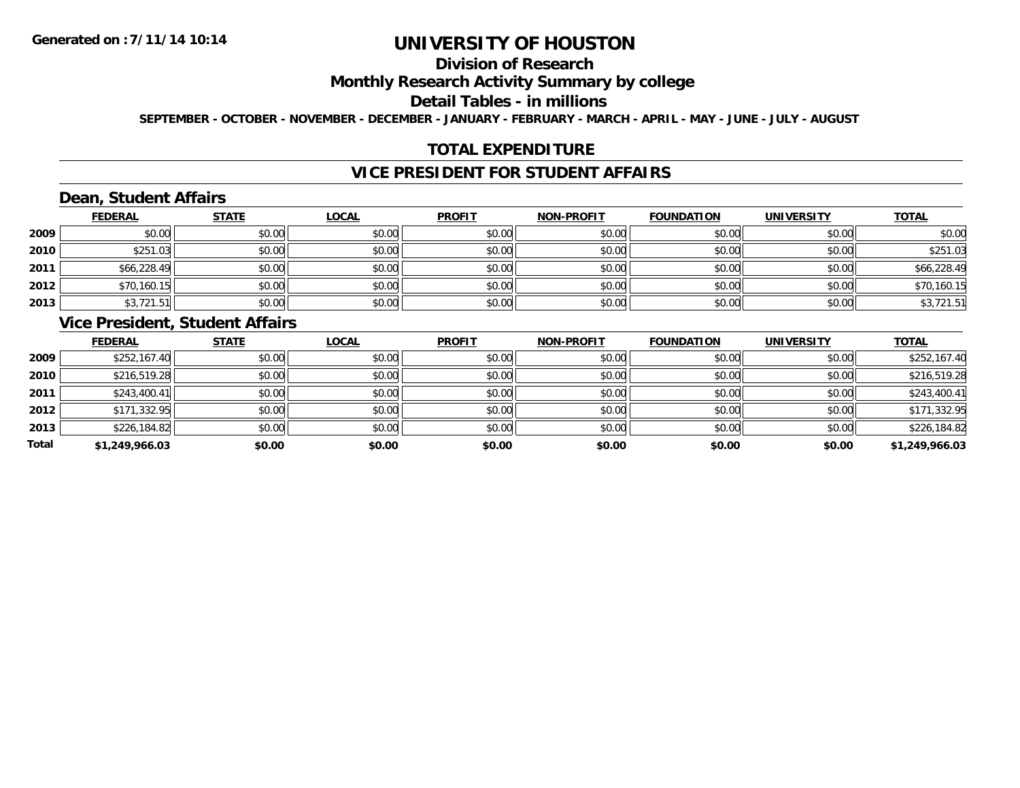### **Division of Research**

### **Monthly Research Activity Summary by college**

#### **Detail Tables - in millions**

**SEPTEMBER - OCTOBER - NOVEMBER - DECEMBER - JANUARY - FEBRUARY - MARCH - APRIL - MAY - JUNE - JULY - AUGUST**

### **TOTAL EXPENDITURE**

### **VICE PRESIDENT FOR STUDENT AFFAIRS**

### **Dean, Student Affairs**

|      | <b>FEDERAL</b> | <b>STATE</b> | <b>LOCAL</b> | <b>PROFIT</b> | <b>NON-PROFIT</b> | <b>FOUNDATION</b> | <b>UNIVERSITY</b> | <b>TOTAL</b> |
|------|----------------|--------------|--------------|---------------|-------------------|-------------------|-------------------|--------------|
| 2009 | \$0.00         | \$0.00       | \$0.00       | \$0.00        | \$0.00            | \$0.00            | \$0.00            | \$0.00       |
| 2010 | \$251.03       | \$0.00       | \$0.00       | \$0.00        | \$0.00            | \$0.00            | \$0.00            | \$251.03     |
| 2011 | \$66,228.49    | \$0.00       | \$0.00       | \$0.00        | \$0.00            | \$0.00            | \$0.00            | \$66,228.49  |
| 2012 | \$70,160.15    | \$0.00       | \$0.00       | \$0.00        | \$0.00            | \$0.00            | \$0.00            | \$70,160.15  |
| 2013 | \$3,721.51     | \$0.00       | \$0.00       | \$0.00        | \$0.00            | \$0.00            | \$0.00            | \$3,721.51   |

### **Vice President, Student Affairs**

|       | <b>FEDERAL</b> | <b>STATE</b> | <u>LOCAL</u> | <b>PROFIT</b> | <b>NON-PROFIT</b> | <b>FOUNDATION</b> | <b>UNIVERSITY</b> | <b>TOTAL</b>   |
|-------|----------------|--------------|--------------|---------------|-------------------|-------------------|-------------------|----------------|
| 2009  | \$252,167.40   | \$0.00       | \$0.00       | \$0.00        | \$0.00            | \$0.00            | \$0.00            | \$252,167.40   |
| 2010  | \$216,519.28   | \$0.00       | \$0.00       | \$0.00        | \$0.00            | \$0.00            | \$0.00            | \$216,519.28   |
| 2011  | \$243,400.41   | \$0.00       | \$0.00       | \$0.00        | \$0.00            | \$0.00            | \$0.00            | \$243,400.41   |
| 2012  | \$171,332.95   | \$0.00       | \$0.00       | \$0.00        | \$0.00            | \$0.00            | \$0.00            | \$171,332.95   |
| 2013  | \$226,184.82   | \$0.00       | \$0.00       | \$0.00        | \$0.00            | \$0.00            | \$0.00            | \$226,184.82   |
| Total | \$1,249,966.03 | \$0.00       | \$0.00       | \$0.00        | \$0.00            | \$0.00            | \$0.00            | \$1,249,966.03 |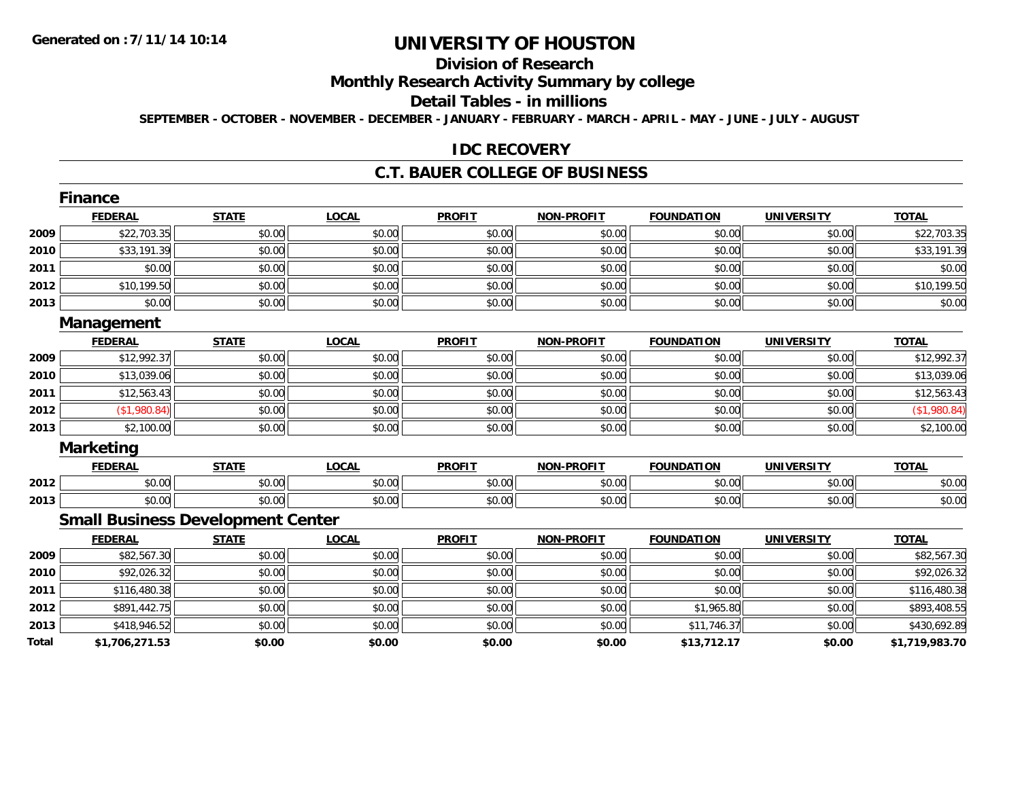# **Division of Research**

## **Monthly Research Activity Summary by college**

#### **Detail Tables - in millions**

**SEPTEMBER - OCTOBER - NOVEMBER - DECEMBER - JANUARY - FEBRUARY - MARCH - APRIL - MAY - JUNE - JULY - AUGUST**

#### **IDC RECOVERY**

#### **C.T. BAUER COLLEGE OF BUSINESS**

|       | <b>Finance</b>                           |              |              |               |                   |                   |                   |                |
|-------|------------------------------------------|--------------|--------------|---------------|-------------------|-------------------|-------------------|----------------|
|       | <b>FEDERAL</b>                           | <b>STATE</b> | <b>LOCAL</b> | <b>PROFIT</b> | <b>NON-PROFIT</b> | <b>FOUNDATION</b> | <b>UNIVERSITY</b> | <b>TOTAL</b>   |
| 2009  | \$22,703.35                              | \$0.00       | \$0.00       | \$0.00        | \$0.00            | \$0.00            | \$0.00            | \$22,703.35    |
| 2010  | \$33,191.39                              | \$0.00       | \$0.00       | \$0.00        | \$0.00            | \$0.00            | \$0.00            | \$33,191.39    |
| 2011  | \$0.00                                   | \$0.00       | \$0.00       | \$0.00        | \$0.00            | \$0.00            | \$0.00            | \$0.00         |
| 2012  | \$10,199.50                              | \$0.00       | \$0.00       | \$0.00        | \$0.00            | \$0.00            | \$0.00            | \$10,199.50    |
| 2013  | \$0.00                                   | \$0.00       | \$0.00       | \$0.00        | \$0.00            | \$0.00            | \$0.00            | \$0.00         |
|       | Management                               |              |              |               |                   |                   |                   |                |
|       | <b>FEDERAL</b>                           | <b>STATE</b> | <b>LOCAL</b> | <b>PROFIT</b> | <b>NON-PROFIT</b> | <b>FOUNDATION</b> | <b>UNIVERSITY</b> | <b>TOTAL</b>   |
| 2009  | \$12,992.37                              | \$0.00       | \$0.00       | \$0.00        | \$0.00            | \$0.00            | \$0.00            | \$12,992.37    |
| 2010  | \$13,039.06                              | \$0.00       | \$0.00       | \$0.00        | \$0.00            | \$0.00            | \$0.00            | \$13,039.06    |
| 2011  | \$12,563.43                              | \$0.00       | \$0.00       | \$0.00        | \$0.00            | \$0.00            | \$0.00            | \$12,563.43    |
| 2012  | (\$1,980.84)                             | \$0.00       | \$0.00       | \$0.00        | \$0.00            | \$0.00            | \$0.00            | (\$1,980.84)   |
| 2013  | \$2,100.00                               | \$0.00       | \$0.00       | \$0.00        | \$0.00            | \$0.00            | \$0.00            | \$2,100.00     |
|       | <b>Marketing</b>                         |              |              |               |                   |                   |                   |                |
|       | <b>FEDERAL</b>                           | <b>STATE</b> | <b>LOCAL</b> | <b>PROFIT</b> | <b>NON-PROFIT</b> | <b>FOUNDATION</b> | <b>UNIVERSITY</b> | <b>TOTAL</b>   |
| 2012  | \$0.00                                   | \$0.00       | \$0.00       | \$0.00        | \$0.00            | \$0.00            | \$0.00            | \$0.00         |
| 2013  | \$0.00                                   | \$0.00       | \$0.00       | \$0.00        | \$0.00            | \$0.00            | \$0.00            | \$0.00         |
|       | <b>Small Business Development Center</b> |              |              |               |                   |                   |                   |                |
|       | <b>FEDERAL</b>                           | <b>STATE</b> | <b>LOCAL</b> | <b>PROFIT</b> | <b>NON-PROFIT</b> | <b>FOUNDATION</b> | <b>UNIVERSITY</b> | <b>TOTAL</b>   |
| 2009  | \$82,567.30                              | \$0.00       | \$0.00       | \$0.00        | \$0.00            | \$0.00            | \$0.00            | \$82,567.30    |
| 2010  | \$92,026.32                              | \$0.00       | \$0.00       | \$0.00        | \$0.00            | \$0.00            | \$0.00            | \$92,026.32    |
| 2011  | \$116,480.38                             | \$0.00       | \$0.00       | \$0.00        | \$0.00            | \$0.00            | \$0.00            | \$116,480.38   |
| 2012  | \$891,442.75                             | \$0.00       | \$0.00       | \$0.00        | \$0.00            | \$1,965.80        | \$0.00            | \$893,408.55   |
| 2013  | \$418,946.52                             | \$0.00       | \$0.00       | \$0.00        | \$0.00            | \$11,746.37       | \$0.00            | \$430,692.89   |
| Total | \$1,706,271.53                           | \$0.00       | \$0.00       | \$0.00        | \$0.00            | \$13,712.17       | \$0.00            | \$1,719,983.70 |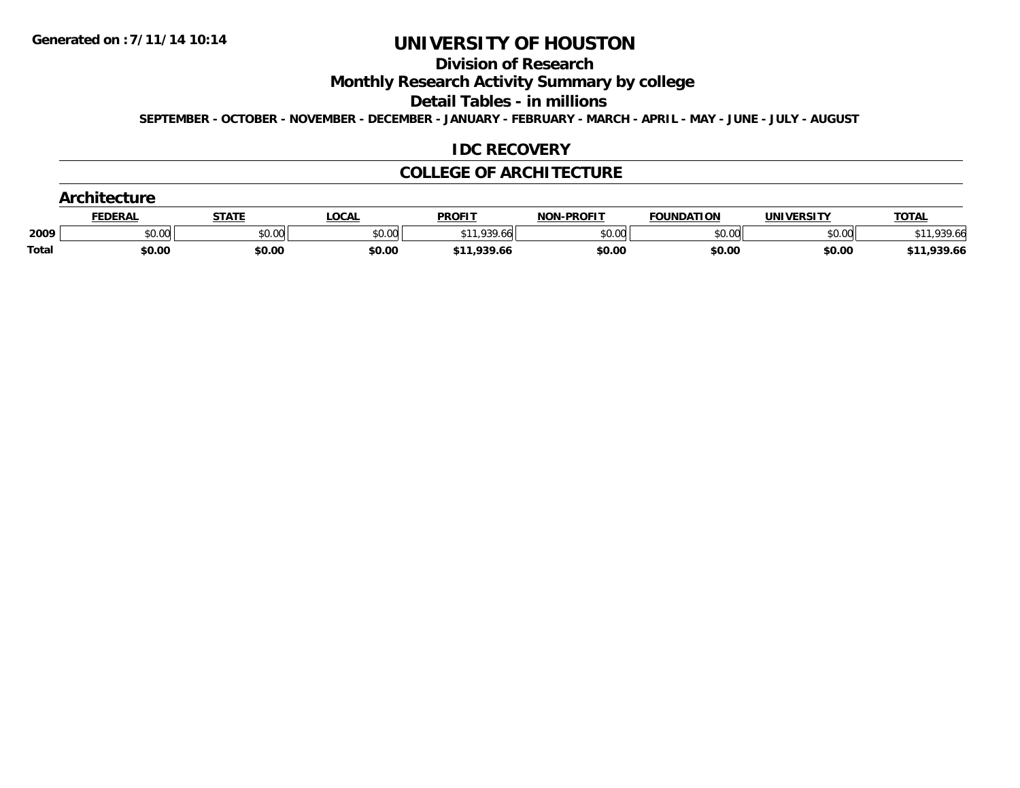#### **Division of Research**

**Monthly Research Activity Summary by college**

**Detail Tables - in millions**

**SEPTEMBER - OCTOBER - NOVEMBER - DECEMBER - JANUARY - FEBRUARY - MARCH - APRIL - MAY - JUNE - JULY - AUGUST**

### **IDC RECOVERY**

#### **COLLEGE OF ARCHITECTURE**

|              | <b>FEDERAL</b> | STATE  | LOCAL  | <b>PROFIT</b> | <b>NON-PROFIT</b> | <b>FOUNDATION</b> | UNIVERSITY | <b>TOTAL</b> |
|--------------|----------------|--------|--------|---------------|-------------------|-------------------|------------|--------------|
| 2009         | \$0.00         | \$0.00 | \$0.00 | \$11.939.66   | \$0.00            | \$0.00            | \$0.00     | 939.66       |
| <b>Total</b> | \$0.00         | \$0.00 | \$0.00 | \$11,939.66   | \$0.00            | \$0.00            | \$0.00     | \$11,939.66  |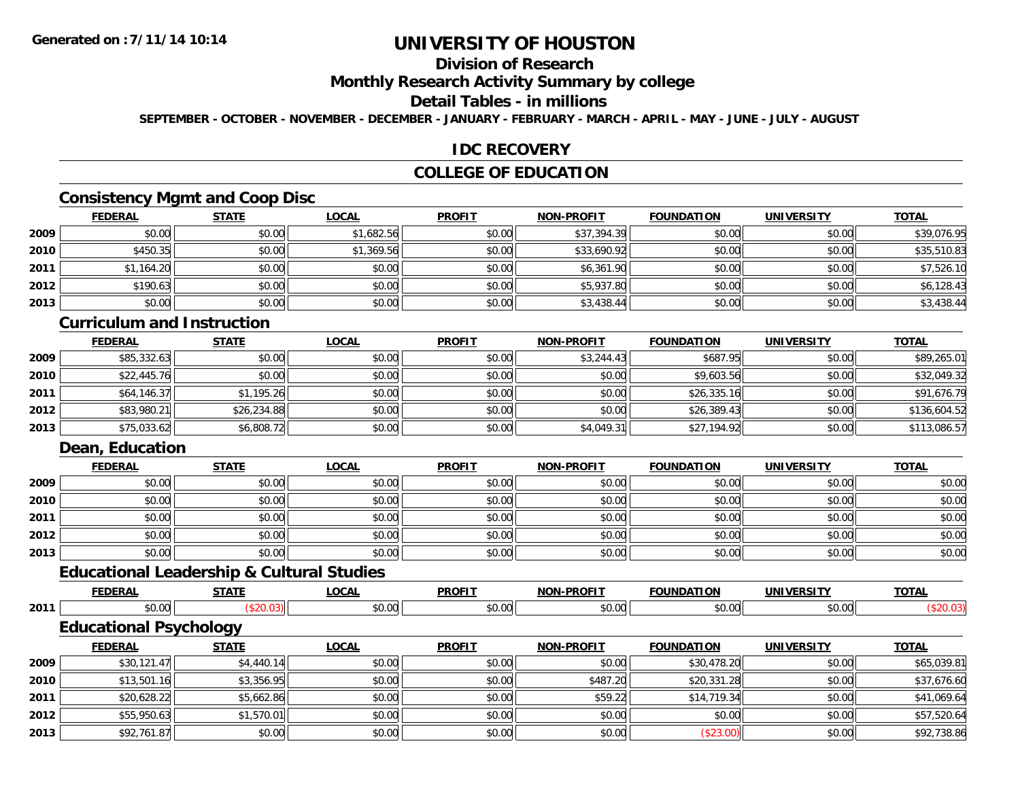## **Division of Research**

#### **Monthly Research Activity Summary by college**

#### **Detail Tables - in millions**

**SEPTEMBER - OCTOBER - NOVEMBER - DECEMBER - JANUARY - FEBRUARY - MARCH - APRIL - MAY - JUNE - JULY - AUGUST**

### **IDC RECOVERY**

### **COLLEGE OF EDUCATION**

### **Consistency Mgmt and Coop Disc**

|      | <b>FEDERAL</b> | <b>STATE</b> | <b>LOCAL</b> | <b>PROFIT</b> | <b>NON-PROFIT</b> | <b>FOUNDATION</b> | <b>UNIVERSITY</b> | <b>TOTAL</b> |
|------|----------------|--------------|--------------|---------------|-------------------|-------------------|-------------------|--------------|
| 2009 | \$0.00         | \$0.00       | \$1,682.56   | \$0.00        | \$37,394.39       | \$0.00            | \$0.00            | \$39,076.95  |
| 2010 | \$450.35       | \$0.00       | \$1,369.56   | \$0.00        | \$33,690.92       | \$0.00            | \$0.00            | \$35,510.83  |
| 2011 | \$1,164.20     | \$0.00       | \$0.00       | \$0.00        | \$6,361.90        | \$0.00            | \$0.00            | \$7,526.10   |
| 2012 | \$190.63       | \$0.00       | \$0.00       | \$0.00        | \$5,937.80        | \$0.00            | \$0.00            | \$6,128.43   |
| 2013 | \$0.00         | \$0.00       | \$0.00       | \$0.00        | \$3,438.44        | \$0.00            | \$0.00            | \$3,438.44   |

#### **Curriculum and Instruction**

|      | <u>FEDERAL</u> | <u>STATE</u> | <u>LOCAL</u> | <b>PROFIT</b> | <b>NON-PROFIT</b> | <b>FOUNDATION</b> | <b>UNIVERSITY</b> | <b>TOTAL</b> |
|------|----------------|--------------|--------------|---------------|-------------------|-------------------|-------------------|--------------|
| 2009 | \$85,332.63    | \$0.00       | \$0.00       | \$0.00        | \$3,244.43        | \$687.95          | \$0.00            | \$89,265.01  |
| 2010 | \$22,445.76    | \$0.00       | \$0.00       | \$0.00        | \$0.00            | \$9,603.56        | \$0.00            | \$32,049.32  |
| 2011 | \$64,146.37    | \$1,195.26   | \$0.00       | \$0.00        | \$0.00            | \$26,335.16       | \$0.00            | \$91,676.79  |
| 2012 | \$83,980.21    | \$26,234.88  | \$0.00       | \$0.00        | \$0.00            | \$26,389.43       | \$0.00            | \$136,604.52 |
| 2013 | \$75,033.62    | \$6,808.72   | \$0.00       | \$0.00        | \$4,049.31        | \$27,194.92       | \$0.00            | \$113,086.57 |

### **Dean, Education**

**2012**

**2013**

|      | <b>FEDERAL</b> | <b>STATE</b> | <u>LOCAL</u> | <b>PROFIT</b> | <b>NON-PROFIT</b> | <b>FOUNDATION</b> | <b>UNIVERSITY</b> | <b>TOTAL</b> |
|------|----------------|--------------|--------------|---------------|-------------------|-------------------|-------------------|--------------|
| 2009 | \$0.00         | \$0.00       | \$0.00       | \$0.00        | \$0.00            | \$0.00            | \$0.00            | \$0.00       |
| 2010 | \$0.00         | \$0.00       | \$0.00       | \$0.00        | \$0.00            | \$0.00            | \$0.00            | \$0.00       |
| 2011 | \$0.00         | \$0.00       | \$0.00       | \$0.00        | \$0.00            | \$0.00            | \$0.00            | \$0.00       |
| 2012 | \$0.00         | \$0.00       | \$0.00       | \$0.00        | \$0.00            | \$0.00            | \$0.00            | \$0.00       |
| 2013 | \$0.00         | \$0.00       | \$0.00       | \$0.00        | \$0.00            | \$0.00            | \$0.00            | \$0.00       |

## **Educational Leadership & Cultural Studies**

|      | <b>FEDERAL</b>                | <b>STATE</b> | LOCAL        | <b>PROFIT</b> | <b>NON-PROFIT</b> | <b>FOUNDATION</b> | <b>UNIVERSITY</b> | <b>TOTAL</b> |  |
|------|-------------------------------|--------------|--------------|---------------|-------------------|-------------------|-------------------|--------------|--|
| 2011 | \$0.00                        | (\$20.03)    | \$0.00       | \$0.00        | \$0.00            | \$0.00            | \$0.00            | (\$20.03)    |  |
|      | <b>Educational Psychology</b> |              |              |               |                   |                   |                   |              |  |
|      | <b>FEDERAL</b>                | <b>STATE</b> | <b>LOCAL</b> | <b>PROFIT</b> | <b>NON-PROFIT</b> | <b>FOUNDATION</b> | <b>UNIVERSITY</b> | <b>TOTAL</b> |  |
| 2009 | \$30,121.47                   | \$4,440.14   | \$0.00       | \$0.00        | \$0.00            | \$30,478.20       | \$0.00            | \$65,039.81  |  |
| 2010 | \$13,501.16                   | \$3,356.95   | \$0.00       | \$0.00        | \$487.20          | \$20,331.28       | \$0.00            | \$37,676.60  |  |
| 2011 | \$20.628.22                   | \$5.662.86   | \$0.00       | \$0.00        | \$59.22           | \$14.719.34       | \$0.00            | \$41.069.64  |  |

1 \$20,628.22 \$5,662.86 \$5,662.86 \$0.00 \$0.00 \$0.00 \$0.00 \$59.22 \$14,719.34 \$0.00 \$10.02 \$1,069.64

2 | \$55,950.63|| \$1,570.01|| \$0.00|| \$0.00|| \$0.00|| \$0.00|| \$0.00|| \$0.00|| \$0.00|| \$0.00|| \$57,520.64

\$92,761.87 \$0.00 \$0.00 \$0.00 \$0.00 (\$23.00) \$0.00 \$92,738.86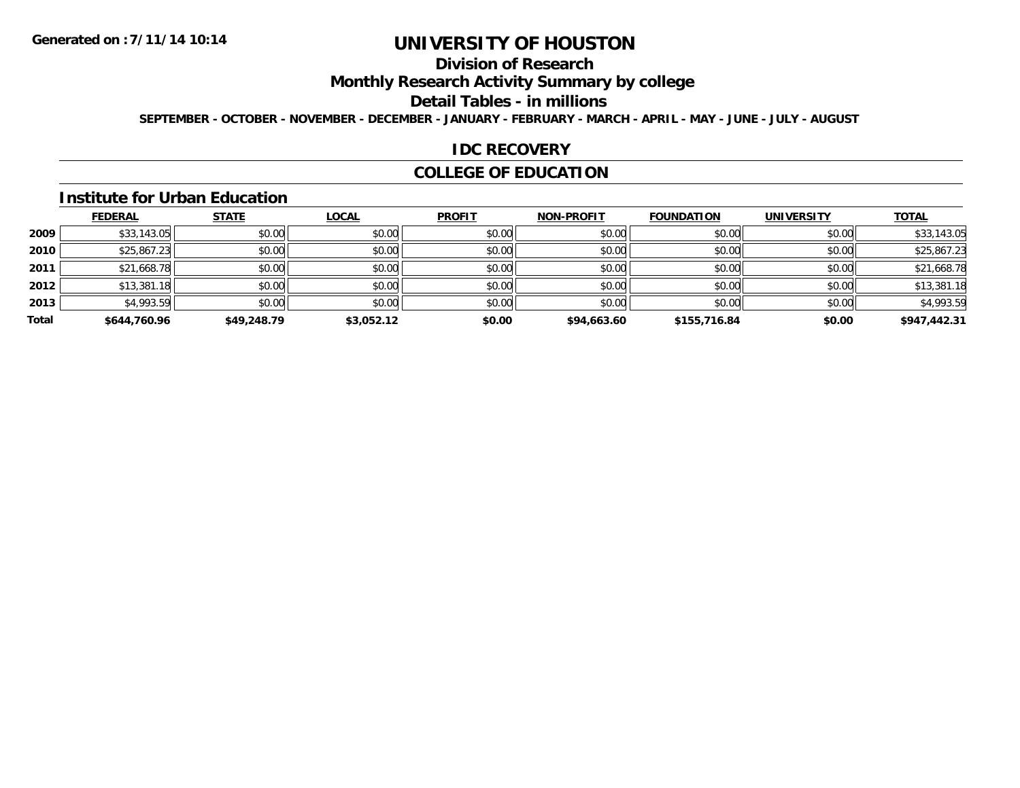## **Division of Research**

**Monthly Research Activity Summary by college**

#### **Detail Tables - in millions**

**SEPTEMBER - OCTOBER - NOVEMBER - DECEMBER - JANUARY - FEBRUARY - MARCH - APRIL - MAY - JUNE - JULY - AUGUST**

#### **IDC RECOVERY**

### **COLLEGE OF EDUCATION**

#### **Institute for Urban Education**

|       | <b>FEDERAL</b> | <b>STATE</b> | <b>LOCAL</b> | <b>PROFIT</b> | <b>NON-PROFIT</b> | <b>FOUNDATION</b> | <b>UNIVERSITY</b> | <b>TOTAL</b> |
|-------|----------------|--------------|--------------|---------------|-------------------|-------------------|-------------------|--------------|
| 2009  | \$33,143.05    | \$0.00       | \$0.00       | \$0.00        | \$0.00            | \$0.00            | \$0.00            | \$33,143.05  |
| 2010  | \$25,867.23    | \$0.00       | \$0.00       | \$0.00        | \$0.00            | \$0.00            | \$0.00            | \$25,867.23  |
| 2011  | \$21,668.78    | \$0.00       | \$0.00       | \$0.00        | \$0.00            | \$0.00            | \$0.00            | \$21,668.78  |
| 2012  | \$13,381.18    | \$0.00       | \$0.00       | \$0.00        | \$0.00            | \$0.00            | \$0.00            | \$13,381.18  |
| 2013  | \$4,993.59     | \$0.00       | \$0.00       | \$0.00        | \$0.00            | \$0.00            | \$0.00            | \$4,993.59   |
| Total | \$644,760.96   | \$49,248.79  | \$3,052.12   | \$0.00        | \$94,663.60       | \$155,716.84      | \$0.00            | \$947,442.31 |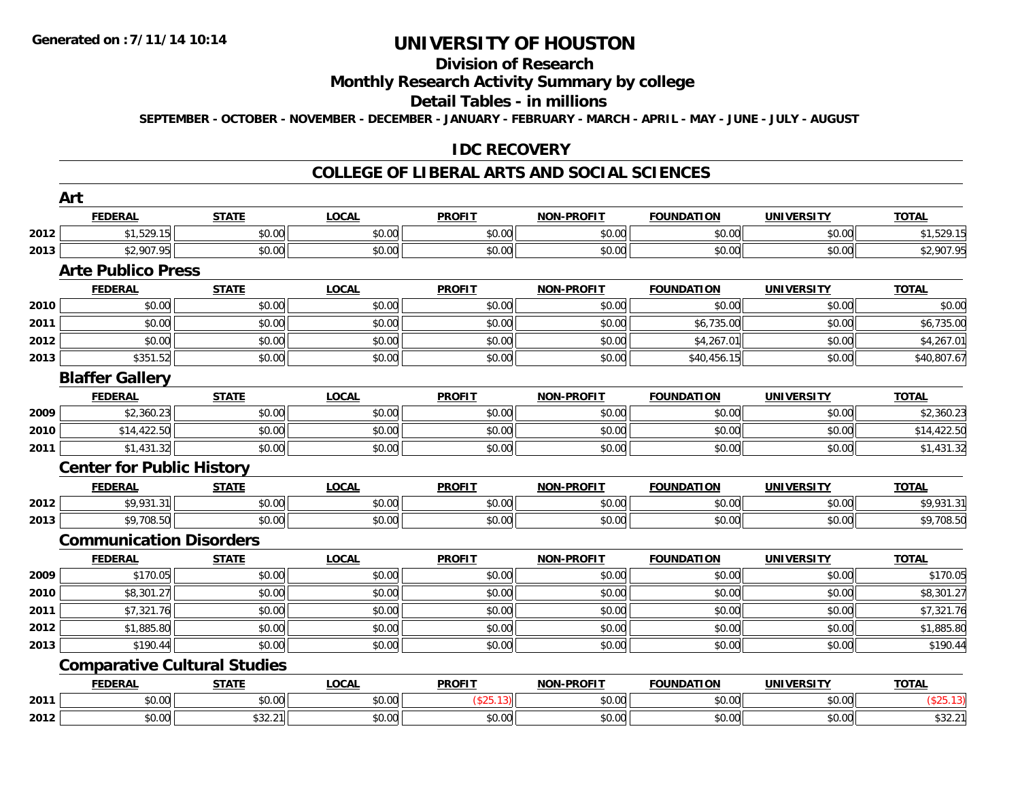# **Division of Research**

### **Monthly Research Activity Summary by college**

#### **Detail Tables - in millions**

**SEPTEMBER - OCTOBER - NOVEMBER - DECEMBER - JANUARY - FEBRUARY - MARCH - APRIL - MAY - JUNE - JULY - AUGUST**

#### **IDC RECOVERY**

#### **COLLEGE OF LIBERAL ARTS AND SOCIAL SCIENCES**

|      | Art                                 |              |              |               |                   |                   |                   |              |
|------|-------------------------------------|--------------|--------------|---------------|-------------------|-------------------|-------------------|--------------|
|      | <b>FEDERAL</b>                      | <b>STATE</b> | <b>LOCAL</b> | <b>PROFIT</b> | <b>NON-PROFIT</b> | <b>FOUNDATION</b> | <b>UNIVERSITY</b> | <b>TOTAL</b> |
| 2012 | \$1,529.15                          | \$0.00       | \$0.00       | \$0.00        | \$0.00            | \$0.00            | \$0.00            | \$1,529.15   |
| 2013 | \$2,907.95                          | \$0.00       | \$0.00       | \$0.00        | \$0.00            | \$0.00            | \$0.00            | \$2,907.95   |
|      | <b>Arte Publico Press</b>           |              |              |               |                   |                   |                   |              |
|      | <b>FEDERAL</b>                      | <b>STATE</b> | <b>LOCAL</b> | <b>PROFIT</b> | <b>NON-PROFIT</b> | <b>FOUNDATION</b> | <b>UNIVERSITY</b> | <b>TOTAL</b> |
| 2010 | \$0.00                              | \$0.00       | \$0.00       | \$0.00        | \$0.00            | \$0.00            | \$0.00            | \$0.00       |
| 2011 | \$0.00                              | \$0.00       | \$0.00       | \$0.00        | \$0.00            | \$6,735.00        | \$0.00            | \$6,735.00   |
| 2012 | \$0.00                              | \$0.00       | \$0.00       | \$0.00        | \$0.00            | \$4,267.01        | \$0.00            | \$4,267.01   |
| 2013 | \$351.52                            | \$0.00       | \$0.00       | \$0.00        | \$0.00            | \$40,456.15       | \$0.00            | \$40,807.67  |
|      | <b>Blaffer Gallery</b>              |              |              |               |                   |                   |                   |              |
|      | <b>FEDERAL</b>                      | <b>STATE</b> | <b>LOCAL</b> | <b>PROFIT</b> | <b>NON-PROFIT</b> | <b>FOUNDATION</b> | <b>UNIVERSITY</b> | <b>TOTAL</b> |
| 2009 | \$2,360.23                          | \$0.00       | \$0.00       | \$0.00        | \$0.00            | \$0.00            | \$0.00            | \$2,360.23   |
| 2010 | \$14,422.50                         | \$0.00       | \$0.00       | \$0.00        | \$0.00            | \$0.00            | \$0.00            | \$14,422.50  |
| 2011 | \$1,431.32                          | \$0.00       | \$0.00       | \$0.00        | \$0.00            | \$0.00            | \$0.00            | \$1,431.32   |
|      | <b>Center for Public History</b>    |              |              |               |                   |                   |                   |              |
|      | <b>FEDERAL</b>                      | <b>STATE</b> | <b>LOCAL</b> | <b>PROFIT</b> | <b>NON-PROFIT</b> | <b>FOUNDATION</b> | <b>UNIVERSITY</b> | <b>TOTAL</b> |
| 2012 | \$9,931.31                          | \$0.00       | \$0.00       | \$0.00        | \$0.00            | \$0.00            | \$0.00            | \$9,931.31   |
| 2013 | \$9,708.50                          | \$0.00       | \$0.00       | \$0.00        | \$0.00            | \$0.00            | \$0.00            | \$9,708.50   |
|      | <b>Communication Disorders</b>      |              |              |               |                   |                   |                   |              |
|      | <b>FEDERAL</b>                      | <b>STATE</b> | <b>LOCAL</b> | <b>PROFIT</b> | <b>NON-PROFIT</b> | <b>FOUNDATION</b> | <b>UNIVERSITY</b> | <b>TOTAL</b> |
| 2009 | \$170.05                            | \$0.00       | \$0.00       | \$0.00        | \$0.00            | \$0.00            | \$0.00            | \$170.05     |
| 2010 | \$8,301.27                          | \$0.00       | \$0.00       | \$0.00        | \$0.00            | \$0.00            | \$0.00            | \$8,301.27   |
| 2011 | \$7,321.76                          | \$0.00       | \$0.00       | \$0.00        | \$0.00            | \$0.00            | \$0.00            | \$7,321.76   |
| 2012 | \$1,885.80                          | \$0.00       | \$0.00       | \$0.00        | \$0.00            | \$0.00            | \$0.00            | \$1,885.80   |
| 2013 | \$190.44                            | \$0.00       | \$0.00       | \$0.00        | \$0.00            | \$0.00            | \$0.00            | \$190.44     |
|      | <b>Comparative Cultural Studies</b> |              |              |               |                   |                   |                   |              |
|      | <b>FEDERAL</b>                      | <b>STATE</b> | <b>LOCAL</b> | <b>PROFIT</b> | <b>NON-PROFIT</b> | <b>FOUNDATION</b> | <b>UNIVERSITY</b> | <b>TOTAL</b> |
| 2011 | \$0.00                              | \$0.00       | \$0.00       | (\$25.13)     | \$0.00            | \$0.00            | \$0.00            | (\$25.13)    |
| 2012 | \$0.00                              | \$32.21      | \$0.00       | \$0.00        | \$0.00            | \$0.00            | \$0.00            | \$32.21      |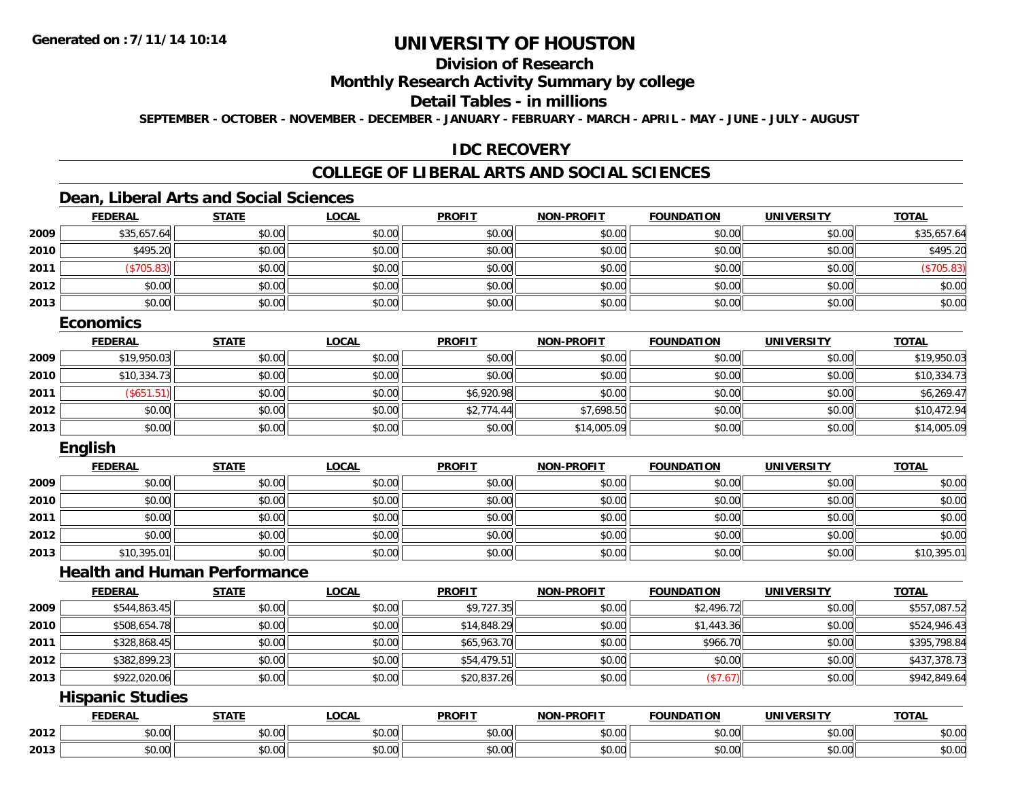### **Division of Research**

### **Monthly Research Activity Summary by college**

#### **Detail Tables - in millions**

**SEPTEMBER - OCTOBER - NOVEMBER - DECEMBER - JANUARY - FEBRUARY - MARCH - APRIL - MAY - JUNE - JULY - AUGUST**

### **IDC RECOVERY**

## **COLLEGE OF LIBERAL ARTS AND SOCIAL SCIENCES**

### **Dean, Liberal Arts and Social Sciences**

|      | <b>FEDERAL</b> | <b>STATE</b> | <u>LOCAL</u> | <b>PROFIT</b> | <b>NON-PROFIT</b> | <b>FOUNDATION</b> | <b>UNIVERSITY</b> | <b>TOTAL</b> |
|------|----------------|--------------|--------------|---------------|-------------------|-------------------|-------------------|--------------|
| 2009 | \$35,657.64    | \$0.00       | \$0.00       | \$0.00        | \$0.00            | \$0.00            | \$0.00            | \$35,657.64  |
| 2010 | \$495.20       | \$0.00       | \$0.00       | \$0.00        | \$0.00            | \$0.00            | \$0.00            | \$495.20     |
| 2011 | \$705.83       | \$0.00       | \$0.00       | \$0.00        | \$0.00            | \$0.00            | \$0.00            | \$705.83)    |
| 2012 | \$0.00         | \$0.00       | \$0.00       | \$0.00        | \$0.00            | \$0.00            | \$0.00            | \$0.00       |
| 2013 | \$0.00         | \$0.00       | \$0.00       | \$0.00        | \$0.00            | \$0.00            | \$0.00            | \$0.00       |

### **Economics**

|      | <u>FEDERAL</u> | <b>STATE</b> | <b>LOCAL</b> | <b>PROFIT</b> | <b>NON-PROFIT</b> | <b>FOUNDATION</b> | <b>UNIVERSITY</b> | <b>TOTAL</b> |
|------|----------------|--------------|--------------|---------------|-------------------|-------------------|-------------------|--------------|
| 2009 | \$19,950.03    | \$0.00       | \$0.00       | \$0.00        | \$0.00            | \$0.00            | \$0.00            | \$19,950.03  |
| 2010 | \$10,334.73    | \$0.00       | \$0.00       | \$0.00        | \$0.00            | \$0.00            | \$0.00            | \$10,334.73  |
| 2011 | (\$651.51)     | \$0.00       | \$0.00       | \$6,920.98    | \$0.00            | \$0.00            | \$0.00            | \$6,269.47   |
| 2012 | \$0.00         | \$0.00       | \$0.00       | \$2,774.44    | \$7,698.50        | \$0.00            | \$0.00            | \$10,472.94  |
| 2013 | \$0.00         | \$0.00       | \$0.00       | \$0.00        | \$14,005.09       | \$0.00            | \$0.00            | \$14,005.09  |

### **English**

|      | <b>FEDERAL</b> | <b>STATE</b> | <b>LOCAL</b> | <b>PROFIT</b> | <b>NON-PROFIT</b> | <b>FOUNDATION</b> | <b>UNIVERSITY</b> | <b>TOTAL</b> |
|------|----------------|--------------|--------------|---------------|-------------------|-------------------|-------------------|--------------|
| 2009 | \$0.00         | \$0.00       | \$0.00       | \$0.00        | \$0.00            | \$0.00            | \$0.00            | \$0.00       |
| 2010 | \$0.00         | \$0.00       | \$0.00       | \$0.00        | \$0.00            | \$0.00            | \$0.00            | \$0.00       |
| 2011 | \$0.00         | \$0.00       | \$0.00       | \$0.00        | \$0.00            | \$0.00            | \$0.00            | \$0.00       |
| 2012 | \$0.00         | \$0.00       | \$0.00       | \$0.00        | \$0.00            | \$0.00            | \$0.00            | \$0.00       |
| 2013 | \$10,395.01    | \$0.00       | \$0.00       | \$0.00        | \$0.00            | \$0.00            | \$0.00            | \$10,395.01  |

### **Health and Human Performance**

|      | <b>FEDERAL</b> | <b>STATE</b> | <u>LOCAL</u> | <b>PROFIT</b> | <b>NON-PROFIT</b> | <b>FOUNDATION</b> | UNIVERSITY | <b>TOTAL</b> |
|------|----------------|--------------|--------------|---------------|-------------------|-------------------|------------|--------------|
| 2009 | \$544,863.45   | \$0.00       | \$0.00       | \$9,727.35    | \$0.00            | \$2,496.72        | \$0.00     | \$557,087.52 |
| 2010 | \$508,654.78   | \$0.00       | \$0.00       | \$14,848.29   | \$0.00            | \$1,443.36        | \$0.00     | \$524,946.43 |
| 2011 | \$328,868.45   | \$0.00       | \$0.00       | \$65,963.70   | \$0.00            | \$966.70          | \$0.00     | \$395,798.84 |
| 2012 | \$382,899.23   | \$0.00       | \$0.00       | \$54,479.51   | \$0.00            | \$0.00            | \$0.00     | \$437,378.73 |
| 2013 | \$922,020.06   | \$0.00       | \$0.00       | \$20,837.26   | \$0.00            | (\$7.67)          | \$0.00     | \$942,849.64 |

### **Hispanic Studies**

|      | <b>FFBFB</b><br>-115 | $- - - - -$                                                                             | $\sim$ $\sim$ $\sim$<br>.UUA | <b>PROFIT</b> | $$ DDOF!<br>  | .<br><b>'INDL</b>                                              | <b>ININI</b><br>ne 1.<br>$\mathbf{v}$ | <b>TOTAL</b>                    |
|------|----------------------|-----------------------------------------------------------------------------------------|------------------------------|---------------|---------------|----------------------------------------------------------------|---------------------------------------|---------------------------------|
| 2012 | $\sim$ 00<br>טט.     | $\sim$ 00<br>JU.U                                                                       | $\sim$ $\sim$<br>vv.vv       | 0000<br>ww.uu | 0.00<br>ww.uu | $\mathfrak{g} \cap \mathfrak{g}$<br>JU.UU                      | $\sim$ 00<br>ψU.                      | $\triangle$ $\triangle$<br>JU.U |
| 2013 | $\sim$ 00<br>JU.UU   | $\begin{array}{c} \hline \text{A} & \text{A} & \text{A} \\ \hline \end{array}$<br>JU.UU | $\sim$ $\sim$<br>JU.UU       | 0000<br>JU.UU | 0.00<br>JU.UU | $\mathfrak{g} \cap \mathfrak{g} \subset \mathfrak{g}$<br>JU.UU | $\sim$ 00<br>JU.UU                    | JU.UU                           |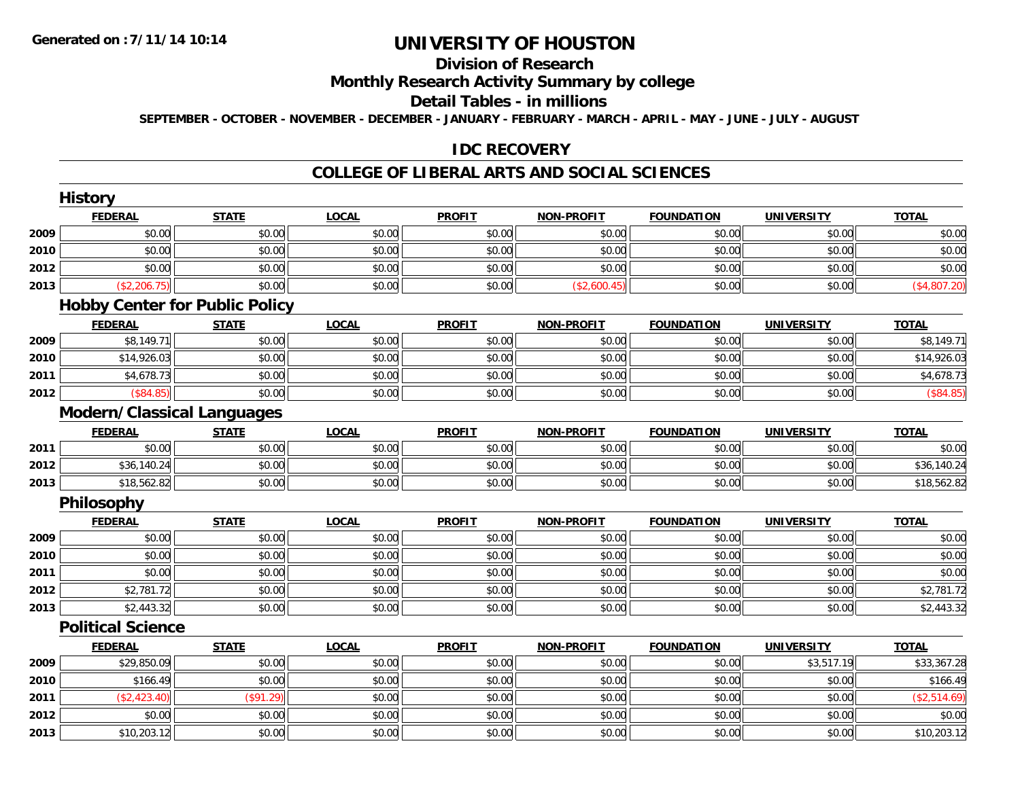## **Division of Research**

### **Monthly Research Activity Summary by college**

#### **Detail Tables - in millions**

**SEPTEMBER - OCTOBER - NOVEMBER - DECEMBER - JANUARY - FEBRUARY - MARCH - APRIL - MAY - JUNE - JULY - AUGUST**

### **IDC RECOVERY**

#### **COLLEGE OF LIBERAL ARTS AND SOCIAL SCIENCES**

|      | <b>History</b>                    |                                       |              |               |                   |                   |                   |              |
|------|-----------------------------------|---------------------------------------|--------------|---------------|-------------------|-------------------|-------------------|--------------|
|      | <b>FEDERAL</b>                    | <b>STATE</b>                          | <b>LOCAL</b> | <b>PROFIT</b> | <b>NON-PROFIT</b> | <b>FOUNDATION</b> | <b>UNIVERSITY</b> | <b>TOTAL</b> |
| 2009 | \$0.00                            | \$0.00                                | \$0.00       | \$0.00        | \$0.00            | \$0.00            | \$0.00            | \$0.00       |
| 2010 | \$0.00                            | \$0.00                                | \$0.00       | \$0.00        | \$0.00            | \$0.00            | \$0.00            | \$0.00       |
| 2012 | \$0.00                            | \$0.00                                | \$0.00       | \$0.00        | \$0.00            | \$0.00            | \$0.00            | \$0.00       |
| 2013 | (\$2,206.75)                      | \$0.00                                | \$0.00       | \$0.00        | (\$2,600.45)      | \$0.00            | \$0.00            | (\$4,807.20) |
|      |                                   | <b>Hobby Center for Public Policy</b> |              |               |                   |                   |                   |              |
|      | <b>FEDERAL</b>                    | <b>STATE</b>                          | <b>LOCAL</b> | <b>PROFIT</b> | <b>NON-PROFIT</b> | <b>FOUNDATION</b> | <b>UNIVERSITY</b> | <b>TOTAL</b> |
| 2009 | \$8,149.71                        | \$0.00                                | \$0.00       | \$0.00        | \$0.00            | \$0.00            | \$0.00            | \$8,149.71   |
| 2010 | \$14,926.03                       | \$0.00                                | \$0.00       | \$0.00        | \$0.00            | \$0.00            | \$0.00            | \$14,926.03  |
| 2011 | \$4,678.73                        | \$0.00                                | \$0.00       | \$0.00        | \$0.00            | \$0.00            | \$0.00            | \$4,678.73   |
| 2012 | (\$84.85)                         | \$0.00                                | \$0.00       | \$0.00        | \$0.00            | \$0.00            | \$0.00            | (\$84.85)    |
|      | <b>Modern/Classical Languages</b> |                                       |              |               |                   |                   |                   |              |
|      | <b>FEDERAL</b>                    | <b>STATE</b>                          | <b>LOCAL</b> | <b>PROFIT</b> | <b>NON-PROFIT</b> | <b>FOUNDATION</b> | <b>UNIVERSITY</b> | <b>TOTAL</b> |
| 2011 | \$0.00                            | \$0.00                                | \$0.00       | \$0.00        | \$0.00            | \$0.00            | \$0.00            | \$0.00       |
| 2012 | \$36,140.24                       | \$0.00                                | \$0.00       | \$0.00        | \$0.00            | \$0.00            | \$0.00            | \$36,140.24  |
| 2013 | \$18,562.82                       | \$0.00                                | \$0.00       | \$0.00        | \$0.00            | \$0.00            | \$0.00            | \$18,562.82  |
|      | Philosophy                        |                                       |              |               |                   |                   |                   |              |
|      | <b>FEDERAL</b>                    | <b>STATE</b>                          | <b>LOCAL</b> | <b>PROFIT</b> | <b>NON-PROFIT</b> | <b>FOUNDATION</b> | <b>UNIVERSITY</b> | <b>TOTAL</b> |
| 2009 | \$0.00                            | \$0.00                                | \$0.00       | \$0.00        | \$0.00            | \$0.00            | \$0.00            | \$0.00       |
| 2010 | \$0.00                            | \$0.00                                | \$0.00       | \$0.00        | \$0.00            | \$0.00            | \$0.00            | \$0.00       |
| 2011 | \$0.00                            | \$0.00                                | \$0.00       | \$0.00        | \$0.00            | \$0.00            | \$0.00            | \$0.00       |
| 2012 | \$2,781.72                        | \$0.00                                | \$0.00       | \$0.00        | \$0.00            | \$0.00            | \$0.00            | \$2,781.72   |
| 2013 | \$2,443.32                        | \$0.00                                | \$0.00       | \$0.00        | \$0.00            | \$0.00            | \$0.00            | \$2,443.32   |
|      | <b>Political Science</b>          |                                       |              |               |                   |                   |                   |              |
|      | <b>FEDERAL</b>                    | <b>STATE</b>                          | <b>LOCAL</b> | <b>PROFIT</b> | <b>NON-PROFIT</b> | <b>FOUNDATION</b> | <b>UNIVERSITY</b> | <b>TOTAL</b> |
| 2009 | \$29,850.09                       | \$0.00                                | \$0.00       | \$0.00        | \$0.00            | \$0.00            | \$3,517.19        | \$33,367.28  |
| 2010 | \$166.49                          | \$0.00                                | \$0.00       | \$0.00        | \$0.00            | \$0.00            | \$0.00            | \$166.49     |
| 2011 | (\$2,423.40)                      | (\$91.29)                             | \$0.00       | \$0.00        | \$0.00            | \$0.00            | \$0.00            | (\$2,514.69) |
| 2012 | \$0.00                            | \$0.00                                | \$0.00       | \$0.00        | \$0.00            | \$0.00            | \$0.00            | \$0.00       |
| 2013 | \$10,203.12                       | \$0.00                                | \$0.00       | \$0.00        | \$0.00            | \$0.00            | \$0.00            | \$10,203.12  |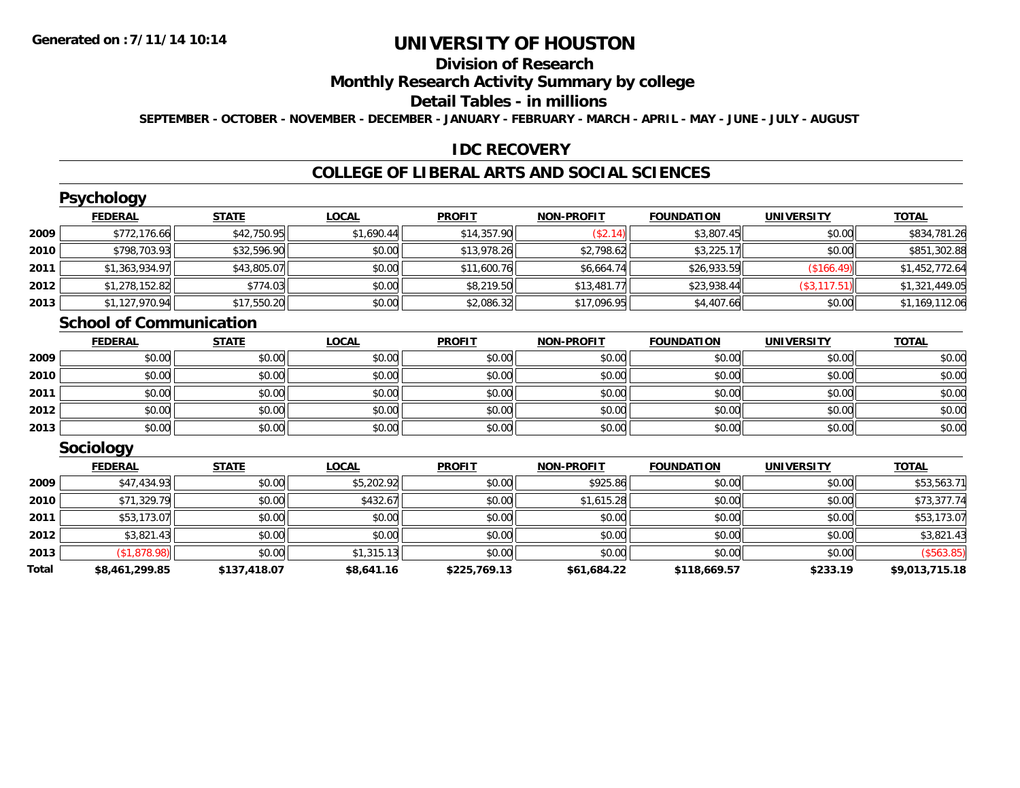## **Division of Research**

### **Monthly Research Activity Summary by college**

#### **Detail Tables - in millions**

**SEPTEMBER - OCTOBER - NOVEMBER - DECEMBER - JANUARY - FEBRUARY - MARCH - APRIL - MAY - JUNE - JULY - AUGUST**

### **IDC RECOVERY**

### **COLLEGE OF LIBERAL ARTS AND SOCIAL SCIENCES**

|      | <b>Psychology</b>              |              |              |               |                   |                   |                   |                |
|------|--------------------------------|--------------|--------------|---------------|-------------------|-------------------|-------------------|----------------|
|      | <b>FEDERAL</b>                 | <b>STATE</b> | <b>LOCAL</b> | <b>PROFIT</b> | <b>NON-PROFIT</b> | <b>FOUNDATION</b> | <b>UNIVERSITY</b> | <b>TOTAL</b>   |
| 2009 | \$772,176.66                   | \$42,750.95  | \$1,690.44   | \$14,357.90   | (\$2.14)          | \$3,807.45        | \$0.00            | \$834,781.26   |
| 2010 | \$798,703.93                   | \$32,596.90  | \$0.00       | \$13,978.26   | \$2,798.62        | \$3,225.17        | \$0.00            | \$851,302.88   |
| 2011 | \$1,363,934.97                 | \$43,805.07  | \$0.00       | \$11,600.76   | \$6,664.74        | \$26,933.59       | (\$166.49)        | \$1,452,772.64 |
| 2012 | \$1,278,152.82                 | \$774.03     | \$0.00       | \$8,219.50    | \$13,481.77       | \$23,938.44       | (S3, 117.51)      | \$1,321,449.05 |
| 2013 | \$1,127,970.94                 | \$17,550.20  | \$0.00       | \$2,086.32    | \$17,096.95       | \$4,407.66        | \$0.00            | \$1,169,112.06 |
|      | <b>School of Communication</b> |              |              |               |                   |                   |                   |                |
|      | <b>FEDERAL</b>                 | <b>STATE</b> | <b>LOCAL</b> | <b>PROFIT</b> | <b>NON-PROFIT</b> | <b>FOUNDATION</b> | <b>UNIVERSITY</b> | <b>TOTAL</b>   |
|      |                                |              |              |               |                   |                   |                   |                |

| 2009 | \$0.00 | \$0.00 | \$0.00 | \$0.00 | \$0.00 | \$0.00 | \$0.00 | \$0.00 |
|------|--------|--------|--------|--------|--------|--------|--------|--------|
| 2010 | \$0.00 | \$0.00 | \$0.00 | \$0.00 | \$0.00 | \$0.00 | \$0.00 | \$0.00 |
| 2011 | \$0.00 | \$0.00 | \$0.00 | \$0.00 | \$0.00 | \$0.00 | \$0.00 | \$0.00 |
| 2012 | \$0.00 | \$0.00 | \$0.00 | \$0.00 | \$0.00 | \$0.00 | \$0.00 | \$0.00 |
| 2013 | \$0.00 | \$0.00 | \$0.00 | \$0.00 | \$0.00 | \$0.00 | \$0.00 | \$0.00 |

### **Sociology**

|       | <b>FEDERAL</b> | <b>STATE</b> | <u>LOCAL</u> | <b>PROFIT</b> | <b>NON-PROFIT</b> | <b>FOUNDATION</b> | <b>UNIVERSITY</b> | <b>TOTAL</b>   |
|-------|----------------|--------------|--------------|---------------|-------------------|-------------------|-------------------|----------------|
| 2009  | \$47,434.93    | \$0.00       | \$5,202.92   | \$0.00        | \$925.86          | \$0.00            | \$0.00            | \$53,563.71    |
| 2010  | \$71,329.79    | \$0.00       | \$432.67     | \$0.00        | \$1.615.28        | \$0.00            | \$0.00            | \$73,377.74    |
| 2011  | \$53,173.07    | \$0.00       | \$0.00       | \$0.00        | \$0.00            | \$0.00            | \$0.00            | \$53,173.07    |
| 2012  | \$3.821.43     | \$0.00       | \$0.00       | \$0.00        | \$0.00            | \$0.00            | \$0.00            | \$3,821.43     |
| 2013  | \$1,878.98     | \$0.00       | \$1,315.13   | \$0.00        | \$0.00            | \$0.00            | \$0.00            | ( \$563.85)    |
| Total | \$8,461,299.85 | \$137,418.07 | \$8,641.16   | \$225,769.13  | \$61,684.22       | \$118,669.57      | \$233.19          | \$9,013,715.18 |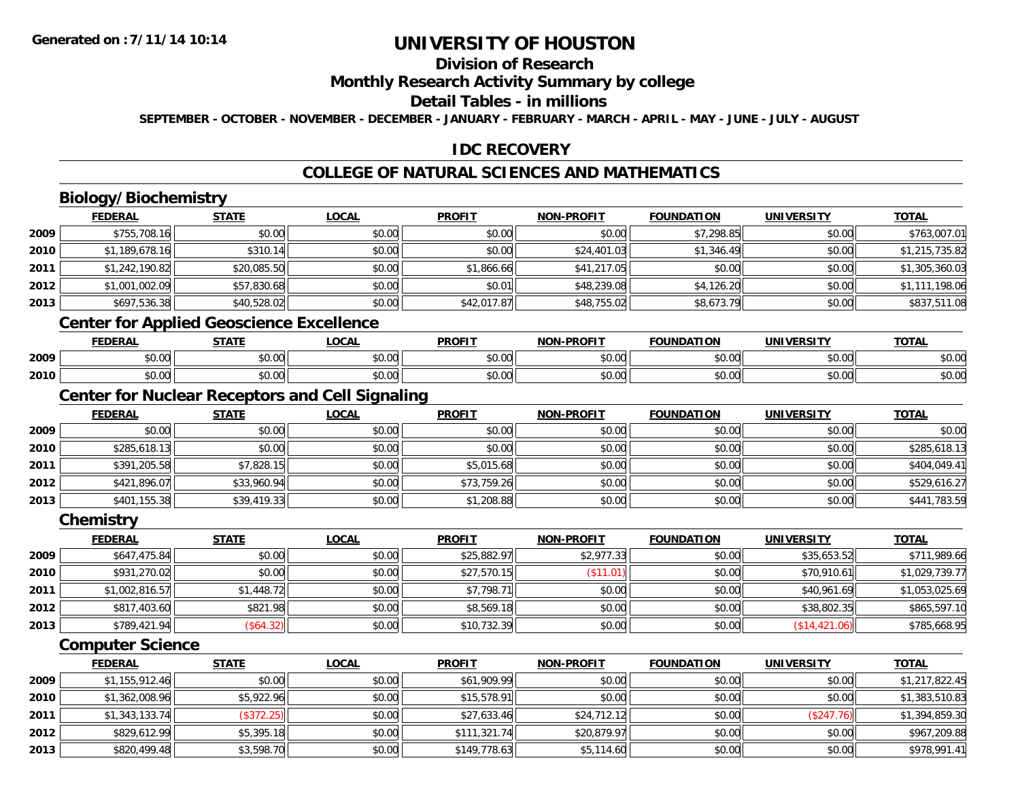### **Division of Research**

### **Monthly Research Activity Summary by college**

### **Detail Tables - in millions**

**SEPTEMBER - OCTOBER - NOVEMBER - DECEMBER - JANUARY - FEBRUARY - MARCH - APRIL - MAY - JUNE - JULY - AUGUST**

### **IDC RECOVERY**

## **COLLEGE OF NATURAL SCIENCES AND MATHEMATICS**

## **Biology/Biochemistry**

|      | <b>FEDERAL</b> | <b>STATE</b>                                           | <b>LOCAL</b> | <b>PROFIT</b> | <b>NON-PROFIT</b> | <b>FOUNDATION</b> | <b>UNIVERSITY</b> | <b>TOTAL</b>   |
|------|----------------|--------------------------------------------------------|--------------|---------------|-------------------|-------------------|-------------------|----------------|
| 2009 | \$755,708.16   | \$0.00                                                 | \$0.00       | \$0.00        | \$0.00            | \$7,298.85        | \$0.00            | \$763,007.01   |
| 2010 | \$1,189,678.16 | \$310.14                                               | \$0.00       | \$0.00        | \$24,401.03       | \$1,346.49        | \$0.00            | \$1,215,735.82 |
| 2011 | \$1,242,190.82 | \$20,085.50                                            | \$0.00       | \$1,866.66    | \$41,217.05       | \$0.00            | \$0.00            | \$1,305,360.03 |
| 2012 | \$1,001,002.09 | \$57,830.68                                            | \$0.00       | \$0.01        | \$48,239.08       | \$4,126.20        | \$0.00            | \$1,111,198.06 |
| 2013 | \$697,536.38   | \$40,528.02                                            | \$0.00       | \$42,017.87   | \$48,755.02       | \$8,673.79        | \$0.00            | \$837,511.08   |
|      |                | <b>Center for Applied Geoscience Excellence</b>        |              |               |                   |                   |                   |                |
|      | <b>FEDERAL</b> | <b>STATE</b>                                           | <b>LOCAL</b> | <b>PROFIT</b> | <b>NON-PROFIT</b> | <b>FOUNDATION</b> | <b>UNIVERSITY</b> | <b>TOTAL</b>   |
| 2009 | \$0.00         | \$0.00                                                 | \$0.00       | \$0.00        | \$0.00            | \$0.00            | \$0.00            | \$0.00         |
| 2010 | \$0.00         | \$0.00                                                 | \$0.00       | \$0.00        | \$0.00            | \$0.00            | \$0.00            | \$0.00         |
|      |                | <b>Center for Nuclear Receptors and Cell Signaling</b> |              |               |                   |                   |                   |                |
|      | <b>FEDERAL</b> | <b>STATE</b>                                           | <b>LOCAL</b> | <b>PROFIT</b> | <b>NON-PROFIT</b> | <b>FOUNDATION</b> | <b>UNIVERSITY</b> | <b>TOTAL</b>   |
| 2009 | \$0.00         | \$0.00                                                 | \$0.00       | \$0.00        | \$0.00            | \$0.00            | \$0.00            | \$0.00         |
| 2010 | \$285,618.13   | \$0.00                                                 | \$0.00       | \$0.00        | \$0.00            | \$0.00            | \$0.00            | \$285,618.13   |
| 2011 | \$391,205.58   | \$7,828.15                                             | \$0.00       | \$5,015.68    | \$0.00            | \$0.00            | \$0.00            | \$404,049.41   |
| 2012 | \$421,896.07   | \$33,960.94                                            | \$0.00       | \$73,759.26   | \$0.00            | \$0.00            | \$0.00            | \$529,616.27   |

**Chemistry**

**2013**

|      | <b>FEDERAL</b> | <u>STATE</u> | <b>LOCAL</b> | <b>PROFIT</b> | <b>NON-PROFIT</b> | <b>FOUNDATION</b> | <b>UNIVERSITY</b> | <b>TOTAL</b>   |
|------|----------------|--------------|--------------|---------------|-------------------|-------------------|-------------------|----------------|
| 2009 | \$647,475.84   | \$0.00       | \$0.00       | \$25,882.97   | \$2,977.33        | \$0.00            | \$35,653.52       | \$711,989.66   |
| 2010 | \$931,270.02   | \$0.00       | \$0.00       | \$27,570.15   | (\$11.01)         | \$0.00            | \$70,910.61       | \$1,029,739.77 |
| 2011 | \$1,002,816.57 | \$1,448.72   | \$0.00       | \$7,798.71    | \$0.00            | \$0.00            | \$40,961.69       | \$1,053,025.69 |
| 2012 | \$817,403.60   | \$821.98     | \$0.00       | \$8,569.18    | \$0.00            | \$0.00            | \$38,802.35       | \$865,597.10   |
| 2013 | \$789,421.94   | (\$64.32)    | \$0.00       | \$10,732.39   | \$0.00            | \$0.00            | (S14, 421.06)     | \$785,668.95   |

3 \$401,155.38|| \$39,419.33|| \$0.00|| \$1,208.88|| \$0.00|| \$0.00|| \$0.00|| \$0.00|| \$441,783.59

### **Computer Science**

|      | <b>FEDERAL</b> | <u>STATE</u> | <b>LOCAL</b> | <b>PROFIT</b> | <b>NON-PROFIT</b> | <b>FOUNDATION</b> | <b>UNIVERSITY</b> | <u>TOTAL</u>   |
|------|----------------|--------------|--------------|---------------|-------------------|-------------------|-------------------|----------------|
| 2009 | \$1,155,912.46 | \$0.00       | \$0.00       | \$61,909.99   | \$0.00            | \$0.00            | \$0.00            | \$1,217,822.45 |
| 2010 | \$1,362,008.96 | \$5,922.96   | \$0.00       | \$15,578.91   | \$0.00            | \$0.00            | \$0.00            | \$1,383,510.83 |
| 2011 | \$1,343,133.74 | (\$372.25)   | \$0.00       | \$27,633.46   | \$24,712.12       | \$0.00            | (\$247.76)        | \$1,394,859.30 |
| 2012 | \$829,612.99   | \$5,395.18   | \$0.00       | \$111,321.74  | \$20,879.97       | \$0.00            | \$0.00            | \$967,209.88   |
| 2013 | \$820,499.48   | \$3,598.70   | \$0.00       | \$149,778.63  | \$5,114.60        | \$0.00            | \$0.00            | \$978,991.41   |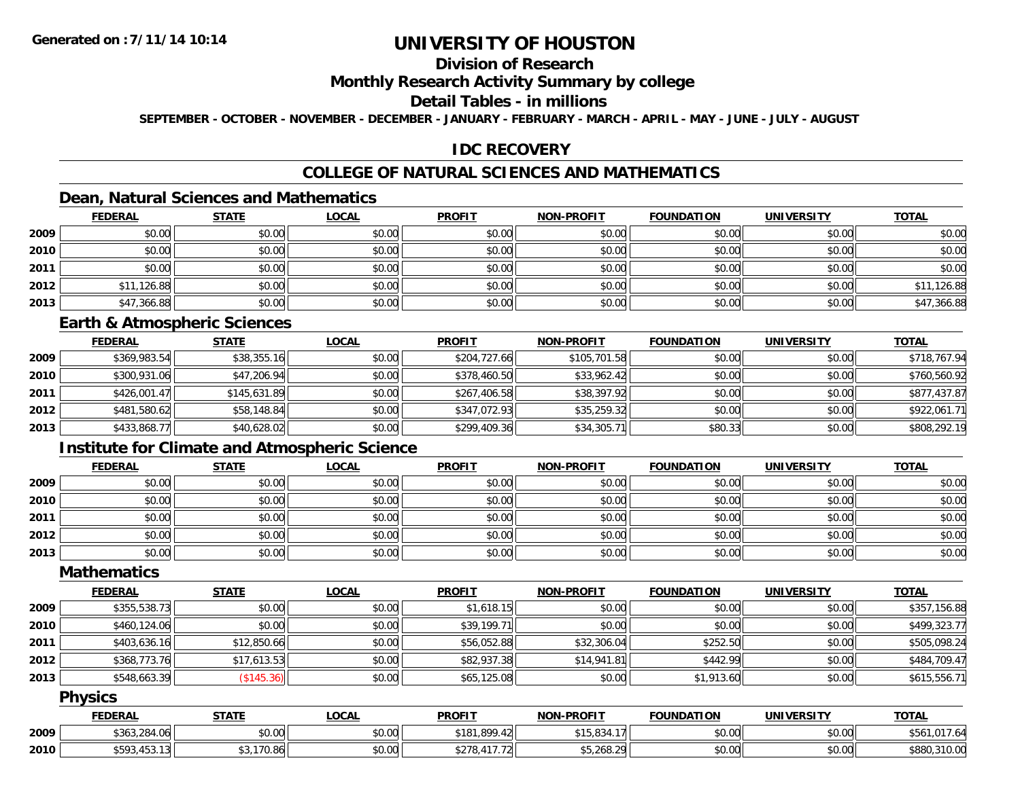## **Division of Research**

### **Monthly Research Activity Summary by college**

### **Detail Tables - in millions**

**SEPTEMBER - OCTOBER - NOVEMBER - DECEMBER - JANUARY - FEBRUARY - MARCH - APRIL - MAY - JUNE - JULY - AUGUST**

### **IDC RECOVERY**

## **COLLEGE OF NATURAL SCIENCES AND MATHEMATICS**

### **Dean, Natural Sciences and Mathematics**

|      | <b>FEDERAL</b> | <b>STATE</b> | <u>LOCAL</u> | <b>PROFIT</b> | <b>NON-PROFIT</b> | <b>FOUNDATION</b> | <b>UNIVERSITY</b> | <b>TOTAL</b> |
|------|----------------|--------------|--------------|---------------|-------------------|-------------------|-------------------|--------------|
| 2009 | \$0.00         | \$0.00       | \$0.00       | \$0.00        | \$0.00            | \$0.00            | \$0.00            | \$0.00       |
| 2010 | \$0.00         | \$0.00       | \$0.00       | \$0.00        | \$0.00            | \$0.00            | \$0.00            | \$0.00       |
| 2011 | \$0.00         | \$0.00       | \$0.00       | \$0.00        | \$0.00            | \$0.00            | \$0.00            | \$0.00       |
| 2012 | \$11,126.88    | \$0.00       | \$0.00       | \$0.00        | \$0.00            | \$0.00            | \$0.00            | \$11,126.88  |
| 2013 | \$47,366.88    | \$0.00       | \$0.00       | \$0.00        | \$0.00            | \$0.00            | \$0.00            | \$47,366.88  |

#### **Earth & Atmospheric Sciences**

|      | <b>FEDERAL</b> | <u>STATE</u> | <b>LOCAL</b> | <b>PROFIT</b> | <b>NON-PROFIT</b> | <b>FOUNDATION</b> | UNIVERSITY | <b>TOTAL</b> |
|------|----------------|--------------|--------------|---------------|-------------------|-------------------|------------|--------------|
| 2009 | \$369,983.54   | \$38,355.16  | \$0.00       | \$204,727.66  | \$105,701.58      | \$0.00            | \$0.00     | \$718,767.94 |
| 2010 | \$300,931.06   | \$47,206.94  | \$0.00       | \$378,460.50  | \$33,962.42       | \$0.00            | \$0.00     | \$760,560.92 |
| 2011 | \$426,001.47   | \$145,631.89 | \$0.00       | \$267,406.58  | \$38,397.92       | \$0.00            | \$0.00     | \$877,437.87 |
| 2012 | \$481,580.62   | \$58,148.84  | \$0.00       | \$347.072.93  | \$35,259.32       | \$0.00            | \$0.00     | \$922,061.71 |
| 2013 | \$433,868.77   | \$40,628.02  | \$0.00       | \$299,409.36  | \$34,305.71       | \$80.33           | \$0.00     | \$808,292.19 |

## **Institute for Climate and Atmospheric Science**

|      | <b>FEDERAL</b> | <b>STATE</b> | <b>LOCAL</b> | <b>PROFIT</b> | <b>NON-PROFIT</b> | <b>FOUNDATION</b> | <b>UNIVERSITY</b> | <b>TOTAL</b> |
|------|----------------|--------------|--------------|---------------|-------------------|-------------------|-------------------|--------------|
| 2009 | \$0.00         | \$0.00       | \$0.00       | \$0.00        | \$0.00            | \$0.00            | \$0.00            | \$0.00       |
| 2010 | \$0.00         | \$0.00       | \$0.00       | \$0.00        | \$0.00            | \$0.00            | \$0.00            | \$0.00       |
| 2011 | \$0.00         | \$0.00       | \$0.00       | \$0.00        | \$0.00            | \$0.00            | \$0.00            | \$0.00       |
| 2012 | \$0.00         | \$0.00       | \$0.00       | \$0.00        | \$0.00            | \$0.00            | \$0.00            | \$0.00       |
| 2013 | \$0.00         | \$0.00       | \$0.00       | \$0.00        | \$0.00            | \$0.00            | \$0.00            | \$0.00       |

### **Mathematics**

|      | <b>FEDERAL</b> | <b>STATE</b> | <u>LOCAL</u> | <b>PROFIT</b> | <b>NON-PROFIT</b> | <b>FOUNDATION</b> | <b>UNIVERSITY</b> | <b>TOTAL</b> |
|------|----------------|--------------|--------------|---------------|-------------------|-------------------|-------------------|--------------|
| 2009 | \$355,538.73   | \$0.00       | \$0.00       | \$1,618.15    | \$0.00            | \$0.00            | \$0.00            | \$357,156.88 |
| 2010 | \$460,124.06   | \$0.00       | \$0.00       | \$39,199.71   | \$0.00            | \$0.00            | \$0.00            | \$499,323.77 |
| 2011 | \$403,636.16   | \$12,850.66  | \$0.00       | \$56,052.88   | \$32,306.04       | \$252.50          | \$0.00            | \$505,098.24 |
| 2012 | \$368,773.76   | \$17,613.53  | \$0.00       | \$82,937.38   | \$14,941.81       | \$442.99          | \$0.00            | \$484,709.47 |
| 2013 | \$548,663.39   | (\$145.36)   | \$0.00       | \$65,125.08   | \$0.00            | \$1,913.60        | \$0.00            | \$615,556.71 |

### **Physics**

|      | <b>FEDERAL</b> | <b>STATE</b> | LOCAL  | <b>PROFIT</b>                    | <b>NON-PROFIT</b>                  | <b>FOUNDATION</b> | <b>UNIVERSITY</b> | <b>TOTAL</b>          |
|------|----------------|--------------|--------|----------------------------------|------------------------------------|-------------------|-------------------|-----------------------|
| 2009 | \$363,284.06   | \$0.00       | \$0.00 | nnn 10<br><b>¢10.</b><br>899.4ZF | \$15,834.                          | \$0.00            | \$0.00            | 1.017<br>\$56<br>ىن ، |
| 2010 | \$593,453.13   | .170.86      | \$0.00 | 11770<br>よつつの<br>121<br>۰۰ ۱۵ ک  | $A = 24C$<br>- 20I .<br>\$5.268.29 | \$0.00            | \$0.00            | \$880<br>,310.00      |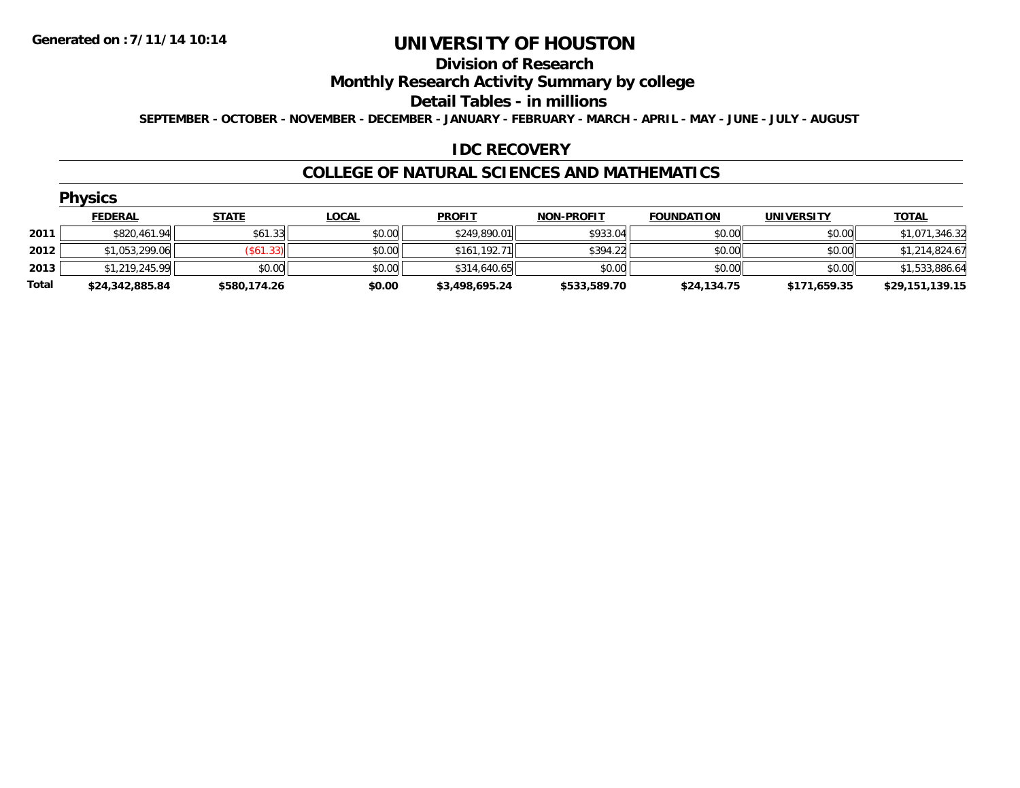#### **Division of Research**

**Monthly Research Activity Summary by college**

**Detail Tables - in millions**

**SEPTEMBER - OCTOBER - NOVEMBER - DECEMBER - JANUARY - FEBRUARY - MARCH - APRIL - MAY - JUNE - JULY - AUGUST**

### **IDC RECOVERY**

#### **COLLEGE OF NATURAL SCIENCES AND MATHEMATICS**

| ٧<br>N<br>1 | 7S. |  |
|-------------|-----|--|
|             |     |  |

|       | <b>FEDERAL</b>  | STATE        | <u>LOCAL</u> | <b>PROFIT</b>  | <b>NON-PROFIT</b> | <b>FOUNDATION</b> | <b>UNIVERSITY</b> | <b>TOTAL</b>    |
|-------|-----------------|--------------|--------------|----------------|-------------------|-------------------|-------------------|-----------------|
| 2011  | \$820,461.94    | \$61.33      | \$0.00       | \$249,890.01   | \$933.04          | \$0.00            | \$0.00            | \$1,071,346.32  |
| 2012  | \$1,053,299.06  | (S61.33)     | \$0.00       | \$161.192.71   | \$394.22          | \$0.00            | \$0.00            | \$1,214,824.67  |
| 2013  | \$1,219,245.99  | \$0.00       | \$0.00       | \$314,640.65   | \$0.00            | \$0.00            | \$0.00            | \$1,533,886.64  |
| Total | \$24,342,885.84 | \$580,174.26 | \$0.00       | \$3,498,695.24 | \$533,589.70      | \$24,134.75       | \$171,659.35      | \$29,151,139.15 |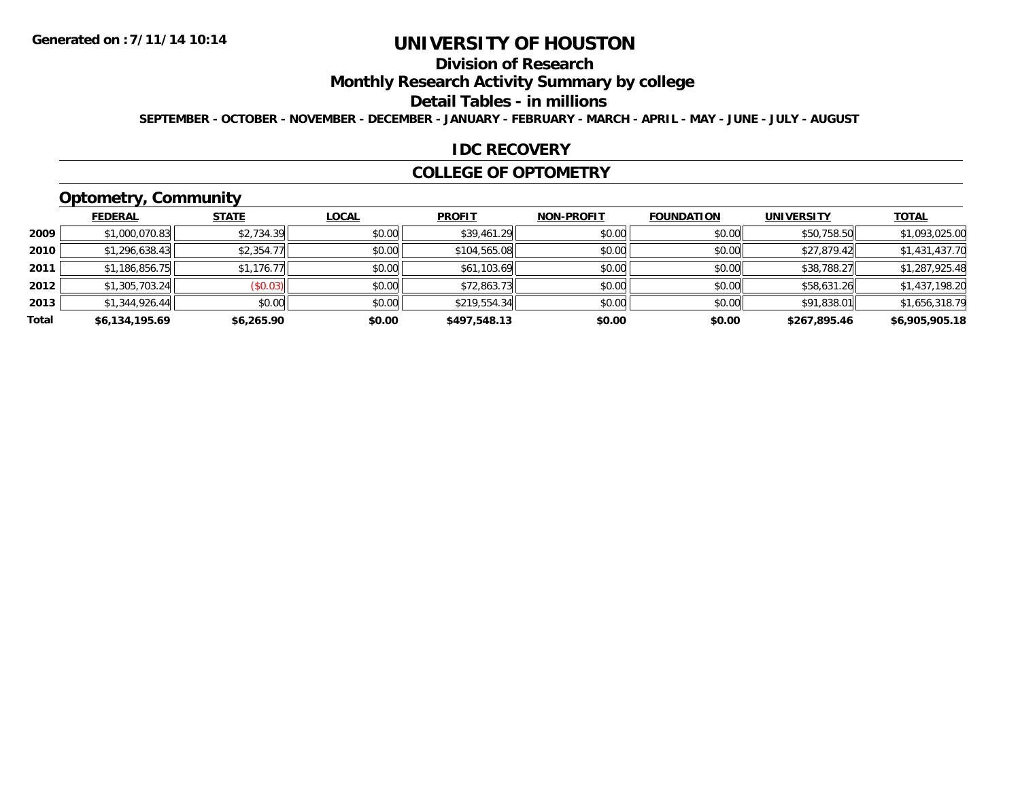## **Division of Research**

**Monthly Research Activity Summary by college**

#### **Detail Tables - in millions**

**SEPTEMBER - OCTOBER - NOVEMBER - DECEMBER - JANUARY - FEBRUARY - MARCH - APRIL - MAY - JUNE - JULY - AUGUST**

#### **IDC RECOVERY**

#### **COLLEGE OF OPTOMETRY**

## **Optometry, Community**

|       | ___            |              |              |               |                   |                   |                   |                |
|-------|----------------|--------------|--------------|---------------|-------------------|-------------------|-------------------|----------------|
|       | <b>FEDERAL</b> | <b>STATE</b> | <b>LOCAL</b> | <b>PROFIT</b> | <b>NON-PROFIT</b> | <b>FOUNDATION</b> | <b>UNIVERSITY</b> | <b>TOTAL</b>   |
| 2009  | \$1,000,070.83 | \$2,734.39   | \$0.00       | \$39,461.29   | \$0.00            | \$0.00            | \$50,758.50       | \$1,093,025.00 |
| 2010  | \$1,296,638.43 | \$2,354.77   | \$0.00       | \$104,565.08  | \$0.00            | \$0.00            | \$27,879.42       | \$1,431,437.70 |
| 2011  | \$1,186,856.75 | \$1,176.77   | \$0.00       | \$61,103.69   | \$0.00            | \$0.00            | \$38,788.27       | \$1,287,925.48 |
| 2012  | \$1,305,703.24 | (\$0.03)     | \$0.00       | \$72,863.73   | \$0.00            | \$0.00            | \$58,631.26       | \$1,437,198.20 |
| 2013  | \$1,344,926.44 | \$0.00       | \$0.00       | \$219,554.34  | \$0.00            | \$0.00            | \$91,838.01       | \$1,656,318.79 |
| Total | \$6,134,195.69 | \$6,265.90   | \$0.00       | \$497,548.13  | \$0.00            | \$0.00            | \$267,895.46      | \$6,905,905.18 |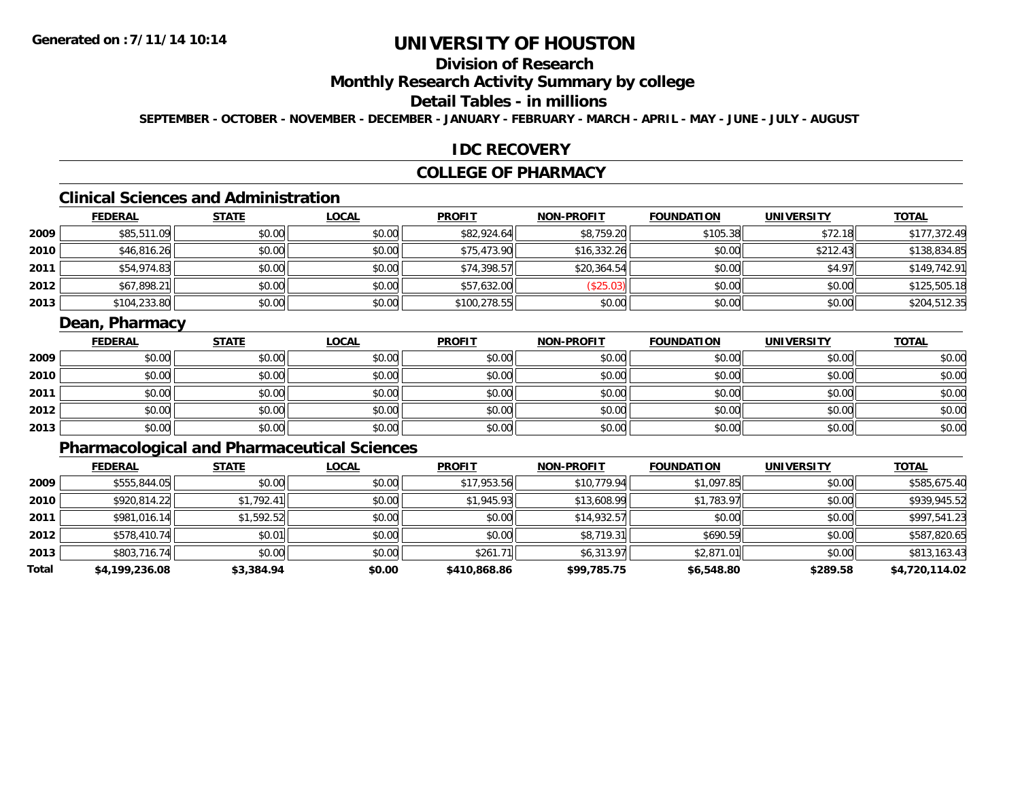## **Division of Research**

### **Monthly Research Activity Summary by college**

### **Detail Tables - in millions**

**SEPTEMBER - OCTOBER - NOVEMBER - DECEMBER - JANUARY - FEBRUARY - MARCH - APRIL - MAY - JUNE - JULY - AUGUST**

### **IDC RECOVERY**

### **COLLEGE OF PHARMACY**

## **Clinical Sciences and Administration**

|      | <b>FEDERAL</b> | <b>STATE</b> | <b>LOCAL</b> | <b>PROFIT</b> | <b>NON-PROFIT</b> | <b>FOUNDATION</b> | <b>UNIVERSITY</b> | <b>TOTAL</b> |
|------|----------------|--------------|--------------|---------------|-------------------|-------------------|-------------------|--------------|
| 2009 | \$85,511.09    | \$0.00       | \$0.00       | \$82,924.64   | \$8,759.20        | \$105.38          | \$72.18           | \$177,372.49 |
| 2010 | \$46,816.26    | \$0.00       | \$0.00       | \$75,473.90   | \$16,332.26       | \$0.00            | \$212.43          | \$138,834.85 |
| 2011 | \$54,974.83    | \$0.00       | \$0.00       | \$74,398.57   | \$20,364.54       | \$0.00            | \$4.97            | \$149,742.91 |
| 2012 | \$67,898.21    | \$0.00       | \$0.00       | \$57,632.00   | \$25.03           | \$0.00            | \$0.00            | \$125,505.18 |
| 2013 | \$104,233.80   | \$0.00       | \$0.00       | \$100,278.55  | \$0.00            | \$0.00            | \$0.00            | \$204,512.35 |

### **Dean, Pharmacy**

|      | <b>FEDERAL</b> | <b>STATE</b> | <u>LOCAL</u> | <b>PROFIT</b> | <b>NON-PROFIT</b> | <b>FOUNDATION</b> | <b>UNIVERSITY</b> | <b>TOTAL</b> |
|------|----------------|--------------|--------------|---------------|-------------------|-------------------|-------------------|--------------|
| 2009 | \$0.00         | \$0.00       | \$0.00       | \$0.00        | \$0.00            | \$0.00            | \$0.00            | \$0.00       |
| 2010 | \$0.00         | \$0.00       | \$0.00       | \$0.00        | \$0.00            | \$0.00            | \$0.00            | \$0.00       |
| 2011 | \$0.00         | \$0.00       | \$0.00       | \$0.00        | \$0.00            | \$0.00            | \$0.00            | \$0.00       |
| 2012 | \$0.00         | \$0.00       | \$0.00       | \$0.00        | \$0.00            | \$0.00            | \$0.00            | \$0.00       |
| 2013 | \$0.00         | \$0.00       | \$0.00       | \$0.00        | \$0.00            | \$0.00            | \$0.00            | \$0.00       |

## **Pharmacological and Pharmaceutical Sciences**

|       | <b>FEDERAL</b> | <b>STATE</b> | <b>LOCAL</b> | <b>PROFIT</b> | <b>NON-PROFIT</b> | <b>FOUNDATION</b> | <b>UNIVERSITY</b> | <b>TOTAL</b>   |
|-------|----------------|--------------|--------------|---------------|-------------------|-------------------|-------------------|----------------|
| 2009  | \$555,844.05   | \$0.00       | \$0.00       | \$17,953.56   | \$10,779.94       | \$1,097.85        | \$0.00            | \$585,675.40   |
| 2010  | \$920,814.22   | \$1,792.41   | \$0.00       | \$1,945.93    | \$13,608.99       | \$1,783.97        | \$0.00            | \$939,945.52   |
| 2011  | \$981,016.14   | \$1,592.52   | \$0.00       | \$0.00        | \$14,932.57       | \$0.00            | \$0.00            | \$997,541.23   |
| 2012  | \$578,410.74   | \$0.01       | \$0.00       | \$0.00        | \$8,719.31        | \$690.59          | \$0.00            | \$587,820.65   |
| 2013  | \$803,716.74   | \$0.00       | \$0.00       | \$261.71      | \$6,313.97        | \$2,871.01        | \$0.00            | \$813,163.43   |
| Total | \$4,199,236.08 | \$3,384.94   | \$0.00       | \$410,868.86  | \$99,785.75       | \$6,548.80        | \$289.58          | \$4,720,114.02 |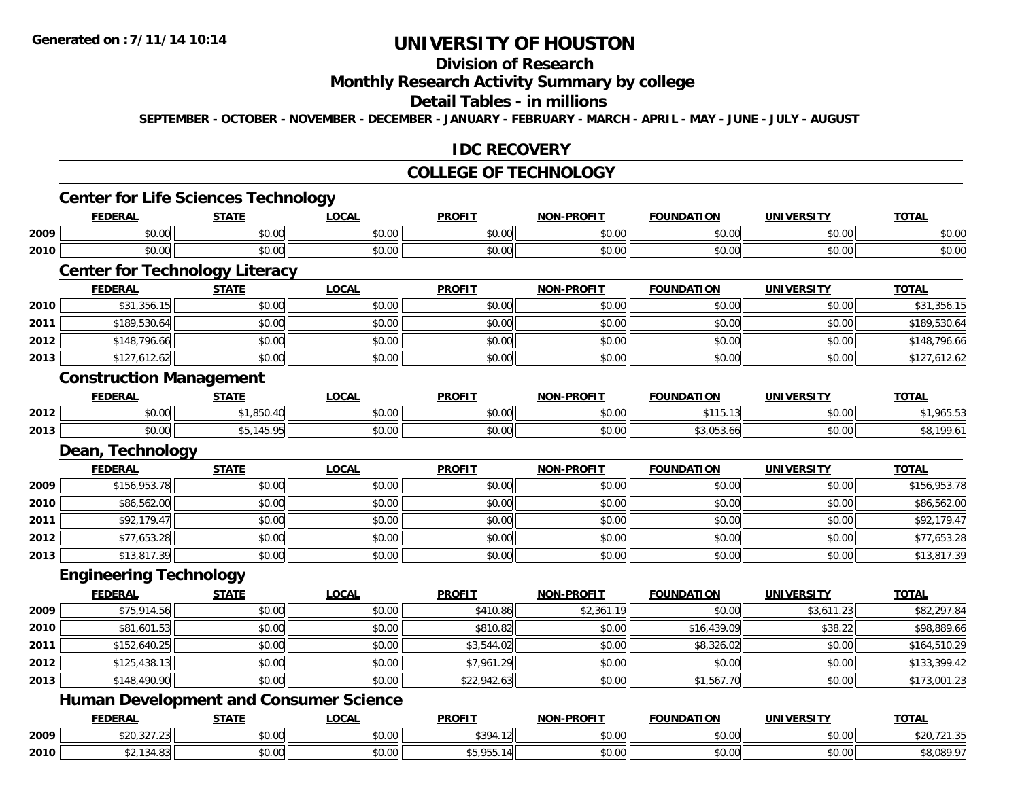## **Division of Research**

## **Monthly Research Activity Summary by college**

#### **Detail Tables - in millions**

**SEPTEMBER - OCTOBER - NOVEMBER - DECEMBER - JANUARY - FEBRUARY - MARCH - APRIL - MAY - JUNE - JULY - AUGUST**

#### **IDC RECOVERY**

#### **COLLEGE OF TECHNOLOGY**

|      | <b>FEDERAL</b>                        | <b>STATE</b> | <b>LOCAL</b>                                  | <b>PROFIT</b> | <b>NON-PROFIT</b> | <b>FOUNDATION</b> | <b>UNIVERSITY</b> | <b>TOTAL</b> |
|------|---------------------------------------|--------------|-----------------------------------------------|---------------|-------------------|-------------------|-------------------|--------------|
| 2009 | \$0.00                                | \$0.00       | \$0.00                                        | \$0.00        | \$0.00            | \$0.00            | \$0.00            | \$0.00       |
| 2010 | \$0.00                                | \$0.00       | \$0.00                                        | \$0.00        | \$0.00            | \$0.00            | \$0.00            | \$0.00       |
|      | <b>Center for Technology Literacy</b> |              |                                               |               |                   |                   |                   |              |
|      | <b>FEDERAL</b>                        | <b>STATE</b> | <b>LOCAL</b>                                  | <b>PROFIT</b> | <b>NON-PROFIT</b> | <b>FOUNDATION</b> | <b>UNIVERSITY</b> | <b>TOTAL</b> |
| 2010 | \$31,356.15                           | \$0.00       | \$0.00                                        | \$0.00        | \$0.00            | \$0.00            | \$0.00            | \$31,356.15  |
| 2011 | \$189,530.64                          | \$0.00       | \$0.00                                        | \$0.00        | \$0.00            | \$0.00            | \$0.00            | \$189,530.64 |
| 2012 | \$148,796.66                          | \$0.00       | \$0.00                                        | \$0.00        | \$0.00            | \$0.00            | \$0.00            | \$148,796.66 |
| 2013 | \$127,612.62                          | \$0.00       | \$0.00                                        | \$0.00        | \$0.00            | \$0.00            | \$0.00            | \$127,612.62 |
|      | <b>Construction Management</b>        |              |                                               |               |                   |                   |                   |              |
|      | <b>FEDERAL</b>                        | <b>STATE</b> | <b>LOCAL</b>                                  | <b>PROFIT</b> | <b>NON-PROFIT</b> | <b>FOUNDATION</b> | <b>UNIVERSITY</b> | <b>TOTAL</b> |
| 2012 | \$0.00                                | \$1,850.40   | \$0.00                                        | \$0.00        | \$0.00            | \$115.13          | \$0.00            | \$1,965.53   |
| 2013 | \$0.00                                | \$5,145.95   | \$0.00                                        | \$0.00        | \$0.00            | \$3,053.66        | \$0.00            | \$8,199.61   |
|      | Dean, Technology                      |              |                                               |               |                   |                   |                   |              |
|      | <b>FEDERAL</b>                        | <b>STATE</b> | <b>LOCAL</b>                                  | <b>PROFIT</b> | <b>NON-PROFIT</b> | <b>FOUNDATION</b> | <b>UNIVERSITY</b> | <b>TOTAL</b> |
| 2009 | \$156,953.78                          | \$0.00       | \$0.00                                        | \$0.00        | \$0.00            | \$0.00            | \$0.00            | \$156,953.78 |
| 2010 | \$86,562.00                           | \$0.00       | \$0.00                                        | \$0.00        | \$0.00            | \$0.00            | \$0.00            | \$86,562.00  |
| 2011 | \$92,179.47                           | \$0.00       | \$0.00                                        | \$0.00        | \$0.00            | \$0.00            | \$0.00            | \$92,179.47  |
| 2012 | \$77,653.28                           | \$0.00       | \$0.00                                        | \$0.00        | \$0.00            | \$0.00            | \$0.00            | \$77,653.28  |
| 2013 | \$13,817.39                           | \$0.00       | \$0.00                                        | \$0.00        | \$0.00            | \$0.00            | \$0.00            | \$13,817.39  |
|      | <b>Engineering Technology</b>         |              |                                               |               |                   |                   |                   |              |
|      | <b>FEDERAL</b>                        | <b>STATE</b> | <b>LOCAL</b>                                  | <b>PROFIT</b> | NON-PROFIT        | <b>FOUNDATION</b> | <b>UNIVERSITY</b> | <b>TOTAL</b> |
| 2009 | \$75,914.56                           | \$0.00       | \$0.00                                        | \$410.86      | \$2,361.19        | \$0.00            | \$3,611.23        | \$82,297.84  |
| 2010 | \$81,601.53                           | \$0.00       | \$0.00                                        | \$810.82      | \$0.00            | \$16,439.09       | \$38.22           | \$98,889.66  |
| 2011 | \$152,640.25                          | \$0.00       | \$0.00                                        | \$3,544.02    | \$0.00            | \$8,326.02        | \$0.00            | \$164,510.29 |
| 2012 | \$125,438.13                          | \$0.00       | \$0.00                                        | \$7,961.29    | \$0.00            | \$0.00            | \$0.00            | \$133,399.42 |
| 2013 | \$148,490.90                          | \$0.00       | \$0.00                                        | \$22,942.63   | \$0.00            | \$1,567.70        | \$0.00            | \$173,001.23 |
|      |                                       |              | <b>Human Development and Consumer Science</b> |               |                   |                   |                   |              |
|      | <b>FEDERAL</b>                        | <b>STATE</b> | <b>LOCAL</b>                                  | <b>PROFIT</b> | <b>NON-PROFIT</b> | <b>FOUNDATION</b> | <b>UNIVERSITY</b> | <b>TOTAL</b> |
| 2009 | \$20,327.23                           | \$0.00       | \$0.00                                        | \$394.12      | \$0.00            | \$0.00            | \$0.00            | \$20,721.35  |
| 2010 | \$2,134.83                            | \$0.00       | \$0.00                                        | \$5,955.14    | \$0.00            | \$0.00            | \$0.00            | \$8,089.97   |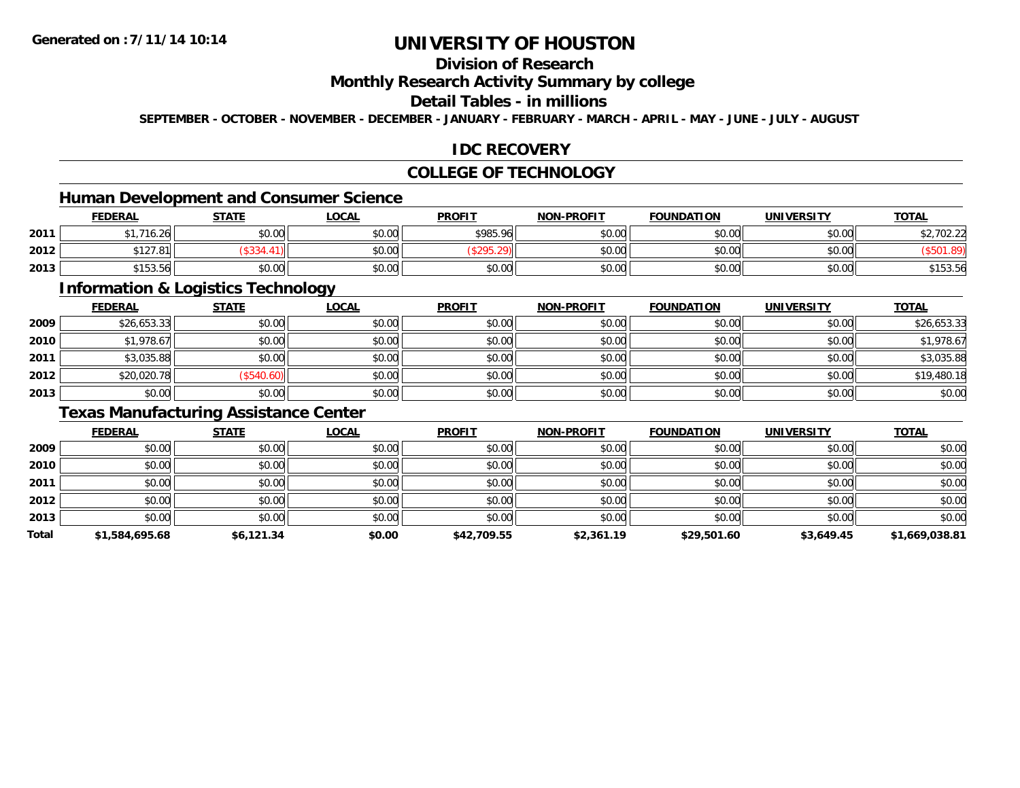### **Division of Research**

### **Monthly Research Activity Summary by college**

#### **Detail Tables - in millions**

**SEPTEMBER - OCTOBER - NOVEMBER - DECEMBER - JANUARY - FEBRUARY - MARCH - APRIL - MAY - JUNE - JULY - AUGUST**

### **IDC RECOVERY**

### **COLLEGE OF TECHNOLOGY**

### **Human Development and Consumer Science**

|      | <b>FEDERAL</b>           | <b>STATE</b>                                | <b>_OCAL</b> | <b>PROFIT</b> | <b>NON-PROFIT</b> | <b>FOUNDATION</b> | <b>UNIVERSITY</b> | <b>TOTAL</b> |
|------|--------------------------|---------------------------------------------|--------------|---------------|-------------------|-------------------|-------------------|--------------|
| 2011 | 74<br>$\sim$<br>'16.26   | $\mathfrak{c}\cap\mathfrak{a}\cap$<br>JU.UL | \$0.00       | \$985.96      | \$0.00            | ≮∩ ∩∩<br>JU.UU    | \$0.00            | .702.22      |
| 2012 | 0.107<br>$\sim$<br>127.O |                                             | \$0.00       |               | \$0.00            | ልስ ሰሰ<br>JU.UU    | \$0.00            |              |
| 2013 | \$15254<br>\$153.56      | 40.00<br>DU.UU                              | \$0.00       | \$0.00        | \$0.00            | \$0.00            | \$0.00            | \$153.56     |

<u> 1989 - Johann Stoff, deutscher Stoffen und der Stoffen und der Stoffen und der Stoffen und der Stoffen und der</u>

### **Information & Logistics Technology**

|      | <b>FEDERAL</b> | <b>STATE</b> | <u>LOCAL</u> | <b>PROFIT</b> | <b>NON-PROFIT</b> | <b>FOUNDATION</b> | <b>UNIVERSITY</b> | <b>TOTAL</b> |
|------|----------------|--------------|--------------|---------------|-------------------|-------------------|-------------------|--------------|
| 2009 | \$26,653.33    | \$0.00       | \$0.00       | \$0.00        | \$0.00            | \$0.00            | \$0.00            | \$26,653.33  |
| 2010 | \$1,978.67     | \$0.00       | \$0.00       | \$0.00        | \$0.00            | \$0.00            | \$0.00            | \$1,978.67   |
| 2011 | \$3,035.88     | \$0.00       | \$0.00       | \$0.00        | \$0.00            | \$0.00            | \$0.00            | \$3,035.88   |
| 2012 | \$20,020.78    | (\$540.60)   | \$0.00       | \$0.00        | \$0.00            | \$0.00            | \$0.00            | \$19,480.18  |
| 2013 | \$0.00         | \$0.00       | \$0.00       | \$0.00        | \$0.00            | \$0.00            | \$0.00            | \$0.00       |

### **Texas Manufacturing Assistance Center**

|       | <b>FEDERAL</b> | <b>STATE</b> | <u>LOCAL</u> | <b>PROFIT</b> | <b>NON-PROFIT</b> | <b>FOUNDATION</b> | UNIVERSITY | <b>TOTAL</b>   |
|-------|----------------|--------------|--------------|---------------|-------------------|-------------------|------------|----------------|
| 2009  | \$0.00         | \$0.00       | \$0.00       | \$0.00        | \$0.00            | \$0.00            | \$0.00     | \$0.00         |
| 2010  | \$0.00         | \$0.00       | \$0.00       | \$0.00        | \$0.00            | \$0.00            | \$0.00     | \$0.00         |
| 2011  | \$0.00         | \$0.00       | \$0.00       | \$0.00        | \$0.00            | \$0.00            | \$0.00     | \$0.00         |
| 2012  | \$0.00         | \$0.00       | \$0.00       | \$0.00        | \$0.00            | \$0.00            | \$0.00     | \$0.00         |
| 2013  | \$0.00         | \$0.00       | \$0.00       | \$0.00        | \$0.00            | \$0.00            | \$0.00     | \$0.00         |
| Total | \$1,584,695.68 | \$6,121.34   | \$0.00       | \$42,709.55   | \$2,361.19        | \$29,501.60       | \$3,649.45 | \$1,669,038.81 |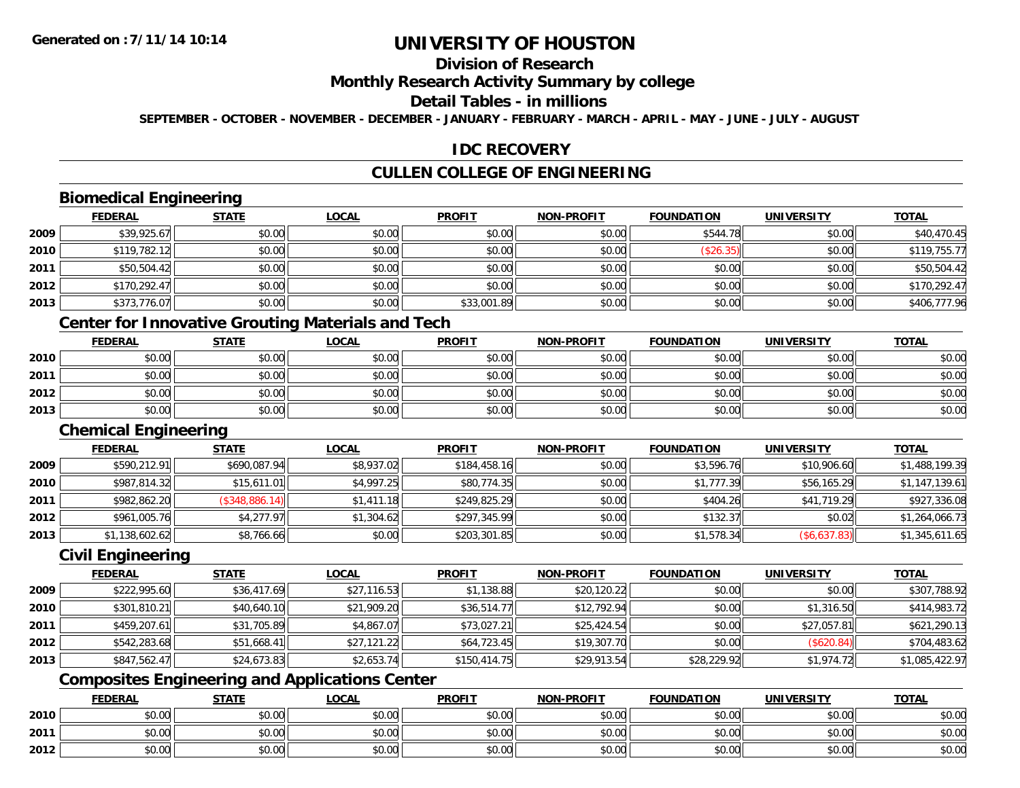## **Division of Research**

### **Monthly Research Activity Summary by college**

#### **Detail Tables - in millions**

**SEPTEMBER - OCTOBER - NOVEMBER - DECEMBER - JANUARY - FEBRUARY - MARCH - APRIL - MAY - JUNE - JULY - AUGUST**

### **IDC RECOVERY**

### **CULLEN COLLEGE OF ENGINEERING**

## **Biomedical Engineering**

|      | <b>FEDERAL</b> | <b>STATE</b> | <b>LOCAL</b> | <b>PROFIT</b> | <b>NON-PROFIT</b> | <b>FOUNDATION</b> | <b>UNIVERSITY</b> | <b>TOTAL</b> |
|------|----------------|--------------|--------------|---------------|-------------------|-------------------|-------------------|--------------|
| 2009 | \$39,925.67    | \$0.00       | \$0.00       | \$0.00        | \$0.00            | \$544.78          | \$0.00            | \$40,470.45  |
| 2010 | \$119,782.12   | \$0.00       | \$0.00       | \$0.00        | \$0.00            | (\$26.35)         | \$0.00            | \$119,755.77 |
| 2011 | \$50,504.42    | \$0.00       | \$0.00       | \$0.00        | \$0.00            | \$0.00            | \$0.00            | \$50,504.42  |
| 2012 | \$170,292.47   | \$0.00       | \$0.00       | \$0.00        | \$0.00            | \$0.00            | \$0.00            | \$170,292.47 |
| 2013 | \$373,776.07   | \$0.00       | \$0.00       | \$33,001.89   | \$0.00            | \$0.00            | \$0.00            | \$406,777.96 |

## **Center for Innovative Grouting Materials and Tech**

|      | <u>FEDERAL</u> | <b>STATE</b> | <u>LOCAL</u> | <b>PROFIT</b> | <b>NON-PROFIT</b> | <b>FOUNDATION</b> | <b>UNIVERSITY</b> | <b>TOTAL</b> |
|------|----------------|--------------|--------------|---------------|-------------------|-------------------|-------------------|--------------|
| 2010 | \$0.00         | \$0.00       | \$0.00       | \$0.00        | \$0.00            | \$0.00            | \$0.00            | \$0.00       |
| 2011 | \$0.00         | \$0.00       | \$0.00       | \$0.00        | \$0.00            | \$0.00            | \$0.00            | \$0.00       |
| 2012 | \$0.00         | \$0.00       | \$0.00       | \$0.00        | \$0.00            | \$0.00            | \$0.00            | \$0.00       |
| 2013 | \$0.00         | \$0.00       | \$0.00       | \$0.00        | \$0.00            | \$0.00            | \$0.00            | \$0.00       |

## **Chemical Engineering**

|      | <b>FEDERAL</b> | <b>STATE</b>   | <u>LOCAL</u> | <b>PROFIT</b> | <b>NON-PROFIT</b> | <b>FOUNDATION</b> | UNIVERSITY   | <b>TOTAL</b>   |
|------|----------------|----------------|--------------|---------------|-------------------|-------------------|--------------|----------------|
| 2009 | \$590,212.91   | \$690,087.94   | \$8,937.02   | \$184,458.16  | \$0.00            | \$3,596.76        | \$10,906.60  | \$1,488,199.39 |
| 2010 | \$987,814.32   | \$15,611.01    | \$4,997.25   | \$80,774.35   | \$0.00            | \$1,777.39        | \$56,165.29  | \$1,147,139.61 |
| 2011 | \$982,862.20   | (\$348,886.14) | \$1,411.18   | \$249,825.29  | \$0.00            | \$404.26          | \$41,719.29  | \$927,336.08   |
| 2012 | \$961,005.76   | \$4,277.97     | \$1,304.62   | \$297,345.99  | \$0.00            | \$132.37          | \$0.02       | \$1,264,066.73 |
| 2013 | \$1,138,602.62 | \$8,766.66     | \$0.00       | \$203,301.85  | \$0.00            | \$1,578.34        | (\$6,637.83) | \$1,345,611.65 |

### **Civil Engineering**

|      | <b>FEDERAL</b> | <b>STATE</b> | <u>LOCAL</u> | <b>PROFIT</b> | <b>NON-PROFIT</b> | <b>FOUNDATION</b> | <b>UNIVERSITY</b> | <b>TOTAL</b>   |
|------|----------------|--------------|--------------|---------------|-------------------|-------------------|-------------------|----------------|
| 2009 | \$222,995.60   | \$36,417.69  | \$27,116.53  | \$1,138.88    | \$20,120.22       | \$0.00            | \$0.00            | \$307,788.92   |
| 2010 | \$301,810.21   | \$40,640.10  | \$21,909.20  | \$36,514.77   | \$12,792.94       | \$0.00            | \$1,316.50        | \$414,983.72   |
| 2011 | \$459,207.61   | \$31,705.89  | \$4,867.07   | \$73,027.21   | \$25,424.54       | \$0.00            | \$27,057.81       | \$621,290.13   |
| 2012 | \$542,283.68   | \$51,668.41  | \$27,121.22  | \$64,723.45   | \$19,307.70       | \$0.00            | (\$620.84)        | \$704,483.62   |
| 2013 | \$847,562.47   | \$24,673.83  | \$2,653.74   | \$150,414.75  | \$29,913.54       | \$28,229.92       | \$1,974.72        | \$1,085,422.97 |

## **Composites Engineering and Applications Center**

|      | <b>FEDERAL</b>                                        | <b>STATE</b> | LOCAL          | <b>PROFIT</b> | <b>NON-PROFIT</b> | <b>FOUNDATION</b> | <b>UNIVERSITY</b> | <b>TOTAL</b> |
|------|-------------------------------------------------------|--------------|----------------|---------------|-------------------|-------------------|-------------------|--------------|
| 2010 | 0.00<br>vu.uu                                         | \$0.00       | \$0.00         | \$0.00        | \$0.00            | \$0.00            | \$0.00            | \$0.00       |
| 2011 | $\sim$<br>JU.UU                                       | \$0.00       | 0000<br>\$U.UU | \$0.00        | \$0.00            | \$0.00            | \$0.00            | \$0.00       |
| 2012 | $\mathsf{A} \cap \mathsf{A} \cap \mathsf{A}$<br>DU.U¢ | \$0.00       | 0000<br>\$0.00 | \$0.00        | \$0.00            | \$0.00            | \$0.00            | \$0.00       |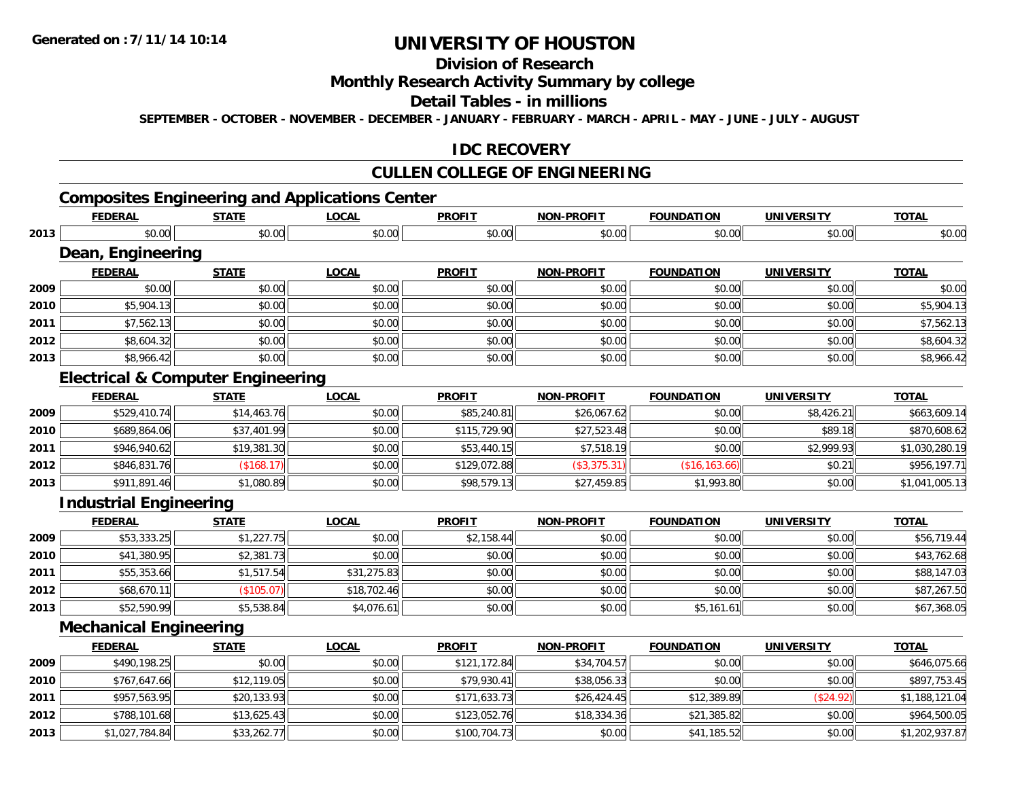**2013**

# **UNIVERSITY OF HOUSTON**

## **Division of Research**

### **Monthly Research Activity Summary by college**

#### **Detail Tables - in millions**

**SEPTEMBER - OCTOBER - NOVEMBER - DECEMBER - JANUARY - FEBRUARY - MARCH - APRIL - MAY - JUNE - JULY - AUGUST**

### **IDC RECOVERY**

### **CULLEN COLLEGE OF ENGINEERING**

## **Composites Engineering and Applications Center**

|      | <b>FEDERAL</b>                               | <b>STATE</b> | <b>LOCAL</b> | <b>PROFIT</b> | <b>NON-PROFIT</b> | <b>FOUNDATION</b> | <b>UNIVERSITY</b> | <b>TOTAL</b>   |
|------|----------------------------------------------|--------------|--------------|---------------|-------------------|-------------------|-------------------|----------------|
| 2013 | \$0.00                                       | \$0.00       | \$0.00       | \$0.00        | \$0.00            | \$0.00            | \$0.00            | \$0.00         |
|      | Dean, Engineering                            |              |              |               |                   |                   |                   |                |
|      | <b>FEDERAL</b>                               | <b>STATE</b> | <b>LOCAL</b> | <b>PROFIT</b> | <b>NON-PROFIT</b> | <b>FOUNDATION</b> | <b>UNIVERSITY</b> | <b>TOTAL</b>   |
| 2009 | \$0.00                                       | \$0.00       | \$0.00       | \$0.00        | \$0.00            | \$0.00            | \$0.00            | \$0.00         |
| 2010 | \$5,904.13                                   | \$0.00       | \$0.00       | \$0.00        | \$0.00            | \$0.00            | \$0.00            | \$5,904.13     |
| 2011 | \$7,562.13                                   | \$0.00       | \$0.00       | \$0.00        | \$0.00            | \$0.00            | \$0.00            | \$7,562.13     |
| 2012 | \$8,604.32                                   | \$0.00       | \$0.00       | \$0.00        | \$0.00            | \$0.00            | \$0.00            | \$8,604.32     |
| 2013 | \$8,966.42                                   | \$0.00       | \$0.00       | \$0.00        | \$0.00            | \$0.00            | \$0.00            | \$8,966.42     |
|      | <b>Electrical &amp; Computer Engineering</b> |              |              |               |                   |                   |                   |                |
|      | <b>FEDERAL</b>                               | <b>STATE</b> | <b>LOCAL</b> | <b>PROFIT</b> | <b>NON-PROFIT</b> | <b>FOUNDATION</b> | <b>UNIVERSITY</b> | <b>TOTAL</b>   |
| 2009 | \$529,410.74                                 | \$14,463.76  | \$0.00       | \$85,240.81   | \$26,067.62       | \$0.00            | \$8,426.21        | \$663,609.14   |
| 2010 | \$689,864.06                                 | \$37,401.99  | \$0.00       | \$115,729.90  | \$27,523.48       | \$0.00            | \$89.18           | \$870,608.62   |
| 2011 | \$946,940.62                                 | \$19,381.30  | \$0.00       | \$53,440.15   | \$7,518.19        | \$0.00            | \$2,999.93        | \$1,030,280.19 |
| 2012 | \$846,831.76                                 | (\$168.17)   | \$0.00       | \$129,072.88  | (\$3,375.31)      | (\$16, 163.66)    | \$0.21            | \$956,197.71   |
| 2013 | \$911,891.46                                 | \$1,080.89   | \$0.00       | \$98,579.13   | \$27,459.85       | \$1,993.80        | \$0.00            | \$1,041,005.13 |
|      | <b>Industrial Engineering</b>                |              |              |               |                   |                   |                   |                |
|      | <b>FEDERAL</b>                               | <b>STATE</b> | <b>LOCAL</b> | <b>PROFIT</b> | <b>NON-PROFIT</b> | <b>FOUNDATION</b> | <b>UNIVERSITY</b> | <b>TOTAL</b>   |
| 2009 | \$53,333.25                                  | \$1,227.75   | \$0.00       | \$2,158.44    | \$0.00            | \$0.00            | \$0.00            | \$56,719.44    |
| 2010 | \$41,380.95                                  | \$2,381.73   | \$0.00       | \$0.00        | \$0.00            | \$0.00            | \$0.00            | \$43,762.68    |
| 2011 | \$55,353.66                                  | \$1,517.54   | \$31,275.83  | \$0.00        | \$0.00            | \$0.00            | \$0.00            | \$88,147.03    |
| 2012 | \$68,670.11                                  | (\$105.07)   | \$18,702.46  | \$0.00        | \$0.00            | \$0.00            | \$0.00            | \$87,267.50    |
| 2013 | \$52,590.99                                  | \$5,538.84   | \$4,076.61   | \$0.00        | \$0.00            | \$5,161.61        | \$0.00            | \$67,368.05    |
|      | <b>Mechanical Engineering</b>                |              |              |               |                   |                   |                   |                |
|      | <b>FEDERAL</b>                               | <b>STATE</b> | <b>LOCAL</b> | <b>PROFIT</b> | <b>NON-PROFIT</b> | <b>FOUNDATION</b> | <b>UNIVERSITY</b> | <b>TOTAL</b>   |
| 2009 | \$490,198.25                                 | \$0.00       | \$0.00       | \$121,172.84  | \$34,704.57       | \$0.00            | \$0.00            | \$646,075.66   |
| 2010 | \$767,647.66                                 | \$12,119.05  | \$0.00       | \$79,930.41   | \$38,056.33       | \$0.00            | \$0.00            | \$897,753.45   |
| 2011 | \$957,563.95                                 | \$20,133.93  | \$0.00       | \$171,633.73  | \$26,424.45       | \$12,389.89       | (\$24.92)         | \$1,188,121.04 |
| 2012 | \$788,101.68                                 | \$13,625.43  | \$0.00       | \$123,052.76  | \$18,334.36       | \$21,385.82       | \$0.00            | \$964,500.05   |

**3** \$1,027,784.84 \$33,262.77 \$0.00 \$1,202,937.87 \$0.00 \$100,704.73 \$0.00 \$0.00 \$1,005.52 \$0.00 \$1,202,937.87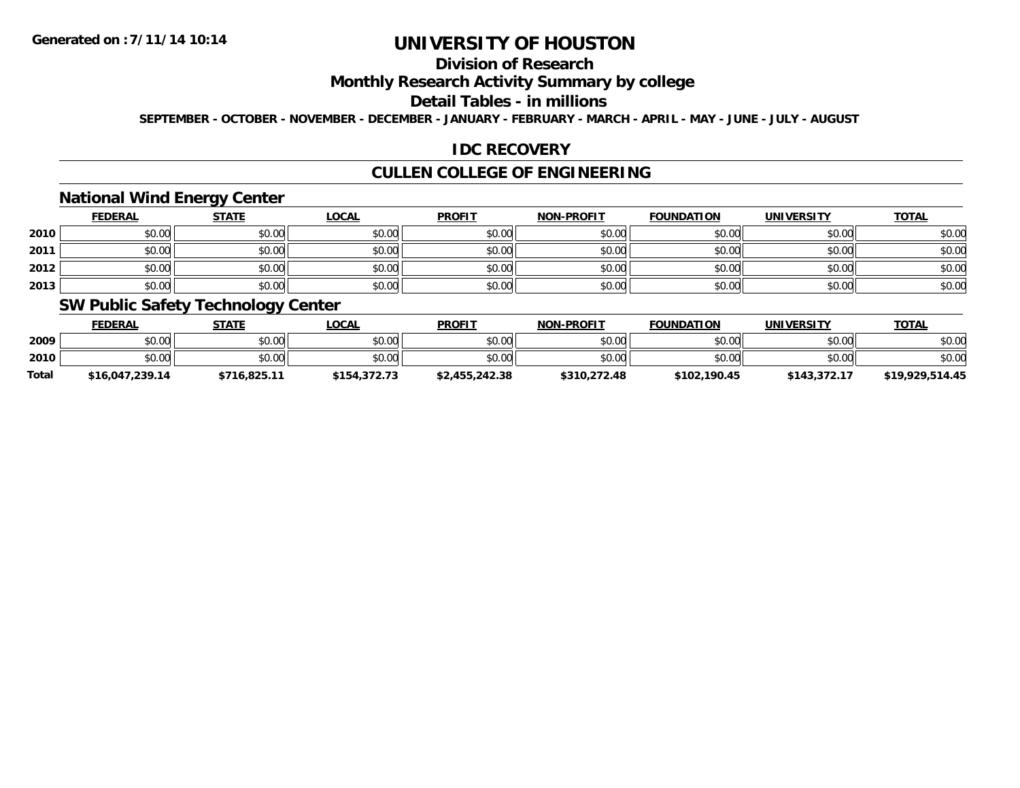### **Division of Research**

### **Monthly Research Activity Summary by college**

#### **Detail Tables - in millions**

**SEPTEMBER - OCTOBER - NOVEMBER - DECEMBER - JANUARY - FEBRUARY - MARCH - APRIL - MAY - JUNE - JULY - AUGUST**

### **IDC RECOVERY**

### **CULLEN COLLEGE OF ENGINEERING**

### **National Wind Energy Center**

|      | <b>FEDERAL</b> | <b>STATE</b> | <u>LOCAL</u> | <b>PROFIT</b> | <b>NON-PROFIT</b> | <b>FOUNDATION</b> | <b>UNIVERSITY</b> | <b>TOTAL</b> |
|------|----------------|--------------|--------------|---------------|-------------------|-------------------|-------------------|--------------|
| 2010 | \$0.00         | \$0.00       | \$0.00       | \$0.00        | \$0.00            | \$0.00            | \$0.00            | \$0.00       |
| 2011 | \$0.00         | \$0.00       | \$0.00       | \$0.00        | \$0.00            | \$0.00            | \$0.00            | \$0.00       |
| 2012 | \$0.00         | \$0.00       | \$0.00       | \$0.00        | \$0.00            | \$0.00            | \$0.00            | \$0.00       |
| 2013 | \$0.00         | \$0.00       | \$0.00       | \$0.00        | \$0.00            | \$0.00            | \$0.00            | \$0.00       |

### **SW Public Safety Technology Center**

|              | <b>FEDERAL</b>  | STATE        | _OCAL        | <b>PROFIT</b>  | <b>NON-PROFIT</b> | <b>FOUNDATION</b> | <b>UNIVERSITY</b> | <u>TOTAL</u>    |
|--------------|-----------------|--------------|--------------|----------------|-------------------|-------------------|-------------------|-----------------|
| 2009         | \$0.00          | \$0.00       | \$0.00       | \$0.00         | \$0.00            | \$0.00            | \$0.00            | \$0.00          |
| 2010         | \$0.00          | \$0.00       | \$0.00       | \$0.00         | \$0.00            | \$0.00            | \$0.00            | \$0.00          |
| <b>Total</b> | \$16,047,239.14 | \$716.825.11 | \$154,372.73 | \$2,455,242.38 | \$310,272.48      | \$102,190.45      | \$143,372.17      | \$19,929,514.45 |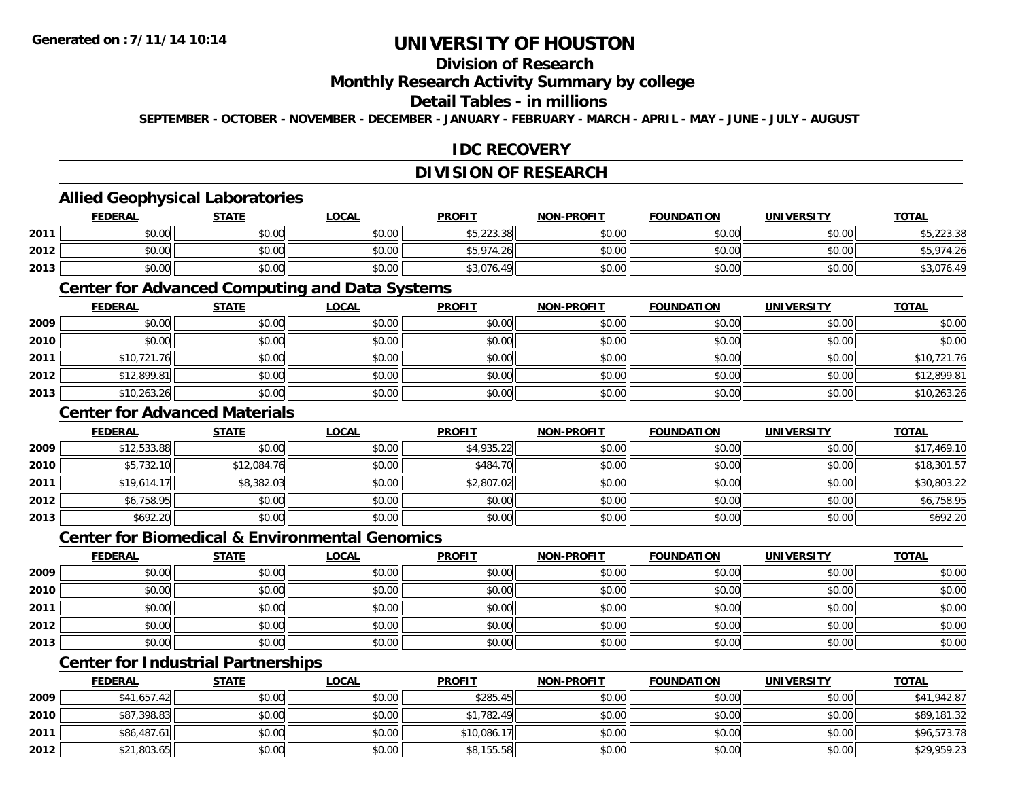## **Division of Research**

### **Monthly Research Activity Summary by college**

### **Detail Tables - in millions**

**SEPTEMBER - OCTOBER - NOVEMBER - DECEMBER - JANUARY - FEBRUARY - MARCH - APRIL - MAY - JUNE - JULY - AUGUST**

### **IDC RECOVERY**

## **DIVISION OF RESEARCH**

### **Allied Geophysical Laboratories**

|      | <b>FEDERAL</b> | <b>STATE</b>   | <b>_OCAL</b> | <b>PROFIT</b>    | <b>NON-PROFIT</b> | <b>FOUNDATION</b> | UNIVERSITY | <b>TOTAL</b> |
|------|----------------|----------------|--------------|------------------|-------------------|-------------------|------------|--------------|
| 2011 | \$0.00         | 40.00<br>JU.UU | \$0.00       | \$5,223.38       | \$0.00            | \$0.00            | \$0.00     | \$5,223.38   |
| 2012 | \$0.00         | ⊄∩ ∩∩<br>JU.UU | \$0.00       | \$5.974.<br>. 26 | \$0.00            | mn n¢<br>DU.UU    | \$0.00     | .974.26      |
| 2013 | \$0.00         | 40.00<br>JU.UU | \$0.00       | \$3,076.49       | \$0.00            | \$0.00            | \$0.00     | \$3,076.49   |

### **Center for Advanced Computing and Data Systems**

|      | <u>FEDERAL</u> | <b>STATE</b> | <u>LOCAL</u> | <b>PROFIT</b> | <b>NON-PROFIT</b> | <b>FOUNDATION</b> | <b>UNIVERSITY</b> | <b>TOTAL</b> |
|------|----------------|--------------|--------------|---------------|-------------------|-------------------|-------------------|--------------|
| 2009 | \$0.00         | \$0.00       | \$0.00       | \$0.00        | \$0.00            | \$0.00            | \$0.00            | \$0.00       |
| 2010 | \$0.00         | \$0.00       | \$0.00       | \$0.00        | \$0.00            | \$0.00            | \$0.00            | \$0.00       |
| 2011 | \$10,721.76    | \$0.00       | \$0.00       | \$0.00        | \$0.00            | \$0.00            | \$0.00            | \$10,721.76  |
| 2012 | \$12,899.81    | \$0.00       | \$0.00       | \$0.00        | \$0.00            | \$0.00            | \$0.00            | \$12,899.81  |
| 2013 | \$10,263.26    | \$0.00       | \$0.00       | \$0.00        | \$0.00            | \$0.00            | \$0.00            | \$10,263.26  |

### **Center for Advanced Materials**

|      | <b>FEDERAL</b> | <b>STATE</b> | <u>LOCAL</u> | <b>PROFIT</b> | <b>NON-PROFIT</b> | <b>FOUNDATION</b> | <b>UNIVERSITY</b> | <b>TOTAL</b> |
|------|----------------|--------------|--------------|---------------|-------------------|-------------------|-------------------|--------------|
| 2009 | \$12,533.88    | \$0.00       | \$0.00       | \$4,935.22    | \$0.00            | \$0.00            | \$0.00            | \$17,469.10  |
| 2010 | \$5,732.10     | \$12,084.76  | \$0.00       | \$484.70      | \$0.00            | \$0.00            | \$0.00            | \$18,301.57  |
| 2011 | \$19,614.17    | \$8,382.03   | \$0.00       | \$2,807.02    | \$0.00            | \$0.00            | \$0.00            | \$30,803.22  |
| 2012 | \$6,758.95     | \$0.00       | \$0.00       | \$0.00        | \$0.00            | \$0.00            | \$0.00            | \$6,758.95   |
| 2013 | \$692.20       | \$0.00       | \$0.00       | \$0.00        | \$0.00            | \$0.00            | \$0.00            | \$692.20     |

#### **Center for Biomedical & Environmental Genomics**

|      | <u>FEDERAL</u> | <b>STATE</b> | <b>LOCAL</b> | <b>PROFIT</b> | <b>NON-PROFIT</b> | <b>FOUNDATION</b> | <b>UNIVERSITY</b> | <b>TOTAL</b> |
|------|----------------|--------------|--------------|---------------|-------------------|-------------------|-------------------|--------------|
| 2009 | \$0.00         | \$0.00       | \$0.00       | \$0.00        | \$0.00            | \$0.00            | \$0.00            | \$0.00       |
| 2010 | \$0.00         | \$0.00       | \$0.00       | \$0.00        | \$0.00            | \$0.00            | \$0.00            | \$0.00       |
| 2011 | \$0.00         | \$0.00       | \$0.00       | \$0.00        | \$0.00            | \$0.00            | \$0.00            | \$0.00       |
| 2012 | \$0.00         | \$0.00       | \$0.00       | \$0.00        | \$0.00            | \$0.00            | \$0.00            | \$0.00       |
| 2013 | \$0.00         | \$0.00       | \$0.00       | \$0.00        | \$0.00            | \$0.00            | \$0.00            | \$0.00       |

## **Center for Industrial Partnerships**

|      | <u>FEDERAL</u> | <b>STATE</b> | <u>LOCAL</u> | <b>PROFIT</b> | <b>NON-PROFIT</b> | <b>FOUNDATION</b> | <b>UNIVERSITY</b> | <b>TOTAL</b> |
|------|----------------|--------------|--------------|---------------|-------------------|-------------------|-------------------|--------------|
| 2009 | \$41,657.42    | \$0.00       | \$0.00       | \$285.45      | \$0.00            | \$0.00            | \$0.00            | \$41,942.87  |
| 2010 | \$87,398.83    | \$0.00       | \$0.00       | \$1,782.49    | \$0.00            | \$0.00            | \$0.00            | \$89,181.32  |
| 2011 | \$86,487.61    | \$0.00       | \$0.00       | \$10,086.17   | \$0.00            | \$0.00            | \$0.00            | \$96,573.78  |
| 2012 | \$21,803.65    | \$0.00       | \$0.00       | \$8,155.58    | \$0.00            | \$0.00            | \$0.00            | \$29,959.23  |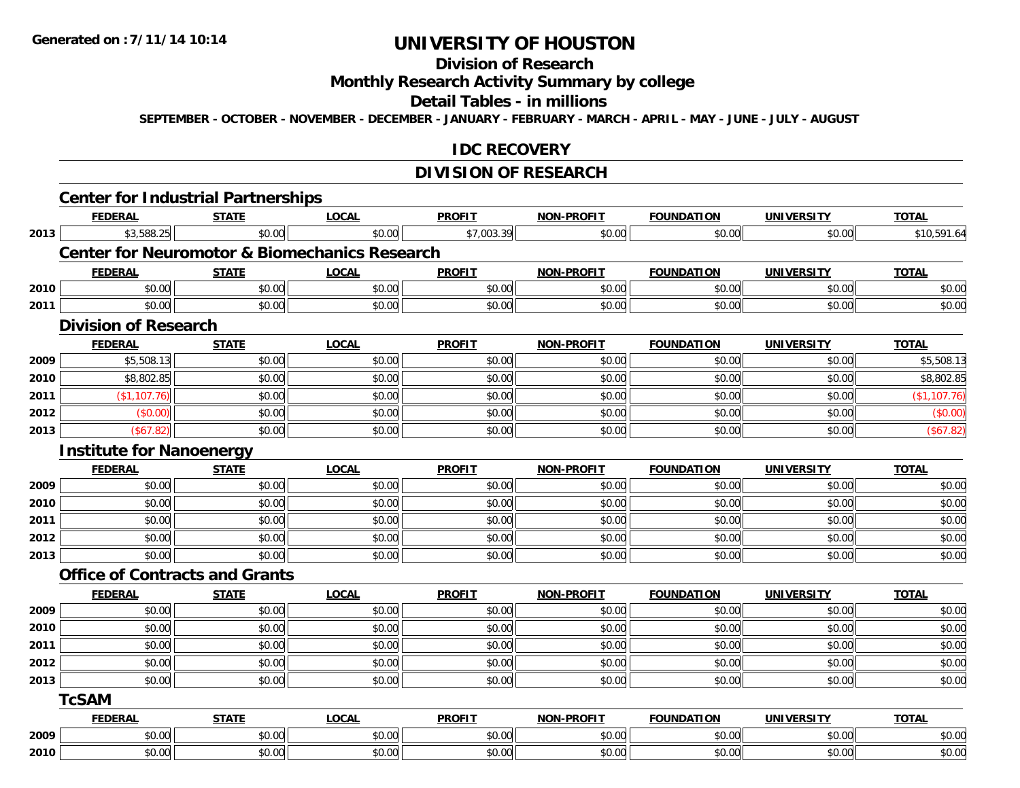## **Division of Research**

**Monthly Research Activity Summary by college**

#### **Detail Tables - in millions**

**SEPTEMBER - OCTOBER - NOVEMBER - DECEMBER - JANUARY - FEBRUARY - MARCH - APRIL - MAY - JUNE - JULY - AUGUST**

#### **IDC RECOVERY**

## **DIVISION OF RESEARCH**

|      | <b>Center for Industrial Partnerships</b> |              |                                                          |               |                   |                   |                   |              |
|------|-------------------------------------------|--------------|----------------------------------------------------------|---------------|-------------------|-------------------|-------------------|--------------|
|      | <b>FEDERAL</b>                            | <b>STATE</b> | <b>LOCAL</b>                                             | <b>PROFIT</b> | <b>NON-PROFIT</b> | <b>FOUNDATION</b> | <b>UNIVERSITY</b> | <b>TOTAL</b> |
| 2013 | \$3,588.25                                | \$0.00       | \$0.00                                                   | \$7,003.39    | \$0.00            | \$0.00            | \$0.00            | \$10,591.64  |
|      |                                           |              | <b>Center for Neuromotor &amp; Biomechanics Research</b> |               |                   |                   |                   |              |
|      | <b>FEDERAL</b>                            | <b>STATE</b> | <b>LOCAL</b>                                             | <b>PROFIT</b> | <b>NON-PROFIT</b> | <b>FOUNDATION</b> | <b>UNIVERSITY</b> | <b>TOTAL</b> |
| 2010 | \$0.00                                    | \$0.00       | \$0.00                                                   | \$0.00        | \$0.00            | \$0.00            | \$0.00            | \$0.00       |
| 2011 | \$0.00                                    | \$0.00       | \$0.00                                                   | \$0.00        | \$0.00            | \$0.00            | \$0.00            | \$0.00       |
|      | <b>Division of Research</b>               |              |                                                          |               |                   |                   |                   |              |
|      | <b>FEDERAL</b>                            | <b>STATE</b> | <b>LOCAL</b>                                             | <b>PROFIT</b> | <b>NON-PROFIT</b> | <b>FOUNDATION</b> | <b>UNIVERSITY</b> | <b>TOTAL</b> |
| 2009 | \$5,508.13                                | \$0.00       | \$0.00                                                   | \$0.00        | \$0.00            | \$0.00            | \$0.00            | \$5,508.13   |
| 2010 | \$8,802.85                                | \$0.00       | \$0.00                                                   | \$0.00        | \$0.00            | \$0.00            | \$0.00            | \$8,802.85   |
| 2011 | (\$1,107.76)                              | \$0.00       | \$0.00                                                   | \$0.00        | \$0.00            | \$0.00            | \$0.00            | (\$1,107.76) |
| 2012 | (\$0.00)                                  | \$0.00       | \$0.00                                                   | \$0.00        | \$0.00            | \$0.00            | \$0.00            | (\$0.00)     |
| 2013 | (\$67.82)                                 | \$0.00       | \$0.00                                                   | \$0.00        | \$0.00            | \$0.00            | \$0.00            | (\$67.82)    |
|      | <b>Institute for Nanoenergy</b>           |              |                                                          |               |                   |                   |                   |              |
|      | <b>FEDERAL</b>                            | <b>STATE</b> | <b>LOCAL</b>                                             | <b>PROFIT</b> | NON-PROFIT        | <b>FOUNDATION</b> | <b>UNIVERSITY</b> | <b>TOTAL</b> |
| 2009 | \$0.00                                    | \$0.00       | \$0.00                                                   | \$0.00        | \$0.00            | \$0.00            | \$0.00            | \$0.00       |
| 2010 | \$0.00                                    | \$0.00       | \$0.00                                                   | \$0.00        | \$0.00            | \$0.00            | \$0.00            | \$0.00       |
| 2011 | \$0.00                                    | \$0.00       | \$0.00                                                   | \$0.00        | \$0.00            | \$0.00            | \$0.00            | \$0.00       |
| 2012 | \$0.00                                    | \$0.00       | \$0.00                                                   | \$0.00        | \$0.00            | \$0.00            | \$0.00            | \$0.00       |
| 2013 | \$0.00                                    | \$0.00       | \$0.00                                                   | \$0.00        | \$0.00            | \$0.00            | \$0.00            | \$0.00       |
|      | <b>Office of Contracts and Grants</b>     |              |                                                          |               |                   |                   |                   |              |
|      | <b>FEDERAL</b>                            | <b>STATE</b> | <b>LOCAL</b>                                             | <b>PROFIT</b> | <b>NON-PROFIT</b> | <b>FOUNDATION</b> | <b>UNIVERSITY</b> | <b>TOTAL</b> |
| 2009 | \$0.00                                    | \$0.00       | \$0.00                                                   | \$0.00        | \$0.00            | \$0.00            | \$0.00            | \$0.00       |
| 2010 | \$0.00                                    | \$0.00       | \$0.00                                                   | \$0.00        | \$0.00            | \$0.00            | \$0.00            | \$0.00       |
| 2011 | \$0.00                                    | \$0.00       | \$0.00                                                   | \$0.00        | \$0.00            | \$0.00            | \$0.00            | \$0.00       |
| 2012 | \$0.00                                    | \$0.00       | \$0.00                                                   | \$0.00        | \$0.00            | \$0.00            | \$0.00            | \$0.00       |
| 2013 | \$0.00                                    | \$0.00       | \$0.00                                                   | \$0.00        | \$0.00            | \$0.00            | \$0.00            | \$0.00       |
|      | <b>TcSAM</b>                              |              |                                                          |               |                   |                   |                   |              |
|      | <b>FEDERAL</b>                            | <b>STATE</b> | <b>LOCAL</b>                                             | <b>PROFIT</b> | NON-PROFIT        | <b>FOUNDATION</b> | <b>UNIVERSITY</b> | <b>TOTAL</b> |
| 2009 | \$0.00                                    | \$0.00       | \$0.00                                                   | \$0.00        | \$0.00            | \$0.00            | \$0.00            | \$0.00       |
| 2010 | \$0.00                                    | \$0.00       | \$0.00                                                   | \$0.00        | \$0.00            | \$0.00            | \$0.00            | \$0.00       |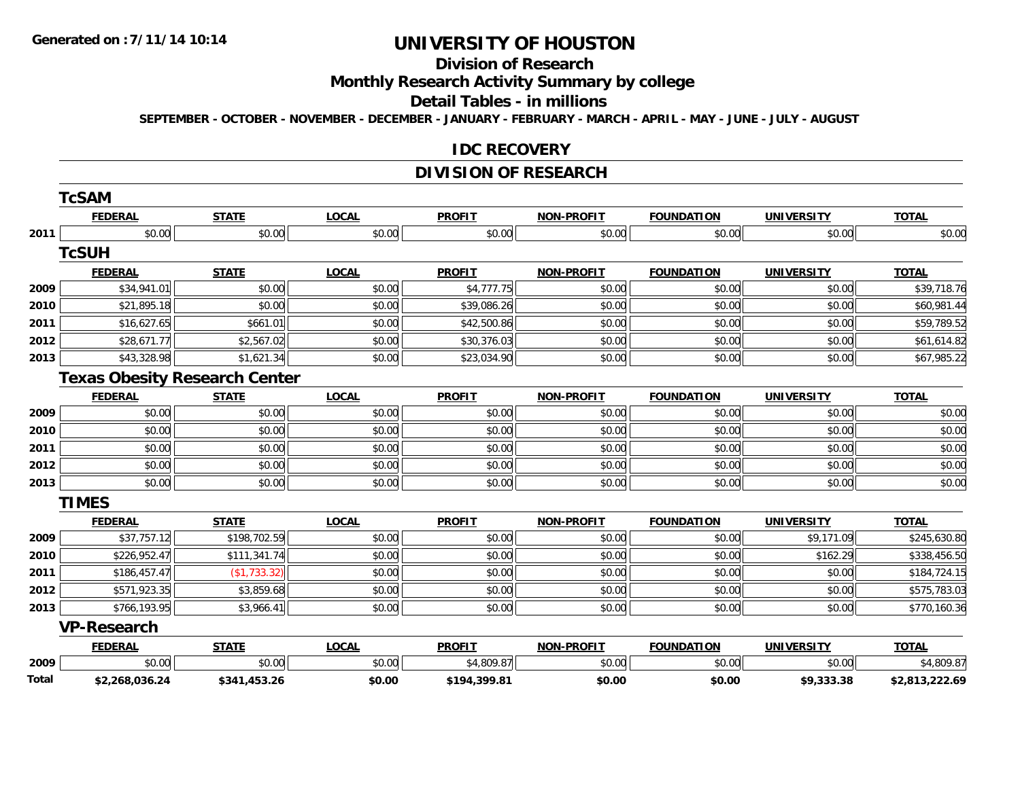#### **Division of Research**

## **Monthly Research Activity Summary by college**

#### **Detail Tables - in millions**

**SEPTEMBER - OCTOBER - NOVEMBER - DECEMBER - JANUARY - FEBRUARY - MARCH - APRIL - MAY - JUNE - JULY - AUGUST**

#### **IDC RECOVERY**

### **DIVISION OF RESEARCH**

|       | TcSAM              |                                      |              |               |                   |                   |                   |                |
|-------|--------------------|--------------------------------------|--------------|---------------|-------------------|-------------------|-------------------|----------------|
|       | <b>FEDERAL</b>     | <b>STATE</b>                         | <b>LOCAL</b> | <b>PROFIT</b> | <b>NON-PROFIT</b> | <b>FOUNDATION</b> | <b>UNIVERSITY</b> | <b>TOTAL</b>   |
| 2011  | \$0.00             | \$0.00                               | \$0.00       | \$0.00        | \$0.00            | \$0.00            | \$0.00            | \$0.00         |
|       | <b>TcSUH</b>       |                                      |              |               |                   |                   |                   |                |
|       | <b>FEDERAL</b>     | <b>STATE</b>                         | <b>LOCAL</b> | <b>PROFIT</b> | <b>NON-PROFIT</b> | <b>FOUNDATION</b> | <b>UNIVERSITY</b> | <b>TOTAL</b>   |
| 2009  | \$34,941.01        | \$0.00                               | \$0.00       | \$4,777.75    | \$0.00            | \$0.00            | \$0.00            | \$39,718.76    |
| 2010  | \$21,895.18        | \$0.00                               | \$0.00       | \$39,086.26   | \$0.00            | \$0.00            | \$0.00            | \$60,981.44    |
| 2011  | \$16,627.65        | \$661.01                             | \$0.00       | \$42,500.86   | \$0.00            | \$0.00            | \$0.00            | \$59,789.52    |
| 2012  | \$28,671.77        | \$2,567.02                           | \$0.00       | \$30,376.03   | \$0.00            | \$0.00            | \$0.00            | \$61,614.82    |
| 2013  | \$43,328.98        | \$1,621.34                           | \$0.00       | \$23,034.90   | \$0.00            | \$0.00            | \$0.00            | \$67,985.22    |
|       |                    | <b>Texas Obesity Research Center</b> |              |               |                   |                   |                   |                |
|       | <b>FEDERAL</b>     | <b>STATE</b>                         | <b>LOCAL</b> | <b>PROFIT</b> | <b>NON-PROFIT</b> | <b>FOUNDATION</b> | <b>UNIVERSITY</b> | <b>TOTAL</b>   |
| 2009  | \$0.00             | \$0.00                               | \$0.00       | \$0.00        | \$0.00            | \$0.00            | \$0.00            | \$0.00         |
| 2010  | \$0.00             | \$0.00                               | \$0.00       | \$0.00        | \$0.00            | \$0.00            | \$0.00            | \$0.00         |
| 2011  | \$0.00             | \$0.00                               | \$0.00       | \$0.00        | \$0.00            | \$0.00            | \$0.00            | \$0.00         |
| 2012  | \$0.00             | \$0.00                               | \$0.00       | \$0.00        | \$0.00            | \$0.00            | \$0.00            | \$0.00         |
| 2013  | \$0.00             | \$0.00                               | \$0.00       | \$0.00        | \$0.00            | \$0.00            | \$0.00            | \$0.00         |
|       | <b>TIMES</b>       |                                      |              |               |                   |                   |                   |                |
|       | <b>FEDERAL</b>     | <b>STATE</b>                         | <b>LOCAL</b> | <b>PROFIT</b> | <b>NON-PROFIT</b> | <b>FOUNDATION</b> | <b>UNIVERSITY</b> | <b>TOTAL</b>   |
| 2009  | \$37,757.12        | \$198,702.59                         | \$0.00       | \$0.00        | \$0.00            | \$0.00            | \$9,171.09        | \$245,630.80   |
| 2010  | \$226,952.47       | \$111,341.74                         | \$0.00       | \$0.00        | \$0.00            | \$0.00            | \$162.29          | \$338,456.50   |
| 2011  | \$186,457.47       | (\$1,733.32)                         | \$0.00       | \$0.00        | \$0.00            | \$0.00            | \$0.00            | \$184,724.15   |
| 2012  | \$571,923.35       | \$3,859.68                           | \$0.00       | \$0.00        | \$0.00            | \$0.00            | \$0.00            | \$575,783.03   |
| 2013  | \$766,193.95       | \$3,966.41                           | \$0.00       | \$0.00        | \$0.00            | \$0.00            | \$0.00            | \$770,160.36   |
|       | <b>VP-Research</b> |                                      |              |               |                   |                   |                   |                |
|       | <b>FEDERAL</b>     | <b>STATE</b>                         | <b>LOCAL</b> | <b>PROFIT</b> | <b>NON-PROFIT</b> | <b>FOUNDATION</b> | <b>UNIVERSITY</b> | <b>TOTAL</b>   |
| 2009  | \$0.00             | \$0.00                               | \$0.00       | \$4,809.87    | \$0.00            | \$0.00            | \$0.00            | \$4,809.87     |
| Total | \$2,268,036.24     | \$341,453.26                         | \$0.00       | \$194,399.81  | \$0.00            | \$0.00            | \$9,333.38        | \$2,813,222.69 |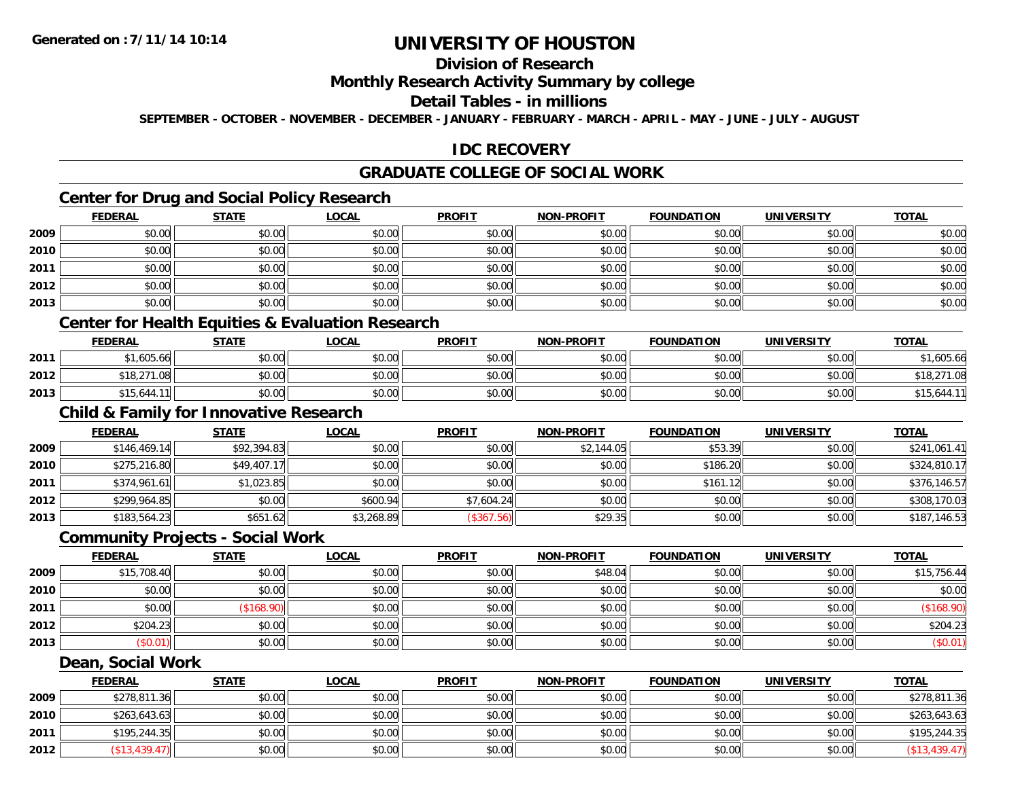## **Division of Research**

### **Monthly Research Activity Summary by college**

### **Detail Tables - in millions**

**SEPTEMBER - OCTOBER - NOVEMBER - DECEMBER - JANUARY - FEBRUARY - MARCH - APRIL - MAY - JUNE - JULY - AUGUST**

### **IDC RECOVERY**

### **GRADUATE COLLEGE OF SOCIAL WORK**

### **Center for Drug and Social Policy Research**

|      | <b>FEDERAL</b> | <b>STATE</b> | <b>LOCAL</b> | <b>PROFIT</b> | <b>NON-PROFIT</b> | <b>FOUNDATION</b> | <b>UNIVERSITY</b> | <b>TOTAL</b> |
|------|----------------|--------------|--------------|---------------|-------------------|-------------------|-------------------|--------------|
| 2009 | \$0.00         | \$0.00       | \$0.00       | \$0.00        | \$0.00            | \$0.00            | \$0.00            | \$0.00       |
| 2010 | \$0.00         | \$0.00       | \$0.00       | \$0.00        | \$0.00            | \$0.00            | \$0.00            | \$0.00       |
| 2011 | \$0.00         | \$0.00       | \$0.00       | \$0.00        | \$0.00            | \$0.00            | \$0.00            | \$0.00       |
| 2012 | \$0.00         | \$0.00       | \$0.00       | \$0.00        | \$0.00            | \$0.00            | \$0.00            | \$0.00       |
| 2013 | \$0.00         | \$0.00       | \$0.00       | \$0.00        | \$0.00            | \$0.00            | \$0.00            | \$0.00       |

### **Center for Health Equities & Evaluation Research**

|      | <b>FEDERAL</b>                    | <b>STATE</b> | <b>LOCAL</b> | <b>PROFIT</b> | <b>NON-PROFIT</b> | <b>FOUNDATION</b> | UNIVERSITY    | <b>TOTAL</b>   |
|------|-----------------------------------|--------------|--------------|---------------|-------------------|-------------------|---------------|----------------|
| 2011 | $*1.605.66$                       | \$0.00       | \$0.00       | \$0.00        | \$0.00            | en uu             | 4000<br>DU.UU | .605.66        |
| 2012 | 0.10, 0.71<br>$\sim$<br>10.2      | \$0.00       | \$0.00       | \$0.00        | \$0.00            | ≮∩ ∩∩<br>PO.OO    | \$0.00        | \$18,2.<br>.08 |
| 2013 | ሐ 4 ୮<br>-15،644.11l <sup>l</sup> | \$0.00       | \$0.00       | \$0.00        | \$0.00            | \$0.00            | \$0.00        | \$15,644.11    |

## **Child & Family for Innovative Research**

|      | <b>FEDERAL</b> | <u>STATE</u> | <u>LOCAL</u> | <b>PROFIT</b> | <b>NON-PROFIT</b> | <b>FOUNDATION</b> | <b>UNIVERSITY</b> | <b>TOTAL</b> |
|------|----------------|--------------|--------------|---------------|-------------------|-------------------|-------------------|--------------|
| 2009 | \$146,469.14   | \$92,394.83  | \$0.00       | \$0.00        | \$2,144.05        | \$53.39           | \$0.00            | \$241,061.41 |
| 2010 | \$275,216.80   | \$49,407.17  | \$0.00       | \$0.00        | \$0.00            | \$186.20          | \$0.00            | \$324,810.17 |
| 2011 | \$374,961.61   | \$1,023.85   | \$0.00       | \$0.00        | \$0.00            | \$161.12          | \$0.00            | \$376,146.57 |
| 2012 | \$299,964.85   | \$0.00       | \$600.94     | \$7,604.24    | \$0.00            | \$0.00            | \$0.00            | \$308,170.03 |
| 2013 | \$183,564.23   | \$651.62     | \$3,268.89   | (\$367.56)    | \$29.35           | \$0.00            | \$0.00            | \$187,146.53 |

#### **Community Projects - Social Work**

|      | <b>FEDERAL</b> | <b>STATE</b> | <b>LOCAL</b> | <b>PROFIT</b> | <b>NON-PROFIT</b> | <b>FOUNDATION</b> | <b>UNIVERSITY</b> | <b>TOTAL</b> |
|------|----------------|--------------|--------------|---------------|-------------------|-------------------|-------------------|--------------|
| 2009 | \$15,708.40    | \$0.00       | \$0.00       | \$0.00        | \$48.04           | \$0.00            | \$0.00            | \$15,756.44  |
| 2010 | \$0.00         | \$0.00       | \$0.00       | \$0.00        | \$0.00            | \$0.00            | \$0.00            | \$0.00       |
| 2011 | \$0.00         | \$168.90)    | \$0.00       | \$0.00        | \$0.00            | \$0.00            | \$0.00            |              |
| 2012 | \$204.23       | \$0.00       | \$0.00       | \$0.00        | \$0.00            | \$0.00            | \$0.00            | \$204.23     |
| 2013 | (\$0.01)       | \$0.00       | \$0.00       | \$0.00        | \$0.00            | \$0.00            | \$0.00            | $(\$0.01)$   |

#### **Dean, Social Work**

|      | <u>FEDERAL</u> | <b>STATE</b> | <u>LOCAL</u> | <b>PROFIT</b> | <b>NON-PROFIT</b> | <b>FOUNDATION</b> | <b>UNIVERSITY</b> | <b>TOTAL</b>  |
|------|----------------|--------------|--------------|---------------|-------------------|-------------------|-------------------|---------------|
| 2009 | \$278,811.36   | \$0.00       | \$0.00       | \$0.00        | \$0.00            | \$0.00            | \$0.00            | \$278,811.36  |
| 2010 | \$263,643.63   | \$0.00       | \$0.00       | \$0.00        | \$0.00            | \$0.00            | \$0.00            | \$263,643.63  |
| 2011 | \$195,244.35   | \$0.00       | \$0.00       | \$0.00        | \$0.00            | \$0.00            | \$0.00            | \$195,244.35  |
| 2012 | (\$13,439.47)  | \$0.00       | \$0.00       | \$0.00        | \$0.00            | \$0.00            | \$0.00            | (\$13,439.47) |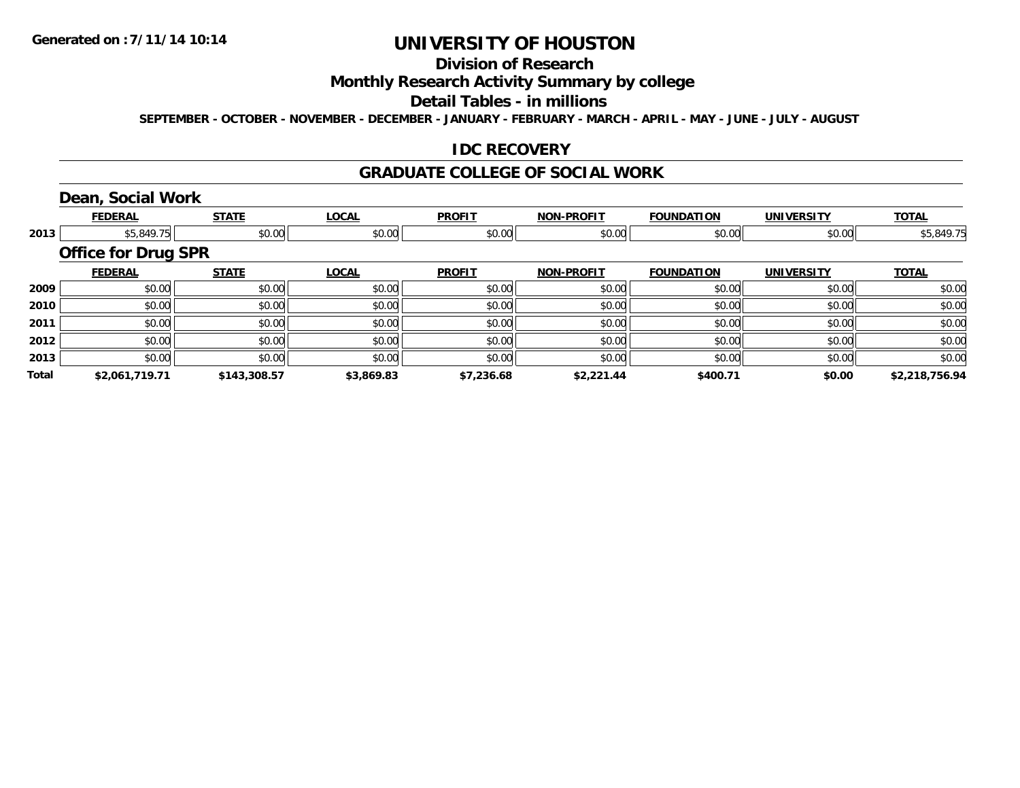## **Division of Research**

### **Monthly Research Activity Summary by college**

#### **Detail Tables - in millions**

**SEPTEMBER - OCTOBER - NOVEMBER - DECEMBER - JANUARY - FEBRUARY - MARCH - APRIL - MAY - JUNE - JULY - AUGUST**

### **IDC RECOVERY**

#### **GRADUATE COLLEGE OF SOCIAL WORK**

### **Dean, Social Work**

|       | <b>FEDERAL</b>             | <b>STATE</b> | <b>LOCAL</b> | <b>PROFIT</b> | <b>NON-PROFIT</b> | <b>FOUNDATION</b> | <b>UNIVERSITY</b> | <b>TOTAL</b>   |
|-------|----------------------------|--------------|--------------|---------------|-------------------|-------------------|-------------------|----------------|
| 2013  | \$5,849.75                 | \$0.00       | \$0.00       | \$0.00        | \$0.00            | \$0.00            | \$0.00            | \$5,849.75     |
|       | <b>Office for Drug SPR</b> |              |              |               |                   |                   |                   |                |
|       | <b>FEDERAL</b>             | <b>STATE</b> | <b>LOCAL</b> | <b>PROFIT</b> | <b>NON-PROFIT</b> | <b>FOUNDATION</b> | <b>UNIVERSITY</b> | <b>TOTAL</b>   |
| 2009  | \$0.00                     | \$0.00       | \$0.00       | \$0.00        | \$0.00            | \$0.00            | \$0.00            | \$0.00         |
| 2010  | \$0.00                     | \$0.00       | \$0.00       | \$0.00        | \$0.00            | \$0.00            | \$0.00            | \$0.00         |
| 2011  | \$0.00                     | \$0.00       | \$0.00       | \$0.00        | \$0.00            | \$0.00            | \$0.00            | \$0.00         |
| 2012  | \$0.00                     | \$0.00       | \$0.00       | \$0.00        | \$0.00            | \$0.00            | \$0.00            | \$0.00         |
| 2013  | \$0.00                     | \$0.00       | \$0.00       | \$0.00        | \$0.00            | \$0.00            | \$0.00            | \$0.00         |
| Total | \$2,061,719.71             | \$143,308.57 | \$3,869.83   | \$7,236.68    | \$2,221.44        | \$400.71          | \$0.00            | \$2,218,756.94 |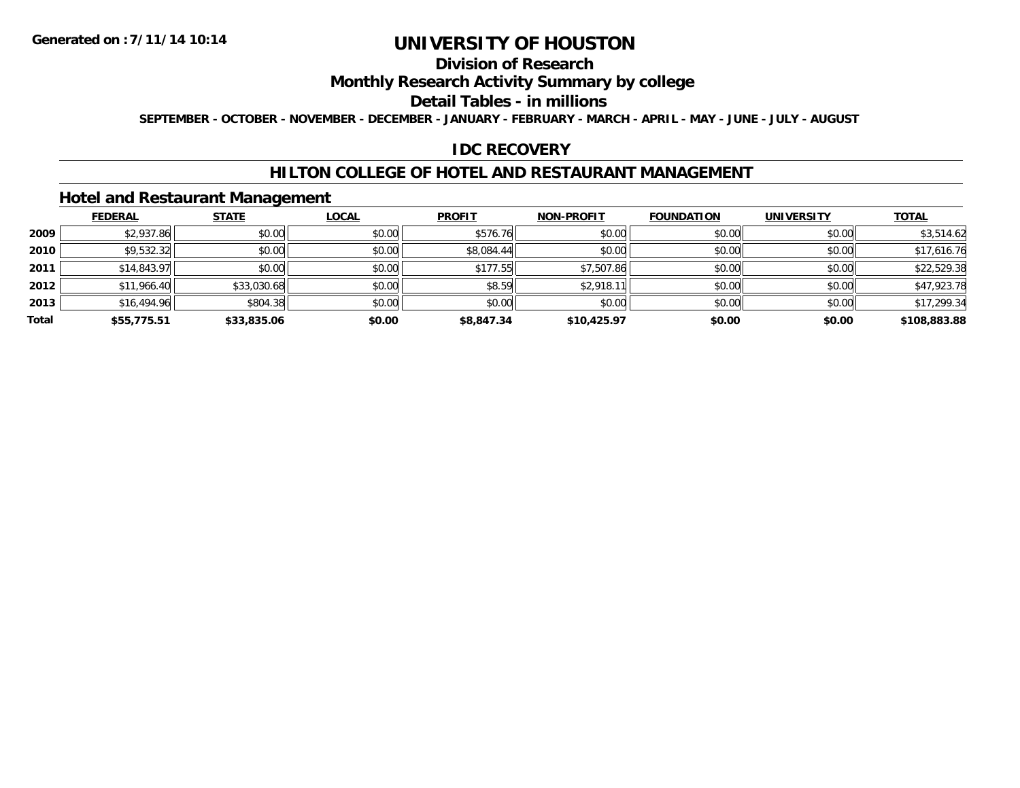### **Division of Research**

### **Monthly Research Activity Summary by college**

#### **Detail Tables - in millions**

**SEPTEMBER - OCTOBER - NOVEMBER - DECEMBER - JANUARY - FEBRUARY - MARCH - APRIL - MAY - JUNE - JULY - AUGUST**

#### **IDC RECOVERY**

#### **HILTON COLLEGE OF HOTEL AND RESTAURANT MANAGEMENT**

### **Hotel and Restaurant Management**

|       | <b>FEDERAL</b> | <b>STATE</b> | <u>LOCAL</u> | <b>PROFIT</b> | <b>NON-PROFIT</b> | <b>FOUNDATION</b> | <b>UNIVERSITY</b> | <b>TOTAL</b> |
|-------|----------------|--------------|--------------|---------------|-------------------|-------------------|-------------------|--------------|
| 2009  | \$2,937.86     | \$0.00       | \$0.00       | \$576.76      | \$0.00            | \$0.00            | \$0.00            | \$3,514.62   |
| 2010  | \$9,532.32     | \$0.00       | \$0.00       | \$8,084.44    | \$0.00            | \$0.00            | \$0.00            | \$17,616.76  |
| 2011  | \$14,843.97    | \$0.00       | \$0.00       | \$177.55      | \$7,507.86        | \$0.00            | \$0.00            | \$22,529.38  |
| 2012  | \$11,966.40    | \$33,030.68  | \$0.00       | \$8.59        | \$2,918.11        | \$0.00            | \$0.00            | \$47,923.78  |
| 2013  | \$16,494.96    | \$804.38     | \$0.00       | \$0.00        | \$0.00            | \$0.00            | \$0.00            | \$17,299.34  |
| Total | \$55,775.51    | \$33,835.06  | \$0.00       | \$8,847.34    | \$10,425.97       | \$0.00            | \$0.00            | \$108,883.88 |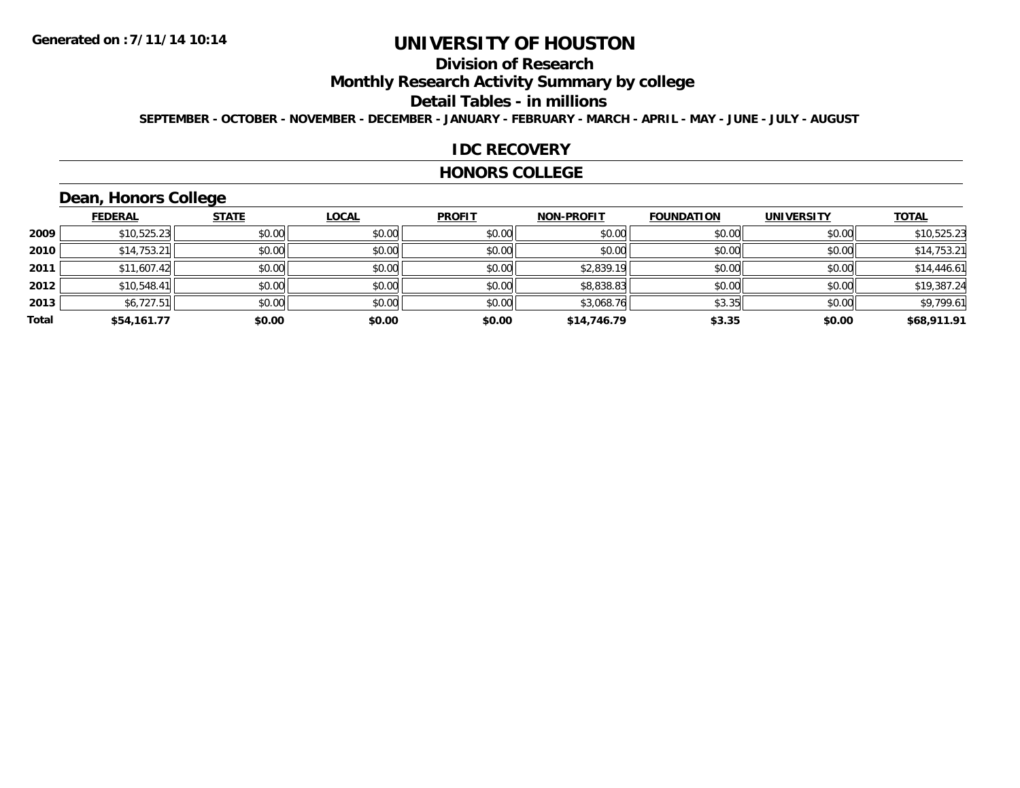## **Division of Research**

**Monthly Research Activity Summary by college**

#### **Detail Tables - in millions**

**SEPTEMBER - OCTOBER - NOVEMBER - DECEMBER - JANUARY - FEBRUARY - MARCH - APRIL - MAY - JUNE - JULY - AUGUST**

#### **IDC RECOVERY**

#### **HONORS COLLEGE**

## **Dean, Honors College**

|       |                | $\overline{\phantom{a}}$ |              |               |                   |                   |                   |              |
|-------|----------------|--------------------------|--------------|---------------|-------------------|-------------------|-------------------|--------------|
|       | <b>FEDERAL</b> | <b>STATE</b>             | <b>LOCAL</b> | <b>PROFIT</b> | <b>NON-PROFIT</b> | <b>FOUNDATION</b> | <b>UNIVERSITY</b> | <b>TOTAL</b> |
| 2009  | \$10,525.23    | \$0.00                   | \$0.00       | \$0.00        | \$0.00            | \$0.00            | \$0.00            | \$10,525.23  |
| 2010  | \$14,753.21    | \$0.00                   | \$0.00       | \$0.00        | \$0.00            | \$0.00            | \$0.00            | \$14,753.21  |
| 2011  | \$11,607.42    | \$0.00                   | \$0.00       | \$0.00        | \$2,839.19        | \$0.00            | \$0.00            | \$14,446.61  |
| 2012  | \$10,548.41    | \$0.00                   | \$0.00       | \$0.00        | \$8,838.83        | \$0.00            | \$0.00            | \$19,387.24  |
| 2013  | \$6,727.51     | \$0.00                   | \$0.00       | \$0.00        | \$3,068.76        | \$3.35            | \$0.00            | \$9,799.61   |
| Total | \$54,161.77    | \$0.00                   | \$0.00       | \$0.00        | \$14,746.79       | \$3.35            | \$0.00            | \$68,911.91  |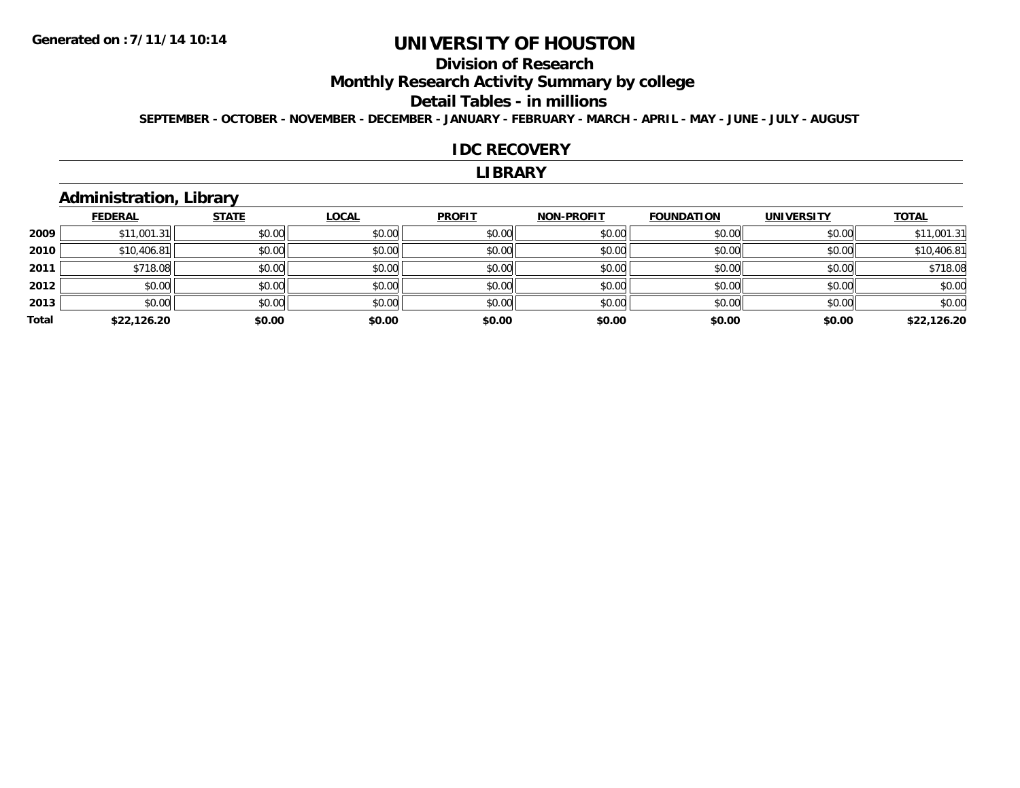## **Division of Research**

**Monthly Research Activity Summary by college**

#### **Detail Tables - in millions**

**SEPTEMBER - OCTOBER - NOVEMBER - DECEMBER - JANUARY - FEBRUARY - MARCH - APRIL - MAY - JUNE - JULY - AUGUST**

#### **IDC RECOVERY**

#### **LIBRARY**

## **Administration, Library**

|       | <b>FEDERAL</b> | <b>STATE</b> | <b>LOCAL</b> | <b>PROFIT</b> | <b>NON-PROFIT</b> | <b>FOUNDATION</b> | <b>UNIVERSITY</b> | <b>TOTAL</b> |
|-------|----------------|--------------|--------------|---------------|-------------------|-------------------|-------------------|--------------|
| 2009  | \$11,001.31    | \$0.00       | \$0.00       | \$0.00        | \$0.00            | \$0.00            | \$0.00            | \$11,001.31  |
| 2010  | \$10,406.81    | \$0.00       | \$0.00       | \$0.00        | \$0.00            | \$0.00            | \$0.00            | \$10,406.81  |
| 2011  | \$718.08       | \$0.00       | \$0.00       | \$0.00        | \$0.00            | \$0.00            | \$0.00            | \$718.08     |
| 2012  | \$0.00         | \$0.00       | \$0.00       | \$0.00        | \$0.00            | \$0.00            | \$0.00            | \$0.00       |
| 2013  | \$0.00         | \$0.00       | \$0.00       | \$0.00        | \$0.00            | \$0.00            | \$0.00            | \$0.00       |
| Total | \$22,126.20    | \$0.00       | \$0.00       | \$0.00        | \$0.00            | \$0.00            | \$0.00            | \$22,126.20  |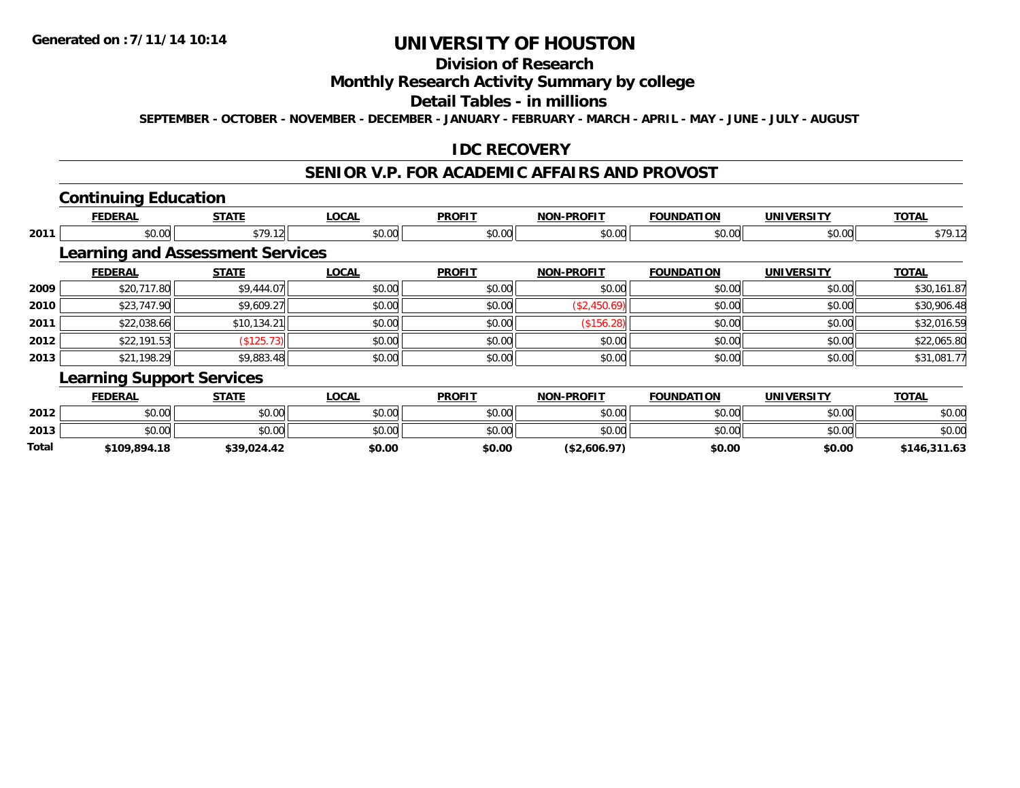## **Division of Research**

### **Monthly Research Activity Summary by college**

#### **Detail Tables - in millions**

**SEPTEMBER - OCTOBER - NOVEMBER - DECEMBER - JANUARY - FEBRUARY - MARCH - APRIL - MAY - JUNE - JULY - AUGUST**

### **IDC RECOVERY**

#### **SENIOR V.P. FOR ACADEMIC AFFAIRS AND PROVOST**

### **Continuing Education**

|      | <b>FEDERAL</b>                          | <b>STATE</b>                                                | <b>LOCAL</b>            | <b>PROFIT</b>                    | <b>NON-PROFIT</b> | <b>FOUNDATION</b> | <b>UNIVERSITY</b>     | <b>TOTAL</b>                     |
|------|-----------------------------------------|-------------------------------------------------------------|-------------------------|----------------------------------|-------------------|-------------------|-----------------------|----------------------------------|
| 2011 | \$0.00                                  | \$79.12                                                     | \$0.00                  | \$0.00                           | \$0.00            | \$0.00            | \$0.00                | \$79.12                          |
|      | <b>Learning and Assessment Services</b> |                                                             |                         |                                  |                   |                   |                       |                                  |
|      | <b>FEDERAL</b>                          | <b>STATE</b>                                                | <b>LOCAL</b>            | <b>PROFIT</b>                    | <b>NON-PROFIT</b> | <b>FOUNDATION</b> | <b>UNIVERSITY</b>     | <b>TOTAL</b>                     |
| 2009 | \$20,717.80                             | \$9,444.07                                                  | \$0.00                  | \$0.00                           | \$0.00            | \$0.00            | \$0.00                | \$30,161.87                      |
| 2010 | \$23,747.90                             | \$9,609.27                                                  | \$0.00                  | \$0.00                           | (\$2,450.69)      | \$0.00            | \$0.00                | \$30,906.48                      |
| 2011 | \$22,038.66                             | \$10,134.21                                                 | \$0.00                  | \$0.00                           | (\$156.28)        | \$0.00            | \$0.00                | \$32,016.59                      |
| 2012 | \$22,191.53                             | (\$125.73)                                                  | \$0.00                  | \$0.00                           | \$0.00            | \$0.00            | \$0.00                | \$22,065.80                      |
| 2013 | \$21,198.29                             | \$9,883.48                                                  | \$0.00                  | \$0.00                           | \$0.00            | \$0.00            | \$0.00                | \$31,081.77                      |
|      | <b>Learning Support Services</b>        |                                                             |                         |                                  |                   |                   |                       |                                  |
|      | <b>FEDERAL</b>                          | <b>STATE</b>                                                | <b>LOCAL</b>            | <b>PROFIT</b>                    | <b>NON-PROFIT</b> | <b>FOUNDATION</b> | <b>UNIVERSITY</b>     | <b>TOTAL</b>                     |
| າດາາ | $\mathfrak{g} \cap \mathfrak{g}$        | $\mathfrak{g}$ $\mathfrak{g}$ $\mathfrak{g}$ $\mathfrak{g}$ | $\circ$ $\circ$ $\circ$ | $\mathfrak{g} \cap \mathfrak{g}$ | 0000              | 0.00              | $n \cap \overline{N}$ | $\mathfrak{g} \cap \mathfrak{g}$ |

| Total | \$109,894.18 | \$39,024.42 | \$0.00                                   | \$0.00 | (\$2,606.97) | \$0.00 | \$0.00 | \$146,311.63 |
|-------|--------------|-------------|------------------------------------------|--------|--------------|--------|--------|--------------|
| 2013  | 50.00        | \$0.00      | \$0.00                                   | \$0.00 | \$0.00       | \$0.00 | \$0.00 | \$0.00       |
| 2012  | \$0.00       | \$0.00      | $\uparrow$ $\sim$ $\sim$<br><b>DU.UG</b> | \$0.00 | \$0.00       | \$0.00 | \$0.00 | \$0.00       |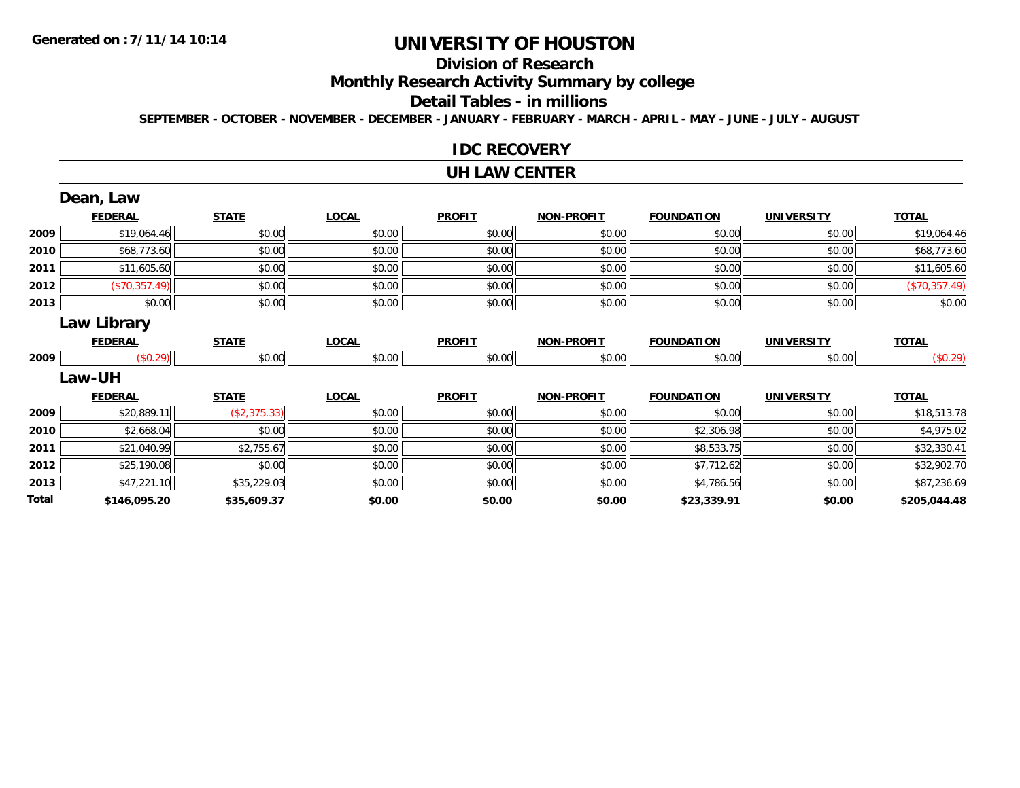## **Division of Research**

**Monthly Research Activity Summary by college**

#### **Detail Tables - in millions**

**SEPTEMBER - OCTOBER - NOVEMBER - DECEMBER - JANUARY - FEBRUARY - MARCH - APRIL - MAY - JUNE - JULY - AUGUST**

#### **IDC RECOVERY**

#### **UH LAW CENTER**

|       | Dean, Law      |              |              |               |                   |                   |                   |               |
|-------|----------------|--------------|--------------|---------------|-------------------|-------------------|-------------------|---------------|
|       | <b>FEDERAL</b> | <b>STATE</b> | <b>LOCAL</b> | <b>PROFIT</b> | <b>NON-PROFIT</b> | <b>FOUNDATION</b> | <b>UNIVERSITY</b> | <b>TOTAL</b>  |
| 2009  | \$19,064.46    | \$0.00       | \$0.00       | \$0.00        | \$0.00            | \$0.00            | \$0.00            | \$19,064.46   |
| 2010  | \$68,773.60    | \$0.00       | \$0.00       | \$0.00        | \$0.00            | \$0.00            | \$0.00            | \$68,773.60   |
| 2011  | \$11,605.60    | \$0.00       | \$0.00       | \$0.00        | \$0.00            | \$0.00            | \$0.00            | \$11,605.60   |
| 2012  | (\$70,357.49)  | \$0.00       | \$0.00       | \$0.00        | \$0.00            | \$0.00            | \$0.00            | (\$70,357.49) |
| 2013  | \$0.00         | \$0.00       | \$0.00       | \$0.00        | \$0.00            | \$0.00            | \$0.00            | \$0.00        |
|       | Law Library    |              |              |               |                   |                   |                   |               |
|       | <b>FEDERAL</b> | <b>STATE</b> | <b>LOCAL</b> | <b>PROFIT</b> | <b>NON-PROFIT</b> | <b>FOUNDATION</b> | <b>UNIVERSITY</b> | <b>TOTAL</b>  |
| 2009  | (\$0.29)       | \$0.00       | \$0.00       | \$0.00        | \$0.00            | \$0.00            | \$0.00            | (\$0.29)      |
|       | <b>Law-UH</b>  |              |              |               |                   |                   |                   |               |
|       | <b>FEDERAL</b> | <b>STATE</b> | <b>LOCAL</b> | <b>PROFIT</b> | <b>NON-PROFIT</b> | <b>FOUNDATION</b> | <b>UNIVERSITY</b> | <b>TOTAL</b>  |
| 2009  | \$20,889.11    | (\$2,375.33) | \$0.00       | \$0.00        | \$0.00            | \$0.00            | \$0.00            | \$18,513.78   |
| 2010  | \$2,668.04     | \$0.00       | \$0.00       | \$0.00        | \$0.00            | \$2,306.98        | \$0.00            | \$4,975.02    |
| 2011  | \$21,040.99    | \$2,755.67   | \$0.00       | \$0.00        | \$0.00            | \$8,533.75        | \$0.00            | \$32,330.41   |
| 2012  | \$25,190.08    | \$0.00       | \$0.00       | \$0.00        | \$0.00            | \$7,712.62        | \$0.00            | \$32,902.70   |
| 2013  | \$47,221.10    | \$35,229.03  | \$0.00       | \$0.00        | \$0.00            | \$4,786.56        | \$0.00            | \$87,236.69   |
| Total | \$146,095.20   | \$35,609.37  | \$0.00       | \$0.00        | \$0.00            | \$23,339.91       | \$0.00            | \$205,044.48  |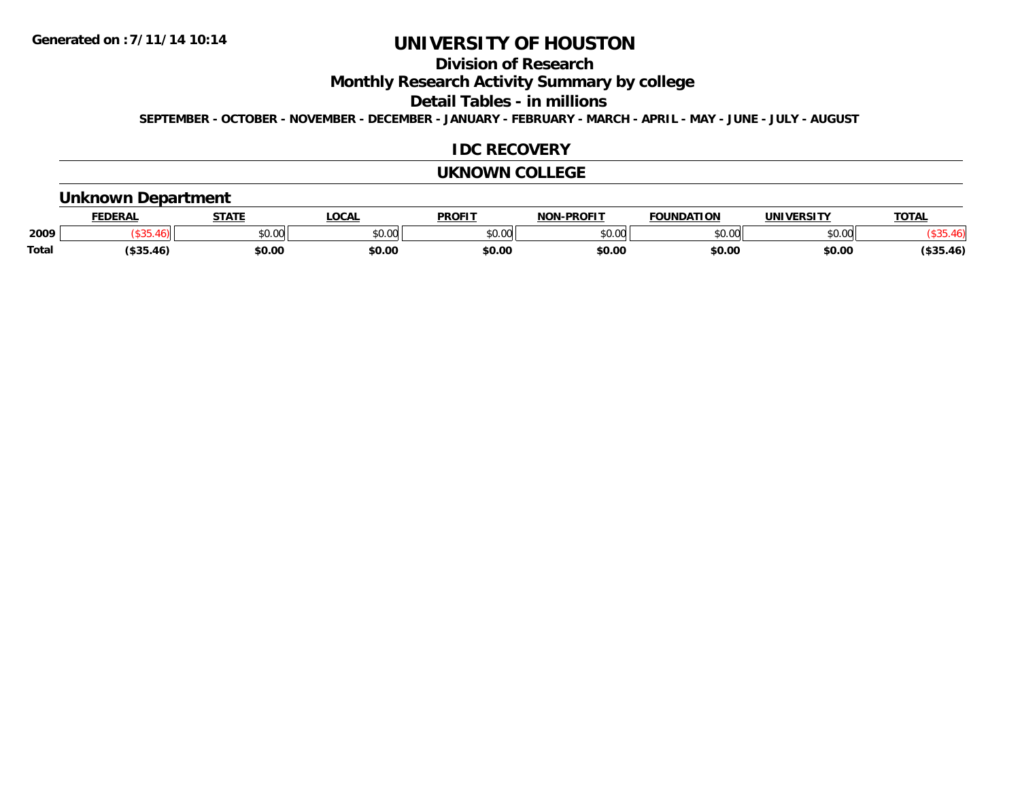## **Division of Research**

**Monthly Research Activity Summary by college**

**Detail Tables - in millions**

**SEPTEMBER - OCTOBER - NOVEMBER - DECEMBER - JANUARY - FEBRUARY - MARCH - APRIL - MAY - JUNE - JULY - AUGUST**

### **IDC RECOVERY**

#### **UKNOWN COLLEGE**

### **Unknown Department**

|       | <b>DERAL</b>   | <b>STATE</b>          | <b>OCAL</b>                                                                            | <b>PROFIT</b> | <b>DDAEIT</b><br><b>ארות</b> | ΙΑΤΙΩΝ | UNIVERSITY | TOTA. |
|-------|----------------|-----------------------|----------------------------------------------------------------------------------------|---------------|------------------------------|--------|------------|-------|
| 2009  |                | 0 <sup>n</sup><br>υv. | $\begin{array}{c} \hline \text{A} & \text{A} & \text{B} \\ \hline \end{array}$<br>ט.טע | 0000<br>JU.UU | ቀስ ሰሰ<br>v.vu                | 0000   | \$0.00     |       |
| Total | $100 -$<br>4 F | \$0.00                | \$0.00                                                                                 | ቀስ ሰ<br>JU.U  | \$0.00                       | \$0.00 | \$0.00     | .46)  |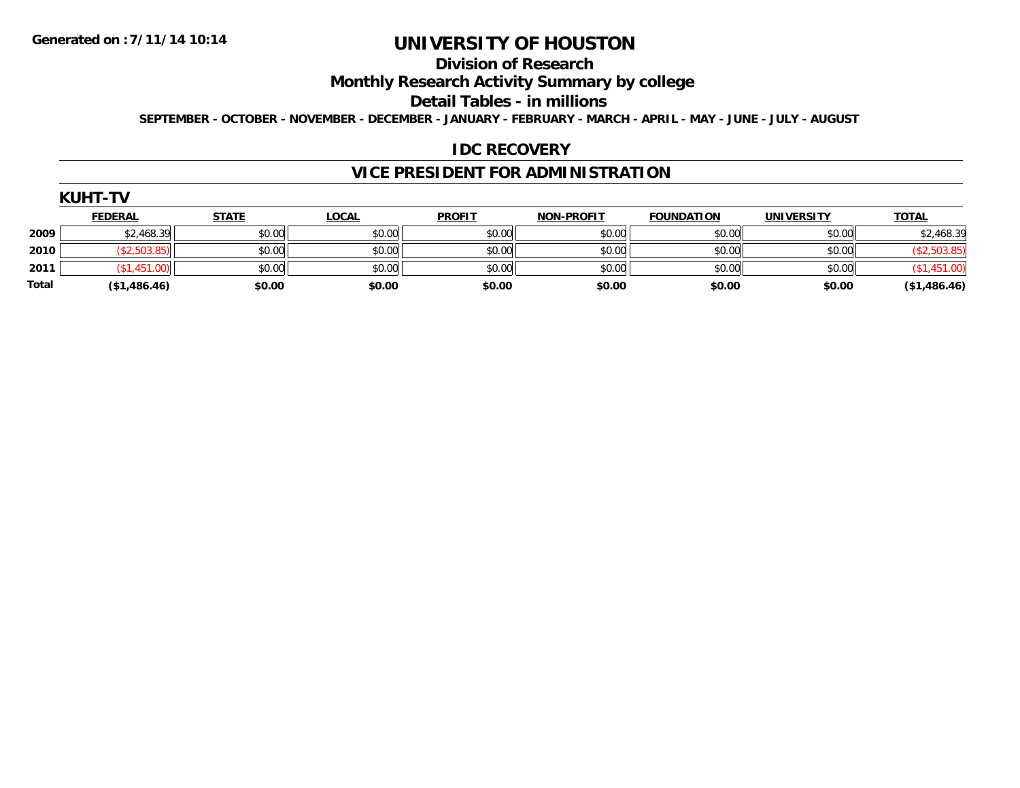#### **Division of Research**

**Monthly Research Activity Summary by college**

**Detail Tables - in millions**

**SEPTEMBER - OCTOBER - NOVEMBER - DECEMBER - JANUARY - FEBRUARY - MARCH - APRIL - MAY - JUNE - JULY - AUGUST**

#### **IDC RECOVERY**

### **VICE PRESIDENT FOR ADMINISTRATION**

| JН<br>1<br>r<br>ı |  |
|-------------------|--|
|-------------------|--|

|       | <b>FEDERAL</b> | <b>STATE</b> | <u>LOCAL</u> | <b>PROFIT</b> | <b>NON-PROFIT</b> | <b>FOUNDATION</b> | <b>UNIVERSITY</b> | <b>TOTAL</b> |
|-------|----------------|--------------|--------------|---------------|-------------------|-------------------|-------------------|--------------|
| 2009  | \$2,468.39     | \$0.00       | \$0.00       | \$0.00        | \$0.00            | \$0.00            | \$0.00            | \$2,468.39   |
| 2010  |                | \$0.00       | \$0.00       | \$0.00        | \$0.00            | \$0.00            | \$0.00            |              |
| 2011  |                | \$0.00       | \$0.00       | \$0.00        | \$0.00            | \$0.00            | \$0.00            |              |
| Total | (\$1,486.46)   | \$0.00       | \$0.00       | \$0.00        | \$0.00            | \$0.00            | \$0.00            | (\$1,486.46) |